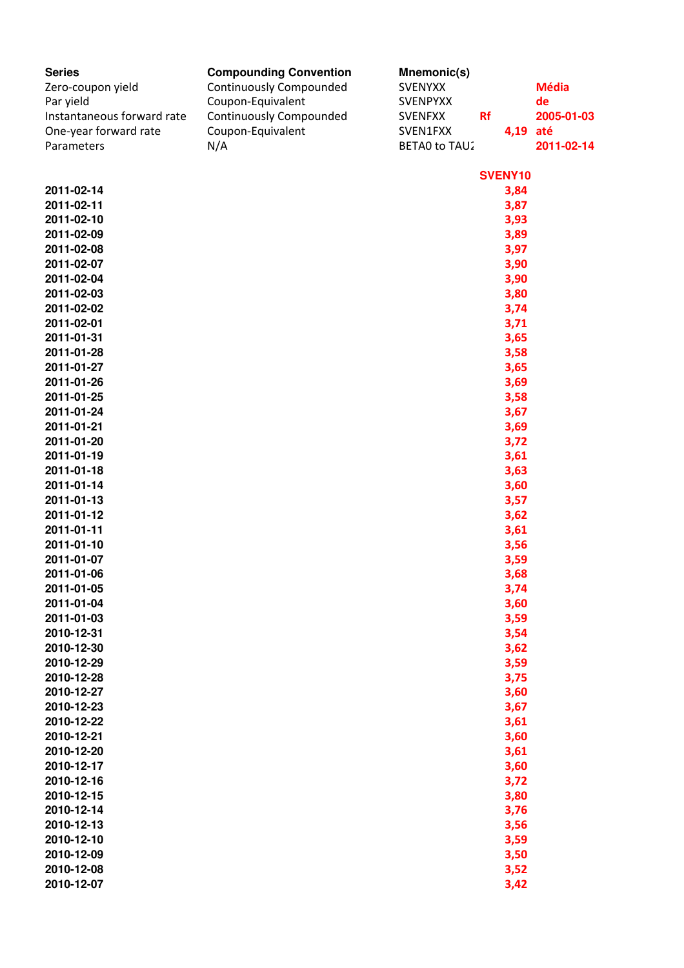| <b>Series</b><br>Zero-coupon yield<br>Par yield<br>Instantaneous forward rate<br>One-year forward rate<br>Parameters | <b>Compounding Convention</b><br><b>Continuously Compounded</b><br>Coupon-Equivalent<br><b>Continuously Compounded</b><br>Coupon-Equivalent<br>N/A | Mnemonic(s)<br><b>SVENYXX</b><br><b>SVENPYXX</b><br><b>SVENFXX</b><br>SVEN1FXX<br>BETA0 to TAU2 | <b>Rf</b> | 4,19 até     | <b>Média</b><br>de<br>2005-01-03<br>2011-02-14 |
|----------------------------------------------------------------------------------------------------------------------|----------------------------------------------------------------------------------------------------------------------------------------------------|-------------------------------------------------------------------------------------------------|-----------|--------------|------------------------------------------------|
|                                                                                                                      |                                                                                                                                                    |                                                                                                 |           | SVENY10      |                                                |
| 2011-02-14                                                                                                           |                                                                                                                                                    |                                                                                                 |           | 3,84         |                                                |
| 2011-02-11                                                                                                           |                                                                                                                                                    |                                                                                                 |           | 3,87         |                                                |
| 2011-02-10                                                                                                           |                                                                                                                                                    |                                                                                                 |           | 3,93         |                                                |
| 2011-02-09                                                                                                           |                                                                                                                                                    |                                                                                                 |           | 3,89         |                                                |
| 2011-02-08                                                                                                           |                                                                                                                                                    |                                                                                                 |           | 3,97         |                                                |
| 2011-02-07                                                                                                           |                                                                                                                                                    |                                                                                                 |           | 3,90         |                                                |
| 2011-02-04                                                                                                           |                                                                                                                                                    |                                                                                                 |           | 3,90         |                                                |
| 2011-02-03                                                                                                           |                                                                                                                                                    |                                                                                                 |           | 3,80         |                                                |
| 2011-02-02                                                                                                           |                                                                                                                                                    |                                                                                                 |           | 3,74         |                                                |
| 2011-02-01                                                                                                           |                                                                                                                                                    |                                                                                                 |           | 3,71         |                                                |
| 2011-01-31                                                                                                           |                                                                                                                                                    |                                                                                                 |           | 3,65         |                                                |
| 2011-01-28                                                                                                           |                                                                                                                                                    |                                                                                                 |           | 3,58         |                                                |
| 2011-01-27                                                                                                           |                                                                                                                                                    |                                                                                                 |           | 3,65         |                                                |
| 2011-01-26                                                                                                           |                                                                                                                                                    |                                                                                                 |           | 3,69         |                                                |
| 2011-01-25<br>2011-01-24                                                                                             |                                                                                                                                                    |                                                                                                 |           | 3,58<br>3,67 |                                                |
| 2011-01-21                                                                                                           |                                                                                                                                                    |                                                                                                 |           | 3,69         |                                                |
| 2011-01-20                                                                                                           |                                                                                                                                                    |                                                                                                 |           | 3,72         |                                                |
| 2011-01-19                                                                                                           |                                                                                                                                                    |                                                                                                 |           | 3,61         |                                                |
| 2011-01-18                                                                                                           |                                                                                                                                                    |                                                                                                 |           | 3,63         |                                                |
| 2011-01-14                                                                                                           |                                                                                                                                                    |                                                                                                 |           | 3,60         |                                                |
| 2011-01-13                                                                                                           |                                                                                                                                                    |                                                                                                 |           | 3,57         |                                                |
| 2011-01-12                                                                                                           |                                                                                                                                                    |                                                                                                 |           | 3,62         |                                                |
| 2011-01-11                                                                                                           |                                                                                                                                                    |                                                                                                 |           | 3,61         |                                                |
| 2011-01-10                                                                                                           |                                                                                                                                                    |                                                                                                 |           | 3,56         |                                                |
| 2011-01-07                                                                                                           |                                                                                                                                                    |                                                                                                 |           | 3,59         |                                                |
| 2011-01-06                                                                                                           |                                                                                                                                                    |                                                                                                 |           | 3,68         |                                                |
| 2011-01-05                                                                                                           |                                                                                                                                                    |                                                                                                 |           | 3,74         |                                                |
| 2011-01-04                                                                                                           |                                                                                                                                                    |                                                                                                 |           | 3,60         |                                                |
| 2011-01-03                                                                                                           |                                                                                                                                                    |                                                                                                 |           | 3,59         |                                                |
| 2010-12-31                                                                                                           |                                                                                                                                                    |                                                                                                 |           | 3,54         |                                                |
| 2010-12-30                                                                                                           |                                                                                                                                                    |                                                                                                 |           | 3,62         |                                                |
| 2010-12-29                                                                                                           |                                                                                                                                                    |                                                                                                 |           | 3,59         |                                                |
| 2010-12-28<br>2010-12-27                                                                                             |                                                                                                                                                    |                                                                                                 |           | 3,75         |                                                |
| 2010-12-23                                                                                                           |                                                                                                                                                    |                                                                                                 |           | 3,60<br>3,67 |                                                |
| 2010-12-22                                                                                                           |                                                                                                                                                    |                                                                                                 |           | 3,61         |                                                |
| 2010-12-21                                                                                                           |                                                                                                                                                    |                                                                                                 |           | 3,60         |                                                |
| 2010-12-20                                                                                                           |                                                                                                                                                    |                                                                                                 |           | 3,61         |                                                |
| 2010-12-17                                                                                                           |                                                                                                                                                    |                                                                                                 |           | 3,60         |                                                |
| 2010-12-16                                                                                                           |                                                                                                                                                    |                                                                                                 |           | 3,72         |                                                |
| 2010-12-15                                                                                                           |                                                                                                                                                    |                                                                                                 |           | 3,80         |                                                |
| 2010-12-14                                                                                                           |                                                                                                                                                    |                                                                                                 |           | 3,76         |                                                |
| 2010-12-13                                                                                                           |                                                                                                                                                    |                                                                                                 |           | 3,56         |                                                |
| 2010-12-10                                                                                                           |                                                                                                                                                    |                                                                                                 |           | 3,59         |                                                |
| 2010-12-09                                                                                                           |                                                                                                                                                    |                                                                                                 |           | 3,50         |                                                |
| 2010-12-08                                                                                                           |                                                                                                                                                    |                                                                                                 |           | 3,52         |                                                |
| 2010-12-07                                                                                                           |                                                                                                                                                    |                                                                                                 |           | 3,42         |                                                |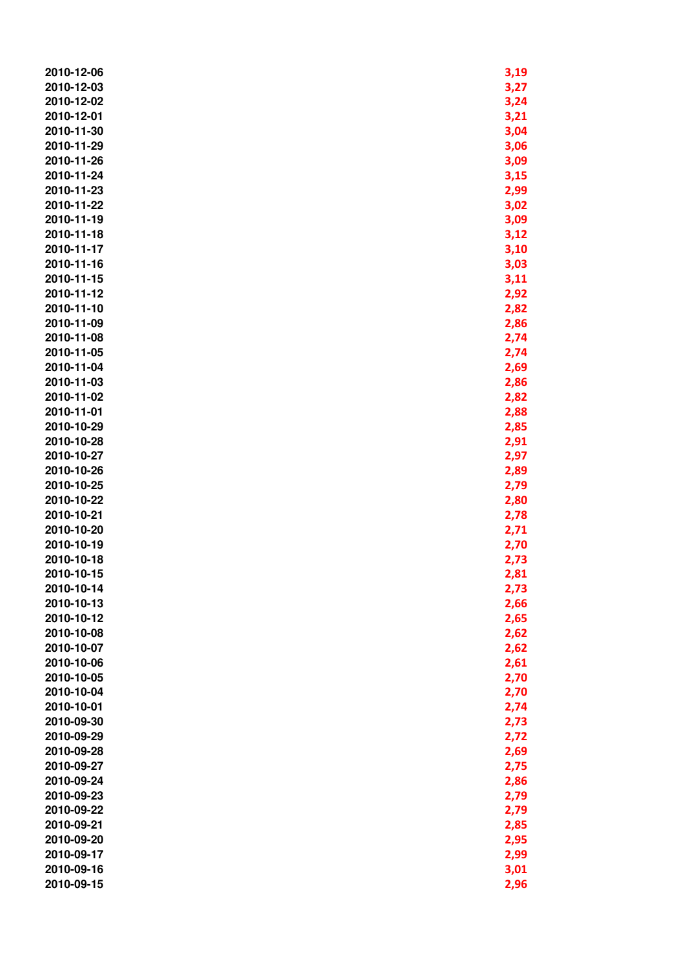| 2010-12-06               | 3,19 |
|--------------------------|------|
| 2010-12-03               | 3,27 |
| 2010-12-02               | 3,24 |
| 2010-12-01               | 3,21 |
| 2010-11-30               | 3,04 |
| 2010-11-29               | 3,06 |
| 2010-11-26               | 3,09 |
| 2010-11-24               | 3,15 |
| 2010-11-23               | 2,99 |
| 2010-11-22               | 3,02 |
| 2010-11-19               | 3,09 |
| 2010-11-18               | 3,12 |
| 2010-11-17               | 3,10 |
| 2010-11-16               | 3,03 |
|                          |      |
| 2010-11-15               | 3,11 |
| 2010-11-12               | 2,92 |
| 2010-11-10<br>2010-11-09 | 2,82 |
|                          | 2,86 |
| 2010-11-08               | 2,74 |
| 2010-11-05               | 2,74 |
| 2010-11-04               | 2,69 |
| 2010-11-03               | 2,86 |
| 2010-11-02               | 2,82 |
| 2010-11-01               | 2,88 |
| 2010-10-29               | 2,85 |
| 2010-10-28               | 2,91 |
| 2010-10-27               | 2,97 |
| 2010-10-26               | 2,89 |
| 2010-10-25               | 2,79 |
| 2010-10-22               | 2,80 |
| 2010-10-21               | 2,78 |
| 2010-10-20               | 2,71 |
| 2010-10-19               | 2,70 |
| 2010-10-18               | 2,73 |
| 2010-10-15               | 2,81 |
| 2010-10-14               | 2,73 |
| 2010-10-13               | 2,66 |
| 2010-10-12               | 2,65 |
| 2010-10-08               | 2,62 |
| 2010-10-07               | 2,62 |
| 2010-10-06               | 2,61 |
| 2010-10-05               | 2,70 |
| 2010-10-04               | 2,70 |
| 2010-10-01               | 2,74 |
| 2010-09-30               | 2,73 |
| 2010-09-29               | 2,72 |
| 2010-09-28               | 2,69 |
| 2010-09-27               | 2,75 |
| 2010-09-24               | 2,86 |
| 2010-09-23               | 2,79 |
| 2010-09-22               | 2,79 |
| 2010-09-21               | 2,85 |
| 2010-09-20               | 2,95 |
| 2010-09-17               | 2,99 |
| 2010-09-16               | 3,01 |
| 2010-09-15               | 2,96 |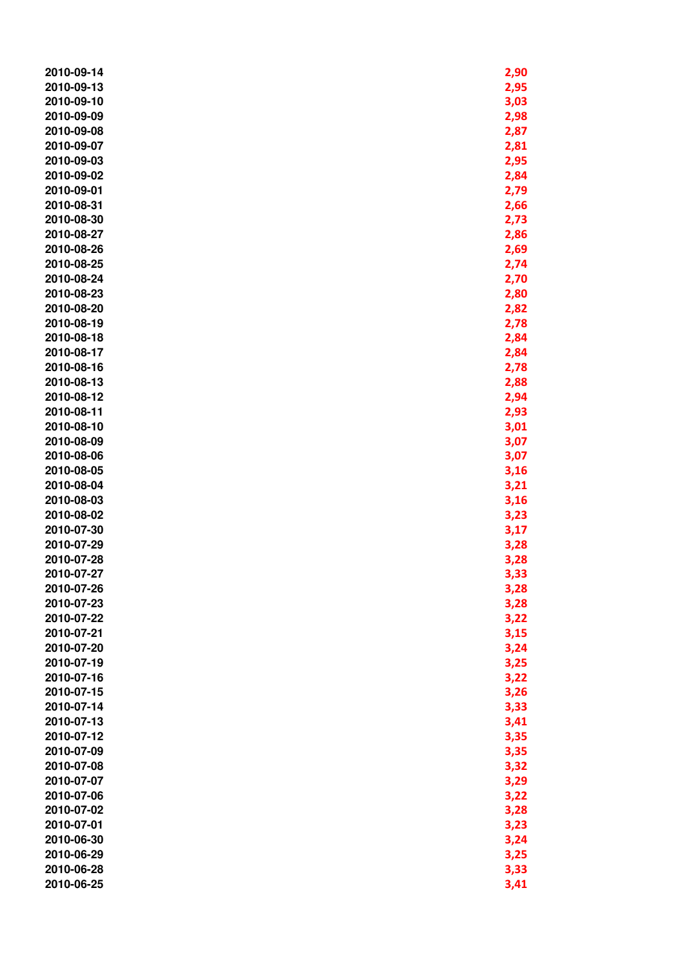| 2010-09-14 | 2,90 |
|------------|------|
| 2010-09-13 | 2,95 |
| 2010-09-10 | 3,03 |
| 2010-09-09 | 2,98 |
| 2010-09-08 | 2,87 |
| 2010-09-07 | 2,81 |
| 2010-09-03 | 2,95 |
| 2010-09-02 | 2,84 |
| 2010-09-01 | 2,79 |
| 2010-08-31 | 2,66 |
| 2010-08-30 | 2,73 |
| 2010-08-27 | 2,86 |
| 2010-08-26 | 2,69 |
| 2010-08-25 | 2,74 |
| 2010-08-24 | 2,70 |
| 2010-08-23 | 2,80 |
| 2010-08-20 | 2,82 |
| 2010-08-19 | 2,78 |
| 2010-08-18 | 2,84 |
| 2010-08-17 | 2,84 |
| 2010-08-16 | 2,78 |
| 2010-08-13 | 2,88 |
| 2010-08-12 | 2,94 |
| 2010-08-11 | 2,93 |
| 2010-08-10 | 3,01 |
| 2010-08-09 | 3,07 |
| 2010-08-06 | 3,07 |
| 2010-08-05 | 3,16 |
| 2010-08-04 | 3,21 |
| 2010-08-03 | 3,16 |
| 2010-08-02 | 3,23 |
| 2010-07-30 | 3,17 |
| 2010-07-29 | 3,28 |
| 2010-07-28 | 3,28 |
| 2010-07-27 | 3,33 |
| 2010-07-26 | 3,28 |
| 2010-07-23 | 3,28 |
| 2010-07-22 | 3,22 |
| 2010-07-21 | 3,15 |
| 2010-07-20 | 3,24 |
| 2010-07-19 | 3,25 |
| 2010-07-16 | 3,22 |
| 2010-07-15 | 3,26 |
| 2010-07-14 | 3,33 |
| 2010-07-13 | 3,41 |
| 2010-07-12 | 3,35 |
| 2010-07-09 | 3,35 |
| 2010-07-08 | 3,32 |
| 2010-07-07 | 3,29 |
| 2010-07-06 | 3,22 |
| 2010-07-02 | 3,28 |
| 2010-07-01 | 3,23 |
| 2010-06-30 | 3,24 |
| 2010-06-29 | 3,25 |
| 2010-06-28 | 3,33 |
| 2010-06-25 | 3,41 |
|            |      |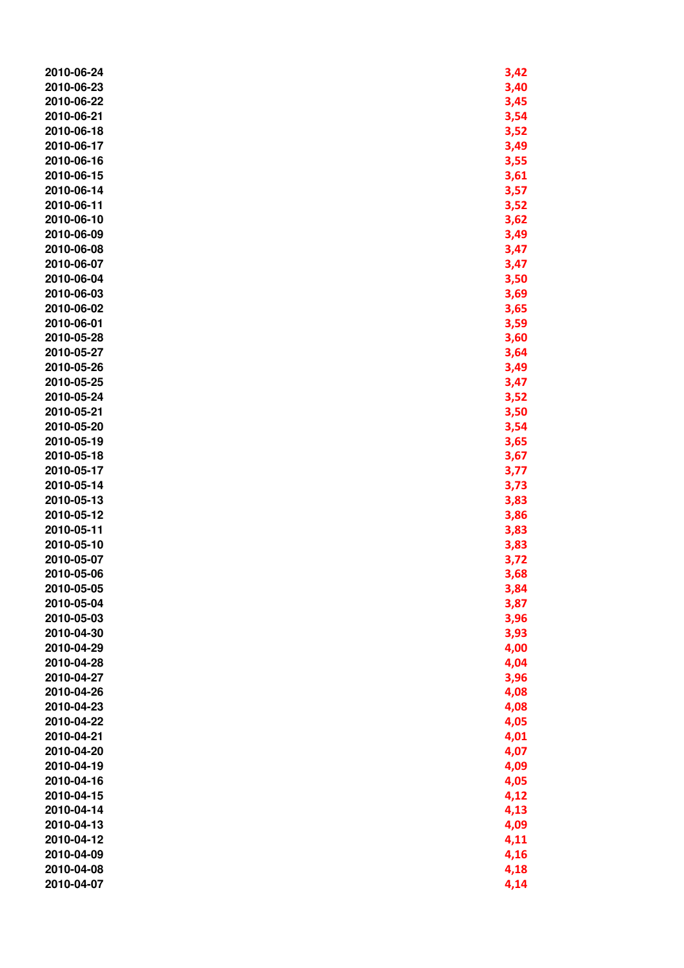| 2010-06-24 | 3,42 |
|------------|------|
| 2010-06-23 | 3,40 |
| 2010-06-22 | 3,45 |
| 2010-06-21 | 3,54 |
| 2010-06-18 | 3,52 |
| 2010-06-17 | 3,49 |
| 2010-06-16 | 3,55 |
| 2010-06-15 | 3,61 |
| 2010-06-14 | 3,57 |
| 2010-06-11 | 3,52 |
| 2010-06-10 | 3,62 |
| 2010-06-09 | 3,49 |
| 2010-06-08 | 3,47 |
| 2010-06-07 | 3,47 |
| 2010-06-04 | 3,50 |
| 2010-06-03 | 3,69 |
| 2010-06-02 | 3,65 |
| 2010-06-01 | 3,59 |
| 2010-05-28 | 3,60 |
| 2010-05-27 | 3,64 |
| 2010-05-26 | 3,49 |
| 2010-05-25 | 3,47 |
| 2010-05-24 | 3,52 |
| 2010-05-21 | 3,50 |
| 2010-05-20 | 3,54 |
| 2010-05-19 | 3,65 |
| 2010-05-18 | 3,67 |
| 2010-05-17 | 3,77 |
| 2010-05-14 | 3,73 |
| 2010-05-13 | 3,83 |
| 2010-05-12 | 3,86 |
| 2010-05-11 | 3,83 |
| 2010-05-10 | 3,83 |
| 2010-05-07 | 3,72 |
| 2010-05-06 | 3,68 |
| 2010-05-05 | 3,84 |
| 2010-05-04 | 3,87 |
| 2010-05-03 | 3,96 |
| 2010-04-30 | 3,93 |
| 2010-04-29 | 4,00 |
| 2010-04-28 | 4,04 |
| 2010-04-27 | 3,96 |
| 2010-04-26 | 4,08 |
| 2010-04-23 | 4,08 |
| 2010-04-22 | 4,05 |
| 2010-04-21 | 4,01 |
| 2010-04-20 | 4,07 |
| 2010-04-19 | 4,09 |
| 2010-04-16 | 4,05 |
| 2010-04-15 | 4,12 |
| 2010-04-14 | 4,13 |
| 2010-04-13 | 4,09 |
| 2010-04-12 | 4,11 |
| 2010-04-09 | 4,16 |
| 2010-04-08 | 4,18 |
| 2010-04-07 | 4,14 |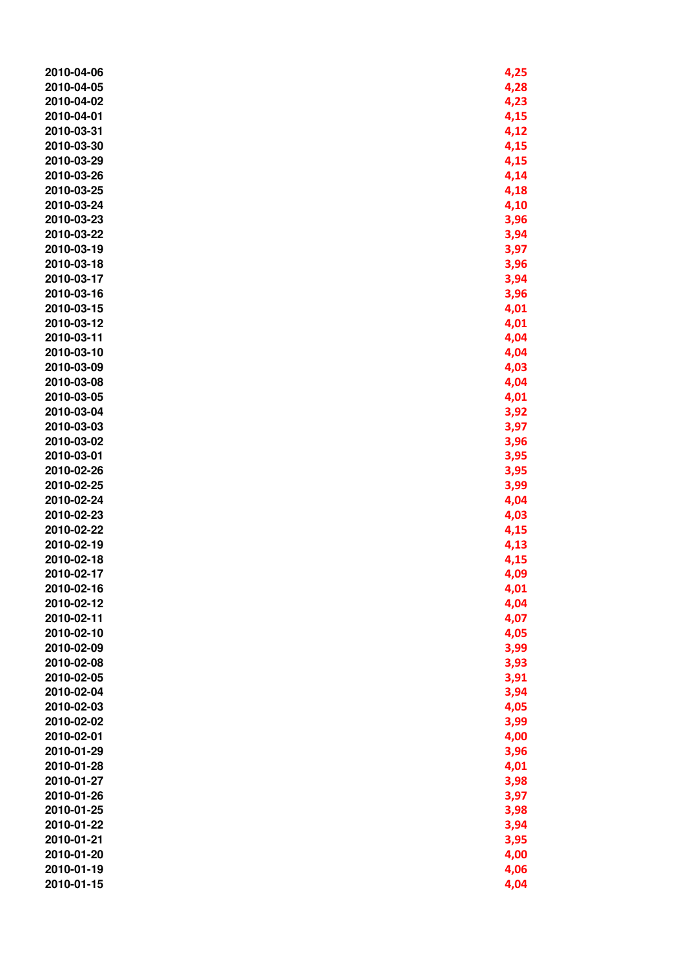| 2010-04-06 | 4,25 |
|------------|------|
| 2010-04-05 | 4,28 |
|            |      |
| 2010-04-02 | 4,23 |
| 2010-04-01 | 4,15 |
| 2010-03-31 | 4,12 |
| 2010-03-30 | 4,15 |
| 2010-03-29 | 4,15 |
| 2010-03-26 | 4,14 |
| 2010-03-25 | 4,18 |
| 2010-03-24 | 4,10 |
| 2010-03-23 | 3,96 |
| 2010-03-22 | 3,94 |
| 2010-03-19 | 3,97 |
| 2010-03-18 | 3,96 |
|            |      |
| 2010-03-17 | 3,94 |
| 2010-03-16 | 3,96 |
| 2010-03-15 | 4,01 |
| 2010-03-12 | 4,01 |
| 2010-03-11 | 4,04 |
| 2010-03-10 | 4,04 |
| 2010-03-09 | 4,03 |
| 2010-03-08 | 4,04 |
| 2010-03-05 | 4,01 |
| 2010-03-04 | 3,92 |
| 2010-03-03 | 3,97 |
| 2010-03-02 | 3,96 |
| 2010-03-01 | 3,95 |
| 2010-02-26 | 3,95 |
| 2010-02-25 | 3,99 |
| 2010-02-24 | 4,04 |
|            |      |
| 2010-02-23 | 4,03 |
| 2010-02-22 | 4,15 |
| 2010-02-19 | 4,13 |
| 2010-02-18 | 4,15 |
| 2010-02-17 | 4,09 |
| 2010-02-16 | 4,01 |
| 2010-02-12 | 4,04 |
| 2010-02-11 | 4,07 |
| 2010-02-10 | 4,05 |
| 2010-02-09 | 3,99 |
| 2010-02-08 | 3,93 |
| 2010-02-05 | 3,91 |
| 2010-02-04 | 3,94 |
| 2010-02-03 | 4,05 |
| 2010-02-02 | 3,99 |
| 2010-02-01 | 4,00 |
| 2010-01-29 | 3,96 |
| 2010-01-28 | 4,01 |
| 2010-01-27 | 3,98 |
| 2010-01-26 |      |
|            | 3,97 |
| 2010-01-25 | 3,98 |
| 2010-01-22 | 3,94 |
| 2010-01-21 | 3,95 |
| 2010-01-20 | 4,00 |
| 2010-01-19 | 4,06 |
| 2010-01-15 | 4,04 |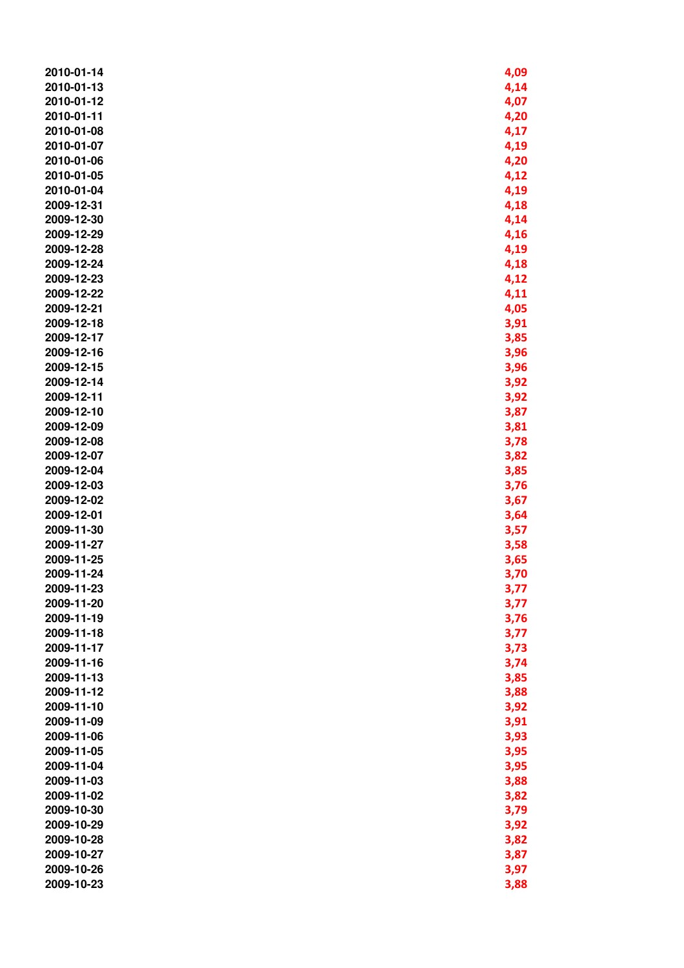| 2010-01-14 | 4,09 |
|------------|------|
| 2010-01-13 | 4,14 |
| 2010-01-12 | 4,07 |
| 2010-01-11 | 4,20 |
| 2010-01-08 | 4,17 |
| 2010-01-07 | 4,19 |
| 2010-01-06 | 4,20 |
| 2010-01-05 | 4,12 |
| 2010-01-04 | 4,19 |
| 2009-12-31 |      |
|            | 4,18 |
| 2009-12-30 | 4,14 |
| 2009-12-29 | 4,16 |
| 2009-12-28 | 4,19 |
| 2009-12-24 | 4,18 |
| 2009-12-23 | 4,12 |
| 2009-12-22 | 4,11 |
| 2009-12-21 | 4,05 |
| 2009-12-18 | 3,91 |
| 2009-12-17 | 3,85 |
| 2009-12-16 | 3,96 |
| 2009-12-15 | 3,96 |
| 2009-12-14 | 3,92 |
| 2009-12-11 | 3,92 |
| 2009-12-10 |      |
|            | 3,87 |
| 2009-12-09 | 3,81 |
| 2009-12-08 | 3,78 |
| 2009-12-07 | 3,82 |
| 2009-12-04 | 3,85 |
| 2009-12-03 | 3,76 |
| 2009-12-02 | 3,67 |
| 2009-12-01 | 3,64 |
| 2009-11-30 | 3,57 |
| 2009-11-27 | 3,58 |
| 2009-11-25 | 3,65 |
| 2009-11-24 | 3,70 |
| 2009-11-23 | 3,77 |
| 2009-11-20 | 3,77 |
| 2009-11-19 | 3,76 |
| 2009-11-18 | 3,77 |
| 2009-11-17 | 3,73 |
| 2009-11-16 | 3,74 |
| 2009-11-13 | 3,85 |
| 2009-11-12 | 3,88 |
| 2009-11-10 |      |
|            | 3,92 |
| 2009-11-09 | 3,91 |
| 2009-11-06 | 3,93 |
| 2009-11-05 | 3,95 |
| 2009-11-04 | 3,95 |
| 2009-11-03 | 3,88 |
| 2009-11-02 | 3,82 |
| 2009-10-30 | 3,79 |
| 2009-10-29 | 3,92 |
| 2009-10-28 | 3,82 |
| 2009-10-27 | 3,87 |
| 2009-10-26 | 3,97 |
| 2009-10-23 | 3,88 |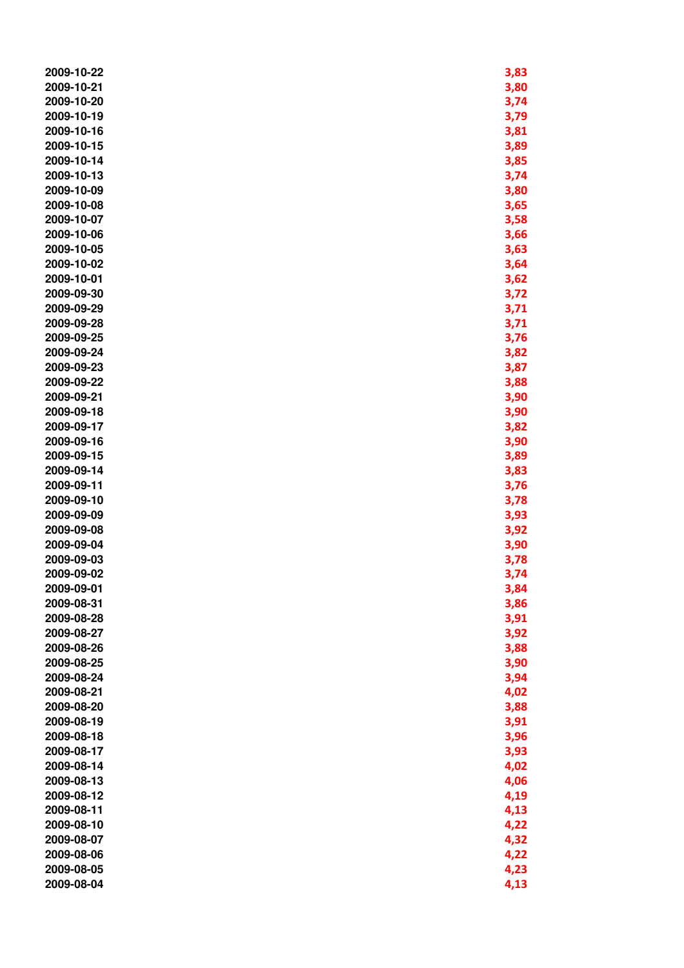| 2009-10-22               | 3,83 |
|--------------------------|------|
| 2009-10-21               | 3,80 |
| 2009-10-20               | 3,74 |
| 2009-10-19               | 3,79 |
| 2009-10-16               | 3,81 |
| 2009-10-15               | 3,89 |
| 2009-10-14               | 3,85 |
| 2009-10-13               | 3,74 |
| 2009-10-09               | 3,80 |
| 2009-10-08               | 3,65 |
| 2009-10-07               | 3,58 |
| 2009-10-06               | 3,66 |
| 2009-10-05               | 3,63 |
| 2009-10-02               | 3,64 |
| 2009-10-01               | 3,62 |
| 2009-09-30               | 3,72 |
| 2009-09-29               | 3,71 |
| 2009-09-28               | 3,71 |
| 2009-09-25               | 3,76 |
| 2009-09-24               | 3,82 |
| 2009-09-23               | 3,87 |
| 2009-09-22               | 3,88 |
| 2009-09-21               | 3,90 |
| 2009-09-18               | 3,90 |
| 2009-09-17               | 3,82 |
| 2009-09-16               | 3,90 |
| 2009-09-15               | 3,89 |
| 2009-09-14               | 3,83 |
| 2009-09-11               | 3,76 |
| 2009-09-10               | 3,78 |
| 2009-09-09               | 3,93 |
| 2009-09-08               | 3,92 |
| 2009-09-04               | 3,90 |
| 2009-09-03               | 3,78 |
| 2009-09-02               | 3,74 |
| 2009-09-01               | 3,84 |
| 2009-08-31               | 3,86 |
| 2009-08-28               | 3,91 |
| 2009-08-27               | 3,92 |
| 2009-08-26               | 3,88 |
| 2009-08-25               | 3,90 |
| 2009-08-24               | 3,94 |
| 2009-08-21               | 4,02 |
| 2009-08-20               | 3,88 |
| 2009-08-19               | 3,91 |
| 2009-08-18               |      |
| 2009-08-17               | 3,96 |
|                          | 3,93 |
| 2009-08-14<br>2009-08-13 | 4,02 |
| 2009-08-12               | 4,06 |
|                          | 4,19 |
| 2009-08-11               | 4,13 |
| 2009-08-10               | 4,22 |
| 2009-08-07               | 4,32 |
| 2009-08-06               | 4,22 |
| 2009-08-05               | 4,23 |
| 2009-08-04               | 4,13 |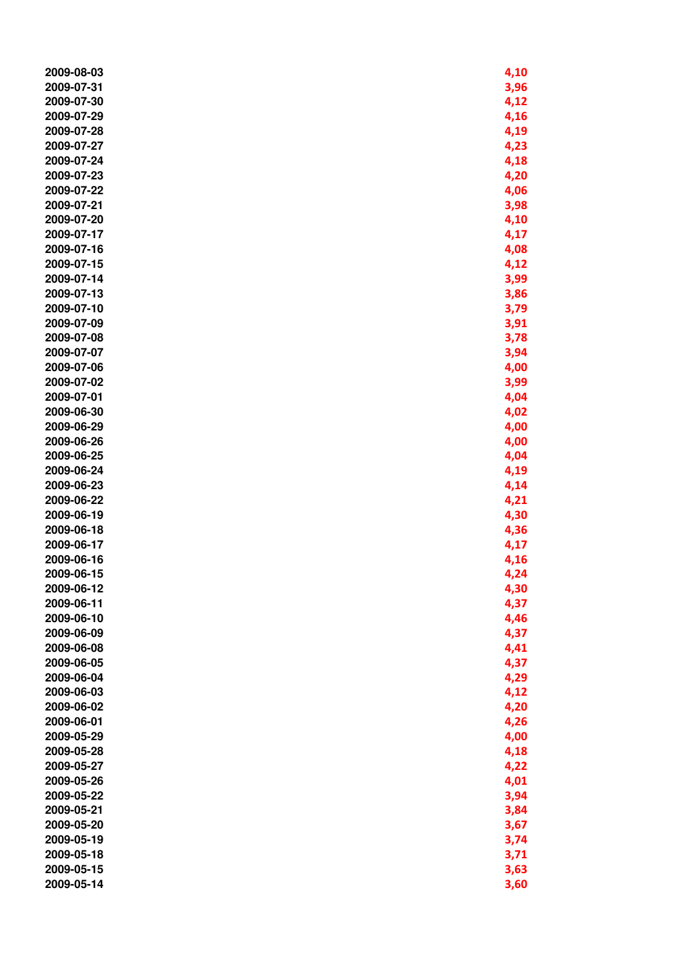| 2009-08-03               | 4,10 |
|--------------------------|------|
| 2009-07-31               | 3,96 |
| 2009-07-30               | 4,12 |
| 2009-07-29               | 4,16 |
| 2009-07-28               | 4,19 |
| 2009-07-27               | 4,23 |
| 2009-07-24               | 4,18 |
| 2009-07-23               | 4,20 |
| 2009-07-22               | 4,06 |
| 2009-07-21               | 3,98 |
| 2009-07-20               | 4,10 |
| 2009-07-17               | 4,17 |
| 2009-07-16               | 4,08 |
| 2009-07-15               | 4,12 |
| 2009-07-14               | 3,99 |
| 2009-07-13               | 3,86 |
| 2009-07-10               | 3,79 |
| 2009-07-09               |      |
| 2009-07-08               | 3,91 |
| 2009-07-07               | 3,78 |
| 2009-07-06               | 3,94 |
| 2009-07-02               | 4,00 |
|                          | 3,99 |
| 2009-07-01               | 4,04 |
| 2009-06-30<br>2009-06-29 | 4,02 |
| 2009-06-26               | 4,00 |
|                          | 4,00 |
| 2009-06-25               | 4,04 |
| 2009-06-24               | 4,19 |
| 2009-06-23               | 4,14 |
| 2009-06-22               | 4,21 |
| 2009-06-19               | 4,30 |
| 2009-06-18               | 4,36 |
| 2009-06-17               | 4,17 |
| 2009-06-16               | 4,16 |
| 2009-06-15               | 4,24 |
| 2009-06-12               | 4,30 |
| 2009-06-11               | 4,37 |
| 2009-06-10               | 4,46 |
| 2009-06-09               | 4,37 |
| 2009-06-08               | 4,41 |
| 2009-06-05               | 4,37 |
| 2009-06-04               | 4,29 |
| 2009-06-03               | 4,12 |
| 2009-06-02               | 4,20 |
| 2009-06-01               | 4,26 |
| 2009-05-29               | 4,00 |
| 2009-05-28               | 4,18 |
| 2009-05-27               | 4,22 |
| 2009-05-26               | 4,01 |
| 2009-05-22               | 3,94 |
| 2009-05-21               | 3,84 |
| 2009-05-20               | 3,67 |
| 2009-05-19               | 3,74 |
| 2009-05-18               | 3,71 |
| 2009-05-15               | 3,63 |
| 2009-05-14               | 3,60 |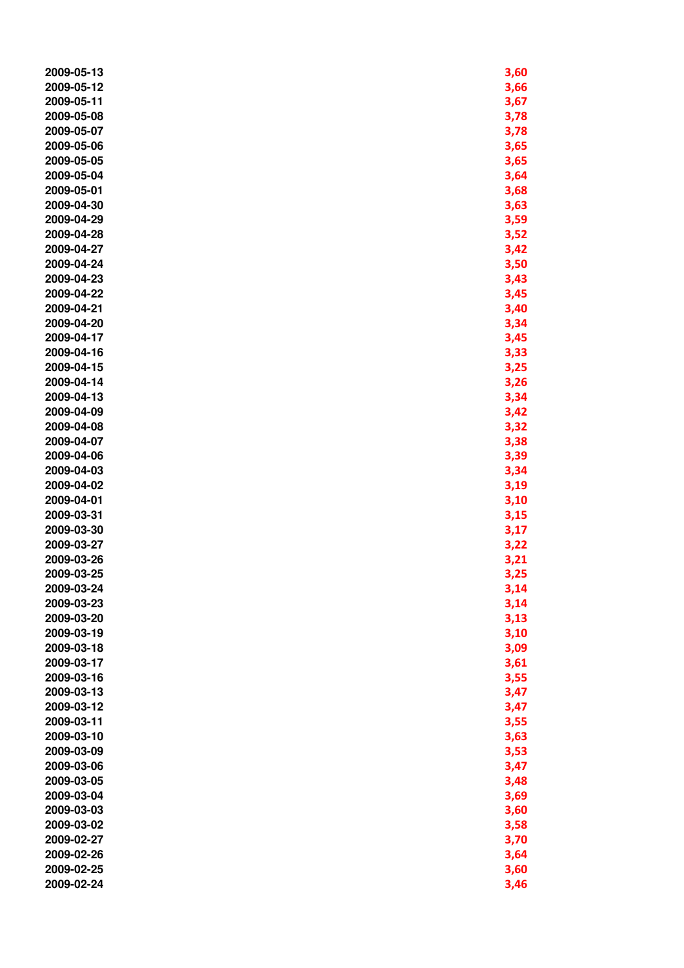| 2009-05-13 | 3,60 |
|------------|------|
| 2009-05-12 | 3,66 |
| 2009-05-11 | 3,67 |
| 2009-05-08 | 3,78 |
| 2009-05-07 | 3,78 |
| 2009-05-06 | 3,65 |
| 2009-05-05 | 3,65 |
| 2009-05-04 | 3,64 |
| 2009-05-01 | 3,68 |
| 2009-04-30 | 3,63 |
| 2009-04-29 | 3,59 |
| 2009-04-28 | 3,52 |
| 2009-04-27 | 3,42 |
| 2009-04-24 | 3,50 |
| 2009-04-23 | 3,43 |
| 2009-04-22 | 3,45 |
| 2009-04-21 | 3,40 |
| 2009-04-20 | 3,34 |
| 2009-04-17 | 3,45 |
| 2009-04-16 | 3,33 |
| 2009-04-15 | 3,25 |
| 2009-04-14 | 3,26 |
| 2009-04-13 | 3,34 |
| 2009-04-09 | 3,42 |
| 2009-04-08 | 3,32 |
| 2009-04-07 | 3,38 |
| 2009-04-06 | 3,39 |
| 2009-04-03 | 3,34 |
| 2009-04-02 | 3,19 |
| 2009-04-01 | 3,10 |
| 2009-03-31 | 3,15 |
| 2009-03-30 | 3,17 |
| 2009-03-27 | 3,22 |
| 2009-03-26 | 3,21 |
| 2009-03-25 | 3,25 |
| 2009-03-24 | 3,14 |
| 2009-03-23 | 3,14 |
| 2009-03-20 | 3,13 |
| 2009-03-19 | 3,10 |
| 2009-03-18 | 3,09 |
| 2009-03-17 | 3,61 |
| 2009-03-16 | 3,55 |
| 2009-03-13 | 3,47 |
| 2009-03-12 | 3,47 |
| 2009-03-11 | 3,55 |
| 2009-03-10 | 3,63 |
| 2009-03-09 | 3,53 |
| 2009-03-06 | 3,47 |
| 2009-03-05 | 3,48 |
| 2009-03-04 | 3,69 |
| 2009-03-03 | 3,60 |
| 2009-03-02 | 3,58 |
| 2009-02-27 | 3,70 |
| 2009-02-26 | 3,64 |
| 2009-02-25 | 3,60 |
| 2009-02-24 | 3,46 |
|            |      |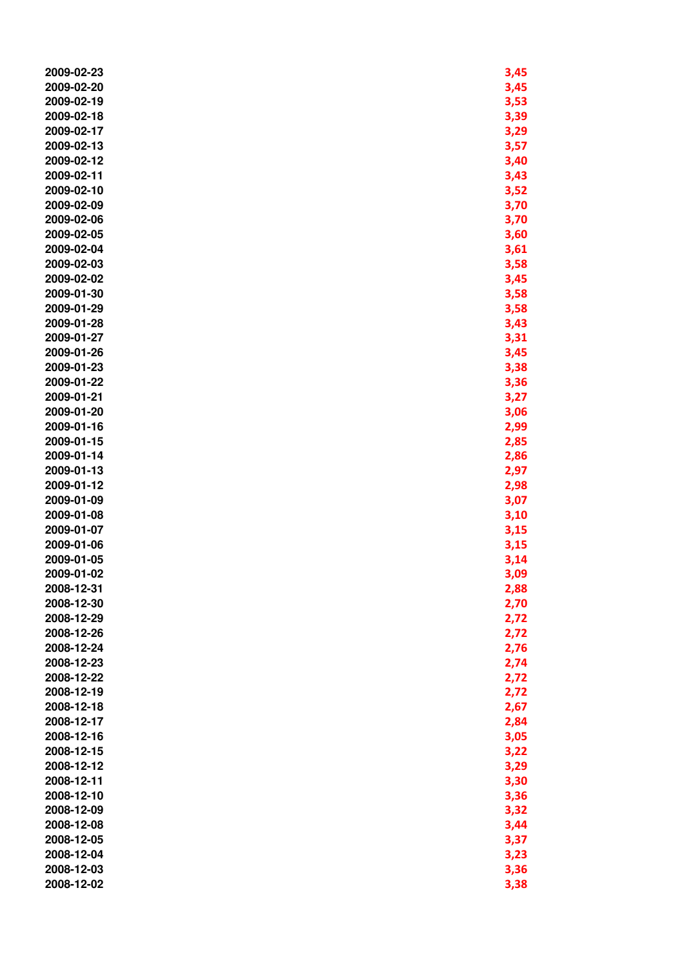| 2009-02-23 | 3,45 |
|------------|------|
| 2009-02-20 | 3,45 |
| 2009-02-19 | 3,53 |
| 2009-02-18 | 3,39 |
|            |      |
| 2009-02-17 | 3,29 |
| 2009-02-13 | 3,57 |
| 2009-02-12 | 3,40 |
| 2009-02-11 | 3,43 |
| 2009-02-10 | 3,52 |
| 2009-02-09 | 3,70 |
| 2009-02-06 | 3,70 |
| 2009-02-05 | 3,60 |
| 2009-02-04 | 3,61 |
| 2009-02-03 | 3,58 |
| 2009-02-02 | 3,45 |
| 2009-01-30 | 3,58 |
|            |      |
| 2009-01-29 | 3,58 |
| 2009-01-28 | 3,43 |
| 2009-01-27 | 3,31 |
| 2009-01-26 | 3,45 |
| 2009-01-23 | 3,38 |
| 2009-01-22 | 3,36 |
| 2009-01-21 | 3,27 |
| 2009-01-20 | 3,06 |
| 2009-01-16 | 2,99 |
| 2009-01-15 | 2,85 |
| 2009-01-14 | 2,86 |
| 2009-01-13 | 2,97 |
| 2009-01-12 | 2,98 |
| 2009-01-09 | 3,07 |
| 2009-01-08 | 3,10 |
| 2009-01-07 | 3,15 |
| 2009-01-06 | 3,15 |
| 2009-01-05 | 3,14 |
| 2009-01-02 | 3,09 |
|            |      |
| 2008-12-31 | 2,88 |
| 2008-12-30 | 2,70 |
| 2008-12-29 | 2,72 |
| 2008-12-26 | 2,72 |
| 2008-12-24 | 2,76 |
| 2008-12-23 | 2,74 |
| 2008-12-22 | 2,72 |
| 2008-12-19 | 2,72 |
| 2008-12-18 | 2,67 |
| 2008-12-17 | 2,84 |
| 2008-12-16 | 3,05 |
| 2008-12-15 | 3,22 |
| 2008-12-12 | 3,29 |
| 2008-12-11 | 3,30 |
| 2008-12-10 | 3,36 |
| 2008-12-09 | 3,32 |
| 2008-12-08 | 3,44 |
| 2008-12-05 | 3,37 |
| 2008-12-04 | 3,23 |
| 2008-12-03 | 3,36 |
| 2008-12-02 | 3,38 |
|            |      |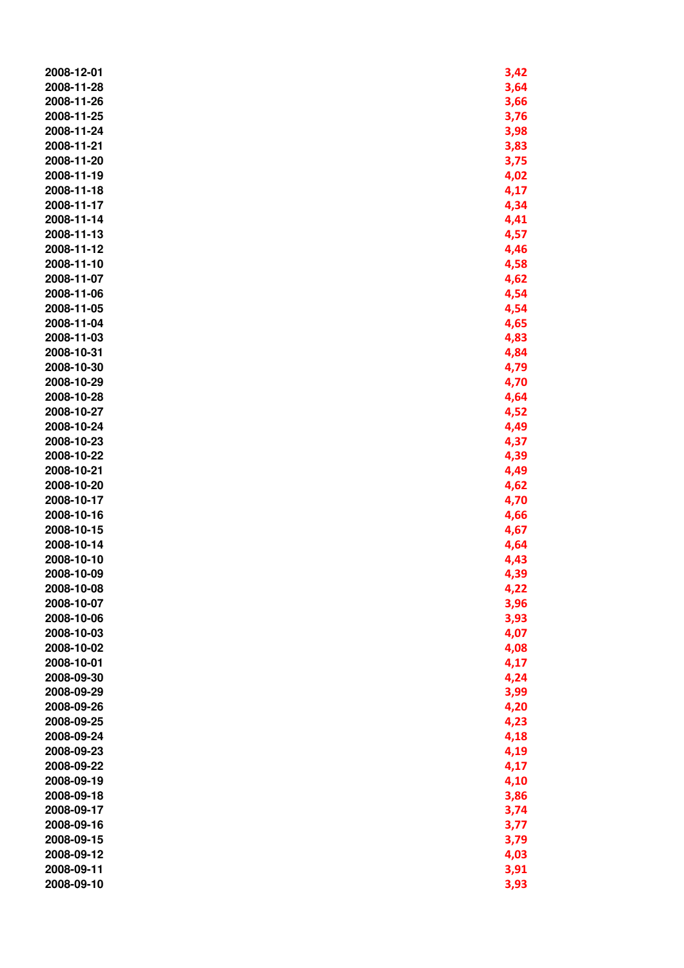| 2008-12-01 | 3,42 |
|------------|------|
| 2008-11-28 | 3,64 |
| 2008-11-26 | 3,66 |
| 2008-11-25 | 3,76 |
| 2008-11-24 | 3,98 |
| 2008-11-21 | 3,83 |
| 2008-11-20 | 3,75 |
| 2008-11-19 | 4,02 |
| 2008-11-18 | 4,17 |
| 2008-11-17 | 4,34 |
| 2008-11-14 | 4,41 |
| 2008-11-13 | 4,57 |
| 2008-11-12 | 4,46 |
| 2008-11-10 | 4,58 |
| 2008-11-07 | 4,62 |
| 2008-11-06 | 4,54 |
| 2008-11-05 | 4,54 |
| 2008-11-04 | 4,65 |
| 2008-11-03 | 4,83 |
| 2008-10-31 | 4,84 |
| 2008-10-30 | 4,79 |
| 2008-10-29 | 4,70 |
| 2008-10-28 | 4,64 |
| 2008-10-27 | 4,52 |
| 2008-10-24 | 4,49 |
| 2008-10-23 | 4,37 |
| 2008-10-22 | 4,39 |
| 2008-10-21 | 4,49 |
| 2008-10-20 | 4,62 |
| 2008-10-17 | 4,70 |
| 2008-10-16 | 4,66 |
| 2008-10-15 | 4,67 |
| 2008-10-14 | 4,64 |
| 2008-10-10 | 4,43 |
| 2008-10-09 | 4,39 |
| 2008-10-08 | 4,22 |
| 2008-10-07 | 3,96 |
| 2008-10-06 | 3,93 |
| 2008-10-03 | 4,07 |
| 2008-10-02 | 4,08 |
| 2008-10-01 | 4,17 |
| 2008-09-30 | 4,24 |
| 2008-09-29 | 3,99 |
| 2008-09-26 | 4,20 |
| 2008-09-25 | 4,23 |
| 2008-09-24 | 4,18 |
| 2008-09-23 | 4,19 |
| 2008-09-22 | 4,17 |
| 2008-09-19 | 4,10 |
| 2008-09-18 | 3,86 |
| 2008-09-17 | 3,74 |
| 2008-09-16 | 3,77 |
| 2008-09-15 | 3,79 |
| 2008-09-12 | 4,03 |
| 2008-09-11 | 3,91 |
| 2008-09-10 | 3,93 |
|            |      |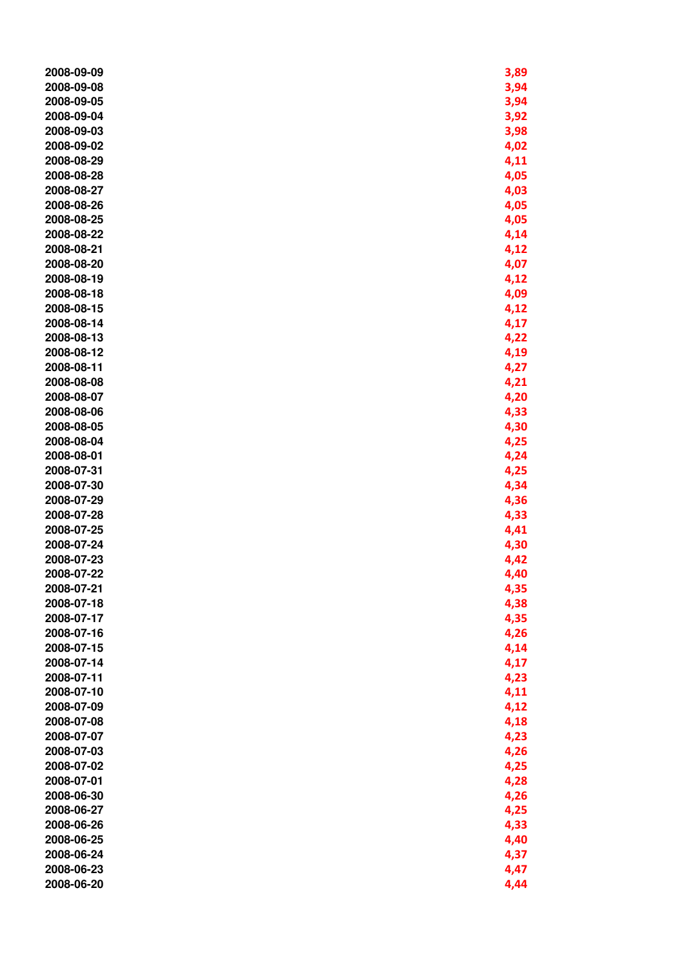| 2008-09-09 | 3,89 |
|------------|------|
| 2008-09-08 | 3,94 |
| 2008-09-05 | 3,94 |
| 2008-09-04 | 3,92 |
|            |      |
| 2008-09-03 | 3,98 |
| 2008-09-02 | 4,02 |
| 2008-08-29 | 4,11 |
| 2008-08-28 | 4,05 |
| 2008-08-27 | 4,03 |
| 2008-08-26 | 4,05 |
| 2008-08-25 | 4,05 |
| 2008-08-22 | 4,14 |
| 2008-08-21 | 4,12 |
| 2008-08-20 | 4,07 |
| 2008-08-19 |      |
|            | 4,12 |
| 2008-08-18 | 4,09 |
| 2008-08-15 | 4,12 |
| 2008-08-14 | 4,17 |
| 2008-08-13 | 4,22 |
| 2008-08-12 | 4,19 |
| 2008-08-11 | 4,27 |
| 2008-08-08 | 4,21 |
| 2008-08-07 | 4,20 |
| 2008-08-06 | 4,33 |
| 2008-08-05 | 4,30 |
| 2008-08-04 | 4,25 |
| 2008-08-01 | 4,24 |
| 2008-07-31 | 4,25 |
| 2008-07-30 | 4,34 |
| 2008-07-29 |      |
|            | 4,36 |
| 2008-07-28 | 4,33 |
| 2008-07-25 | 4,41 |
| 2008-07-24 | 4,30 |
| 2008-07-23 | 4,42 |
| 2008-07-22 | 4,40 |
| 2008-07-21 | 4,35 |
| 2008-07-18 | 4,38 |
| 2008-07-17 | 4,35 |
| 2008-07-16 | 4,26 |
| 2008-07-15 | 4,14 |
| 2008-07-14 | 4,17 |
| 2008-07-11 | 4,23 |
| 2008-07-10 | 4,11 |
| 2008-07-09 | 4,12 |
| 2008-07-08 | 4,18 |
| 2008-07-07 | 4,23 |
| 2008-07-03 | 4,26 |
| 2008-07-02 | 4,25 |
| 2008-07-01 |      |
|            | 4,28 |
| 2008-06-30 | 4,26 |
| 2008-06-27 | 4,25 |
| 2008-06-26 | 4,33 |
| 2008-06-25 | 4,40 |
| 2008-06-24 | 4,37 |
| 2008-06-23 | 4,47 |
| 2008-06-20 | 4,44 |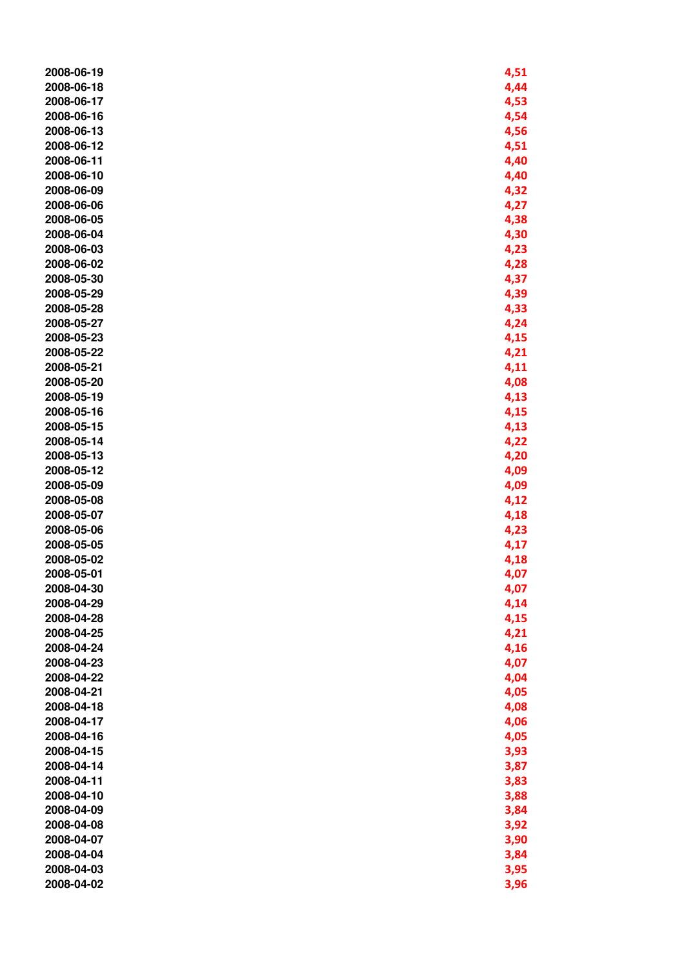| 2008-06-19 | 4,51 |
|------------|------|
| 2008-06-18 | 4,44 |
| 2008-06-17 | 4,53 |
| 2008-06-16 | 4,54 |
| 2008-06-13 | 4,56 |
| 2008-06-12 | 4,51 |
| 2008-06-11 | 4,40 |
| 2008-06-10 | 4,40 |
| 2008-06-09 | 4,32 |
| 2008-06-06 | 4,27 |
| 2008-06-05 | 4,38 |
| 2008-06-04 | 4,30 |
| 2008-06-03 | 4,23 |
| 2008-06-02 | 4,28 |
| 2008-05-30 | 4,37 |
| 2008-05-29 | 4,39 |
| 2008-05-28 | 4,33 |
| 2008-05-27 | 4,24 |
| 2008-05-23 |      |
|            | 4,15 |
| 2008-05-22 | 4,21 |
| 2008-05-21 | 4,11 |
| 2008-05-20 | 4,08 |
| 2008-05-19 | 4,13 |
| 2008-05-16 | 4,15 |
| 2008-05-15 | 4,13 |
| 2008-05-14 | 4,22 |
| 2008-05-13 | 4,20 |
| 2008-05-12 | 4,09 |
| 2008-05-09 | 4,09 |
| 2008-05-08 | 4,12 |
| 2008-05-07 | 4,18 |
| 2008-05-06 | 4,23 |
| 2008-05-05 | 4,17 |
| 2008-05-02 | 4,18 |
| 2008-05-01 | 4,07 |
| 2008-04-30 | 4,07 |
| 2008-04-29 | 4,14 |
| 2008-04-28 | 4,15 |
| 2008-04-25 | 4,21 |
| 2008-04-24 | 4,16 |
| 2008-04-23 | 4,07 |
| 2008-04-22 | 4,04 |
| 2008-04-21 | 4,05 |
| 2008-04-18 | 4,08 |
| 2008-04-17 | 4,06 |
| 2008-04-16 | 4,05 |
| 2008-04-15 | 3,93 |
| 2008-04-14 | 3,87 |
| 2008-04-11 | 3,83 |
| 2008-04-10 | 3,88 |
| 2008-04-09 | 3,84 |
| 2008-04-08 | 3,92 |
| 2008-04-07 | 3,90 |
| 2008-04-04 | 3,84 |
| 2008-04-03 | 3,95 |
| 2008-04-02 | 3,96 |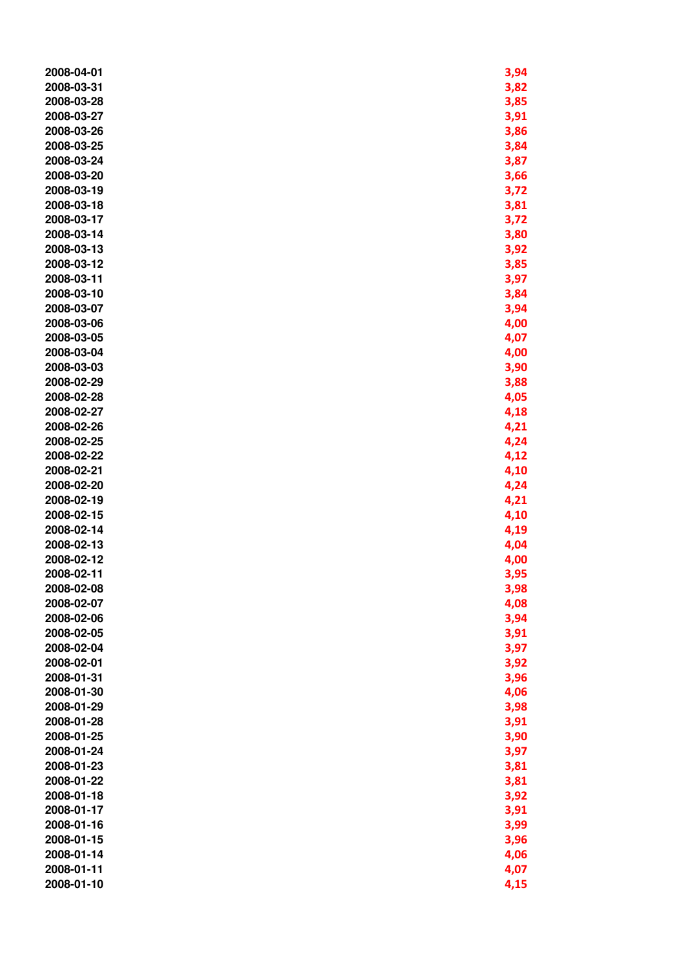| 2008-04-01 | 3,94 |
|------------|------|
| 2008-03-31 | 3,82 |
| 2008-03-28 | 3,85 |
|            |      |
| 2008-03-27 | 3,91 |
| 2008-03-26 | 3,86 |
| 2008-03-25 | 3,84 |
| 2008-03-24 | 3,87 |
| 2008-03-20 | 3,66 |
| 2008-03-19 | 3,72 |
| 2008-03-18 | 3,81 |
| 2008-03-17 | 3,72 |
| 2008-03-14 | 3,80 |
| 2008-03-13 | 3,92 |
| 2008-03-12 | 3,85 |
| 2008-03-11 | 3,97 |
|            |      |
| 2008-03-10 | 3,84 |
| 2008-03-07 | 3,94 |
| 2008-03-06 | 4,00 |
| 2008-03-05 | 4,07 |
| 2008-03-04 | 4,00 |
| 2008-03-03 | 3,90 |
| 2008-02-29 | 3,88 |
| 2008-02-28 | 4,05 |
| 2008-02-27 | 4,18 |
| 2008-02-26 | 4,21 |
| 2008-02-25 | 4,24 |
| 2008-02-22 | 4,12 |
| 2008-02-21 | 4,10 |
| 2008-02-20 | 4,24 |
| 2008-02-19 | 4,21 |
| 2008-02-15 | 4,10 |
| 2008-02-14 | 4,19 |
| 2008-02-13 | 4,04 |
| 2008-02-12 | 4,00 |
| 2008-02-11 |      |
|            | 3,95 |
| 2008-02-08 | 3,98 |
| 2008-02-07 | 4,08 |
| 2008-02-06 | 3,94 |
| 2008-02-05 | 3,91 |
| 2008-02-04 | 3,97 |
| 2008-02-01 | 3,92 |
| 2008-01-31 | 3,96 |
| 2008-01-30 | 4,06 |
| 2008-01-29 | 3,98 |
| 2008-01-28 | 3,91 |
| 2008-01-25 | 3,90 |
| 2008-01-24 | 3,97 |
| 2008-01-23 | 3,81 |
| 2008-01-22 | 3,81 |
| 2008-01-18 | 3,92 |
| 2008-01-17 | 3,91 |
| 2008-01-16 | 3,99 |
| 2008-01-15 | 3,96 |
| 2008-01-14 | 4,06 |
| 2008-01-11 |      |
|            | 4,07 |
| 2008-01-10 | 4,15 |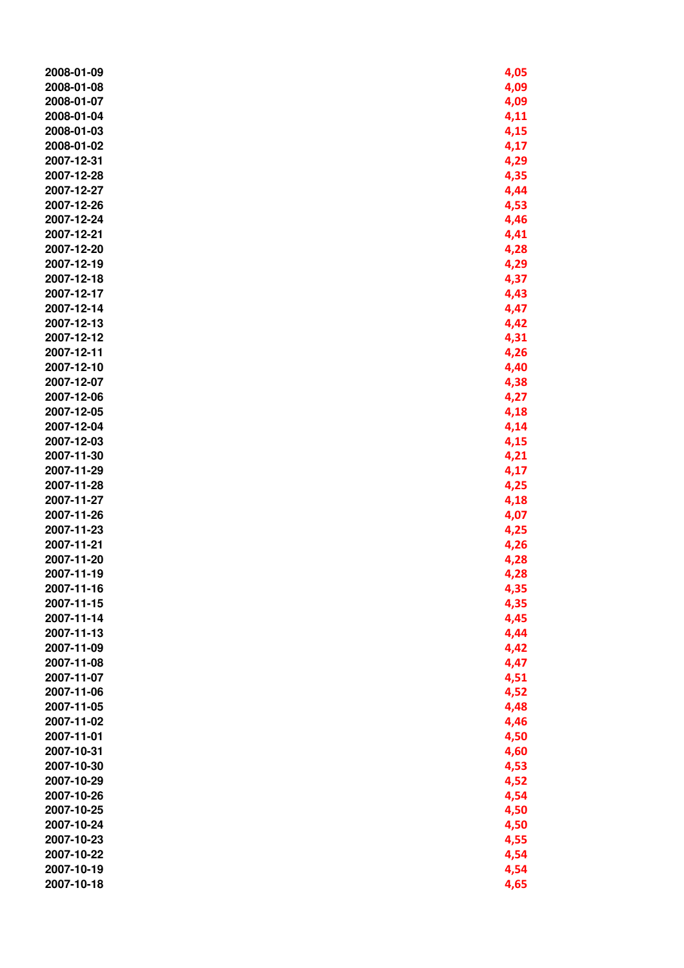| 2008-01-09 | 4,05 |
|------------|------|
| 2008-01-08 | 4,09 |
| 2008-01-07 | 4,09 |
| 2008-01-04 | 4,11 |
| 2008-01-03 | 4,15 |
| 2008-01-02 | 4,17 |
| 2007-12-31 | 4,29 |
| 2007-12-28 | 4,35 |
| 2007-12-27 | 4,44 |
| 2007-12-26 | 4,53 |
| 2007-12-24 | 4,46 |
| 2007-12-21 | 4,41 |
| 2007-12-20 | 4,28 |
| 2007-12-19 | 4,29 |
| 2007-12-18 | 4,37 |
| 2007-12-17 | 4,43 |
| 2007-12-14 | 4,47 |
| 2007-12-13 | 4,42 |
| 2007-12-12 |      |
|            | 4,31 |
| 2007-12-11 | 4,26 |
| 2007-12-10 | 4,40 |
| 2007-12-07 | 4,38 |
| 2007-12-06 | 4,27 |
| 2007-12-05 | 4,18 |
| 2007-12-04 | 4,14 |
| 2007-12-03 | 4,15 |
| 2007-11-30 | 4,21 |
| 2007-11-29 | 4,17 |
| 2007-11-28 | 4,25 |
| 2007-11-27 | 4,18 |
| 2007-11-26 | 4,07 |
| 2007-11-23 | 4,25 |
| 2007-11-21 | 4,26 |
| 2007-11-20 | 4,28 |
| 2007-11-19 | 4,28 |
| 2007-11-16 | 4,35 |
| 2007-11-15 | 4,35 |
| 2007-11-14 | 4,45 |
| 2007-11-13 | 4,44 |
| 2007-11-09 | 4,42 |
| 2007-11-08 | 4,47 |
| 2007-11-07 | 4,51 |
| 2007-11-06 | 4,52 |
| 2007-11-05 | 4,48 |
| 2007-11-02 | 4,46 |
| 2007-11-01 | 4,50 |
| 2007-10-31 | 4,60 |
| 2007-10-30 | 4,53 |
| 2007-10-29 | 4,52 |
| 2007-10-26 | 4,54 |
| 2007-10-25 | 4,50 |
| 2007-10-24 | 4,50 |
| 2007-10-23 | 4,55 |
| 2007-10-22 | 4,54 |
| 2007-10-19 | 4,54 |
| 2007-10-18 | 4,65 |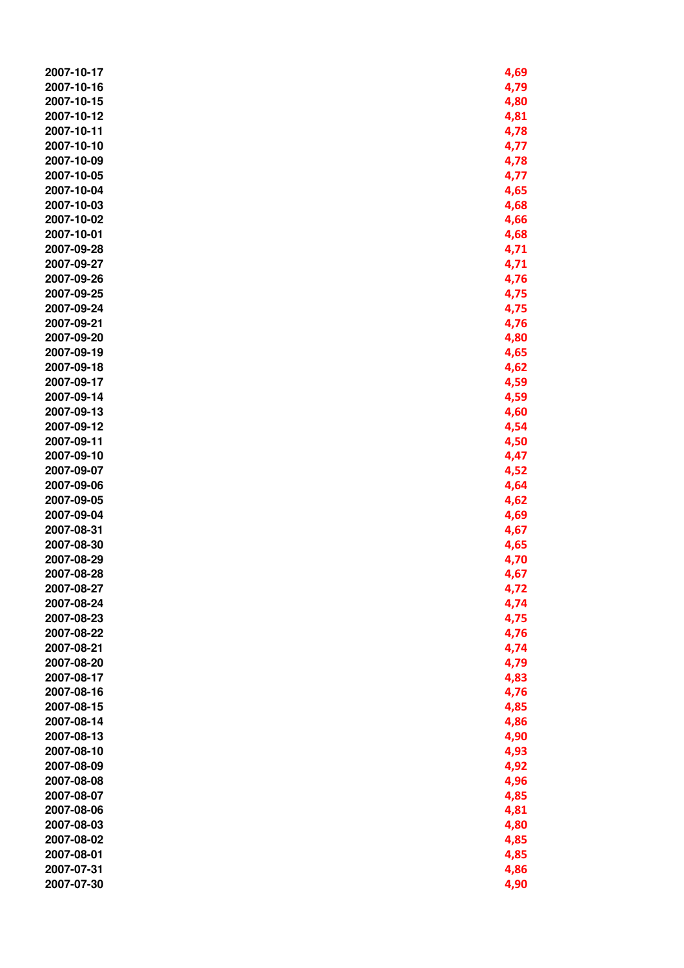| 2007-10-17 | 4,69 |
|------------|------|
| 2007-10-16 | 4,79 |
| 2007-10-15 | 4,80 |
| 2007-10-12 | 4,81 |
| 2007-10-11 | 4,78 |
| 2007-10-10 | 4,77 |
| 2007-10-09 | 4,78 |
| 2007-10-05 | 4,77 |
|            |      |
| 2007-10-04 | 4,65 |
| 2007-10-03 | 4,68 |
| 2007-10-02 | 4,66 |
| 2007-10-01 | 4,68 |
| 2007-09-28 | 4,71 |
| 2007-09-27 | 4,71 |
| 2007-09-26 | 4,76 |
| 2007-09-25 | 4,75 |
| 2007-09-24 | 4,75 |
| 2007-09-21 | 4,76 |
| 2007-09-20 | 4,80 |
|            |      |
| 2007-09-19 | 4,65 |
| 2007-09-18 | 4,62 |
| 2007-09-17 | 4,59 |
| 2007-09-14 | 4,59 |
| 2007-09-13 | 4,60 |
| 2007-09-12 | 4,54 |
| 2007-09-11 | 4,50 |
| 2007-09-10 | 4,47 |
| 2007-09-07 | 4,52 |
| 2007-09-06 | 4,64 |
| 2007-09-05 | 4,62 |
| 2007-09-04 |      |
|            | 4,69 |
| 2007-08-31 | 4,67 |
| 2007-08-30 | 4,65 |
| 2007-08-29 | 4,70 |
| 2007-08-28 | 4,67 |
| 2007-08-27 | 4,72 |
| 2007-08-24 | 4,74 |
| 2007-08-23 | 4,75 |
| 2007-08-22 | 4,76 |
| 2007-08-21 | 4,74 |
| 2007-08-20 | 4,79 |
| 2007-08-17 | 4,83 |
| 2007-08-16 |      |
|            | 4,76 |
| 2007-08-15 | 4,85 |
| 2007-08-14 | 4,86 |
| 2007-08-13 | 4,90 |
| 2007-08-10 | 4,93 |
| 2007-08-09 | 4,92 |
| 2007-08-08 | 4,96 |
| 2007-08-07 | 4,85 |
| 2007-08-06 | 4,81 |
| 2007-08-03 | 4,80 |
| 2007-08-02 | 4,85 |
| 2007-08-01 | 4,85 |
| 2007-07-31 |      |
|            | 4,86 |
| 2007-07-30 | 4,90 |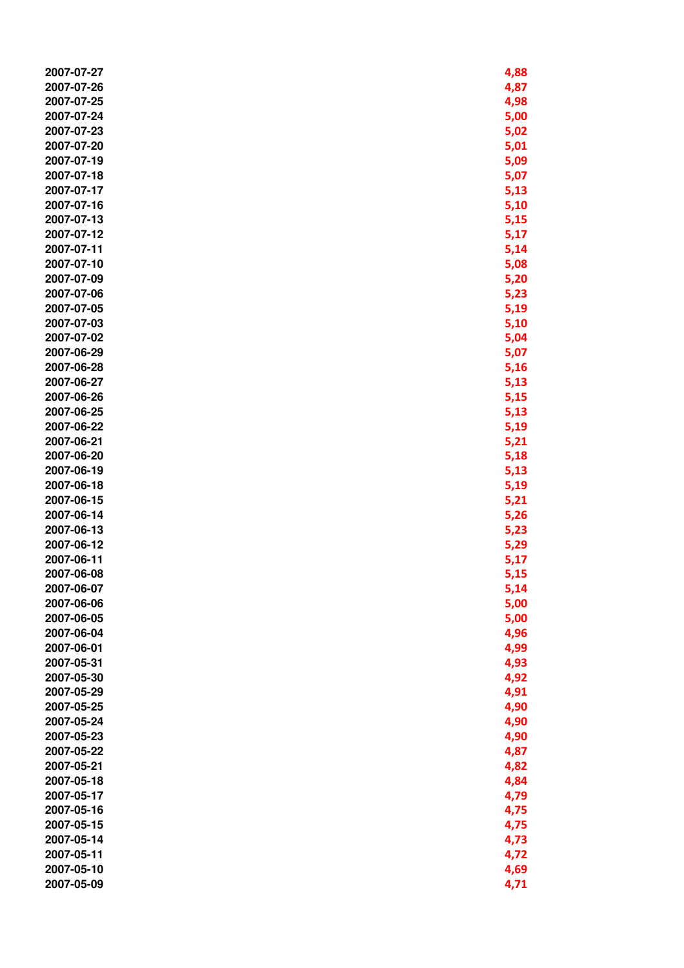| 2007-07-27 | 4,88 |
|------------|------|
| 2007-07-26 | 4,87 |
| 2007-07-25 | 4,98 |
| 2007-07-24 |      |
|            | 5,00 |
| 2007-07-23 | 5,02 |
| 2007-07-20 | 5,01 |
| 2007-07-19 | 5,09 |
| 2007-07-18 | 5,07 |
| 2007-07-17 | 5,13 |
| 2007-07-16 | 5,10 |
| 2007-07-13 | 5,15 |
| 2007-07-12 | 5,17 |
| 2007-07-11 | 5,14 |
| 2007-07-10 | 5,08 |
| 2007-07-09 | 5,20 |
| 2007-07-06 |      |
|            | 5,23 |
| 2007-07-05 | 5,19 |
| 2007-07-03 | 5,10 |
| 2007-07-02 | 5,04 |
| 2007-06-29 | 5,07 |
| 2007-06-28 | 5,16 |
| 2007-06-27 | 5,13 |
| 2007-06-26 | 5,15 |
| 2007-06-25 | 5,13 |
| 2007-06-22 | 5,19 |
| 2007-06-21 | 5,21 |
| 2007-06-20 | 5,18 |
| 2007-06-19 | 5,13 |
| 2007-06-18 | 5,19 |
| 2007-06-15 | 5,21 |
| 2007-06-14 | 5,26 |
| 2007-06-13 | 5,23 |
| 2007-06-12 | 5,29 |
| 2007-06-11 | 5,17 |
|            |      |
| 2007-06-08 | 5,15 |
| 2007-06-07 | 5,14 |
| 2007-06-06 | 5,00 |
| 2007-06-05 | 5,00 |
| 2007-06-04 | 4,96 |
| 2007-06-01 | 4,99 |
| 2007-05-31 | 4,93 |
| 2007-05-30 | 4,92 |
| 2007-05-29 | 4,91 |
| 2007-05-25 | 4,90 |
| 2007-05-24 | 4,90 |
| 2007-05-23 | 4,90 |
| 2007-05-22 | 4,87 |
| 2007-05-21 | 4,82 |
| 2007-05-18 | 4,84 |
| 2007-05-17 | 4,79 |
| 2007-05-16 | 4,75 |
| 2007-05-15 | 4,75 |
|            |      |
| 2007-05-14 | 4,73 |
| 2007-05-11 | 4,72 |
| 2007-05-10 | 4,69 |
| 2007-05-09 | 4,71 |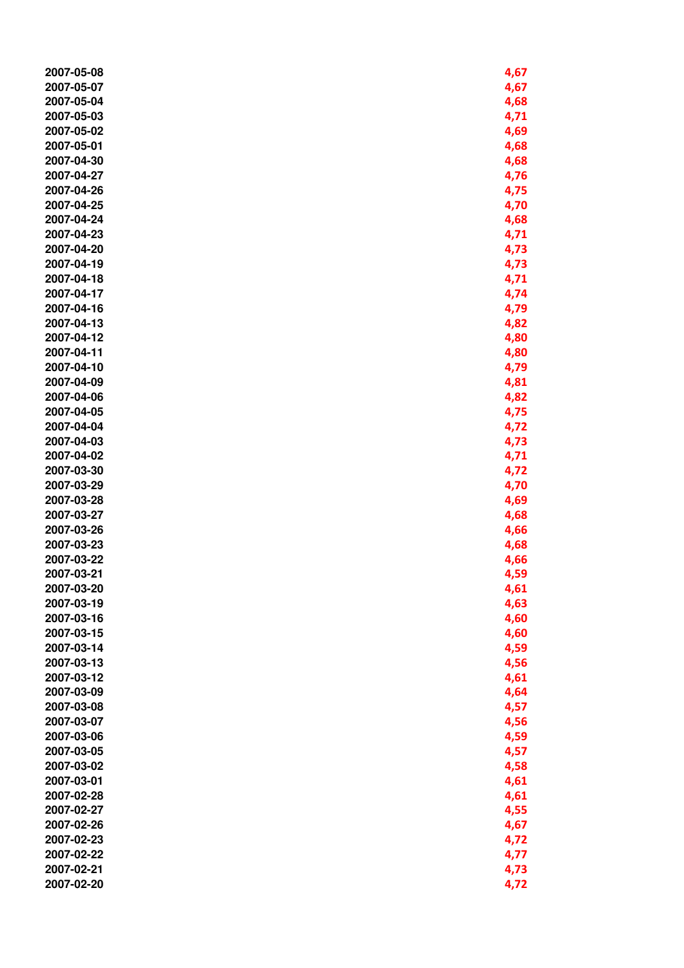| 2007-05-08 | 4,67 |
|------------|------|
| 2007-05-07 | 4,67 |
| 2007-05-04 | 4,68 |
| 2007-05-03 | 4,71 |
|            |      |
| 2007-05-02 | 4,69 |
| 2007-05-01 | 4,68 |
| 2007-04-30 | 4,68 |
| 2007-04-27 | 4,76 |
| 2007-04-26 | 4,75 |
| 2007-04-25 | 4,70 |
| 2007-04-24 | 4,68 |
| 2007-04-23 | 4,71 |
| 2007-04-20 | 4,73 |
| 2007-04-19 | 4,73 |
| 2007-04-18 | 4,71 |
| 2007-04-17 | 4,74 |
| 2007-04-16 | 4,79 |
| 2007-04-13 | 4,82 |
| 2007-04-12 | 4,80 |
| 2007-04-11 | 4,80 |
| 2007-04-10 | 4,79 |
| 2007-04-09 |      |
|            | 4,81 |
| 2007-04-06 | 4,82 |
| 2007-04-05 | 4,75 |
| 2007-04-04 | 4,72 |
| 2007-04-03 | 4,73 |
| 2007-04-02 | 4,71 |
| 2007-03-30 | 4,72 |
| 2007-03-29 | 4,70 |
| 2007-03-28 | 4,69 |
| 2007-03-27 | 4,68 |
| 2007-03-26 | 4,66 |
| 2007-03-23 | 4,68 |
| 2007-03-22 | 4,66 |
| 2007-03-21 | 4,59 |
| 2007-03-20 | 4,61 |
| 2007-03-19 | 4,63 |
| 2007-03-16 | 4,60 |
| 2007-03-15 | 4,60 |
| 2007-03-14 | 4,59 |
| 2007-03-13 |      |
|            | 4,56 |
| 2007-03-12 | 4,61 |
| 2007-03-09 | 4,64 |
| 2007-03-08 | 4,57 |
| 2007-03-07 | 4,56 |
| 2007-03-06 | 4,59 |
| 2007-03-05 | 4,57 |
| 2007-03-02 | 4,58 |
| 2007-03-01 | 4,61 |
| 2007-02-28 | 4,61 |
| 2007-02-27 | 4,55 |
| 2007-02-26 | 4,67 |
| 2007-02-23 | 4,72 |
| 2007-02-22 | 4,77 |
| 2007-02-21 | 4,73 |
| 2007-02-20 | 4,72 |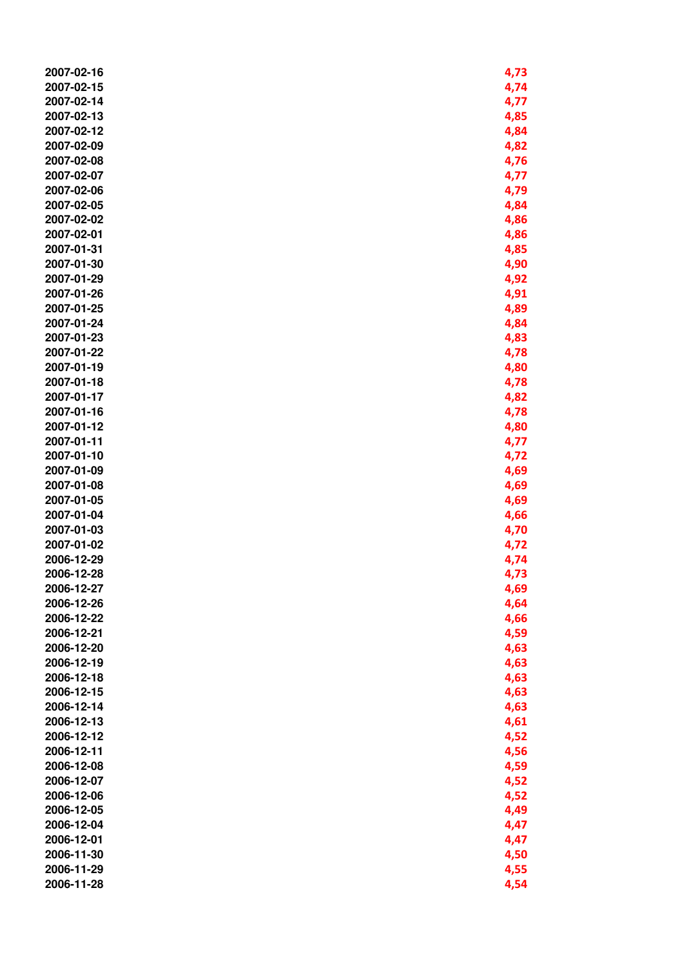| 2007-02-16 | 4,73 |
|------------|------|
| 2007-02-15 | 4,74 |
| 2007-02-14 | 4,77 |
| 2007-02-13 | 4,85 |
| 2007-02-12 | 4,84 |
| 2007-02-09 | 4,82 |
|            |      |
| 2007-02-08 | 4,76 |
| 2007-02-07 | 4,77 |
| 2007-02-06 | 4,79 |
| 2007-02-05 | 4,84 |
| 2007-02-02 | 4,86 |
| 2007-02-01 | 4,86 |
| 2007-01-31 | 4,85 |
| 2007-01-30 | 4,90 |
|            |      |
| 2007-01-29 | 4,92 |
| 2007-01-26 | 4,91 |
| 2007-01-25 | 4,89 |
| 2007-01-24 | 4,84 |
| 2007-01-23 | 4,83 |
| 2007-01-22 | 4,78 |
| 2007-01-19 |      |
|            | 4,80 |
| 2007-01-18 | 4,78 |
| 2007-01-17 | 4,82 |
| 2007-01-16 | 4,78 |
| 2007-01-12 | 4,80 |
| 2007-01-11 | 4,77 |
| 2007-01-10 | 4,72 |
| 2007-01-09 | 4,69 |
| 2007-01-08 |      |
|            | 4,69 |
| 2007-01-05 | 4,69 |
| 2007-01-04 | 4,66 |
| 2007-01-03 | 4,70 |
| 2007-01-02 | 4,72 |
| 2006-12-29 | 4,74 |
| 2006-12-28 | 4,73 |
| 2006-12-27 | 4,69 |
| 2006-12-26 |      |
|            | 4,64 |
| 2006-12-22 | 4,66 |
| 2006-12-21 | 4,59 |
| 2006-12-20 | 4,63 |
| 2006-12-19 | 4,63 |
| 2006-12-18 | 4,63 |
| 2006-12-15 | 4,63 |
| 2006-12-14 |      |
|            | 4,63 |
| 2006-12-13 | 4,61 |
| 2006-12-12 | 4,52 |
| 2006-12-11 | 4,56 |
| 2006-12-08 | 4,59 |
| 2006-12-07 | 4,52 |
| 2006-12-06 | 4,52 |
| 2006-12-05 | 4,49 |
|            |      |
| 2006-12-04 | 4,47 |
| 2006-12-01 | 4,47 |
| 2006-11-30 | 4,50 |
| 2006-11-29 | 4,55 |
| 2006-11-28 | 4,54 |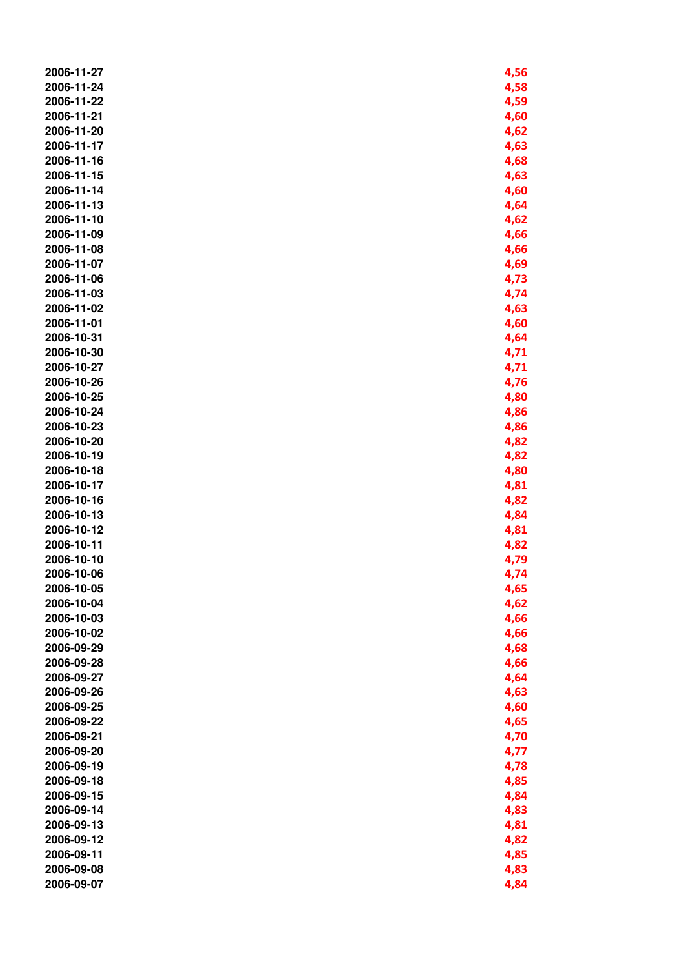| 2006-11-27 | 4,56 |
|------------|------|
| 2006-11-24 | 4,58 |
| 2006-11-22 | 4,59 |
| 2006-11-21 | 4,60 |
| 2006-11-20 | 4,62 |
| 2006-11-17 | 4,63 |
| 2006-11-16 | 4,68 |
| 2006-11-15 | 4,63 |
| 2006-11-14 | 4,60 |
| 2006-11-13 | 4,64 |
| 2006-11-10 | 4,62 |
| 2006-11-09 | 4,66 |
| 2006-11-08 | 4,66 |
| 2006-11-07 |      |
| 2006-11-06 | 4,69 |
|            | 4,73 |
| 2006-11-03 | 4,74 |
| 2006-11-02 | 4,63 |
| 2006-11-01 | 4,60 |
| 2006-10-31 | 4,64 |
| 2006-10-30 | 4,71 |
| 2006-10-27 | 4,71 |
| 2006-10-26 | 4,76 |
| 2006-10-25 | 4,80 |
| 2006-10-24 | 4,86 |
| 2006-10-23 | 4,86 |
| 2006-10-20 | 4,82 |
| 2006-10-19 | 4,82 |
| 2006-10-18 | 4,80 |
| 2006-10-17 | 4,81 |
| 2006-10-16 | 4,82 |
| 2006-10-13 | 4,84 |
| 2006-10-12 | 4,81 |
| 2006-10-11 | 4,82 |
| 2006-10-10 | 4,79 |
| 2006-10-06 | 4,74 |
| 2006-10-05 | 4,65 |
| 2006-10-04 | 4,62 |
| 2006-10-03 | 4,66 |
| 2006-10-02 | 4,66 |
| 2006-09-29 | 4,68 |
| 2006-09-28 | 4,66 |
| 2006-09-27 | 4,64 |
| 2006-09-26 | 4,63 |
| 2006-09-25 | 4,60 |
| 2006-09-22 | 4,65 |
| 2006-09-21 | 4,70 |
| 2006-09-20 | 4,77 |
| 2006-09-19 | 4,78 |
| 2006-09-18 | 4,85 |
| 2006-09-15 | 4,84 |
| 2006-09-14 | 4,83 |
| 2006-09-13 | 4,81 |
| 2006-09-12 | 4,82 |
| 2006-09-11 | 4,85 |
| 2006-09-08 | 4,83 |
| 2006-09-07 |      |
|            | 4,84 |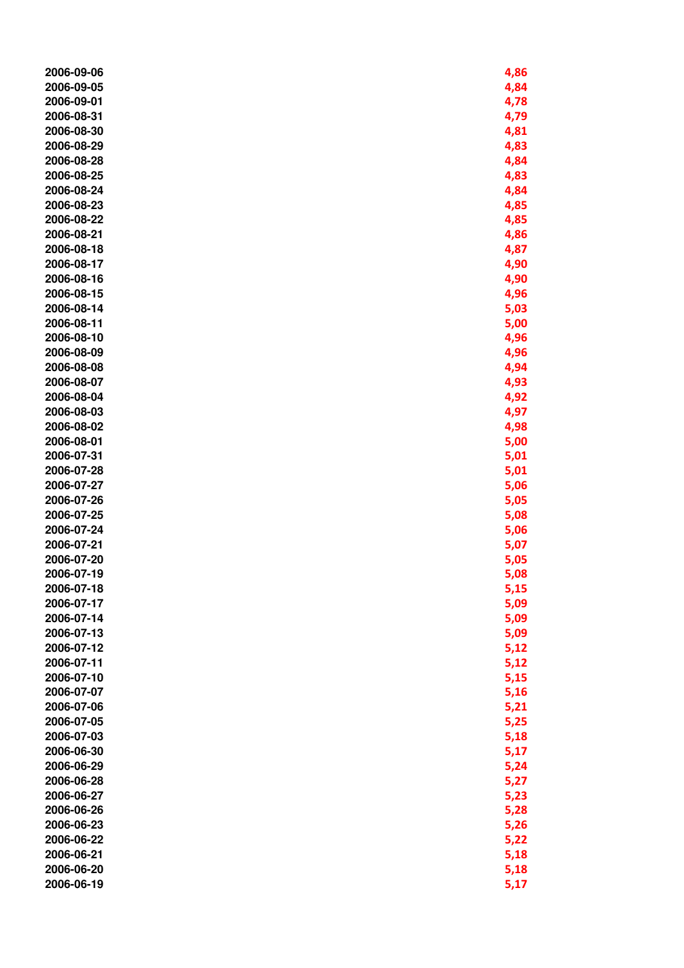| 2006-09-06 | 4,86 |
|------------|------|
| 2006-09-05 | 4,84 |
| 2006-09-01 | 4,78 |
| 2006-08-31 | 4,79 |
|            |      |
| 2006-08-30 | 4,81 |
| 2006-08-29 | 4,83 |
| 2006-08-28 | 4,84 |
| 2006-08-25 | 4,83 |
| 2006-08-24 | 4,84 |
| 2006-08-23 | 4,85 |
| 2006-08-22 | 4,85 |
| 2006-08-21 | 4,86 |
| 2006-08-18 | 4,87 |
| 2006-08-17 | 4,90 |
| 2006-08-16 | 4,90 |
| 2006-08-15 | 4,96 |
| 2006-08-14 | 5,03 |
| 2006-08-11 | 5,00 |
|            |      |
| 2006-08-10 | 4,96 |
| 2006-08-09 | 4,96 |
| 2006-08-08 | 4,94 |
| 2006-08-07 | 4,93 |
| 2006-08-04 | 4,92 |
| 2006-08-03 | 4,97 |
| 2006-08-02 | 4,98 |
| 2006-08-01 | 5,00 |
| 2006-07-31 | 5,01 |
| 2006-07-28 | 5,01 |
| 2006-07-27 | 5,06 |
| 2006-07-26 | 5,05 |
| 2006-07-25 | 5,08 |
| 2006-07-24 | 5,06 |
| 2006-07-21 | 5,07 |
| 2006-07-20 | 5,05 |
| 2006-07-19 | 5,08 |
| 2006-07-18 | 5,15 |
| 2006-07-17 | 5,09 |
| 2006-07-14 | 5,09 |
| 2006-07-13 | 5,09 |
| 2006-07-12 |      |
|            | 5,12 |
| 2006-07-11 | 5,12 |
| 2006-07-10 | 5,15 |
| 2006-07-07 | 5,16 |
| 2006-07-06 | 5,21 |
| 2006-07-05 | 5,25 |
| 2006-07-03 | 5,18 |
| 2006-06-30 | 5,17 |
| 2006-06-29 | 5,24 |
| 2006-06-28 | 5,27 |
| 2006-06-27 | 5,23 |
| 2006-06-26 | 5,28 |
| 2006-06-23 | 5,26 |
| 2006-06-22 | 5,22 |
| 2006-06-21 | 5,18 |
| 2006-06-20 | 5,18 |
| 2006-06-19 | 5,17 |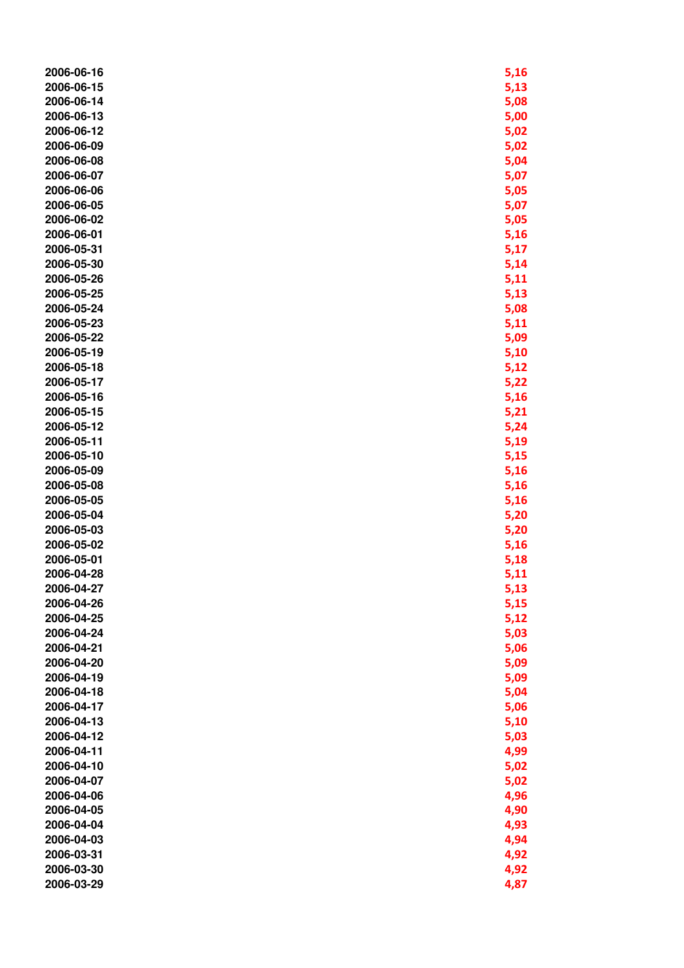| 2006-06-16 | 5,16 |
|------------|------|
| 2006-06-15 | 5,13 |
| 2006-06-14 | 5,08 |
| 2006-06-13 | 5,00 |
| 2006-06-12 | 5,02 |
| 2006-06-09 | 5,02 |
| 2006-06-08 | 5,04 |
| 2006-06-07 | 5,07 |
| 2006-06-06 | 5,05 |
| 2006-06-05 | 5,07 |
| 2006-06-02 | 5,05 |
| 2006-06-01 | 5,16 |
| 2006-05-31 | 5,17 |
| 2006-05-30 | 5,14 |
| 2006-05-26 | 5,11 |
| 2006-05-25 | 5,13 |
| 2006-05-24 | 5,08 |
| 2006-05-23 | 5,11 |
| 2006-05-22 | 5,09 |
| 2006-05-19 | 5,10 |
| 2006-05-18 | 5,12 |
| 2006-05-17 | 5,22 |
| 2006-05-16 | 5,16 |
| 2006-05-15 | 5,21 |
| 2006-05-12 | 5,24 |
| 2006-05-11 | 5,19 |
| 2006-05-10 | 5,15 |
| 2006-05-09 | 5,16 |
| 2006-05-08 | 5,16 |
| 2006-05-05 | 5,16 |
| 2006-05-04 | 5,20 |
| 2006-05-03 | 5,20 |
| 2006-05-02 | 5,16 |
| 2006-05-01 | 5,18 |
| 2006-04-28 | 5,11 |
| 2006-04-27 | 5,13 |
| 2006-04-26 | 5,15 |
| 2006-04-25 | 5,12 |
| 2006-04-24 | 5,03 |
| 2006-04-21 | 5,06 |
| 2006-04-20 | 5,09 |
| 2006-04-19 | 5,09 |
| 2006-04-18 | 5,04 |
| 2006-04-17 | 5,06 |
| 2006-04-13 | 5,10 |
| 2006-04-12 | 5,03 |
| 2006-04-11 | 4,99 |
| 2006-04-10 | 5,02 |
| 2006-04-07 | 5,02 |
| 2006-04-06 | 4,96 |
| 2006-04-05 | 4,90 |
| 2006-04-04 | 4,93 |
| 2006-04-03 | 4,94 |
| 2006-03-31 | 4,92 |
| 2006-03-30 | 4,92 |
| 2006-03-29 | 4,87 |
|            |      |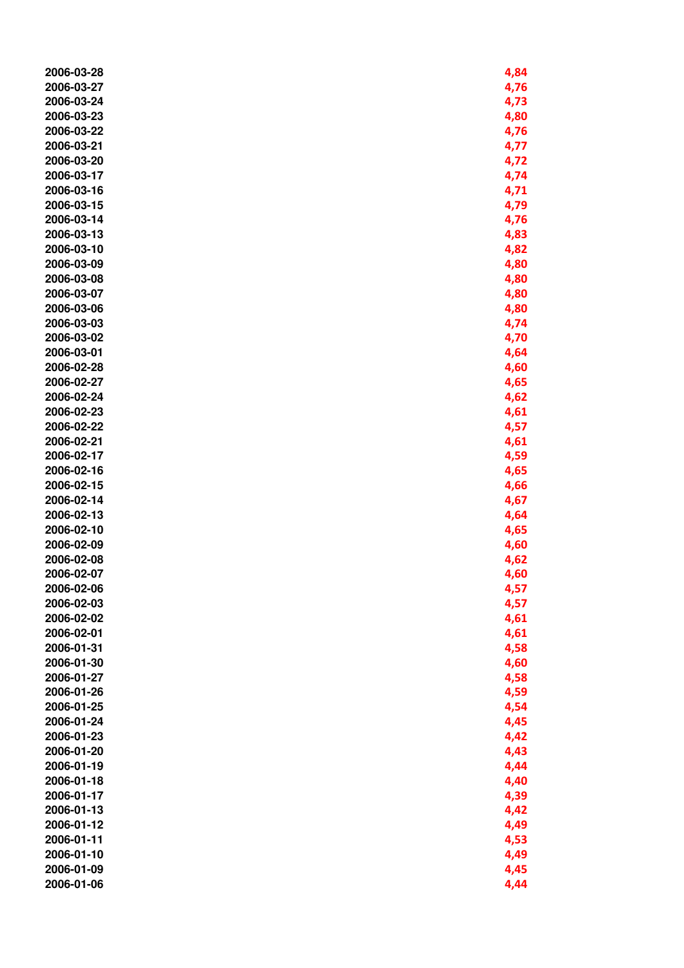| 2006-03-28 | 4,84 |
|------------|------|
| 2006-03-27 | 4,76 |
| 2006-03-24 | 4,73 |
| 2006-03-23 | 4,80 |
| 2006-03-22 | 4,76 |
| 2006-03-21 | 4,77 |
| 2006-03-20 | 4,72 |
| 2006-03-17 | 4,74 |
| 2006-03-16 | 4,71 |
| 2006-03-15 | 4,79 |
| 2006-03-14 |      |
| 2006-03-13 | 4,76 |
|            | 4,83 |
| 2006-03-10 | 4,82 |
| 2006-03-09 | 4,80 |
| 2006-03-08 | 4,80 |
| 2006-03-07 | 4,80 |
| 2006-03-06 | 4,80 |
| 2006-03-03 | 4,74 |
| 2006-03-02 | 4,70 |
| 2006-03-01 | 4,64 |
| 2006-02-28 | 4,60 |
| 2006-02-27 | 4,65 |
| 2006-02-24 | 4,62 |
| 2006-02-23 | 4,61 |
| 2006-02-22 | 4,57 |
| 2006-02-21 | 4,61 |
| 2006-02-17 | 4,59 |
| 2006-02-16 | 4,65 |
| 2006-02-15 | 4,66 |
| 2006-02-14 | 4,67 |
| 2006-02-13 | 4,64 |
| 2006-02-10 | 4,65 |
| 2006-02-09 | 4,60 |
| 2006-02-08 | 4,62 |
| 2006-02-07 | 4,60 |
| 2006-02-06 | 4,57 |
| 2006-02-03 | 4,57 |
| 2006-02-02 | 4,61 |
| 2006-02-01 | 4,61 |
| 2006-01-31 | 4,58 |
| 2006-01-30 | 4,60 |
| 2006-01-27 | 4,58 |
| 2006-01-26 | 4,59 |
| 2006-01-25 | 4,54 |
| 2006-01-24 | 4,45 |
| 2006-01-23 | 4,42 |
| 2006-01-20 |      |
|            | 4,43 |
| 2006-01-19 | 4,44 |
| 2006-01-18 | 4,40 |
| 2006-01-17 | 4,39 |
| 2006-01-13 | 4,42 |
| 2006-01-12 | 4,49 |
| 2006-01-11 | 4,53 |
| 2006-01-10 | 4,49 |
| 2006-01-09 | 4,45 |
| 2006-01-06 | 4,44 |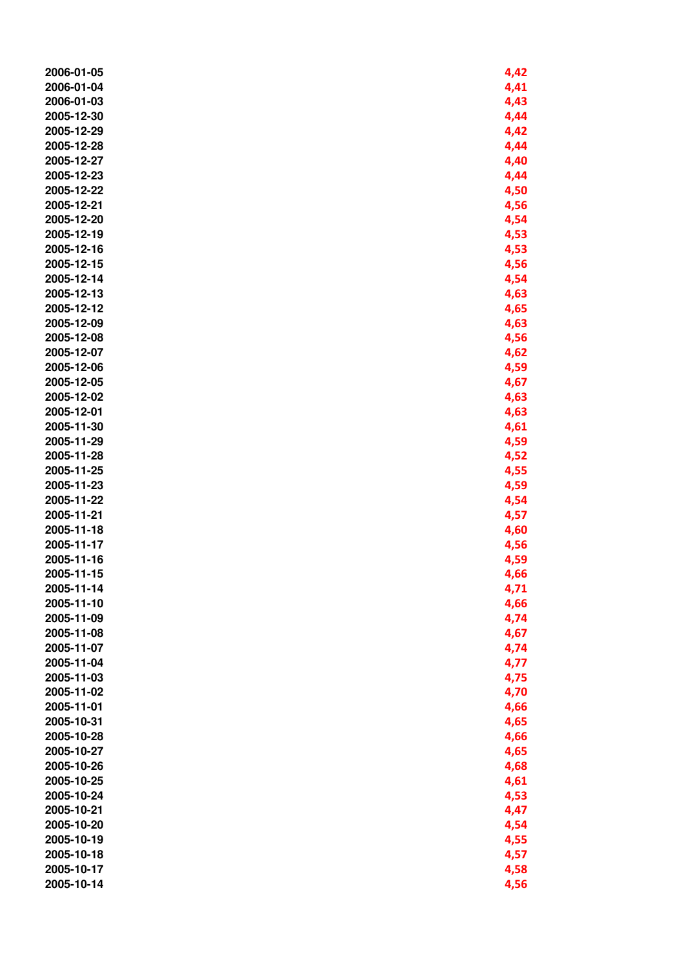| 2006-01-05 | 4,42 |
|------------|------|
| 2006-01-04 | 4,41 |
| 2006-01-03 | 4,43 |
| 2005-12-30 | 4,44 |
| 2005-12-29 | 4,42 |
| 2005-12-28 | 4,44 |
| 2005-12-27 | 4,40 |
| 2005-12-23 | 4,44 |
| 2005-12-22 | 4,50 |
| 2005-12-21 | 4,56 |
| 2005-12-20 | 4,54 |
| 2005-12-19 | 4,53 |
| 2005-12-16 | 4,53 |
| 2005-12-15 | 4,56 |
| 2005-12-14 | 4,54 |
| 2005-12-13 | 4,63 |
| 2005-12-12 | 4,65 |
| 2005-12-09 | 4,63 |
|            |      |
| 2005-12-08 | 4,56 |
| 2005-12-07 | 4,62 |
| 2005-12-06 | 4,59 |
| 2005-12-05 | 4,67 |
| 2005-12-02 | 4,63 |
| 2005-12-01 | 4,63 |
| 2005-11-30 | 4,61 |
| 2005-11-29 | 4,59 |
| 2005-11-28 | 4,52 |
| 2005-11-25 | 4,55 |
| 2005-11-23 | 4,59 |
| 2005-11-22 | 4,54 |
| 2005-11-21 | 4,57 |
| 2005-11-18 | 4,60 |
| 2005-11-17 | 4,56 |
| 2005-11-16 | 4,59 |
| 2005-11-15 | 4,66 |
| 2005-11-14 | 4,71 |
| 2005-11-10 | 4,66 |
| 2005-11-09 | 4,74 |
| 2005-11-08 | 4,67 |
| 2005-11-07 | 4,74 |
| 2005-11-04 | 4,77 |
| 2005-11-03 | 4,75 |
| 2005-11-02 | 4,70 |
| 2005-11-01 | 4,66 |
| 2005-10-31 | 4,65 |
| 2005-10-28 | 4,66 |
| 2005-10-27 | 4,65 |
| 2005-10-26 | 4,68 |
| 2005-10-25 | 4,61 |
| 2005-10-24 | 4,53 |
| 2005-10-21 | 4,47 |
| 2005-10-20 | 4,54 |
| 2005-10-19 | 4,55 |
| 2005-10-18 | 4,57 |
| 2005-10-17 | 4,58 |
| 2005-10-14 | 4,56 |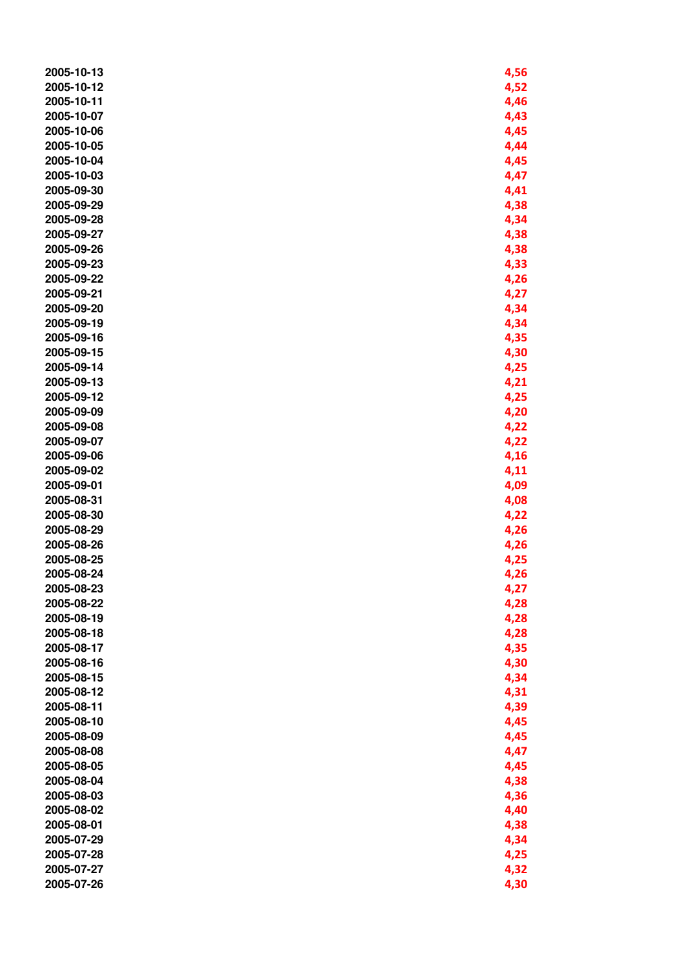| 2005-10-13 | 4,56 |
|------------|------|
| 2005-10-12 | 4,52 |
| 2005-10-11 | 4,46 |
| 2005-10-07 | 4,43 |
| 2005-10-06 | 4,45 |
| 2005-10-05 | 4,44 |
| 2005-10-04 | 4,45 |
| 2005-10-03 | 4,47 |
| 2005-09-30 | 4,41 |
| 2005-09-29 | 4,38 |
| 2005-09-28 | 4,34 |
| 2005-09-27 | 4,38 |
| 2005-09-26 | 4,38 |
| 2005-09-23 | 4,33 |
| 2005-09-22 | 4,26 |
| 2005-09-21 | 4,27 |
| 2005-09-20 | 4,34 |
| 2005-09-19 | 4,34 |
| 2005-09-16 |      |
| 2005-09-15 | 4,35 |
|            | 4,30 |
| 2005-09-14 | 4,25 |
| 2005-09-13 | 4,21 |
| 2005-09-12 | 4,25 |
| 2005-09-09 | 4,20 |
| 2005-09-08 | 4,22 |
| 2005-09-07 | 4,22 |
| 2005-09-06 | 4,16 |
| 2005-09-02 | 4,11 |
| 2005-09-01 | 4,09 |
| 2005-08-31 | 4,08 |
| 2005-08-30 | 4,22 |
| 2005-08-29 | 4,26 |
| 2005-08-26 | 4,26 |
| 2005-08-25 | 4,25 |
| 2005-08-24 | 4,26 |
| 2005-08-23 | 4,27 |
| 2005-08-22 | 4,28 |
| 2005-08-19 | 4,28 |
| 2005-08-18 | 4,28 |
| 2005-08-17 | 4,35 |
| 2005-08-16 | 4,30 |
| 2005-08-15 | 4,34 |
| 2005-08-12 | 4,31 |
| 2005-08-11 | 4,39 |
| 2005-08-10 | 4,45 |
| 2005-08-09 | 4,45 |
| 2005-08-08 | 4,47 |
| 2005-08-05 | 4,45 |
| 2005-08-04 | 4,38 |
| 2005-08-03 | 4,36 |
| 2005-08-02 | 4,40 |
| 2005-08-01 | 4,38 |
| 2005-07-29 | 4,34 |
| 2005-07-28 | 4,25 |
| 2005-07-27 | 4,32 |
| 2005-07-26 | 4,30 |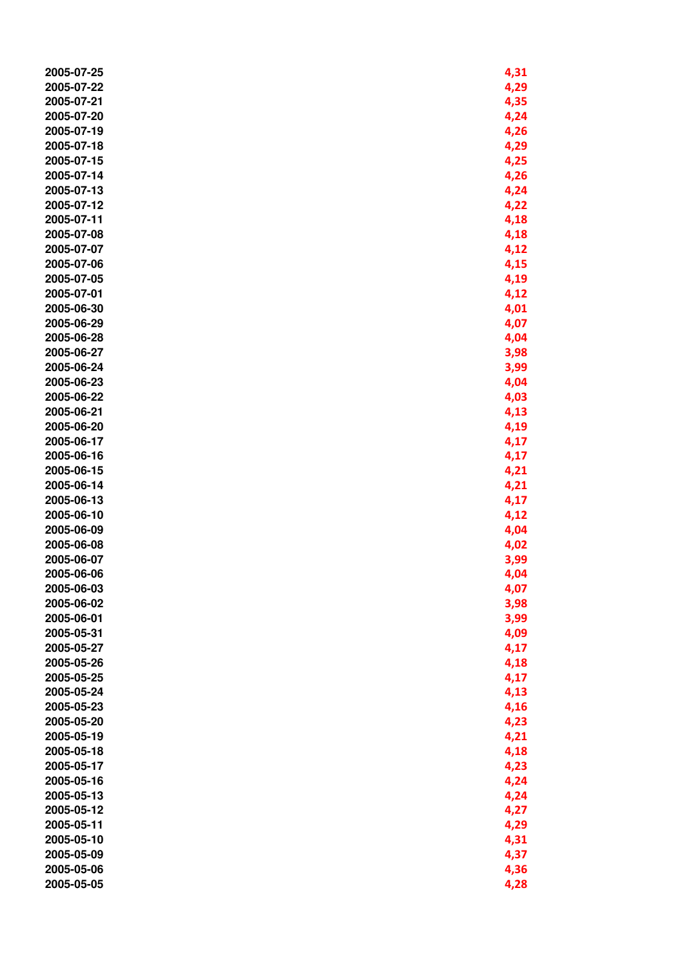| 2005-07-25 | 4,31 |
|------------|------|
| 2005-07-22 | 4,29 |
| 2005-07-21 | 4,35 |
| 2005-07-20 | 4,24 |
| 2005-07-19 | 4,26 |
| 2005-07-18 | 4,29 |
| 2005-07-15 | 4,25 |
| 2005-07-14 | 4,26 |
| 2005-07-13 | 4,24 |
| 2005-07-12 |      |
|            | 4,22 |
| 2005-07-11 | 4,18 |
| 2005-07-08 | 4,18 |
| 2005-07-07 | 4,12 |
| 2005-07-06 | 4,15 |
| 2005-07-05 | 4,19 |
| 2005-07-01 | 4,12 |
| 2005-06-30 | 4,01 |
| 2005-06-29 | 4,07 |
| 2005-06-28 | 4,04 |
| 2005-06-27 | 3,98 |
| 2005-06-24 | 3,99 |
| 2005-06-23 | 4,04 |
| 2005-06-22 | 4,03 |
| 2005-06-21 | 4,13 |
| 2005-06-20 | 4,19 |
| 2005-06-17 | 4,17 |
| 2005-06-16 | 4,17 |
| 2005-06-15 | 4,21 |
| 2005-06-14 | 4,21 |
| 2005-06-13 | 4,17 |
| 2005-06-10 | 4,12 |
| 2005-06-09 | 4,04 |
| 2005-06-08 | 4,02 |
| 2005-06-07 | 3,99 |
| 2005-06-06 | 4,04 |
| 2005-06-03 | 4,07 |
| 2005-06-02 | 3,98 |
| 2005-06-01 | 3,99 |
| 2005-05-31 | 4,09 |
| 2005-05-27 | 4,17 |
| 2005-05-26 | 4,18 |
| 2005-05-25 | 4,17 |
| 2005-05-24 | 4,13 |
| 2005-05-23 | 4,16 |
| 2005-05-20 | 4,23 |
| 2005-05-19 | 4,21 |
|            |      |
| 2005-05-18 | 4,18 |
| 2005-05-17 | 4,23 |
| 2005-05-16 | 4,24 |
| 2005-05-13 | 4,24 |
| 2005-05-12 | 4,27 |
| 2005-05-11 | 4,29 |
| 2005-05-10 | 4,31 |
| 2005-05-09 | 4,37 |
| 2005-05-06 | 4,36 |
| 2005-05-05 | 4,28 |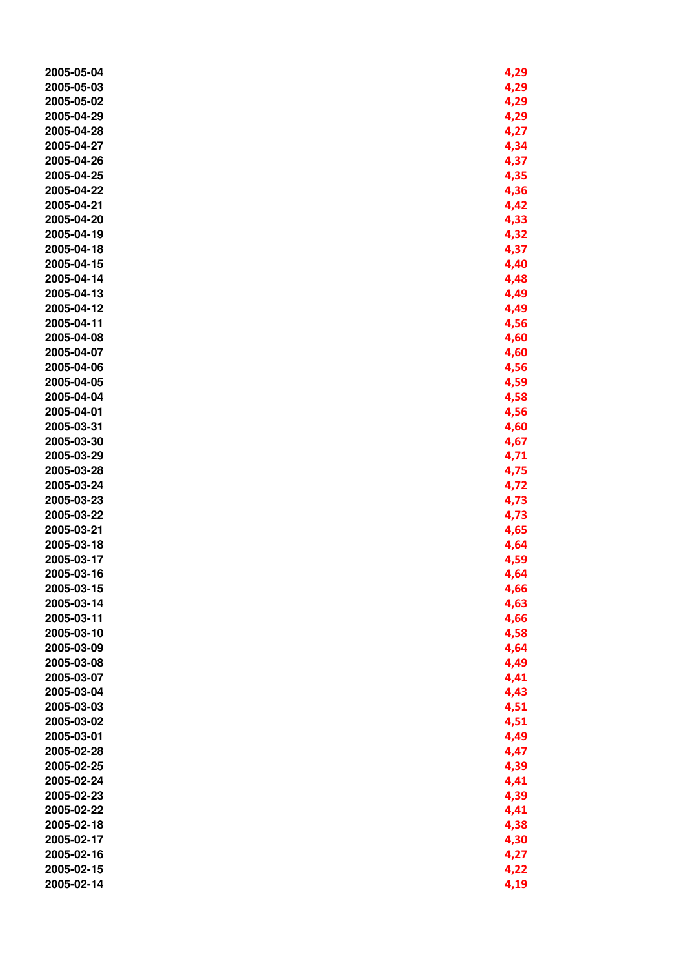| 2005-05-04 | 4,29 |
|------------|------|
| 2005-05-03 | 4,29 |
| 2005-05-02 | 4,29 |
| 2005-04-29 | 4,29 |
| 2005-04-28 | 4,27 |
| 2005-04-27 | 4,34 |
| 2005-04-26 | 4,37 |
| 2005-04-25 | 4,35 |
| 2005-04-22 | 4,36 |
| 2005-04-21 | 4,42 |
| 2005-04-20 |      |
|            | 4,33 |
| 2005-04-19 | 4,32 |
| 2005-04-18 | 4,37 |
| 2005-04-15 | 4,40 |
| 2005-04-14 | 4,48 |
| 2005-04-13 | 4,49 |
| 2005-04-12 | 4,49 |
| 2005-04-11 | 4,56 |
| 2005-04-08 | 4,60 |
| 2005-04-07 | 4,60 |
| 2005-04-06 | 4,56 |
| 2005-04-05 | 4,59 |
| 2005-04-04 | 4,58 |
| 2005-04-01 | 4,56 |
| 2005-03-31 | 4,60 |
| 2005-03-30 | 4,67 |
| 2005-03-29 | 4,71 |
| 2005-03-28 | 4,75 |
| 2005-03-24 | 4,72 |
| 2005-03-23 | 4,73 |
| 2005-03-22 | 4,73 |
| 2005-03-21 | 4,65 |
| 2005-03-18 | 4,64 |
| 2005-03-17 | 4,59 |
| 2005-03-16 | 4,64 |
| 2005-03-15 | 4,66 |
| 2005-03-14 | 4,63 |
| 2005-03-11 | 4,66 |
| 2005-03-10 | 4,58 |
| 2005-03-09 | 4,64 |
| 2005-03-08 | 4,49 |
| 2005-03-07 | 4,41 |
| 2005-03-04 |      |
|            | 4,43 |
| 2005-03-03 | 4,51 |
| 2005-03-02 | 4,51 |
| 2005-03-01 | 4,49 |
| 2005-02-28 | 4,47 |
| 2005-02-25 | 4,39 |
| 2005-02-24 | 4,41 |
| 2005-02-23 | 4,39 |
| 2005-02-22 | 4,41 |
| 2005-02-18 | 4,38 |
| 2005-02-17 | 4,30 |
| 2005-02-16 | 4,27 |
| 2005-02-15 | 4,22 |
| 2005-02-14 | 4,19 |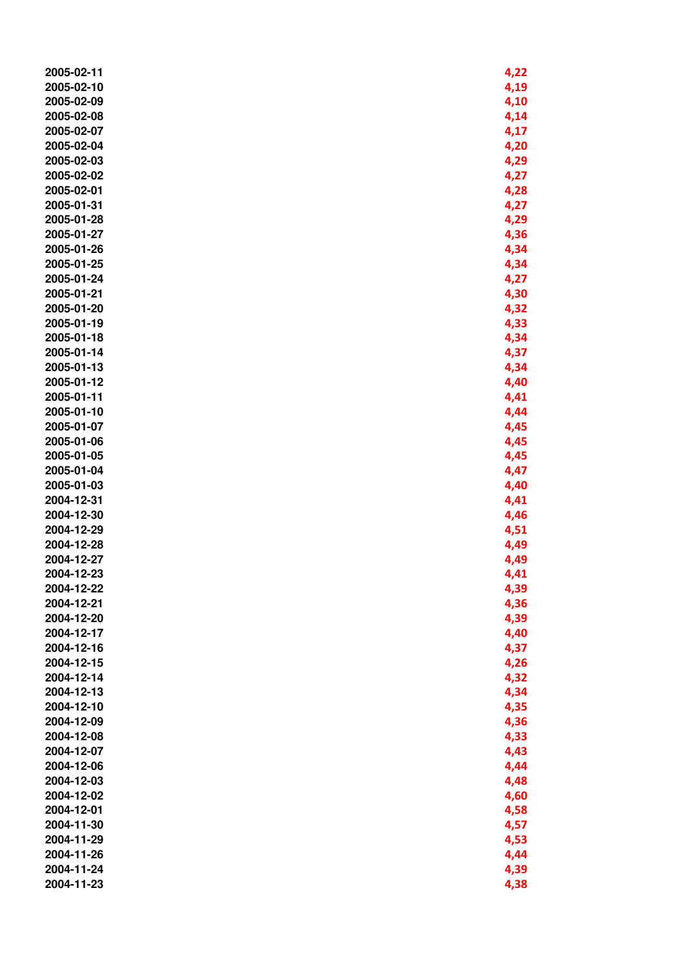| 2005-02-11               | 4,22         |
|--------------------------|--------------|
| 2005-02-10               | 4,19         |
| 2005-02-09               | 4,10         |
| 2005-02-08               | 4,14         |
| 2005-02-07               | 4,17         |
| 2005-02-04               | 4,20         |
| 2005-02-03               | 4,29         |
| 2005-02-02               | 4,27         |
| 2005-02-01               | 4,28         |
| 2005-01-31               | 4,27         |
| 2005-01-28               | 4,29         |
| 2005-01-27               | 4,36         |
| 2005-01-26               | 4,34         |
| 2005-01-25               | 4,34         |
| 2005-01-24               | 4,27         |
| 2005-01-21               | 4,30         |
| 2005-01-20               | 4,32         |
| 2005-01-19               | 4,33         |
| 2005-01-18               | 4,34         |
| 2005-01-14               | 4,37         |
| 2005-01-13               | 4,34         |
| 2005-01-12               | 4,40         |
| 2005-01-11               |              |
| 2005-01-10               | 4,41<br>4,44 |
| 2005-01-07               |              |
| 2005-01-06               | 4,45<br>4,45 |
| 2005-01-05               |              |
| 2005-01-04               | 4,45         |
| 2005-01-03               | 4,47         |
| 2004-12-31               | 4,40<br>4,41 |
| 2004-12-30               |              |
|                          | 4,46         |
| 2004-12-29<br>2004-12-28 | 4,51         |
| 2004-12-27               | 4,49         |
| 2004-12-23               | 4,49         |
|                          | 4,41         |
| 2004-12-22               | 4,39         |
| 2004-12-21<br>2004-12-20 | 4,36         |
|                          | 4,39         |
| 2004-12-17               | 4,40         |
| 2004-12-16<br>2004-12-15 | 4,37         |
| 2004-12-14               | 4,26         |
|                          | 4,32         |
| 2004-12-13               | 4,34         |
| 2004-12-10<br>2004-12-09 | 4,35         |
|                          | 4,36         |
| 2004-12-08               | 4,33         |
| 2004-12-07               | 4,43         |
| 2004-12-06               | 4,44         |
| 2004-12-03               | 4,48         |
| 2004-12-02               | 4,60         |
| 2004-12-01               | 4,58         |
| 2004-11-30               | 4,57         |
| 2004-11-29               | 4,53         |
| 2004-11-26               | 4,44         |
| 2004-11-24               | 4,39         |
| 2004-11-23               | 4,38         |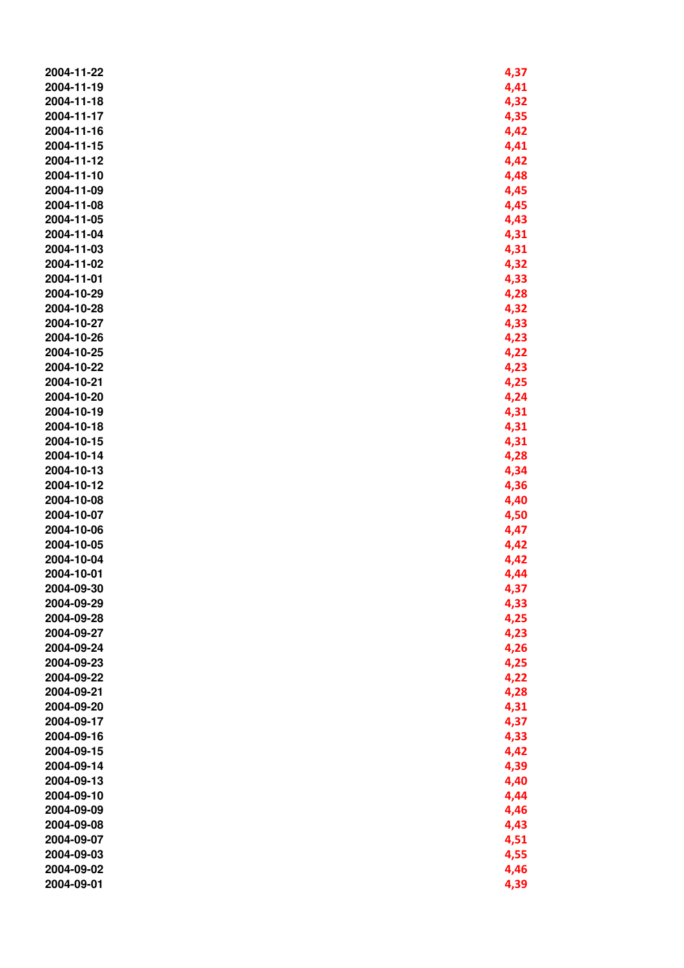| 2004-11-22 | 4,37 |
|------------|------|
| 2004-11-19 | 4,41 |
| 2004-11-18 | 4,32 |
| 2004-11-17 | 4,35 |
| 2004-11-16 | 4,42 |
| 2004-11-15 | 4,41 |
| 2004-11-12 | 4,42 |
| 2004-11-10 | 4,48 |
| 2004-11-09 | 4,45 |
| 2004-11-08 | 4,45 |
| 2004-11-05 |      |
| 2004-11-04 | 4,43 |
|            | 4,31 |
| 2004-11-03 | 4,31 |
| 2004-11-02 | 4,32 |
| 2004-11-01 | 4,33 |
| 2004-10-29 | 4,28 |
| 2004-10-28 | 4,32 |
| 2004-10-27 | 4,33 |
| 2004-10-26 | 4,23 |
| 2004-10-25 | 4,22 |
| 2004-10-22 | 4,23 |
| 2004-10-21 | 4,25 |
| 2004-10-20 | 4,24 |
| 2004-10-19 | 4,31 |
| 2004-10-18 | 4,31 |
| 2004-10-15 | 4,31 |
| 2004-10-14 | 4,28 |
| 2004-10-13 | 4,34 |
| 2004-10-12 | 4,36 |
| 2004-10-08 | 4,40 |
| 2004-10-07 | 4,50 |
| 2004-10-06 | 4,47 |
| 2004-10-05 | 4,42 |
| 2004-10-04 | 4,42 |
| 2004-10-01 | 4,44 |
| 2004-09-30 | 4,37 |
| 2004-09-29 | 4,33 |
| 2004-09-28 | 4,25 |
| 2004-09-27 | 4,23 |
| 2004-09-24 | 4,26 |
| 2004-09-23 | 4,25 |
| 2004-09-22 | 4,22 |
| 2004-09-21 | 4,28 |
| 2004-09-20 | 4,31 |
| 2004-09-17 | 4,37 |
| 2004-09-16 | 4,33 |
| 2004-09-15 | 4,42 |
| 2004-09-14 | 4,39 |
| 2004-09-13 | 4,40 |
| 2004-09-10 | 4,44 |
| 2004-09-09 | 4,46 |
| 2004-09-08 | 4,43 |
| 2004-09-07 | 4,51 |
| 2004-09-03 | 4,55 |
| 2004-09-02 |      |
|            | 4,46 |
| 2004-09-01 | 4,39 |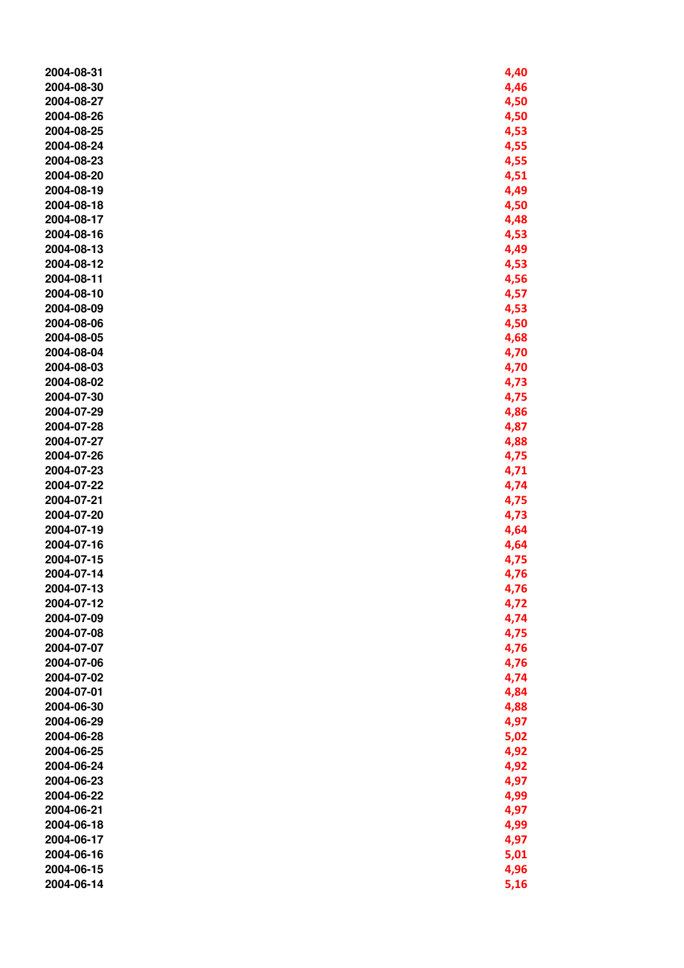| 2004-08-31 | 4,40 |
|------------|------|
| 2004-08-30 | 4,46 |
| 2004-08-27 | 4,50 |
| 2004-08-26 | 4,50 |
| 2004-08-25 | 4,53 |
| 2004-08-24 | 4,55 |
| 2004-08-23 | 4,55 |
| 2004-08-20 | 4,51 |
| 2004-08-19 | 4,49 |
| 2004-08-18 | 4,50 |
| 2004-08-17 | 4,48 |
| 2004-08-16 | 4,53 |
| 2004-08-13 | 4,49 |
| 2004-08-12 | 4,53 |
| 2004-08-11 | 4,56 |
| 2004-08-10 | 4,57 |
| 2004-08-09 | 4,53 |
| 2004-08-06 | 4,50 |
| 2004-08-05 | 4,68 |
| 2004-08-04 | 4,70 |
| 2004-08-03 | 4,70 |
| 2004-08-02 | 4,73 |
| 2004-07-30 | 4,75 |
| 2004-07-29 | 4,86 |
| 2004-07-28 | 4,87 |
| 2004-07-27 | 4,88 |
| 2004-07-26 | 4,75 |
| 2004-07-23 | 4,71 |
| 2004-07-22 | 4,74 |
| 2004-07-21 | 4,75 |
| 2004-07-20 | 4,73 |
| 2004-07-19 | 4,64 |
| 2004-07-16 | 4,64 |
| 2004-07-15 | 4,75 |
| 2004-07-14 | 4,76 |
| 2004-07-13 | 4,76 |
| 2004-07-12 | 4,72 |
| 2004-07-09 | 4,74 |
| 2004-07-08 | 4,75 |
| 2004-07-07 | 4,76 |
| 2004-07-06 | 4,76 |
| 2004-07-02 | 4,74 |
| 2004-07-01 | 4,84 |
| 2004-06-30 | 4,88 |
| 2004-06-29 | 4,97 |
| 2004-06-28 | 5,02 |
| 2004-06-25 | 4,92 |
| 2004-06-24 | 4,92 |
| 2004-06-23 | 4,97 |
| 2004-06-22 | 4,99 |
| 2004-06-21 | 4,97 |
| 2004-06-18 | 4,99 |
| 2004-06-17 | 4,97 |
| 2004-06-16 | 5,01 |
| 2004-06-15 | 4,96 |
| 2004-06-14 | 5,16 |
|            |      |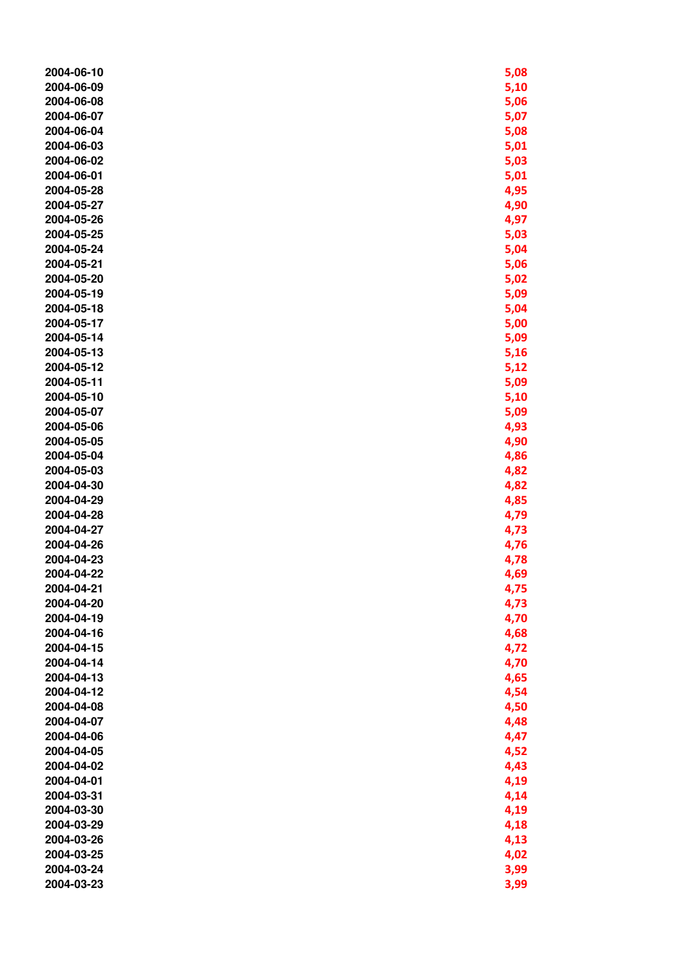| 2004-06-10 | 5,08 |
|------------|------|
| 2004-06-09 | 5,10 |
| 2004-06-08 | 5,06 |
| 2004-06-07 | 5,07 |
| 2004-06-04 | 5,08 |
| 2004-06-03 | 5,01 |
| 2004-06-02 | 5,03 |
| 2004-06-01 | 5,01 |
| 2004-05-28 | 4,95 |
| 2004-05-27 | 4,90 |
| 2004-05-26 | 4,97 |
| 2004-05-25 | 5,03 |
| 2004-05-24 | 5,04 |
| 2004-05-21 | 5,06 |
| 2004-05-20 | 5,02 |
| 2004-05-19 | 5,09 |
| 2004-05-18 | 5,04 |
| 2004-05-17 | 5,00 |
| 2004-05-14 | 5,09 |
| 2004-05-13 | 5,16 |
| 2004-05-12 | 5,12 |
| 2004-05-11 | 5,09 |
| 2004-05-10 | 5,10 |
| 2004-05-07 | 5,09 |
| 2004-05-06 | 4,93 |
| 2004-05-05 | 4,90 |
| 2004-05-04 | 4,86 |
| 2004-05-03 | 4,82 |
| 2004-04-30 | 4,82 |
| 2004-04-29 | 4,85 |
| 2004-04-28 | 4,79 |
| 2004-04-27 | 4,73 |
| 2004-04-26 | 4,76 |
| 2004-04-23 | 4,78 |
| 2004-04-22 | 4,69 |
| 2004-04-21 | 4,75 |
| 2004-04-20 | 4,73 |
| 2004-04-19 | 4,70 |
| 2004-04-16 | 4,68 |
| 2004-04-15 | 4,72 |
| 2004-04-14 | 4,70 |
| 2004-04-13 | 4,65 |
| 2004-04-12 | 4,54 |
| 2004-04-08 | 4,50 |
| 2004-04-07 | 4,48 |
| 2004-04-06 | 4,47 |
| 2004-04-05 | 4,52 |
| 2004-04-02 | 4,43 |
| 2004-04-01 | 4,19 |
| 2004-03-31 | 4,14 |
| 2004-03-30 | 4,19 |
| 2004-03-29 | 4,18 |
| 2004-03-26 | 4,13 |
| 2004-03-25 | 4,02 |
| 2004-03-24 | 3,99 |
| 2004-03-23 | 3,99 |
|            |      |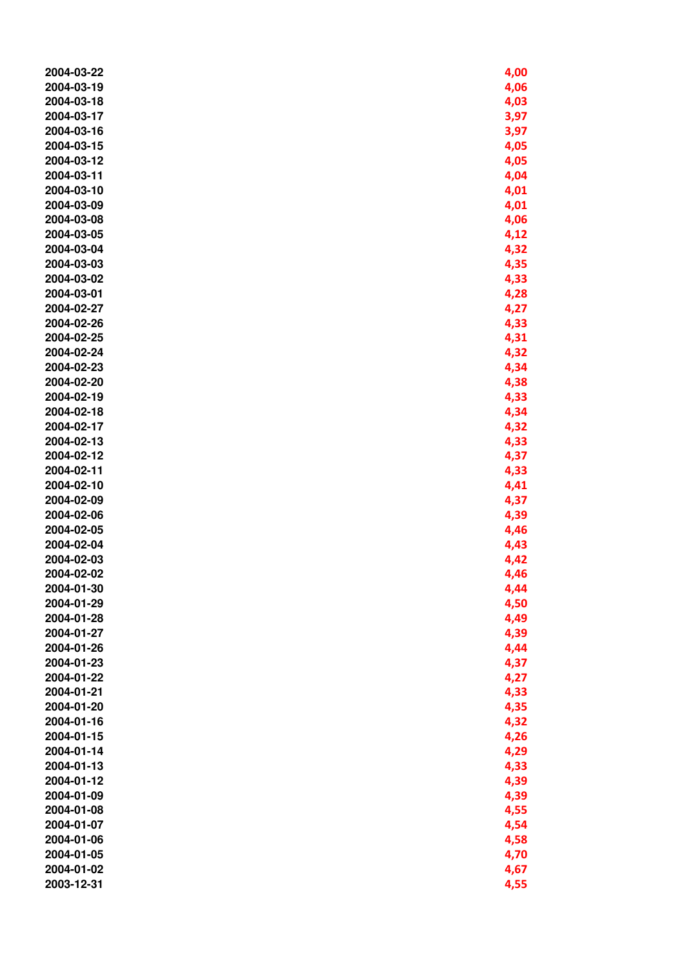| 2004-03-22 | 4,00 |
|------------|------|
| 2004-03-19 | 4,06 |
| 2004-03-18 | 4,03 |
| 2004-03-17 | 3,97 |
| 2004-03-16 | 3,97 |
| 2004-03-15 | 4,05 |
| 2004-03-12 | 4,05 |
| 2004-03-11 | 4,04 |
| 2004-03-10 | 4,01 |
| 2004-03-09 | 4,01 |
| 2004-03-08 |      |
|            | 4,06 |
| 2004-03-05 | 4,12 |
| 2004-03-04 | 4,32 |
| 2004-03-03 | 4,35 |
| 2004-03-02 | 4,33 |
| 2004-03-01 | 4,28 |
| 2004-02-27 | 4,27 |
| 2004-02-26 | 4,33 |
| 2004-02-25 | 4,31 |
| 2004-02-24 | 4,32 |
| 2004-02-23 | 4,34 |
| 2004-02-20 | 4,38 |
| 2004-02-19 | 4,33 |
| 2004-02-18 | 4,34 |
| 2004-02-17 | 4,32 |
| 2004-02-13 | 4,33 |
| 2004-02-12 | 4,37 |
| 2004-02-11 | 4,33 |
| 2004-02-10 | 4,41 |
| 2004-02-09 | 4,37 |
| 2004-02-06 | 4,39 |
| 2004-02-05 | 4,46 |
| 2004-02-04 | 4,43 |
| 2004-02-03 | 4,42 |
| 2004-02-02 | 4,46 |
| 2004-01-30 | 4,44 |
| 2004-01-29 | 4,50 |
| 2004-01-28 | 4,49 |
| 2004-01-27 | 4,39 |
| 2004-01-26 | 4,44 |
| 2004-01-23 | 4,37 |
| 2004-01-22 | 4,27 |
| 2004-01-21 | 4,33 |
| 2004-01-20 | 4,35 |
| 2004-01-16 | 4,32 |
| 2004-01-15 | 4,26 |
| 2004-01-14 | 4,29 |
| 2004-01-13 | 4,33 |
| 2004-01-12 | 4,39 |
| 2004-01-09 | 4,39 |
| 2004-01-08 | 4,55 |
| 2004-01-07 | 4,54 |
| 2004-01-06 |      |
|            | 4,58 |
| 2004-01-05 | 4,70 |
| 2004-01-02 | 4,67 |
| 2003-12-31 | 4,55 |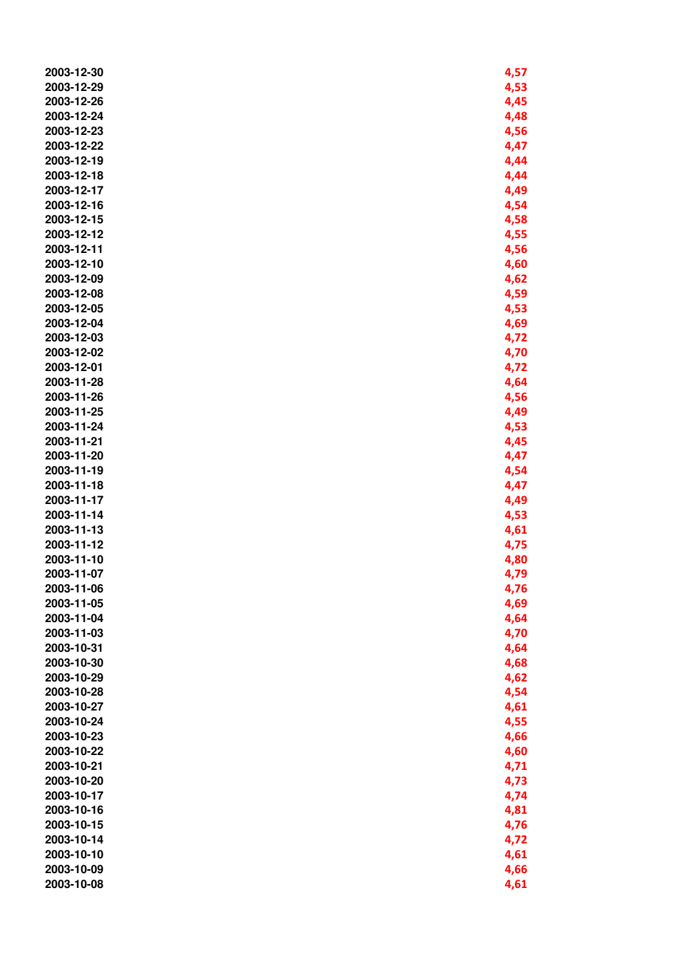| 2003-12-30 | 4,57 |
|------------|------|
| 2003-12-29 | 4,53 |
| 2003-12-26 | 4,45 |
| 2003-12-24 | 4,48 |
| 2003-12-23 | 4,56 |
| 2003-12-22 | 4,47 |
| 2003-12-19 | 4,44 |
| 2003-12-18 | 4,44 |
| 2003-12-17 | 4,49 |
| 2003-12-16 |      |
|            | 4,54 |
| 2003-12-15 | 4,58 |
| 2003-12-12 | 4,55 |
| 2003-12-11 | 4,56 |
| 2003-12-10 | 4,60 |
| 2003-12-09 | 4,62 |
| 2003-12-08 | 4,59 |
| 2003-12-05 | 4,53 |
| 2003-12-04 | 4,69 |
| 2003-12-03 | 4,72 |
| 2003-12-02 | 4,70 |
| 2003-12-01 | 4,72 |
| 2003-11-28 | 4,64 |
| 2003-11-26 | 4,56 |
| 2003-11-25 | 4,49 |
| 2003-11-24 | 4,53 |
| 2003-11-21 | 4,45 |
| 2003-11-20 | 4,47 |
| 2003-11-19 | 4,54 |
| 2003-11-18 | 4,47 |
| 2003-11-17 | 4,49 |
| 2003-11-14 | 4,53 |
| 2003-11-13 | 4,61 |
| 2003-11-12 | 4,75 |
| 2003-11-10 | 4,80 |
| 2003-11-07 | 4,79 |
| 2003-11-06 | 4,76 |
| 2003-11-05 | 4,69 |
| 2003-11-04 | 4,64 |
| 2003-11-03 | 4,70 |
| 2003-10-31 | 4,64 |
| 2003-10-30 | 4,68 |
| 2003-10-29 |      |
| 2003-10-28 | 4,62 |
|            | 4,54 |
| 2003-10-27 | 4,61 |
| 2003-10-24 | 4,55 |
| 2003-10-23 | 4,66 |
| 2003-10-22 | 4,60 |
| 2003-10-21 | 4,71 |
| 2003-10-20 | 4,73 |
| 2003-10-17 | 4,74 |
| 2003-10-16 | 4,81 |
| 2003-10-15 | 4,76 |
| 2003-10-14 | 4,72 |
| 2003-10-10 | 4,61 |
| 2003-10-09 | 4,66 |
| 2003-10-08 | 4,61 |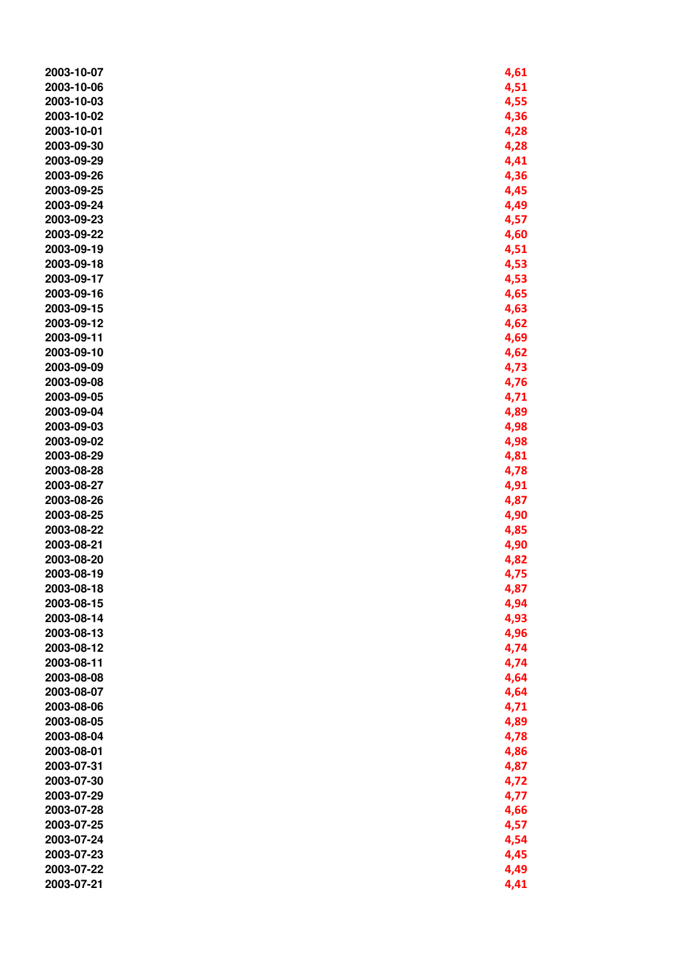| 2003-10-07 | 4,61 |
|------------|------|
| 2003-10-06 | 4,51 |
| 2003-10-03 |      |
|            | 4,55 |
| 2003-10-02 | 4,36 |
| 2003-10-01 | 4,28 |
| 2003-09-30 | 4,28 |
| 2003-09-29 | 4,41 |
| 2003-09-26 | 4,36 |
| 2003-09-25 | 4,45 |
| 2003-09-24 | 4,49 |
| 2003-09-23 | 4,57 |
| 2003-09-22 | 4,60 |
| 2003-09-19 | 4,51 |
| 2003-09-18 | 4,53 |
| 2003-09-17 | 4,53 |
| 2003-09-16 | 4,65 |
| 2003-09-15 |      |
|            | 4,63 |
| 2003-09-12 | 4,62 |
| 2003-09-11 | 4,69 |
| 2003-09-10 | 4,62 |
| 2003-09-09 | 4,73 |
| 2003-09-08 | 4,76 |
| 2003-09-05 | 4,71 |
| 2003-09-04 | 4,89 |
| 2003-09-03 | 4,98 |
| 2003-09-02 | 4,98 |
| 2003-08-29 | 4,81 |
| 2003-08-28 | 4,78 |
| 2003-08-27 | 4,91 |
| 2003-08-26 | 4,87 |
| 2003-08-25 | 4,90 |
| 2003-08-22 | 4,85 |
| 2003-08-21 | 4,90 |
| 2003-08-20 | 4,82 |
| 2003-08-19 | 4,75 |
| 2003-08-18 |      |
| 2003-08-15 | 4,87 |
|            | 4,94 |
| 2003-08-14 | 4,93 |
| 2003-08-13 | 4,96 |
| 2003-08-12 | 4,74 |
| 2003-08-11 | 4,74 |
| 2003-08-08 | 4,64 |
| 2003-08-07 | 4,64 |
| 2003-08-06 | 4,71 |
| 2003-08-05 | 4,89 |
| 2003-08-04 | 4,78 |
| 2003-08-01 | 4,86 |
| 2003-07-31 | 4,87 |
| 2003-07-30 | 4,72 |
| 2003-07-29 | 4,77 |
| 2003-07-28 | 4,66 |
| 2003-07-25 | 4,57 |
| 2003-07-24 | 4,54 |
| 2003-07-23 | 4,45 |
| 2003-07-22 | 4,49 |
| 2003-07-21 | 4,41 |
|            |      |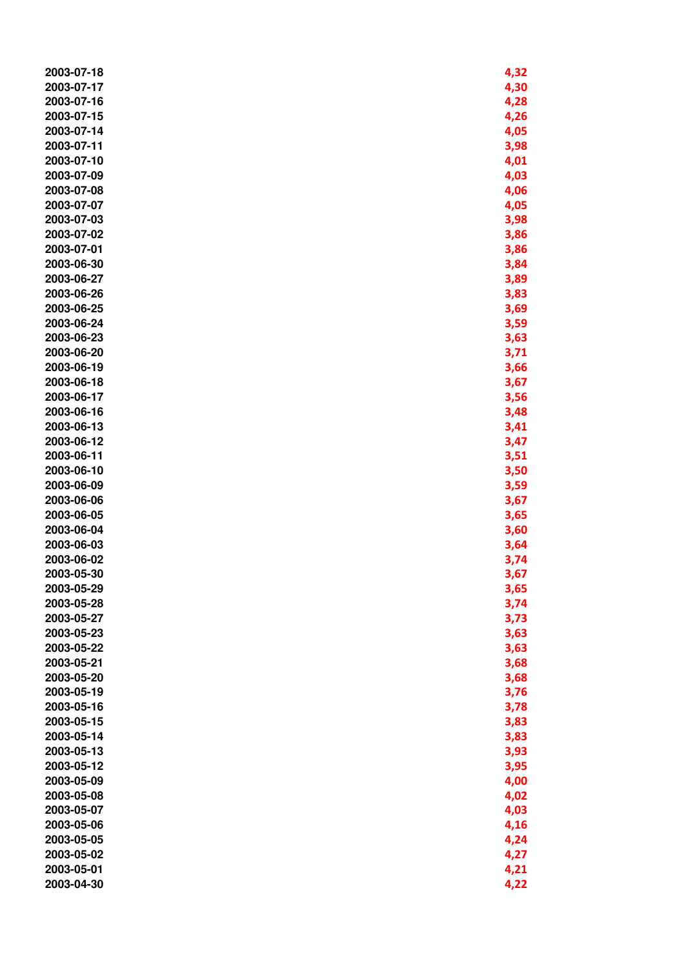| 2003-07-18 | 4,32 |
|------------|------|
| 2003-07-17 | 4,30 |
| 2003-07-16 | 4,28 |
|            |      |
| 2003-07-15 | 4,26 |
| 2003-07-14 | 4,05 |
| 2003-07-11 | 3,98 |
| 2003-07-10 | 4,01 |
| 2003-07-09 | 4,03 |
| 2003-07-08 | 4,06 |
| 2003-07-07 | 4,05 |
| 2003-07-03 | 3,98 |
| 2003-07-02 | 3,86 |
| 2003-07-01 | 3,86 |
| 2003-06-30 | 3,84 |
| 2003-06-27 | 3,89 |
| 2003-06-26 | 3,83 |
| 2003-06-25 | 3,69 |
| 2003-06-24 | 3,59 |
| 2003-06-23 | 3,63 |
| 2003-06-20 |      |
|            | 3,71 |
| 2003-06-19 | 3,66 |
| 2003-06-18 | 3,67 |
| 2003-06-17 | 3,56 |
| 2003-06-16 | 3,48 |
| 2003-06-13 | 3,41 |
| 2003-06-12 | 3,47 |
| 2003-06-11 | 3,51 |
| 2003-06-10 | 3,50 |
| 2003-06-09 | 3,59 |
| 2003-06-06 | 3,67 |
| 2003-06-05 | 3,65 |
| 2003-06-04 | 3,60 |
| 2003-06-03 | 3,64 |
| 2003-06-02 | 3,74 |
| 2003-05-30 | 3,67 |
| 2003-05-29 | 3,65 |
| 2003-05-28 | 3,74 |
| 2003-05-27 | 3,73 |
| 2003-05-23 | 3,63 |
| 2003-05-22 | 3,63 |
| 2003-05-21 |      |
| 2003-05-20 | 3,68 |
|            | 3,68 |
| 2003-05-19 | 3,76 |
| 2003-05-16 | 3,78 |
| 2003-05-15 | 3,83 |
| 2003-05-14 | 3,83 |
| 2003-05-13 | 3,93 |
| 2003-05-12 | 3,95 |
| 2003-05-09 | 4,00 |
| 2003-05-08 | 4,02 |
| 2003-05-07 | 4,03 |
| 2003-05-06 | 4,16 |
| 2003-05-05 | 4,24 |
| 2003-05-02 | 4,27 |
| 2003-05-01 | 4,21 |
| 2003-04-30 | 4,22 |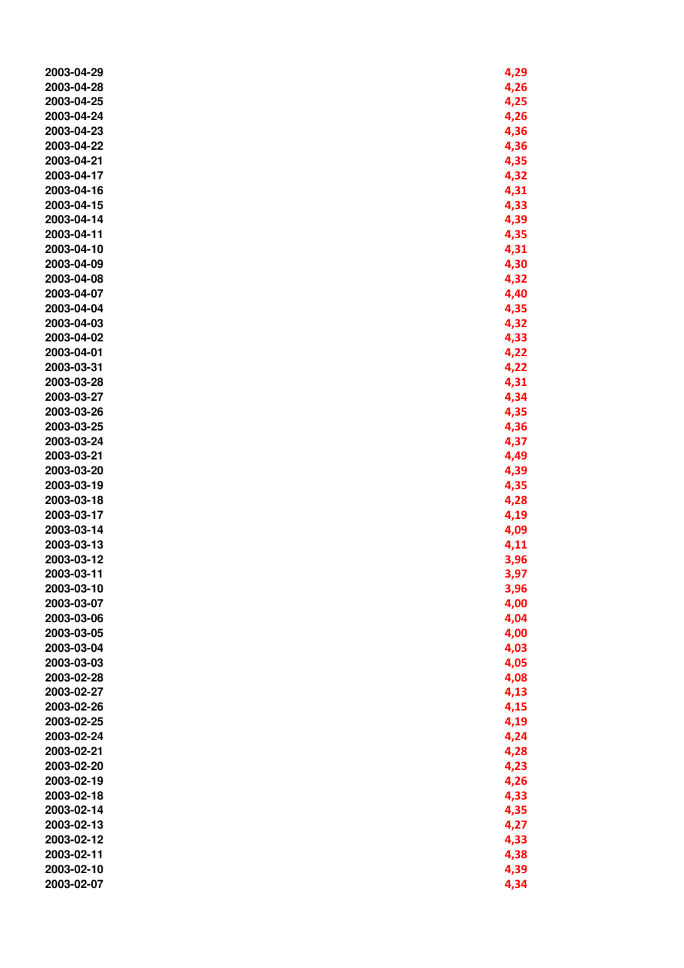| 2003-04-29 | 4,29 |
|------------|------|
| 2003-04-28 | 4,26 |
| 2003-04-25 | 4,25 |
| 2003-04-24 | 4,26 |
| 2003-04-23 | 4,36 |
| 2003-04-22 | 4,36 |
| 2003-04-21 | 4,35 |
| 2003-04-17 | 4,32 |
| 2003-04-16 | 4,31 |
| 2003-04-15 | 4,33 |
| 2003-04-14 | 4,39 |
| 2003-04-11 | 4,35 |
| 2003-04-10 | 4,31 |
| 2003-04-09 | 4,30 |
| 2003-04-08 | 4,32 |
| 2003-04-07 | 4,40 |
| 2003-04-04 | 4,35 |
| 2003-04-03 | 4,32 |
| 2003-04-02 | 4,33 |
| 2003-04-01 | 4,22 |
| 2003-03-31 | 4,22 |
| 2003-03-28 | 4,31 |
| 2003-03-27 | 4,34 |
| 2003-03-26 | 4,35 |
| 2003-03-25 | 4,36 |
| 2003-03-24 | 4,37 |
| 2003-03-21 | 4,49 |
| 2003-03-20 | 4,39 |
| 2003-03-19 | 4,35 |
| 2003-03-18 | 4,28 |
| 2003-03-17 | 4,19 |
| 2003-03-14 | 4,09 |
| 2003-03-13 | 4,11 |
| 2003-03-12 | 3,96 |
| 2003-03-11 | 3,97 |
| 2003-03-10 | 3,96 |
| 2003-03-07 | 4,00 |
| 2003-03-06 | 4,04 |
| 2003-03-05 | 4,00 |
| 2003-03-04 | 4,03 |
| 2003-03-03 | 4,05 |
| 2003-02-28 | 4,08 |
| 2003-02-27 | 4,13 |
| 2003-02-26 | 4,15 |
| 2003-02-25 | 4,19 |
| 2003-02-24 | 4,24 |
| 2003-02-21 | 4,28 |
| 2003-02-20 | 4,23 |
| 2003-02-19 | 4,26 |
| 2003-02-18 | 4,33 |
| 2003-02-14 | 4,35 |
| 2003-02-13 | 4,27 |
| 2003-02-12 | 4,33 |
| 2003-02-11 | 4,38 |
| 2003-02-10 | 4,39 |
| 2003-02-07 | 4,34 |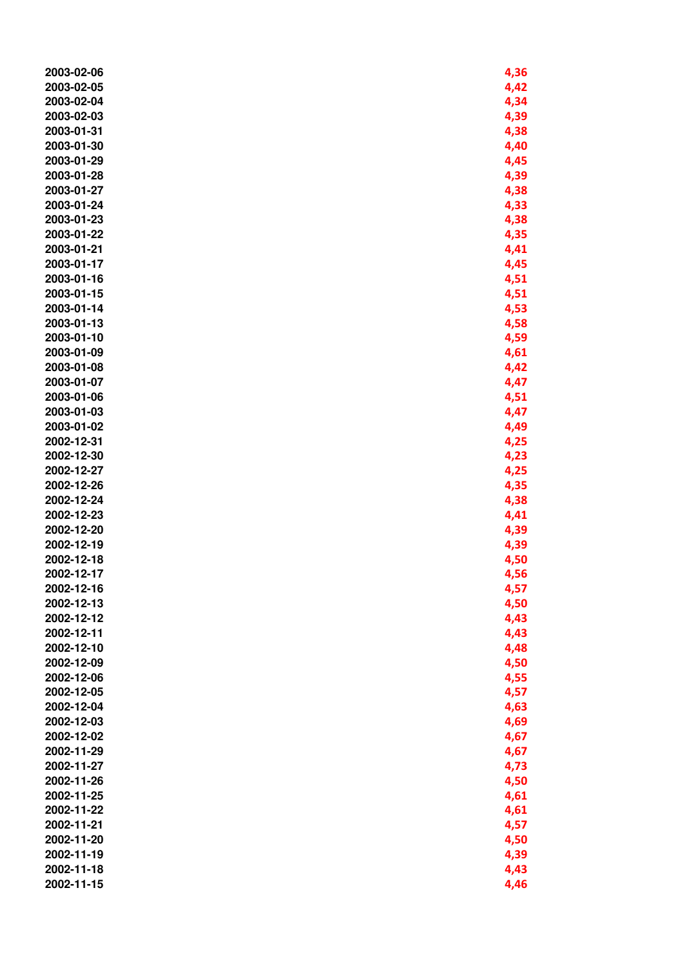| 2003-02-06 | 4,36         |
|------------|--------------|
| 2003-02-05 | 4,42         |
| 2003-02-04 | 4,34         |
| 2003-02-03 | 4,39         |
| 2003-01-31 | 4,38         |
| 2003-01-30 | 4,40         |
| 2003-01-29 | 4,45         |
| 2003-01-28 | 4,39         |
| 2003-01-27 | 4,38         |
| 2003-01-24 | 4,33         |
| 2003-01-23 |              |
| 2003-01-22 | 4,38<br>4,35 |
|            |              |
| 2003-01-21 | 4,41         |
| 2003-01-17 | 4,45         |
| 2003-01-16 | 4,51         |
| 2003-01-15 | 4,51         |
| 2003-01-14 | 4,53         |
| 2003-01-13 | 4,58         |
| 2003-01-10 | 4,59         |
| 2003-01-09 | 4,61         |
| 2003-01-08 | 4,42         |
| 2003-01-07 | 4,47         |
| 2003-01-06 | 4,51         |
| 2003-01-03 | 4,47         |
| 2003-01-02 | 4,49         |
| 2002-12-31 | 4,25         |
| 2002-12-30 | 4,23         |
| 2002-12-27 | 4,25         |
| 2002-12-26 | 4,35         |
| 2002-12-24 | 4,38         |
| 2002-12-23 | 4,41         |
| 2002-12-20 | 4,39         |
| 2002-12-19 | 4,39         |
| 2002-12-18 | 4,50         |
| 2002-12-17 | 4,56         |
| 2002-12-16 | 4,57         |
| 2002-12-13 | 4,50         |
| 2002-12-12 | 4,43         |
| 2002-12-11 | 4,43         |
| 2002-12-10 | 4,48         |
| 2002-12-09 | 4,50         |
| 2002-12-06 | 4,55         |
| 2002-12-05 | 4,57         |
| 2002-12-04 | 4,63         |
| 2002-12-03 | 4,69         |
| 2002-12-02 | 4,67         |
| 2002-11-29 | 4,67         |
| 2002-11-27 | 4,73         |
| 2002-11-26 | 4,50         |
| 2002-11-25 | 4,61         |
| 2002-11-22 | 4,61         |
| 2002-11-21 | 4,57         |
| 2002-11-20 | 4,50         |
| 2002-11-19 | 4,39         |
| 2002-11-18 |              |
|            | 4,43         |
| 2002-11-15 | 4,46         |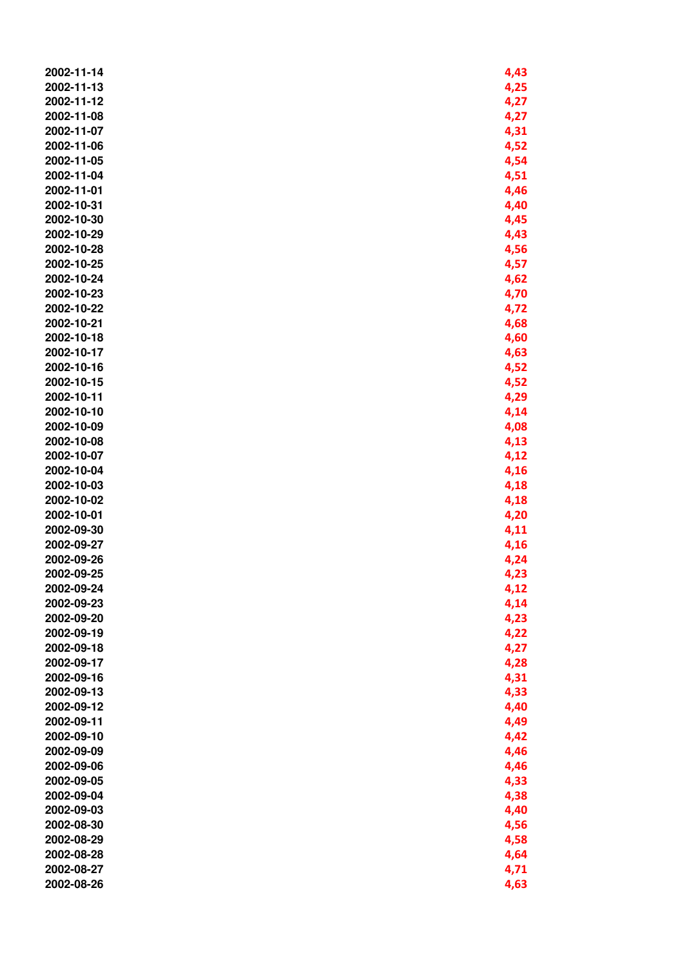| 2002-11-14 | 4,43 |
|------------|------|
| 2002-11-13 | 4,25 |
| 2002-11-12 |      |
|            | 4,27 |
| 2002-11-08 | 4,27 |
| 2002-11-07 | 4,31 |
| 2002-11-06 | 4,52 |
| 2002-11-05 | 4,54 |
| 2002-11-04 | 4,51 |
| 2002-11-01 | 4,46 |
| 2002-10-31 | 4,40 |
| 2002-10-30 | 4,45 |
| 2002-10-29 | 4,43 |
| 2002-10-28 | 4,56 |
| 2002-10-25 | 4,57 |
| 2002-10-24 | 4,62 |
| 2002-10-23 | 4,70 |
| 2002-10-22 |      |
|            | 4,72 |
| 2002-10-21 | 4,68 |
| 2002-10-18 | 4,60 |
| 2002-10-17 | 4,63 |
| 2002-10-16 | 4,52 |
| 2002-10-15 | 4,52 |
| 2002-10-11 | 4,29 |
| 2002-10-10 | 4,14 |
| 2002-10-09 | 4,08 |
| 2002-10-08 | 4,13 |
| 2002-10-07 | 4,12 |
| 2002-10-04 | 4,16 |
| 2002-10-03 | 4,18 |
| 2002-10-02 | 4,18 |
| 2002-10-01 | 4,20 |
| 2002-09-30 | 4,11 |
| 2002-09-27 | 4,16 |
| 2002-09-26 | 4,24 |
| 2002-09-25 | 4,23 |
| 2002-09-24 | 4,12 |
| 2002-09-23 | 4,14 |
| 2002-09-20 |      |
|            | 4,23 |
| 2002-09-19 | 4,22 |
| 2002-09-18 | 4,27 |
| 2002-09-17 | 4,28 |
| 2002-09-16 | 4,31 |
| 2002-09-13 | 4,33 |
| 2002-09-12 | 4,40 |
| 2002-09-11 | 4,49 |
| 2002-09-10 | 4,42 |
| 2002-09-09 | 4,46 |
| 2002-09-06 | 4,46 |
| 2002-09-05 | 4,33 |
| 2002-09-04 | 4,38 |
| 2002-09-03 | 4,40 |
| 2002-08-30 | 4,56 |
| 2002-08-29 | 4,58 |
| 2002-08-28 | 4,64 |
| 2002-08-27 | 4,71 |
| 2002-08-26 | 4,63 |
|            |      |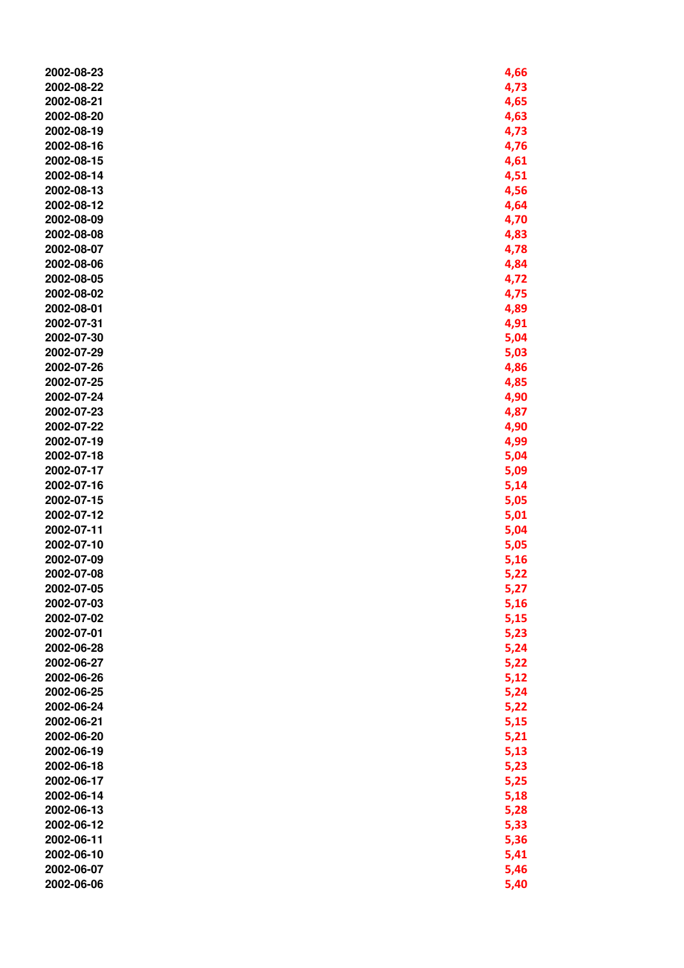| 2002-08-23 | 4,66 |
|------------|------|
| 2002-08-22 | 4,73 |
| 2002-08-21 | 4,65 |
| 2002-08-20 | 4,63 |
| 2002-08-19 | 4,73 |
| 2002-08-16 | 4,76 |
| 2002-08-15 | 4,61 |
| 2002-08-14 | 4,51 |
| 2002-08-13 | 4,56 |
| 2002-08-12 | 4,64 |
| 2002-08-09 | 4,70 |
| 2002-08-08 |      |
|            | 4,83 |
| 2002-08-07 | 4,78 |
| 2002-08-06 | 4,84 |
| 2002-08-05 | 4,72 |
| 2002-08-02 | 4,75 |
| 2002-08-01 | 4,89 |
| 2002-07-31 | 4,91 |
| 2002-07-30 | 5,04 |
| 2002-07-29 | 5,03 |
| 2002-07-26 | 4,86 |
| 2002-07-25 | 4,85 |
| 2002-07-24 | 4,90 |
| 2002-07-23 | 4,87 |
| 2002-07-22 | 4,90 |
| 2002-07-19 | 4,99 |
| 2002-07-18 | 5,04 |
| 2002-07-17 | 5,09 |
| 2002-07-16 | 5,14 |
| 2002-07-15 | 5,05 |
| 2002-07-12 | 5,01 |
| 2002-07-11 | 5,04 |
| 2002-07-10 | 5,05 |
| 2002-07-09 | 5,16 |
| 2002-07-08 | 5,22 |
| 2002-07-05 | 5,27 |
| 2002-07-03 | 5,16 |
| 2002-07-02 | 5,15 |
| 2002-07-01 | 5,23 |
| 2002-06-28 | 5,24 |
| 2002-06-27 | 5,22 |
| 2002-06-26 | 5,12 |
| 2002-06-25 | 5,24 |
| 2002-06-24 | 5,22 |
| 2002-06-21 | 5,15 |
| 2002-06-20 |      |
|            | 5,21 |
| 2002-06-19 | 5,13 |
| 2002-06-18 | 5,23 |
| 2002-06-17 | 5,25 |
| 2002-06-14 | 5,18 |
| 2002-06-13 | 5,28 |
| 2002-06-12 | 5,33 |
| 2002-06-11 | 5,36 |
| 2002-06-10 | 5,41 |
| 2002-06-07 | 5,46 |
| 2002-06-06 | 5,40 |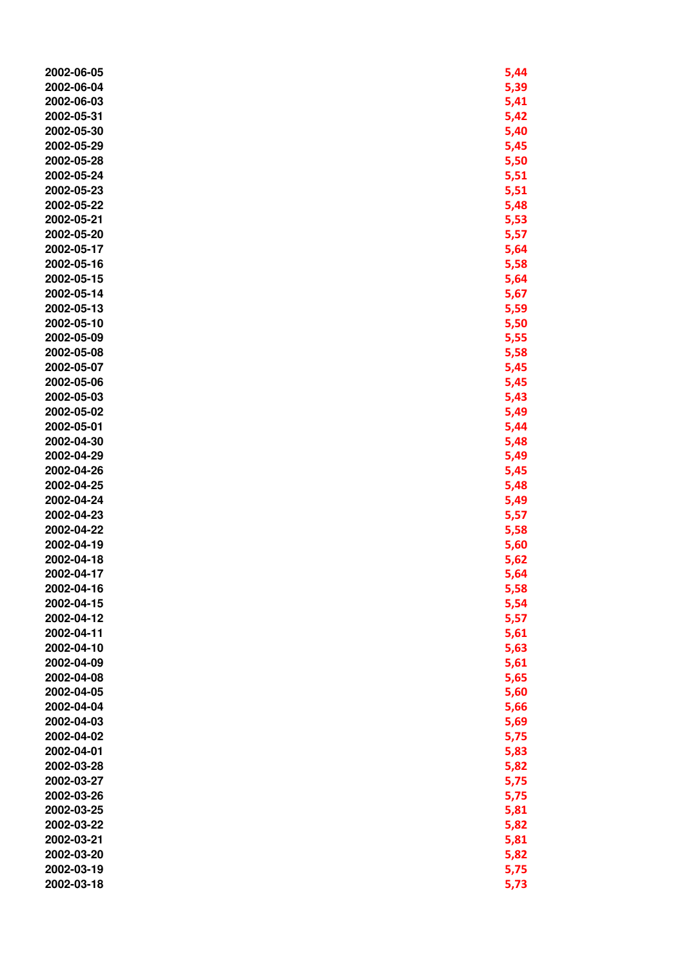| 2002-06-05 | 5,44 |
|------------|------|
| 2002-06-04 | 5,39 |
| 2002-06-03 | 5,41 |
| 2002-05-31 | 5,42 |
| 2002-05-30 | 5,40 |
| 2002-05-29 | 5,45 |
| 2002-05-28 | 5,50 |
| 2002-05-24 | 5,51 |
| 2002-05-23 | 5,51 |
| 2002-05-22 |      |
|            | 5,48 |
| 2002-05-21 | 5,53 |
| 2002-05-20 | 5,57 |
| 2002-05-17 | 5,64 |
| 2002-05-16 | 5,58 |
| 2002-05-15 | 5,64 |
| 2002-05-14 | 5,67 |
| 2002-05-13 | 5,59 |
| 2002-05-10 | 5,50 |
| 2002-05-09 | 5,55 |
| 2002-05-08 | 5,58 |
| 2002-05-07 | 5,45 |
| 2002-05-06 | 5,45 |
| 2002-05-03 | 5,43 |
| 2002-05-02 | 5,49 |
| 2002-05-01 | 5,44 |
| 2002-04-30 | 5,48 |
| 2002-04-29 | 5,49 |
| 2002-04-26 | 5,45 |
| 2002-04-25 | 5,48 |
| 2002-04-24 | 5,49 |
| 2002-04-23 | 5,57 |
| 2002-04-22 | 5,58 |
| 2002-04-19 | 5,60 |
| 2002-04-18 | 5,62 |
| 2002-04-17 | 5,64 |
| 2002-04-16 |      |
|            | 5,58 |
| 2002-04-15 | 5,54 |
| 2002-04-12 | 5,57 |
| 2002-04-11 | 5,61 |
| 2002-04-10 | 5,63 |
| 2002-04-09 | 5,61 |
| 2002-04-08 | 5,65 |
| 2002-04-05 | 5,60 |
| 2002-04-04 | 5,66 |
| 2002-04-03 | 5,69 |
| 2002-04-02 | 5,75 |
| 2002-04-01 | 5,83 |
| 2002-03-28 | 5,82 |
| 2002-03-27 | 5,75 |
| 2002-03-26 | 5,75 |
| 2002-03-25 | 5,81 |
| 2002-03-22 | 5,82 |
| 2002-03-21 | 5,81 |
| 2002-03-20 | 5,82 |
| 2002-03-19 | 5,75 |
| 2002-03-18 | 5,73 |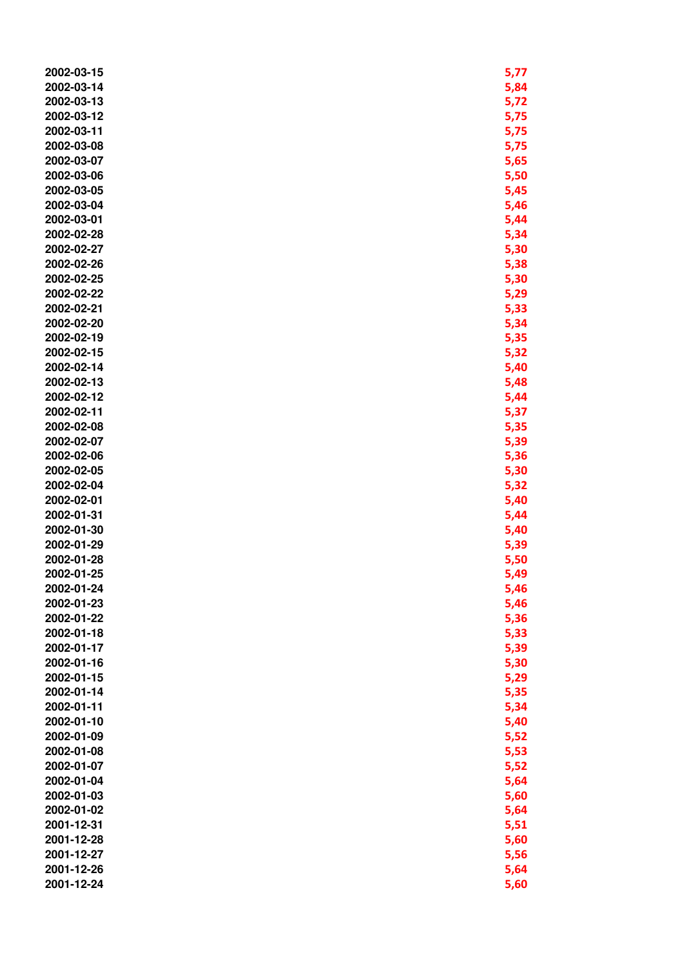| 2002-03-14<br>5,84<br>2002-03-13<br>5,72<br>2002-03-12<br>5,75<br>2002-03-11<br>5,75<br>2002-03-08<br>5,75<br>2002-03-07<br>5,65<br>5,50<br>2002-03-06<br>2002-03-05<br>5,45<br>5,46<br>2002-03-04<br>2002-03-01<br>5,44<br>2002-02-28<br>5,34<br>2002-02-27<br>5,30<br>2002-02-26<br>5,38<br>2002-02-25<br>5,30<br>2002-02-22<br>5,29<br>2002-02-21<br>5,33<br>2002-02-20<br>5,34<br>5,35<br>2002-02-19<br>5,32<br>2002-02-15<br>2002-02-14<br>5,40<br>2002-02-13<br>5,48<br>2002-02-12<br>5,44<br>5,37<br>2002-02-11<br>2002-02-08<br>5,35<br>2002-02-07<br>5,39<br>2002-02-06<br>5,36<br>2002-02-05<br>5,30<br>2002-02-04<br>5,32<br>2002-02-01<br>5,40<br>2002-01-31<br>5,44<br>2002-01-30<br>5,40<br>2002-01-29<br>5,39<br>2002-01-28<br>5,50<br>2002-01-25<br>5,49<br>2002-01-24<br>5,46<br>2002-01-23<br>5,46<br>2002-01-22<br>5,36<br>2002-01-18<br>5,33<br>5,39<br>2002-01-17<br>5,30<br>2002-01-16<br>5,29<br>2002-01-15<br>2002-01-14<br>5,35<br>2002-01-11<br>5,34<br>2002-01-10<br>5,40<br>2002-01-09<br>5,52<br>5,53<br>2002-01-08<br>5,52<br>2002-01-07<br>5,64<br>2002-01-04<br>2002-01-03<br>5,60<br>2002-01-02<br>5,64<br>2001-12-31<br>5,51<br>2001-12-28<br>5,60<br>2001-12-27<br>5,56<br>2001-12-26<br>5,64 | 2002-03-15 | 5,77 |
|----------------------------------------------------------------------------------------------------------------------------------------------------------------------------------------------------------------------------------------------------------------------------------------------------------------------------------------------------------------------------------------------------------------------------------------------------------------------------------------------------------------------------------------------------------------------------------------------------------------------------------------------------------------------------------------------------------------------------------------------------------------------------------------------------------------------------------------------------------------------------------------------------------------------------------------------------------------------------------------------------------------------------------------------------------------------------------------------------------------------------------------------------------------------------------------------------------------------------------|------------|------|
|                                                                                                                                                                                                                                                                                                                                                                                                                                                                                                                                                                                                                                                                                                                                                                                                                                                                                                                                                                                                                                                                                                                                                                                                                                  |            |      |
|                                                                                                                                                                                                                                                                                                                                                                                                                                                                                                                                                                                                                                                                                                                                                                                                                                                                                                                                                                                                                                                                                                                                                                                                                                  |            |      |
|                                                                                                                                                                                                                                                                                                                                                                                                                                                                                                                                                                                                                                                                                                                                                                                                                                                                                                                                                                                                                                                                                                                                                                                                                                  |            |      |
|                                                                                                                                                                                                                                                                                                                                                                                                                                                                                                                                                                                                                                                                                                                                                                                                                                                                                                                                                                                                                                                                                                                                                                                                                                  |            |      |
|                                                                                                                                                                                                                                                                                                                                                                                                                                                                                                                                                                                                                                                                                                                                                                                                                                                                                                                                                                                                                                                                                                                                                                                                                                  |            |      |
|                                                                                                                                                                                                                                                                                                                                                                                                                                                                                                                                                                                                                                                                                                                                                                                                                                                                                                                                                                                                                                                                                                                                                                                                                                  |            |      |
|                                                                                                                                                                                                                                                                                                                                                                                                                                                                                                                                                                                                                                                                                                                                                                                                                                                                                                                                                                                                                                                                                                                                                                                                                                  |            |      |
|                                                                                                                                                                                                                                                                                                                                                                                                                                                                                                                                                                                                                                                                                                                                                                                                                                                                                                                                                                                                                                                                                                                                                                                                                                  |            |      |
|                                                                                                                                                                                                                                                                                                                                                                                                                                                                                                                                                                                                                                                                                                                                                                                                                                                                                                                                                                                                                                                                                                                                                                                                                                  |            |      |
|                                                                                                                                                                                                                                                                                                                                                                                                                                                                                                                                                                                                                                                                                                                                                                                                                                                                                                                                                                                                                                                                                                                                                                                                                                  |            |      |
|                                                                                                                                                                                                                                                                                                                                                                                                                                                                                                                                                                                                                                                                                                                                                                                                                                                                                                                                                                                                                                                                                                                                                                                                                                  |            |      |
|                                                                                                                                                                                                                                                                                                                                                                                                                                                                                                                                                                                                                                                                                                                                                                                                                                                                                                                                                                                                                                                                                                                                                                                                                                  |            |      |
|                                                                                                                                                                                                                                                                                                                                                                                                                                                                                                                                                                                                                                                                                                                                                                                                                                                                                                                                                                                                                                                                                                                                                                                                                                  |            |      |
|                                                                                                                                                                                                                                                                                                                                                                                                                                                                                                                                                                                                                                                                                                                                                                                                                                                                                                                                                                                                                                                                                                                                                                                                                                  |            |      |
|                                                                                                                                                                                                                                                                                                                                                                                                                                                                                                                                                                                                                                                                                                                                                                                                                                                                                                                                                                                                                                                                                                                                                                                                                                  |            |      |
|                                                                                                                                                                                                                                                                                                                                                                                                                                                                                                                                                                                                                                                                                                                                                                                                                                                                                                                                                                                                                                                                                                                                                                                                                                  |            |      |
|                                                                                                                                                                                                                                                                                                                                                                                                                                                                                                                                                                                                                                                                                                                                                                                                                                                                                                                                                                                                                                                                                                                                                                                                                                  |            |      |
|                                                                                                                                                                                                                                                                                                                                                                                                                                                                                                                                                                                                                                                                                                                                                                                                                                                                                                                                                                                                                                                                                                                                                                                                                                  |            |      |
|                                                                                                                                                                                                                                                                                                                                                                                                                                                                                                                                                                                                                                                                                                                                                                                                                                                                                                                                                                                                                                                                                                                                                                                                                                  |            |      |
|                                                                                                                                                                                                                                                                                                                                                                                                                                                                                                                                                                                                                                                                                                                                                                                                                                                                                                                                                                                                                                                                                                                                                                                                                                  |            |      |
|                                                                                                                                                                                                                                                                                                                                                                                                                                                                                                                                                                                                                                                                                                                                                                                                                                                                                                                                                                                                                                                                                                                                                                                                                                  |            |      |
|                                                                                                                                                                                                                                                                                                                                                                                                                                                                                                                                                                                                                                                                                                                                                                                                                                                                                                                                                                                                                                                                                                                                                                                                                                  |            |      |
|                                                                                                                                                                                                                                                                                                                                                                                                                                                                                                                                                                                                                                                                                                                                                                                                                                                                                                                                                                                                                                                                                                                                                                                                                                  |            |      |
|                                                                                                                                                                                                                                                                                                                                                                                                                                                                                                                                                                                                                                                                                                                                                                                                                                                                                                                                                                                                                                                                                                                                                                                                                                  |            |      |
|                                                                                                                                                                                                                                                                                                                                                                                                                                                                                                                                                                                                                                                                                                                                                                                                                                                                                                                                                                                                                                                                                                                                                                                                                                  |            |      |
|                                                                                                                                                                                                                                                                                                                                                                                                                                                                                                                                                                                                                                                                                                                                                                                                                                                                                                                                                                                                                                                                                                                                                                                                                                  |            |      |
|                                                                                                                                                                                                                                                                                                                                                                                                                                                                                                                                                                                                                                                                                                                                                                                                                                                                                                                                                                                                                                                                                                                                                                                                                                  |            |      |
|                                                                                                                                                                                                                                                                                                                                                                                                                                                                                                                                                                                                                                                                                                                                                                                                                                                                                                                                                                                                                                                                                                                                                                                                                                  |            |      |
|                                                                                                                                                                                                                                                                                                                                                                                                                                                                                                                                                                                                                                                                                                                                                                                                                                                                                                                                                                                                                                                                                                                                                                                                                                  |            |      |
|                                                                                                                                                                                                                                                                                                                                                                                                                                                                                                                                                                                                                                                                                                                                                                                                                                                                                                                                                                                                                                                                                                                                                                                                                                  |            |      |
|                                                                                                                                                                                                                                                                                                                                                                                                                                                                                                                                                                                                                                                                                                                                                                                                                                                                                                                                                                                                                                                                                                                                                                                                                                  |            |      |
|                                                                                                                                                                                                                                                                                                                                                                                                                                                                                                                                                                                                                                                                                                                                                                                                                                                                                                                                                                                                                                                                                                                                                                                                                                  |            |      |
|                                                                                                                                                                                                                                                                                                                                                                                                                                                                                                                                                                                                                                                                                                                                                                                                                                                                                                                                                                                                                                                                                                                                                                                                                                  |            |      |
|                                                                                                                                                                                                                                                                                                                                                                                                                                                                                                                                                                                                                                                                                                                                                                                                                                                                                                                                                                                                                                                                                                                                                                                                                                  |            |      |
|                                                                                                                                                                                                                                                                                                                                                                                                                                                                                                                                                                                                                                                                                                                                                                                                                                                                                                                                                                                                                                                                                                                                                                                                                                  |            |      |
|                                                                                                                                                                                                                                                                                                                                                                                                                                                                                                                                                                                                                                                                                                                                                                                                                                                                                                                                                                                                                                                                                                                                                                                                                                  |            |      |
|                                                                                                                                                                                                                                                                                                                                                                                                                                                                                                                                                                                                                                                                                                                                                                                                                                                                                                                                                                                                                                                                                                                                                                                                                                  |            |      |
|                                                                                                                                                                                                                                                                                                                                                                                                                                                                                                                                                                                                                                                                                                                                                                                                                                                                                                                                                                                                                                                                                                                                                                                                                                  |            |      |
|                                                                                                                                                                                                                                                                                                                                                                                                                                                                                                                                                                                                                                                                                                                                                                                                                                                                                                                                                                                                                                                                                                                                                                                                                                  |            |      |
|                                                                                                                                                                                                                                                                                                                                                                                                                                                                                                                                                                                                                                                                                                                                                                                                                                                                                                                                                                                                                                                                                                                                                                                                                                  |            |      |
|                                                                                                                                                                                                                                                                                                                                                                                                                                                                                                                                                                                                                                                                                                                                                                                                                                                                                                                                                                                                                                                                                                                                                                                                                                  |            |      |
|                                                                                                                                                                                                                                                                                                                                                                                                                                                                                                                                                                                                                                                                                                                                                                                                                                                                                                                                                                                                                                                                                                                                                                                                                                  |            |      |
|                                                                                                                                                                                                                                                                                                                                                                                                                                                                                                                                                                                                                                                                                                                                                                                                                                                                                                                                                                                                                                                                                                                                                                                                                                  |            |      |
|                                                                                                                                                                                                                                                                                                                                                                                                                                                                                                                                                                                                                                                                                                                                                                                                                                                                                                                                                                                                                                                                                                                                                                                                                                  |            |      |
|                                                                                                                                                                                                                                                                                                                                                                                                                                                                                                                                                                                                                                                                                                                                                                                                                                                                                                                                                                                                                                                                                                                                                                                                                                  |            |      |
|                                                                                                                                                                                                                                                                                                                                                                                                                                                                                                                                                                                                                                                                                                                                                                                                                                                                                                                                                                                                                                                                                                                                                                                                                                  |            |      |
|                                                                                                                                                                                                                                                                                                                                                                                                                                                                                                                                                                                                                                                                                                                                                                                                                                                                                                                                                                                                                                                                                                                                                                                                                                  |            |      |
|                                                                                                                                                                                                                                                                                                                                                                                                                                                                                                                                                                                                                                                                                                                                                                                                                                                                                                                                                                                                                                                                                                                                                                                                                                  |            |      |
|                                                                                                                                                                                                                                                                                                                                                                                                                                                                                                                                                                                                                                                                                                                                                                                                                                                                                                                                                                                                                                                                                                                                                                                                                                  |            |      |
|                                                                                                                                                                                                                                                                                                                                                                                                                                                                                                                                                                                                                                                                                                                                                                                                                                                                                                                                                                                                                                                                                                                                                                                                                                  |            |      |
|                                                                                                                                                                                                                                                                                                                                                                                                                                                                                                                                                                                                                                                                                                                                                                                                                                                                                                                                                                                                                                                                                                                                                                                                                                  |            |      |
|                                                                                                                                                                                                                                                                                                                                                                                                                                                                                                                                                                                                                                                                                                                                                                                                                                                                                                                                                                                                                                                                                                                                                                                                                                  |            |      |
|                                                                                                                                                                                                                                                                                                                                                                                                                                                                                                                                                                                                                                                                                                                                                                                                                                                                                                                                                                                                                                                                                                                                                                                                                                  |            |      |
|                                                                                                                                                                                                                                                                                                                                                                                                                                                                                                                                                                                                                                                                                                                                                                                                                                                                                                                                                                                                                                                                                                                                                                                                                                  |            |      |
|                                                                                                                                                                                                                                                                                                                                                                                                                                                                                                                                                                                                                                                                                                                                                                                                                                                                                                                                                                                                                                                                                                                                                                                                                                  |            |      |
|                                                                                                                                                                                                                                                                                                                                                                                                                                                                                                                                                                                                                                                                                                                                                                                                                                                                                                                                                                                                                                                                                                                                                                                                                                  |            |      |
|                                                                                                                                                                                                                                                                                                                                                                                                                                                                                                                                                                                                                                                                                                                                                                                                                                                                                                                                                                                                                                                                                                                                                                                                                                  |            |      |
|                                                                                                                                                                                                                                                                                                                                                                                                                                                                                                                                                                                                                                                                                                                                                                                                                                                                                                                                                                                                                                                                                                                                                                                                                                  | 2001-12-24 | 5,60 |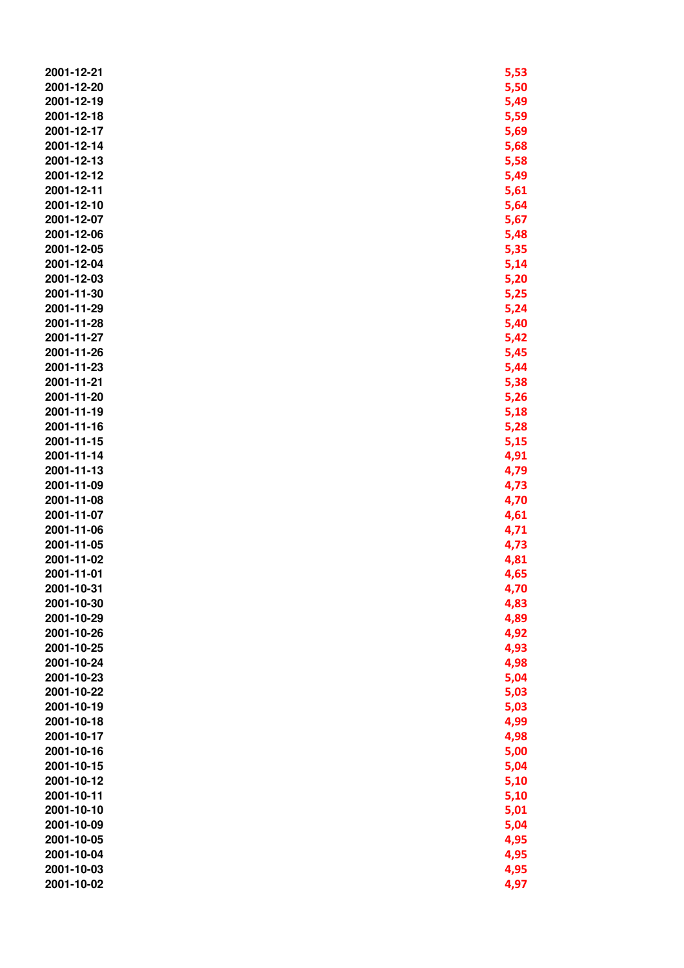| 2001-12-21 | 5,53 |
|------------|------|
| 2001-12-20 | 5,50 |
| 2001-12-19 | 5,49 |
| 2001-12-18 | 5,59 |
| 2001-12-17 | 5,69 |
| 2001-12-14 | 5,68 |
| 2001-12-13 | 5,58 |
| 2001-12-12 | 5,49 |
| 2001-12-11 | 5,61 |
| 2001-12-10 | 5,64 |
| 2001-12-07 | 5,67 |
| 2001-12-06 | 5,48 |
| 2001-12-05 | 5,35 |
| 2001-12-04 | 5,14 |
| 2001-12-03 | 5,20 |
| 2001-11-30 | 5,25 |
| 2001-11-29 | 5,24 |
| 2001-11-28 | 5,40 |
| 2001-11-27 | 5,42 |
| 2001-11-26 | 5,45 |
| 2001-11-23 | 5,44 |
| 2001-11-21 | 5,38 |
| 2001-11-20 | 5,26 |
| 2001-11-19 | 5,18 |
| 2001-11-16 | 5,28 |
| 2001-11-15 | 5,15 |
| 2001-11-14 | 4,91 |
| 2001-11-13 | 4,79 |
| 2001-11-09 | 4,73 |
| 2001-11-08 | 4,70 |
| 2001-11-07 | 4,61 |
| 2001-11-06 | 4,71 |
| 2001-11-05 | 4,73 |
| 2001-11-02 | 4,81 |
| 2001-11-01 | 4,65 |
| 2001-10-31 | 4,70 |
| 2001-10-30 | 4,83 |
| 2001-10-29 | 4,89 |
| 2001-10-26 | 4,92 |
| 2001-10-25 | 4,93 |
| 2001-10-24 | 4,98 |
| 2001-10-23 | 5,04 |
| 2001-10-22 | 5,03 |
| 2001-10-19 | 5,03 |
| 2001-10-18 | 4,99 |
| 2001-10-17 | 4,98 |
| 2001-10-16 | 5,00 |
| 2001-10-15 | 5,04 |
| 2001-10-12 | 5,10 |
| 2001-10-11 | 5,10 |
| 2001-10-10 | 5,01 |
| 2001-10-09 | 5,04 |
| 2001-10-05 | 4,95 |
| 2001-10-04 | 4,95 |
| 2001-10-03 | 4,95 |
| 2001-10-02 | 4,97 |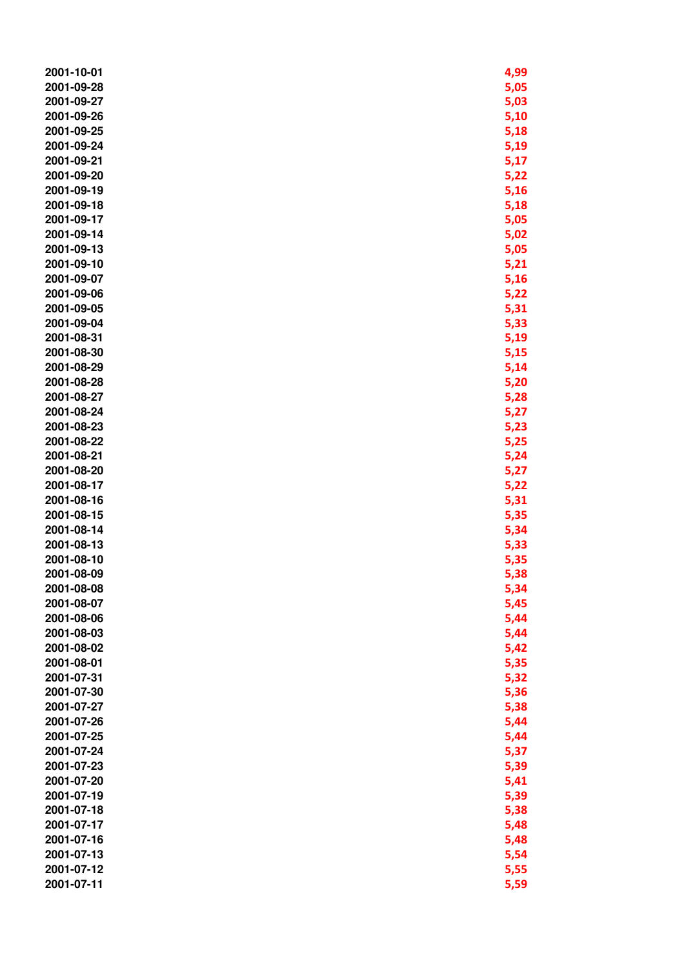| 2001-10-01 | 4,99 |
|------------|------|
| 2001-09-28 | 5,05 |
| 2001-09-27 | 5,03 |
| 2001-09-26 | 5,10 |
| 2001-09-25 | 5,18 |
| 2001-09-24 | 5,19 |
| 2001-09-21 | 5,17 |
| 2001-09-20 | 5,22 |
| 2001-09-19 | 5,16 |
| 2001-09-18 |      |
| 2001-09-17 | 5,18 |
| 2001-09-14 | 5,05 |
|            | 5,02 |
| 2001-09-13 | 5,05 |
| 2001-09-10 | 5,21 |
| 2001-09-07 | 5,16 |
| 2001-09-06 | 5,22 |
| 2001-09-05 | 5,31 |
| 2001-09-04 | 5,33 |
| 2001-08-31 | 5,19 |
| 2001-08-30 | 5,15 |
| 2001-08-29 | 5,14 |
| 2001-08-28 | 5,20 |
| 2001-08-27 | 5,28 |
| 2001-08-24 | 5,27 |
| 2001-08-23 | 5,23 |
| 2001-08-22 | 5,25 |
| 2001-08-21 | 5,24 |
| 2001-08-20 | 5,27 |
| 2001-08-17 | 5,22 |
| 2001-08-16 | 5,31 |
| 2001-08-15 | 5,35 |
| 2001-08-14 | 5,34 |
| 2001-08-13 | 5,33 |
| 2001-08-10 | 5,35 |
| 2001-08-09 | 5,38 |
| 2001-08-08 | 5,34 |
| 2001-08-07 | 5,45 |
| 2001-08-06 | 5,44 |
| 2001-08-03 | 5,44 |
| 2001-08-02 | 5,42 |
| 2001-08-01 | 5,35 |
| 2001-07-31 | 5,32 |
| 2001-07-30 | 5,36 |
| 2001-07-27 | 5,38 |
| 2001-07-26 | 5,44 |
| 2001-07-25 | 5,44 |
| 2001-07-24 | 5,37 |
| 2001-07-23 | 5,39 |
| 2001-07-20 | 5,41 |
| 2001-07-19 | 5,39 |
| 2001-07-18 | 5,38 |
| 2001-07-17 | 5,48 |
| 2001-07-16 | 5,48 |
| 2001-07-13 | 5,54 |
| 2001-07-12 | 5,55 |
| 2001-07-11 | 5,59 |
|            |      |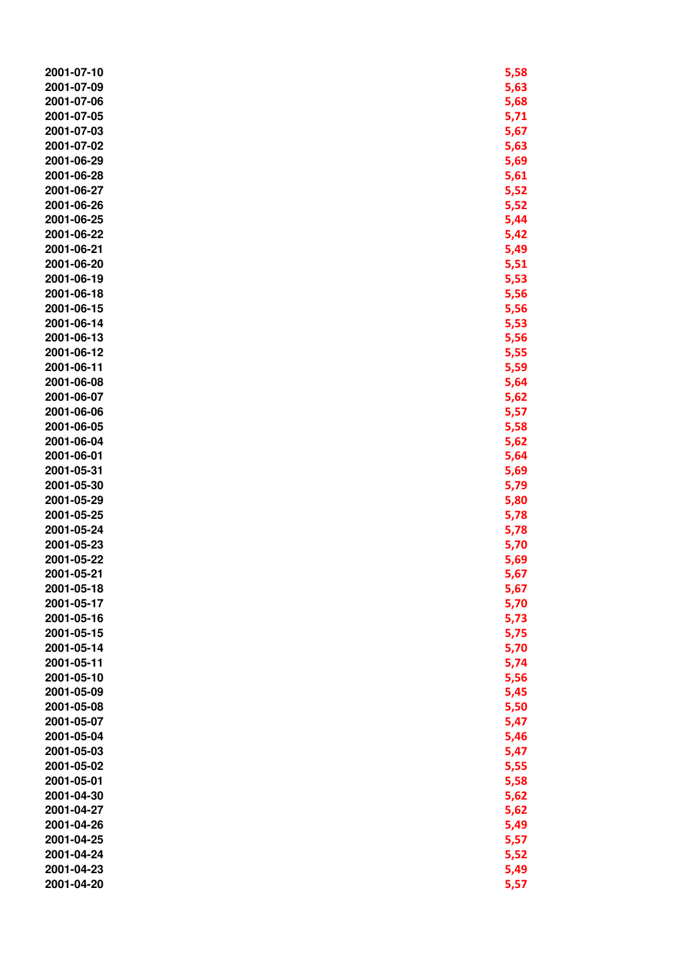| 2001-07-10 | 5,58 |
|------------|------|
| 2001-07-09 | 5,63 |
| 2001-07-06 | 5,68 |
| 2001-07-05 | 5,71 |
| 2001-07-03 | 5,67 |
| 2001-07-02 | 5,63 |
| 2001-06-29 | 5,69 |
|            |      |
| 2001-06-28 | 5,61 |
| 2001-06-27 | 5,52 |
| 2001-06-26 | 5,52 |
| 2001-06-25 | 5,44 |
| 2001-06-22 | 5,42 |
| 2001-06-21 | 5,49 |
| 2001-06-20 | 5,51 |
| 2001-06-19 | 5,53 |
| 2001-06-18 | 5,56 |
| 2001-06-15 | 5,56 |
| 2001-06-14 | 5,53 |
|            |      |
| 2001-06-13 | 5,56 |
| 2001-06-12 | 5,55 |
| 2001-06-11 | 5,59 |
| 2001-06-08 | 5,64 |
| 2001-06-07 | 5,62 |
| 2001-06-06 | 5,57 |
| 2001-06-05 | 5,58 |
| 2001-06-04 | 5,62 |
| 2001-06-01 | 5,64 |
| 2001-05-31 | 5,69 |
|            |      |
| 2001-05-30 | 5,79 |
| 2001-05-29 | 5,80 |
| 2001-05-25 | 5,78 |
| 2001-05-24 | 5,78 |
| 2001-05-23 | 5,70 |
| 2001-05-22 | 5,69 |
| 2001-05-21 | 5,67 |
| 2001-05-18 | 5,67 |
| 2001-05-17 | 5,70 |
| 2001-05-16 | 5,73 |
| 2001-05-15 | 5,75 |
| 2001-05-14 | 5,70 |
| 2001-05-11 |      |
|            | 5,74 |
| 2001-05-10 | 5,56 |
| 2001-05-09 | 5,45 |
| 2001-05-08 | 5,50 |
| 2001-05-07 | 5,47 |
| 2001-05-04 | 5,46 |
| 2001-05-03 | 5,47 |
| 2001-05-02 | 5,55 |
| 2001-05-01 | 5,58 |
| 2001-04-30 | 5,62 |
| 2001-04-27 | 5,62 |
| 2001-04-26 |      |
|            | 5,49 |
| 2001-04-25 | 5,57 |
| 2001-04-24 | 5,52 |
| 2001-04-23 | 5,49 |
| 2001-04-20 | 5,57 |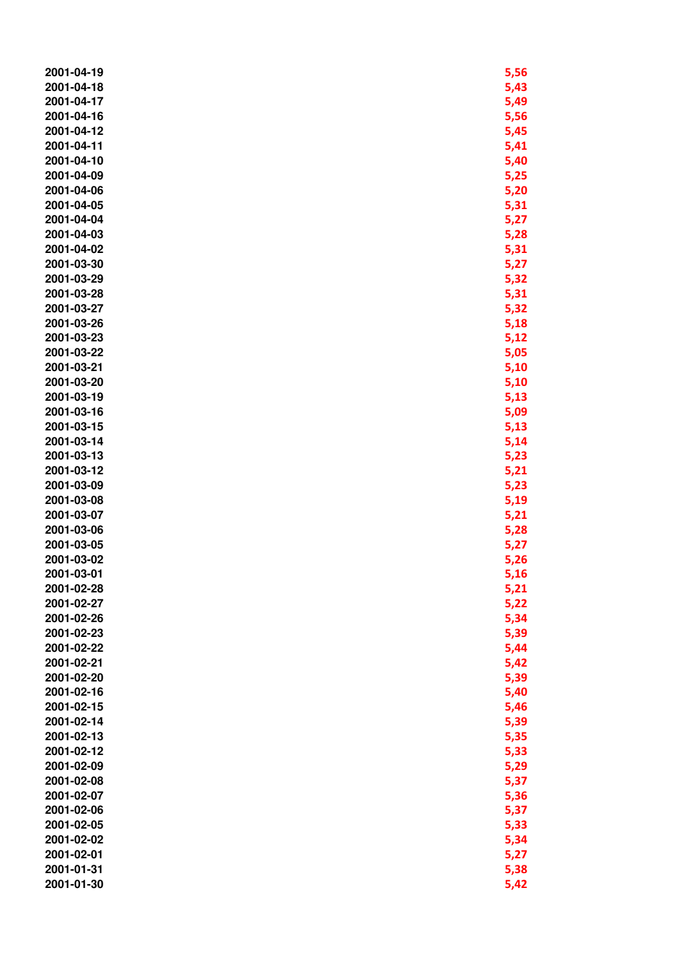| 2001-04-19 | 5,56 |
|------------|------|
| 2001-04-18 | 5,43 |
| 2001-04-17 | 5,49 |
| 2001-04-16 | 5,56 |
| 2001-04-12 | 5,45 |
| 2001-04-11 | 5,41 |
| 2001-04-10 | 5,40 |
| 2001-04-09 | 5,25 |
| 2001-04-06 | 5,20 |
| 2001-04-05 | 5,31 |
| 2001-04-04 |      |
| 2001-04-03 | 5,27 |
|            | 5,28 |
| 2001-04-02 | 5,31 |
| 2001-03-30 | 5,27 |
| 2001-03-29 | 5,32 |
| 2001-03-28 | 5,31 |
| 2001-03-27 | 5,32 |
| 2001-03-26 | 5,18 |
| 2001-03-23 | 5,12 |
| 2001-03-22 | 5,05 |
| 2001-03-21 | 5,10 |
| 2001-03-20 | 5,10 |
| 2001-03-19 | 5,13 |
| 2001-03-16 | 5,09 |
| 2001-03-15 | 5,13 |
| 2001-03-14 | 5,14 |
| 2001-03-13 | 5,23 |
| 2001-03-12 | 5,21 |
| 2001-03-09 | 5,23 |
| 2001-03-08 | 5,19 |
| 2001-03-07 | 5,21 |
| 2001-03-06 | 5,28 |
| 2001-03-05 | 5,27 |
| 2001-03-02 | 5,26 |
| 2001-03-01 | 5,16 |
| 2001-02-28 | 5,21 |
| 2001-02-27 | 5,22 |
| 2001-02-26 | 5,34 |
| 2001-02-23 | 5,39 |
| 2001-02-22 | 5,44 |
| 2001-02-21 | 5,42 |
| 2001-02-20 | 5,39 |
| 2001-02-16 | 5,40 |
| 2001-02-15 | 5,46 |
| 2001-02-14 |      |
| 2001-02-13 | 5,39 |
|            | 5,35 |
| 2001-02-12 | 5,33 |
| 2001-02-09 | 5,29 |
| 2001-02-08 | 5,37 |
| 2001-02-07 | 5,36 |
| 2001-02-06 | 5,37 |
| 2001-02-05 | 5,33 |
| 2001-02-02 | 5,34 |
| 2001-02-01 | 5,27 |
| 2001-01-31 | 5,38 |
| 2001-01-30 | 5,42 |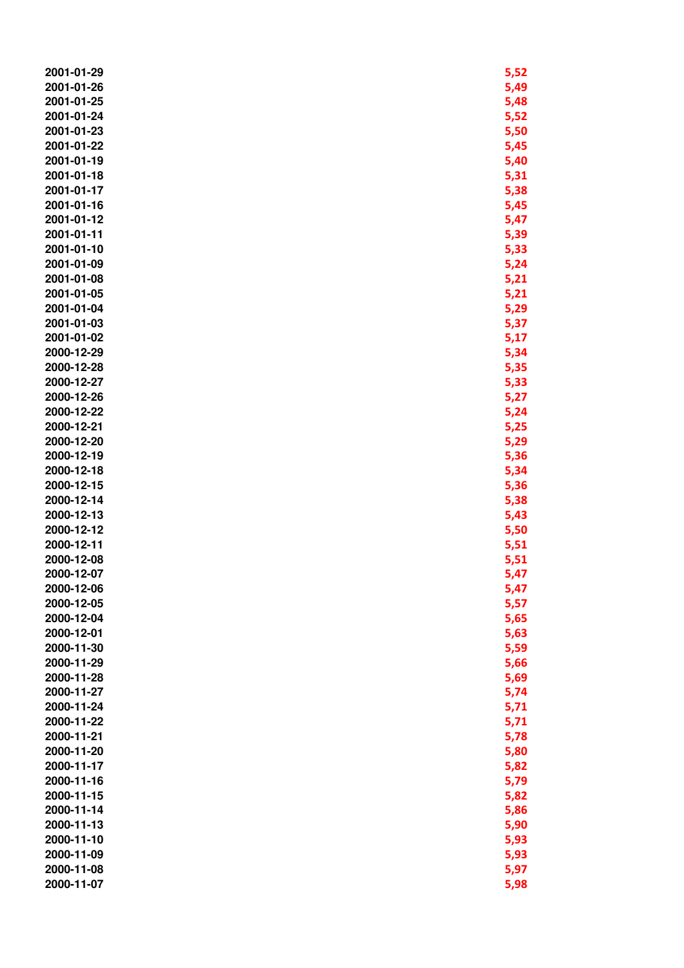| 2001-01-29 | 5,52 |
|------------|------|
| 2001-01-26 | 5,49 |
| 2001-01-25 | 5,48 |
| 2001-01-24 | 5,52 |
| 2001-01-23 | 5,50 |
| 2001-01-22 | 5,45 |
| 2001-01-19 | 5,40 |
| 2001-01-18 | 5,31 |
| 2001-01-17 | 5,38 |
| 2001-01-16 | 5,45 |
|            |      |
| 2001-01-12 | 5,47 |
| 2001-01-11 | 5,39 |
| 2001-01-10 | 5,33 |
| 2001-01-09 | 5,24 |
| 2001-01-08 | 5,21 |
| 2001-01-05 | 5,21 |
| 2001-01-04 | 5,29 |
| 2001-01-03 | 5,37 |
| 2001-01-02 | 5,17 |
| 2000-12-29 | 5,34 |
| 2000-12-28 | 5,35 |
| 2000-12-27 | 5,33 |
| 2000-12-26 | 5,27 |
| 2000-12-22 | 5,24 |
| 2000-12-21 | 5,25 |
| 2000-12-20 | 5,29 |
| 2000-12-19 | 5,36 |
| 2000-12-18 | 5,34 |
| 2000-12-15 | 5,36 |
| 2000-12-14 | 5,38 |
| 2000-12-13 | 5,43 |
| 2000-12-12 | 5,50 |
| 2000-12-11 | 5,51 |
| 2000-12-08 | 5,51 |
| 2000-12-07 | 5,47 |
| 2000-12-06 | 5,47 |
| 2000-12-05 | 5,57 |
| 2000-12-04 | 5,65 |
| 2000-12-01 | 5,63 |
| 2000-11-30 | 5,59 |
| 2000-11-29 | 5,66 |
| 2000-11-28 | 5,69 |
| 2000-11-27 | 5,74 |
| 2000-11-24 | 5,71 |
| 2000-11-22 | 5,71 |
| 2000-11-21 | 5,78 |
| 2000-11-20 | 5,80 |
| 2000-11-17 | 5,82 |
| 2000-11-16 | 5,79 |
| 2000-11-15 | 5,82 |
| 2000-11-14 |      |
|            | 5,86 |
| 2000-11-13 | 5,90 |
| 2000-11-10 | 5,93 |
| 2000-11-09 | 5,93 |
| 2000-11-08 | 5,97 |
| 2000-11-07 | 5,98 |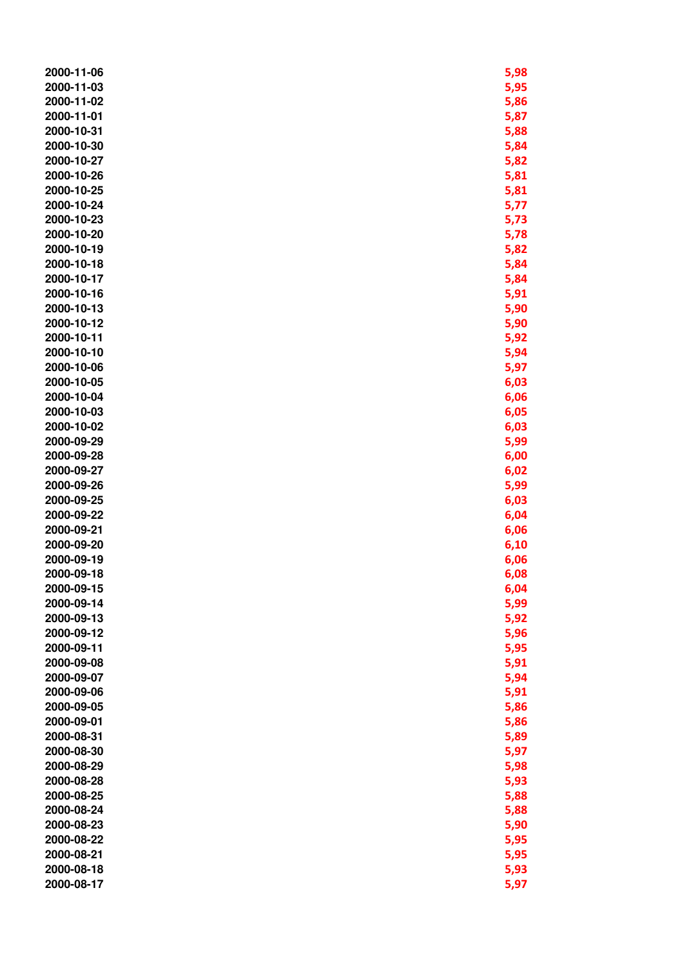| 2000-11-06 | 5,98 |
|------------|------|
| 2000-11-03 | 5,95 |
|            |      |
| 2000-11-02 | 5,86 |
| 2000-11-01 | 5,87 |
| 2000-10-31 | 5,88 |
| 2000-10-30 | 5,84 |
| 2000-10-27 | 5,82 |
| 2000-10-26 | 5,81 |
| 2000-10-25 | 5,81 |
| 2000-10-24 | 5,77 |
| 2000-10-23 |      |
|            | 5,73 |
| 2000-10-20 | 5,78 |
| 2000-10-19 | 5,82 |
| 2000-10-18 | 5,84 |
| 2000-10-17 | 5,84 |
| 2000-10-16 | 5,91 |
| 2000-10-13 | 5,90 |
| 2000-10-12 | 5,90 |
| 2000-10-11 | 5,92 |
| 2000-10-10 | 5,94 |
| 2000-10-06 |      |
|            | 5,97 |
| 2000-10-05 | 6,03 |
| 2000-10-04 | 6,06 |
| 2000-10-03 | 6,05 |
| 2000-10-02 | 6,03 |
| 2000-09-29 | 5,99 |
| 2000-09-28 | 6,00 |
| 2000-09-27 | 6,02 |
| 2000-09-26 | 5,99 |
| 2000-09-25 | 6,03 |
| 2000-09-22 | 6,04 |
| 2000-09-21 |      |
|            | 6,06 |
| 2000-09-20 | 6,10 |
| 2000-09-19 | 6,06 |
| 2000-09-18 | 6,08 |
| 2000-09-15 | 6,04 |
| 2000-09-14 | 5,99 |
| 2000-09-13 | 5,92 |
| 2000-09-12 | 5,96 |
| 2000-09-11 | 5,95 |
| 2000-09-08 | 5,91 |
| 2000-09-07 | 5,94 |
|            |      |
| 2000-09-06 | 5,91 |
| 2000-09-05 | 5,86 |
| 2000-09-01 | 5,86 |
| 2000-08-31 | 5,89 |
| 2000-08-30 | 5,97 |
| 2000-08-29 | 5,98 |
| 2000-08-28 | 5,93 |
| 2000-08-25 | 5,88 |
| 2000-08-24 | 5,88 |
| 2000-08-23 | 5,90 |
| 2000-08-22 |      |
|            | 5,95 |
| 2000-08-21 | 5,95 |
| 2000-08-18 | 5,93 |
| 2000-08-17 | 5,97 |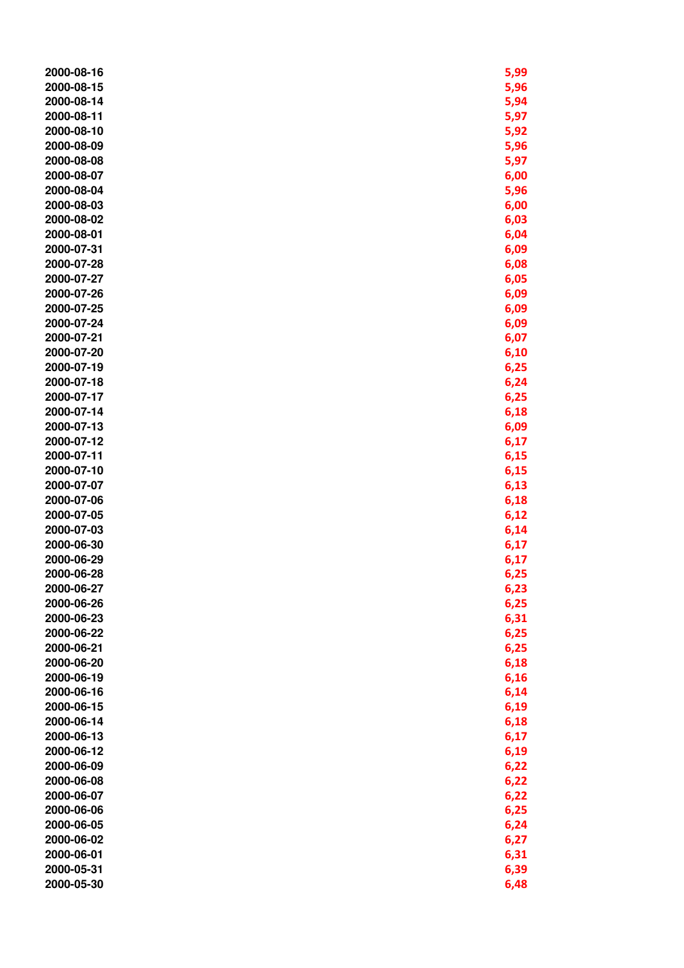| 2000-08-16 | 5,99 |
|------------|------|
| 2000-08-15 | 5,96 |
| 2000-08-14 | 5,94 |
| 2000-08-11 | 5,97 |
| 2000-08-10 | 5,92 |
| 2000-08-09 | 5,96 |
| 2000-08-08 | 5,97 |
| 2000-08-07 | 6,00 |
| 2000-08-04 | 5,96 |
| 2000-08-03 | 6,00 |
| 2000-08-02 | 6,03 |
| 2000-08-01 | 6,04 |
| 2000-07-31 | 6,09 |
| 2000-07-28 | 6,08 |
| 2000-07-27 | 6,05 |
| 2000-07-26 | 6,09 |
| 2000-07-25 | 6,09 |
| 2000-07-24 | 6,09 |
| 2000-07-21 | 6,07 |
| 2000-07-20 | 6,10 |
| 2000-07-19 | 6,25 |
| 2000-07-18 | 6,24 |
| 2000-07-17 | 6,25 |
| 2000-07-14 | 6,18 |
| 2000-07-13 | 6,09 |
| 2000-07-12 | 6,17 |
| 2000-07-11 | 6,15 |
| 2000-07-10 | 6,15 |
| 2000-07-07 | 6,13 |
| 2000-07-06 | 6,18 |
| 2000-07-05 | 6,12 |
| 2000-07-03 | 6,14 |
| 2000-06-30 | 6,17 |
| 2000-06-29 | 6,17 |
| 2000-06-28 | 6,25 |
| 2000-06-27 | 6,23 |
| 2000-06-26 | 6,25 |
| 2000-06-23 | 6,31 |
| 2000-06-22 | 6,25 |
| 2000-06-21 | 6,25 |
| 2000-06-20 | 6,18 |
| 2000-06-19 | 6,16 |
| 2000-06-16 | 6,14 |
| 2000-06-15 | 6,19 |
| 2000-06-14 | 6,18 |
| 2000-06-13 | 6,17 |
| 2000-06-12 | 6,19 |
| 2000-06-09 | 6,22 |
| 2000-06-08 | 6,22 |
| 2000-06-07 | 6,22 |
| 2000-06-06 | 6,25 |
| 2000-06-05 | 6,24 |
| 2000-06-02 |      |
| 2000-06-01 | 6,27 |
| 2000-05-31 | 6,31 |
|            | 6,39 |
| 2000-05-30 | 6,48 |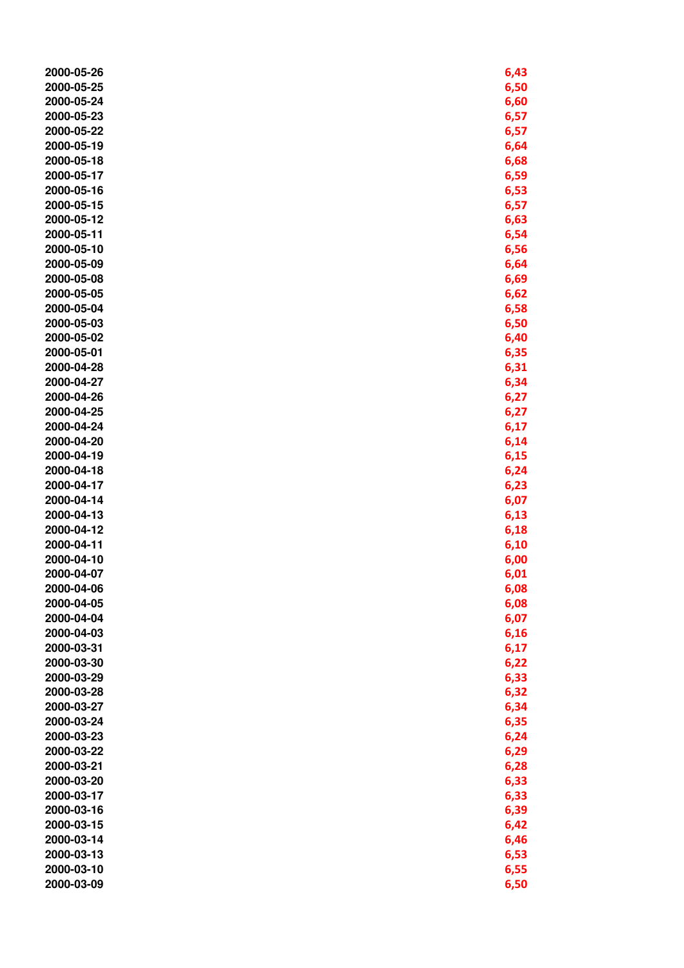| 2000-05-26 | 6,43 |
|------------|------|
| 2000-05-25 | 6,50 |
| 2000-05-24 | 6,60 |
| 2000-05-23 | 6,57 |
|            |      |
| 2000-05-22 | 6,57 |
| 2000-05-19 | 6,64 |
| 2000-05-18 | 6,68 |
| 2000-05-17 | 6,59 |
| 2000-05-16 | 6,53 |
| 2000-05-15 | 6,57 |
| 2000-05-12 | 6,63 |
| 2000-05-11 | 6,54 |
| 2000-05-10 | 6,56 |
| 2000-05-09 | 6,64 |
| 2000-05-08 | 6,69 |
|            |      |
| 2000-05-05 | 6,62 |
| 2000-05-04 | 6,58 |
| 2000-05-03 | 6,50 |
| 2000-05-02 | 6,40 |
| 2000-05-01 | 6,35 |
| 2000-04-28 | 6,31 |
| 2000-04-27 | 6,34 |
| 2000-04-26 | 6,27 |
| 2000-04-25 | 6,27 |
| 2000-04-24 | 6,17 |
| 2000-04-20 | 6,14 |
| 2000-04-19 | 6,15 |
| 2000-04-18 | 6,24 |
| 2000-04-17 | 6,23 |
| 2000-04-14 | 6,07 |
| 2000-04-13 | 6,13 |
| 2000-04-12 |      |
| 2000-04-11 | 6,18 |
|            | 6,10 |
| 2000-04-10 | 6,00 |
| 2000-04-07 | 6,01 |
| 2000-04-06 | 6,08 |
| 2000-04-05 | 6,08 |
| 2000-04-04 | 6,07 |
| 2000-04-03 | 6,16 |
| 2000-03-31 | 6,17 |
| 2000-03-30 | 6,22 |
| 2000-03-29 | 6,33 |
| 2000-03-28 | 6,32 |
| 2000-03-27 | 6,34 |
| 2000-03-24 | 6,35 |
| 2000-03-23 | 6,24 |
| 2000-03-22 | 6,29 |
| 2000-03-21 | 6,28 |
| 2000-03-20 | 6,33 |
| 2000-03-17 | 6,33 |
| 2000-03-16 | 6,39 |
| 2000-03-15 | 6,42 |
|            |      |
| 2000-03-14 | 6,46 |
| 2000-03-13 | 6,53 |
| 2000-03-10 | 6,55 |
| 2000-03-09 | 6,50 |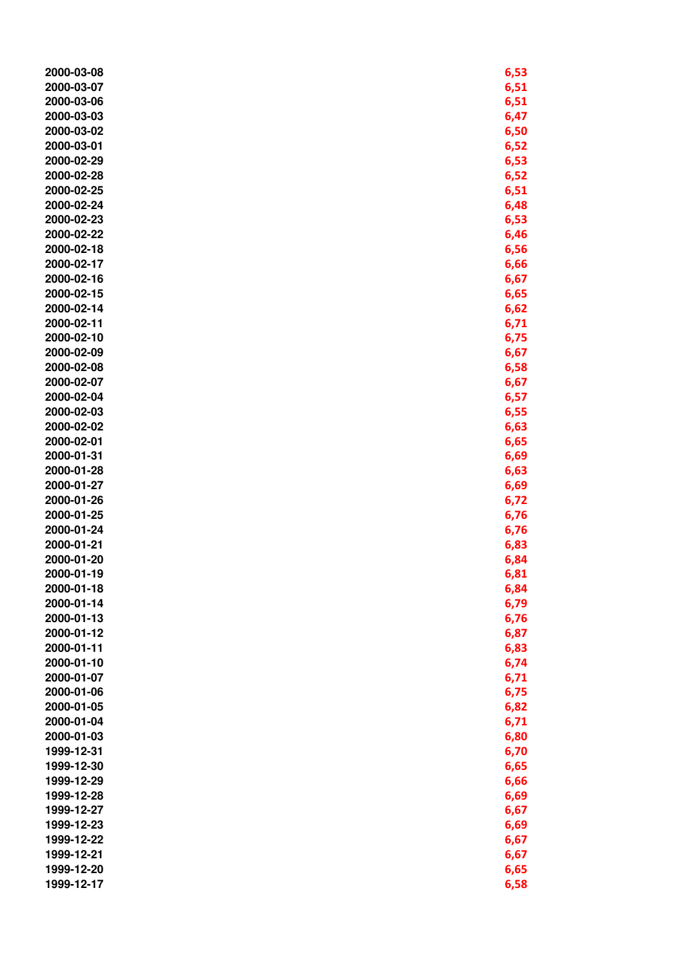| 2000-03-08 | 6,53 |
|------------|------|
| 2000-03-07 | 6,51 |
| 2000-03-06 | 6,51 |
| 2000-03-03 | 6,47 |
| 2000-03-02 | 6,50 |
| 2000-03-01 | 6,52 |
| 2000-02-29 | 6,53 |
| 2000-02-28 | 6,52 |
| 2000-02-25 | 6,51 |
| 2000-02-24 | 6,48 |
| 2000-02-23 |      |
|            | 6,53 |
| 2000-02-22 | 6,46 |
| 2000-02-18 | 6,56 |
| 2000-02-17 | 6,66 |
| 2000-02-16 | 6,67 |
| 2000-02-15 | 6,65 |
| 2000-02-14 | 6,62 |
| 2000-02-11 | 6,71 |
| 2000-02-10 | 6,75 |
| 2000-02-09 | 6,67 |
| 2000-02-08 | 6,58 |
| 2000-02-07 | 6,67 |
| 2000-02-04 | 6,57 |
| 2000-02-03 | 6,55 |
| 2000-02-02 | 6,63 |
| 2000-02-01 | 6,65 |
| 2000-01-31 | 6,69 |
| 2000-01-28 | 6,63 |
| 2000-01-27 | 6,69 |
| 2000-01-26 | 6,72 |
| 2000-01-25 | 6,76 |
| 2000-01-24 | 6,76 |
| 2000-01-21 |      |
|            | 6,83 |
| 2000-01-20 | 6,84 |
| 2000-01-19 | 6,81 |
| 2000-01-18 | 6,84 |
| 2000-01-14 | 6,79 |
| 2000-01-13 | 6,76 |
| 2000-01-12 | 6,87 |
| 2000-01-11 | 6,83 |
| 2000-01-10 | 6,74 |
| 2000-01-07 | 6,71 |
| 2000-01-06 | 6,75 |
| 2000-01-05 | 6,82 |
| 2000-01-04 | 6,71 |
| 2000-01-03 | 6,80 |
| 1999-12-31 | 6,70 |
| 1999-12-30 | 6,65 |
| 1999-12-29 | 6,66 |
| 1999-12-28 | 6,69 |
| 1999-12-27 | 6,67 |
| 1999-12-23 | 6,69 |
| 1999-12-22 | 6,67 |
| 1999-12-21 | 6,67 |
| 1999-12-20 | 6,65 |
| 1999-12-17 | 6,58 |
|            |      |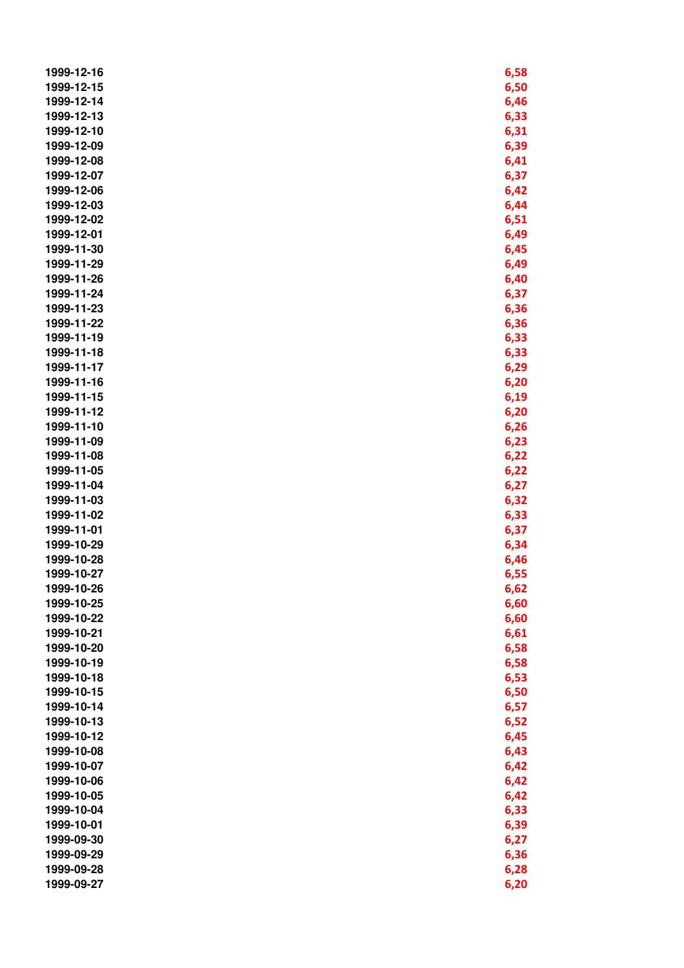| 1999-12-16               | 6,58 |
|--------------------------|------|
| 1999-12-15               | 6,50 |
| 1999-12-14               | 6,46 |
| 1999-12-13               | 6,33 |
| 1999-12-10               | 6,31 |
| 1999-12-09               | 6,39 |
| 1999-12-08               | 6,41 |
| 1999-12-07               | 6,37 |
| 1999-12-06               | 6,42 |
| 1999-12-03               | 6,44 |
| 1999-12-02               | 6,51 |
| 1999-12-01               | 6,49 |
| 1999-11-30               | 6,45 |
| 1999-11-29               | 6,49 |
| 1999-11-26               | 6,40 |
| 1999-11-24               | 6,37 |
| 1999-11-23               | 6,36 |
| 1999-11-22               | 6,36 |
| 1999-11-19               | 6,33 |
| 1999-11-18               | 6,33 |
| 1999-11-17               | 6,29 |
| 1999-11-16               | 6,20 |
| 1999-11-15               | 6,19 |
| 1999-11-12               |      |
| 1999-11-10               | 6,20 |
| 1999-11-09               | 6,26 |
| 1999-11-08               | 6,23 |
| 1999-11-05               | 6,22 |
| 1999-11-04               | 6,22 |
| 1999-11-03               | 6,27 |
| 1999-11-02               | 6,32 |
|                          | 6,33 |
| 1999-11-01               | 6,37 |
| 1999-10-29<br>1999-10-28 | 6,34 |
| 1999-10-27               | 6,46 |
| 1999-10-26               | 6,55 |
|                          | 6,62 |
| 1999-10-25               | 6,60 |
| 1999-10-22               | 6,60 |
| 1999-10-21               | 6,61 |
| 1999-10-20               | 6,58 |
| 1999-10-19               | 6,58 |
| 1999-10-18               | 6,53 |
| 1999-10-15               | 6,50 |
| 1999-10-14               | 6,57 |
| 1999-10-13               | 6,52 |
| 1999-10-12               | 6,45 |
| 1999-10-08               | 6,43 |
| 1999-10-07               | 6,42 |
| 1999-10-06               | 6,42 |
| 1999-10-05               | 6,42 |
| 1999-10-04               | 6,33 |
| 1999-10-01               | 6,39 |
| 1999-09-30               | 6,27 |
| 1999-09-29               | 6,36 |
| 1999-09-28               | 6,28 |
| 1999-09-27               | 6,20 |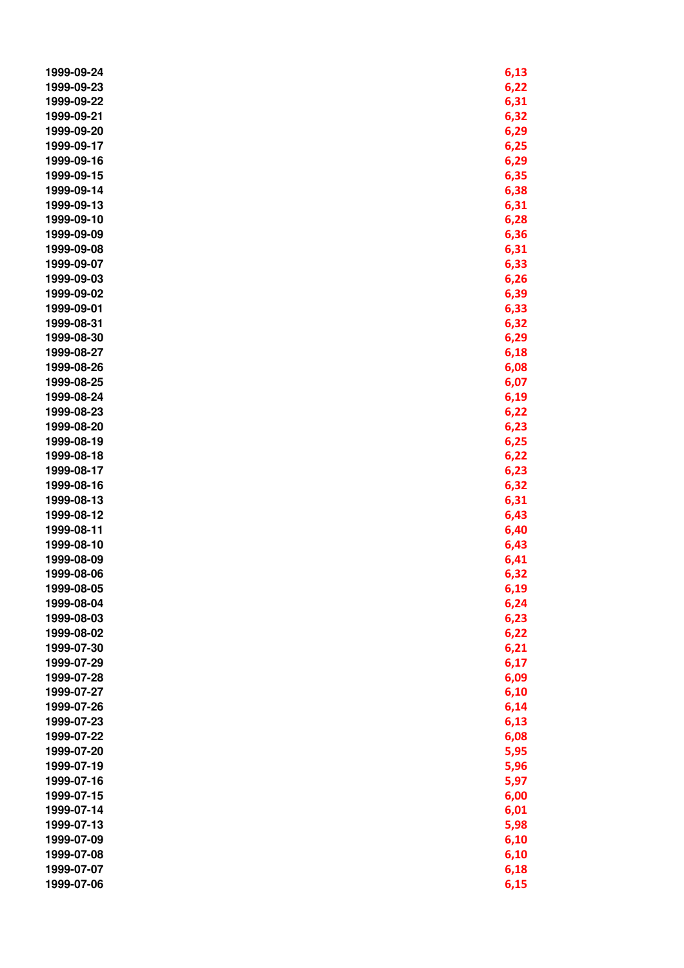| 1999-09-24 | 6,13 |
|------------|------|
| 1999-09-23 | 6,22 |
| 1999-09-22 | 6,31 |
| 1999-09-21 | 6,32 |
| 1999-09-20 | 6,29 |
| 1999-09-17 | 6,25 |
| 1999-09-16 | 6,29 |
| 1999-09-15 | 6,35 |
| 1999-09-14 | 6,38 |
| 1999-09-13 | 6,31 |
| 1999-09-10 | 6,28 |
| 1999-09-09 | 6,36 |
| 1999-09-08 | 6,31 |
| 1999-09-07 | 6,33 |
| 1999-09-03 | 6,26 |
| 1999-09-02 | 6,39 |
| 1999-09-01 | 6,33 |
| 1999-08-31 | 6,32 |
| 1999-08-30 | 6,29 |
| 1999-08-27 | 6,18 |
| 1999-08-26 | 6,08 |
| 1999-08-25 | 6,07 |
| 1999-08-24 | 6,19 |
| 1999-08-23 | 6,22 |
| 1999-08-20 | 6,23 |
| 1999-08-19 | 6,25 |
| 1999-08-18 | 6,22 |
| 1999-08-17 | 6,23 |
| 1999-08-16 | 6,32 |
| 1999-08-13 | 6,31 |
| 1999-08-12 | 6,43 |
| 1999-08-11 | 6,40 |
| 1999-08-10 | 6,43 |
| 1999-08-09 | 6,41 |
| 1999-08-06 | 6,32 |
| 1999-08-05 | 6,19 |
| 1999-08-04 | 6,24 |
| 1999-08-03 | 6,23 |
| 1999-08-02 | 6,22 |
| 1999-07-30 | 6,21 |
| 1999-07-29 | 6,17 |
| 1999-07-28 | 6,09 |
| 1999-07-27 | 6,10 |
| 1999-07-26 | 6,14 |
| 1999-07-23 | 6,13 |
| 1999-07-22 | 6,08 |
| 1999-07-20 | 5,95 |
| 1999-07-19 | 5,96 |
| 1999-07-16 | 5,97 |
| 1999-07-15 | 6,00 |
| 1999-07-14 | 6,01 |
| 1999-07-13 | 5,98 |
| 1999-07-09 | 6,10 |
| 1999-07-08 | 6,10 |
| 1999-07-07 | 6,18 |
| 1999-07-06 | 6,15 |
|            |      |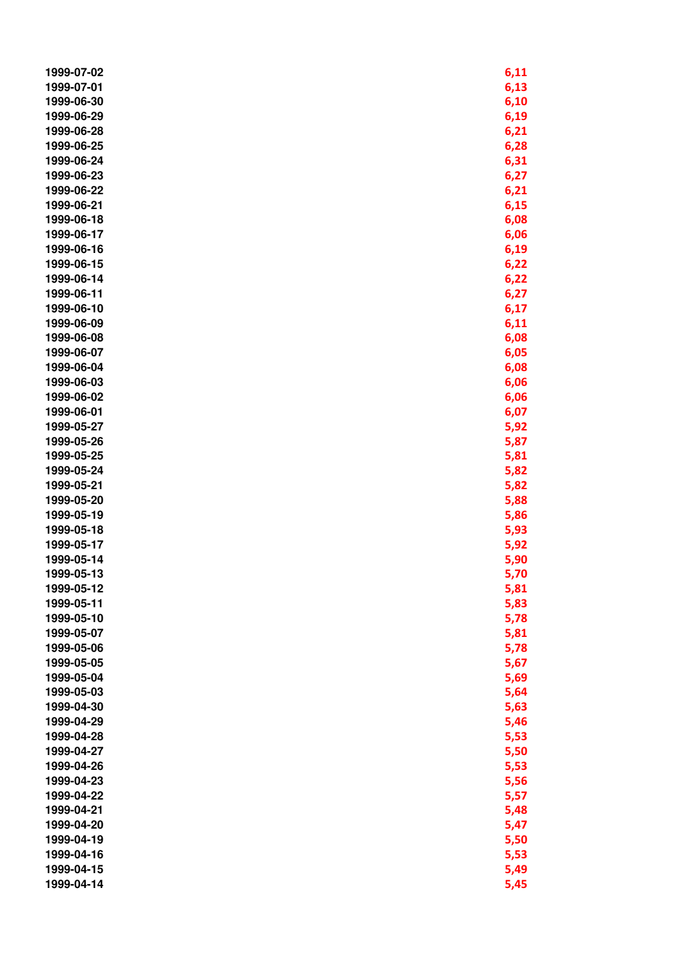| 1999-07-02 | 6,11 |
|------------|------|
| 1999-07-01 | 6,13 |
| 1999-06-30 | 6,10 |
| 1999-06-29 | 6,19 |
| 1999-06-28 | 6,21 |
| 1999-06-25 | 6,28 |
| 1999-06-24 | 6,31 |
| 1999-06-23 | 6,27 |
| 1999-06-22 | 6,21 |
| 1999-06-21 | 6,15 |
| 1999-06-18 | 6,08 |
| 1999-06-17 | 6,06 |
| 1999-06-16 | 6,19 |
| 1999-06-15 | 6,22 |
| 1999-06-14 | 6,22 |
| 1999-06-11 | 6,27 |
| 1999-06-10 | 6,17 |
| 1999-06-09 | 6,11 |
| 1999-06-08 | 6,08 |
| 1999-06-07 | 6,05 |
| 1999-06-04 | 6,08 |
| 1999-06-03 | 6,06 |
| 1999-06-02 | 6,06 |
| 1999-06-01 | 6,07 |
| 1999-05-27 | 5,92 |
| 1999-05-26 | 5,87 |
| 1999-05-25 | 5,81 |
| 1999-05-24 | 5,82 |
| 1999-05-21 | 5,82 |
| 1999-05-20 | 5,88 |
| 1999-05-19 | 5,86 |
| 1999-05-18 | 5,93 |
| 1999-05-17 | 5,92 |
| 1999-05-14 | 5,90 |
| 1999-05-13 | 5,70 |
| 1999-05-12 | 5,81 |
| 1999-05-11 | 5,83 |
| 1999-05-10 | 5,78 |
| 1999-05-07 | 5,81 |
| 1999-05-06 | 5,78 |
| 1999-05-05 | 5,67 |
| 1999-05-04 | 5,69 |
| 1999-05-03 | 5,64 |
| 1999-04-30 | 5,63 |
| 1999-04-29 | 5,46 |
| 1999-04-28 | 5,53 |
| 1999-04-27 | 5,50 |
| 1999-04-26 | 5,53 |
| 1999-04-23 | 5,56 |
| 1999-04-22 | 5,57 |
| 1999-04-21 | 5,48 |
| 1999-04-20 | 5,47 |
| 1999-04-19 | 5,50 |
| 1999-04-16 | 5,53 |
| 1999-04-15 | 5,49 |
| 1999-04-14 | 5,45 |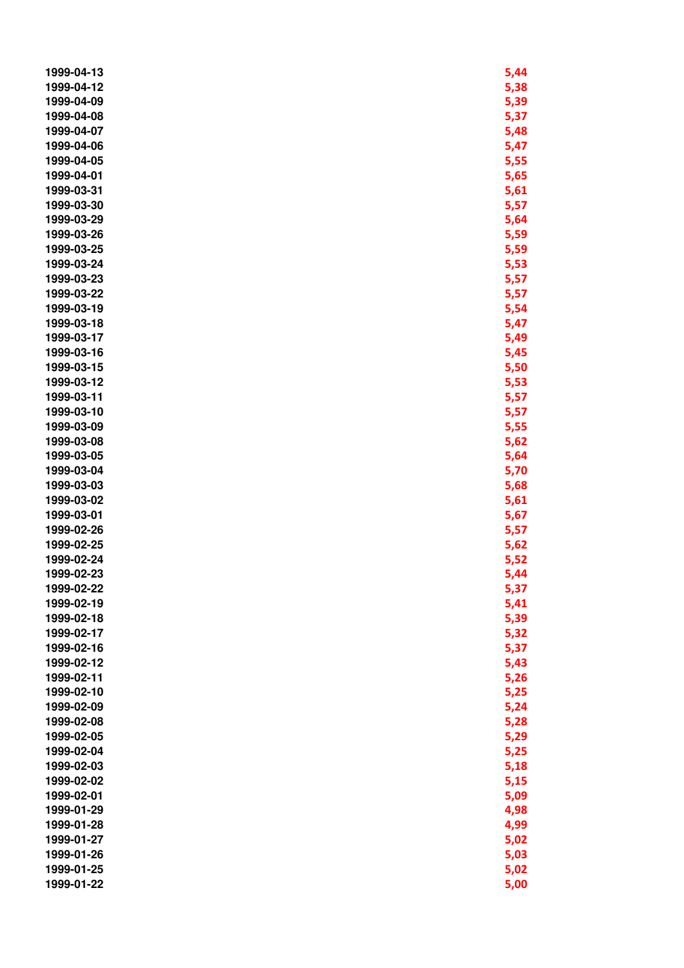| 1999-04-13 | 5,44 |
|------------|------|
| 1999-04-12 | 5,38 |
| 1999-04-09 | 5,39 |
| 1999-04-08 | 5,37 |
| 1999-04-07 | 5,48 |
| 1999-04-06 | 5,47 |
| 1999-04-05 | 5,55 |
| 1999-04-01 | 5,65 |
| 1999-03-31 | 5,61 |
| 1999-03-30 | 5,57 |
| 1999-03-29 | 5,64 |
| 1999-03-26 | 5,59 |
| 1999-03-25 | 5,59 |
| 1999-03-24 | 5,53 |
| 1999-03-23 | 5,57 |
| 1999-03-22 | 5,57 |
| 1999-03-19 | 5,54 |
| 1999-03-18 | 5,47 |
| 1999-03-17 |      |
|            | 5,49 |
| 1999-03-16 | 5,45 |
| 1999-03-15 | 5,50 |
| 1999-03-12 | 5,53 |
| 1999-03-11 | 5,57 |
| 1999-03-10 | 5,57 |
| 1999-03-09 | 5,55 |
| 1999-03-08 | 5,62 |
| 1999-03-05 | 5,64 |
| 1999-03-04 | 5,70 |
| 1999-03-03 | 5,68 |
| 1999-03-02 | 5,61 |
| 1999-03-01 | 5,67 |
| 1999-02-26 | 5,57 |
| 1999-02-25 | 5,62 |
| 1999-02-24 | 5,52 |
| 1999-02-23 | 5,44 |
| 1999-02-22 | 5,37 |
| 1999-02-19 | 5,41 |
| 1999-02-18 | 5,39 |
| 1999-02-17 | 5,32 |
| 1999-02-16 | 5,37 |
| 1999-02-12 | 5,43 |
| 1999-02-11 | 5,26 |
| 1999-02-10 | 5,25 |
| 1999-02-09 | 5,24 |
| 1999-02-08 | 5,28 |
| 1999-02-05 | 5,29 |
| 1999-02-04 | 5,25 |
| 1999-02-03 | 5,18 |
| 1999-02-02 | 5,15 |
| 1999-02-01 | 5,09 |
| 1999-01-29 | 4,98 |
| 1999-01-28 | 4,99 |
| 1999-01-27 | 5,02 |
| 1999-01-26 | 5,03 |
| 1999-01-25 | 5,02 |
| 1999-01-22 | 5,00 |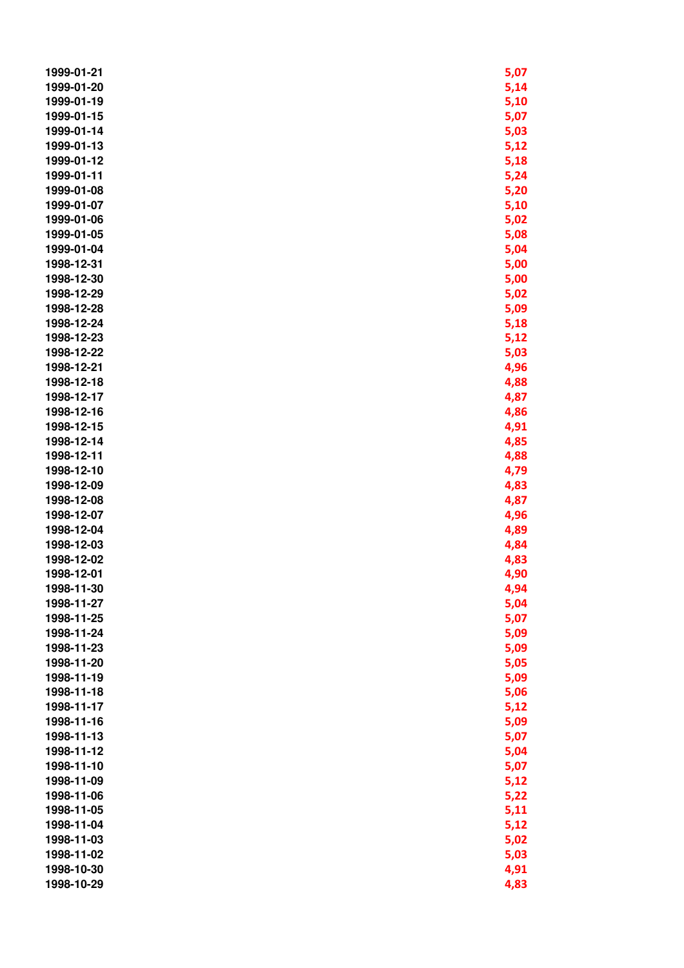| 1999-01-21 | 5,07 |
|------------|------|
| 1999-01-20 | 5,14 |
| 1999-01-19 | 5,10 |
| 1999-01-15 | 5,07 |
| 1999-01-14 | 5,03 |
| 1999-01-13 | 5,12 |
| 1999-01-12 | 5,18 |
| 1999-01-11 | 5,24 |
| 1999-01-08 | 5,20 |
| 1999-01-07 | 5,10 |
| 1999-01-06 | 5,02 |
| 1999-01-05 | 5,08 |
| 1999-01-04 | 5,04 |
| 1998-12-31 | 5,00 |
| 1998-12-30 | 5,00 |
| 1998-12-29 | 5,02 |
| 1998-12-28 | 5,09 |
| 1998-12-24 | 5,18 |
| 1998-12-23 | 5,12 |
| 1998-12-22 | 5,03 |
| 1998-12-21 | 4,96 |
| 1998-12-18 | 4,88 |
| 1998-12-17 | 4,87 |
| 1998-12-16 | 4,86 |
| 1998-12-15 | 4,91 |
| 1998-12-14 | 4,85 |
| 1998-12-11 | 4,88 |
| 1998-12-10 | 4,79 |
| 1998-12-09 | 4,83 |
| 1998-12-08 | 4,87 |
| 1998-12-07 | 4,96 |
| 1998-12-04 | 4,89 |
| 1998-12-03 | 4,84 |
| 1998-12-02 | 4,83 |
| 1998-12-01 | 4,90 |
| 1998-11-30 | 4,94 |
| 1998-11-27 | 5,04 |
| 1998-11-25 | 5,07 |
| 1998-11-24 | 5,09 |
| 1998-11-23 | 5,09 |
| 1998-11-20 | 5,05 |
| 1998-11-19 | 5,09 |
| 1998-11-18 | 5,06 |
| 1998-11-17 | 5,12 |
| 1998-11-16 | 5,09 |
| 1998-11-13 | 5,07 |
| 1998-11-12 | 5,04 |
| 1998-11-10 | 5,07 |
| 1998-11-09 | 5,12 |
| 1998-11-06 | 5,22 |
| 1998-11-05 | 5,11 |
| 1998-11-04 | 5,12 |
| 1998-11-03 | 5,02 |
| 1998-11-02 | 5,03 |
| 1998-10-30 | 4,91 |
| 1998-10-29 | 4,83 |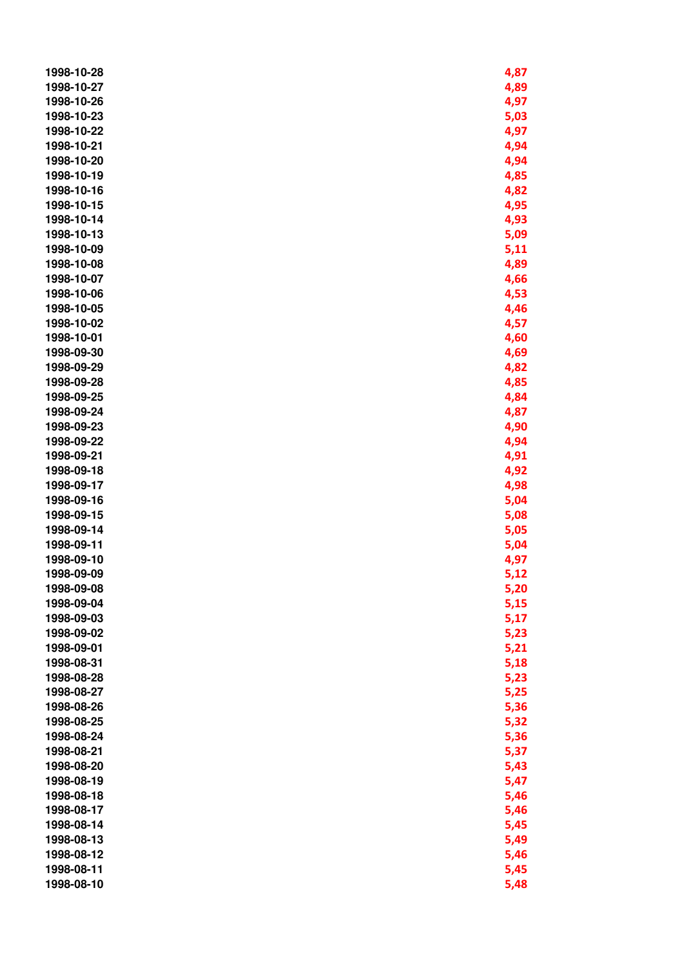| 1998-10-28 | 4,87 |
|------------|------|
| 1998-10-27 | 4,89 |
| 1998-10-26 | 4,97 |
| 1998-10-23 | 5,03 |
| 1998-10-22 | 4,97 |
| 1998-10-21 | 4,94 |
| 1998-10-20 | 4,94 |
| 1998-10-19 | 4,85 |
| 1998-10-16 | 4,82 |
| 1998-10-15 | 4,95 |
| 1998-10-14 | 4,93 |
| 1998-10-13 | 5,09 |
| 1998-10-09 | 5,11 |
| 1998-10-08 | 4,89 |
| 1998-10-07 | 4,66 |
| 1998-10-06 | 4,53 |
| 1998-10-05 | 4,46 |
| 1998-10-02 | 4,57 |
| 1998-10-01 | 4,60 |
| 1998-09-30 | 4,69 |
| 1998-09-29 | 4,82 |
| 1998-09-28 | 4,85 |
| 1998-09-25 | 4,84 |
| 1998-09-24 | 4,87 |
| 1998-09-23 | 4,90 |
| 1998-09-22 | 4,94 |
| 1998-09-21 | 4,91 |
| 1998-09-18 | 4,92 |
| 1998-09-17 | 4,98 |
| 1998-09-16 | 5,04 |
| 1998-09-15 | 5,08 |
| 1998-09-14 | 5,05 |
| 1998-09-11 | 5,04 |
| 1998-09-10 | 4,97 |
| 1998-09-09 | 5,12 |
| 1998-09-08 | 5,20 |
| 1998-09-04 | 5,15 |
| 1998-09-03 | 5,17 |
| 1998-09-02 | 5,23 |
| 1998-09-01 | 5,21 |
| 1998-08-31 | 5,18 |
| 1998-08-28 | 5,23 |
| 1998-08-27 | 5,25 |
| 1998-08-26 | 5,36 |
| 1998-08-25 | 5,32 |
| 1998-08-24 | 5,36 |
| 1998-08-21 | 5,37 |
| 1998-08-20 | 5,43 |
| 1998-08-19 | 5,47 |
| 1998-08-18 | 5,46 |
| 1998-08-17 | 5,46 |
| 1998-08-14 | 5,45 |
| 1998-08-13 | 5,49 |
| 1998-08-12 | 5,46 |
| 1998-08-11 | 5,45 |
| 1998-08-10 | 5,48 |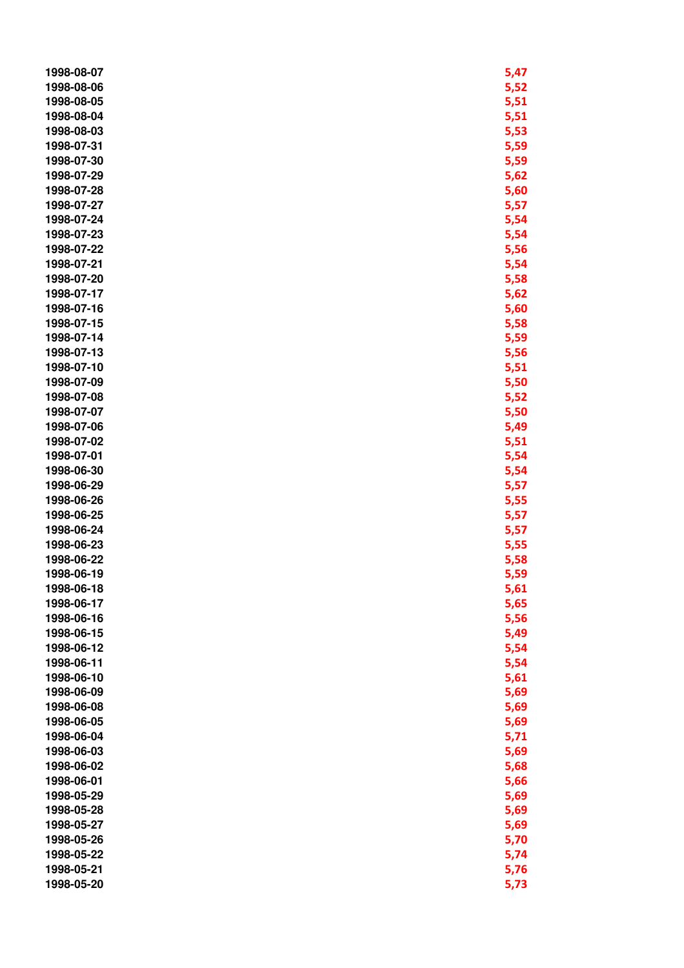| 1998-08-07 | 5,47 |
|------------|------|
| 1998-08-06 | 5,52 |
| 1998-08-05 | 5,51 |
| 1998-08-04 | 5,51 |
| 1998-08-03 | 5,53 |
| 1998-07-31 | 5,59 |
| 1998-07-30 | 5,59 |
| 1998-07-29 | 5,62 |
| 1998-07-28 | 5,60 |
| 1998-07-27 | 5,57 |
| 1998-07-24 | 5,54 |
| 1998-07-23 | 5,54 |
| 1998-07-22 | 5,56 |
| 1998-07-21 | 5,54 |
| 1998-07-20 | 5,58 |
| 1998-07-17 | 5,62 |
| 1998-07-16 | 5,60 |
| 1998-07-15 | 5,58 |
| 1998-07-14 | 5,59 |
| 1998-07-13 | 5,56 |
| 1998-07-10 | 5,51 |
| 1998-07-09 | 5,50 |
| 1998-07-08 | 5,52 |
| 1998-07-07 | 5,50 |
| 1998-07-06 | 5,49 |
| 1998-07-02 | 5,51 |
| 1998-07-01 | 5,54 |
| 1998-06-30 | 5,54 |
| 1998-06-29 | 5,57 |
| 1998-06-26 | 5,55 |
| 1998-06-25 | 5,57 |
| 1998-06-24 | 5,57 |
| 1998-06-23 | 5,55 |
| 1998-06-22 | 5,58 |
| 1998-06-19 | 5,59 |
| 1998-06-18 | 5,61 |
| 1998-06-17 | 5,65 |
| 1998-06-16 | 5,56 |
| 1998-06-15 | 5,49 |
| 1998-06-12 | 5,54 |
| 1998-06-11 | 5,54 |
| 1998-06-10 | 5,61 |
| 1998-06-09 | 5,69 |
| 1998-06-08 | 5,69 |
| 1998-06-05 | 5,69 |
| 1998-06-04 | 5,71 |
| 1998-06-03 | 5,69 |
| 1998-06-02 | 5,68 |
| 1998-06-01 | 5,66 |
| 1998-05-29 | 5,69 |
| 1998-05-28 | 5,69 |
| 1998-05-27 | 5,69 |
| 1998-05-26 | 5,70 |
| 1998-05-22 | 5,74 |
| 1998-05-21 | 5,76 |
| 1998-05-20 | 5,73 |
|            |      |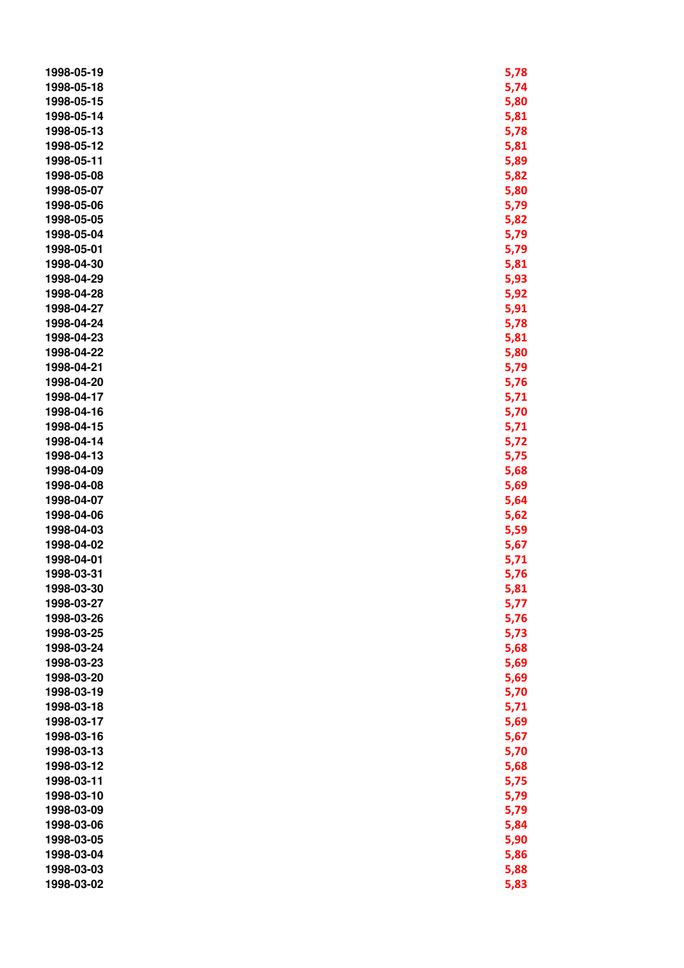| 1998-05-19 | 5,78         |
|------------|--------------|
| 1998-05-18 | 5,74         |
| 1998-05-15 | 5,80         |
| 1998-05-14 | 5,81         |
| 1998-05-13 | 5,78         |
| 1998-05-12 | 5,81         |
| 1998-05-11 | 5,89         |
| 1998-05-08 | 5,82         |
| 1998-05-07 | 5,80         |
| 1998-05-06 | 5,79         |
| 1998-05-05 | 5,82         |
| 1998-05-04 | 5,79         |
| 1998-05-01 | 5,79         |
| 1998-04-30 | 5,81         |
| 1998-04-29 | 5,93         |
| 1998-04-28 | 5,92         |
| 1998-04-27 | 5,91         |
| 1998-04-24 | 5,78         |
| 1998-04-23 | 5,81         |
| 1998-04-22 | 5,80         |
| 1998-04-21 | 5,79         |
| 1998-04-20 | 5,76         |
| 1998-04-17 | 5,71         |
| 1998-04-16 | 5,70         |
| 1998-04-15 | 5,71         |
| 1998-04-14 | 5,72         |
| 1998-04-13 | 5,75         |
| 1998-04-09 | 5,68         |
| 1998-04-08 | 5,69         |
| 1998-04-07 | 5,64         |
| 1998-04-06 | 5,62         |
| 1998-04-03 | 5,59         |
| 1998-04-02 | 5,67         |
| 1998-04-01 | 5,71         |
| 1998-03-31 | 5,76         |
| 1998-03-30 | 5,81         |
| 1998-03-27 | 5,77         |
| 1998-03-26 | 5,76         |
| 1998-03-25 | 5,73         |
| 1998-03-24 | 5,68         |
| 1998-03-23 | 5,69         |
| 1998-03-20 | 5,69         |
| 1998-03-19 | 5,70         |
| 1998-03-18 | 5,71         |
| 1998-03-17 | 5,69         |
| 1998-03-16 | 5,67         |
| 1998-03-13 | 5,70         |
| 1998-03-12 | 5,68         |
| 1998-03-11 | 5,75         |
| 1998-03-10 | 5,79         |
| 1998-03-09 | 5,79         |
| 1998-03-06 | 5,84         |
| 1998-03-05 |              |
| 1998-03-04 | 5,90<br>5,86 |
| 1998-03-03 |              |
|            | 5,88         |
| 1998-03-02 | 5,83         |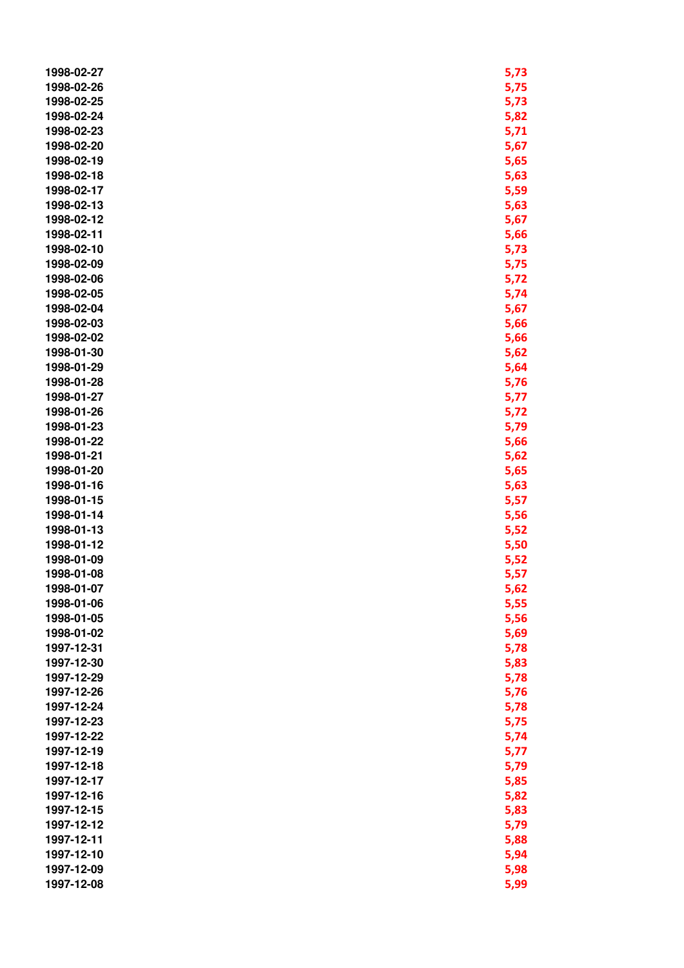| 1998-02-27 | 5,73 |
|------------|------|
| 1998-02-26 | 5,75 |
| 1998-02-25 | 5,73 |
| 1998-02-24 | 5,82 |
| 1998-02-23 | 5,71 |
| 1998-02-20 | 5,67 |
| 1998-02-19 | 5,65 |
| 1998-02-18 | 5,63 |
| 1998-02-17 | 5,59 |
| 1998-02-13 | 5,63 |
| 1998-02-12 | 5,67 |
| 1998-02-11 | 5,66 |
| 1998-02-10 | 5,73 |
| 1998-02-09 | 5,75 |
| 1998-02-06 | 5,72 |
| 1998-02-05 | 5,74 |
| 1998-02-04 | 5,67 |
| 1998-02-03 | 5,66 |
| 1998-02-02 | 5,66 |
| 1998-01-30 | 5,62 |
| 1998-01-29 | 5,64 |
| 1998-01-28 | 5,76 |
| 1998-01-27 | 5,77 |
| 1998-01-26 | 5,72 |
| 1998-01-23 | 5,79 |
| 1998-01-22 | 5,66 |
| 1998-01-21 | 5,62 |
| 1998-01-20 | 5,65 |
| 1998-01-16 | 5,63 |
| 1998-01-15 | 5,57 |
| 1998-01-14 | 5,56 |
| 1998-01-13 | 5,52 |
| 1998-01-12 | 5,50 |
| 1998-01-09 | 5,52 |
| 1998-01-08 | 5,57 |
| 1998-01-07 | 5,62 |
| 1998-01-06 | 5,55 |
| 1998-01-05 | 5,56 |
| 1998-01-02 | 5,69 |
| 1997-12-31 | 5,78 |
| 1997-12-30 | 5,83 |
| 1997-12-29 | 5,78 |
| 1997-12-26 | 5,76 |
| 1997-12-24 | 5,78 |
| 1997-12-23 | 5,75 |
| 1997-12-22 | 5,74 |
| 1997-12-19 | 5,77 |
| 1997-12-18 | 5,79 |
| 1997-12-17 | 5,85 |
| 1997-12-16 | 5,82 |
| 1997-12-15 | 5,83 |
| 1997-12-12 | 5,79 |
| 1997-12-11 | 5,88 |
| 1997-12-10 | 5,94 |
| 1997-12-09 | 5,98 |
| 1997-12-08 | 5,99 |
|            |      |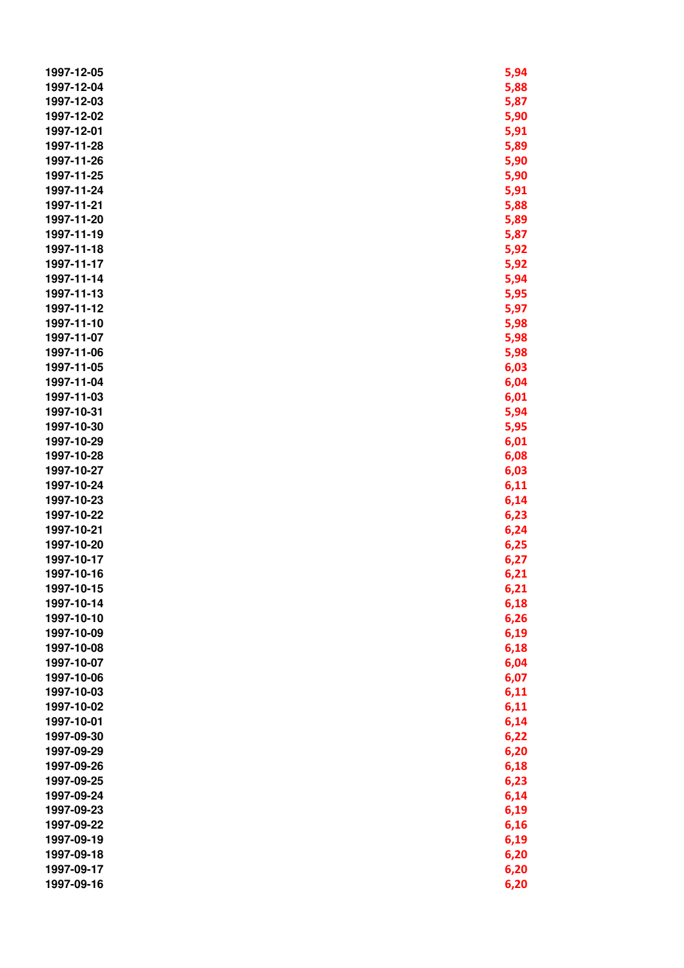| 1997-12-05 | 5,94 |
|------------|------|
| 1997-12-04 | 5,88 |
| 1997-12-03 | 5,87 |
| 1997-12-02 | 5,90 |
| 1997-12-01 | 5,91 |
| 1997-11-28 | 5,89 |
| 1997-11-26 | 5,90 |
| 1997-11-25 | 5,90 |
| 1997-11-24 | 5,91 |
| 1997-11-21 |      |
|            | 5,88 |
| 1997-11-20 | 5,89 |
| 1997-11-19 | 5,87 |
| 1997-11-18 | 5,92 |
| 1997-11-17 | 5,92 |
| 1997-11-14 | 5,94 |
| 1997-11-13 | 5,95 |
| 1997-11-12 | 5,97 |
| 1997-11-10 | 5,98 |
| 1997-11-07 | 5,98 |
| 1997-11-06 | 5,98 |
| 1997-11-05 | 6,03 |
| 1997-11-04 | 6,04 |
| 1997-11-03 | 6,01 |
| 1997-10-31 | 5,94 |
| 1997-10-30 | 5,95 |
| 1997-10-29 | 6,01 |
| 1997-10-28 | 6,08 |
| 1997-10-27 | 6,03 |
| 1997-10-24 | 6,11 |
| 1997-10-23 | 6,14 |
| 1997-10-22 | 6,23 |
| 1997-10-21 | 6,24 |
| 1997-10-20 | 6,25 |
| 1997-10-17 | 6,27 |
| 1997-10-16 | 6,21 |
| 1997-10-15 | 6,21 |
| 1997-10-14 | 6,18 |
| 1997-10-10 | 6,26 |
| 1997-10-09 | 6,19 |
| 1997-10-08 | 6,18 |
| 1997-10-07 | 6,04 |
| 1997-10-06 |      |
| 1997-10-03 | 6,07 |
|            | 6,11 |
| 1997-10-02 | 6,11 |
| 1997-10-01 | 6,14 |
| 1997-09-30 | 6,22 |
| 1997-09-29 | 6,20 |
| 1997-09-26 | 6,18 |
| 1997-09-25 | 6,23 |
| 1997-09-24 | 6,14 |
| 1997-09-23 | 6,19 |
| 1997-09-22 | 6,16 |
| 1997-09-19 | 6,19 |
| 1997-09-18 | 6,20 |
| 1997-09-17 | 6,20 |
| 1997-09-16 | 6,20 |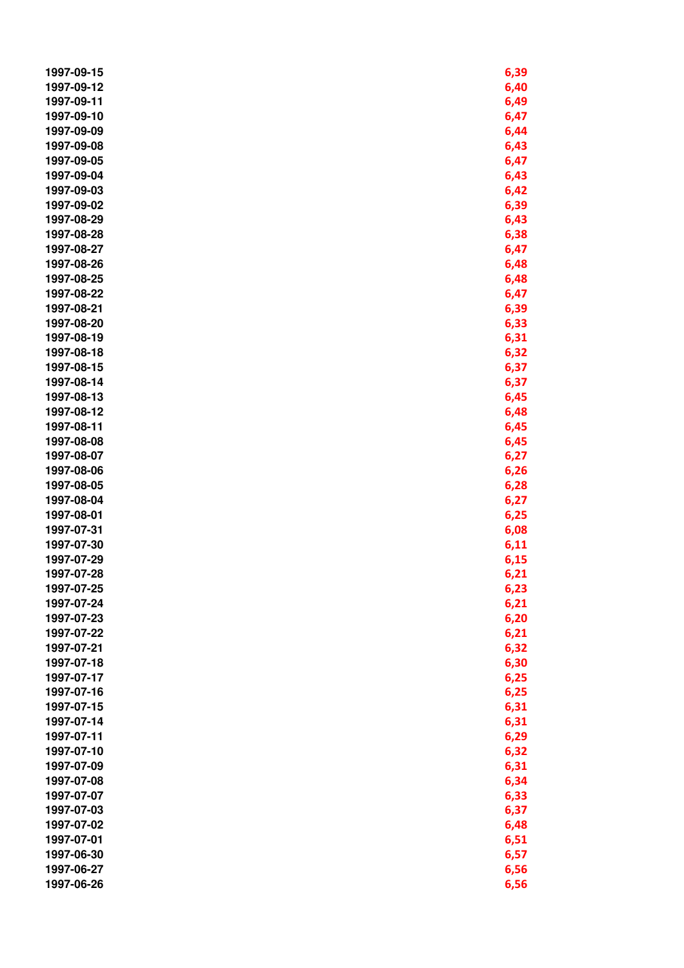| 1997-09-15               | 6,39         |
|--------------------------|--------------|
| 1997-09-12               | 6,40         |
| 1997-09-11               | 6,49         |
| 1997-09-10               | 6,47         |
| 1997-09-09               | 6,44         |
| 1997-09-08               | 6,43         |
| 1997-09-05               | 6,47         |
| 1997-09-04               | 6,43         |
| 1997-09-03               | 6,42         |
| 1997-09-02               | 6,39         |
| 1997-08-29               | 6,43         |
| 1997-08-28               | 6,38         |
| 1997-08-27               | 6,47         |
| 1997-08-26               | 6,48         |
| 1997-08-25               | 6,48         |
| 1997-08-22               | 6,47         |
| 1997-08-21               | 6,39         |
| 1997-08-20               | 6,33         |
| 1997-08-19               | 6,31         |
| 1997-08-18               | 6,32         |
| 1997-08-15               | 6,37         |
| 1997-08-14               | 6,37         |
| 1997-08-13               | 6,45         |
| 1997-08-12               | 6,48         |
| 1997-08-11               | 6,45         |
| 1997-08-08               | 6,45         |
| 1997-08-07               | 6,27         |
| 1997-08-06               | 6,26         |
| 1997-08-05               | 6,28         |
| 1997-08-04               | 6,27         |
| 1997-08-01               | 6,25         |
| 1997-07-31               | 6,08         |
| 1997-07-30               | 6,11         |
| 1997-07-29               | 6,15         |
| 1997-07-28               | 6,21         |
| 1997-07-25               |              |
| 1997-07-24               | 6,23<br>6,21 |
| 1997-07-23               | 6,20         |
| 1997-07-22               | 6,21         |
| 1997-07-21               | 6,32         |
| 1997-07-18               | 6,30         |
| 1997-07-17               | 6,25         |
| 1997-07-16               | 6,25         |
| 1997-07-15               |              |
| 1997-07-14               | 6,31<br>6,31 |
| 1997-07-11               |              |
| 1997-07-10               | 6,29         |
|                          | 6,32         |
| 1997-07-09<br>1997-07-08 | 6,31         |
| 1997-07-07               | 6,34         |
|                          | 6,33         |
| 1997-07-03               | 6,37         |
| 1997-07-02<br>1997-07-01 | 6,48         |
| 1997-06-30               | 6,51         |
| 1997-06-27               | 6,57         |
| 1997-06-26               | 6,56         |
|                          | 6,56         |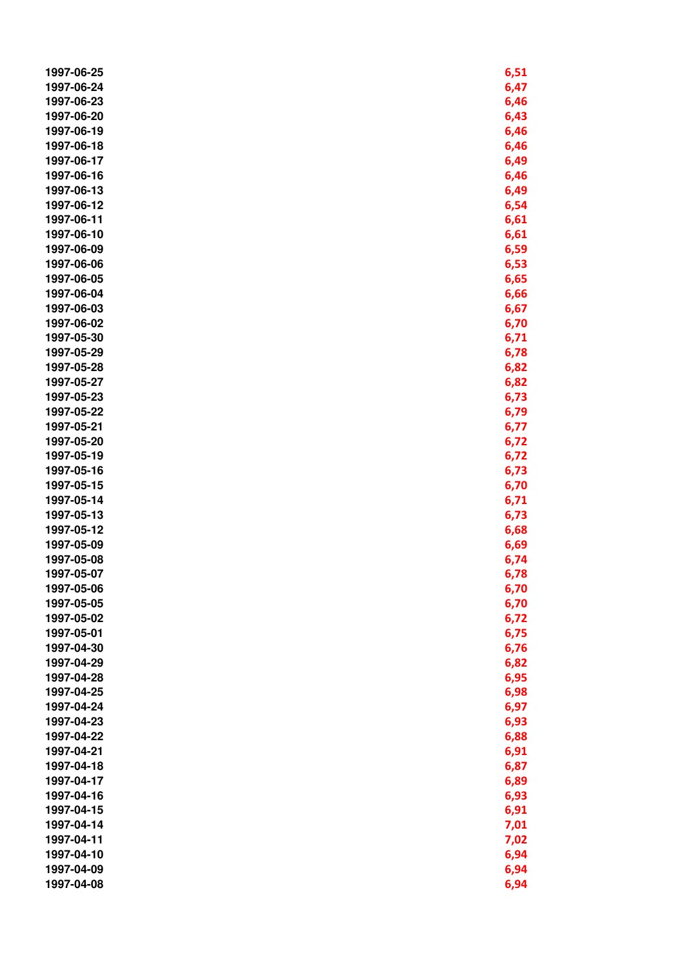| 1997-06-25 | 6,51         |
|------------|--------------|
| 1997-06-24 | 6,47         |
| 1997-06-23 | 6,46         |
| 1997-06-20 | 6,43         |
| 1997-06-19 | 6,46         |
| 1997-06-18 | 6,46         |
| 1997-06-17 | 6,49         |
| 1997-06-16 | 6,46         |
| 1997-06-13 | 6,49         |
| 1997-06-12 | 6,54         |
| 1997-06-11 | 6,61         |
| 1997-06-10 | 6,61         |
| 1997-06-09 | 6,59         |
| 1997-06-06 | 6,53         |
| 1997-06-05 | 6,65         |
| 1997-06-04 | 6,66         |
| 1997-06-03 | 6,67         |
| 1997-06-02 | 6,70         |
| 1997-05-30 | 6,71         |
| 1997-05-29 | 6,78         |
| 1997-05-28 | 6,82         |
| 1997-05-27 | 6,82         |
| 1997-05-23 | 6,73         |
| 1997-05-22 | 6,79         |
| 1997-05-21 | 6,77         |
| 1997-05-20 | 6,72         |
| 1997-05-19 | 6,72         |
| 1997-05-16 | 6,73         |
| 1997-05-15 | 6,70         |
| 1997-05-14 | 6,71         |
| 1997-05-13 | 6,73         |
| 1997-05-12 | 6,68         |
| 1997-05-09 | 6,69         |
| 1997-05-08 | 6,74         |
| 1997-05-07 | 6,78         |
| 1997-05-06 |              |
| 1997-05-05 | 6,70<br>6,70 |
| 1997-05-02 | 6,72         |
| 1997-05-01 | 6,75         |
| 1997-04-30 | 6,76         |
| 1997-04-29 | 6,82         |
| 1997-04-28 | 6,95         |
| 1997-04-25 | 6,98         |
| 1997-04-24 |              |
| 1997-04-23 | 6,97<br>6,93 |
| 1997-04-22 | 6,88         |
| 1997-04-21 |              |
| 1997-04-18 | 6,91<br>6,87 |
| 1997-04-17 | 6,89         |
| 1997-04-16 |              |
| 1997-04-15 | 6,93         |
| 1997-04-14 | 6,91         |
| 1997-04-11 | 7,01         |
| 1997-04-10 | 7,02         |
| 1997-04-09 | 6,94         |
| 1997-04-08 | 6,94         |
|            | 6,94         |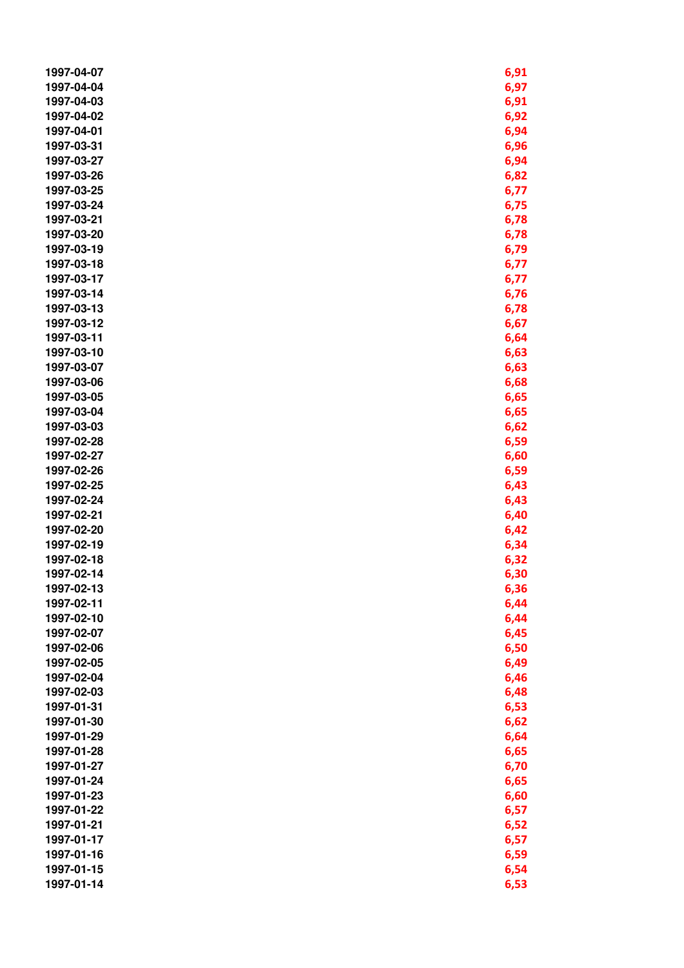| 1997-04-07 | 6,91         |
|------------|--------------|
| 1997-04-04 | 6,97         |
| 1997-04-03 | 6,91         |
| 1997-04-02 | 6,92         |
| 1997-04-01 | 6,94         |
| 1997-03-31 | 6,96         |
| 1997-03-27 | 6,94         |
| 1997-03-26 | 6,82         |
| 1997-03-25 | 6,77         |
| 1997-03-24 | 6,75         |
| 1997-03-21 | 6,78         |
| 1997-03-20 | 6,78         |
| 1997-03-19 | 6,79         |
| 1997-03-18 | 6,77         |
| 1997-03-17 | 6,77         |
| 1997-03-14 | 6,76         |
| 1997-03-13 | 6,78         |
| 1997-03-12 | 6,67         |
| 1997-03-11 | 6,64         |
| 1997-03-10 | 6,63         |
| 1997-03-07 | 6,63         |
| 1997-03-06 | 6,68         |
| 1997-03-05 |              |
| 1997-03-04 | 6,65<br>6,65 |
| 1997-03-03 | 6,62         |
| 1997-02-28 | 6,59         |
| 1997-02-27 | 6,60         |
| 1997-02-26 | 6,59         |
| 1997-02-25 | 6,43         |
| 1997-02-24 | 6,43         |
| 1997-02-21 | 6,40         |
| 1997-02-20 | 6,42         |
| 1997-02-19 | 6,34         |
| 1997-02-18 | 6,32         |
| 1997-02-14 | 6,30         |
| 1997-02-13 | 6,36         |
| 1997-02-11 | 6,44         |
| 1997-02-10 | 6,44         |
| 1997-02-07 | 6,45         |
| 1997-02-06 | 6,50         |
| 1997-02-05 | 6,49         |
| 1997-02-04 | 6,46         |
| 1997-02-03 | 6,48         |
| 1997-01-31 | 6,53         |
| 1997-01-30 | 6,62         |
| 1997-01-29 | 6,64         |
| 1997-01-28 | 6,65         |
| 1997-01-27 | 6,70         |
| 1997-01-24 | 6,65         |
| 1997-01-23 | 6,60         |
| 1997-01-22 | 6,57         |
| 1997-01-21 | 6,52         |
| 1997-01-17 | 6,57         |
| 1997-01-16 | 6,59         |
| 1997-01-15 | 6,54         |
| 1997-01-14 | 6,53         |
|            |              |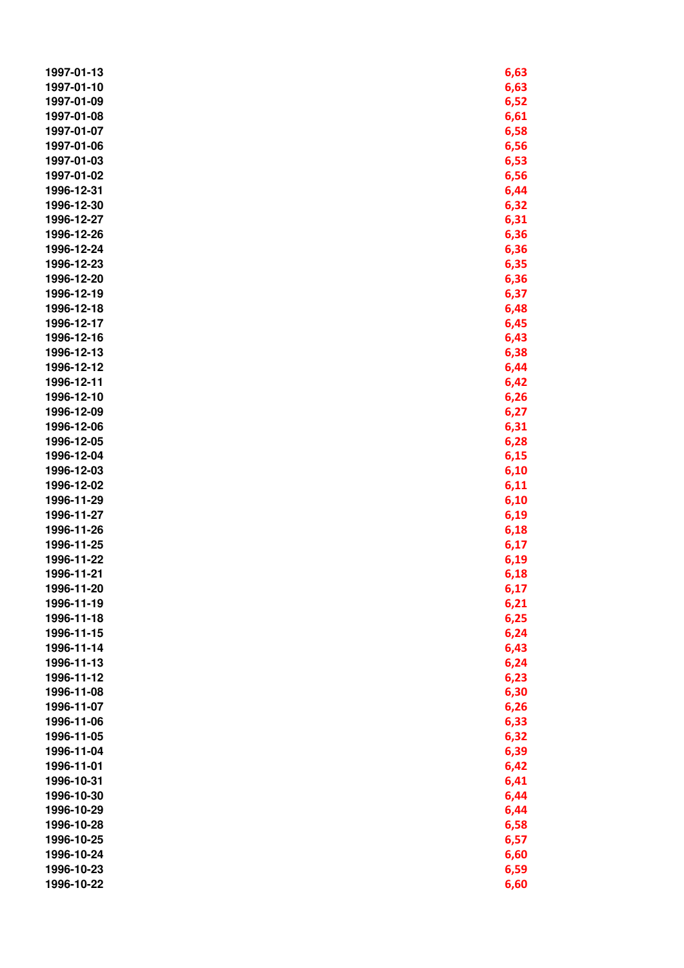| 1997-01-13 | 6,63 |
|------------|------|
| 1997-01-10 | 6,63 |
| 1997-01-09 | 6,52 |
| 1997-01-08 | 6,61 |
| 1997-01-07 | 6,58 |
| 1997-01-06 | 6,56 |
| 1997-01-03 | 6,53 |
| 1997-01-02 | 6,56 |
| 1996-12-31 | 6,44 |
| 1996-12-30 | 6,32 |
| 1996-12-27 |      |
| 1996-12-26 | 6,31 |
|            | 6,36 |
| 1996-12-24 | 6,36 |
| 1996-12-23 | 6,35 |
| 1996-12-20 | 6,36 |
| 1996-12-19 | 6,37 |
| 1996-12-18 | 6,48 |
| 1996-12-17 | 6,45 |
| 1996-12-16 | 6,43 |
| 1996-12-13 | 6,38 |
| 1996-12-12 | 6,44 |
| 1996-12-11 | 6,42 |
| 1996-12-10 | 6,26 |
| 1996-12-09 | 6,27 |
| 1996-12-06 | 6,31 |
| 1996-12-05 | 6,28 |
| 1996-12-04 | 6,15 |
| 1996-12-03 | 6,10 |
| 1996-12-02 | 6,11 |
| 1996-11-29 | 6,10 |
| 1996-11-27 | 6,19 |
| 1996-11-26 | 6,18 |
| 1996-11-25 | 6,17 |
| 1996-11-22 | 6,19 |
| 1996-11-21 | 6,18 |
| 1996-11-20 | 6,17 |
| 1996-11-19 | 6,21 |
| 1996-11-18 | 6,25 |
| 1996-11-15 | 6,24 |
| 1996-11-14 | 6,43 |
| 1996-11-13 | 6,24 |
| 1996-11-12 | 6,23 |
| 1996-11-08 | 6,30 |
| 1996-11-07 | 6,26 |
| 1996-11-06 | 6,33 |
| 1996-11-05 | 6,32 |
| 1996-11-04 | 6,39 |
| 1996-11-01 | 6,42 |
| 1996-10-31 | 6,41 |
| 1996-10-30 | 6,44 |
| 1996-10-29 | 6,44 |
| 1996-10-28 | 6,58 |
| 1996-10-25 | 6,57 |
| 1996-10-24 | 6,60 |
|            |      |
| 1996-10-23 | 6,59 |
| 1996-10-22 | 6,60 |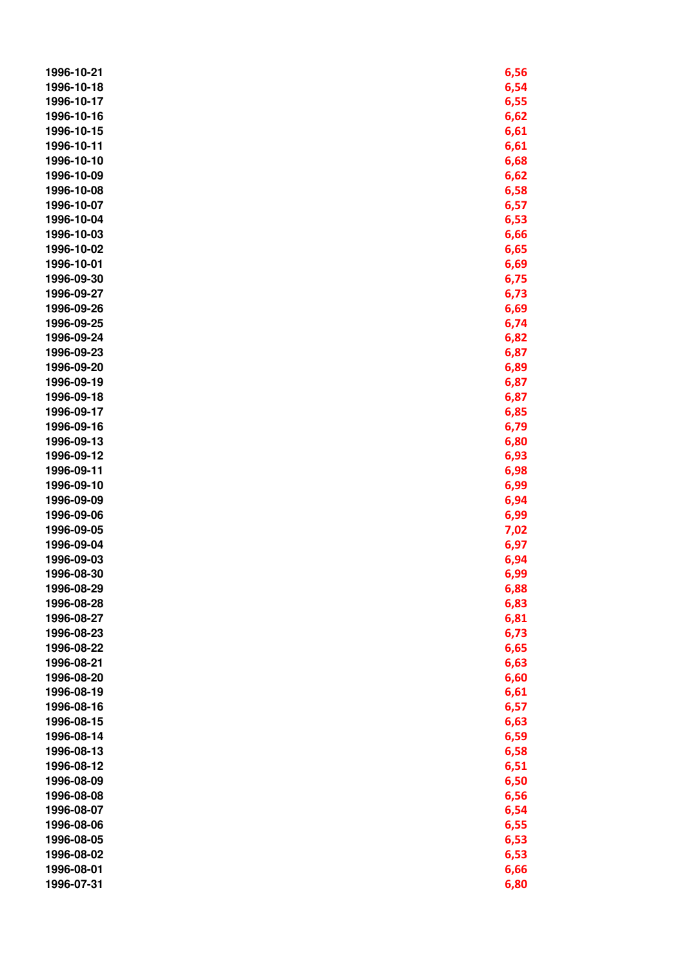| 1996-10-21               | 6,56         |
|--------------------------|--------------|
| 1996-10-18               | 6,54         |
| 1996-10-17               | 6,55         |
| 1996-10-16               | 6,62         |
| 1996-10-15               | 6,61         |
| 1996-10-11               | 6,61         |
| 1996-10-10               | 6,68         |
| 1996-10-09               | 6,62         |
| 1996-10-08               | 6,58         |
| 1996-10-07               | 6,57         |
| 1996-10-04               | 6,53         |
| 1996-10-03               | 6,66         |
| 1996-10-02               | 6,65         |
| 1996-10-01               | 6,69         |
| 1996-09-30               | 6,75         |
| 1996-09-27               | 6,73         |
| 1996-09-26               | 6,69         |
| 1996-09-25               | 6,74         |
| 1996-09-24               | 6,82         |
| 1996-09-23               | 6,87         |
| 1996-09-20               | 6,89         |
| 1996-09-19               | 6,87         |
| 1996-09-18               | 6,87         |
| 1996-09-17               | 6,85         |
| 1996-09-16               | 6,79         |
| 1996-09-13               | 6,80         |
| 1996-09-12               | 6,93         |
| 1996-09-11               | 6,98         |
| 1996-09-10               | 6,99         |
| 1996-09-09               | 6,94         |
| 1996-09-06               | 6,99         |
| 1996-09-05               | 7,02         |
| 1996-09-04               | 6,97         |
| 1996-09-03               | 6,94         |
| 1996-08-30               | 6,99         |
| 1996-08-29               | 6,88         |
| 1996-08-28               | 6,83         |
| 1996-08-27               | 6,81         |
| 1996-08-23               | 6,73         |
| 1996-08-22               | 6,65         |
| 1996-08-21               | 6,63         |
| 1996-08-20               | 6,60         |
| 1996-08-19               | 6,61         |
| 1996-08-16               |              |
| 1996-08-15               | 6,57<br>6,63 |
| 1996-08-14               |              |
|                          | 6,59         |
| 1996-08-13<br>1996-08-12 | 6,58         |
| 1996-08-09               | 6,51         |
| 1996-08-08               | 6,50         |
|                          | 6,56         |
| 1996-08-07               | 6,54         |
| 1996-08-06               | 6,55         |
| 1996-08-05               | 6,53         |
| 1996-08-02               | 6,53         |
| 1996-08-01               | 6,66         |
| 1996-07-31               | 6,80         |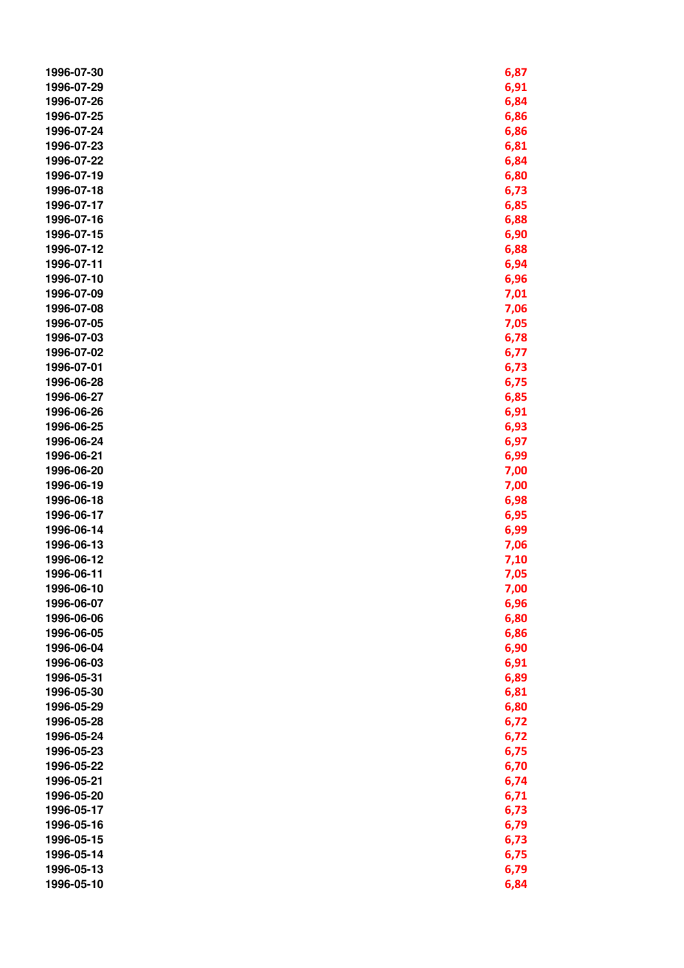| 1996-07-30 | 6,87 |
|------------|------|
| 1996-07-29 | 6,91 |
| 1996-07-26 | 6,84 |
| 1996-07-25 | 6,86 |
| 1996-07-24 | 6,86 |
| 1996-07-23 | 6,81 |
| 1996-07-22 | 6,84 |
| 1996-07-19 | 6,80 |
| 1996-07-18 | 6,73 |
| 1996-07-17 | 6,85 |
| 1996-07-16 | 6,88 |
| 1996-07-15 | 6,90 |
| 1996-07-12 | 6,88 |
| 1996-07-11 | 6,94 |
| 1996-07-10 | 6,96 |
| 1996-07-09 | 7,01 |
| 1996-07-08 | 7,06 |
| 1996-07-05 |      |
|            | 7,05 |
| 1996-07-03 | 6,78 |
| 1996-07-02 | 6,77 |
| 1996-07-01 | 6,73 |
| 1996-06-28 | 6,75 |
| 1996-06-27 | 6,85 |
| 1996-06-26 | 6,91 |
| 1996-06-25 | 6,93 |
| 1996-06-24 | 6,97 |
| 1996-06-21 | 6,99 |
| 1996-06-20 | 7,00 |
| 1996-06-19 | 7,00 |
| 1996-06-18 | 6,98 |
| 1996-06-17 | 6,95 |
| 1996-06-14 | 6,99 |
| 1996-06-13 | 7,06 |
| 1996-06-12 | 7,10 |
| 1996-06-11 | 7,05 |
| 1996-06-10 | 7,00 |
| 1996-06-07 | 6,96 |
| 1996-06-06 | 6,80 |
| 1996-06-05 | 6,86 |
| 1996-06-04 | 6,90 |
| 1996-06-03 | 6,91 |
| 1996-05-31 | 6,89 |
| 1996-05-30 | 6,81 |
| 1996-05-29 | 6,80 |
| 1996-05-28 | 6,72 |
| 1996-05-24 | 6,72 |
| 1996-05-23 | 6,75 |
| 1996-05-22 | 6,70 |
| 1996-05-21 | 6,74 |
| 1996-05-20 | 6,71 |
| 1996-05-17 | 6,73 |
| 1996-05-16 | 6,79 |
| 1996-05-15 | 6,73 |
| 1996-05-14 |      |
|            | 6,75 |
| 1996-05-13 | 6,79 |
| 1996-05-10 | 6,84 |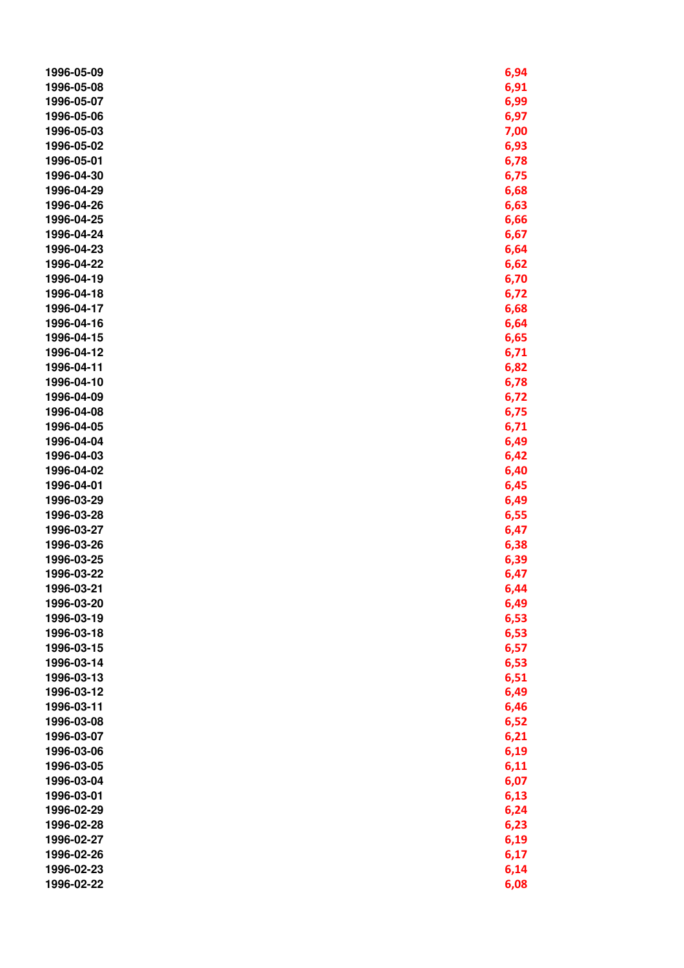| 1996-05-09               | 6,94         |
|--------------------------|--------------|
| 1996-05-08               | 6,91         |
| 1996-05-07               | 6,99         |
| 1996-05-06               | 6,97         |
| 1996-05-03               | 7,00         |
| 1996-05-02               | 6,93         |
| 1996-05-01               | 6,78         |
| 1996-04-30               | 6,75         |
| 1996-04-29               | 6,68         |
| 1996-04-26               | 6,63         |
| 1996-04-25               | 6,66         |
| 1996-04-24               | 6,67         |
| 1996-04-23               | 6,64         |
| 1996-04-22               | 6,62         |
| 1996-04-19               | 6,70         |
| 1996-04-18               | 6,72         |
| 1996-04-17               | 6,68         |
| 1996-04-16               | 6,64         |
| 1996-04-15               | 6,65         |
| 1996-04-12               | 6,71         |
| 1996-04-11               | 6,82         |
| 1996-04-10               | 6,78         |
| 1996-04-09               | 6,72         |
| 1996-04-08               | 6,75         |
| 1996-04-05               | 6,71         |
| 1996-04-04               | 6,49         |
| 1996-04-03               | 6,42         |
| 1996-04-02               | 6,40         |
| 1996-04-01               | 6,45         |
| 1996-03-29               | 6,49         |
| 1996-03-28               | 6,55         |
| 1996-03-27               | 6,47         |
| 1996-03-26               | 6,38         |
| 1996-03-25               | 6,39         |
| 1996-03-22               | 6,47         |
| 1996-03-21               | 6,44         |
| 1996-03-20               | 6,49         |
| 1996-03-19               | 6,53         |
| 1996-03-18               | 6,53         |
| 1996-03-15               | 6,57         |
| 1996-03-14               | 6,53         |
| 1996-03-13               | 6,51         |
| 1996-03-12               | 6,49         |
| 1996-03-11               |              |
| 1996-03-08               | 6,46<br>6,52 |
| 1996-03-07               |              |
|                          | 6,21         |
| 1996-03-06<br>1996-03-05 | 6,19<br>6,11 |
| 1996-03-04               | 6,07         |
| 1996-03-01               |              |
| 1996-02-29               | 6,13         |
| 1996-02-28               | 6,24         |
| 1996-02-27               | 6,23         |
| 1996-02-26               | 6,19         |
| 1996-02-23               | 6,17         |
|                          | 6,14         |
| 1996-02-22               | 6,08         |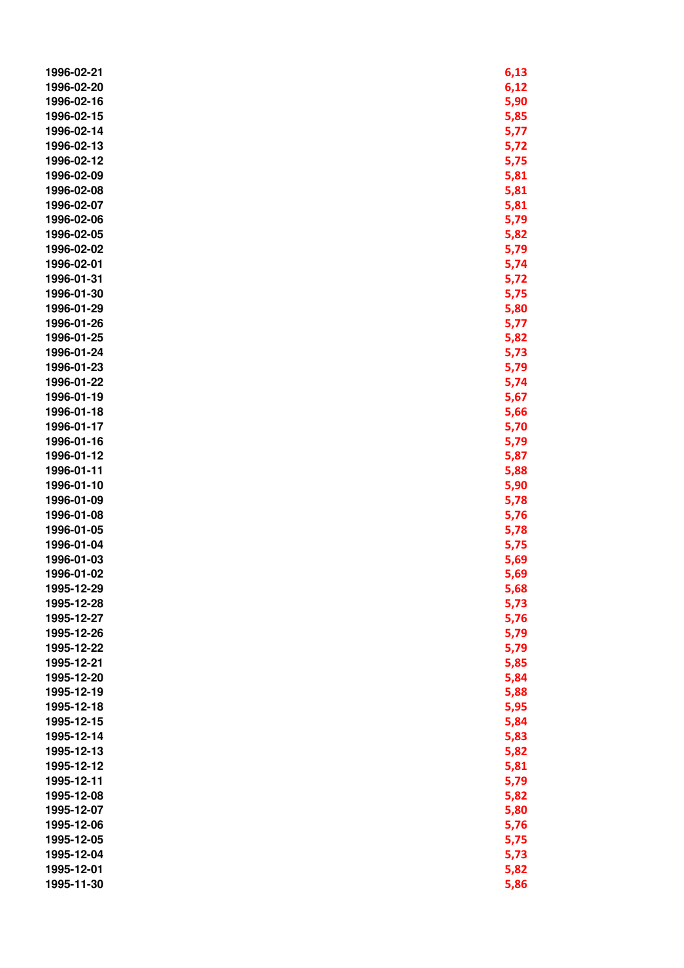| 1996-02-21 | 6,13 |
|------------|------|
| 1996-02-20 | 6,12 |
| 1996-02-16 | 5,90 |
| 1996-02-15 | 5,85 |
| 1996-02-14 | 5,77 |
| 1996-02-13 | 5,72 |
| 1996-02-12 | 5,75 |
| 1996-02-09 | 5,81 |
| 1996-02-08 | 5,81 |
| 1996-02-07 | 5,81 |
| 1996-02-06 | 5,79 |
| 1996-02-05 | 5,82 |
| 1996-02-02 | 5,79 |
| 1996-02-01 | 5,74 |
| 1996-01-31 | 5,72 |
| 1996-01-30 | 5,75 |
| 1996-01-29 | 5,80 |
| 1996-01-26 | 5,77 |
| 1996-01-25 | 5,82 |
| 1996-01-24 | 5,73 |
| 1996-01-23 | 5,79 |
| 1996-01-22 | 5,74 |
| 1996-01-19 | 5,67 |
| 1996-01-18 | 5,66 |
| 1996-01-17 | 5,70 |
| 1996-01-16 | 5,79 |
| 1996-01-12 | 5,87 |
| 1996-01-11 | 5,88 |
| 1996-01-10 | 5,90 |
| 1996-01-09 | 5,78 |
| 1996-01-08 | 5,76 |
| 1996-01-05 | 5,78 |
| 1996-01-04 | 5,75 |
| 1996-01-03 | 5,69 |
| 1996-01-02 | 5,69 |
| 1995-12-29 | 5,68 |
| 1995-12-28 | 5,73 |
| 1995-12-27 | 5,76 |
| 1995-12-26 | 5,79 |
| 1995-12-22 | 5,79 |
| 1995-12-21 | 5,85 |
| 1995-12-20 | 5,84 |
| 1995-12-19 | 5,88 |
| 1995-12-18 | 5,95 |
| 1995-12-15 | 5,84 |
| 1995-12-14 | 5,83 |
| 1995-12-13 | 5,82 |
| 1995-12-12 | 5,81 |
| 1995-12-11 | 5,79 |
| 1995-12-08 | 5,82 |
| 1995-12-07 | 5,80 |
| 1995-12-06 | 5,76 |
| 1995-12-05 | 5,75 |
| 1995-12-04 | 5,73 |
| 1995-12-01 | 5,82 |
| 1995-11-30 | 5,86 |
|            |      |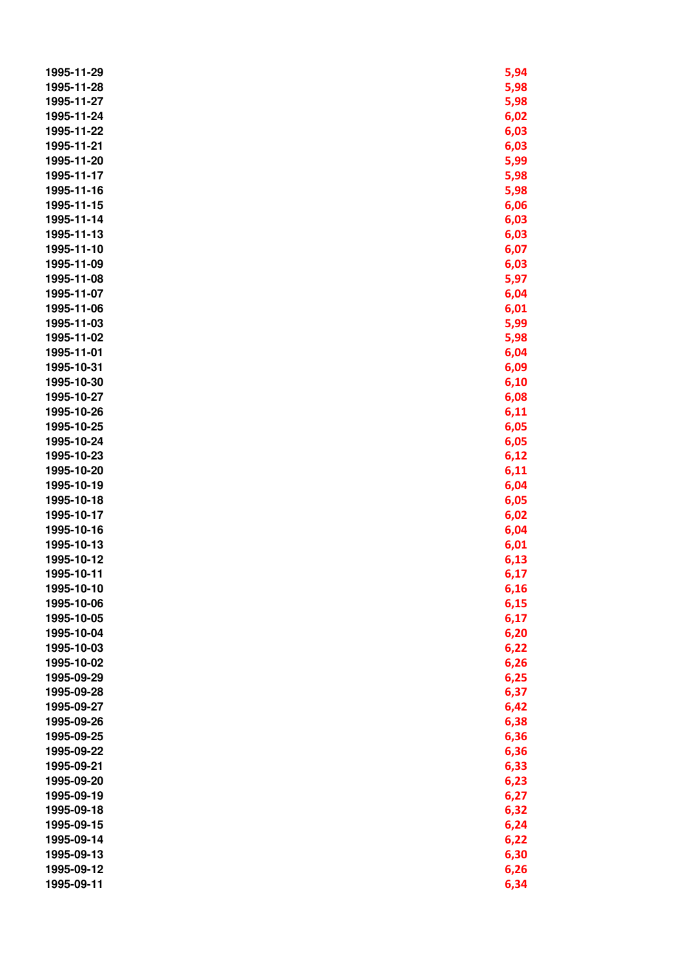| 1995-11-29 | 5,94         |
|------------|--------------|
| 1995-11-28 | 5,98         |
| 1995-11-27 | 5,98         |
| 1995-11-24 | 6,02         |
| 1995-11-22 | 6,03         |
| 1995-11-21 | 6,03         |
| 1995-11-20 | 5,99         |
| 1995-11-17 | 5,98         |
| 1995-11-16 | 5,98         |
| 1995-11-15 | 6,06         |
| 1995-11-14 | 6,03         |
| 1995-11-13 | 6,03         |
| 1995-11-10 | 6,07         |
| 1995-11-09 | 6,03         |
| 1995-11-08 | 5,97         |
| 1995-11-07 | 6,04         |
| 1995-11-06 | 6,01         |
| 1995-11-03 | 5,99         |
| 1995-11-02 | 5,98         |
| 1995-11-01 | 6,04         |
| 1995-10-31 | 6,09         |
| 1995-10-30 | 6,10         |
| 1995-10-27 | 6,08         |
| 1995-10-26 | 6,11         |
| 1995-10-25 | 6,05         |
| 1995-10-24 | 6,05         |
| 1995-10-23 |              |
| 1995-10-20 | 6,12<br>6,11 |
| 1995-10-19 | 6,04         |
| 1995-10-18 | 6,05         |
| 1995-10-17 | 6,02         |
| 1995-10-16 | 6,04         |
| 1995-10-13 | 6,01         |
| 1995-10-12 | 6,13         |
| 1995-10-11 | 6,17         |
| 1995-10-10 | 6,16         |
| 1995-10-06 | 6,15         |
| 1995-10-05 | 6,17         |
| 1995-10-04 | 6,20         |
| 1995-10-03 | 6,22         |
| 1995-10-02 | 6,26         |
| 1995-09-29 | 6,25         |
| 1995-09-28 | 6,37         |
| 1995-09-27 |              |
| 1995-09-26 | 6,42<br>6,38 |
| 1995-09-25 | 6,36         |
| 1995-09-22 |              |
| 1995-09-21 | 6,36<br>6,33 |
| 1995-09-20 | 6,23         |
| 1995-09-19 | 6,27         |
| 1995-09-18 | 6,32         |
| 1995-09-15 | 6,24         |
| 1995-09-14 | 6,22         |
| 1995-09-13 | 6,30         |
| 1995-09-12 | 6,26         |
| 1995-09-11 | 6,34         |
|            |              |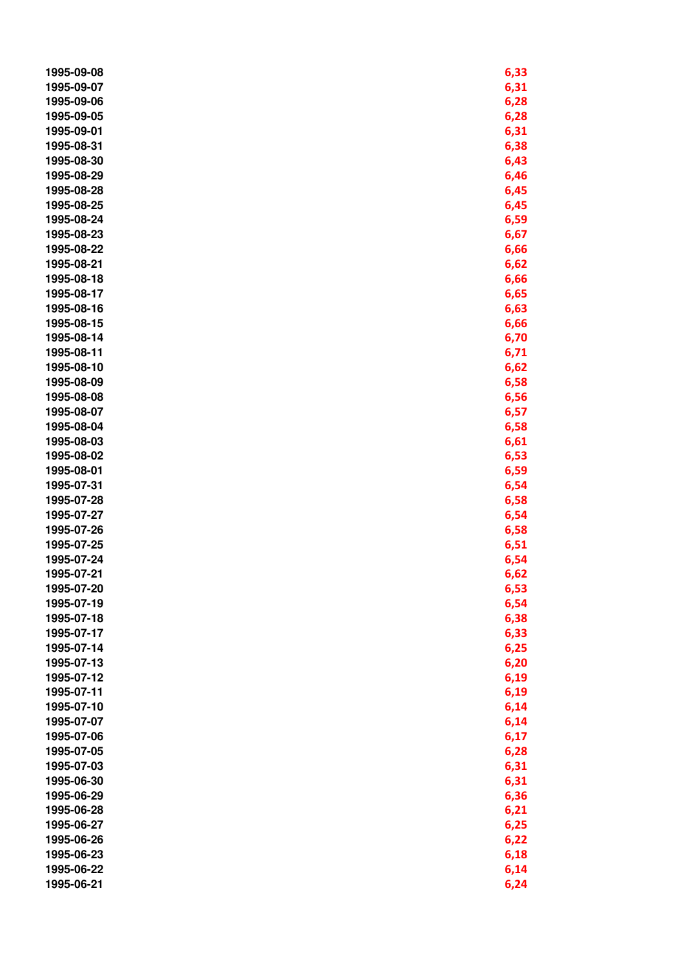| 1995-09-08 | 6,33 |
|------------|------|
| 1995-09-07 | 6,31 |
| 1995-09-06 | 6,28 |
| 1995-09-05 | 6,28 |
| 1995-09-01 | 6,31 |
| 1995-08-31 | 6,38 |
| 1995-08-30 | 6,43 |
| 1995-08-29 | 6,46 |
| 1995-08-28 | 6,45 |
| 1995-08-25 | 6,45 |
| 1995-08-24 | 6,59 |
| 1995-08-23 | 6,67 |
| 1995-08-22 | 6,66 |
| 1995-08-21 | 6,62 |
| 1995-08-18 | 6,66 |
| 1995-08-17 | 6,65 |
| 1995-08-16 | 6,63 |
| 1995-08-15 | 6,66 |
| 1995-08-14 | 6,70 |
| 1995-08-11 | 6,71 |
| 1995-08-10 | 6,62 |
| 1995-08-09 | 6,58 |
| 1995-08-08 | 6,56 |
| 1995-08-07 | 6,57 |
| 1995-08-04 | 6,58 |
| 1995-08-03 | 6,61 |
| 1995-08-02 | 6,53 |
| 1995-08-01 | 6,59 |
| 1995-07-31 | 6,54 |
| 1995-07-28 | 6,58 |
| 1995-07-27 | 6,54 |
| 1995-07-26 | 6,58 |
| 1995-07-25 | 6,51 |
| 1995-07-24 | 6,54 |
| 1995-07-21 | 6,62 |
| 1995-07-20 | 6,53 |
| 1995-07-19 | 6,54 |
| 1995-07-18 | 6,38 |
| 1995-07-17 | 6,33 |
| 1995-07-14 | 6,25 |
| 1995-07-13 | 6,20 |
| 1995-07-12 | 6,19 |
| 1995-07-11 | 6,19 |
| 1995-07-10 | 6,14 |
| 1995-07-07 | 6,14 |
| 1995-07-06 | 6,17 |
| 1995-07-05 | 6,28 |
| 1995-07-03 | 6,31 |
| 1995-06-30 | 6,31 |
| 1995-06-29 | 6,36 |
| 1995-06-28 | 6,21 |
| 1995-06-27 | 6,25 |
| 1995-06-26 | 6,22 |
| 1995-06-23 | 6,18 |
| 1995-06-22 | 6,14 |
| 1995-06-21 | 6,24 |
|            |      |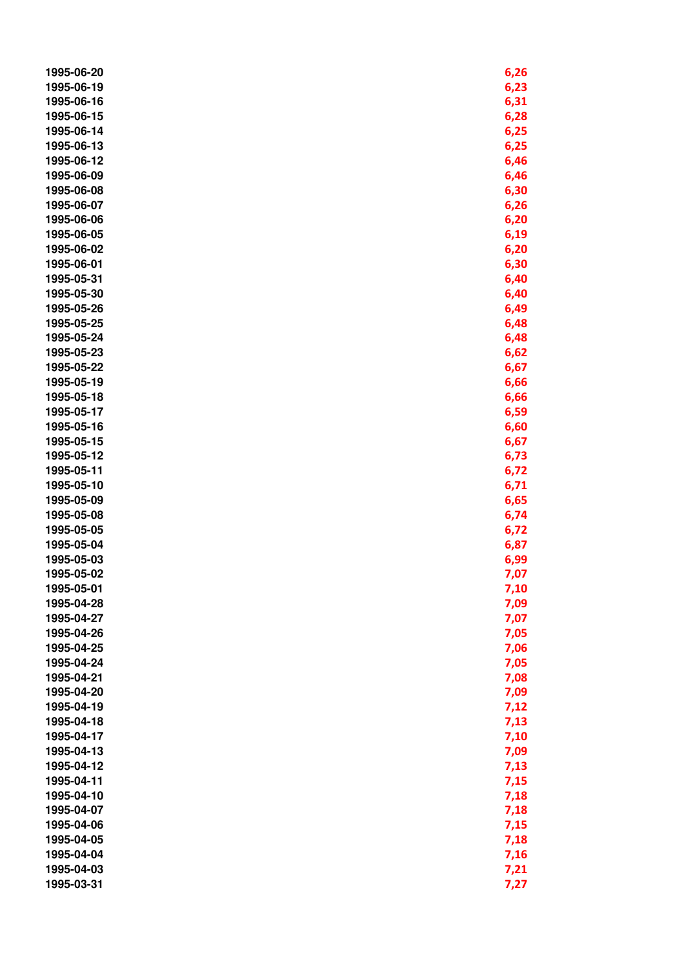| 1995-06-20 | 6,26         |
|------------|--------------|
| 1995-06-19 | 6,23         |
| 1995-06-16 | 6,31         |
| 1995-06-15 | 6,28         |
| 1995-06-14 | 6,25         |
| 1995-06-13 | 6,25         |
| 1995-06-12 | 6,46         |
| 1995-06-09 | 6,46         |
| 1995-06-08 | 6,30         |
| 1995-06-07 | 6,26         |
| 1995-06-06 | 6,20         |
| 1995-06-05 | 6,19         |
| 1995-06-02 | 6,20         |
| 1995-06-01 | 6,30         |
| 1995-05-31 | 6,40         |
| 1995-05-30 | 6,40         |
| 1995-05-26 | 6,49         |
| 1995-05-25 | 6,48         |
| 1995-05-24 | 6,48         |
| 1995-05-23 | 6,62         |
| 1995-05-22 | 6,67         |
| 1995-05-19 | 6,66         |
| 1995-05-18 | 6,66         |
| 1995-05-17 | 6,59         |
| 1995-05-16 | 6,60         |
| 1995-05-15 | 6,67         |
| 1995-05-12 | 6,73         |
| 1995-05-11 | 6,72         |
| 1995-05-10 | 6,71         |
| 1995-05-09 | 6,65         |
| 1995-05-08 | 6,74         |
| 1995-05-05 | 6,72         |
| 1995-05-04 | 6,87         |
| 1995-05-03 | 6,99         |
| 1995-05-02 | 7,07         |
| 1995-05-01 | 7,10         |
| 1995-04-28 | 7,09         |
| 1995-04-27 | 7,07         |
| 1995-04-26 | 7,05         |
| 1995-04-25 | 7,06         |
| 1995-04-24 | 7,05         |
| 1995-04-21 | 7,08         |
| 1995-04-20 | 7,09         |
| 1995-04-19 | 7,12         |
| 1995-04-18 | 7,13         |
| 1995-04-17 | 7,10         |
| 1995-04-13 | 7,09         |
| 1995-04-12 |              |
| 1995-04-11 | 7,13<br>7,15 |
| 1995-04-10 |              |
| 1995-04-07 | 7,18         |
| 1995-04-06 | 7,18         |
| 1995-04-05 | 7,15         |
| 1995-04-04 | 7,18         |
| 1995-04-03 | 7,16         |
|            | 7,21         |
| 1995-03-31 | 7,27         |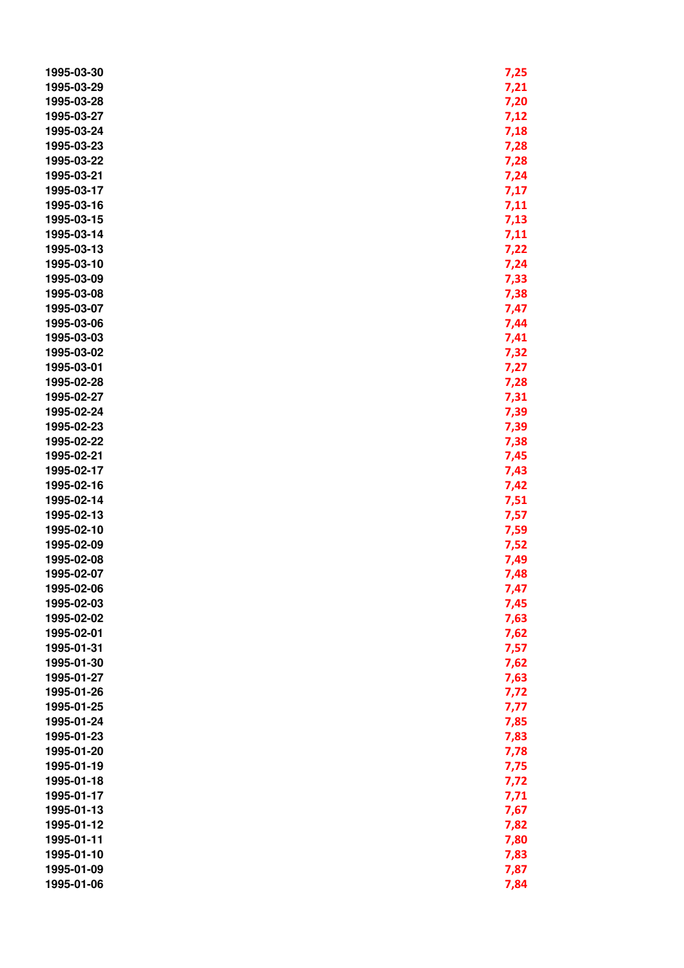| 1995-03-30 | 7,25 |
|------------|------|
| 1995-03-29 | 7,21 |
| 1995-03-28 | 7,20 |
| 1995-03-27 | 7,12 |
| 1995-03-24 | 7,18 |
| 1995-03-23 | 7,28 |
| 1995-03-22 | 7,28 |
| 1995-03-21 | 7,24 |
| 1995-03-17 | 7,17 |
| 1995-03-16 | 7,11 |
| 1995-03-15 | 7,13 |
| 1995-03-14 | 7,11 |
| 1995-03-13 | 7,22 |
| 1995-03-10 | 7,24 |
| 1995-03-09 | 7,33 |
| 1995-03-08 | 7,38 |
| 1995-03-07 | 7,47 |
| 1995-03-06 | 7,44 |
| 1995-03-03 | 7,41 |
| 1995-03-02 | 7,32 |
| 1995-03-01 | 7,27 |
| 1995-02-28 | 7,28 |
| 1995-02-27 | 7,31 |
| 1995-02-24 | 7,39 |
| 1995-02-23 | 7,39 |
| 1995-02-22 | 7,38 |
| 1995-02-21 | 7,45 |
| 1995-02-17 | 7,43 |
| 1995-02-16 | 7,42 |
| 1995-02-14 | 7,51 |
| 1995-02-13 | 7,57 |
| 1995-02-10 | 7,59 |
| 1995-02-09 | 7,52 |
| 1995-02-08 | 7,49 |
| 1995-02-07 | 7,48 |
| 1995-02-06 | 7,47 |
| 1995-02-03 | 7,45 |
| 1995-02-02 | 7,63 |
| 1995-02-01 | 7,62 |
| 1995-01-31 | 7,57 |
| 1995-01-30 | 7,62 |
| 1995-01-27 | 7,63 |
| 1995-01-26 | 7,72 |
| 1995-01-25 | 7,77 |
| 1995-01-24 | 7,85 |
| 1995-01-23 | 7,83 |
| 1995-01-20 | 7,78 |
| 1995-01-19 | 7,75 |
| 1995-01-18 | 7,72 |
| 1995-01-17 | 7,71 |
| 1995-01-13 | 7,67 |
| 1995-01-12 | 7,82 |
| 1995-01-11 | 7,80 |
| 1995-01-10 | 7,83 |
| 1995-01-09 | 7,87 |
| 1995-01-06 | 7,84 |
|            |      |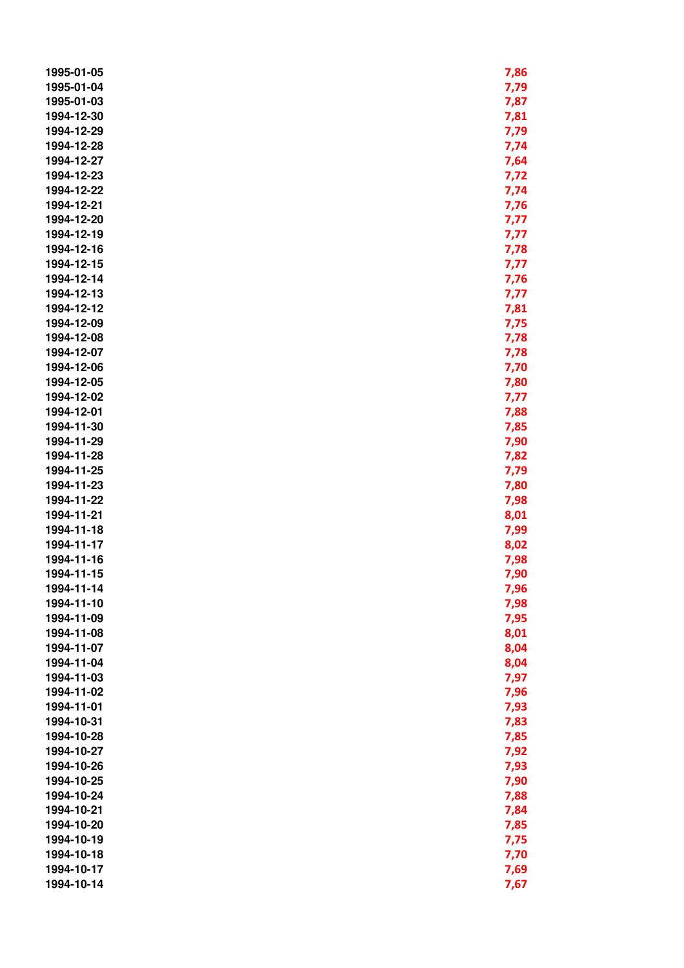| 1995-01-05 | 7,86 |
|------------|------|
| 1995-01-04 | 7,79 |
| 1995-01-03 | 7,87 |
| 1994-12-30 | 7,81 |
| 1994-12-29 | 7,79 |
| 1994-12-28 | 7,74 |
| 1994-12-27 | 7,64 |
| 1994-12-23 | 7,72 |
| 1994-12-22 | 7,74 |
| 1994-12-21 | 7,76 |
| 1994-12-20 | 7,77 |
| 1994-12-19 | 7,77 |
| 1994-12-16 | 7,78 |
| 1994-12-15 | 7,77 |
| 1994-12-14 | 7,76 |
| 1994-12-13 | 7,77 |
| 1994-12-12 | 7,81 |
| 1994-12-09 | 7,75 |
| 1994-12-08 | 7,78 |
| 1994-12-07 | 7,78 |
| 1994-12-06 | 7,70 |
| 1994-12-05 | 7,80 |
| 1994-12-02 | 7,77 |
| 1994-12-01 | 7,88 |
| 1994-11-30 | 7,85 |
| 1994-11-29 | 7,90 |
| 1994-11-28 | 7,82 |
| 1994-11-25 | 7,79 |
| 1994-11-23 | 7,80 |
| 1994-11-22 | 7,98 |
| 1994-11-21 | 8,01 |
| 1994-11-18 | 7,99 |
| 1994-11-17 | 8,02 |
| 1994-11-16 | 7,98 |
| 1994-11-15 | 7,90 |
| 1994-11-14 | 7,96 |
| 1994-11-10 | 7,98 |
| 1994-11-09 | 7,95 |
| 1994-11-08 | 8,01 |
| 1994-11-07 | 8,04 |
| 1994-11-04 | 8,04 |
| 1994-11-03 | 7,97 |
| 1994-11-02 | 7,96 |
| 1994-11-01 | 7,93 |
| 1994-10-31 | 7,83 |
| 1994-10-28 | 7,85 |
| 1994-10-27 | 7,92 |
| 1994-10-26 | 7,93 |
| 1994-10-25 | 7,90 |
| 1994-10-24 | 7,88 |
| 1994-10-21 | 7,84 |
| 1994-10-20 | 7,85 |
| 1994-10-19 | 7,75 |
| 1994-10-18 | 7,70 |
| 1994-10-17 | 7,69 |
| 1994-10-14 | 7,67 |
|            |      |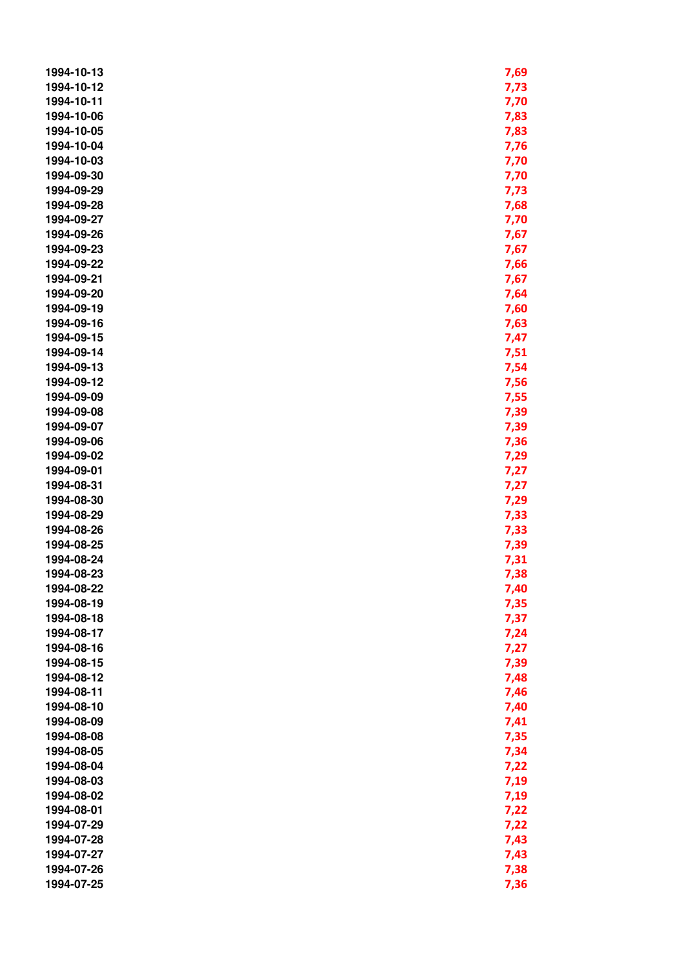| 1994-10-13 | 7,69 |
|------------|------|
| 1994-10-12 | 7,73 |
| 1994-10-11 | 7,70 |
| 1994-10-06 | 7,83 |
| 1994-10-05 | 7,83 |
| 1994-10-04 | 7,76 |
| 1994-10-03 | 7,70 |
| 1994-09-30 | 7,70 |
| 1994-09-29 | 7,73 |
| 1994-09-28 | 7,68 |
| 1994-09-27 | 7,70 |
| 1994-09-26 | 7,67 |
| 1994-09-23 | 7,67 |
| 1994-09-22 | 7,66 |
| 1994-09-21 | 7,67 |
| 1994-09-20 | 7,64 |
| 1994-09-19 | 7,60 |
| 1994-09-16 | 7,63 |
| 1994-09-15 | 7,47 |
| 1994-09-14 | 7,51 |
| 1994-09-13 | 7,54 |
| 1994-09-12 | 7,56 |
| 1994-09-09 | 7,55 |
| 1994-09-08 | 7,39 |
| 1994-09-07 | 7,39 |
| 1994-09-06 | 7,36 |
| 1994-09-02 | 7,29 |
| 1994-09-01 | 7,27 |
| 1994-08-31 | 7,27 |
| 1994-08-30 | 7,29 |
| 1994-08-29 | 7,33 |
| 1994-08-26 | 7,33 |
| 1994-08-25 | 7,39 |
| 1994-08-24 | 7,31 |
| 1994-08-23 | 7,38 |
| 1994-08-22 | 7,40 |
| 1994-08-19 | 7,35 |
| 1994-08-18 | 7,37 |
| 1994-08-17 | 7,24 |
| 1994-08-16 | 7,27 |
| 1994-08-15 | 7,39 |
| 1994-08-12 | 7,48 |
| 1994-08-11 | 7,46 |
| 1994-08-10 | 7,40 |
| 1994-08-09 | 7,41 |
| 1994-08-08 | 7,35 |
| 1994-08-05 | 7,34 |
| 1994-08-04 | 7,22 |
| 1994-08-03 | 7,19 |
| 1994-08-02 | 7,19 |
| 1994-08-01 | 7,22 |
| 1994-07-29 | 7,22 |
| 1994-07-28 | 7,43 |
| 1994-07-27 | 7,43 |
| 1994-07-26 | 7,38 |
| 1994-07-25 | 7,36 |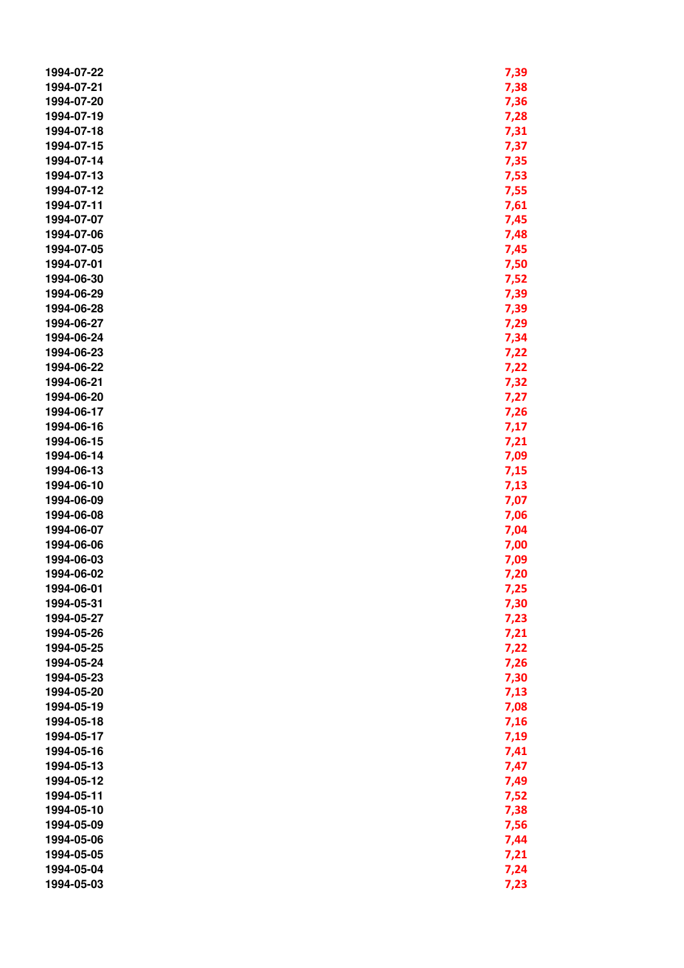| 1994-07-22 | 7,39 |
|------------|------|
| 1994-07-21 | 7,38 |
| 1994-07-20 | 7,36 |
| 1994-07-19 | 7,28 |
| 1994-07-18 | 7,31 |
| 1994-07-15 | 7,37 |
| 1994-07-14 | 7,35 |
| 1994-07-13 | 7,53 |
| 1994-07-12 | 7,55 |
| 1994-07-11 | 7,61 |
| 1994-07-07 | 7,45 |
| 1994-07-06 | 7,48 |
| 1994-07-05 | 7,45 |
| 1994-07-01 | 7,50 |
| 1994-06-30 | 7,52 |
| 1994-06-29 | 7,39 |
| 1994-06-28 | 7,39 |
| 1994-06-27 | 7,29 |
|            |      |
| 1994-06-24 | 7,34 |
| 1994-06-23 | 7,22 |
| 1994-06-22 | 7,22 |
| 1994-06-21 | 7,32 |
| 1994-06-20 | 7,27 |
| 1994-06-17 | 7,26 |
| 1994-06-16 | 7,17 |
| 1994-06-15 | 7,21 |
| 1994-06-14 | 7,09 |
| 1994-06-13 | 7,15 |
| 1994-06-10 | 7,13 |
| 1994-06-09 | 7,07 |
| 1994-06-08 | 7,06 |
| 1994-06-07 | 7,04 |
| 1994-06-06 | 7,00 |
| 1994-06-03 | 7,09 |
| 1994-06-02 | 7,20 |
| 1994-06-01 | 7,25 |
| 1994-05-31 | 7,30 |
| 1994-05-27 | 7,23 |
| 1994-05-26 | 7,21 |
| 1994-05-25 | 7,22 |
| 1994-05-24 | 7,26 |
| 1994-05-23 | 7,30 |
| 1994-05-20 | 7,13 |
| 1994-05-19 | 7,08 |
| 1994-05-18 | 7,16 |
| 1994-05-17 | 7,19 |
| 1994-05-16 | 7,41 |
| 1994-05-13 | 7,47 |
| 1994-05-12 | 7,49 |
| 1994-05-11 | 7,52 |
| 1994-05-10 | 7,38 |
| 1994-05-09 | 7,56 |
| 1994-05-06 | 7,44 |
| 1994-05-05 | 7,21 |
| 1994-05-04 | 7,24 |
| 1994-05-03 | 7,23 |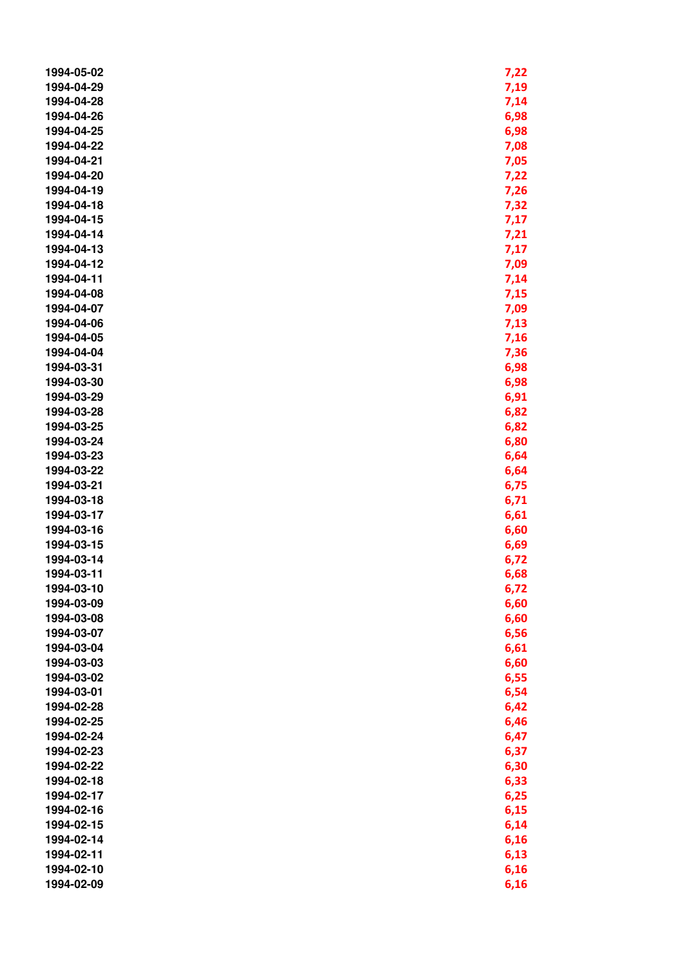| 1994-05-02 | 7,22 |
|------------|------|
| 1994-04-29 | 7,19 |
| 1994-04-28 | 7,14 |
| 1994-04-26 | 6,98 |
| 1994-04-25 | 6,98 |
| 1994-04-22 | 7,08 |
| 1994-04-21 | 7,05 |
| 1994-04-20 | 7,22 |
| 1994-04-19 | 7,26 |
| 1994-04-18 | 7,32 |
| 1994-04-15 | 7,17 |
| 1994-04-14 | 7,21 |
| 1994-04-13 | 7,17 |
| 1994-04-12 | 7,09 |
| 1994-04-11 | 7,14 |
| 1994-04-08 | 7,15 |
| 1994-04-07 | 7,09 |
| 1994-04-06 | 7,13 |
| 1994-04-05 |      |
| 1994-04-04 | 7,16 |
|            | 7,36 |
| 1994-03-31 | 6,98 |
| 1994-03-30 | 6,98 |
| 1994-03-29 | 6,91 |
| 1994-03-28 | 6,82 |
| 1994-03-25 | 6,82 |
| 1994-03-24 | 6,80 |
| 1994-03-23 | 6,64 |
| 1994-03-22 | 6,64 |
| 1994-03-21 | 6,75 |
| 1994-03-18 | 6,71 |
| 1994-03-17 | 6,61 |
| 1994-03-16 | 6,60 |
| 1994-03-15 | 6,69 |
| 1994-03-14 | 6,72 |
| 1994-03-11 | 6,68 |
| 1994-03-10 | 6,72 |
| 1994-03-09 | 6,60 |
| 1994-03-08 | 6,60 |
| 1994-03-07 | 6,56 |
| 1994-03-04 | 6,61 |
| 1994-03-03 | 6,60 |
| 1994-03-02 | 6,55 |
| 1994-03-01 | 6,54 |
| 1994-02-28 | 6,42 |
| 1994-02-25 | 6,46 |
| 1994-02-24 | 6,47 |
| 1994-02-23 | 6,37 |
| 1994-02-22 | 6,30 |
| 1994-02-18 | 6,33 |
| 1994-02-17 | 6,25 |
| 1994-02-16 | 6,15 |
| 1994-02-15 | 6,14 |
| 1994-02-14 | 6,16 |
| 1994-02-11 | 6,13 |
| 1994-02-10 | 6,16 |
| 1994-02-09 | 6,16 |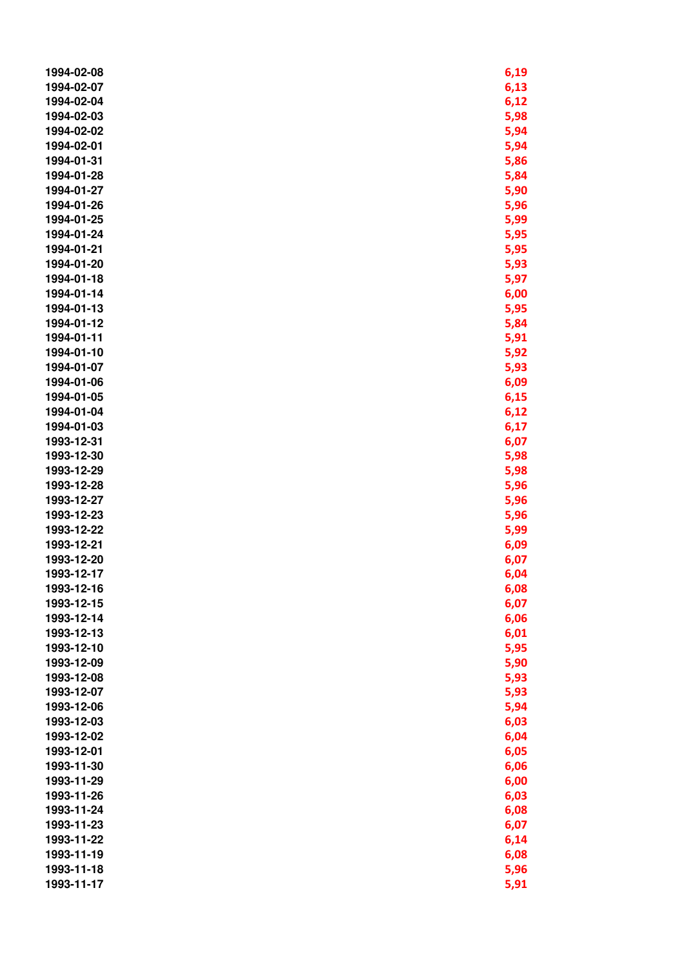| 1994-02-08 | 6,19 |
|------------|------|
| 1994-02-07 | 6,13 |
| 1994-02-04 | 6,12 |
| 1994-02-03 | 5,98 |
| 1994-02-02 | 5,94 |
| 1994-02-01 | 5,94 |
| 1994-01-31 | 5,86 |
| 1994-01-28 | 5,84 |
| 1994-01-27 |      |
|            | 5,90 |
| 1994-01-26 | 5,96 |
| 1994-01-25 | 5,99 |
| 1994-01-24 | 5,95 |
| 1994-01-21 | 5,95 |
| 1994-01-20 | 5,93 |
| 1994-01-18 | 5,97 |
| 1994-01-14 | 6,00 |
| 1994-01-13 | 5,95 |
| 1994-01-12 | 5,84 |
| 1994-01-11 | 5,91 |
| 1994-01-10 | 5,92 |
| 1994-01-07 | 5,93 |
| 1994-01-06 | 6,09 |
| 1994-01-05 | 6,15 |
| 1994-01-04 | 6,12 |
| 1994-01-03 | 6,17 |
| 1993-12-31 | 6,07 |
| 1993-12-30 | 5,98 |
| 1993-12-29 | 5,98 |
| 1993-12-28 | 5,96 |
| 1993-12-27 | 5,96 |
| 1993-12-23 | 5,96 |
| 1993-12-22 | 5,99 |
| 1993-12-21 | 6,09 |
| 1993-12-20 | 6,07 |
| 1993-12-17 | 6,04 |
| 1993-12-16 | 6,08 |
| 1993-12-15 | 6,07 |
|            |      |
| 1993-12-14 | 6,06 |
| 1993-12-13 | 6,01 |
| 1993-12-10 | 5,95 |
| 1993-12-09 | 5,90 |
| 1993-12-08 | 5,93 |
| 1993-12-07 | 5,93 |
| 1993-12-06 | 5,94 |
| 1993-12-03 | 6,03 |
| 1993-12-02 | 6,04 |
| 1993-12-01 | 6,05 |
| 1993-11-30 | 6,06 |
| 1993-11-29 | 6,00 |
| 1993-11-26 | 6,03 |
| 1993-11-24 | 6,08 |
| 1993-11-23 | 6,07 |
| 1993-11-22 | 6,14 |
| 1993-11-19 | 6,08 |
| 1993-11-18 | 5,96 |
| 1993-11-17 | 5,91 |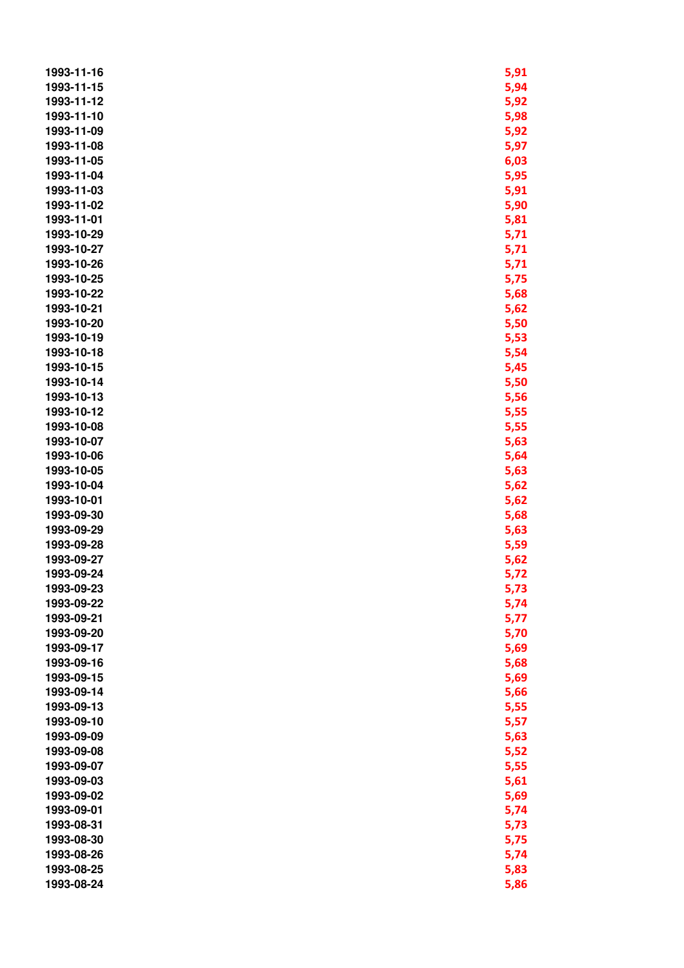| 1993-11-16 | 5,91 |
|------------|------|
| 1993-11-15 | 5,94 |
| 1993-11-12 | 5,92 |
| 1993-11-10 | 5,98 |
| 1993-11-09 | 5,92 |
| 1993-11-08 | 5,97 |
| 1993-11-05 | 6,03 |
| 1993-11-04 | 5,95 |
| 1993-11-03 | 5,91 |
| 1993-11-02 |      |
| 1993-11-01 | 5,90 |
|            | 5,81 |
| 1993-10-29 | 5,71 |
| 1993-10-27 | 5,71 |
| 1993-10-26 | 5,71 |
| 1993-10-25 | 5,75 |
| 1993-10-22 | 5,68 |
| 1993-10-21 | 5,62 |
| 1993-10-20 | 5,50 |
| 1993-10-19 | 5,53 |
| 1993-10-18 | 5,54 |
| 1993-10-15 | 5,45 |
| 1993-10-14 | 5,50 |
| 1993-10-13 | 5,56 |
| 1993-10-12 | 5,55 |
| 1993-10-08 | 5,55 |
| 1993-10-07 | 5,63 |
| 1993-10-06 | 5,64 |
| 1993-10-05 | 5,63 |
| 1993-10-04 | 5,62 |
| 1993-10-01 | 5,62 |
| 1993-09-30 | 5,68 |
| 1993-09-29 | 5,63 |
| 1993-09-28 | 5,59 |
| 1993-09-27 | 5,62 |
| 1993-09-24 | 5,72 |
| 1993-09-23 | 5,73 |
| 1993-09-22 | 5,74 |
| 1993-09-21 | 5,77 |
| 1993-09-20 | 5,70 |
| 1993-09-17 | 5,69 |
| 1993-09-16 | 5,68 |
| 1993-09-15 |      |
|            | 5,69 |
| 1993-09-14 | 5,66 |
| 1993-09-13 | 5,55 |
| 1993-09-10 | 5,57 |
| 1993-09-09 | 5,63 |
| 1993-09-08 | 5,52 |
| 1993-09-07 | 5,55 |
| 1993-09-03 | 5,61 |
| 1993-09-02 | 5,69 |
| 1993-09-01 | 5,74 |
| 1993-08-31 | 5,73 |
| 1993-08-30 | 5,75 |
| 1993-08-26 | 5,74 |
| 1993-08-25 | 5,83 |
| 1993-08-24 | 5,86 |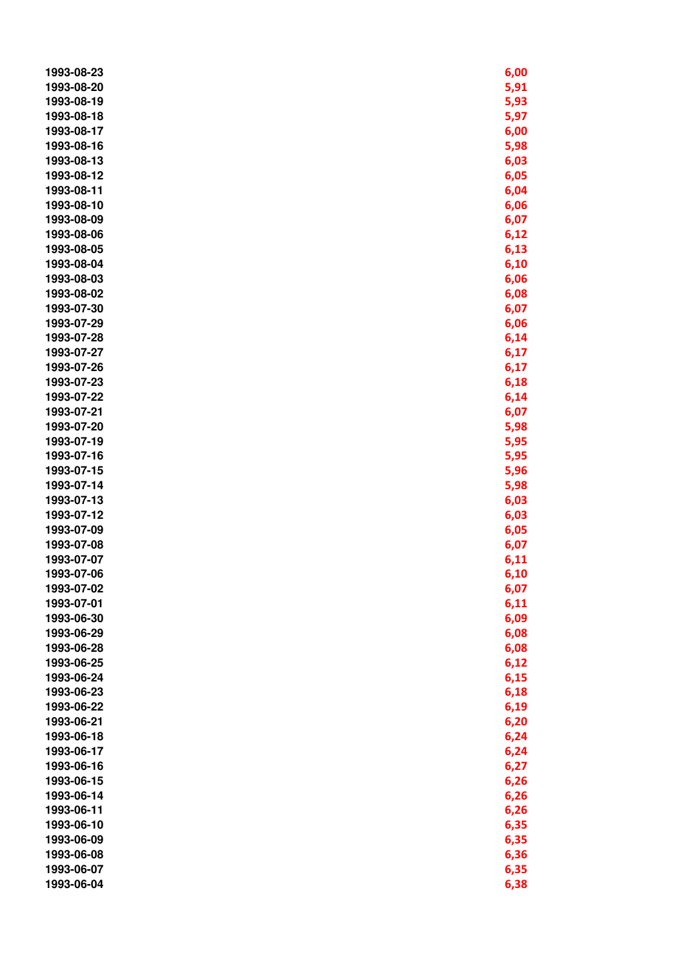| 1993-08-23               | 6,00         |
|--------------------------|--------------|
| 1993-08-20               | 5,91         |
| 1993-08-19               | 5,93         |
| 1993-08-18               | 5,97         |
| 1993-08-17               | 6,00         |
| 1993-08-16               | 5,98         |
| 1993-08-13               | 6,03         |
| 1993-08-12               | 6,05         |
| 1993-08-11               | 6,04         |
| 1993-08-10               | 6,06         |
| 1993-08-09               | 6,07         |
| 1993-08-06               | 6,12         |
| 1993-08-05               | 6,13         |
| 1993-08-04               | 6,10         |
| 1993-08-03               | 6,06         |
| 1993-08-02               | 6,08         |
| 1993-07-30               | 6,07         |
| 1993-07-29               | 6,06         |
| 1993-07-28               | 6,14         |
| 1993-07-27               | 6,17         |
| 1993-07-26               | 6,17         |
| 1993-07-23               | 6,18         |
| 1993-07-22               | 6,14         |
| 1993-07-21               | 6,07         |
| 1993-07-20               | 5,98         |
| 1993-07-19               | 5,95         |
| 1993-07-16               | 5,95         |
| 1993-07-15               | 5,96         |
| 1993-07-14               | 5,98         |
| 1993-07-13               | 6,03         |
| 1993-07-12               | 6,03         |
| 1993-07-09               | 6,05         |
| 1993-07-08               | 6,07         |
| 1993-07-07               | 6,11         |
| 1993-07-06               | 6,10         |
| 1993-07-02               |              |
| 1993-07-01               | 6,07<br>6,11 |
| 1993-06-30               | 6,09         |
| 1993-06-29               | 6,08         |
| 1993-06-28               | 6,08         |
| 1993-06-25               | 6,12         |
| 1993-06-24               | 6,15         |
| 1993-06-23               | 6,18         |
| 1993-06-22               |              |
| 1993-06-21               | 6,19<br>6,20 |
| 1993-06-18               |              |
|                          | 6,24         |
| 1993-06-17               | 6,24         |
| 1993-06-16<br>1993-06-15 | 6,27         |
| 1993-06-14               | 6,26         |
|                          | 6,26         |
| 1993-06-11               | 6,26         |
| 1993-06-10               | 6,35         |
| 1993-06-09               | 6,35         |
| 1993-06-08               | 6,36         |
| 1993-06-07               | 6,35         |
| 1993-06-04               | 6,38         |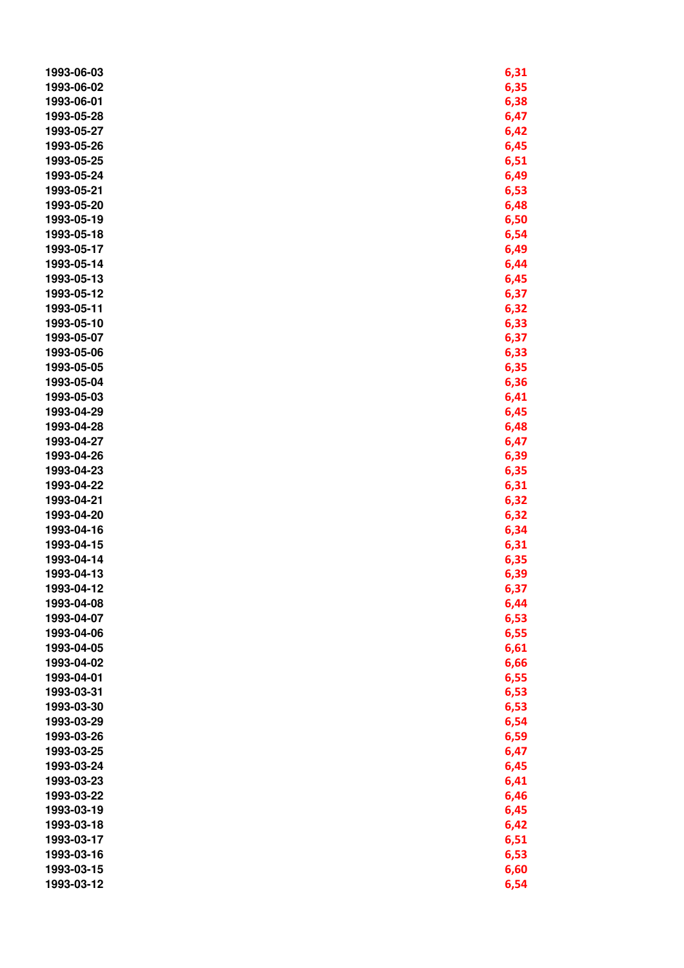| 1993-06-03 | 6,31 |
|------------|------|
| 1993-06-02 | 6,35 |
| 1993-06-01 | 6,38 |
| 1993-05-28 | 6,47 |
| 1993-05-27 | 6,42 |
| 1993-05-26 | 6,45 |
| 1993-05-25 | 6,51 |
| 1993-05-24 | 6,49 |
| 1993-05-21 | 6,53 |
| 1993-05-20 | 6,48 |
| 1993-05-19 | 6,50 |
| 1993-05-18 | 6,54 |
| 1993-05-17 | 6,49 |
| 1993-05-14 | 6,44 |
| 1993-05-13 | 6,45 |
| 1993-05-12 | 6,37 |
| 1993-05-11 | 6,32 |
| 1993-05-10 | 6,33 |
| 1993-05-07 | 6,37 |
| 1993-05-06 | 6,33 |
| 1993-05-05 | 6,35 |
| 1993-05-04 | 6,36 |
| 1993-05-03 | 6,41 |
| 1993-04-29 | 6,45 |
| 1993-04-28 | 6,48 |
| 1993-04-27 | 6,47 |
| 1993-04-26 | 6,39 |
| 1993-04-23 | 6,35 |
| 1993-04-22 | 6,31 |
| 1993-04-21 | 6,32 |
| 1993-04-20 | 6,32 |
| 1993-04-16 | 6,34 |
| 1993-04-15 | 6,31 |
| 1993-04-14 | 6,35 |
| 1993-04-13 | 6,39 |
| 1993-04-12 | 6,37 |
| 1993-04-08 | 6,44 |
| 1993-04-07 | 6,53 |
| 1993-04-06 | 6,55 |
| 1993-04-05 | 6,61 |
| 1993-04-02 | 6,66 |
| 1993-04-01 | 6,55 |
| 1993-03-31 | 6,53 |
| 1993-03-30 | 6,53 |
| 1993-03-29 | 6,54 |
| 1993-03-26 | 6,59 |
| 1993-03-25 | 6,47 |
| 1993-03-24 | 6,45 |
| 1993-03-23 | 6,41 |
| 1993-03-22 | 6,46 |
| 1993-03-19 | 6,45 |
| 1993-03-18 | 6,42 |
| 1993-03-17 | 6,51 |
| 1993-03-16 | 6,53 |
| 1993-03-15 | 6,60 |
| 1993-03-12 | 6,54 |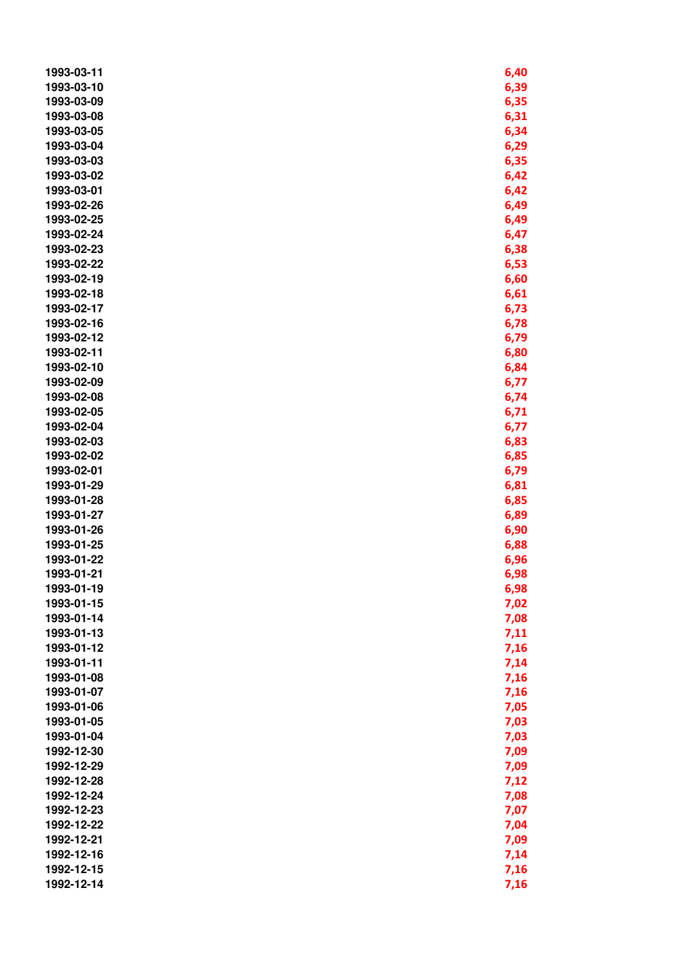| 1993-03-11 | 6,40 |
|------------|------|
| 1993-03-10 | 6,39 |
| 1993-03-09 | 6,35 |
| 1993-03-08 | 6,31 |
| 1993-03-05 | 6,34 |
| 1993-03-04 | 6,29 |
| 1993-03-03 | 6,35 |
| 1993-03-02 | 6,42 |
| 1993-03-01 | 6,42 |
| 1993-02-26 | 6,49 |
| 1993-02-25 | 6,49 |
| 1993-02-24 | 6,47 |
| 1993-02-23 | 6,38 |
| 1993-02-22 | 6,53 |
| 1993-02-19 | 6,60 |
| 1993-02-18 | 6,61 |
| 1993-02-17 | 6,73 |
| 1993-02-16 | 6,78 |
| 1993-02-12 | 6,79 |
| 1993-02-11 | 6,80 |
| 1993-02-10 | 6,84 |
| 1993-02-09 | 6,77 |
| 1993-02-08 | 6,74 |
| 1993-02-05 | 6,71 |
| 1993-02-04 | 6,77 |
| 1993-02-03 | 6,83 |
| 1993-02-02 | 6,85 |
| 1993-02-01 | 6,79 |
| 1993-01-29 | 6,81 |
| 1993-01-28 | 6,85 |
| 1993-01-27 | 6,89 |
| 1993-01-26 | 6,90 |
| 1993-01-25 | 6,88 |
| 1993-01-22 | 6,96 |
| 1993-01-21 | 6,98 |
| 1993-01-19 | 6,98 |
| 1993-01-15 | 7,02 |
| 1993-01-14 | 7,08 |
| 1993-01-13 | 7,11 |
| 1993-01-12 | 7,16 |
| 1993-01-11 | 7,14 |
| 1993-01-08 | 7,16 |
| 1993-01-07 | 7,16 |
| 1993-01-06 | 7,05 |
| 1993-01-05 | 7,03 |
| 1993-01-04 | 7,03 |
| 1992-12-30 | 7,09 |
| 1992-12-29 | 7,09 |
| 1992-12-28 | 7,12 |
| 1992-12-24 | 7,08 |
| 1992-12-23 | 7,07 |
| 1992-12-22 | 7,04 |
| 1992-12-21 | 7,09 |
| 1992-12-16 | 7,14 |
| 1992-12-15 | 7,16 |
| 1992-12-14 | 7,16 |
|            |      |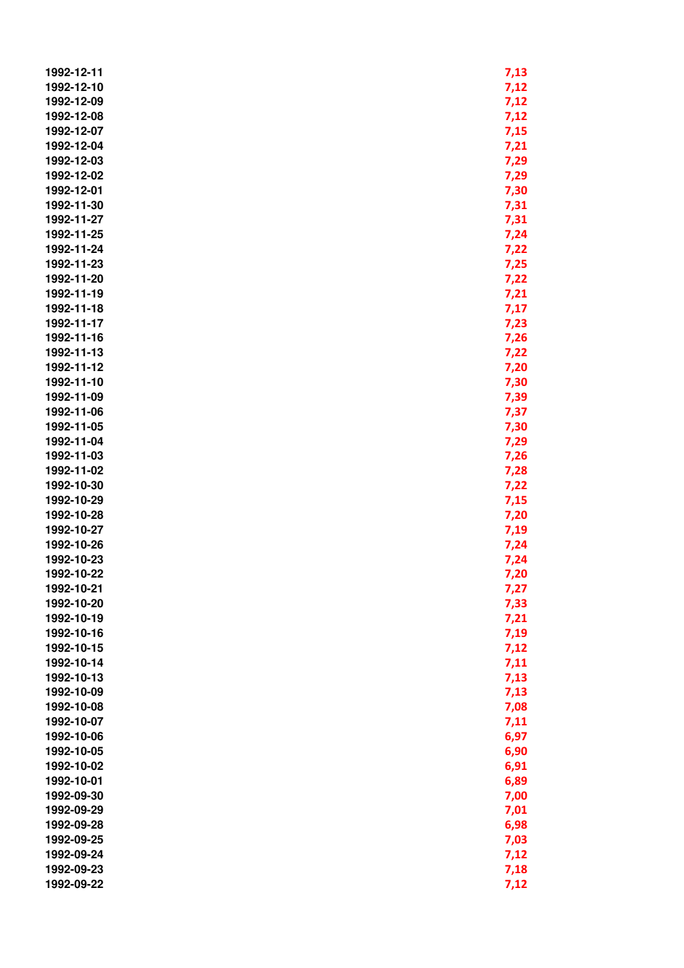| 1992-12-11               | 7,13         |
|--------------------------|--------------|
| 1992-12-10               | 7,12         |
| 1992-12-09               | 7,12         |
| 1992-12-08               | 7,12         |
| 1992-12-07               | 7,15         |
| 1992-12-04               | 7,21         |
| 1992-12-03               | 7,29         |
| 1992-12-02               | 7,29         |
| 1992-12-01               | 7,30         |
| 1992-11-30               | 7,31         |
| 1992-11-27               | 7,31         |
| 1992-11-25               | 7,24         |
| 1992-11-24               | 7,22         |
| 1992-11-23               | 7,25         |
| 1992-11-20               | 7,22         |
| 1992-11-19               | 7,21         |
| 1992-11-18               | 7,17         |
| 1992-11-17               | 7,23         |
| 1992-11-16               | 7,26         |
| 1992-11-13               |              |
| 1992-11-12               | 7,22<br>7,20 |
| 1992-11-10               | 7,30         |
| 1992-11-09               |              |
| 1992-11-06               | 7,39         |
| 1992-11-05               | 7,37         |
| 1992-11-04               | 7,30         |
| 1992-11-03               | 7,29         |
| 1992-11-02               | 7,26         |
| 1992-10-30               | 7,28         |
| 1992-10-29               | 7,22         |
| 1992-10-28               | 7,15         |
|                          | 7,20         |
| 1992-10-27               | 7,19         |
| 1992-10-26<br>1992-10-23 | 7,24         |
| 1992-10-22               | 7,24         |
|                          | 7,20         |
| 1992-10-21               | 7,27         |
| 1992-10-20               | 7,33         |
| 1992-10-19               | 7,21         |
| 1992-10-16               | 7,19         |
| 1992-10-15               | 7,12         |
| 1992-10-14               | 7,11         |
| 1992-10-13               | 7,13         |
| 1992-10-09               | 7,13         |
| 1992-10-08               | 7,08         |
| 1992-10-07               | 7,11         |
| 1992-10-06               | 6,97         |
| 1992-10-05               | 6,90         |
| 1992-10-02               | 6,91         |
| 1992-10-01               | 6,89         |
| 1992-09-30               | 7,00         |
| 1992-09-29               | 7,01         |
| 1992-09-28               | 6,98         |
| 1992-09-25               | 7,03         |
| 1992-09-24               | 7,12         |
| 1992-09-23               | 7,18         |
| 1992-09-22               | 7,12         |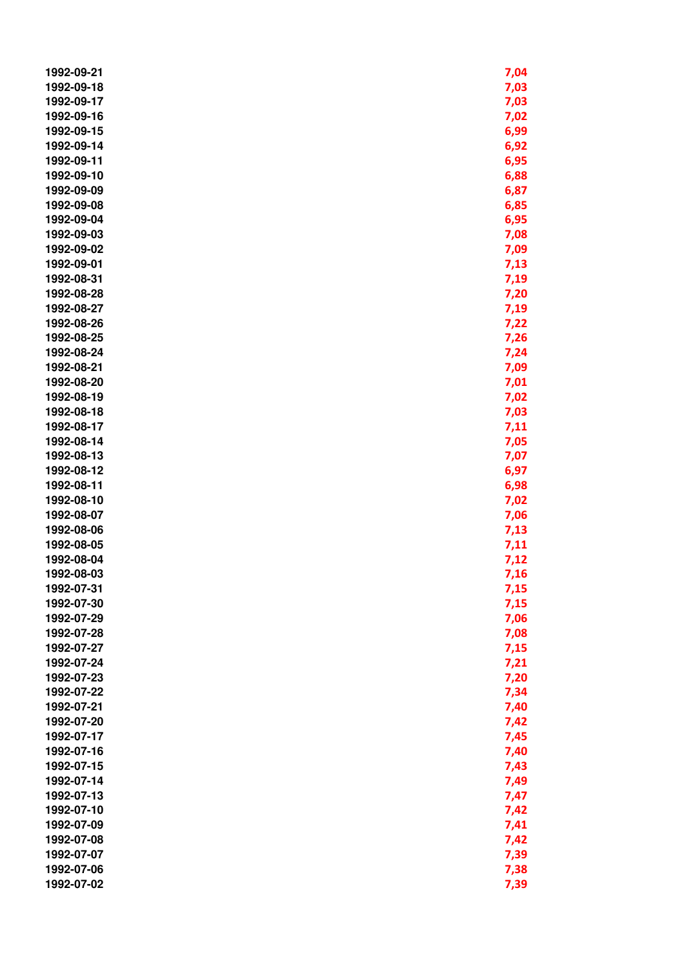| 1992-09-21 | 7,04 |
|------------|------|
| 1992-09-18 | 7,03 |
| 1992-09-17 | 7,03 |
| 1992-09-16 | 7,02 |
| 1992-09-15 | 6,99 |
| 1992-09-14 | 6,92 |
| 1992-09-11 | 6,95 |
| 1992-09-10 | 6,88 |
| 1992-09-09 | 6,87 |
| 1992-09-08 | 6,85 |
| 1992-09-04 | 6,95 |
| 1992-09-03 | 7,08 |
| 1992-09-02 | 7,09 |
| 1992-09-01 | 7,13 |
| 1992-08-31 | 7,19 |
| 1992-08-28 | 7,20 |
| 1992-08-27 | 7,19 |
| 1992-08-26 | 7,22 |
| 1992-08-25 | 7,26 |
| 1992-08-24 | 7,24 |
| 1992-08-21 | 7,09 |
| 1992-08-20 | 7,01 |
| 1992-08-19 | 7,02 |
| 1992-08-18 | 7,03 |
| 1992-08-17 | 7,11 |
| 1992-08-14 | 7,05 |
| 1992-08-13 | 7,07 |
| 1992-08-12 | 6,97 |
| 1992-08-11 | 6,98 |
| 1992-08-10 | 7,02 |
| 1992-08-07 | 7,06 |
| 1992-08-06 | 7,13 |
| 1992-08-05 | 7,11 |
| 1992-08-04 | 7,12 |
| 1992-08-03 | 7,16 |
| 1992-07-31 | 7,15 |
| 1992-07-30 | 7,15 |
| 1992-07-29 | 7,06 |
| 1992-07-28 | 7,08 |
| 1992-07-27 | 7,15 |
| 1992-07-24 | 7,21 |
| 1992-07-23 | 7,20 |
| 1992-07-22 | 7,34 |
| 1992-07-21 | 7,40 |
| 1992-07-20 | 7,42 |
| 1992-07-17 | 7,45 |
| 1992-07-16 | 7,40 |
| 1992-07-15 | 7,43 |
| 1992-07-14 | 7,49 |
| 1992-07-13 | 7,47 |
| 1992-07-10 | 7,42 |
| 1992-07-09 | 7,41 |
| 1992-07-08 |      |
| 1992-07-07 | 7,42 |
| 1992-07-06 | 7,39 |
|            | 7,38 |
| 1992-07-02 | 7,39 |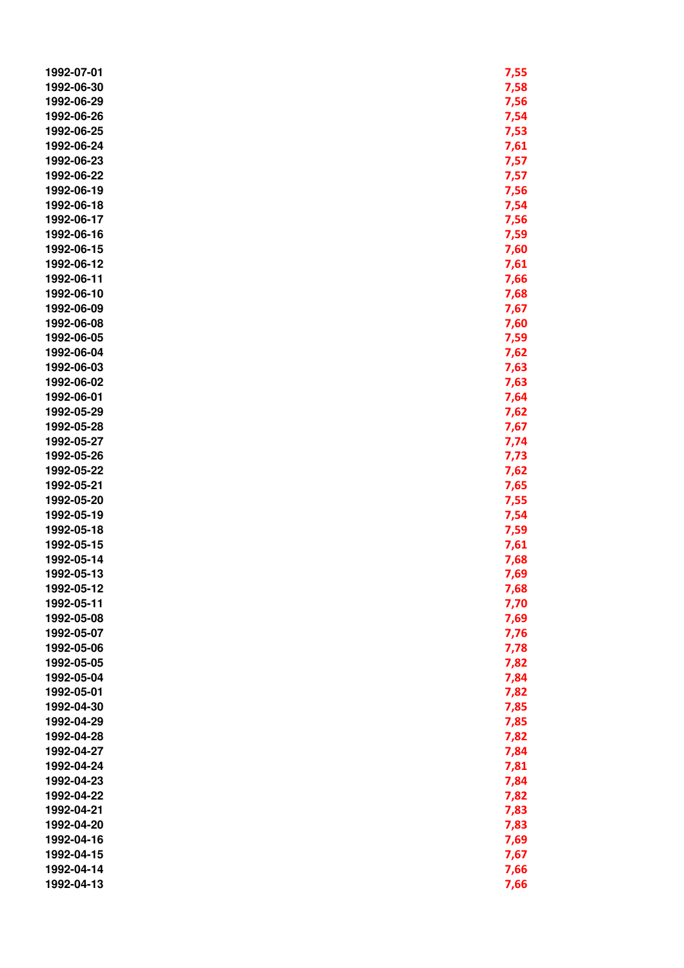| 1992-07-01 | 7,55 |
|------------|------|
| 1992-06-30 | 7,58 |
| 1992-06-29 | 7,56 |
| 1992-06-26 | 7,54 |
| 1992-06-25 | 7,53 |
| 1992-06-24 | 7,61 |
| 1992-06-23 | 7,57 |
| 1992-06-22 | 7,57 |
| 1992-06-19 | 7,56 |
| 1992-06-18 | 7,54 |
| 1992-06-17 |      |
|            | 7,56 |
| 1992-06-16 | 7,59 |
| 1992-06-15 | 7,60 |
| 1992-06-12 | 7,61 |
| 1992-06-11 | 7,66 |
| 1992-06-10 | 7,68 |
| 1992-06-09 | 7,67 |
| 1992-06-08 | 7,60 |
| 1992-06-05 | 7,59 |
| 1992-06-04 | 7,62 |
| 1992-06-03 | 7,63 |
| 1992-06-02 | 7,63 |
| 1992-06-01 | 7,64 |
| 1992-05-29 | 7,62 |
| 1992-05-28 | 7,67 |
| 1992-05-27 | 7,74 |
| 1992-05-26 | 7,73 |
| 1992-05-22 | 7,62 |
| 1992-05-21 | 7,65 |
| 1992-05-20 | 7,55 |
| 1992-05-19 | 7,54 |
| 1992-05-18 | 7,59 |
| 1992-05-15 | 7,61 |
| 1992-05-14 | 7,68 |
| 1992-05-13 | 7,69 |
| 1992-05-12 | 7,68 |
| 1992-05-11 | 7,70 |
| 1992-05-08 |      |
|            | 7,69 |
| 1992-05-07 | 7,76 |
| 1992-05-06 | 7,78 |
| 1992-05-05 | 7,82 |
| 1992-05-04 | 7,84 |
| 1992-05-01 | 7,82 |
| 1992-04-30 | 7,85 |
| 1992-04-29 | 7,85 |
| 1992-04-28 | 7,82 |
| 1992-04-27 | 7,84 |
| 1992-04-24 | 7,81 |
| 1992-04-23 | 7,84 |
| 1992-04-22 | 7,82 |
| 1992-04-21 | 7,83 |
| 1992-04-20 | 7,83 |
| 1992-04-16 | 7,69 |
| 1992-04-15 | 7,67 |
| 1992-04-14 | 7,66 |
| 1992-04-13 | 7,66 |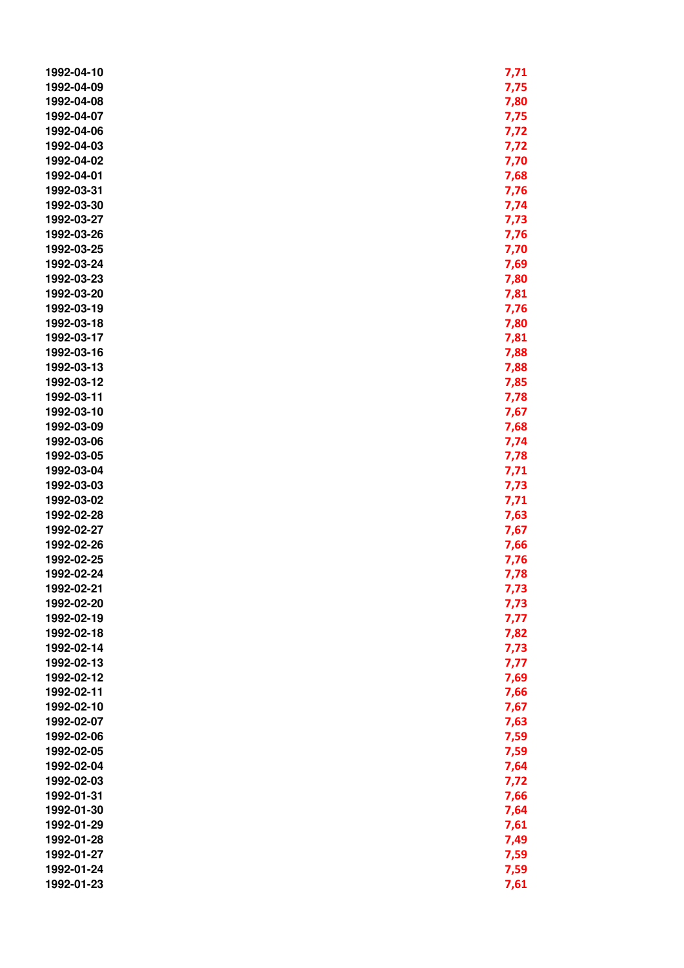| 1992-04-10 | 7,71 |
|------------|------|
| 1992-04-09 | 7,75 |
| 1992-04-08 | 7,80 |
| 1992-04-07 | 7,75 |
| 1992-04-06 | 7,72 |
| 1992-04-03 | 7,72 |
| 1992-04-02 | 7,70 |
| 1992-04-01 | 7,68 |
| 1992-03-31 | 7,76 |
| 1992-03-30 |      |
|            | 7,74 |
| 1992-03-27 | 7,73 |
| 1992-03-26 | 7,76 |
| 1992-03-25 | 7,70 |
| 1992-03-24 | 7,69 |
| 1992-03-23 | 7,80 |
| 1992-03-20 | 7,81 |
| 1992-03-19 | 7,76 |
| 1992-03-18 | 7,80 |
| 1992-03-17 | 7,81 |
| 1992-03-16 | 7,88 |
| 1992-03-13 | 7,88 |
| 1992-03-12 | 7,85 |
| 1992-03-11 | 7,78 |
| 1992-03-10 | 7,67 |
| 1992-03-09 | 7,68 |
| 1992-03-06 | 7,74 |
| 1992-03-05 | 7,78 |
| 1992-03-04 |      |
|            | 7,71 |
| 1992-03-03 | 7,73 |
| 1992-03-02 | 7,71 |
| 1992-02-28 | 7,63 |
| 1992-02-27 | 7,67 |
| 1992-02-26 | 7,66 |
| 1992-02-25 | 7,76 |
| 1992-02-24 | 7,78 |
| 1992-02-21 | 7,73 |
| 1992-02-20 | 7,73 |
| 1992-02-19 | 7,77 |
| 1992-02-18 | 7,82 |
| 1992-02-14 | 7,73 |
| 1992-02-13 | 7,77 |
| 1992-02-12 | 7,69 |
| 1992-02-11 | 7,66 |
| 1992-02-10 | 7,67 |
| 1992-02-07 | 7,63 |
| 1992-02-06 | 7,59 |
| 1992-02-05 | 7,59 |
| 1992-02-04 | 7,64 |
| 1992-02-03 |      |
|            | 7,72 |
| 1992-01-31 | 7,66 |
| 1992-01-30 | 7,64 |
| 1992-01-29 | 7,61 |
| 1992-01-28 | 7,49 |
| 1992-01-27 | 7,59 |
| 1992-01-24 | 7,59 |
| 1992-01-23 | 7,61 |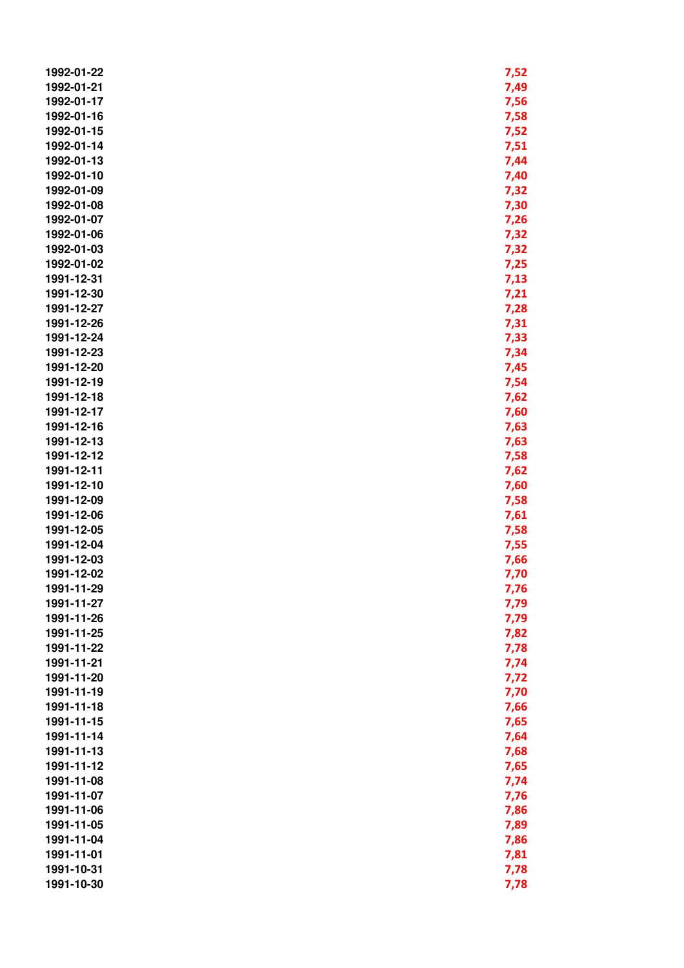| 1992-01-22 | 7,52 |
|------------|------|
| 1992-01-21 | 7,49 |
| 1992-01-17 | 7,56 |
| 1992-01-16 | 7,58 |
| 1992-01-15 | 7,52 |
| 1992-01-14 | 7,51 |
| 1992-01-13 |      |
|            | 7,44 |
| 1992-01-10 | 7,40 |
| 1992-01-09 | 7,32 |
| 1992-01-08 | 7,30 |
| 1992-01-07 | 7,26 |
| 1992-01-06 | 7,32 |
| 1992-01-03 | 7,32 |
| 1992-01-02 | 7,25 |
| 1991-12-31 | 7,13 |
| 1991-12-30 | 7,21 |
| 1991-12-27 | 7,28 |
| 1991-12-26 | 7,31 |
| 1991-12-24 | 7,33 |
| 1991-12-23 | 7,34 |
| 1991-12-20 | 7,45 |
| 1991-12-19 | 7,54 |
| 1991-12-18 | 7,62 |
| 1991-12-17 | 7,60 |
| 1991-12-16 | 7,63 |
| 1991-12-13 | 7,63 |
| 1991-12-12 | 7,58 |
| 1991-12-11 | 7,62 |
| 1991-12-10 | 7,60 |
|            |      |
| 1991-12-09 | 7,58 |
| 1991-12-06 | 7,61 |
| 1991-12-05 | 7,58 |
| 1991-12-04 | 7,55 |
| 1991-12-03 | 7,66 |
| 1991-12-02 | 7,70 |
| 1991-11-29 | 7,76 |
| 1991-11-27 | 7,79 |
| 1991-11-26 | 7,79 |
| 1991-11-25 | 7,82 |
| 1991-11-22 | 7,78 |
| 1991-11-21 | 7,74 |
| 1991-11-20 | 7,72 |
| 1991-11-19 | 7,70 |
| 1991-11-18 | 7,66 |
| 1991-11-15 | 7,65 |
| 1991-11-14 | 7,64 |
| 1991-11-13 | 7,68 |
| 1991-11-12 | 7,65 |
| 1991-11-08 | 7,74 |
| 1991-11-07 | 7,76 |
| 1991-11-06 | 7,86 |
| 1991-11-05 | 7,89 |
| 1991-11-04 | 7,86 |
| 1991-11-01 |      |
|            | 7,81 |
| 1991-10-31 | 7,78 |
| 1991-10-30 | 7,78 |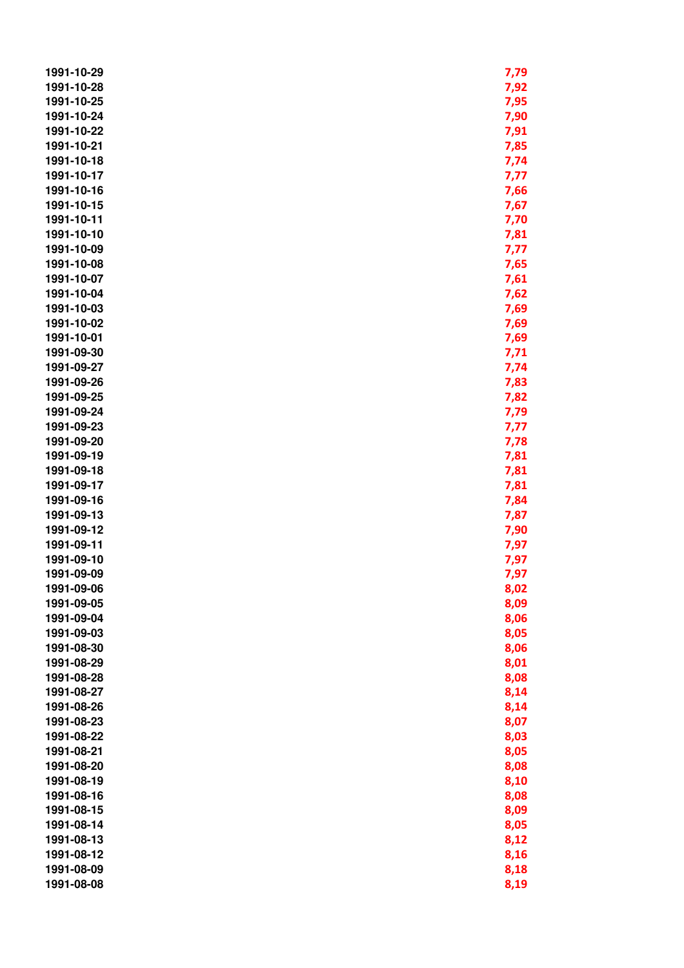| 1991-10-29 | 7,79 |
|------------|------|
| 1991-10-28 | 7,92 |
| 1991-10-25 | 7,95 |
| 1991-10-24 | 7,90 |
| 1991-10-22 | 7,91 |
| 1991-10-21 | 7,85 |
| 1991-10-18 | 7,74 |
| 1991-10-17 | 7,77 |
| 1991-10-16 | 7,66 |
| 1991-10-15 | 7,67 |
| 1991-10-11 | 7,70 |
| 1991-10-10 | 7,81 |
| 1991-10-09 | 7,77 |
| 1991-10-08 | 7,65 |
| 1991-10-07 | 7,61 |
| 1991-10-04 | 7,62 |
| 1991-10-03 | 7,69 |
| 1991-10-02 | 7,69 |
| 1991-10-01 | 7,69 |
| 1991-09-30 | 7,71 |
| 1991-09-27 | 7,74 |
| 1991-09-26 | 7,83 |
| 1991-09-25 | 7,82 |
| 1991-09-24 | 7,79 |
| 1991-09-23 | 7,77 |
| 1991-09-20 | 7,78 |
| 1991-09-19 | 7,81 |
| 1991-09-18 | 7,81 |
| 1991-09-17 | 7,81 |
| 1991-09-16 | 7,84 |
| 1991-09-13 | 7,87 |
| 1991-09-12 | 7,90 |
| 1991-09-11 | 7,97 |
| 1991-09-10 | 7,97 |
| 1991-09-09 | 7,97 |
| 1991-09-06 | 8,02 |
| 1991-09-05 | 8,09 |
| 1991-09-04 | 8,06 |
| 1991-09-03 | 8,05 |
| 1991-08-30 | 8,06 |
| 1991-08-29 | 8,01 |
| 1991-08-28 | 8,08 |
| 1991-08-27 | 8,14 |
| 1991-08-26 | 8,14 |
| 1991-08-23 | 8,07 |
| 1991-08-22 | 8,03 |
| 1991-08-21 | 8,05 |
| 1991-08-20 | 8,08 |
| 1991-08-19 | 8,10 |
| 1991-08-16 | 8,08 |
| 1991-08-15 | 8,09 |
| 1991-08-14 | 8,05 |
| 1991-08-13 | 8,12 |
| 1991-08-12 | 8,16 |
| 1991-08-09 | 8,18 |
| 1991-08-08 | 8,19 |
|            |      |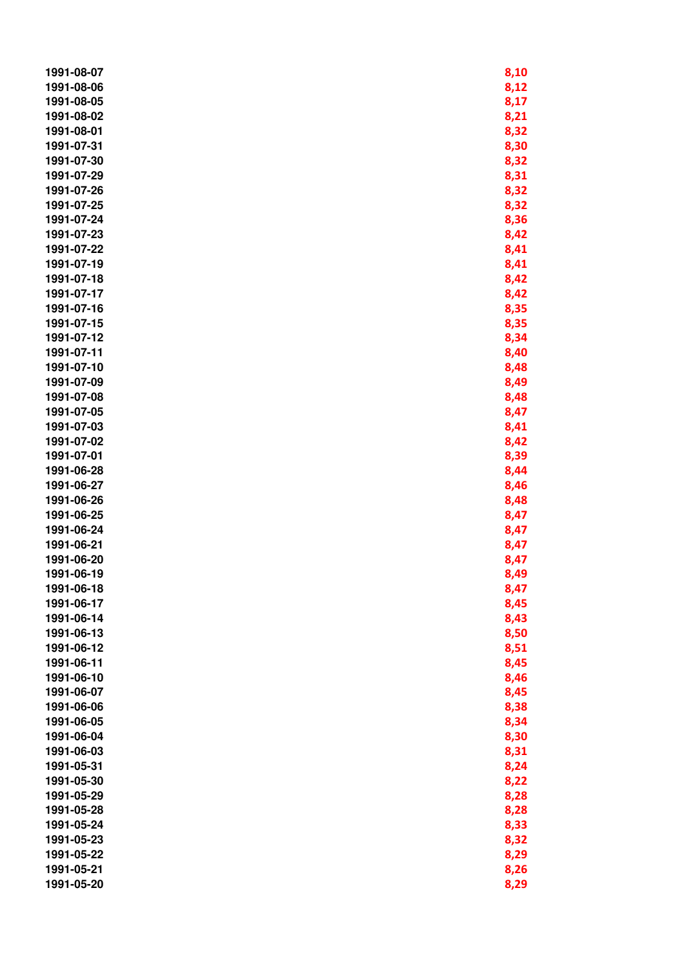| 1991-08-07 | 8,10 |
|------------|------|
| 1991-08-06 | 8,12 |
| 1991-08-05 | 8,17 |
| 1991-08-02 | 8,21 |
| 1991-08-01 | 8,32 |
| 1991-07-31 | 8,30 |
| 1991-07-30 | 8,32 |
| 1991-07-29 | 8,31 |
| 1991-07-26 | 8,32 |
| 1991-07-25 | 8,32 |
| 1991-07-24 | 8,36 |
| 1991-07-23 | 8,42 |
| 1991-07-22 | 8,41 |
| 1991-07-19 | 8,41 |
| 1991-07-18 | 8,42 |
| 1991-07-17 | 8,42 |
| 1991-07-16 | 8,35 |
| 1991-07-15 | 8,35 |
| 1991-07-12 | 8,34 |
| 1991-07-11 | 8,40 |
| 1991-07-10 | 8,48 |
| 1991-07-09 | 8,49 |
| 1991-07-08 | 8,48 |
| 1991-07-05 | 8,47 |
| 1991-07-03 | 8,41 |
| 1991-07-02 | 8,42 |
| 1991-07-01 | 8,39 |
| 1991-06-28 | 8,44 |
| 1991-06-27 | 8,46 |
| 1991-06-26 | 8,48 |
| 1991-06-25 | 8,47 |
| 1991-06-24 | 8,47 |
| 1991-06-21 | 8,47 |
| 1991-06-20 | 8,47 |
| 1991-06-19 | 8,49 |
| 1991-06-18 | 8,47 |
| 1991-06-17 | 8,45 |
| 1991-06-14 | 8,43 |
| 1991-06-13 | 8,50 |
| 1991-06-12 | 8,51 |
| 1991-06-11 | 8,45 |
| 1991-06-10 | 8,46 |
| 1991-06-07 | 8,45 |
| 1991-06-06 | 8,38 |
| 1991-06-05 | 8,34 |
| 1991-06-04 | 8,30 |
| 1991-06-03 | 8,31 |
| 1991-05-31 | 8,24 |
| 1991-05-30 | 8,22 |
| 1991-05-29 | 8,28 |
| 1991-05-28 | 8,28 |
| 1991-05-24 | 8,33 |
| 1991-05-23 | 8,32 |
| 1991-05-22 | 8,29 |
| 1991-05-21 | 8,26 |
| 1991-05-20 | 8,29 |
|            |      |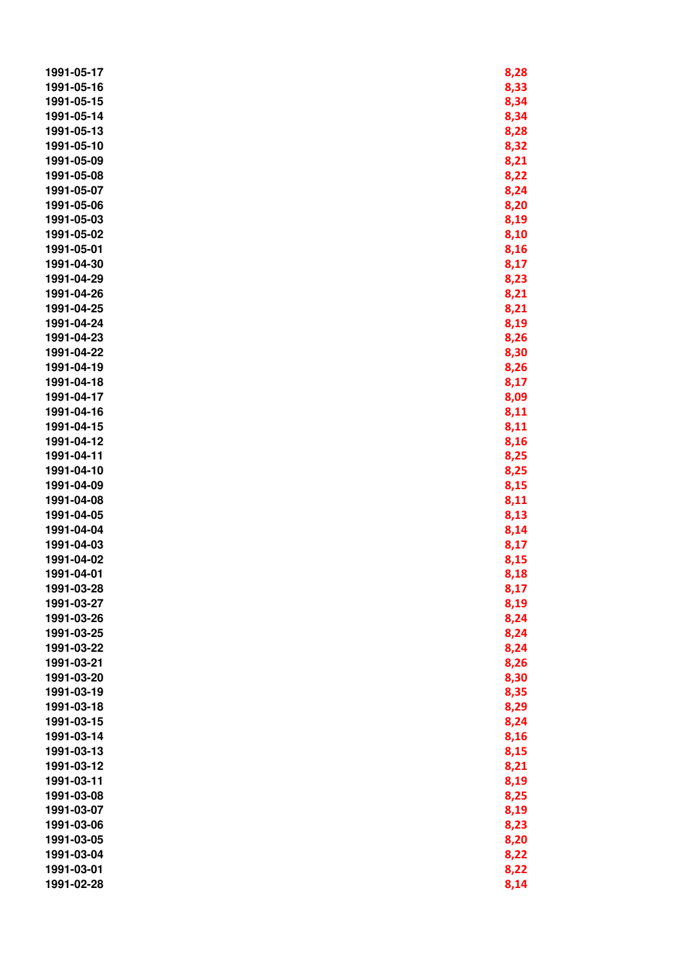| 1991-05-17 | 8,28 |
|------------|------|
| 1991-05-16 | 8,33 |
| 1991-05-15 | 8,34 |
| 1991-05-14 | 8,34 |
| 1991-05-13 | 8,28 |
| 1991-05-10 | 8,32 |
| 1991-05-09 | 8,21 |
| 1991-05-08 | 8,22 |
| 1991-05-07 | 8,24 |
| 1991-05-06 | 8,20 |
| 1991-05-03 |      |
| 1991-05-02 | 8,19 |
|            | 8,10 |
| 1991-05-01 | 8,16 |
| 1991-04-30 | 8,17 |
| 1991-04-29 | 8,23 |
| 1991-04-26 | 8,21 |
| 1991-04-25 | 8,21 |
| 1991-04-24 | 8,19 |
| 1991-04-23 | 8,26 |
| 1991-04-22 | 8,30 |
| 1991-04-19 | 8,26 |
| 1991-04-18 | 8,17 |
| 1991-04-17 | 8,09 |
| 1991-04-16 | 8,11 |
| 1991-04-15 | 8,11 |
| 1991-04-12 | 8,16 |
| 1991-04-11 | 8,25 |
| 1991-04-10 | 8,25 |
| 1991-04-09 | 8,15 |
| 1991-04-08 | 8,11 |
| 1991-04-05 | 8,13 |
| 1991-04-04 | 8,14 |
| 1991-04-03 | 8,17 |
| 1991-04-02 | 8,15 |
| 1991-04-01 | 8,18 |
| 1991-03-28 | 8,17 |
| 1991-03-27 | 8,19 |
| 1991-03-26 | 8,24 |
| 1991-03-25 | 8,24 |
| 1991-03-22 | 8,24 |
| 1991-03-21 | 8,26 |
| 1991-03-20 | 8,30 |
| 1991-03-19 | 8,35 |
| 1991-03-18 | 8,29 |
| 1991-03-15 | 8,24 |
| 1991-03-14 | 8,16 |
| 1991-03-13 | 8,15 |
| 1991-03-12 | 8,21 |
| 1991-03-11 | 8,19 |
| 1991-03-08 | 8,25 |
| 1991-03-07 | 8,19 |
| 1991-03-06 | 8,23 |
| 1991-03-05 | 8,20 |
| 1991-03-04 | 8,22 |
|            |      |
| 1991-03-01 | 8,22 |
| 1991-02-28 | 8,14 |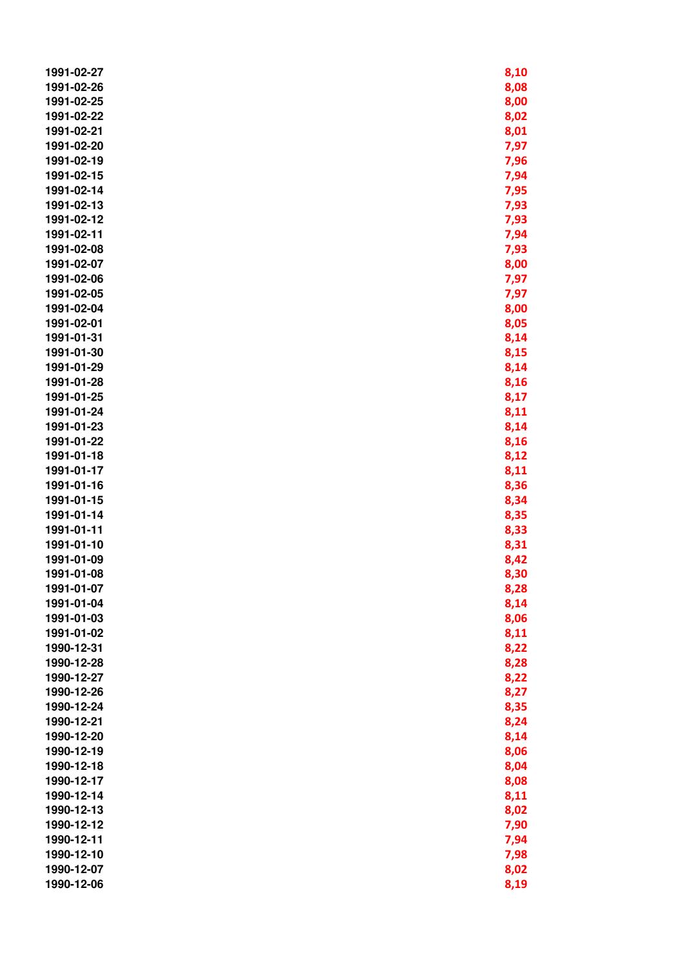| 1991-02-27               | 8,10         |
|--------------------------|--------------|
| 1991-02-26               | 8,08         |
| 1991-02-25               | 8,00         |
| 1991-02-22               | 8,02         |
| 1991-02-21               | 8,01         |
| 1991-02-20               | 7,97         |
| 1991-02-19               | 7,96         |
| 1991-02-15               | 7,94         |
| 1991-02-14               | 7,95         |
| 1991-02-13               | 7,93         |
| 1991-02-12               | 7,93         |
| 1991-02-11               | 7,94         |
| 1991-02-08               | 7,93         |
| 1991-02-07               | 8,00         |
| 1991-02-06               | 7,97         |
| 1991-02-05               | 7,97         |
| 1991-02-04               | 8,00         |
| 1991-02-01               | 8,05         |
| 1991-01-31               | 8,14         |
| 1991-01-30               | 8,15         |
| 1991-01-29               |              |
| 1991-01-28               | 8,14<br>8,16 |
| 1991-01-25               |              |
| 1991-01-24               | 8,17         |
| 1991-01-23               | 8,11         |
| 1991-01-22               | 8,14         |
| 1991-01-18               | 8,16         |
| 1991-01-17               | 8,12         |
|                          | 8,11         |
| 1991-01-16               | 8,36         |
| 1991-01-15               | 8,34         |
| 1991-01-14<br>1991-01-11 | 8,35         |
|                          | 8,33         |
| 1991-01-10               | 8,31         |
| 1991-01-09<br>1991-01-08 | 8,42         |
|                          | 8,30         |
| 1991-01-07               | 8,28         |
| 1991-01-04<br>1991-01-03 | 8,14         |
|                          | 8,06         |
| 1991-01-02               | 8,11         |
| 1990-12-31               | 8,22         |
| 1990-12-28               | 8,28         |
| 1990-12-27               | 8,22         |
| 1990-12-26               | 8,27         |
| 1990-12-24               | 8,35         |
| 1990-12-21               | 8,24         |
| 1990-12-20               | 8,14         |
| 1990-12-19               | 8,06         |
| 1990-12-18               | 8,04         |
| 1990-12-17               | 8,08         |
| 1990-12-14               | 8,11         |
| 1990-12-13               | 8,02         |
| 1990-12-12               | 7,90         |
| 1990-12-11               | 7,94         |
| 1990-12-10               | 7,98         |
| 1990-12-07               | 8,02         |
| 1990-12-06               | 8,19         |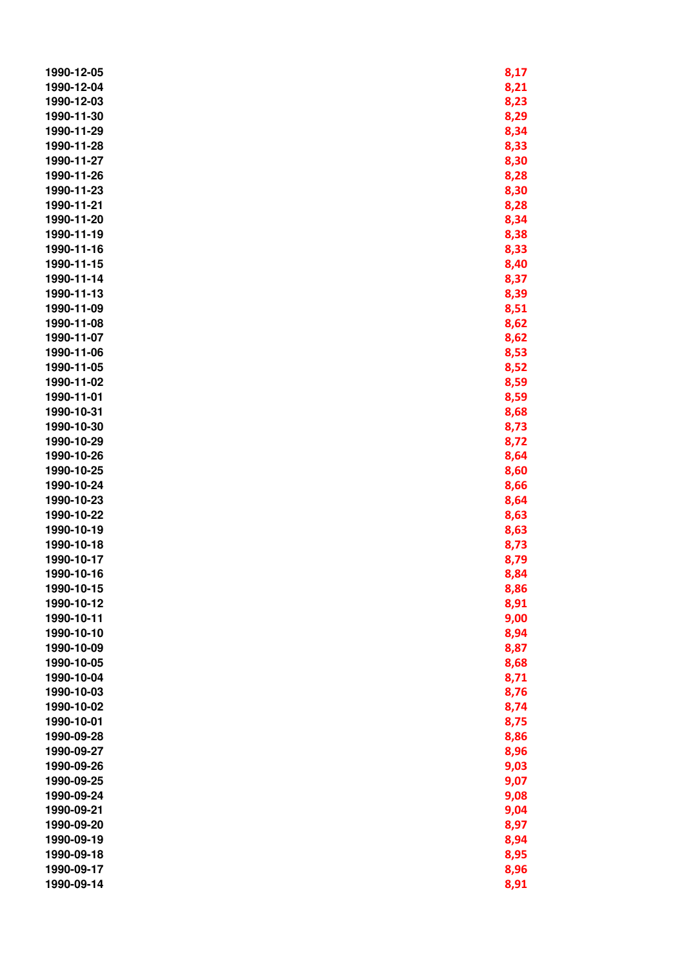| 1990-12-05 | 8,17 |
|------------|------|
| 1990-12-04 | 8,21 |
| 1990-12-03 | 8,23 |
| 1990-11-30 | 8,29 |
| 1990-11-29 | 8,34 |
| 1990-11-28 | 8,33 |
| 1990-11-27 | 8,30 |
| 1990-11-26 | 8,28 |
| 1990-11-23 | 8,30 |
| 1990-11-21 | 8,28 |
| 1990-11-20 | 8,34 |
| 1990-11-19 | 8,38 |
| 1990-11-16 | 8,33 |
| 1990-11-15 | 8,40 |
| 1990-11-14 | 8,37 |
| 1990-11-13 | 8,39 |
| 1990-11-09 | 8,51 |
| 1990-11-08 | 8,62 |
| 1990-11-07 | 8,62 |
| 1990-11-06 | 8,53 |
| 1990-11-05 | 8,52 |
| 1990-11-02 | 8,59 |
| 1990-11-01 | 8,59 |
| 1990-10-31 | 8,68 |
| 1990-10-30 | 8,73 |
| 1990-10-29 | 8,72 |
| 1990-10-26 | 8,64 |
| 1990-10-25 | 8,60 |
| 1990-10-24 | 8,66 |
| 1990-10-23 | 8,64 |
| 1990-10-22 | 8,63 |
| 1990-10-19 | 8,63 |
| 1990-10-18 | 8,73 |
| 1990-10-17 | 8,79 |
| 1990-10-16 | 8,84 |
| 1990-10-15 | 8,86 |
| 1990-10-12 | 8,91 |
| 1990-10-11 | 9,00 |
| 1990-10-10 | 8,94 |
| 1990-10-09 | 8,87 |
| 1990-10-05 | 8,68 |
| 1990-10-04 | 8,71 |
| 1990-10-03 | 8,76 |
| 1990-10-02 | 8,74 |
| 1990-10-01 | 8,75 |
| 1990-09-28 | 8,86 |
| 1990-09-27 | 8,96 |
| 1990-09-26 | 9,03 |
| 1990-09-25 | 9,07 |
| 1990-09-24 | 9,08 |
| 1990-09-21 | 9,04 |
| 1990-09-20 | 8,97 |
| 1990-09-19 | 8,94 |
| 1990-09-18 | 8,95 |
| 1990-09-17 | 8,96 |
| 1990-09-14 | 8,91 |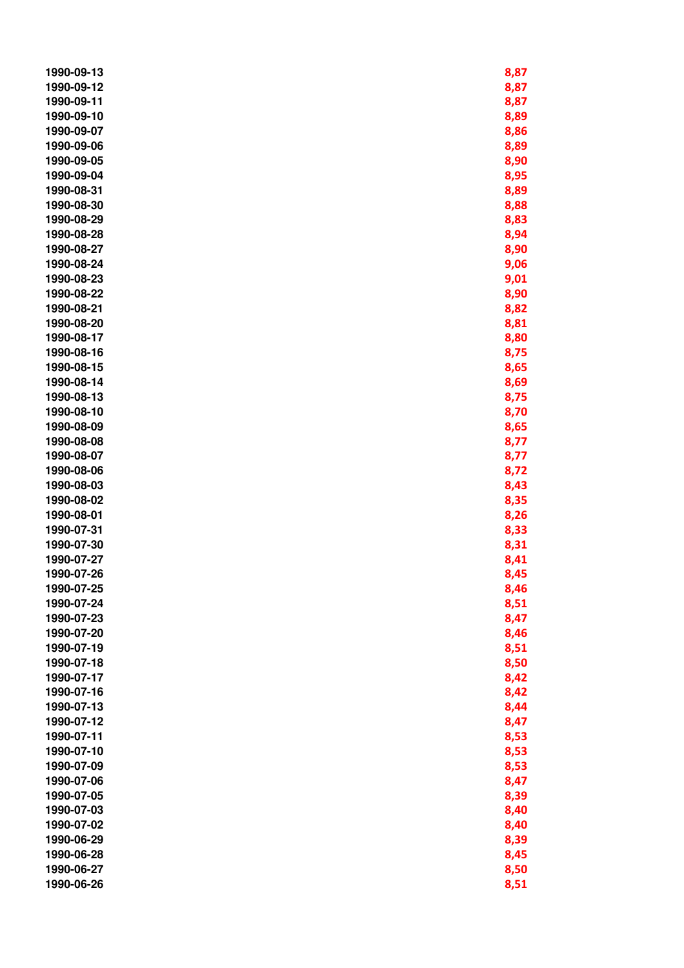| 1990-09-13 | 8,87 |
|------------|------|
| 1990-09-12 | 8,87 |
| 1990-09-11 | 8,87 |
| 1990-09-10 | 8,89 |
| 1990-09-07 | 8,86 |
| 1990-09-06 | 8,89 |
| 1990-09-05 | 8,90 |
| 1990-09-04 | 8,95 |
| 1990-08-31 | 8,89 |
| 1990-08-30 | 8,88 |
| 1990-08-29 | 8,83 |
| 1990-08-28 | 8,94 |
| 1990-08-27 | 8,90 |
| 1990-08-24 | 9,06 |
| 1990-08-23 | 9,01 |
| 1990-08-22 | 8,90 |
| 1990-08-21 | 8,82 |
| 1990-08-20 | 8,81 |
| 1990-08-17 | 8,80 |
| 1990-08-16 | 8,75 |
| 1990-08-15 | 8,65 |
| 1990-08-14 | 8,69 |
| 1990-08-13 | 8,75 |
| 1990-08-10 | 8,70 |
| 1990-08-09 | 8,65 |
| 1990-08-08 | 8,77 |
| 1990-08-07 | 8,77 |
| 1990-08-06 | 8,72 |
| 1990-08-03 | 8,43 |
| 1990-08-02 | 8,35 |
| 1990-08-01 | 8,26 |
| 1990-07-31 | 8,33 |
| 1990-07-30 | 8,31 |
| 1990-07-27 | 8,41 |
| 1990-07-26 | 8,45 |
| 1990-07-25 | 8,46 |
| 1990-07-24 | 8,51 |
| 1990-07-23 | 8,47 |
| 1990-07-20 | 8,46 |
| 1990-07-19 | 8,51 |
| 1990-07-18 | 8,50 |
| 1990-07-17 | 8,42 |
| 1990-07-16 | 8,42 |
| 1990-07-13 | 8,44 |
| 1990-07-12 | 8,47 |
| 1990-07-11 | 8,53 |
| 1990-07-10 | 8,53 |
| 1990-07-09 | 8,53 |
| 1990-07-06 | 8,47 |
| 1990-07-05 | 8,39 |
| 1990-07-03 | 8,40 |
| 1990-07-02 | 8,40 |
| 1990-06-29 | 8,39 |
| 1990-06-28 | 8,45 |
| 1990-06-27 | 8,50 |
| 1990-06-26 | 8,51 |
|            |      |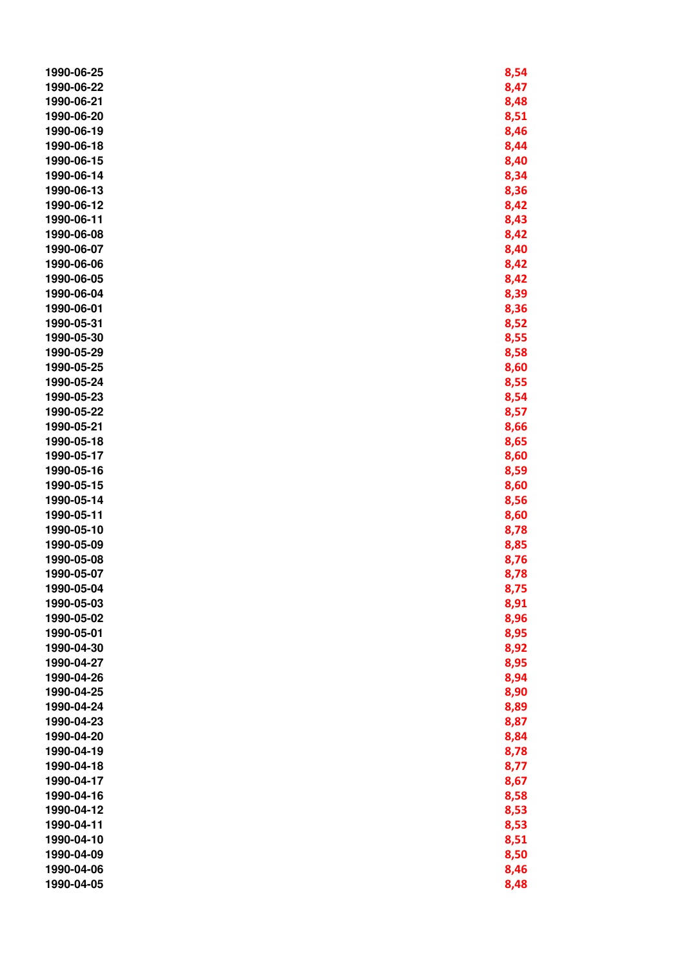| 1990-06-25 | 8,54 |
|------------|------|
| 1990-06-22 | 8,47 |
| 1990-06-21 | 8,48 |
| 1990-06-20 | 8,51 |
| 1990-06-19 | 8,46 |
| 1990-06-18 | 8,44 |
| 1990-06-15 | 8,40 |
| 1990-06-14 | 8,34 |
| 1990-06-13 | 8,36 |
| 1990-06-12 | 8,42 |
| 1990-06-11 | 8,43 |
| 1990-06-08 | 8,42 |
| 1990-06-07 | 8,40 |
| 1990-06-06 | 8,42 |
| 1990-06-05 | 8,42 |
| 1990-06-04 | 8,39 |
| 1990-06-01 | 8,36 |
| 1990-05-31 | 8,52 |
| 1990-05-30 | 8,55 |
| 1990-05-29 | 8,58 |
| 1990-05-25 | 8,60 |
| 1990-05-24 | 8,55 |
| 1990-05-23 | 8,54 |
| 1990-05-22 | 8,57 |
| 1990-05-21 | 8,66 |
| 1990-05-18 | 8,65 |
| 1990-05-17 | 8,60 |
| 1990-05-16 | 8,59 |
| 1990-05-15 | 8,60 |
| 1990-05-14 | 8,56 |
| 1990-05-11 | 8,60 |
| 1990-05-10 | 8,78 |
| 1990-05-09 | 8,85 |
| 1990-05-08 | 8,76 |
| 1990-05-07 | 8,78 |
| 1990-05-04 | 8,75 |
| 1990-05-03 | 8,91 |
| 1990-05-02 | 8,96 |
| 1990-05-01 | 8,95 |
| 1990-04-30 | 8,92 |
| 1990-04-27 | 8,95 |
| 1990-04-26 | 8,94 |
| 1990-04-25 | 8,90 |
| 1990-04-24 | 8,89 |
| 1990-04-23 | 8,87 |
| 1990-04-20 | 8,84 |
| 1990-04-19 | 8,78 |
| 1990-04-18 | 8,77 |
| 1990-04-17 | 8,67 |
| 1990-04-16 | 8,58 |
| 1990-04-12 | 8,53 |
| 1990-04-11 | 8,53 |
| 1990-04-10 | 8,51 |
| 1990-04-09 | 8,50 |
| 1990-04-06 | 8,46 |
| 1990-04-05 | 8,48 |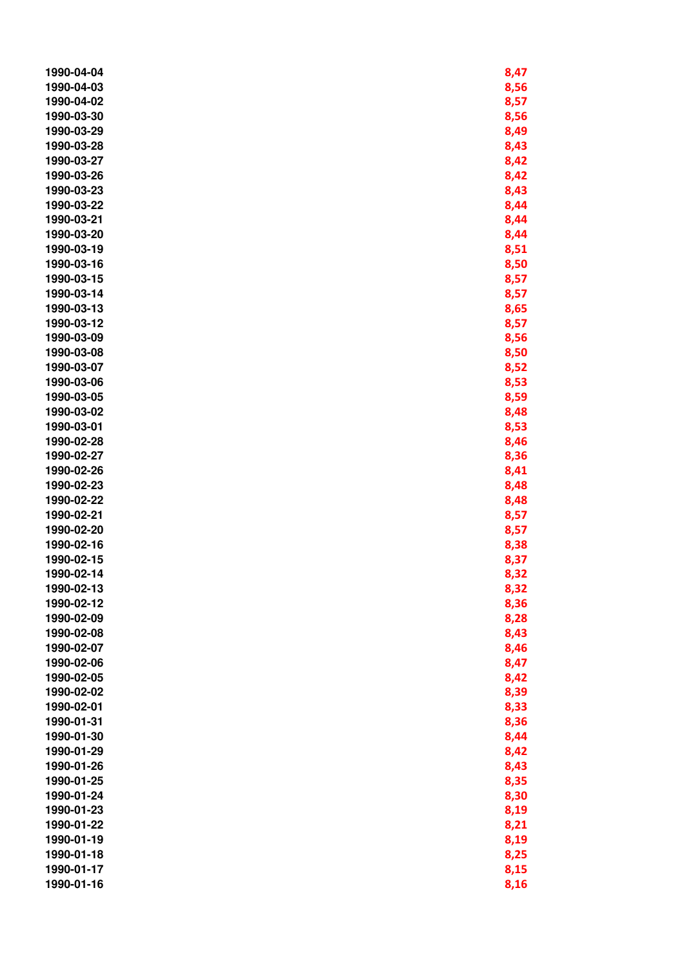| 1990-04-04 | 8,47 |
|------------|------|
| 1990-04-03 | 8,56 |
| 1990-04-02 | 8,57 |
| 1990-03-30 | 8,56 |
| 1990-03-29 | 8,49 |
| 1990-03-28 | 8,43 |
| 1990-03-27 | 8,42 |
| 1990-03-26 | 8,42 |
| 1990-03-23 | 8,43 |
| 1990-03-22 | 8,44 |
| 1990-03-21 | 8,44 |
| 1990-03-20 | 8,44 |
| 1990-03-19 | 8,51 |
| 1990-03-16 | 8,50 |
| 1990-03-15 | 8,57 |
| 1990-03-14 | 8,57 |
| 1990-03-13 | 8,65 |
| 1990-03-12 | 8,57 |
| 1990-03-09 | 8,56 |
| 1990-03-08 | 8,50 |
| 1990-03-07 | 8,52 |
| 1990-03-06 | 8,53 |
| 1990-03-05 | 8,59 |
| 1990-03-02 | 8,48 |
| 1990-03-01 | 8,53 |
| 1990-02-28 | 8,46 |
| 1990-02-27 | 8,36 |
| 1990-02-26 | 8,41 |
| 1990-02-23 | 8,48 |
| 1990-02-22 | 8,48 |
| 1990-02-21 | 8,57 |
| 1990-02-20 | 8,57 |
| 1990-02-16 | 8,38 |
| 1990-02-15 | 8,37 |
| 1990-02-14 | 8,32 |
| 1990-02-13 | 8,32 |
| 1990-02-12 | 8,36 |
| 1990-02-09 | 8,28 |
| 1990-02-08 | 8,43 |
| 1990-02-07 | 8,46 |
| 1990-02-06 | 8,47 |
| 1990-02-05 | 8,42 |
| 1990-02-02 | 8,39 |
| 1990-02-01 | 8,33 |
| 1990-01-31 | 8,36 |
| 1990-01-30 | 8,44 |
| 1990-01-29 | 8,42 |
| 1990-01-26 | 8,43 |
| 1990-01-25 | 8,35 |
| 1990-01-24 | 8,30 |
| 1990-01-23 | 8,19 |
| 1990-01-22 | 8,21 |
| 1990-01-19 | 8,19 |
| 1990-01-18 | 8,25 |
| 1990-01-17 | 8,15 |
| 1990-01-16 | 8,16 |
|            |      |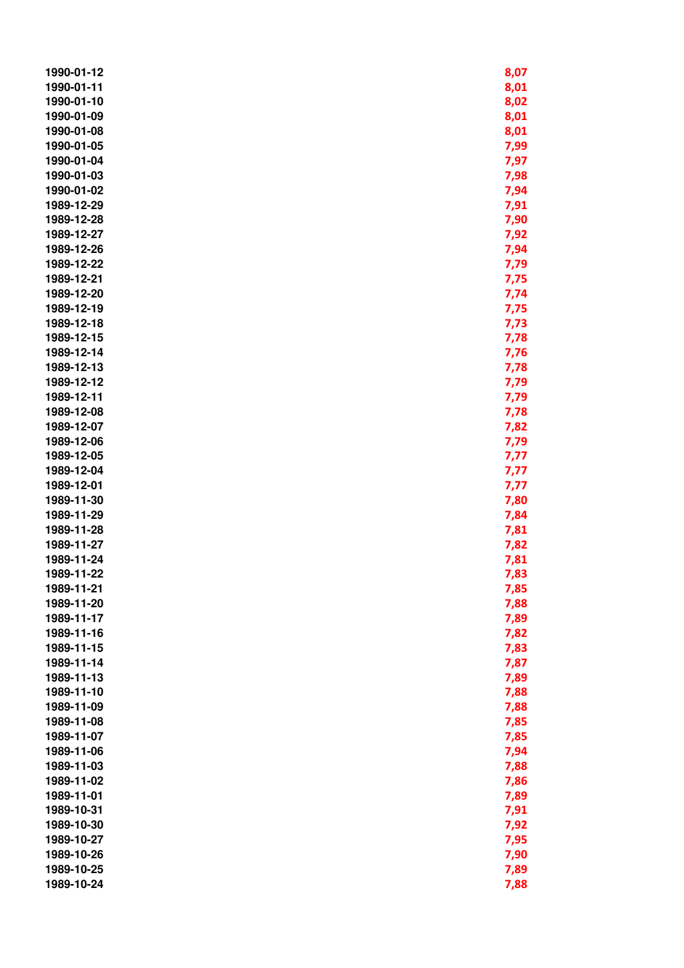| 1990-01-12 | 8,07 |
|------------|------|
| 1990-01-11 | 8,01 |
| 1990-01-10 | 8,02 |
| 1990-01-09 | 8,01 |
| 1990-01-08 | 8,01 |
| 1990-01-05 | 7,99 |
| 1990-01-04 | 7,97 |
| 1990-01-03 | 7,98 |
| 1990-01-02 | 7,94 |
| 1989-12-29 | 7,91 |
| 1989-12-28 | 7,90 |
| 1989-12-27 | 7,92 |
| 1989-12-26 | 7,94 |
| 1989-12-22 | 7,79 |
| 1989-12-21 | 7,75 |
| 1989-12-20 | 7,74 |
| 1989-12-19 | 7,75 |
| 1989-12-18 | 7,73 |
| 1989-12-15 | 7,78 |
| 1989-12-14 | 7,76 |
| 1989-12-13 | 7,78 |
| 1989-12-12 | 7,79 |
| 1989-12-11 | 7,79 |
| 1989-12-08 | 7,78 |
| 1989-12-07 | 7,82 |
| 1989-12-06 | 7,79 |
| 1989-12-05 | 7,77 |
| 1989-12-04 | 7,77 |
| 1989-12-01 | 7,77 |
| 1989-11-30 | 7,80 |
| 1989-11-29 | 7,84 |
| 1989-11-28 | 7,81 |
| 1989-11-27 | 7,82 |
| 1989-11-24 | 7,81 |
| 1989-11-22 | 7,83 |
| 1989-11-21 | 7,85 |
| 1989-11-20 | 7,88 |
| 1989-11-17 | 7,89 |
| 1989-11-16 | 7,82 |
| 1989-11-15 | 7,83 |
| 1989-11-14 | 7,87 |
| 1989-11-13 | 7,89 |
| 1989-11-10 | 7,88 |
| 1989-11-09 | 7,88 |
| 1989-11-08 | 7,85 |
| 1989-11-07 | 7,85 |
| 1989-11-06 | 7,94 |
| 1989-11-03 | 7,88 |
| 1989-11-02 | 7,86 |
| 1989-11-01 | 7,89 |
| 1989-10-31 | 7,91 |
| 1989-10-30 | 7,92 |
| 1989-10-27 | 7,95 |
| 1989-10-26 | 7,90 |
| 1989-10-25 | 7,89 |
| 1989-10-24 | 7,88 |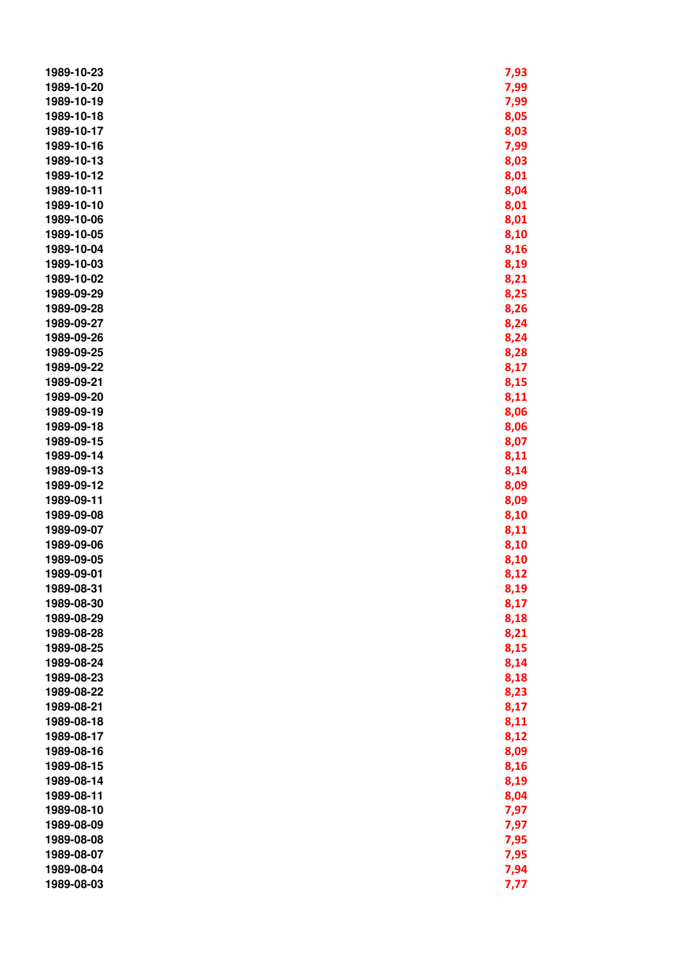| 1989-10-23 | 7,93 |
|------------|------|
| 1989-10-20 | 7,99 |
| 1989-10-19 | 7,99 |
| 1989-10-18 | 8,05 |
| 1989-10-17 | 8,03 |
| 1989-10-16 | 7,99 |
| 1989-10-13 | 8,03 |
| 1989-10-12 | 8,01 |
| 1989-10-11 | 8,04 |
| 1989-10-10 | 8,01 |
| 1989-10-06 | 8,01 |
| 1989-10-05 | 8,10 |
| 1989-10-04 | 8,16 |
| 1989-10-03 | 8,19 |
| 1989-10-02 | 8,21 |
| 1989-09-29 | 8,25 |
| 1989-09-28 | 8,26 |
| 1989-09-27 | 8,24 |
| 1989-09-26 | 8,24 |
| 1989-09-25 | 8,28 |
| 1989-09-22 | 8,17 |
| 1989-09-21 | 8,15 |
| 1989-09-20 | 8,11 |
| 1989-09-19 | 8,06 |
| 1989-09-18 | 8,06 |
| 1989-09-15 | 8,07 |
| 1989-09-14 | 8,11 |
| 1989-09-13 | 8,14 |
| 1989-09-12 | 8,09 |
| 1989-09-11 | 8,09 |
| 1989-09-08 | 8,10 |
| 1989-09-07 | 8,11 |
| 1989-09-06 | 8,10 |
| 1989-09-05 | 8,10 |
| 1989-09-01 | 8,12 |
| 1989-08-31 | 8,19 |
| 1989-08-30 | 8,17 |
| 1989-08-29 | 8,18 |
| 1989-08-28 | 8,21 |
| 1989-08-25 | 8,15 |
| 1989-08-24 | 8,14 |
| 1989-08-23 | 8,18 |
| 1989-08-22 | 8,23 |
| 1989-08-21 | 8,17 |
| 1989-08-18 | 8,11 |
| 1989-08-17 | 8,12 |
| 1989-08-16 | 8,09 |
| 1989-08-15 | 8,16 |
| 1989-08-14 | 8,19 |
| 1989-08-11 | 8,04 |
| 1989-08-10 | 7,97 |
| 1989-08-09 | 7,97 |
| 1989-08-08 | 7,95 |
| 1989-08-07 | 7,95 |
| 1989-08-04 | 7,94 |
| 1989-08-03 | 7,77 |
|            |      |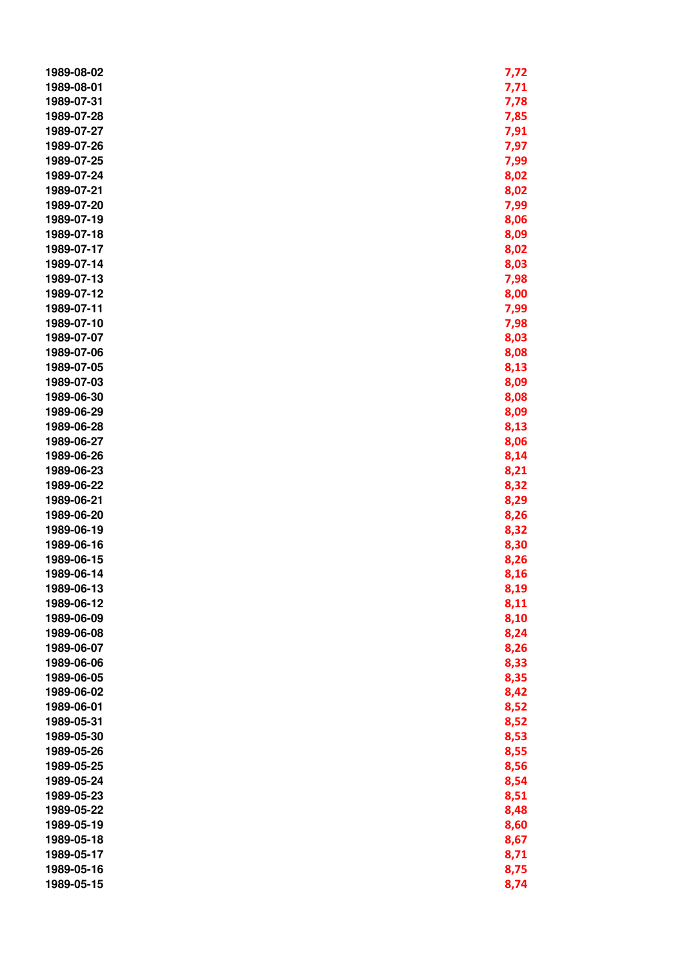| 1989-08-02 | 7,72 |
|------------|------|
| 1989-08-01 | 7,71 |
| 1989-07-31 | 7,78 |
| 1989-07-28 | 7,85 |
| 1989-07-27 | 7,91 |
| 1989-07-26 | 7,97 |
| 1989-07-25 | 7,99 |
| 1989-07-24 | 8,02 |
| 1989-07-21 | 8,02 |
| 1989-07-20 | 7,99 |
| 1989-07-19 | 8,06 |
| 1989-07-18 | 8,09 |
| 1989-07-17 | 8,02 |
| 1989-07-14 | 8,03 |
| 1989-07-13 | 7,98 |
| 1989-07-12 | 8,00 |
| 1989-07-11 | 7,99 |
| 1989-07-10 | 7,98 |
| 1989-07-07 |      |
|            | 8,03 |
| 1989-07-06 | 8,08 |
| 1989-07-05 | 8,13 |
| 1989-07-03 | 8,09 |
| 1989-06-30 | 8,08 |
| 1989-06-29 | 8,09 |
| 1989-06-28 | 8,13 |
| 1989-06-27 | 8,06 |
| 1989-06-26 | 8,14 |
| 1989-06-23 | 8,21 |
| 1989-06-22 | 8,32 |
| 1989-06-21 | 8,29 |
| 1989-06-20 | 8,26 |
| 1989-06-19 | 8,32 |
| 1989-06-16 | 8,30 |
| 1989-06-15 | 8,26 |
| 1989-06-14 | 8,16 |
| 1989-06-13 | 8,19 |
| 1989-06-12 | 8,11 |
| 1989-06-09 | 8,10 |
| 1989-06-08 | 8,24 |
| 1989-06-07 | 8,26 |
| 1989-06-06 | 8,33 |
| 1989-06-05 | 8,35 |
| 1989-06-02 | 8,42 |
| 1989-06-01 | 8,52 |
| 1989-05-31 | 8,52 |
| 1989-05-30 | 8,53 |
| 1989-05-26 | 8,55 |
| 1989-05-25 | 8,56 |
| 1989-05-24 | 8,54 |
| 1989-05-23 | 8,51 |
| 1989-05-22 | 8,48 |
| 1989-05-19 | 8,60 |
| 1989-05-18 | 8,67 |
| 1989-05-17 | 8,71 |
| 1989-05-16 | 8,75 |
| 1989-05-15 | 8,74 |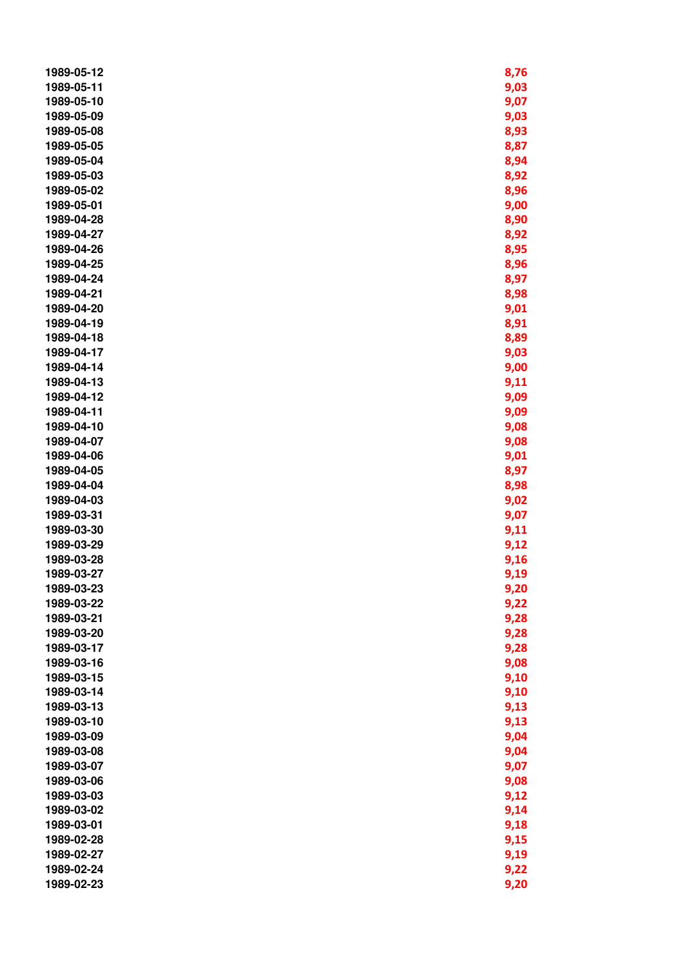| 1989-05-12 | 8,76 |
|------------|------|
| 1989-05-11 | 9,03 |
| 1989-05-10 | 9,07 |
| 1989-05-09 | 9,03 |
| 1989-05-08 | 8,93 |
| 1989-05-05 | 8,87 |
| 1989-05-04 | 8,94 |
| 1989-05-03 | 8,92 |
| 1989-05-02 | 8,96 |
| 1989-05-01 | 9,00 |
| 1989-04-28 | 8,90 |
| 1989-04-27 | 8,92 |
| 1989-04-26 | 8,95 |
| 1989-04-25 | 8,96 |
| 1989-04-24 | 8,97 |
| 1989-04-21 | 8,98 |
| 1989-04-20 | 9,01 |
| 1989-04-19 | 8,91 |
| 1989-04-18 | 8,89 |
| 1989-04-17 | 9,03 |
| 1989-04-14 | 9,00 |
| 1989-04-13 | 9,11 |
| 1989-04-12 | 9,09 |
| 1989-04-11 | 9,09 |
| 1989-04-10 | 9,08 |
| 1989-04-07 | 9,08 |
| 1989-04-06 | 9,01 |
| 1989-04-05 | 8,97 |
| 1989-04-04 | 8,98 |
| 1989-04-03 | 9,02 |
| 1989-03-31 | 9,07 |
| 1989-03-30 | 9,11 |
| 1989-03-29 | 9,12 |
| 1989-03-28 | 9,16 |
| 1989-03-27 | 9,19 |
| 1989-03-23 | 9,20 |
| 1989-03-22 | 9,22 |
| 1989-03-21 | 9,28 |
| 1989-03-20 | 9,28 |
| 1989-03-17 | 9,28 |
| 1989-03-16 | 9,08 |
| 1989-03-15 | 9,10 |
| 1989-03-14 | 9,10 |
| 1989-03-13 | 9,13 |
| 1989-03-10 | 9,13 |
| 1989-03-09 | 9,04 |
| 1989-03-08 | 9,04 |
| 1989-03-07 | 9,07 |
| 1989-03-06 | 9,08 |
| 1989-03-03 | 9,12 |
| 1989-03-02 | 9,14 |
| 1989-03-01 | 9,18 |
| 1989-02-28 | 9,15 |
| 1989-02-27 | 9,19 |
| 1989-02-24 | 9,22 |
| 1989-02-23 | 9,20 |
|            |      |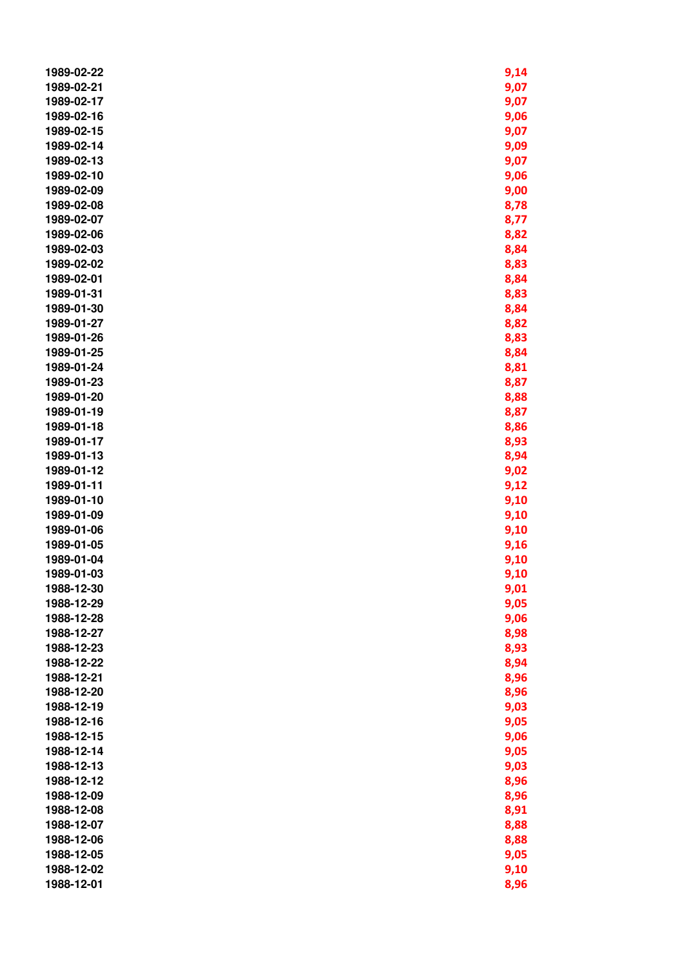| 1989-02-22               | 9,14         |
|--------------------------|--------------|
| 1989-02-21               | 9,07         |
| 1989-02-17               | 9,07         |
| 1989-02-16               | 9,06         |
| 1989-02-15               | 9,07         |
| 1989-02-14               | 9,09         |
| 1989-02-13               | 9,07         |
| 1989-02-10               | 9,06         |
| 1989-02-09               | 9,00         |
| 1989-02-08               | 8,78         |
| 1989-02-07               | 8,77         |
| 1989-02-06               | 8,82         |
| 1989-02-03               | 8,84         |
| 1989-02-02               | 8,83         |
| 1989-02-01               | 8,84         |
| 1989-01-31               | 8,83         |
| 1989-01-30               | 8,84         |
| 1989-01-27               | 8,82         |
| 1989-01-26               | 8,83         |
| 1989-01-25               | 8,84         |
| 1989-01-24               | 8,81         |
| 1989-01-23               | 8,87         |
| 1989-01-20               | 8,88         |
| 1989-01-19               | 8,87         |
| 1989-01-18               | 8,86         |
| 1989-01-17               | 8,93         |
| 1989-01-13               | 8,94         |
| 1989-01-12               | 9,02         |
| 1989-01-11               | 9,12         |
| 1989-01-10               | 9,10         |
| 1989-01-09               | 9,10         |
| 1989-01-06               | 9,10         |
| 1989-01-05               | 9,16         |
| 1989-01-04               | 9,10         |
| 1989-01-03               | 9,10         |
| 1988-12-30               | 9,01         |
| 1988-12-29               | 9,05         |
| 1988-12-28               | 9,06         |
| 1988-12-27               | 8,98         |
| 1988-12-23               | 8,93         |
| 1988-12-22               | 8,94         |
| 1988-12-21               | 8,96         |
| 1988-12-20               | 8,96         |
| 1988-12-19               |              |
| 1988-12-16               | 9,03<br>9,05 |
| 1988-12-15               | 9,06         |
|                          |              |
| 1988-12-14<br>1988-12-13 | 9,05         |
| 1988-12-12               | 9,03<br>8,96 |
| 1988-12-09               |              |
| 1988-12-08               | 8,96         |
| 1988-12-07               | 8,91         |
| 1988-12-06               | 8,88         |
| 1988-12-05               | 8,88<br>9,05 |
| 1988-12-02               | 9,10         |
| 1988-12-01               | 8,96         |
|                          |              |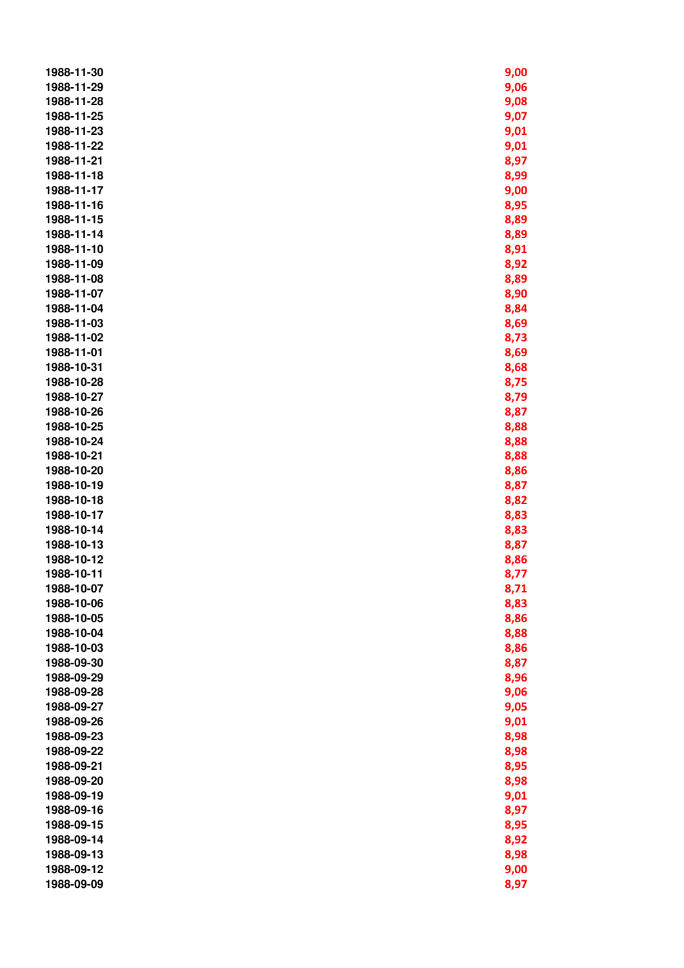| 1988-11-30 | 9,00 |
|------------|------|
| 1988-11-29 | 9,06 |
| 1988-11-28 | 9,08 |
| 1988-11-25 | 9,07 |
| 1988-11-23 | 9,01 |
| 1988-11-22 | 9,01 |
| 1988-11-21 | 8,97 |
| 1988-11-18 | 8,99 |
| 1988-11-17 | 9,00 |
| 1988-11-16 | 8,95 |
| 1988-11-15 | 8,89 |
| 1988-11-14 | 8,89 |
| 1988-11-10 | 8,91 |
| 1988-11-09 | 8,92 |
| 1988-11-08 | 8,89 |
| 1988-11-07 | 8,90 |
| 1988-11-04 | 8,84 |
| 1988-11-03 | 8,69 |
| 1988-11-02 | 8,73 |
| 1988-11-01 | 8,69 |
| 1988-10-31 | 8,68 |
| 1988-10-28 | 8,75 |
| 1988-10-27 | 8,79 |
| 1988-10-26 | 8,87 |
| 1988-10-25 | 8,88 |
| 1988-10-24 | 8,88 |
| 1988-10-21 | 8,88 |
| 1988-10-20 | 8,86 |
| 1988-10-19 | 8,87 |
| 1988-10-18 | 8,82 |
| 1988-10-17 | 8,83 |
| 1988-10-14 | 8,83 |
| 1988-10-13 | 8,87 |
| 1988-10-12 | 8,86 |
| 1988-10-11 | 8,77 |
| 1988-10-07 | 8,71 |
| 1988-10-06 | 8,83 |
| 1988-10-05 | 8,86 |
| 1988-10-04 | 8,88 |
| 1988-10-03 | 8,86 |
| 1988-09-30 | 8,87 |
| 1988-09-29 | 8,96 |
| 1988-09-28 | 9,06 |
| 1988-09-27 | 9,05 |
| 1988-09-26 | 9,01 |
| 1988-09-23 | 8,98 |
| 1988-09-22 | 8,98 |
| 1988-09-21 | 8,95 |
| 1988-09-20 | 8,98 |
| 1988-09-19 | 9,01 |
| 1988-09-16 | 8,97 |
| 1988-09-15 | 8,95 |
| 1988-09-14 | 8,92 |
| 1988-09-13 | 8,98 |
| 1988-09-12 | 9,00 |
| 1988-09-09 | 8,97 |
|            |      |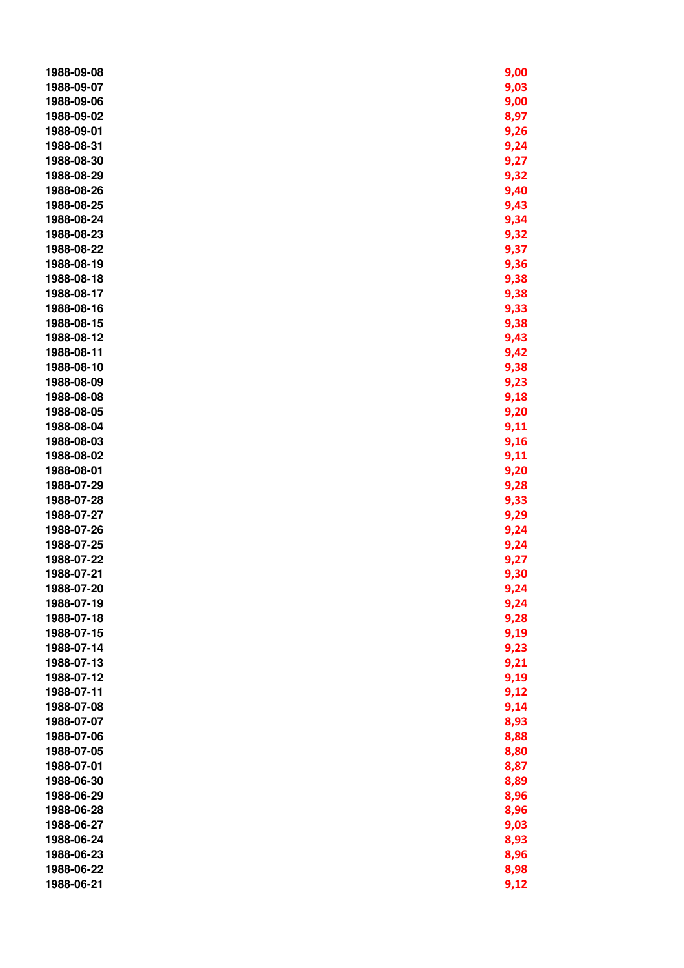| 1988-09-08 | 9,00 |
|------------|------|
| 1988-09-07 | 9,03 |
| 1988-09-06 | 9,00 |
| 1988-09-02 | 8,97 |
| 1988-09-01 | 9,26 |
| 1988-08-31 | 9,24 |
| 1988-08-30 | 9,27 |
| 1988-08-29 | 9,32 |
| 1988-08-26 | 9,40 |
| 1988-08-25 | 9,43 |
| 1988-08-24 | 9,34 |
| 1988-08-23 | 9,32 |
| 1988-08-22 | 9,37 |
| 1988-08-19 | 9,36 |
| 1988-08-18 | 9,38 |
| 1988-08-17 | 9,38 |
| 1988-08-16 | 9,33 |
| 1988-08-15 |      |
|            | 9,38 |
| 1988-08-12 | 9,43 |
| 1988-08-11 | 9,42 |
| 1988-08-10 | 9,38 |
| 1988-08-09 | 9,23 |
| 1988-08-08 | 9,18 |
| 1988-08-05 | 9,20 |
| 1988-08-04 | 9,11 |
| 1988-08-03 | 9,16 |
| 1988-08-02 | 9,11 |
| 1988-08-01 | 9,20 |
| 1988-07-29 | 9,28 |
| 1988-07-28 | 9,33 |
| 1988-07-27 | 9,29 |
| 1988-07-26 | 9,24 |
| 1988-07-25 | 9,24 |
| 1988-07-22 | 9,27 |
| 1988-07-21 | 9,30 |
| 1988-07-20 | 9,24 |
| 1988-07-19 | 9,24 |
| 1988-07-18 | 9,28 |
| 1988-07-15 | 9,19 |
| 1988-07-14 | 9,23 |
| 1988-07-13 | 9,21 |
| 1988-07-12 | 9,19 |
| 1988-07-11 | 9,12 |
| 1988-07-08 | 9,14 |
| 1988-07-07 | 8,93 |
| 1988-07-06 | 8,88 |
| 1988-07-05 | 8,80 |
| 1988-07-01 | 8,87 |
| 1988-06-30 | 8,89 |
| 1988-06-29 | 8,96 |
| 1988-06-28 | 8,96 |
| 1988-06-27 | 9,03 |
| 1988-06-24 | 8,93 |
| 1988-06-23 | 8,96 |
| 1988-06-22 | 8,98 |
| 1988-06-21 | 9,12 |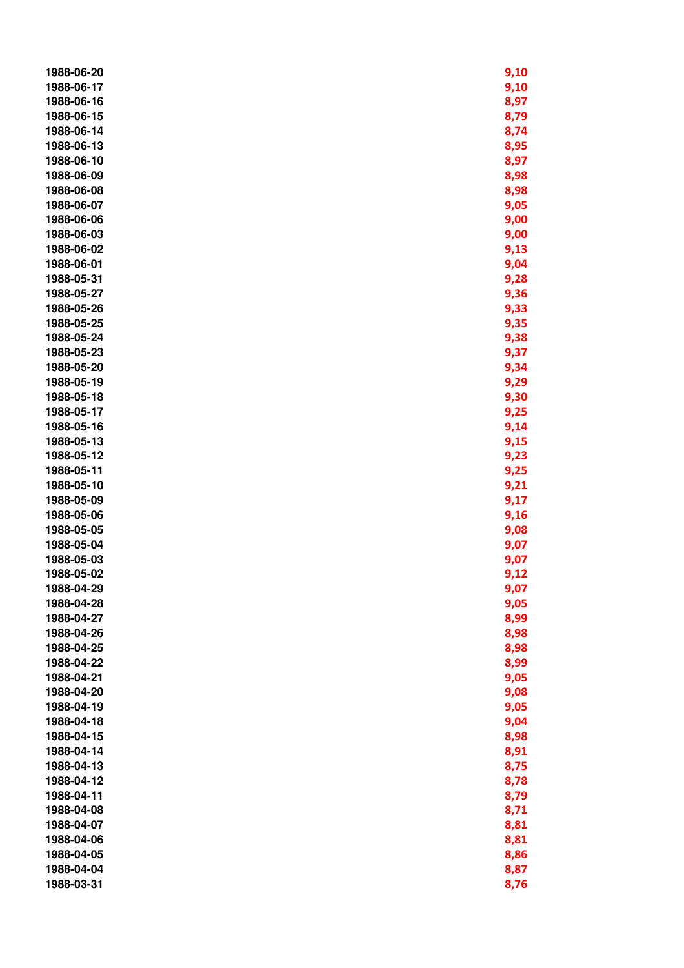| 1988-06-20 | 9,10 |
|------------|------|
| 1988-06-17 | 9,10 |
| 1988-06-16 | 8,97 |
| 1988-06-15 | 8,79 |
| 1988-06-14 | 8,74 |
| 1988-06-13 | 8,95 |
| 1988-06-10 | 8,97 |
| 1988-06-09 | 8,98 |
| 1988-06-08 | 8,98 |
| 1988-06-07 | 9,05 |
| 1988-06-06 | 9,00 |
| 1988-06-03 | 9,00 |
| 1988-06-02 | 9,13 |
| 1988-06-01 | 9,04 |
| 1988-05-31 | 9,28 |
| 1988-05-27 | 9,36 |
| 1988-05-26 | 9,33 |
| 1988-05-25 | 9,35 |
| 1988-05-24 | 9,38 |
| 1988-05-23 | 9,37 |
| 1988-05-20 | 9,34 |
| 1988-05-19 | 9,29 |
| 1988-05-18 | 9,30 |
| 1988-05-17 | 9,25 |
| 1988-05-16 | 9,14 |
| 1988-05-13 | 9,15 |
| 1988-05-12 | 9,23 |
| 1988-05-11 | 9,25 |
| 1988-05-10 | 9,21 |
| 1988-05-09 | 9,17 |
| 1988-05-06 | 9,16 |
| 1988-05-05 | 9,08 |
| 1988-05-04 | 9,07 |
| 1988-05-03 | 9,07 |
| 1988-05-02 | 9,12 |
| 1988-04-29 | 9,07 |
| 1988-04-28 | 9,05 |
| 1988-04-27 | 8,99 |
| 1988-04-26 | 8,98 |
| 1988-04-25 | 8,98 |
| 1988-04-22 | 8,99 |
| 1988-04-21 | 9,05 |
| 1988-04-20 | 9,08 |
| 1988-04-19 | 9,05 |
| 1988-04-18 | 9,04 |
| 1988-04-15 | 8,98 |
| 1988-04-14 | 8,91 |
| 1988-04-13 | 8,75 |
| 1988-04-12 | 8,78 |
| 1988-04-11 | 8,79 |
| 1988-04-08 | 8,71 |
| 1988-04-07 | 8,81 |
| 1988-04-06 | 8,81 |
| 1988-04-05 | 8,86 |
| 1988-04-04 | 8,87 |
| 1988-03-31 | 8,76 |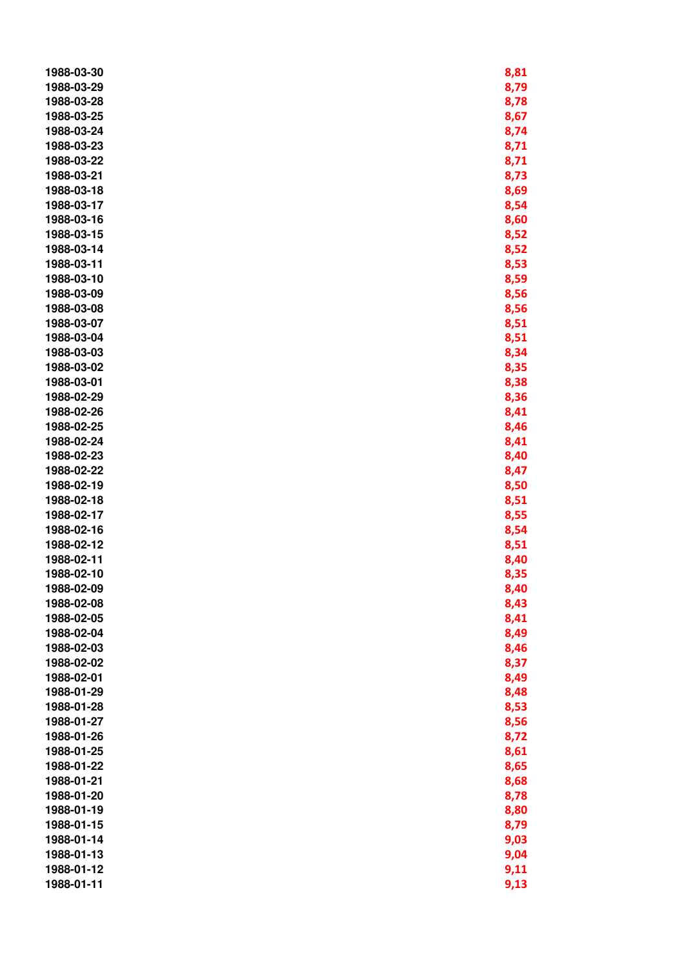| 1988-03-30 | 8,81 |
|------------|------|
| 1988-03-29 | 8,79 |
| 1988-03-28 | 8,78 |
| 1988-03-25 | 8,67 |
| 1988-03-24 | 8,74 |
| 1988-03-23 | 8,71 |
| 1988-03-22 | 8,71 |
| 1988-03-21 | 8,73 |
| 1988-03-18 | 8,69 |
| 1988-03-17 | 8,54 |
| 1988-03-16 | 8,60 |
| 1988-03-15 | 8,52 |
| 1988-03-14 | 8,52 |
| 1988-03-11 | 8,53 |
| 1988-03-10 | 8,59 |
| 1988-03-09 | 8,56 |
| 1988-03-08 | 8,56 |
| 1988-03-07 | 8,51 |
| 1988-03-04 |      |
| 1988-03-03 | 8,51 |
|            | 8,34 |
| 1988-03-02 | 8,35 |
| 1988-03-01 | 8,38 |
| 1988-02-29 | 8,36 |
| 1988-02-26 | 8,41 |
| 1988-02-25 | 8,46 |
| 1988-02-24 | 8,41 |
| 1988-02-23 | 8,40 |
| 1988-02-22 | 8,47 |
| 1988-02-19 | 8,50 |
| 1988-02-18 | 8,51 |
| 1988-02-17 | 8,55 |
| 1988-02-16 | 8,54 |
| 1988-02-12 | 8,51 |
| 1988-02-11 | 8,40 |
| 1988-02-10 | 8,35 |
| 1988-02-09 | 8,40 |
| 1988-02-08 | 8,43 |
| 1988-02-05 | 8,41 |
| 1988-02-04 | 8,49 |
| 1988-02-03 | 8,46 |
| 1988-02-02 | 8,37 |
| 1988-02-01 | 8,49 |
| 1988-01-29 | 8,48 |
| 1988-01-28 | 8,53 |
| 1988-01-27 | 8,56 |
| 1988-01-26 | 8,72 |
| 1988-01-25 | 8,61 |
| 1988-01-22 | 8,65 |
| 1988-01-21 | 8,68 |
| 1988-01-20 | 8,78 |
| 1988-01-19 | 8,80 |
| 1988-01-15 | 8,79 |
| 1988-01-14 | 9,03 |
| 1988-01-13 | 9,04 |
| 1988-01-12 | 9,11 |
| 1988-01-11 | 9,13 |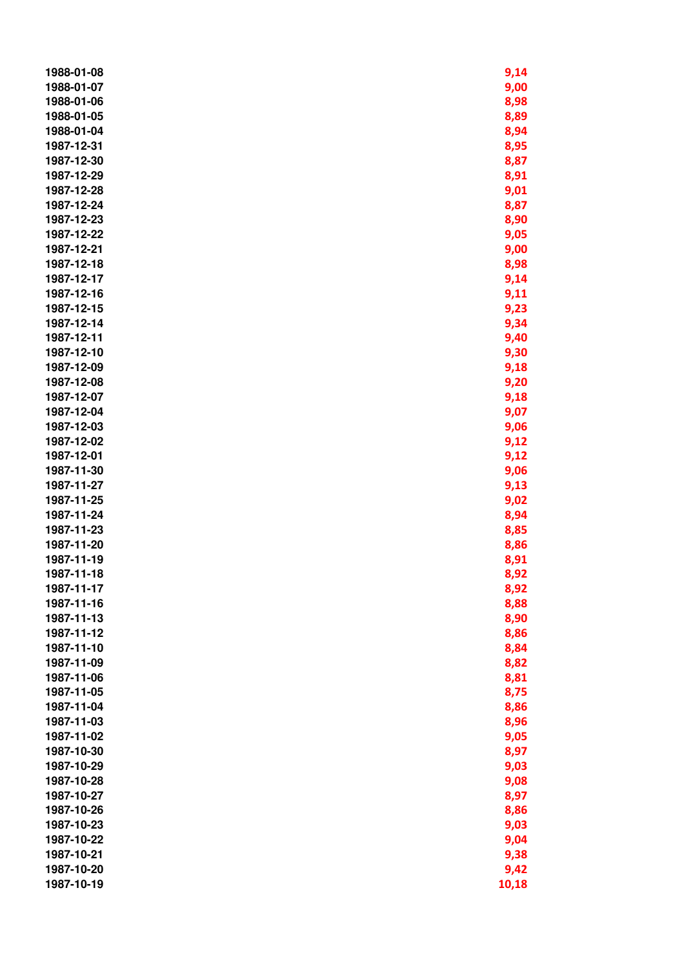| 1988-01-08 | 9,14  |
|------------|-------|
| 1988-01-07 | 9,00  |
| 1988-01-06 | 8,98  |
| 1988-01-05 | 8,89  |
| 1988-01-04 | 8,94  |
| 1987-12-31 | 8,95  |
| 1987-12-30 | 8,87  |
| 1987-12-29 | 8,91  |
| 1987-12-28 | 9,01  |
| 1987-12-24 | 8,87  |
| 1987-12-23 | 8,90  |
| 1987-12-22 | 9,05  |
| 1987-12-21 | 9,00  |
| 1987-12-18 | 8,98  |
| 1987-12-17 | 9,14  |
| 1987-12-16 | 9,11  |
| 1987-12-15 | 9,23  |
| 1987-12-14 | 9,34  |
| 1987-12-11 |       |
| 1987-12-10 | 9,40  |
|            | 9,30  |
| 1987-12-09 | 9,18  |
| 1987-12-08 | 9,20  |
| 1987-12-07 | 9,18  |
| 1987-12-04 | 9,07  |
| 1987-12-03 | 9,06  |
| 1987-12-02 | 9,12  |
| 1987-12-01 | 9,12  |
| 1987-11-30 | 9,06  |
| 1987-11-27 | 9,13  |
| 1987-11-25 | 9,02  |
| 1987-11-24 | 8,94  |
| 1987-11-23 | 8,85  |
| 1987-11-20 | 8,86  |
| 1987-11-19 | 8,91  |
| 1987-11-18 | 8,92  |
| 1987-11-17 | 8,92  |
| 1987-11-16 | 8,88  |
| 1987-11-13 | 8,90  |
| 1987-11-12 | 8,86  |
| 1987-11-10 | 8,84  |
| 1987-11-09 | 8,82  |
| 1987-11-06 | 8,81  |
| 1987-11-05 | 8,75  |
| 1987-11-04 | 8,86  |
| 1987-11-03 | 8,96  |
| 1987-11-02 | 9,05  |
| 1987-10-30 | 8,97  |
| 1987-10-29 | 9,03  |
| 1987-10-28 | 9,08  |
| 1987-10-27 | 8,97  |
| 1987-10-26 | 8,86  |
| 1987-10-23 | 9,03  |
| 1987-10-22 | 9,04  |
| 1987-10-21 | 9,38  |
| 1987-10-20 | 9,42  |
| 1987-10-19 | 10,18 |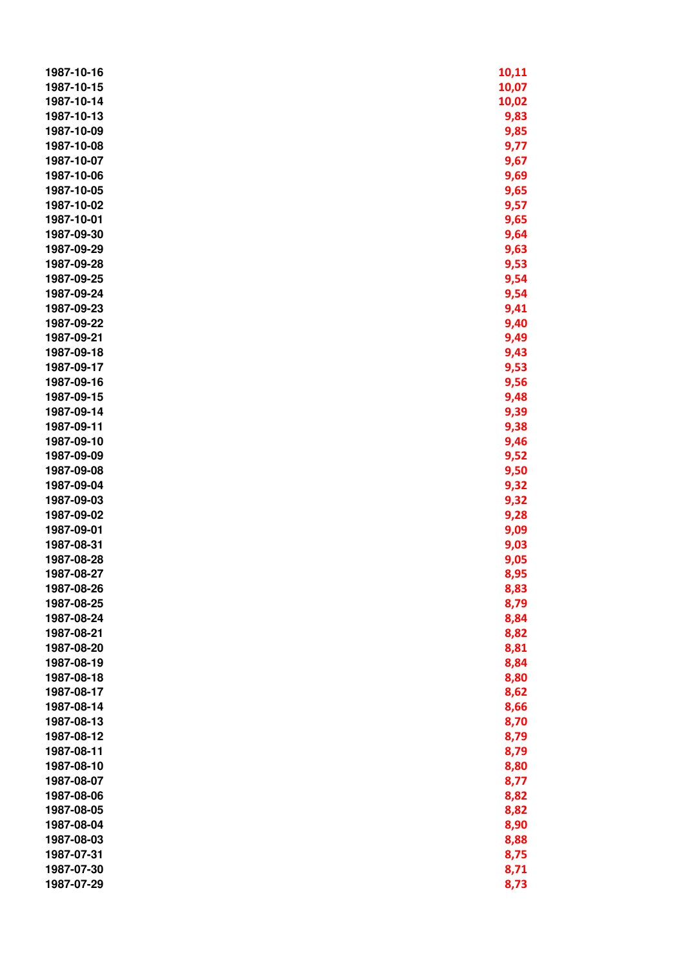| 1987-10-16 | 10,11 |
|------------|-------|
| 1987-10-15 | 10,07 |
| 1987-10-14 | 10,02 |
| 1987-10-13 | 9,83  |
| 1987-10-09 | 9,85  |
| 1987-10-08 | 9,77  |
| 1987-10-07 | 9,67  |
| 1987-10-06 | 9,69  |
| 1987-10-05 | 9,65  |
| 1987-10-02 | 9,57  |
| 1987-10-01 | 9,65  |
| 1987-09-30 | 9,64  |
| 1987-09-29 | 9,63  |
| 1987-09-28 | 9,53  |
| 1987-09-25 | 9,54  |
| 1987-09-24 | 9,54  |
| 1987-09-23 | 9,41  |
| 1987-09-22 | 9,40  |
| 1987-09-21 | 9,49  |
| 1987-09-18 | 9,43  |
| 1987-09-17 | 9,53  |
| 1987-09-16 | 9,56  |
| 1987-09-15 | 9,48  |
| 1987-09-14 | 9,39  |
| 1987-09-11 | 9,38  |
| 1987-09-10 | 9,46  |
| 1987-09-09 | 9,52  |
| 1987-09-08 | 9,50  |
| 1987-09-04 | 9,32  |
| 1987-09-03 | 9,32  |
| 1987-09-02 | 9,28  |
| 1987-09-01 | 9,09  |
| 1987-08-31 | 9,03  |
| 1987-08-28 | 9,05  |
| 1987-08-27 | 8,95  |
| 1987-08-26 | 8,83  |
| 1987-08-25 | 8,79  |
| 1987-08-24 | 8,84  |
| 1987-08-21 | 8,82  |
| 1987-08-20 | 8,81  |
| 1987-08-19 | 8,84  |
| 1987-08-18 | 8,80  |
| 1987-08-17 | 8,62  |
| 1987-08-14 | 8,66  |
| 1987-08-13 | 8,70  |
| 1987-08-12 | 8,79  |
| 1987-08-11 | 8,79  |
| 1987-08-10 | 8,80  |
| 1987-08-07 | 8,77  |
| 1987-08-06 | 8,82  |
| 1987-08-05 | 8,82  |
| 1987-08-04 | 8,90  |
| 1987-08-03 | 8,88  |
| 1987-07-31 | 8,75  |
| 1987-07-30 | 8,71  |
| 1987-07-29 | 8,73  |
|            |       |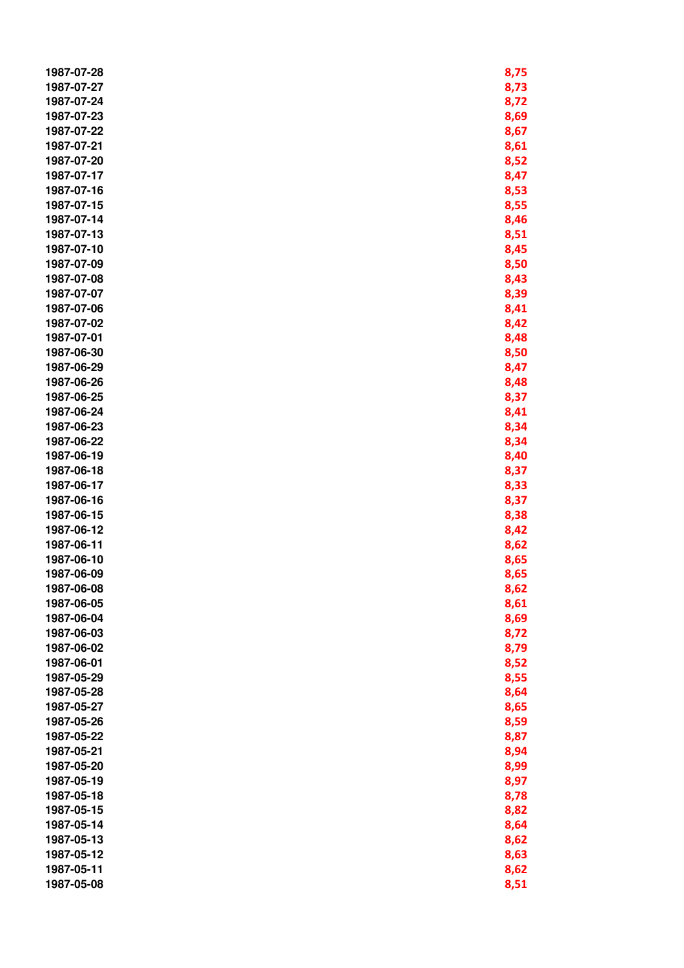| 1987-07-28 | 8,75 |
|------------|------|
| 1987-07-27 | 8,73 |
| 1987-07-24 | 8,72 |
| 1987-07-23 | 8,69 |
| 1987-07-22 | 8,67 |
| 1987-07-21 | 8,61 |
| 1987-07-20 | 8,52 |
| 1987-07-17 | 8,47 |
| 1987-07-16 |      |
|            | 8,53 |
| 1987-07-15 | 8,55 |
| 1987-07-14 | 8,46 |
| 1987-07-13 | 8,51 |
| 1987-07-10 | 8,45 |
| 1987-07-09 | 8,50 |
| 1987-07-08 | 8,43 |
| 1987-07-07 | 8,39 |
| 1987-07-06 | 8,41 |
| 1987-07-02 | 8,42 |
| 1987-07-01 | 8,48 |
| 1987-06-30 | 8,50 |
| 1987-06-29 | 8,47 |
| 1987-06-26 | 8,48 |
| 1987-06-25 | 8,37 |
| 1987-06-24 | 8,41 |
| 1987-06-23 | 8,34 |
| 1987-06-22 | 8,34 |
| 1987-06-19 | 8,40 |
| 1987-06-18 | 8,37 |
| 1987-06-17 | 8,33 |
| 1987-06-16 | 8,37 |
| 1987-06-15 | 8,38 |
| 1987-06-12 | 8,42 |
| 1987-06-11 | 8,62 |
| 1987-06-10 | 8,65 |
| 1987-06-09 | 8,65 |
|            |      |
| 1987-06-08 | 8,62 |
| 1987-06-05 | 8,61 |
| 1987-06-04 | 8,69 |
| 1987-06-03 | 8,72 |
| 1987-06-02 | 8,79 |
| 1987-06-01 | 8,52 |
| 1987-05-29 | 8,55 |
| 1987-05-28 | 8,64 |
| 1987-05-27 | 8,65 |
| 1987-05-26 | 8,59 |
| 1987-05-22 | 8,87 |
| 1987-05-21 | 8,94 |
| 1987-05-20 | 8,99 |
| 1987-05-19 | 8,97 |
| 1987-05-18 | 8,78 |
| 1987-05-15 | 8,82 |
| 1987-05-14 | 8,64 |
| 1987-05-13 | 8,62 |
| 1987-05-12 | 8,63 |
| 1987-05-11 | 8,62 |
| 1987-05-08 | 8,51 |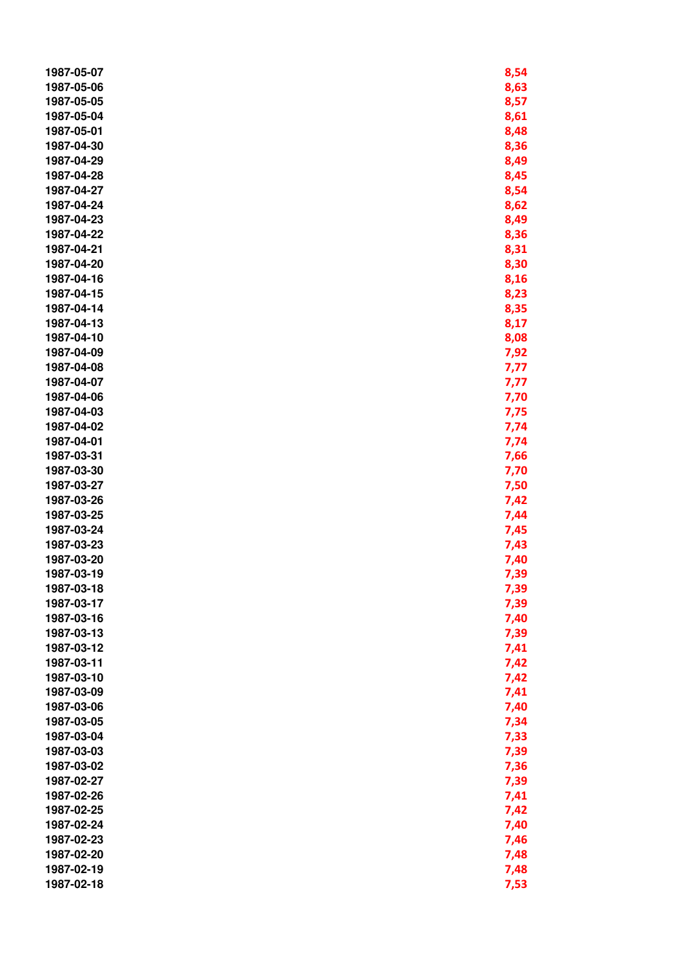| 1987-05-07 | 8,54 |
|------------|------|
| 1987-05-06 | 8,63 |
| 1987-05-05 | 8,57 |
| 1987-05-04 | 8,61 |
| 1987-05-01 | 8,48 |
| 1987-04-30 | 8,36 |
| 1987-04-29 | 8,49 |
| 1987-04-28 | 8,45 |
| 1987-04-27 | 8,54 |
| 1987-04-24 | 8,62 |
| 1987-04-23 | 8,49 |
| 1987-04-22 | 8,36 |
| 1987-04-21 | 8,31 |
| 1987-04-20 | 8,30 |
| 1987-04-16 | 8,16 |
| 1987-04-15 | 8,23 |
| 1987-04-14 | 8,35 |
| 1987-04-13 | 8,17 |
| 1987-04-10 |      |
|            | 8,08 |
| 1987-04-09 | 7,92 |
| 1987-04-08 | 7,77 |
| 1987-04-07 | 7,77 |
| 1987-04-06 | 7,70 |
| 1987-04-03 | 7,75 |
| 1987-04-02 | 7,74 |
| 1987-04-01 | 7,74 |
| 1987-03-31 | 7,66 |
| 1987-03-30 | 7,70 |
| 1987-03-27 | 7,50 |
| 1987-03-26 | 7,42 |
| 1987-03-25 | 7,44 |
| 1987-03-24 | 7,45 |
| 1987-03-23 | 7,43 |
| 1987-03-20 | 7,40 |
| 1987-03-19 | 7,39 |
| 1987-03-18 | 7,39 |
| 1987-03-17 | 7,39 |
| 1987-03-16 | 7,40 |
| 1987-03-13 | 7,39 |
| 1987-03-12 | 7,41 |
| 1987-03-11 | 7,42 |
| 1987-03-10 | 7,42 |
| 1987-03-09 | 7,41 |
| 1987-03-06 | 7,40 |
| 1987-03-05 | 7,34 |
| 1987-03-04 | 7,33 |
| 1987-03-03 | 7,39 |
| 1987-03-02 | 7,36 |
| 1987-02-27 | 7,39 |
| 1987-02-26 | 7,41 |
| 1987-02-25 | 7,42 |
| 1987-02-24 | 7,40 |
| 1987-02-23 | 7,46 |
| 1987-02-20 | 7,48 |
| 1987-02-19 | 7,48 |
| 1987-02-18 | 7,53 |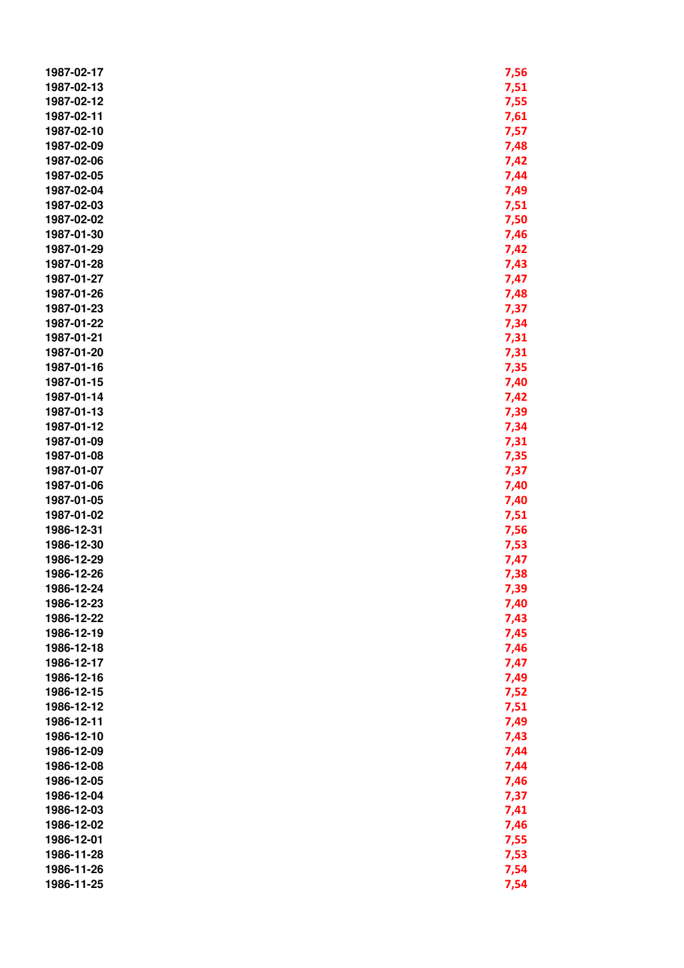| 1987-02-17 | 7,56 |
|------------|------|
| 1987-02-13 | 7,51 |
| 1987-02-12 | 7,55 |
| 1987-02-11 | 7,61 |
| 1987-02-10 | 7,57 |
| 1987-02-09 |      |
|            | 7,48 |
| 1987-02-06 | 7,42 |
| 1987-02-05 | 7,44 |
| 1987-02-04 | 7,49 |
| 1987-02-03 | 7,51 |
| 1987-02-02 | 7,50 |
| 1987-01-30 | 7,46 |
| 1987-01-29 | 7,42 |
| 1987-01-28 | 7,43 |
| 1987-01-27 | 7,47 |
| 1987-01-26 | 7,48 |
| 1987-01-23 | 7,37 |
| 1987-01-22 | 7,34 |
| 1987-01-21 | 7,31 |
| 1987-01-20 | 7,31 |
| 1987-01-16 | 7,35 |
| 1987-01-15 | 7,40 |
| 1987-01-14 | 7,42 |
| 1987-01-13 | 7,39 |
| 1987-01-12 | 7,34 |
| 1987-01-09 | 7,31 |
| 1987-01-08 | 7,35 |
| 1987-01-07 | 7,37 |
| 1987-01-06 | 7,40 |
| 1987-01-05 |      |
|            | 7,40 |
| 1987-01-02 | 7,51 |
| 1986-12-31 | 7,56 |
| 1986-12-30 | 7,53 |
| 1986-12-29 | 7,47 |
| 1986-12-26 | 7,38 |
| 1986-12-24 | 7,39 |
| 1986-12-23 | 7,40 |
| 1986-12-22 | 7,43 |
| 1986-12-19 | 7,45 |
| 1986-12-18 | 7,46 |
| 1986-12-17 | 7,47 |
| 1986-12-16 | 7,49 |
| 1986-12-15 | 7,52 |
| 1986-12-12 | 7,51 |
| 1986-12-11 | 7,49 |
| 1986-12-10 | 7,43 |
| 1986-12-09 | 7,44 |
| 1986-12-08 | 7,44 |
| 1986-12-05 | 7,46 |
| 1986-12-04 | 7,37 |
| 1986-12-03 | 7,41 |
| 1986-12-02 | 7,46 |
| 1986-12-01 | 7,55 |
| 1986-11-28 | 7,53 |
| 1986-11-26 | 7,54 |
| 1986-11-25 | 7,54 |
|            |      |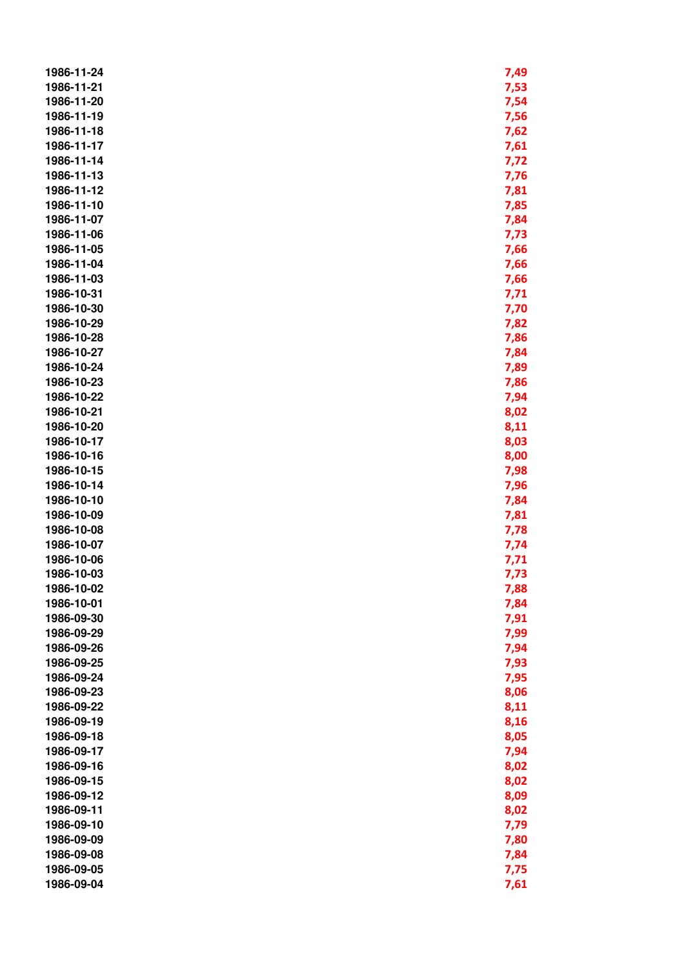| 1986-11-24 | 7,49 |
|------------|------|
| 1986-11-21 | 7,53 |
| 1986-11-20 | 7,54 |
| 1986-11-19 | 7,56 |
| 1986-11-18 | 7,62 |
| 1986-11-17 | 7,61 |
| 1986-11-14 | 7,72 |
| 1986-11-13 | 7,76 |
| 1986-11-12 | 7,81 |
| 1986-11-10 | 7,85 |
| 1986-11-07 | 7,84 |
| 1986-11-06 | 7,73 |
| 1986-11-05 | 7,66 |
| 1986-11-04 | 7,66 |
| 1986-11-03 | 7,66 |
| 1986-10-31 | 7,71 |
| 1986-10-30 | 7,70 |
| 1986-10-29 | 7,82 |
| 1986-10-28 | 7,86 |
| 1986-10-27 | 7,84 |
| 1986-10-24 | 7,89 |
| 1986-10-23 | 7,86 |
| 1986-10-22 | 7,94 |
| 1986-10-21 | 8,02 |
| 1986-10-20 | 8,11 |
| 1986-10-17 | 8,03 |
| 1986-10-16 | 8,00 |
| 1986-10-15 | 7,98 |
| 1986-10-14 | 7,96 |
| 1986-10-10 | 7,84 |
| 1986-10-09 | 7,81 |
| 1986-10-08 | 7,78 |
| 1986-10-07 | 7,74 |
| 1986-10-06 | 7,71 |
| 1986-10-03 | 7,73 |
| 1986-10-02 | 7,88 |
| 1986-10-01 | 7,84 |
| 1986-09-30 | 7,91 |
| 1986-09-29 | 7,99 |
| 1986-09-26 | 7,94 |
| 1986-09-25 | 7,93 |
| 1986-09-24 | 7,95 |
| 1986-09-23 |      |
| 1986-09-22 | 8,06 |
| 1986-09-19 | 8,11 |
| 1986-09-18 | 8,16 |
|            | 8,05 |
| 1986-09-17 | 7,94 |
| 1986-09-16 | 8,02 |
| 1986-09-15 | 8,02 |
| 1986-09-12 | 8,09 |
| 1986-09-11 | 8,02 |
| 1986-09-10 | 7,79 |
| 1986-09-09 | 7,80 |
| 1986-09-08 | 7,84 |
| 1986-09-05 | 7,75 |
| 1986-09-04 | 7,61 |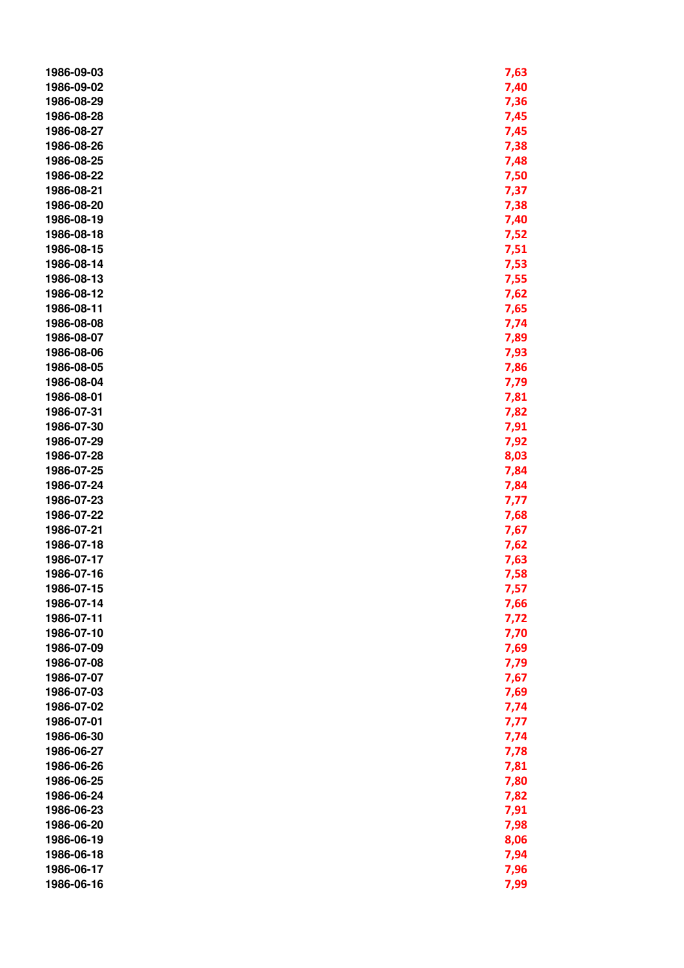| 1986-09-03 | 7,63         |
|------------|--------------|
| 1986-09-02 | 7,40         |
| 1986-08-29 | 7,36         |
| 1986-08-28 | 7,45         |
| 1986-08-27 | 7,45         |
| 1986-08-26 | 7,38         |
| 1986-08-25 | 7,48         |
| 1986-08-22 | 7,50         |
| 1986-08-21 | 7,37         |
| 1986-08-20 | 7,38         |
| 1986-08-19 | 7,40         |
| 1986-08-18 | 7,52         |
| 1986-08-15 | 7,51         |
| 1986-08-14 | 7,53         |
| 1986-08-13 | 7,55         |
| 1986-08-12 | 7,62         |
| 1986-08-11 | 7,65         |
| 1986-08-08 | 7,74         |
| 1986-08-07 | 7,89         |
| 1986-08-06 | 7,93         |
| 1986-08-05 |              |
| 1986-08-04 | 7,86         |
| 1986-08-01 | 7,79         |
| 1986-07-31 | 7,81         |
| 1986-07-30 | 7,82         |
| 1986-07-29 | 7,91<br>7,92 |
| 1986-07-28 | 8,03         |
| 1986-07-25 | 7,84         |
| 1986-07-24 | 7,84         |
| 1986-07-23 | 7,77         |
| 1986-07-22 | 7,68         |
| 1986-07-21 | 7,67         |
| 1986-07-18 | 7,62         |
| 1986-07-17 | 7,63         |
| 1986-07-16 | 7,58         |
| 1986-07-15 | 7,57         |
| 1986-07-14 | 7,66         |
| 1986-07-11 | 7,72         |
| 1986-07-10 | 7,70         |
| 1986-07-09 | 7,69         |
| 1986-07-08 | 7,79         |
| 1986-07-07 | 7,67         |
| 1986-07-03 | 7,69         |
| 1986-07-02 | 7,74         |
| 1986-07-01 | 7,77         |
| 1986-06-30 | 7,74         |
| 1986-06-27 | 7,78         |
| 1986-06-26 | 7,81         |
| 1986-06-25 | 7,80         |
| 1986-06-24 | 7,82         |
| 1986-06-23 | 7,91         |
| 1986-06-20 | 7,98         |
| 1986-06-19 | 8,06         |
| 1986-06-18 | 7,94         |
| 1986-06-17 | 7,96         |
| 1986-06-16 | 7,99         |
|            |              |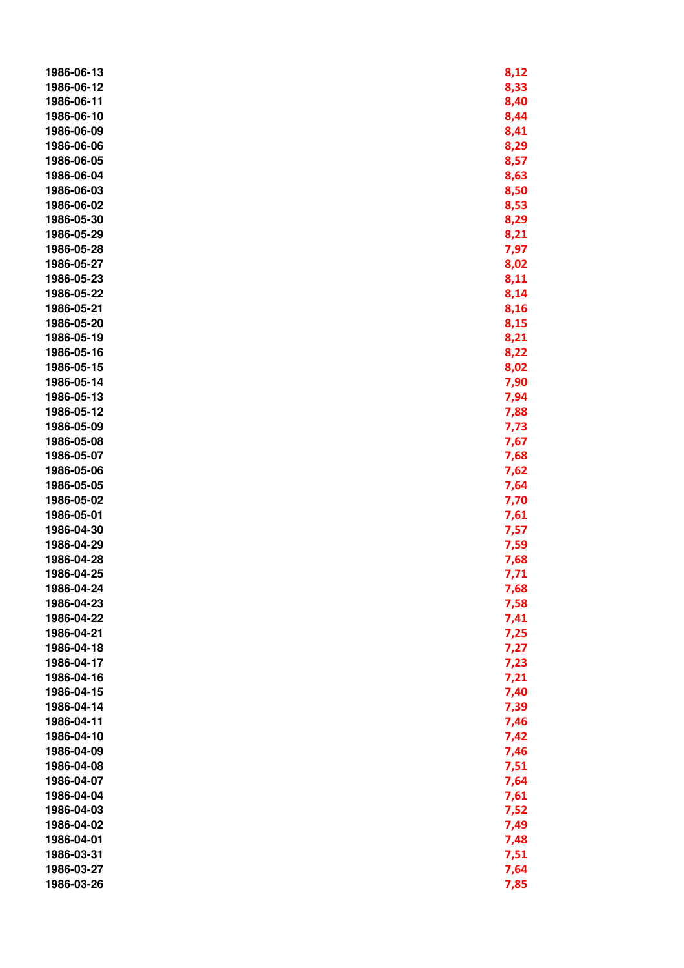| 1986-06-13 | 8,12 |
|------------|------|
| 1986-06-12 | 8,33 |
| 1986-06-11 | 8,40 |
| 1986-06-10 | 8,44 |
| 1986-06-09 | 8,41 |
| 1986-06-06 | 8,29 |
| 1986-06-05 | 8,57 |
| 1986-06-04 | 8,63 |
| 1986-06-03 | 8,50 |
| 1986-06-02 | 8,53 |
| 1986-05-30 | 8,29 |
| 1986-05-29 | 8,21 |
| 1986-05-28 | 7,97 |
| 1986-05-27 | 8,02 |
| 1986-05-23 | 8,11 |
| 1986-05-22 | 8,14 |
| 1986-05-21 | 8,16 |
| 1986-05-20 | 8,15 |
| 1986-05-19 | 8,21 |
| 1986-05-16 | 8,22 |
| 1986-05-15 | 8,02 |
| 1986-05-14 | 7,90 |
| 1986-05-13 | 7,94 |
| 1986-05-12 | 7,88 |
| 1986-05-09 | 7,73 |
| 1986-05-08 | 7,67 |
| 1986-05-07 | 7,68 |
| 1986-05-06 | 7,62 |
| 1986-05-05 | 7,64 |
| 1986-05-02 | 7,70 |
| 1986-05-01 | 7,61 |
| 1986-04-30 | 7,57 |
| 1986-04-29 | 7,59 |
| 1986-04-28 | 7,68 |
| 1986-04-25 | 7,71 |
| 1986-04-24 | 7,68 |
| 1986-04-23 | 7,58 |
| 1986-04-22 | 7,41 |
| 1986-04-21 | 7,25 |
| 1986-04-18 | 7,27 |
| 1986-04-17 | 7,23 |
| 1986-04-16 | 7,21 |
| 1986-04-15 | 7,40 |
| 1986-04-14 | 7,39 |
| 1986-04-11 | 7,46 |
| 1986-04-10 | 7,42 |
| 1986-04-09 | 7,46 |
| 1986-04-08 | 7,51 |
| 1986-04-07 | 7,64 |
| 1986-04-04 | 7,61 |
| 1986-04-03 | 7,52 |
| 1986-04-02 | 7,49 |
| 1986-04-01 | 7,48 |
| 1986-03-31 | 7,51 |
| 1986-03-27 | 7,64 |
| 1986-03-26 | 7,85 |
|            |      |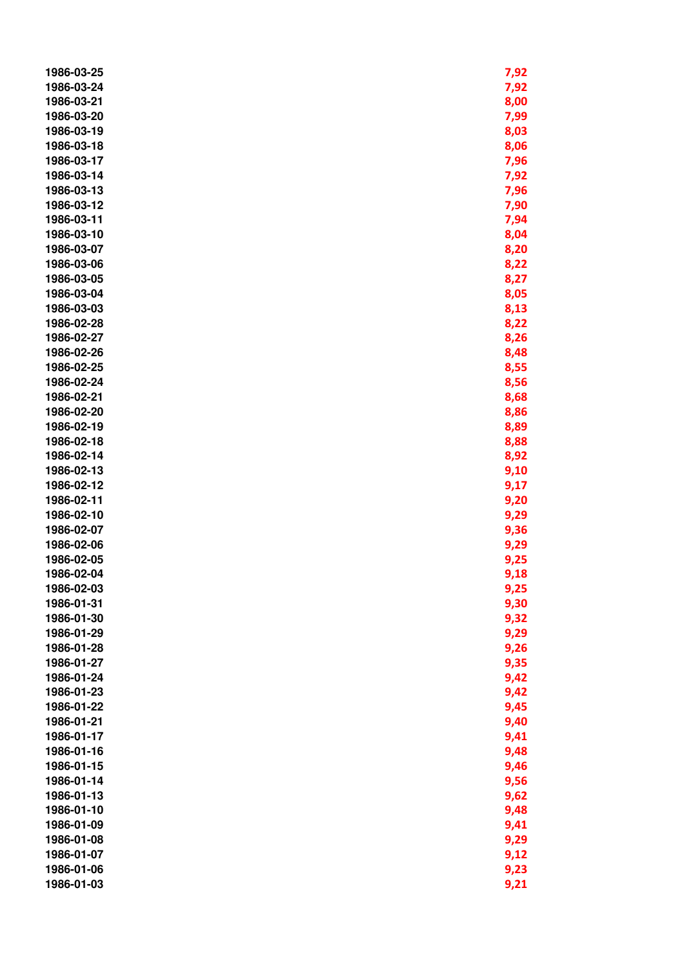| 1986-03-25               | 7,92         |
|--------------------------|--------------|
| 1986-03-24               | 7,92         |
| 1986-03-21               | 8,00         |
| 1986-03-20               | 7,99         |
| 1986-03-19               | 8,03         |
| 1986-03-18               | 8,06         |
| 1986-03-17               | 7,96         |
| 1986-03-14               | 7,92         |
| 1986-03-13               | 7,96         |
| 1986-03-12               | 7,90         |
| 1986-03-11               | 7,94         |
| 1986-03-10               | 8,04         |
| 1986-03-07               | 8,20         |
| 1986-03-06               | 8,22         |
| 1986-03-05               | 8,27         |
| 1986-03-04               | 8,05         |
| 1986-03-03               | 8,13         |
| 1986-02-28               | 8,22         |
| 1986-02-27               | 8,26         |
| 1986-02-26               | 8,48         |
| 1986-02-25               | 8,55         |
| 1986-02-24               | 8,56         |
| 1986-02-21               | 8,68         |
| 1986-02-20               | 8,86         |
| 1986-02-19               | 8,89         |
| 1986-02-18               | 8,88         |
| 1986-02-14               | 8,92         |
| 1986-02-13               | 9,10         |
| 1986-02-12               | 9,17         |
| 1986-02-11               | 9,20         |
| 1986-02-10               | 9,29         |
| 1986-02-07               | 9,36         |
| 1986-02-06               | 9,29         |
| 1986-02-05               | 9,25         |
| 1986-02-04               | 9,18         |
| 1986-02-03               | 9,25         |
| 1986-01-31               | 9,30         |
| 1986-01-30               | 9,32         |
| 1986-01-29               |              |
| 1986-01-28               | 9,29<br>9,26 |
| 1986-01-27               | 9,35         |
| 1986-01-24               | 9,42         |
|                          |              |
| 1986-01-23               | 9,42         |
| 1986-01-22               | 9,45         |
| 1986-01-21<br>1986-01-17 | 9,40         |
|                          | 9,41         |
| 1986-01-16               | 9,48         |
| 1986-01-15               | 9,46         |
| 1986-01-14               | 9,56         |
| 1986-01-13               | 9,62         |
| 1986-01-10               | 9,48         |
| 1986-01-09               | 9,41         |
| 1986-01-08               | 9,29         |
| 1986-01-07               | 9,12         |
| 1986-01-06               | 9,23         |
| 1986-01-03               | 9,21         |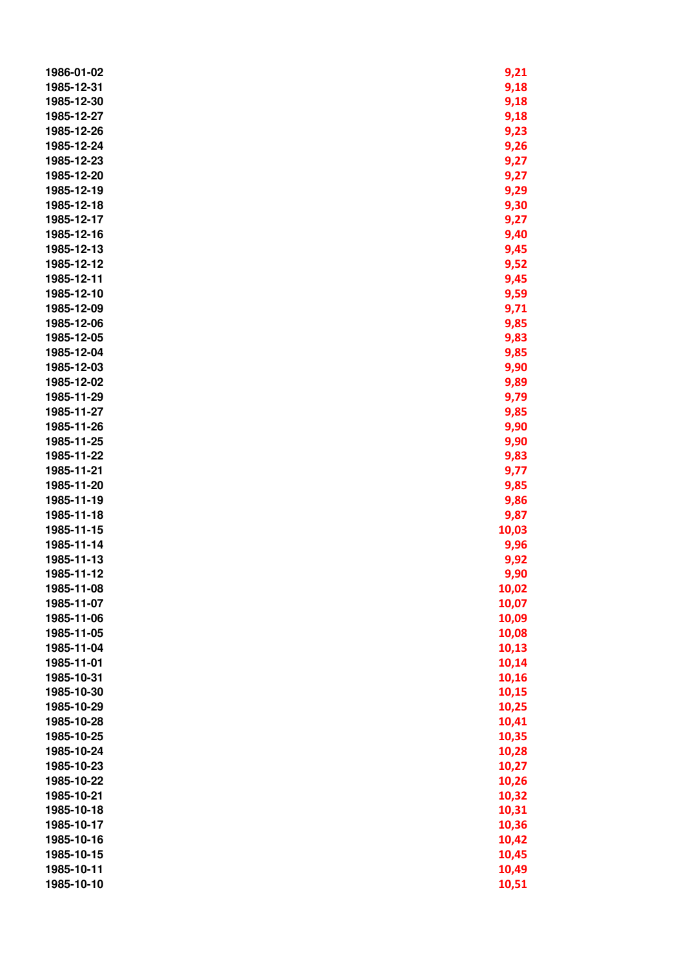| 1986-01-02 | 9,21  |
|------------|-------|
| 1985-12-31 | 9,18  |
| 1985-12-30 | 9,18  |
| 1985-12-27 | 9,18  |
| 1985-12-26 | 9,23  |
| 1985-12-24 | 9,26  |
| 1985-12-23 | 9,27  |
| 1985-12-20 | 9,27  |
| 1985-12-19 | 9,29  |
| 1985-12-18 | 9,30  |
| 1985-12-17 | 9,27  |
| 1985-12-16 | 9,40  |
| 1985-12-13 | 9,45  |
| 1985-12-12 | 9,52  |
| 1985-12-11 | 9,45  |
| 1985-12-10 | 9,59  |
| 1985-12-09 | 9,71  |
| 1985-12-06 | 9,85  |
| 1985-12-05 | 9,83  |
| 1985-12-04 | 9,85  |
| 1985-12-03 | 9,90  |
| 1985-12-02 | 9,89  |
| 1985-11-29 | 9,79  |
| 1985-11-27 | 9,85  |
| 1985-11-26 | 9,90  |
| 1985-11-25 | 9,90  |
| 1985-11-22 | 9,83  |
| 1985-11-21 | 9,77  |
| 1985-11-20 | 9,85  |
| 1985-11-19 | 9,86  |
| 1985-11-18 | 9,87  |
| 1985-11-15 | 10,03 |
| 1985-11-14 | 9,96  |
| 1985-11-13 | 9,92  |
| 1985-11-12 | 9,90  |
| 1985-11-08 | 10,02 |
| 1985-11-07 | 10,07 |
| 1985-11-06 | 10,09 |
| 1985-11-05 | 10,08 |
| 1985-11-04 | 10,13 |
| 1985-11-01 | 10,14 |
| 1985-10-31 | 10,16 |
| 1985-10-30 | 10,15 |
| 1985-10-29 | 10,25 |
| 1985-10-28 | 10,41 |
| 1985-10-25 | 10,35 |
| 1985-10-24 | 10,28 |
| 1985-10-23 | 10,27 |
| 1985-10-22 | 10,26 |
| 1985-10-21 | 10,32 |
| 1985-10-18 | 10,31 |
| 1985-10-17 | 10,36 |
| 1985-10-16 | 10,42 |
| 1985-10-15 | 10,45 |
| 1985-10-11 | 10,49 |
| 1985-10-10 | 10,51 |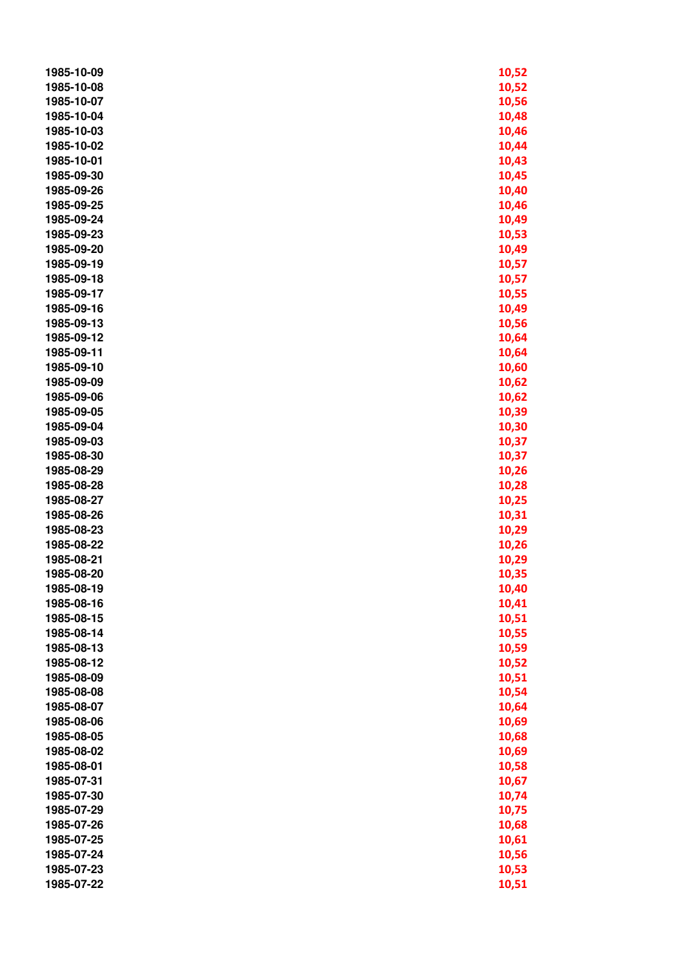| 1985-10-09               | 10,52          |
|--------------------------|----------------|
| 1985-10-08               | 10,52          |
| 1985-10-07               | 10,56          |
| 1985-10-04               | 10,48          |
| 1985-10-03               | 10,46          |
| 1985-10-02               | 10,44          |
| 1985-10-01               | 10,43          |
| 1985-09-30               | 10,45          |
| 1985-09-26               | 10,40          |
| 1985-09-25               | 10,46          |
| 1985-09-24               | 10,49          |
| 1985-09-23               | 10,53          |
| 1985-09-20               | 10,49          |
| 1985-09-19               | 10,57          |
| 1985-09-18               | 10,57          |
| 1985-09-17               | 10,55          |
| 1985-09-16               | 10,49          |
| 1985-09-13               | 10,56          |
| 1985-09-12               | 10,64          |
| 1985-09-11               | 10,64          |
| 1985-09-10               | 10,60          |
| 1985-09-09               | 10,62          |
| 1985-09-06               | 10,62          |
| 1985-09-05               | 10,39          |
| 1985-09-04               | 10,30          |
| 1985-09-03               | 10,37          |
| 1985-08-30               | 10,37          |
| 1985-08-29               | 10,26          |
| 1985-08-28               | 10,28          |
| 1985-08-27               |                |
| 1985-08-26               | 10,25<br>10,31 |
| 1985-08-23               |                |
| 1985-08-22               | 10,29<br>10,26 |
| 1985-08-21               | 10,29          |
| 1985-08-20               |                |
|                          | 10,35          |
| 1985-08-19               | 10,40          |
| 1985-08-16<br>1985-08-15 | 10,41          |
|                          | 10,51          |
| 1985-08-14               | 10,55          |
| 1985-08-13               | 10,59          |
| 1985-08-12               | 10,52          |
| 1985-08-09               | 10,51          |
| 1985-08-08               | 10,54          |
| 1985-08-07               | 10,64          |
| 1985-08-06               | 10,69          |
| 1985-08-05               | 10,68          |
| 1985-08-02               | 10,69          |
| 1985-08-01               | 10,58          |
| 1985-07-31               | 10,67          |
| 1985-07-30               | 10,74          |
| 1985-07-29               | 10,75          |
| 1985-07-26               | 10,68          |
| 1985-07-25               | 10,61          |
| 1985-07-24               | 10,56          |
| 1985-07-23               | 10,53          |
| 1985-07-22               | 10,51          |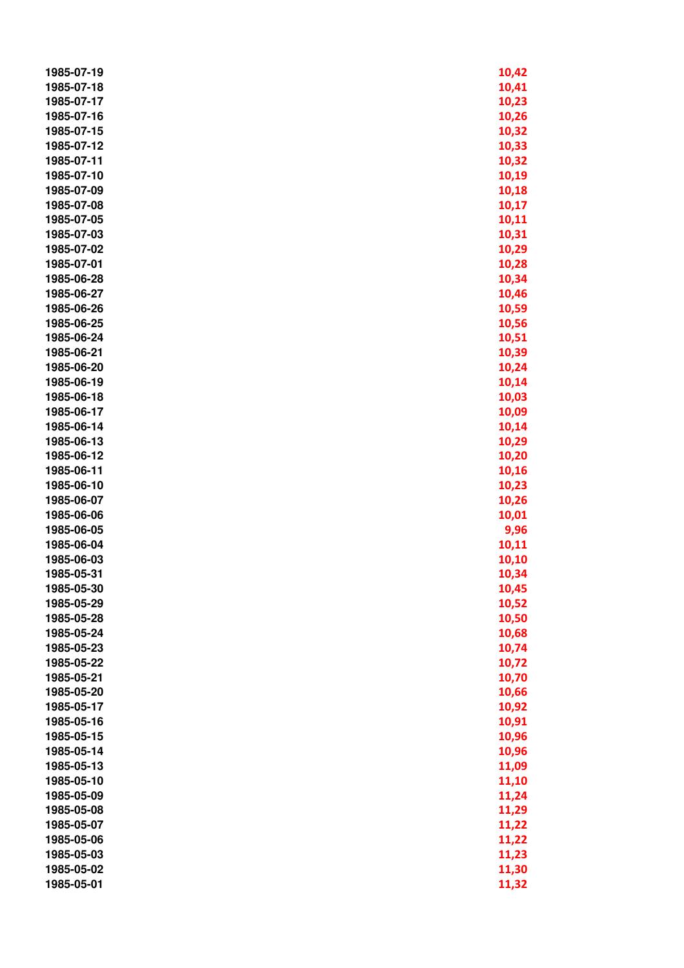| 1985-07-19 | 10,42 |
|------------|-------|
| 1985-07-18 | 10,41 |
| 1985-07-17 | 10,23 |
| 1985-07-16 | 10,26 |
| 1985-07-15 | 10,32 |
| 1985-07-12 | 10,33 |
| 1985-07-11 | 10,32 |
| 1985-07-10 | 10,19 |
| 1985-07-09 | 10,18 |
| 1985-07-08 | 10,17 |
| 1985-07-05 | 10,11 |
| 1985-07-03 | 10,31 |
| 1985-07-02 | 10,29 |
| 1985-07-01 | 10,28 |
| 1985-06-28 | 10,34 |
| 1985-06-27 | 10,46 |
| 1985-06-26 | 10,59 |
| 1985-06-25 | 10,56 |
| 1985-06-24 | 10,51 |
| 1985-06-21 | 10,39 |
| 1985-06-20 | 10,24 |
| 1985-06-19 | 10,14 |
| 1985-06-18 | 10,03 |
| 1985-06-17 | 10,09 |
| 1985-06-14 | 10,14 |
| 1985-06-13 | 10,29 |
| 1985-06-12 | 10,20 |
| 1985-06-11 | 10,16 |
| 1985-06-10 | 10,23 |
| 1985-06-07 | 10,26 |
| 1985-06-06 | 10,01 |
| 1985-06-05 | 9,96  |
| 1985-06-04 | 10,11 |
| 1985-06-03 | 10,10 |
| 1985-05-31 | 10,34 |
| 1985-05-30 | 10,45 |
| 1985-05-29 | 10,52 |
| 1985-05-28 | 10,50 |
| 1985-05-24 | 10,68 |
| 1985-05-23 | 10,74 |
| 1985-05-22 | 10,72 |
| 1985-05-21 | 10,70 |
| 1985-05-20 | 10,66 |
| 1985-05-17 | 10,92 |
| 1985-05-16 | 10,91 |
| 1985-05-15 | 10,96 |
| 1985-05-14 | 10,96 |
| 1985-05-13 | 11,09 |
| 1985-05-10 | 11,10 |
| 1985-05-09 | 11,24 |
| 1985-05-08 | 11,29 |
| 1985-05-07 | 11,22 |
| 1985-05-06 | 11,22 |
| 1985-05-03 | 11,23 |
| 1985-05-02 | 11,30 |
| 1985-05-01 | 11,32 |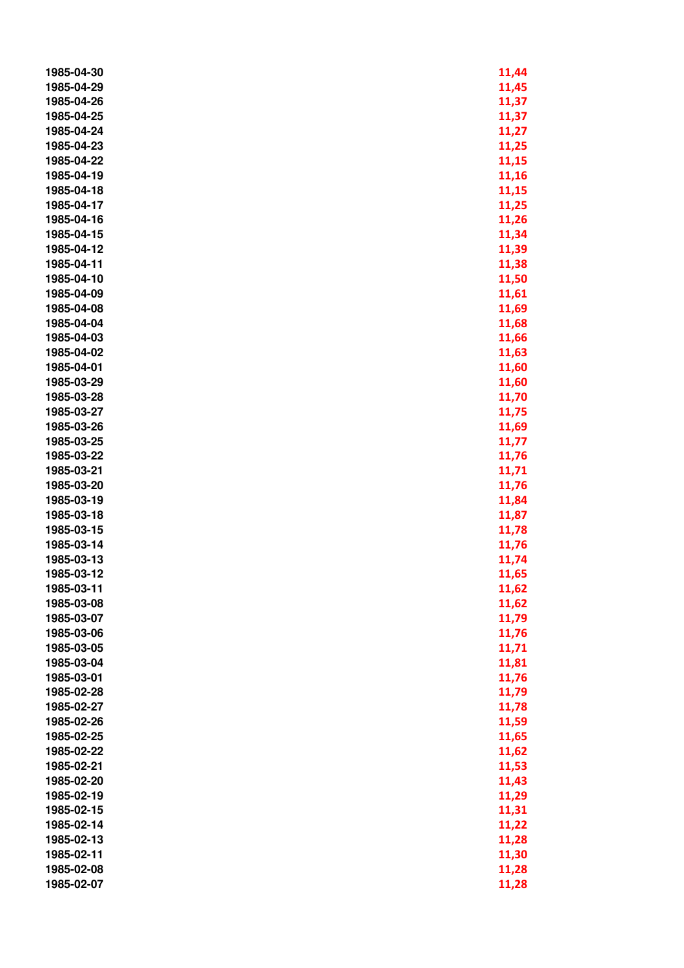| 1985-04-30 | 11,44          |
|------------|----------------|
| 1985-04-29 | 11,45          |
| 1985-04-26 | 11,37          |
| 1985-04-25 | 11,37          |
| 1985-04-24 | 11,27          |
| 1985-04-23 | 11,25          |
| 1985-04-22 | 11,15          |
| 1985-04-19 | 11,16          |
| 1985-04-18 | 11,15          |
| 1985-04-17 | 11,25          |
| 1985-04-16 | 11,26          |
| 1985-04-15 | 11,34          |
| 1985-04-12 | 11,39          |
| 1985-04-11 | 11,38          |
| 1985-04-10 | 11,50          |
| 1985-04-09 | 11,61          |
| 1985-04-08 | 11,69          |
| 1985-04-04 | 11,68          |
| 1985-04-03 | 11,66          |
| 1985-04-02 | 11,63          |
| 1985-04-01 | 11,60          |
| 1985-03-29 | 11,60          |
| 1985-03-28 | 11,70          |
| 1985-03-27 | 11,75          |
| 1985-03-26 | 11,69          |
| 1985-03-25 | 11,77          |
| 1985-03-22 | 11,76          |
| 1985-03-21 | 11,71          |
| 1985-03-20 | 11,76          |
| 1985-03-19 |                |
| 1985-03-18 | 11,84<br>11,87 |
| 1985-03-15 |                |
| 1985-03-14 | 11,78          |
| 1985-03-13 | 11,76          |
|            | 11,74          |
| 1985-03-12 | 11,65          |
| 1985-03-11 | 11,62          |
| 1985-03-08 | 11,62          |
| 1985-03-07 | 11,79          |
| 1985-03-06 | 11,76          |
| 1985-03-05 | 11,71          |
| 1985-03-04 | 11,81          |
| 1985-03-01 | 11,76          |
| 1985-02-28 | 11,79          |
| 1985-02-27 | 11,78          |
| 1985-02-26 | 11,59          |
| 1985-02-25 | 11,65          |
| 1985-02-22 | 11,62          |
| 1985-02-21 | 11,53          |
| 1985-02-20 | 11,43          |
| 1985-02-19 | 11,29          |
| 1985-02-15 | 11,31          |
| 1985-02-14 | 11,22          |
| 1985-02-13 | 11,28          |
| 1985-02-11 | 11,30          |
| 1985-02-08 | 11,28          |
| 1985-02-07 | 11,28          |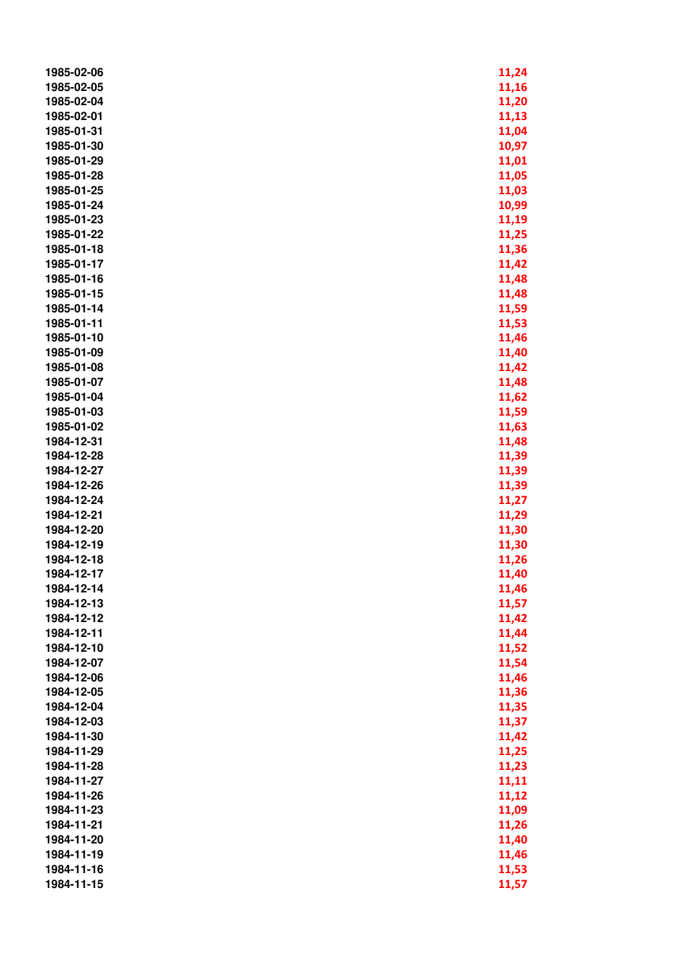| 1985-02-06 | 11,24 |
|------------|-------|
| 1985-02-05 | 11,16 |
| 1985-02-04 | 11,20 |
| 1985-02-01 | 11,13 |
| 1985-01-31 | 11,04 |
| 1985-01-30 | 10,97 |
| 1985-01-29 | 11,01 |
| 1985-01-28 | 11,05 |
| 1985-01-25 | 11,03 |
| 1985-01-24 | 10,99 |
| 1985-01-23 | 11,19 |
| 1985-01-22 | 11,25 |
| 1985-01-18 | 11,36 |
| 1985-01-17 | 11,42 |
| 1985-01-16 | 11,48 |
| 1985-01-15 | 11,48 |
| 1985-01-14 | 11,59 |
| 1985-01-11 | 11,53 |
| 1985-01-10 | 11,46 |
| 1985-01-09 | 11,40 |
| 1985-01-08 | 11,42 |
| 1985-01-07 | 11,48 |
| 1985-01-04 | 11,62 |
| 1985-01-03 | 11,59 |
| 1985-01-02 | 11,63 |
| 1984-12-31 | 11,48 |
| 1984-12-28 | 11,39 |
| 1984-12-27 | 11,39 |
| 1984-12-26 | 11,39 |
| 1984-12-24 | 11,27 |
| 1984-12-21 | 11,29 |
| 1984-12-20 | 11,30 |
| 1984-12-19 | 11,30 |
| 1984-12-18 | 11,26 |
| 1984-12-17 | 11,40 |
| 1984-12-14 | 11,46 |
| 1984-12-13 | 11,57 |
| 1984-12-12 | 11,42 |
| 1984-12-11 | 11,44 |
| 1984-12-10 | 11,52 |
| 1984-12-07 | 11,54 |
| 1984-12-06 | 11,46 |
| 1984-12-05 | 11,36 |
| 1984-12-04 | 11,35 |
| 1984-12-03 | 11,37 |
| 1984-11-30 | 11,42 |
| 1984-11-29 | 11,25 |
| 1984-11-28 | 11,23 |
| 1984-11-27 | 11,11 |
| 1984-11-26 | 11,12 |
| 1984-11-23 | 11,09 |
| 1984-11-21 | 11,26 |
| 1984-11-20 | 11,40 |
| 1984-11-19 | 11,46 |
| 1984-11-16 | 11,53 |
| 1984-11-15 | 11,57 |
|            |       |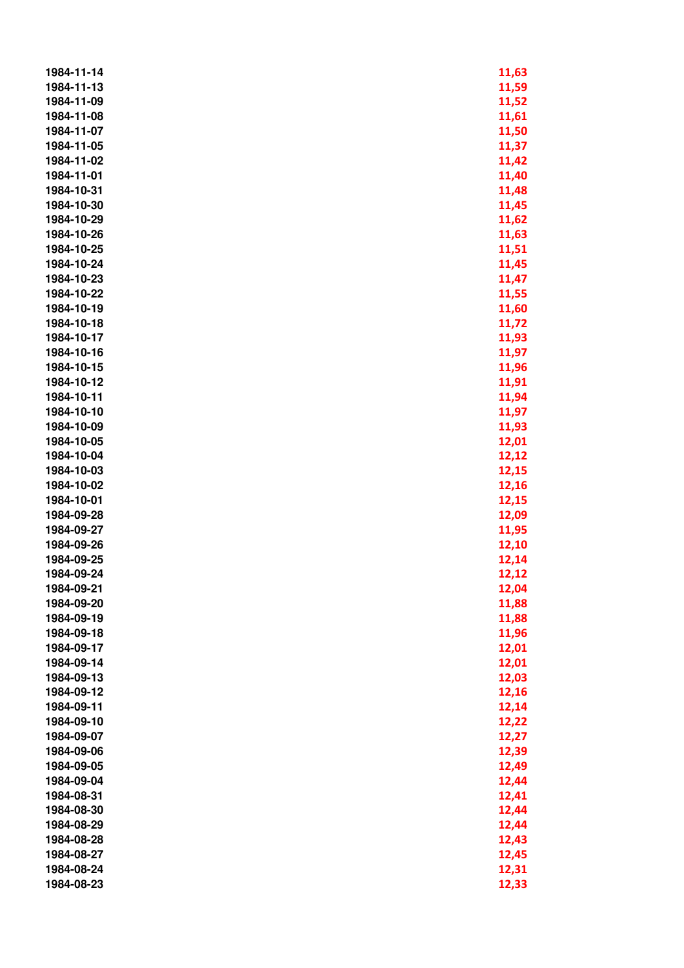| 1984-11-14 | 11,63 |
|------------|-------|
| 1984-11-13 | 11,59 |
| 1984-11-09 | 11,52 |
| 1984-11-08 | 11,61 |
| 1984-11-07 | 11,50 |
| 1984-11-05 | 11,37 |
| 1984-11-02 | 11,42 |
| 1984-11-01 | 11,40 |
| 1984-10-31 | 11,48 |
| 1984-10-30 | 11,45 |
| 1984-10-29 | 11,62 |
| 1984-10-26 | 11,63 |
| 1984-10-25 | 11,51 |
| 1984-10-24 | 11,45 |
| 1984-10-23 | 11,47 |
| 1984-10-22 | 11,55 |
| 1984-10-19 | 11,60 |
| 1984-10-18 | 11,72 |
| 1984-10-17 | 11,93 |
| 1984-10-16 | 11,97 |
| 1984-10-15 | 11,96 |
| 1984-10-12 | 11,91 |
| 1984-10-11 | 11,94 |
| 1984-10-10 | 11,97 |
| 1984-10-09 | 11,93 |
| 1984-10-05 | 12,01 |
| 1984-10-04 | 12,12 |
| 1984-10-03 | 12,15 |
| 1984-10-02 | 12,16 |
| 1984-10-01 | 12,15 |
| 1984-09-28 | 12,09 |
| 1984-09-27 | 11,95 |
| 1984-09-26 | 12,10 |
| 1984-09-25 | 12,14 |
| 1984-09-24 | 12,12 |
| 1984-09-21 | 12,04 |
| 1984-09-20 | 11,88 |
| 1984-09-19 | 11,88 |
| 1984-09-18 | 11,96 |
| 1984-09-17 | 12,01 |
| 1984-09-14 | 12,01 |
| 1984-09-13 | 12,03 |
| 1984-09-12 | 12,16 |
| 1984-09-11 | 12,14 |
| 1984-09-10 | 12,22 |
| 1984-09-07 | 12,27 |
| 1984-09-06 | 12,39 |
| 1984-09-05 | 12,49 |
| 1984-09-04 | 12,44 |
| 1984-08-31 | 12,41 |
| 1984-08-30 | 12,44 |
| 1984-08-29 | 12,44 |
| 1984-08-28 | 12,43 |
| 1984-08-27 | 12,45 |
| 1984-08-24 | 12,31 |
| 1984-08-23 | 12,33 |
|            |       |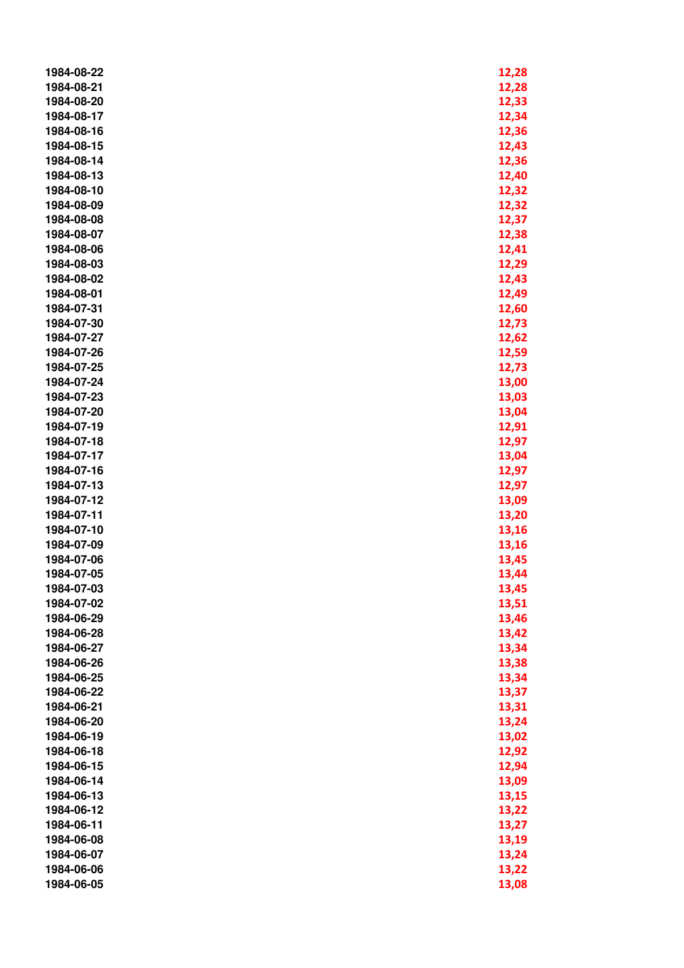| 1984-08-22 | 12,28          |
|------------|----------------|
| 1984-08-21 | 12,28          |
| 1984-08-20 | 12,33          |
| 1984-08-17 | 12,34          |
| 1984-08-16 | 12,36          |
| 1984-08-15 | 12,43          |
| 1984-08-14 | 12,36          |
| 1984-08-13 | 12,40          |
| 1984-08-10 | 12,32          |
| 1984-08-09 | 12,32          |
| 1984-08-08 | 12,37          |
| 1984-08-07 | 12,38          |
| 1984-08-06 | 12,41          |
| 1984-08-03 | 12,29          |
| 1984-08-02 | 12,43          |
| 1984-08-01 | 12,49          |
| 1984-07-31 | 12,60          |
| 1984-07-30 | 12,73          |
| 1984-07-27 | 12,62          |
| 1984-07-26 | 12,59          |
| 1984-07-25 | 12,73          |
| 1984-07-24 | 13,00          |
| 1984-07-23 |                |
| 1984-07-20 | 13,03<br>13,04 |
| 1984-07-19 | 12,91          |
| 1984-07-18 | 12,97          |
| 1984-07-17 | 13,04          |
| 1984-07-16 | 12,97          |
| 1984-07-13 | 12,97          |
| 1984-07-12 | 13,09          |
| 1984-07-11 | 13,20          |
| 1984-07-10 | 13,16          |
| 1984-07-09 | 13,16          |
| 1984-07-06 | 13,45          |
| 1984-07-05 | 13,44          |
| 1984-07-03 | 13,45          |
| 1984-07-02 | 13,51          |
| 1984-06-29 | 13,46          |
| 1984-06-28 | 13,42          |
| 1984-06-27 | 13,34          |
| 1984-06-26 | 13,38          |
| 1984-06-25 | 13,34          |
| 1984-06-22 | 13,37          |
| 1984-06-21 | 13,31          |
| 1984-06-20 | 13,24          |
| 1984-06-19 | 13,02          |
| 1984-06-18 | 12,92          |
| 1984-06-15 | 12,94          |
| 1984-06-14 | 13,09          |
| 1984-06-13 | 13,15          |
| 1984-06-12 | 13,22          |
| 1984-06-11 | 13,27          |
| 1984-06-08 | 13,19          |
| 1984-06-07 | 13,24          |
| 1984-06-06 | 13,22          |
| 1984-06-05 | 13,08          |
|            |                |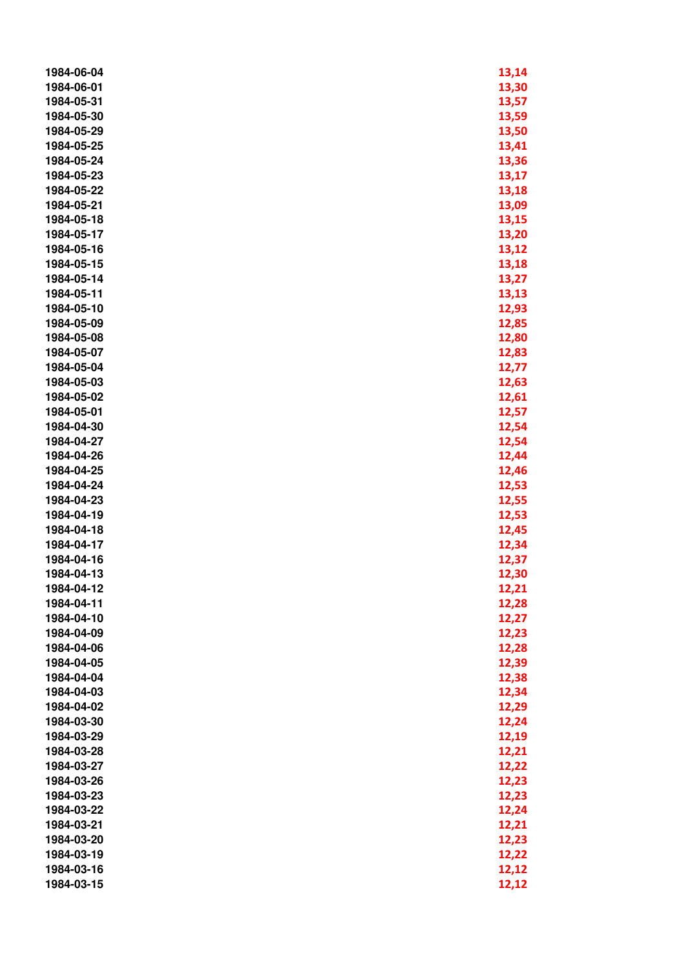| 1984-06-04 | 13,14 |
|------------|-------|
| 1984-06-01 | 13,30 |
| 1984-05-31 | 13,57 |
| 1984-05-30 | 13,59 |
| 1984-05-29 | 13,50 |
| 1984-05-25 | 13,41 |
| 1984-05-24 | 13,36 |
| 1984-05-23 | 13,17 |
| 1984-05-22 | 13,18 |
| 1984-05-21 | 13,09 |
| 1984-05-18 | 13,15 |
| 1984-05-17 | 13,20 |
| 1984-05-16 | 13,12 |
| 1984-05-15 | 13,18 |
| 1984-05-14 | 13,27 |
| 1984-05-11 | 13,13 |
| 1984-05-10 | 12,93 |
| 1984-05-09 | 12,85 |
| 1984-05-08 | 12,80 |
| 1984-05-07 | 12,83 |
| 1984-05-04 | 12,77 |
| 1984-05-03 | 12,63 |
| 1984-05-02 | 12,61 |
| 1984-05-01 | 12,57 |
| 1984-04-30 | 12,54 |
| 1984-04-27 | 12,54 |
| 1984-04-26 | 12,44 |
| 1984-04-25 | 12,46 |
| 1984-04-24 | 12,53 |
| 1984-04-23 | 12,55 |
| 1984-04-19 | 12,53 |
| 1984-04-18 | 12,45 |
| 1984-04-17 | 12,34 |
| 1984-04-16 | 12,37 |
| 1984-04-13 | 12,30 |
| 1984-04-12 | 12,21 |
| 1984-04-11 | 12,28 |
| 1984-04-10 | 12,27 |
| 1984-04-09 | 12,23 |
| 1984-04-06 | 12,28 |
| 1984-04-05 | 12,39 |
| 1984-04-04 | 12,38 |
| 1984-04-03 | 12,34 |
| 1984-04-02 | 12,29 |
| 1984-03-30 | 12,24 |
| 1984-03-29 | 12,19 |
| 1984-03-28 | 12,21 |
| 1984-03-27 | 12,22 |
| 1984-03-26 | 12,23 |
| 1984-03-23 | 12,23 |
| 1984-03-22 | 12,24 |
| 1984-03-21 | 12,21 |
| 1984-03-20 | 12,23 |
| 1984-03-19 | 12,22 |
| 1984-03-16 | 12,12 |
| 1984-03-15 | 12,12 |
|            |       |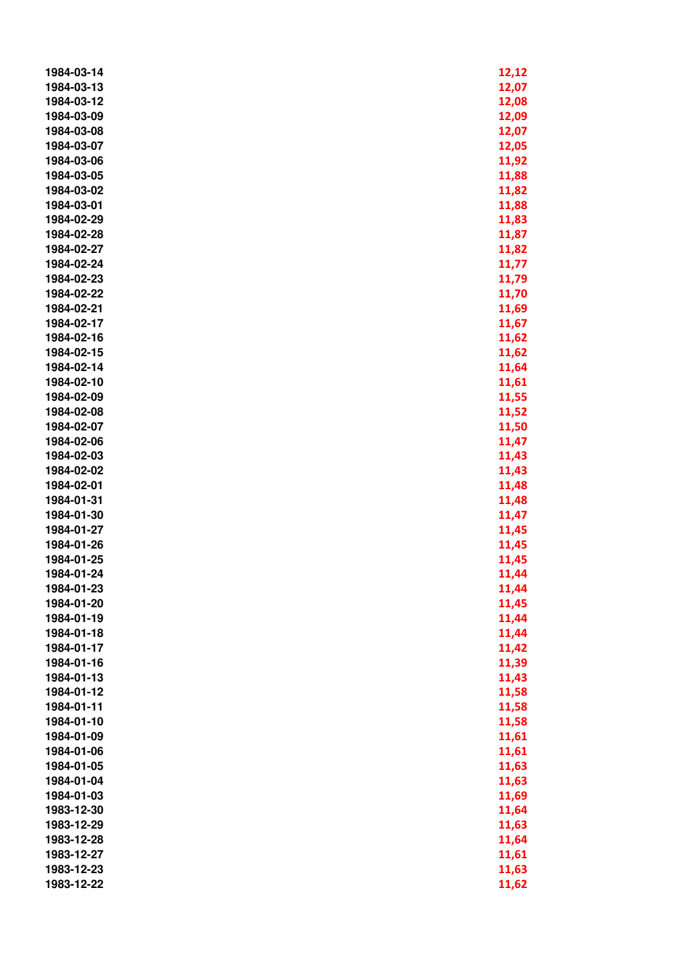| 1984-03-14 | 12,12 |
|------------|-------|
| 1984-03-13 | 12,07 |
| 1984-03-12 | 12,08 |
| 1984-03-09 | 12,09 |
| 1984-03-08 | 12,07 |
| 1984-03-07 | 12,05 |
| 1984-03-06 | 11,92 |
| 1984-03-05 | 11,88 |
| 1984-03-02 | 11,82 |
| 1984-03-01 | 11,88 |
| 1984-02-29 | 11,83 |
| 1984-02-28 | 11,87 |
| 1984-02-27 | 11,82 |
| 1984-02-24 | 11,77 |
| 1984-02-23 | 11,79 |
| 1984-02-22 | 11,70 |
| 1984-02-21 | 11,69 |
| 1984-02-17 | 11,67 |
| 1984-02-16 | 11,62 |
| 1984-02-15 | 11,62 |
| 1984-02-14 | 11,64 |
| 1984-02-10 | 11,61 |
| 1984-02-09 | 11,55 |
| 1984-02-08 | 11,52 |
| 1984-02-07 | 11,50 |
| 1984-02-06 | 11,47 |
| 1984-02-03 | 11,43 |
| 1984-02-02 | 11,43 |
| 1984-02-01 | 11,48 |
| 1984-01-31 | 11,48 |
| 1984-01-30 | 11,47 |
| 1984-01-27 | 11,45 |
| 1984-01-26 | 11,45 |
| 1984-01-25 | 11,45 |
| 1984-01-24 | 11,44 |
| 1984-01-23 | 11,44 |
| 1984-01-20 | 11,45 |
| 1984-01-19 | 11,44 |
| 1984-01-18 | 11,44 |
| 1984-01-17 | 11,42 |
| 1984-01-16 | 11,39 |
| 1984-01-13 | 11,43 |
| 1984-01-12 | 11,58 |
| 1984-01-11 | 11,58 |
| 1984-01-10 | 11,58 |
| 1984-01-09 | 11,61 |
| 1984-01-06 | 11,61 |
| 1984-01-05 | 11,63 |
| 1984-01-04 | 11,63 |
| 1984-01-03 | 11,69 |
| 1983-12-30 | 11,64 |
| 1983-12-29 | 11,63 |
| 1983-12-28 | 11,64 |
| 1983-12-27 | 11,61 |
| 1983-12-23 | 11,63 |
| 1983-12-22 | 11,62 |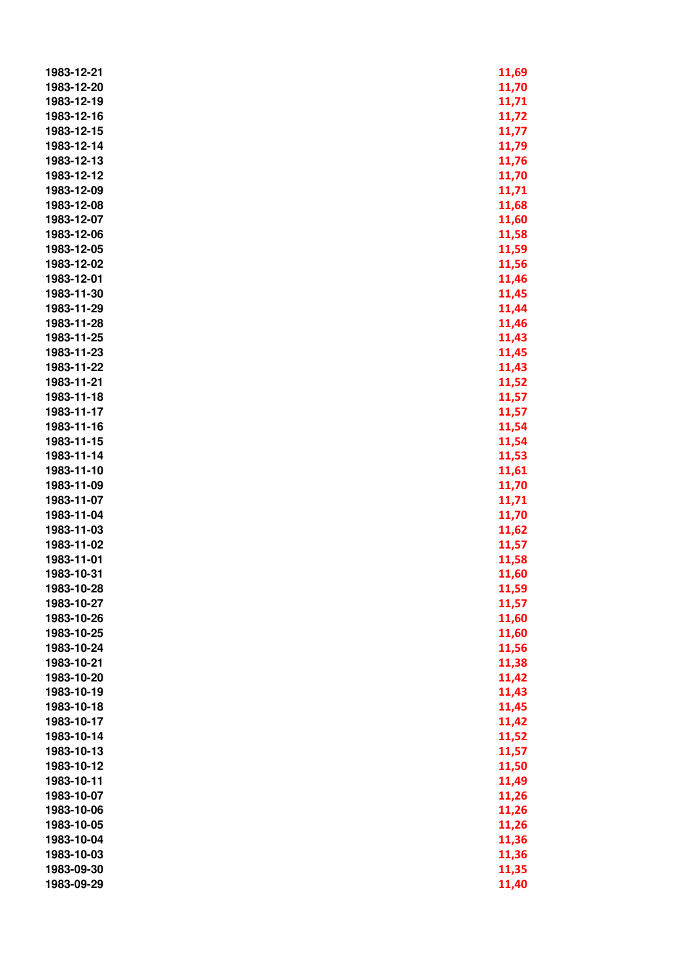| 1983-12-21 | 11,69 |
|------------|-------|
| 1983-12-20 |       |
|            | 11,70 |
| 1983-12-19 | 11,71 |
| 1983-12-16 | 11,72 |
| 1983-12-15 | 11,77 |
| 1983-12-14 | 11,79 |
| 1983-12-13 | 11,76 |
| 1983-12-12 | 11,70 |
| 1983-12-09 | 11,71 |
| 1983-12-08 | 11,68 |
| 1983-12-07 | 11,60 |
| 1983-12-06 | 11,58 |
| 1983-12-05 | 11,59 |
| 1983-12-02 | 11,56 |
| 1983-12-01 | 11,46 |
| 1983-11-30 | 11,45 |
| 1983-11-29 | 11,44 |
| 1983-11-28 | 11,46 |
| 1983-11-25 | 11,43 |
| 1983-11-23 | 11,45 |
| 1983-11-22 | 11,43 |
| 1983-11-21 | 11,52 |
| 1983-11-18 | 11,57 |
| 1983-11-17 | 11,57 |
| 1983-11-16 | 11,54 |
| 1983-11-15 | 11,54 |
| 1983-11-14 | 11,53 |
| 1983-11-10 | 11,61 |
| 1983-11-09 | 11,70 |
| 1983-11-07 |       |
|            | 11,71 |
| 1983-11-04 | 11,70 |
| 1983-11-03 | 11,62 |
| 1983-11-02 | 11,57 |
| 1983-11-01 | 11,58 |
| 1983-10-31 | 11,60 |
| 1983-10-28 | 11,59 |
| 1983-10-27 | 11,57 |
| 1983-10-26 | 11,60 |
| 1983-10-25 | 11,60 |
| 1983-10-24 | 11,56 |
| 1983-10-21 | 11,38 |
| 1983-10-20 | 11,42 |
| 1983-10-19 | 11,43 |
| 1983-10-18 | 11,45 |
| 1983-10-17 | 11,42 |
| 1983-10-14 | 11,52 |
| 1983-10-13 | 11,57 |
| 1983-10-12 | 11,50 |
| 1983-10-11 | 11,49 |
| 1983-10-07 | 11,26 |
| 1983-10-06 | 11,26 |
| 1983-10-05 | 11,26 |
| 1983-10-04 | 11,36 |
| 1983-10-03 | 11,36 |
| 1983-09-30 | 11,35 |
| 1983-09-29 | 11,40 |
|            |       |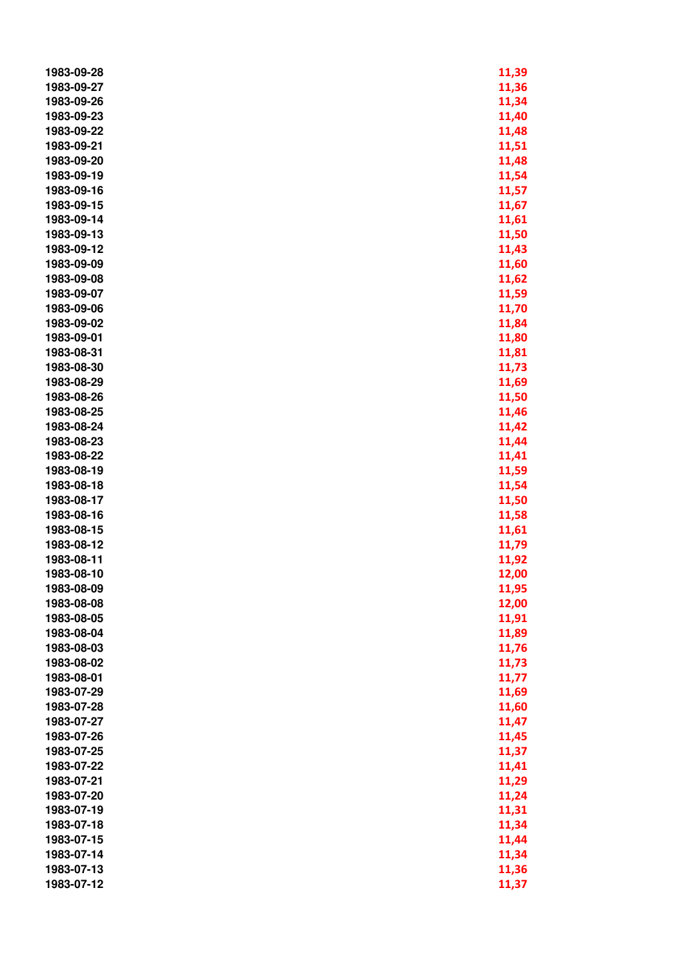| 1983-09-28 | 11,39 |
|------------|-------|
| 1983-09-27 | 11,36 |
| 1983-09-26 | 11,34 |
| 1983-09-23 | 11,40 |
| 1983-09-22 | 11,48 |
| 1983-09-21 | 11,51 |
| 1983-09-20 | 11,48 |
| 1983-09-19 | 11,54 |
| 1983-09-16 | 11,57 |
| 1983-09-15 | 11,67 |
| 1983-09-14 | 11,61 |
|            |       |
| 1983-09-13 | 11,50 |
| 1983-09-12 | 11,43 |
| 1983-09-09 | 11,60 |
| 1983-09-08 | 11,62 |
| 1983-09-07 | 11,59 |
| 1983-09-06 | 11,70 |
| 1983-09-02 | 11,84 |
| 1983-09-01 | 11,80 |
| 1983-08-31 | 11,81 |
| 1983-08-30 | 11,73 |
| 1983-08-29 | 11,69 |
| 1983-08-26 | 11,50 |
| 1983-08-25 | 11,46 |
| 1983-08-24 | 11,42 |
| 1983-08-23 | 11,44 |
| 1983-08-22 | 11,41 |
| 1983-08-19 | 11,59 |
| 1983-08-18 | 11,54 |
| 1983-08-17 | 11,50 |
| 1983-08-16 | 11,58 |
| 1983-08-15 | 11,61 |
| 1983-08-12 | 11,79 |
| 1983-08-11 | 11,92 |
| 1983-08-10 | 12,00 |
| 1983-08-09 | 11,95 |
| 1983-08-08 | 12,00 |
| 1983-08-05 | 11,91 |
| 1983-08-04 | 11,89 |
| 1983-08-03 | 11,76 |
| 1983-08-02 | 11,73 |
| 1983-08-01 | 11,77 |
| 1983-07-29 | 11,69 |
| 1983-07-28 |       |
| 1983-07-27 | 11,60 |
|            | 11,47 |
| 1983-07-26 | 11,45 |
| 1983-07-25 | 11,37 |
| 1983-07-22 | 11,41 |
| 1983-07-21 | 11,29 |
| 1983-07-20 | 11,24 |
| 1983-07-19 | 11,31 |
| 1983-07-18 | 11,34 |
| 1983-07-15 | 11,44 |
| 1983-07-14 | 11,34 |
| 1983-07-13 | 11,36 |
| 1983-07-12 | 11,37 |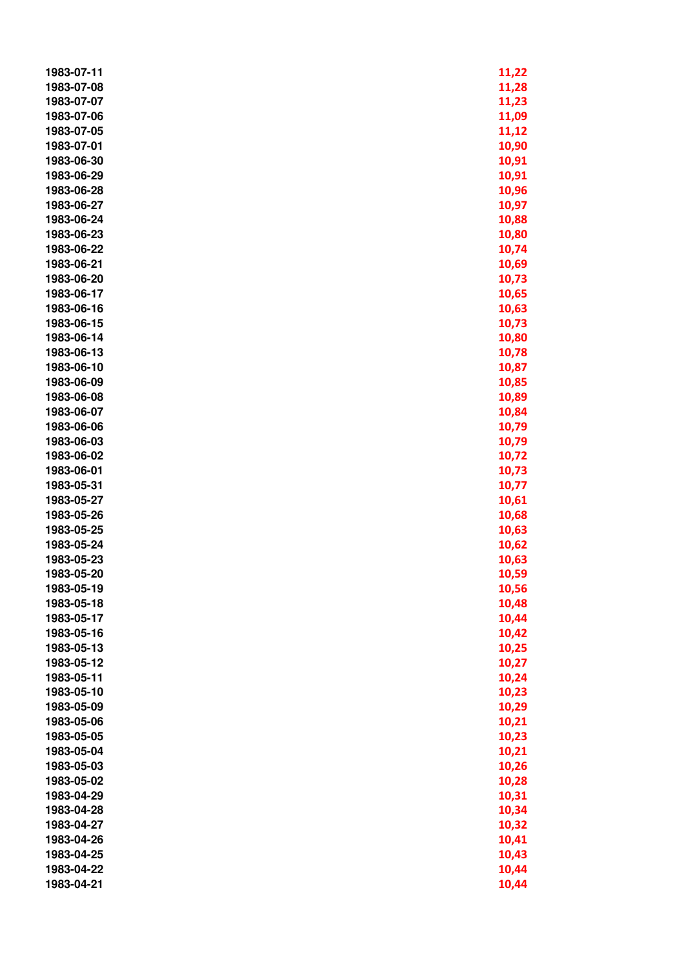| 1983-07-11 | 11,22 |
|------------|-------|
| 1983-07-08 | 11,28 |
| 1983-07-07 | 11,23 |
| 1983-07-06 | 11,09 |
| 1983-07-05 | 11,12 |
| 1983-07-01 | 10,90 |
| 1983-06-30 | 10,91 |
| 1983-06-29 | 10,91 |
| 1983-06-28 | 10,96 |
| 1983-06-27 | 10,97 |
| 1983-06-24 | 10,88 |
| 1983-06-23 | 10,80 |
| 1983-06-22 | 10,74 |
| 1983-06-21 | 10,69 |
| 1983-06-20 | 10,73 |
| 1983-06-17 | 10,65 |
| 1983-06-16 | 10,63 |
| 1983-06-15 | 10,73 |
| 1983-06-14 | 10,80 |
| 1983-06-13 |       |
|            | 10,78 |
| 1983-06-10 | 10,87 |
| 1983-06-09 | 10,85 |
| 1983-06-08 | 10,89 |
| 1983-06-07 | 10,84 |
| 1983-06-06 | 10,79 |
| 1983-06-03 | 10,79 |
| 1983-06-02 | 10,72 |
| 1983-06-01 | 10,73 |
| 1983-05-31 | 10,77 |
| 1983-05-27 | 10,61 |
| 1983-05-26 | 10,68 |
| 1983-05-25 | 10,63 |
| 1983-05-24 | 10,62 |
| 1983-05-23 | 10,63 |
| 1983-05-20 | 10,59 |
| 1983-05-19 | 10,56 |
| 1983-05-18 | 10,48 |
| 1983-05-17 | 10,44 |
| 1983-05-16 | 10,42 |
| 1983-05-13 | 10,25 |
| 1983-05-12 | 10,27 |
| 1983-05-11 | 10,24 |
| 1983-05-10 | 10,23 |
| 1983-05-09 | 10,29 |
| 1983-05-06 | 10,21 |
| 1983-05-05 | 10,23 |
| 1983-05-04 | 10,21 |
| 1983-05-03 | 10,26 |
| 1983-05-02 | 10,28 |
| 1983-04-29 | 10,31 |
| 1983-04-28 | 10,34 |
| 1983-04-27 | 10,32 |
| 1983-04-26 | 10,41 |
| 1983-04-25 | 10,43 |
| 1983-04-22 | 10,44 |
| 1983-04-21 | 10,44 |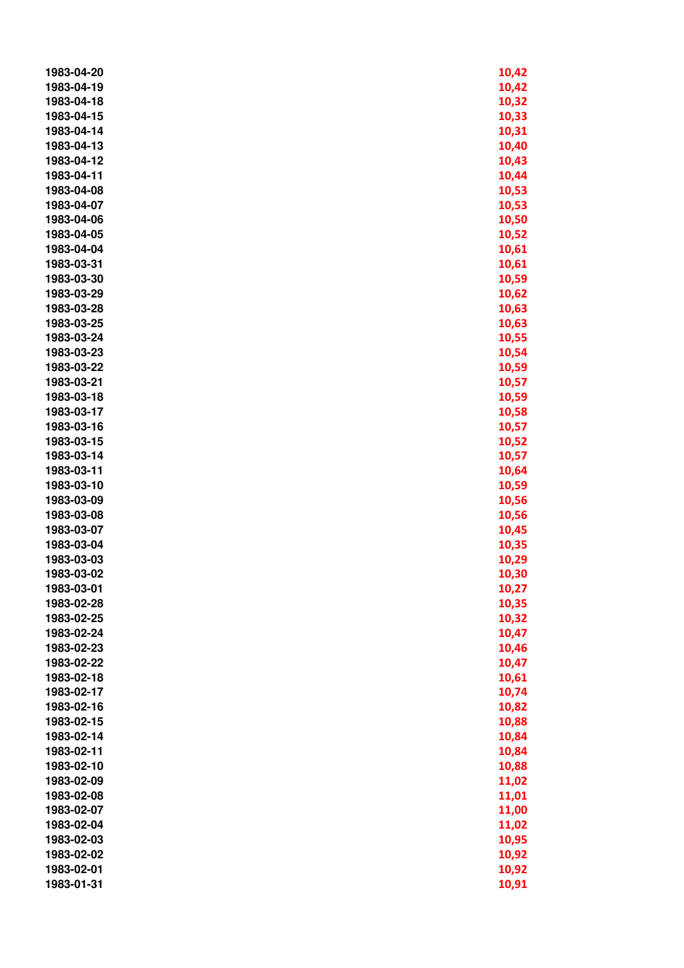| 1983-04-20 | 10,42 |
|------------|-------|
| 1983-04-19 | 10,42 |
| 1983-04-18 | 10,32 |
| 1983-04-15 | 10,33 |
| 1983-04-14 | 10,31 |
| 1983-04-13 | 10,40 |
| 1983-04-12 | 10,43 |
| 1983-04-11 | 10,44 |
| 1983-04-08 | 10,53 |
| 1983-04-07 | 10,53 |
| 1983-04-06 | 10,50 |
| 1983-04-05 | 10,52 |
| 1983-04-04 | 10,61 |
| 1983-03-31 | 10,61 |
| 1983-03-30 |       |
| 1983-03-29 | 10,59 |
|            | 10,62 |
| 1983-03-28 | 10,63 |
| 1983-03-25 | 10,63 |
| 1983-03-24 | 10,55 |
| 1983-03-23 | 10,54 |
| 1983-03-22 | 10,59 |
| 1983-03-21 | 10,57 |
| 1983-03-18 | 10,59 |
| 1983-03-17 | 10,58 |
| 1983-03-16 | 10,57 |
| 1983-03-15 | 10,52 |
| 1983-03-14 | 10,57 |
| 1983-03-11 | 10,64 |
| 1983-03-10 | 10,59 |
| 1983-03-09 | 10,56 |
| 1983-03-08 | 10,56 |
| 1983-03-07 | 10,45 |
| 1983-03-04 | 10,35 |
| 1983-03-03 | 10,29 |
| 1983-03-02 | 10,30 |
| 1983-03-01 | 10,27 |
| 1983-02-28 | 10,35 |
| 1983-02-25 | 10,32 |
| 1983-02-24 | 10,47 |
| 1983-02-23 | 10,46 |
| 1983-02-22 | 10,47 |
| 1983-02-18 | 10,61 |
| 1983-02-17 | 10,74 |
| 1983-02-16 | 10,82 |
| 1983-02-15 | 10,88 |
| 1983-02-14 | 10,84 |
| 1983-02-11 | 10,84 |
| 1983-02-10 | 10,88 |
| 1983-02-09 | 11,02 |
| 1983-02-08 | 11,01 |
| 1983-02-07 | 11,00 |
| 1983-02-04 | 11,02 |
| 1983-02-03 | 10,95 |
| 1983-02-02 | 10,92 |
| 1983-02-01 | 10,92 |
| 1983-01-31 | 10,91 |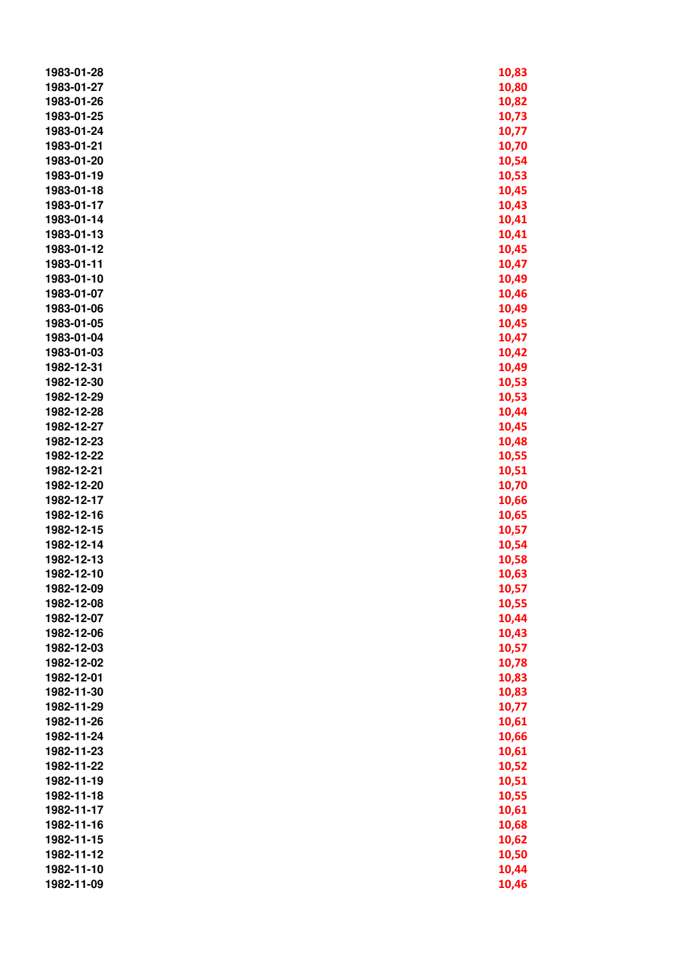| 1983-01-28 | 10,83 |
|------------|-------|
| 1983-01-27 | 10,80 |
| 1983-01-26 | 10,82 |
| 1983-01-25 | 10,73 |
| 1983-01-24 | 10,77 |
| 1983-01-21 | 10,70 |
| 1983-01-20 | 10,54 |
| 1983-01-19 | 10,53 |
| 1983-01-18 | 10,45 |
|            |       |
| 1983-01-17 | 10,43 |
| 1983-01-14 | 10,41 |
| 1983-01-13 | 10,41 |
| 1983-01-12 | 10,45 |
| 1983-01-11 | 10,47 |
| 1983-01-10 | 10,49 |
| 1983-01-07 | 10,46 |
| 1983-01-06 | 10,49 |
| 1983-01-05 | 10,45 |
| 1983-01-04 | 10,47 |
| 1983-01-03 | 10,42 |
| 1982-12-31 | 10,49 |
| 1982-12-30 | 10,53 |
| 1982-12-29 | 10,53 |
| 1982-12-28 | 10,44 |
| 1982-12-27 | 10,45 |
|            |       |
| 1982-12-23 | 10,48 |
| 1982-12-22 | 10,55 |
| 1982-12-21 | 10,51 |
| 1982-12-20 | 10,70 |
| 1982-12-17 | 10,66 |
| 1982-12-16 | 10,65 |
| 1982-12-15 | 10,57 |
| 1982-12-14 | 10,54 |
| 1982-12-13 | 10,58 |
| 1982-12-10 | 10,63 |
| 1982-12-09 | 10,57 |
| 1982-12-08 | 10,55 |
| 1982-12-07 | 10,44 |
| 1982-12-06 | 10,43 |
| 1982-12-03 | 10,57 |
| 1982-12-02 | 10,78 |
| 1982-12-01 | 10,83 |
| 1982-11-30 | 10,83 |
| 1982-11-29 | 10,77 |
| 1982-11-26 |       |
|            | 10,61 |
| 1982-11-24 | 10,66 |
| 1982-11-23 | 10,61 |
| 1982-11-22 | 10,52 |
| 1982-11-19 | 10,51 |
| 1982-11-18 | 10,55 |
| 1982-11-17 | 10,61 |
| 1982-11-16 | 10,68 |
| 1982-11-15 | 10,62 |
| 1982-11-12 | 10,50 |
| 1982-11-10 | 10,44 |
| 1982-11-09 | 10,46 |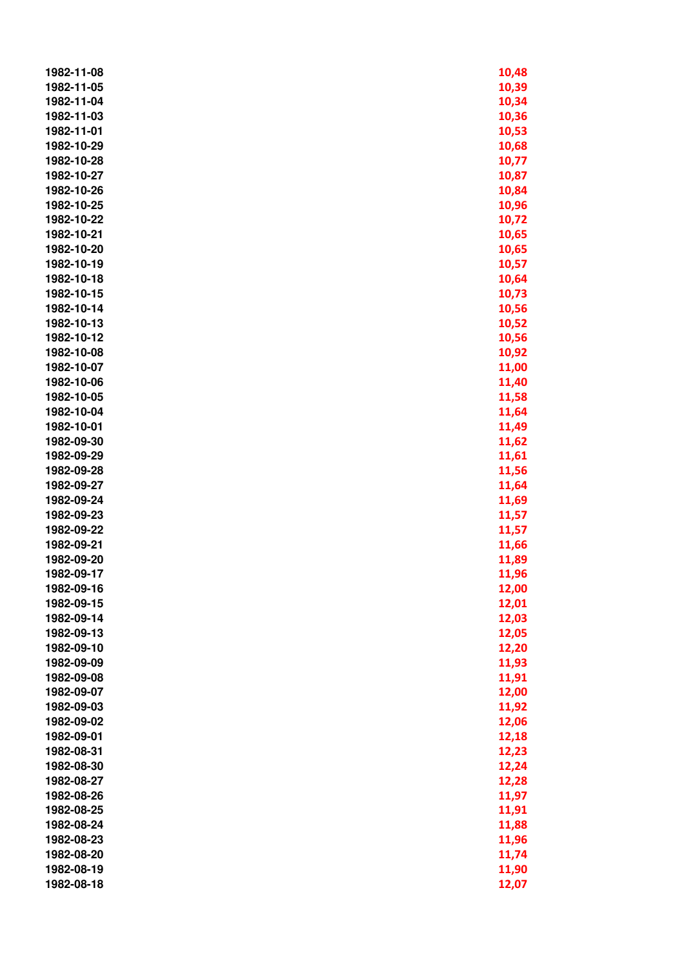| 1982-11-08 | 10,48 |
|------------|-------|
| 1982-11-05 | 10,39 |
| 1982-11-04 | 10,34 |
| 1982-11-03 | 10,36 |
| 1982-11-01 | 10,53 |
| 1982-10-29 |       |
|            | 10,68 |
| 1982-10-28 | 10,77 |
| 1982-10-27 | 10,87 |
| 1982-10-26 | 10,84 |
| 1982-10-25 | 10,96 |
| 1982-10-22 | 10,72 |
| 1982-10-21 | 10,65 |
| 1982-10-20 | 10,65 |
| 1982-10-19 | 10,57 |
| 1982-10-18 | 10,64 |
| 1982-10-15 | 10,73 |
| 1982-10-14 | 10,56 |
| 1982-10-13 | 10,52 |
| 1982-10-12 | 10,56 |
| 1982-10-08 | 10,92 |
| 1982-10-07 | 11,00 |
| 1982-10-06 | 11,40 |
| 1982-10-05 | 11,58 |
| 1982-10-04 | 11,64 |
| 1982-10-01 | 11,49 |
| 1982-09-30 | 11,62 |
| 1982-09-29 | 11,61 |
| 1982-09-28 | 11,56 |
| 1982-09-27 |       |
|            | 11,64 |
| 1982-09-24 | 11,69 |
| 1982-09-23 | 11,57 |
| 1982-09-22 | 11,57 |
| 1982-09-21 | 11,66 |
| 1982-09-20 | 11,89 |
| 1982-09-17 | 11,96 |
| 1982-09-16 | 12,00 |
| 1982-09-15 | 12,01 |
| 1982-09-14 | 12,03 |
| 1982-09-13 | 12,05 |
| 1982-09-10 | 12,20 |
| 1982-09-09 | 11,93 |
| 1982-09-08 | 11,91 |
| 1982-09-07 | 12,00 |
| 1982-09-03 | 11,92 |
| 1982-09-02 | 12,06 |
| 1982-09-01 | 12,18 |
| 1982-08-31 | 12,23 |
| 1982-08-30 | 12,24 |
| 1982-08-27 | 12,28 |
| 1982-08-26 | 11,97 |
| 1982-08-25 | 11,91 |
| 1982-08-24 | 11,88 |
| 1982-08-23 | 11,96 |
| 1982-08-20 |       |
|            | 11,74 |
| 1982-08-19 | 11,90 |
| 1982-08-18 | 12,07 |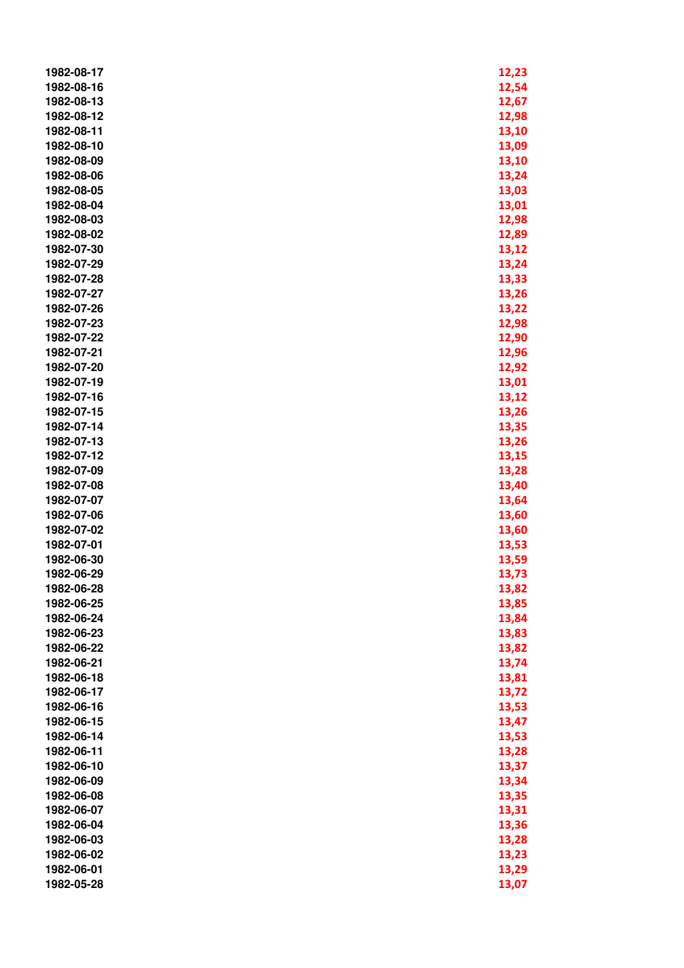| 1982-08-17 | 12,23 |
|------------|-------|
| 1982-08-16 | 12,54 |
| 1982-08-13 | 12,67 |
| 1982-08-12 | 12,98 |
| 1982-08-11 | 13,10 |
| 1982-08-10 | 13,09 |
| 1982-08-09 | 13,10 |
| 1982-08-06 | 13,24 |
| 1982-08-05 | 13,03 |
| 1982-08-04 | 13,01 |
| 1982-08-03 | 12,98 |
| 1982-08-02 | 12,89 |
| 1982-07-30 | 13,12 |
| 1982-07-29 | 13,24 |
| 1982-07-28 | 13,33 |
| 1982-07-27 | 13,26 |
| 1982-07-26 | 13,22 |
| 1982-07-23 | 12,98 |
| 1982-07-22 | 12,90 |
| 1982-07-21 | 12,96 |
| 1982-07-20 | 12,92 |
| 1982-07-19 | 13,01 |
| 1982-07-16 | 13,12 |
| 1982-07-15 | 13,26 |
| 1982-07-14 | 13,35 |
| 1982-07-13 | 13,26 |
| 1982-07-12 | 13,15 |
| 1982-07-09 | 13,28 |
| 1982-07-08 | 13,40 |
| 1982-07-07 | 13,64 |
| 1982-07-06 | 13,60 |
| 1982-07-02 | 13,60 |
| 1982-07-01 | 13,53 |
| 1982-06-30 | 13,59 |
| 1982-06-29 | 13,73 |
| 1982-06-28 | 13,82 |
| 1982-06-25 | 13,85 |
| 1982-06-24 | 13,84 |
| 1982-06-23 | 13,83 |
| 1982-06-22 | 13,82 |
| 1982-06-21 | 13,74 |
| 1982-06-18 | 13,81 |
| 1982-06-17 | 13,72 |
| 1982-06-16 | 13,53 |
| 1982-06-15 | 13,47 |
| 1982-06-14 | 13,53 |
| 1982-06-11 | 13,28 |
| 1982-06-10 | 13,37 |
| 1982-06-09 | 13,34 |
| 1982-06-08 | 13,35 |
| 1982-06-07 | 13,31 |
| 1982-06-04 | 13,36 |
| 1982-06-03 | 13,28 |
| 1982-06-02 | 13,23 |
| 1982-06-01 | 13,29 |
| 1982-05-28 | 13,07 |
|            |       |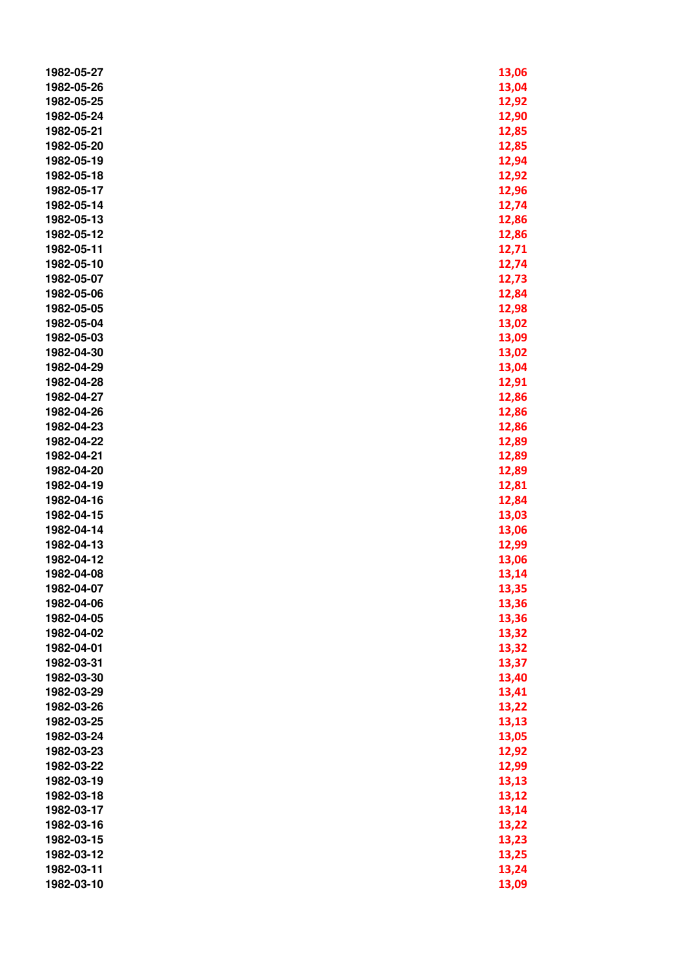| 1982-05-27 | 13,06 |
|------------|-------|
| 1982-05-26 | 13,04 |
| 1982-05-25 | 12,92 |
| 1982-05-24 | 12,90 |
| 1982-05-21 | 12,85 |
| 1982-05-20 | 12,85 |
| 1982-05-19 | 12,94 |
| 1982-05-18 | 12,92 |
| 1982-05-17 | 12,96 |
| 1982-05-14 | 12,74 |
| 1982-05-13 | 12,86 |
| 1982-05-12 | 12,86 |
| 1982-05-11 | 12,71 |
| 1982-05-10 | 12,74 |
| 1982-05-07 | 12,73 |
| 1982-05-06 | 12,84 |
| 1982-05-05 | 12,98 |
| 1982-05-04 | 13,02 |
| 1982-05-03 |       |
|            | 13,09 |
| 1982-04-30 | 13,02 |
| 1982-04-29 | 13,04 |
| 1982-04-28 | 12,91 |
| 1982-04-27 | 12,86 |
| 1982-04-26 | 12,86 |
| 1982-04-23 | 12,86 |
| 1982-04-22 | 12,89 |
| 1982-04-21 | 12,89 |
| 1982-04-20 | 12,89 |
| 1982-04-19 | 12,81 |
| 1982-04-16 | 12,84 |
| 1982-04-15 | 13,03 |
| 1982-04-14 | 13,06 |
| 1982-04-13 | 12,99 |
| 1982-04-12 | 13,06 |
| 1982-04-08 | 13,14 |
| 1982-04-07 | 13,35 |
| 1982-04-06 | 13,36 |
| 1982-04-05 | 13,36 |
| 1982-04-02 | 13,32 |
| 1982-04-01 | 13,32 |
| 1982-03-31 | 13,37 |
| 1982-03-30 | 13,40 |
| 1982-03-29 | 13,41 |
| 1982-03-26 | 13,22 |
| 1982-03-25 | 13,13 |
| 1982-03-24 | 13,05 |
| 1982-03-23 | 12,92 |
| 1982-03-22 | 12,99 |
| 1982-03-19 | 13,13 |
| 1982-03-18 | 13,12 |
| 1982-03-17 | 13,14 |
| 1982-03-16 | 13,22 |
| 1982-03-15 | 13,23 |
| 1982-03-12 | 13,25 |
| 1982-03-11 | 13,24 |
| 1982-03-10 | 13,09 |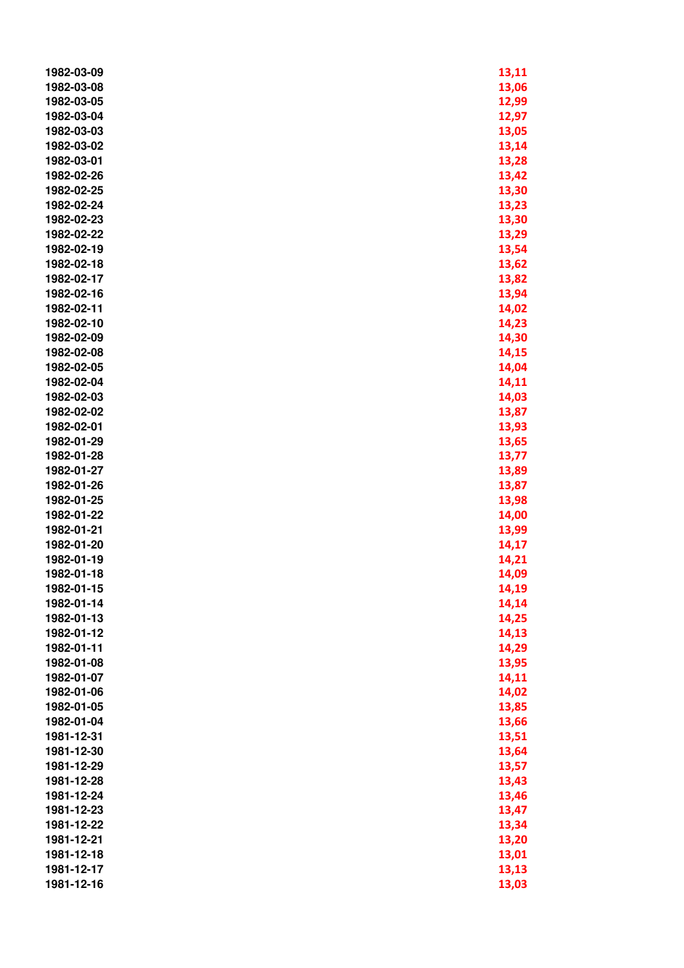| 1982-03-09 | 13,11 |
|------------|-------|
| 1982-03-08 | 13,06 |
| 1982-03-05 | 12,99 |
| 1982-03-04 | 12,97 |
| 1982-03-03 | 13,05 |
| 1982-03-02 | 13,14 |
| 1982-03-01 | 13,28 |
| 1982-02-26 | 13,42 |
| 1982-02-25 | 13,30 |
| 1982-02-24 | 13,23 |
| 1982-02-23 | 13,30 |
| 1982-02-22 | 13,29 |
| 1982-02-19 | 13,54 |
| 1982-02-18 | 13,62 |
| 1982-02-17 | 13,82 |
| 1982-02-16 | 13,94 |
| 1982-02-11 | 14,02 |
| 1982-02-10 | 14,23 |
| 1982-02-09 | 14,30 |
| 1982-02-08 | 14,15 |
| 1982-02-05 | 14,04 |
| 1982-02-04 | 14,11 |
| 1982-02-03 | 14,03 |
| 1982-02-02 | 13,87 |
| 1982-02-01 | 13,93 |
| 1982-01-29 | 13,65 |
| 1982-01-28 | 13,77 |
| 1982-01-27 | 13,89 |
| 1982-01-26 | 13,87 |
| 1982-01-25 | 13,98 |
| 1982-01-22 | 14,00 |
| 1982-01-21 |       |
| 1982-01-20 | 13,99 |
| 1982-01-19 | 14,17 |
|            | 14,21 |
| 1982-01-18 | 14,09 |
| 1982-01-15 | 14,19 |
| 1982-01-14 | 14,14 |
| 1982-01-13 | 14,25 |
| 1982-01-12 | 14,13 |
| 1982-01-11 | 14,29 |
| 1982-01-08 | 13,95 |
| 1982-01-07 | 14,11 |
| 1982-01-06 | 14,02 |
| 1982-01-05 | 13,85 |
| 1982-01-04 | 13,66 |
| 1981-12-31 | 13,51 |
| 1981-12-30 | 13,64 |
| 1981-12-29 | 13,57 |
| 1981-12-28 | 13,43 |
| 1981-12-24 | 13,46 |
| 1981-12-23 | 13,47 |
| 1981-12-22 | 13,34 |
| 1981-12-21 | 13,20 |
| 1981-12-18 | 13,01 |
| 1981-12-17 | 13,13 |
| 1981-12-16 | 13,03 |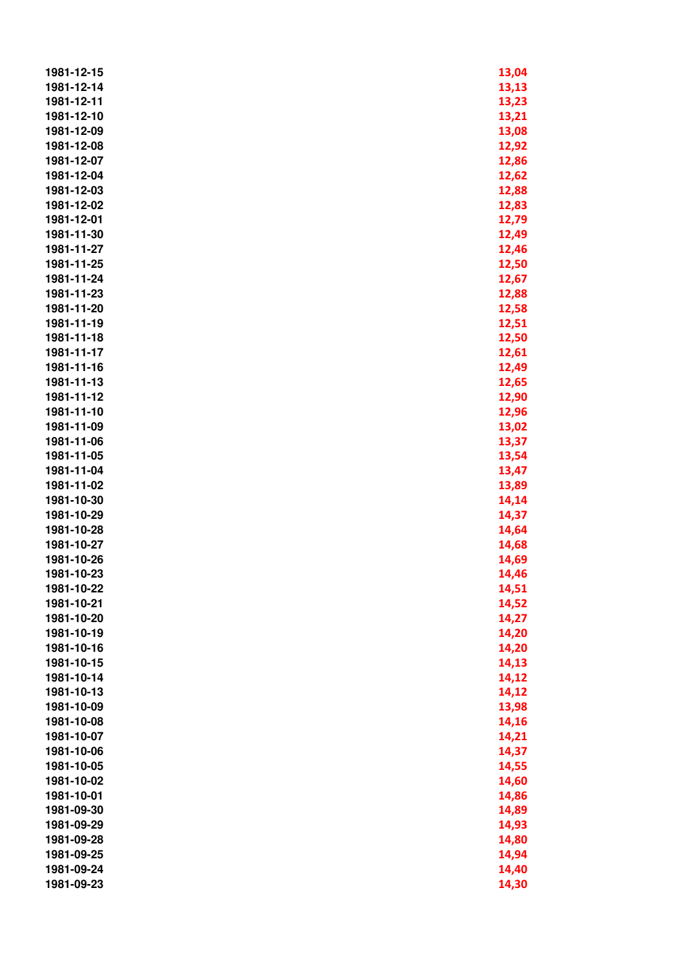| 1981-12-15 | 13,04 |
|------------|-------|
| 1981-12-14 | 13,13 |
| 1981-12-11 | 13,23 |
| 1981-12-10 | 13,21 |
| 1981-12-09 | 13,08 |
| 1981-12-08 | 12,92 |
| 1981-12-07 | 12,86 |
| 1981-12-04 | 12,62 |
| 1981-12-03 | 12,88 |
| 1981-12-02 | 12,83 |
| 1981-12-01 | 12,79 |
| 1981-11-30 | 12,49 |
| 1981-11-27 | 12,46 |
| 1981-11-25 | 12,50 |
| 1981-11-24 |       |
|            | 12,67 |
| 1981-11-23 | 12,88 |
| 1981-11-20 | 12,58 |
| 1981-11-19 | 12,51 |
| 1981-11-18 | 12,50 |
| 1981-11-17 | 12,61 |
| 1981-11-16 | 12,49 |
| 1981-11-13 | 12,65 |
| 1981-11-12 | 12,90 |
| 1981-11-10 | 12,96 |
| 1981-11-09 | 13,02 |
| 1981-11-06 | 13,37 |
| 1981-11-05 | 13,54 |
| 1981-11-04 | 13,47 |
| 1981-11-02 | 13,89 |
| 1981-10-30 | 14,14 |
| 1981-10-29 | 14,37 |
| 1981-10-28 | 14,64 |
| 1981-10-27 | 14,68 |
| 1981-10-26 | 14,69 |
| 1981-10-23 | 14,46 |
| 1981-10-22 | 14,51 |
| 1981-10-21 | 14,52 |
| 1981-10-20 | 14,27 |
| 1981-10-19 | 14,20 |
| 1981-10-16 | 14,20 |
| 1981-10-15 |       |
| 1981-10-14 | 14,13 |
|            | 14,12 |
| 1981-10-13 | 14,12 |
| 1981-10-09 | 13,98 |
| 1981-10-08 | 14,16 |
| 1981-10-07 | 14,21 |
| 1981-10-06 | 14,37 |
| 1981-10-05 | 14,55 |
| 1981-10-02 | 14,60 |
| 1981-10-01 | 14,86 |
| 1981-09-30 | 14,89 |
| 1981-09-29 | 14,93 |
| 1981-09-28 | 14,80 |
| 1981-09-25 | 14,94 |
| 1981-09-24 | 14,40 |
| 1981-09-23 | 14,30 |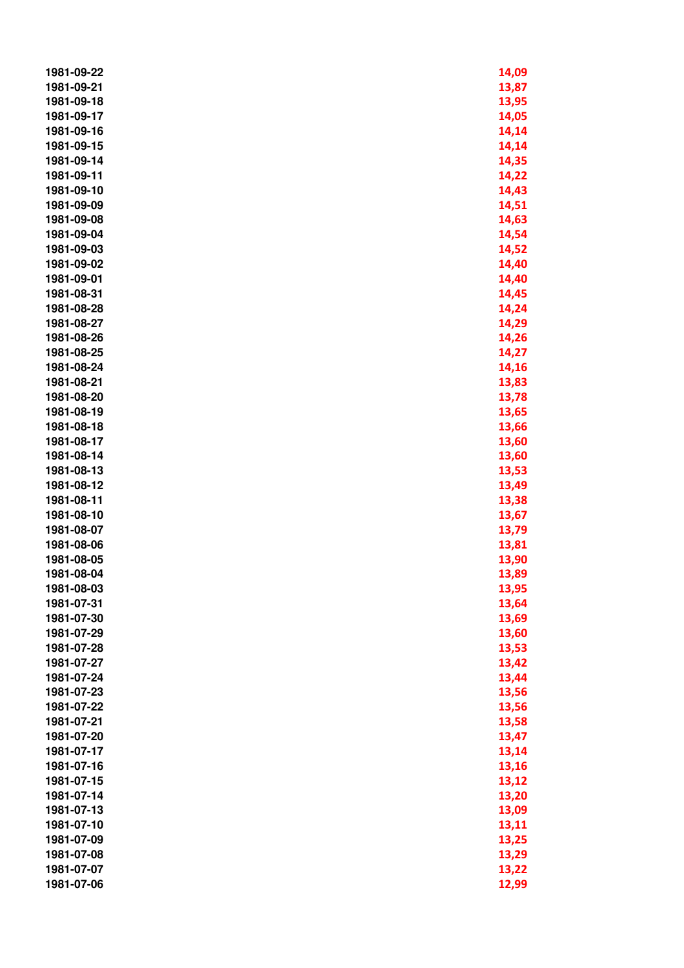| 1981-09-22 | 14,09 |
|------------|-------|
| 1981-09-21 | 13,87 |
| 1981-09-18 | 13,95 |
| 1981-09-17 | 14,05 |
| 1981-09-16 | 14,14 |
| 1981-09-15 | 14,14 |
| 1981-09-14 | 14,35 |
| 1981-09-11 | 14,22 |
| 1981-09-10 | 14,43 |
| 1981-09-09 | 14,51 |
| 1981-09-08 | 14,63 |
| 1981-09-04 | 14,54 |
| 1981-09-03 |       |
|            | 14,52 |
| 1981-09-02 | 14,40 |
| 1981-09-01 | 14,40 |
| 1981-08-31 | 14,45 |
| 1981-08-28 | 14,24 |
| 1981-08-27 | 14,29 |
| 1981-08-26 | 14,26 |
| 1981-08-25 | 14,27 |
| 1981-08-24 | 14,16 |
| 1981-08-21 | 13,83 |
| 1981-08-20 | 13,78 |
| 1981-08-19 | 13,65 |
| 1981-08-18 | 13,66 |
| 1981-08-17 | 13,60 |
| 1981-08-14 | 13,60 |
| 1981-08-13 | 13,53 |
| 1981-08-12 | 13,49 |
| 1981-08-11 | 13,38 |
| 1981-08-10 | 13,67 |
| 1981-08-07 | 13,79 |
| 1981-08-06 | 13,81 |
| 1981-08-05 | 13,90 |
| 1981-08-04 | 13,89 |
| 1981-08-03 | 13,95 |
| 1981-07-31 | 13,64 |
| 1981-07-30 | 13,69 |
| 1981-07-29 | 13,60 |
| 1981-07-28 | 13,53 |
| 1981-07-27 | 13,42 |
| 1981-07-24 | 13,44 |
| 1981-07-23 | 13,56 |
| 1981-07-22 | 13,56 |
| 1981-07-21 | 13,58 |
| 1981-07-20 | 13,47 |
| 1981-07-17 | 13,14 |
| 1981-07-16 | 13,16 |
| 1981-07-15 | 13,12 |
| 1981-07-14 | 13,20 |
| 1981-07-13 | 13,09 |
| 1981-07-10 | 13,11 |
| 1981-07-09 | 13,25 |
| 1981-07-08 | 13,29 |
| 1981-07-07 | 13,22 |
| 1981-07-06 | 12,99 |
|            |       |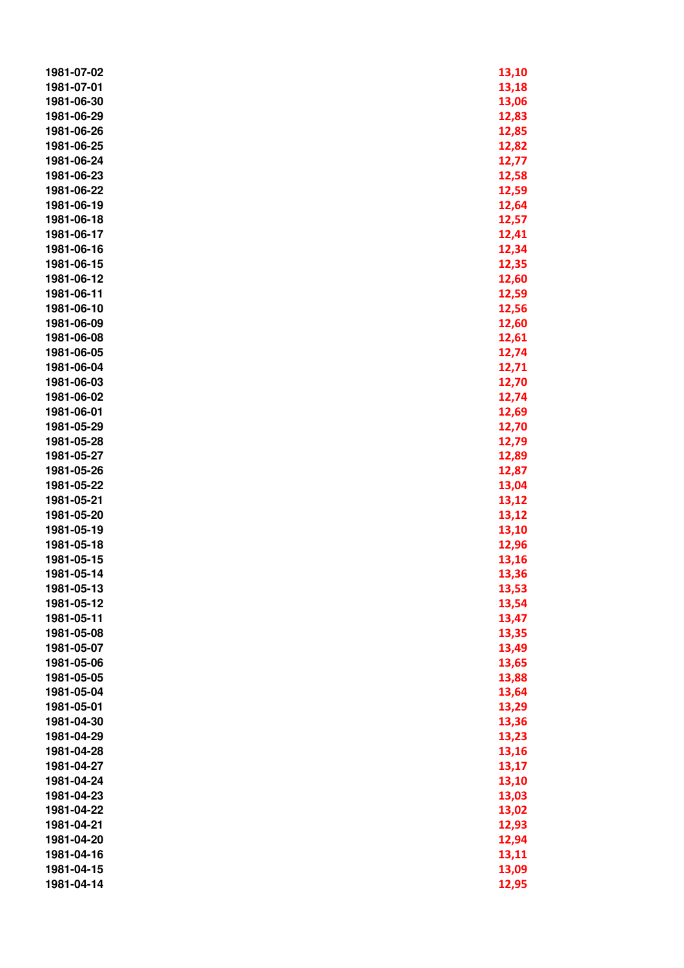| 1981-07-02 | 13,10 |
|------------|-------|
| 1981-07-01 | 13,18 |
| 1981-06-30 | 13,06 |
| 1981-06-29 | 12,83 |
| 1981-06-26 | 12,85 |
| 1981-06-25 | 12,82 |
| 1981-06-24 | 12,77 |
| 1981-06-23 | 12,58 |
| 1981-06-22 | 12,59 |
| 1981-06-19 | 12,64 |
| 1981-06-18 | 12,57 |
| 1981-06-17 | 12,41 |
| 1981-06-16 | 12,34 |
| 1981-06-15 | 12,35 |
| 1981-06-12 |       |
|            | 12,60 |
| 1981-06-11 | 12,59 |
| 1981-06-10 | 12,56 |
| 1981-06-09 | 12,60 |
| 1981-06-08 | 12,61 |
| 1981-06-05 | 12,74 |
| 1981-06-04 | 12,71 |
| 1981-06-03 | 12,70 |
| 1981-06-02 | 12,74 |
| 1981-06-01 | 12,69 |
| 1981-05-29 | 12,70 |
| 1981-05-28 | 12,79 |
| 1981-05-27 | 12,89 |
| 1981-05-26 | 12,87 |
| 1981-05-22 | 13,04 |
| 1981-05-21 | 13,12 |
| 1981-05-20 | 13,12 |
| 1981-05-19 | 13,10 |
| 1981-05-18 | 12,96 |
| 1981-05-15 | 13,16 |
| 1981-05-14 | 13,36 |
| 1981-05-13 | 13,53 |
| 1981-05-12 | 13,54 |
| 1981-05-11 | 13,47 |
| 1981-05-08 | 13,35 |
| 1981-05-07 | 13,49 |
| 1981-05-06 | 13,65 |
| 1981-05-05 | 13,88 |
| 1981-05-04 | 13,64 |
| 1981-05-01 | 13,29 |
| 1981-04-30 | 13,36 |
| 1981-04-29 | 13,23 |
| 1981-04-28 | 13,16 |
| 1981-04-27 | 13,17 |
| 1981-04-24 | 13,10 |
| 1981-04-23 | 13,03 |
| 1981-04-22 | 13,02 |
| 1981-04-21 | 12,93 |
| 1981-04-20 | 12,94 |
| 1981-04-16 | 13,11 |
| 1981-04-15 | 13,09 |
| 1981-04-14 | 12,95 |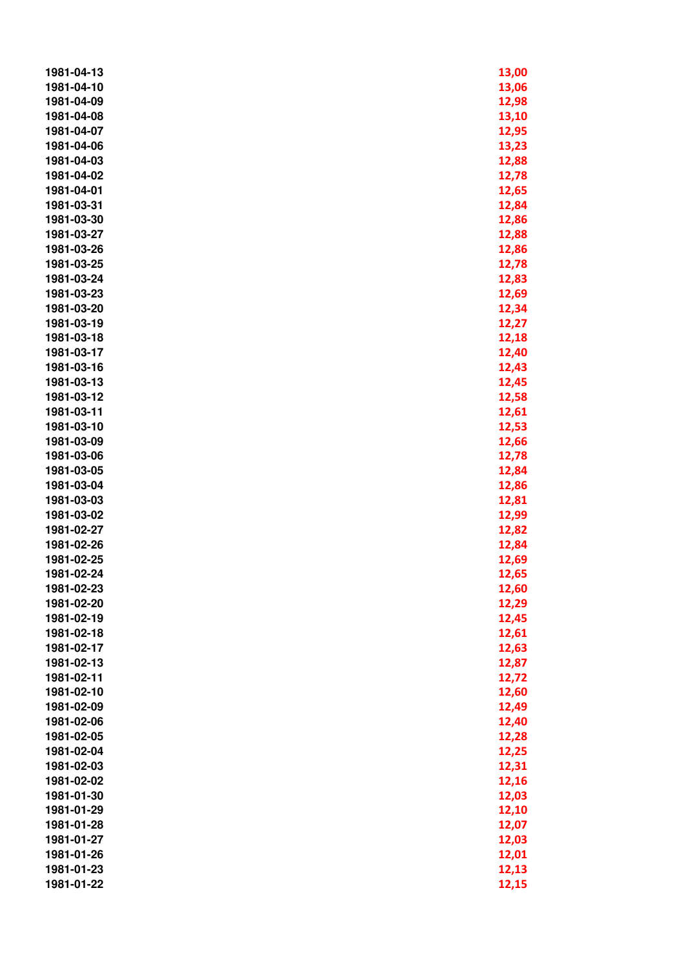| 1981-04-13 | 13,00 |
|------------|-------|
| 1981-04-10 | 13,06 |
| 1981-04-09 | 12,98 |
| 1981-04-08 | 13,10 |
| 1981-04-07 | 12,95 |
| 1981-04-06 | 13,23 |
| 1981-04-03 | 12,88 |
| 1981-04-02 | 12,78 |
| 1981-04-01 | 12,65 |
| 1981-03-31 | 12,84 |
| 1981-03-30 | 12,86 |
| 1981-03-27 | 12,88 |
| 1981-03-26 | 12,86 |
| 1981-03-25 | 12,78 |
| 1981-03-24 | 12,83 |
| 1981-03-23 | 12,69 |
| 1981-03-20 | 12,34 |
| 1981-03-19 | 12,27 |
| 1981-03-18 | 12,18 |
| 1981-03-17 | 12,40 |
| 1981-03-16 | 12,43 |
| 1981-03-13 | 12,45 |
| 1981-03-12 | 12,58 |
| 1981-03-11 | 12,61 |
| 1981-03-10 | 12,53 |
| 1981-03-09 | 12,66 |
| 1981-03-06 | 12,78 |
| 1981-03-05 | 12,84 |
| 1981-03-04 | 12,86 |
| 1981-03-03 | 12,81 |
| 1981-03-02 | 12,99 |
| 1981-02-27 | 12,82 |
| 1981-02-26 | 12,84 |
| 1981-02-25 | 12,69 |
| 1981-02-24 | 12,65 |
| 1981-02-23 | 12,60 |
| 1981-02-20 | 12,29 |
| 1981-02-19 | 12,45 |
| 1981-02-18 | 12,61 |
| 1981-02-17 | 12,63 |
| 1981-02-13 | 12,87 |
| 1981-02-11 | 12,72 |
| 1981-02-10 | 12,60 |
| 1981-02-09 | 12,49 |
| 1981-02-06 | 12,40 |
| 1981-02-05 | 12,28 |
| 1981-02-04 | 12,25 |
| 1981-02-03 | 12,31 |
| 1981-02-02 | 12,16 |
| 1981-01-30 | 12,03 |
| 1981-01-29 | 12,10 |
| 1981-01-28 | 12,07 |
| 1981-01-27 | 12,03 |
| 1981-01-26 | 12,01 |
| 1981-01-23 | 12,13 |
| 1981-01-22 | 12,15 |
|            |       |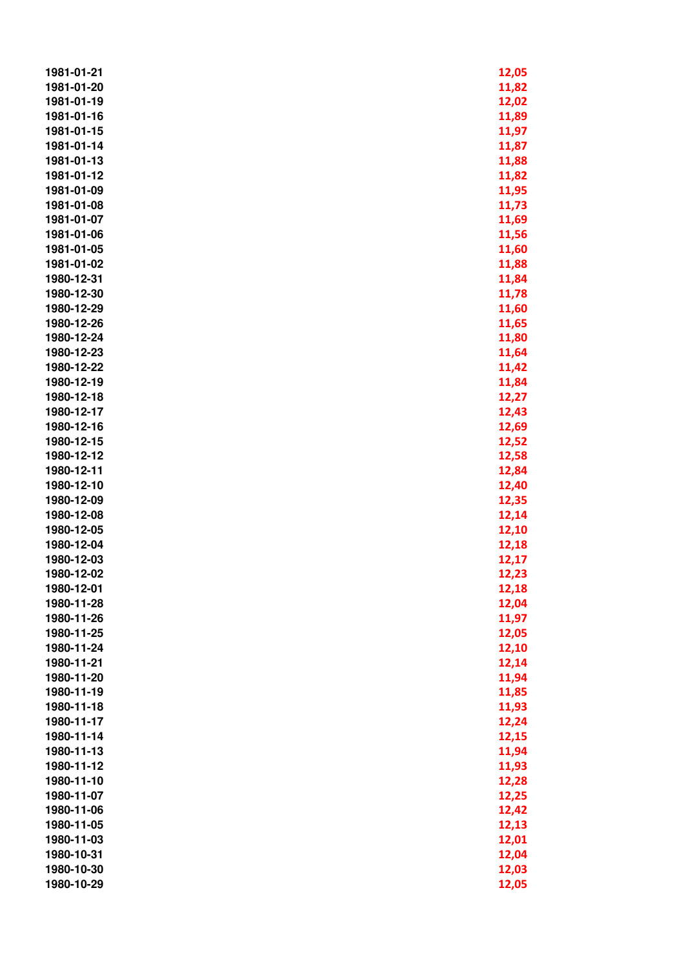| 1981-01-21 | 12,05 |
|------------|-------|
| 1981-01-20 | 11,82 |
| 1981-01-19 | 12,02 |
| 1981-01-16 | 11,89 |
| 1981-01-15 | 11,97 |
| 1981-01-14 | 11,87 |
| 1981-01-13 | 11,88 |
| 1981-01-12 | 11,82 |
| 1981-01-09 | 11,95 |
| 1981-01-08 | 11,73 |
| 1981-01-07 |       |
|            | 11,69 |
| 1981-01-06 | 11,56 |
| 1981-01-05 | 11,60 |
| 1981-01-02 | 11,88 |
| 1980-12-31 | 11,84 |
| 1980-12-30 | 11,78 |
| 1980-12-29 | 11,60 |
| 1980-12-26 | 11,65 |
| 1980-12-24 | 11,80 |
| 1980-12-23 | 11,64 |
| 1980-12-22 | 11,42 |
| 1980-12-19 | 11,84 |
| 1980-12-18 | 12,27 |
| 1980-12-17 | 12,43 |
| 1980-12-16 | 12,69 |
| 1980-12-15 | 12,52 |
| 1980-12-12 | 12,58 |
| 1980-12-11 | 12,84 |
| 1980-12-10 | 12,40 |
| 1980-12-09 | 12,35 |
| 1980-12-08 | 12,14 |
| 1980-12-05 | 12,10 |
| 1980-12-04 | 12,18 |
| 1980-12-03 | 12,17 |
| 1980-12-02 | 12,23 |
| 1980-12-01 | 12,18 |
| 1980-11-28 | 12,04 |
| 1980-11-26 | 11,97 |
| 1980-11-25 | 12,05 |
| 1980-11-24 | 12,10 |
| 1980-11-21 | 12,14 |
| 1980-11-20 | 11,94 |
| 1980-11-19 | 11,85 |
| 1980-11-18 | 11,93 |
| 1980-11-17 | 12,24 |
| 1980-11-14 |       |
|            | 12,15 |
| 1980-11-13 | 11,94 |
| 1980-11-12 | 11,93 |
| 1980-11-10 | 12,28 |
| 1980-11-07 | 12,25 |
| 1980-11-06 | 12,42 |
| 1980-11-05 | 12,13 |
| 1980-11-03 | 12,01 |
| 1980-10-31 | 12,04 |
| 1980-10-30 | 12,03 |
| 1980-10-29 | 12,05 |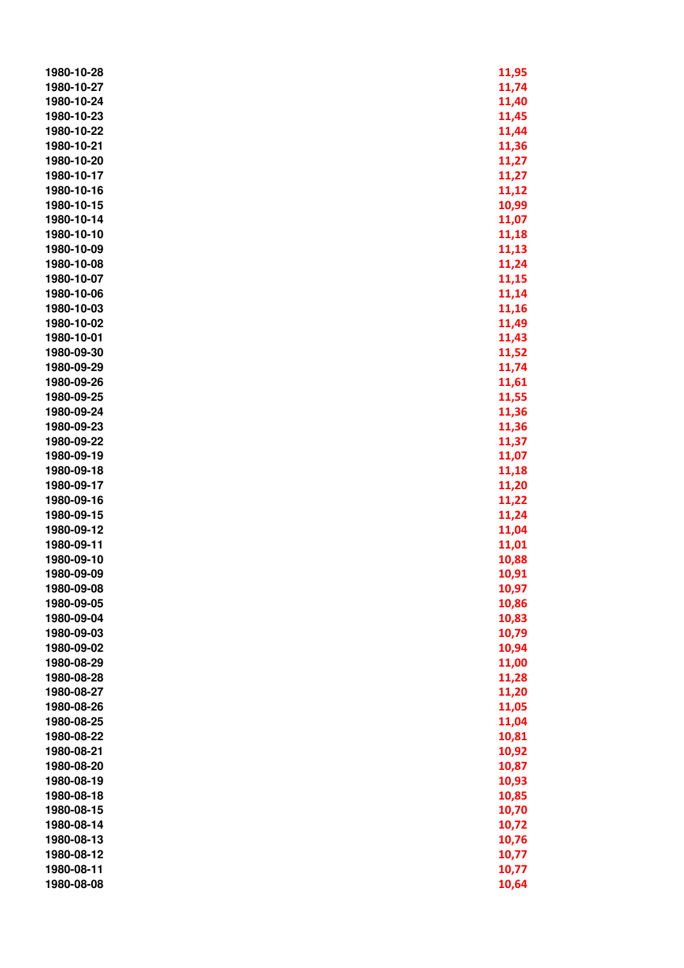| 1980-10-28 | 11,95 |
|------------|-------|
| 1980-10-27 | 11,74 |
| 1980-10-24 | 11,40 |
| 1980-10-23 | 11,45 |
| 1980-10-22 | 11,44 |
| 1980-10-21 | 11,36 |
| 1980-10-20 | 11,27 |
| 1980-10-17 | 11,27 |
| 1980-10-16 | 11,12 |
| 1980-10-15 | 10,99 |
| 1980-10-14 | 11,07 |
| 1980-10-10 | 11,18 |
| 1980-10-09 | 11,13 |
| 1980-10-08 | 11,24 |
| 1980-10-07 | 11,15 |
| 1980-10-06 | 11,14 |
| 1980-10-03 | 11,16 |
| 1980-10-02 | 11,49 |
| 1980-10-01 | 11,43 |
| 1980-09-30 | 11,52 |
| 1980-09-29 | 11,74 |
| 1980-09-26 | 11,61 |
| 1980-09-25 | 11,55 |
| 1980-09-24 | 11,36 |
| 1980-09-23 | 11,36 |
| 1980-09-22 | 11,37 |
| 1980-09-19 | 11,07 |
| 1980-09-18 | 11,18 |
| 1980-09-17 | 11,20 |
| 1980-09-16 | 11,22 |
| 1980-09-15 | 11,24 |
| 1980-09-12 | 11,04 |
| 1980-09-11 | 11,01 |
| 1980-09-10 | 10,88 |
| 1980-09-09 | 10,91 |
| 1980-09-08 | 10,97 |
| 1980-09-05 | 10,86 |
| 1980-09-04 | 10,83 |
| 1980-09-03 | 10,79 |
| 1980-09-02 | 10,94 |
| 1980-08-29 | 11,00 |
| 1980-08-28 | 11,28 |
| 1980-08-27 | 11,20 |
| 1980-08-26 | 11,05 |
| 1980-08-25 | 11,04 |
| 1980-08-22 | 10,81 |
| 1980-08-21 | 10,92 |
| 1980-08-20 | 10,87 |
| 1980-08-19 | 10,93 |
| 1980-08-18 | 10,85 |
| 1980-08-15 | 10,70 |
| 1980-08-14 | 10,72 |
| 1980-08-13 | 10,76 |
| 1980-08-12 | 10,77 |
| 1980-08-11 | 10,77 |
| 1980-08-08 | 10,64 |
|            |       |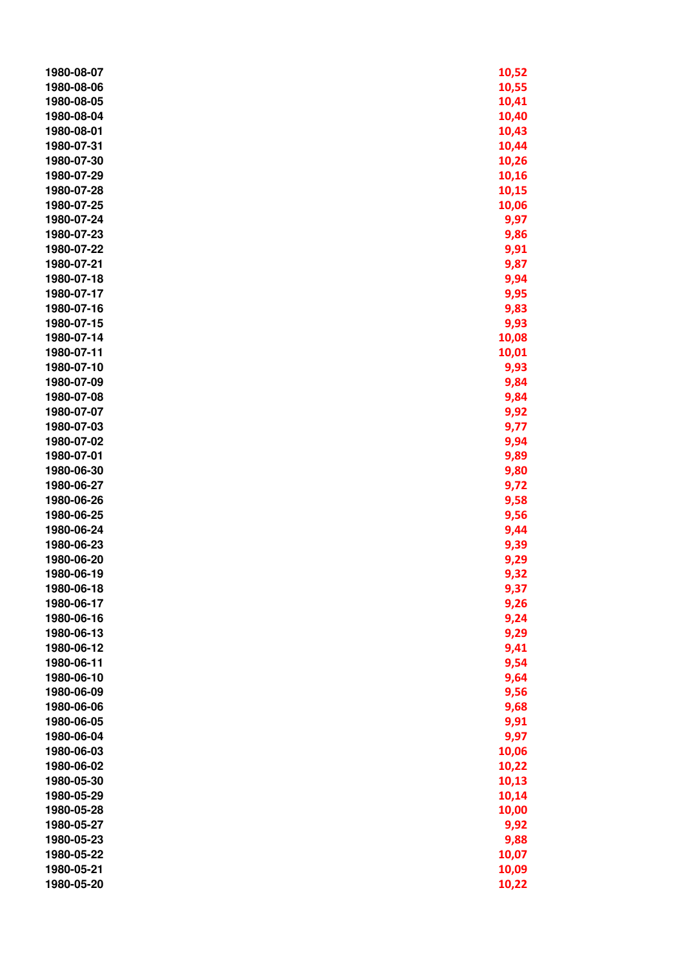| 1980-08-07 | 10,52        |
|------------|--------------|
| 1980-08-06 | 10,55        |
| 1980-08-05 | 10,41        |
| 1980-08-04 | 10,40        |
| 1980-08-01 | 10,43        |
| 1980-07-31 | 10,44        |
| 1980-07-30 | 10,26        |
| 1980-07-29 | 10,16        |
| 1980-07-28 | 10,15        |
| 1980-07-25 | 10,06        |
| 1980-07-24 | 9,97         |
| 1980-07-23 | 9,86         |
| 1980-07-22 | 9,91         |
| 1980-07-21 | 9,87         |
| 1980-07-18 | 9,94         |
| 1980-07-17 | 9,95         |
| 1980-07-16 | 9,83         |
| 1980-07-15 | 9,93         |
| 1980-07-14 | 10,08        |
| 1980-07-11 | 10,01        |
| 1980-07-10 | 9,93         |
| 1980-07-09 | 9,84         |
| 1980-07-08 |              |
| 1980-07-07 | 9,84         |
| 1980-07-03 | 9,92<br>9,77 |
| 1980-07-02 | 9,94         |
| 1980-07-01 | 9,89         |
| 1980-06-30 | 9,80         |
| 1980-06-27 | 9,72         |
| 1980-06-26 | 9,58         |
| 1980-06-25 | 9,56         |
| 1980-06-24 | 9,44         |
| 1980-06-23 | 9,39         |
| 1980-06-20 | 9,29         |
| 1980-06-19 | 9,32         |
| 1980-06-18 | 9,37         |
| 1980-06-17 | 9,26         |
| 1980-06-16 | 9,24         |
| 1980-06-13 | 9,29         |
| 1980-06-12 | 9,41         |
| 1980-06-11 | 9,54         |
| 1980-06-10 | 9,64         |
| 1980-06-09 | 9,56         |
| 1980-06-06 | 9,68         |
| 1980-06-05 | 9,91         |
| 1980-06-04 | 9,97         |
| 1980-06-03 | 10,06        |
| 1980-06-02 | 10,22        |
| 1980-05-30 | 10,13        |
| 1980-05-29 | 10,14        |
| 1980-05-28 | 10,00        |
| 1980-05-27 | 9,92         |
| 1980-05-23 | 9,88         |
| 1980-05-22 | 10,07        |
| 1980-05-21 | 10,09        |
| 1980-05-20 | 10,22        |
|            |              |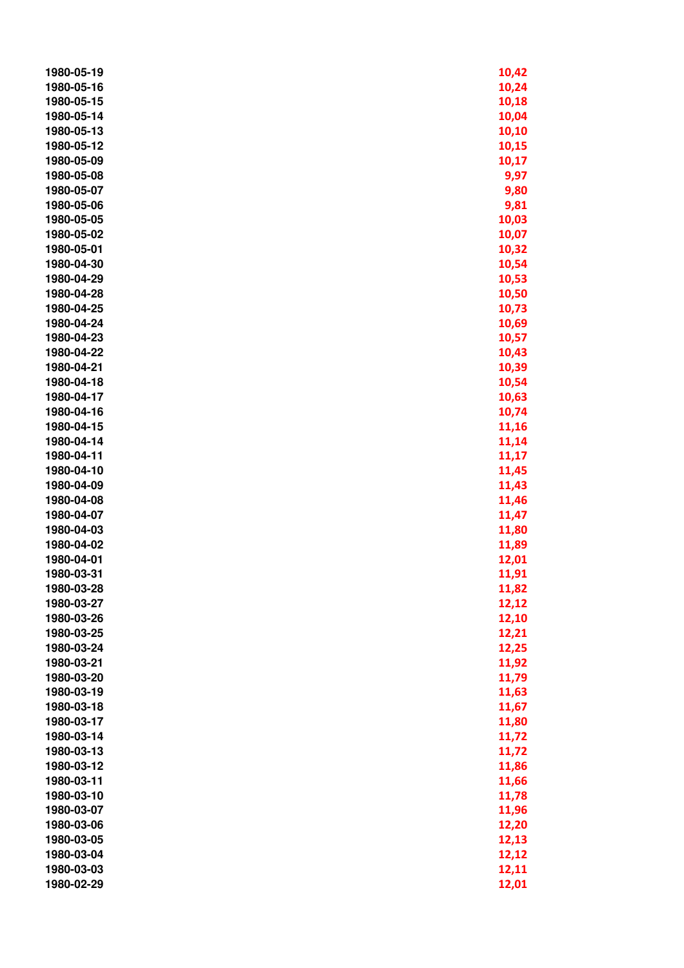| 1980-05-19 | 10,42 |
|------------|-------|
| 1980-05-16 | 10,24 |
| 1980-05-15 | 10,18 |
| 1980-05-14 | 10,04 |
| 1980-05-13 | 10,10 |
| 1980-05-12 | 10,15 |
| 1980-05-09 | 10,17 |
| 1980-05-08 | 9,97  |
| 1980-05-07 | 9,80  |
| 1980-05-06 | 9,81  |
| 1980-05-05 | 10,03 |
| 1980-05-02 | 10,07 |
| 1980-05-01 | 10,32 |
| 1980-04-30 | 10,54 |
| 1980-04-29 | 10,53 |
| 1980-04-28 | 10,50 |
| 1980-04-25 | 10,73 |
| 1980-04-24 | 10,69 |
| 1980-04-23 | 10,57 |
| 1980-04-22 | 10,43 |
| 1980-04-21 | 10,39 |
| 1980-04-18 | 10,54 |
| 1980-04-17 | 10,63 |
| 1980-04-16 | 10,74 |
| 1980-04-15 | 11,16 |
| 1980-04-14 | 11,14 |
| 1980-04-11 | 11,17 |
| 1980-04-10 | 11,45 |
| 1980-04-09 | 11,43 |
| 1980-04-08 | 11,46 |
| 1980-04-07 | 11,47 |
| 1980-04-03 | 11,80 |
| 1980-04-02 | 11,89 |
| 1980-04-01 | 12,01 |
| 1980-03-31 | 11,91 |
| 1980-03-28 | 11,82 |
| 1980-03-27 | 12,12 |
| 1980-03-26 | 12,10 |
| 1980-03-25 | 12,21 |
| 1980-03-24 | 12,25 |
| 1980-03-21 | 11,92 |
| 1980-03-20 | 11,79 |
| 1980-03-19 | 11,63 |
| 1980-03-18 | 11,67 |
| 1980-03-17 | 11,80 |
| 1980-03-14 | 11,72 |
| 1980-03-13 | 11,72 |
| 1980-03-12 | 11,86 |
| 1980-03-11 | 11,66 |
| 1980-03-10 | 11,78 |
| 1980-03-07 | 11,96 |
| 1980-03-06 | 12,20 |
| 1980-03-05 | 12,13 |
| 1980-03-04 | 12,12 |
| 1980-03-03 | 12,11 |
| 1980-02-29 | 12,01 |
|            |       |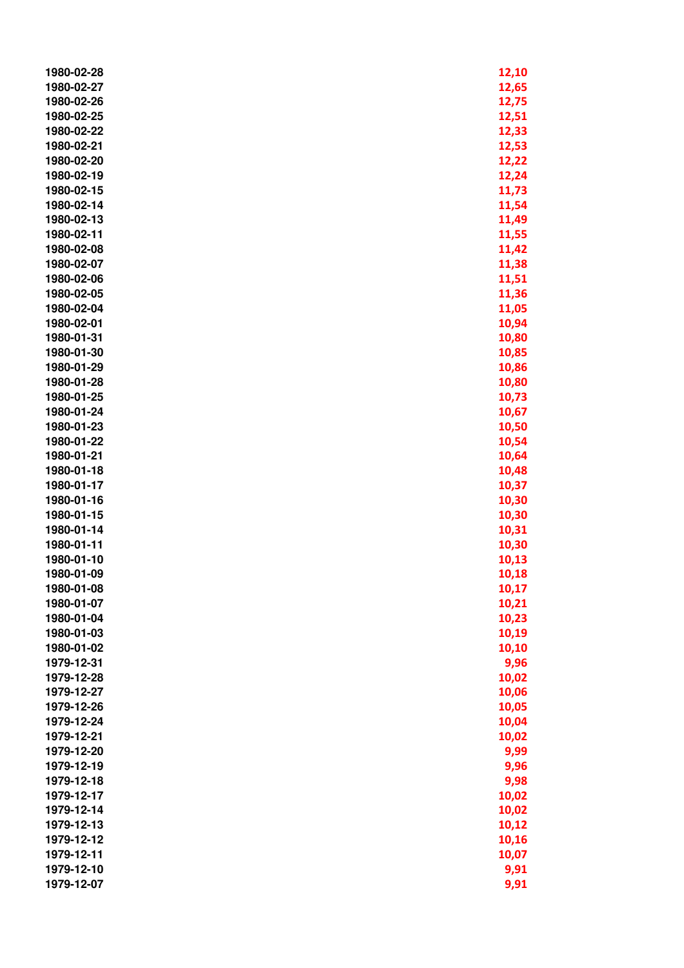| 1980-02-28               | 12,10          |
|--------------------------|----------------|
| 1980-02-27               | 12,65          |
| 1980-02-26               | 12,75          |
| 1980-02-25               | 12,51          |
| 1980-02-22               | 12,33          |
| 1980-02-21               | 12,53          |
| 1980-02-20               | 12,22          |
| 1980-02-19               | 12,24          |
| 1980-02-15               | 11,73          |
| 1980-02-14               | 11,54          |
| 1980-02-13               | 11,49          |
| 1980-02-11               | 11,55          |
| 1980-02-08               | 11,42          |
| 1980-02-07               | 11,38          |
| 1980-02-06               | 11,51          |
| 1980-02-05               | 11,36          |
| 1980-02-04               | 11,05          |
| 1980-02-01               | 10,94          |
| 1980-01-31               | 10,80          |
| 1980-01-30               | 10,85          |
| 1980-01-29               | 10,86          |
| 1980-01-28               | 10,80          |
| 1980-01-25               | 10,73          |
| 1980-01-24               | 10,67          |
| 1980-01-23               | 10,50          |
| 1980-01-22               | 10,54          |
| 1980-01-21               | 10,64          |
| 1980-01-18               | 10,48          |
| 1980-01-17               | 10,37          |
| 1980-01-16               | 10,30          |
| 1980-01-15               | 10,30          |
| 1980-01-14               |                |
| 1980-01-11               | 10,31<br>10,30 |
| 1980-01-10               | 10,13          |
| 1980-01-09               |                |
|                          | 10,18          |
| 1980-01-08<br>1980-01-07 | 10,17          |
| 1980-01-04               | 10,21          |
|                          | 10,23          |
| 1980-01-03               | 10,19          |
| 1980-01-02<br>1979-12-31 | 10,10          |
|                          | 9,96           |
| 1979-12-28               | 10,02          |
| 1979-12-27               | 10,06          |
| 1979-12-26               | 10,05          |
| 1979-12-24               | 10,04          |
| 1979-12-21               | 10,02          |
| 1979-12-20               | 9,99           |
| 1979-12-19               | 9,96           |
| 1979-12-18               | 9,98           |
| 1979-12-17               | 10,02          |
| 1979-12-14               | 10,02          |
| 1979-12-13               | 10,12          |
| 1979-12-12               | 10,16          |
| 1979-12-11               | 10,07          |
| 1979-12-10               | 9,91           |
| 1979-12-07               | 9,91           |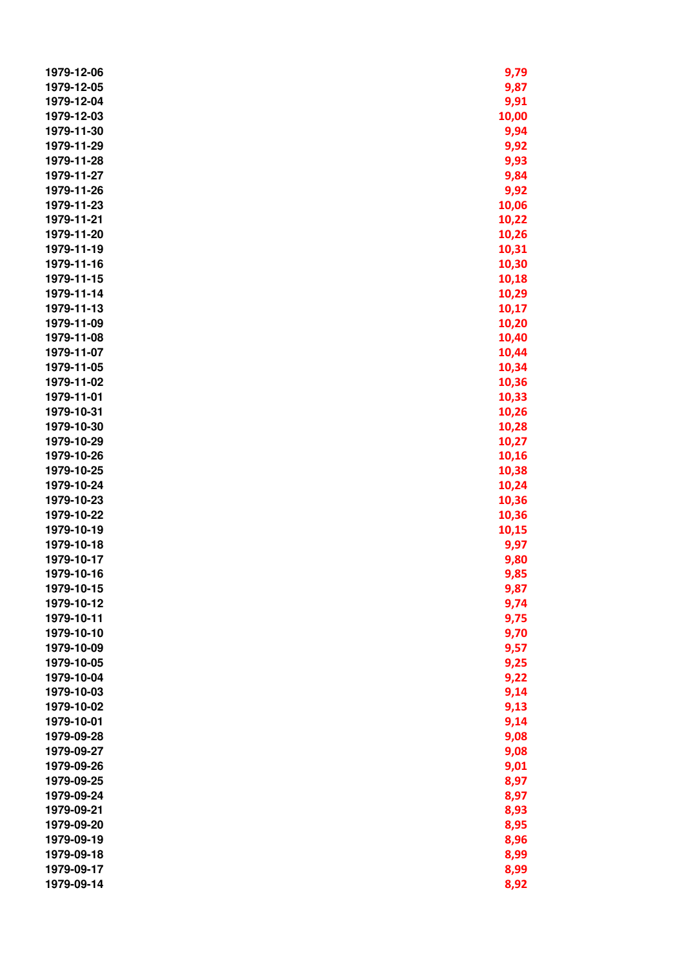| 1979-12-06               | 9,79           |
|--------------------------|----------------|
| 1979-12-05               | 9,87           |
| 1979-12-04               | 9,91           |
| 1979-12-03               | 10,00          |
| 1979-11-30               | 9,94           |
| 1979-11-29               | 9,92           |
| 1979-11-28               | 9,93           |
| 1979-11-27               | 9,84           |
| 1979-11-26               | 9,92           |
| 1979-11-23               | 10,06          |
| 1979-11-21               | 10,22          |
| 1979-11-20               | 10,26          |
| 1979-11-19               | 10,31          |
| 1979-11-16               | 10,30          |
| 1979-11-15               | 10,18          |
| 1979-11-14               | 10,29          |
| 1979-11-13               | 10,17          |
| 1979-11-09               | 10,20          |
| 1979-11-08               | 10,40          |
| 1979-11-07               | 10,44          |
| 1979-11-05               | 10,34          |
| 1979-11-02               | 10,36          |
| 1979-11-01               | 10,33          |
| 1979-10-31               |                |
| 1979-10-30               | 10,26          |
| 1979-10-29               | 10,28<br>10,27 |
| 1979-10-26               |                |
| 1979-10-25               | 10,16          |
| 1979-10-24               | 10,38          |
| 1979-10-23               | 10,24          |
| 1979-10-22               | 10,36          |
| 1979-10-19               | 10,36          |
| 1979-10-18               | 10,15<br>9,97  |
| 1979-10-17               |                |
| 1979-10-16               | 9,80           |
| 1979-10-15               | 9,85           |
| 1979-10-12               | 9,87           |
| 1979-10-11               | 9,74<br>9,75   |
|                          |                |
| 1979-10-10               | 9,70           |
| 1979-10-09<br>1979-10-05 | 9,57           |
| 1979-10-04               | 9,25           |
|                          | 9,22           |
| 1979-10-03<br>1979-10-02 | 9,14           |
|                          | 9,13           |
| 1979-10-01               | 9,14           |
| 1979-09-28               | 9,08           |
| 1979-09-27               | 9,08           |
| 1979-09-26               | 9,01           |
| 1979-09-25               | 8,97           |
| 1979-09-24               | 8,97           |
| 1979-09-21               | 8,93           |
| 1979-09-20               | 8,95           |
| 1979-09-19               | 8,96           |
| 1979-09-18               | 8,99           |
| 1979-09-17               | 8,99           |
| 1979-09-14               | 8,92           |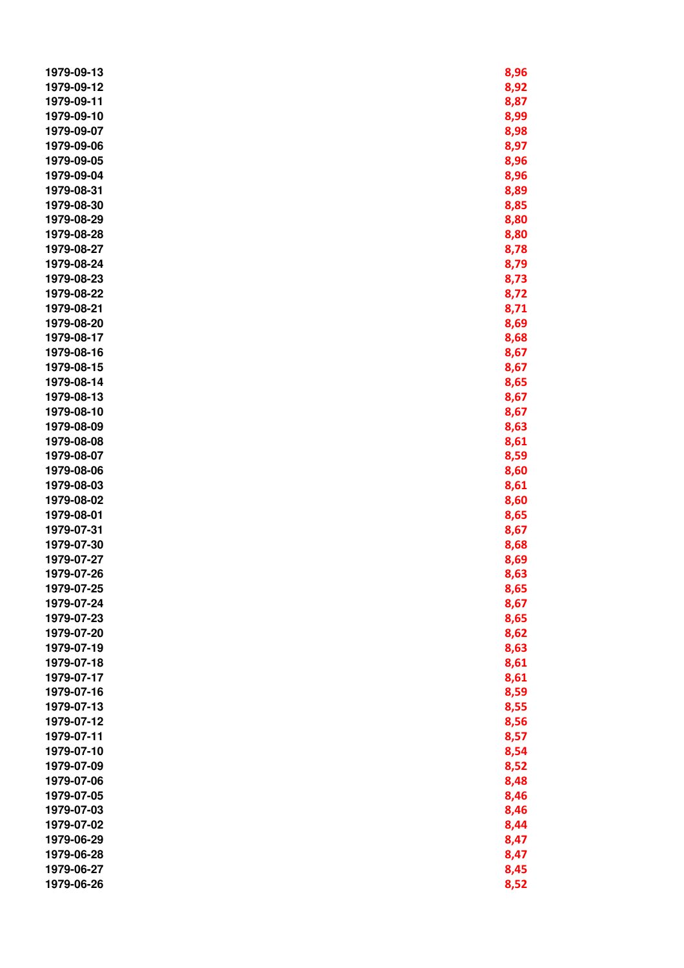| 1979-09-13 | 8,96 |
|------------|------|
| 1979-09-12 | 8,92 |
| 1979-09-11 | 8,87 |
| 1979-09-10 | 8,99 |
| 1979-09-07 | 8,98 |
| 1979-09-06 | 8,97 |
| 1979-09-05 | 8,96 |
| 1979-09-04 | 8,96 |
| 1979-08-31 | 8,89 |
| 1979-08-30 | 8,85 |
| 1979-08-29 | 8,80 |
| 1979-08-28 | 8,80 |
| 1979-08-27 | 8,78 |
| 1979-08-24 | 8,79 |
| 1979-08-23 | 8,73 |
| 1979-08-22 | 8,72 |
| 1979-08-21 | 8,71 |
| 1979-08-20 | 8,69 |
| 1979-08-17 | 8,68 |
| 1979-08-16 | 8,67 |
| 1979-08-15 | 8,67 |
| 1979-08-14 | 8,65 |
| 1979-08-13 | 8,67 |
| 1979-08-10 | 8,67 |
| 1979-08-09 | 8,63 |
| 1979-08-08 | 8,61 |
| 1979-08-07 | 8,59 |
| 1979-08-06 | 8,60 |
| 1979-08-03 | 8,61 |
| 1979-08-02 | 8,60 |
| 1979-08-01 | 8,65 |
| 1979-07-31 | 8,67 |
| 1979-07-30 | 8,68 |
| 1979-07-27 | 8,69 |
| 1979-07-26 | 8,63 |
| 1979-07-25 | 8,65 |
| 1979-07-24 | 8,67 |
| 1979-07-23 | 8,65 |
| 1979-07-20 | 8,62 |
| 1979-07-19 | 8,63 |
| 1979-07-18 | 8,61 |
| 1979-07-17 | 8,61 |
| 1979-07-16 | 8,59 |
| 1979-07-13 | 8,55 |
| 1979-07-12 | 8,56 |
| 1979-07-11 | 8,57 |
| 1979-07-10 | 8,54 |
| 1979-07-09 | 8,52 |
| 1979-07-06 | 8,48 |
| 1979-07-05 | 8,46 |
| 1979-07-03 | 8,46 |
| 1979-07-02 | 8,44 |
| 1979-06-29 | 8,47 |
| 1979-06-28 | 8,47 |
| 1979-06-27 | 8,45 |
| 1979-06-26 | 8,52 |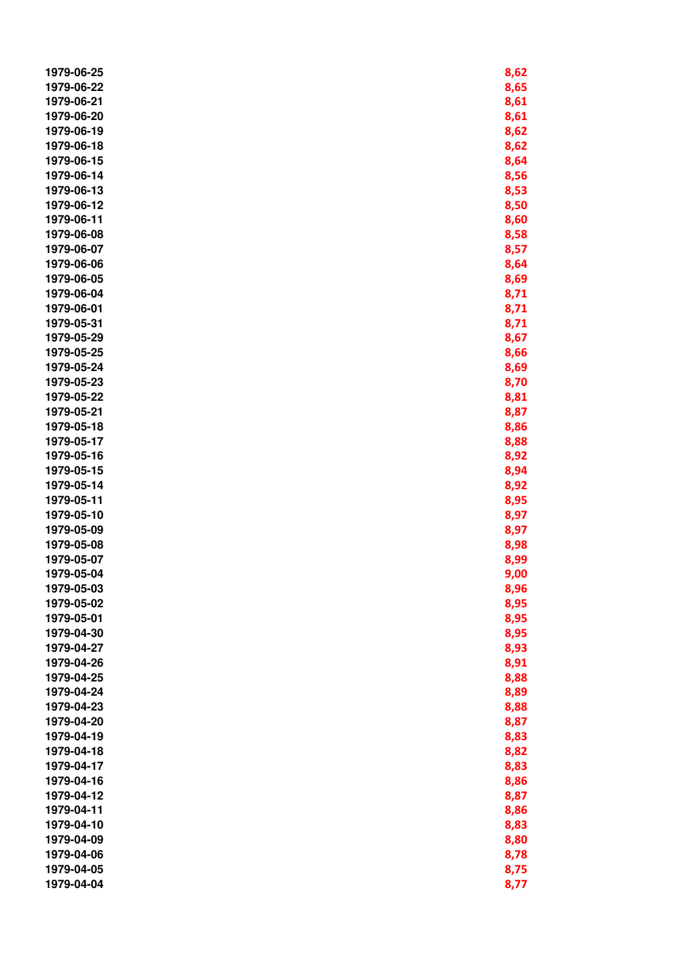| 1979-06-25 | 8,62         |
|------------|--------------|
| 1979-06-22 | 8,65         |
| 1979-06-21 | 8,61         |
| 1979-06-20 | 8,61         |
| 1979-06-19 | 8,62         |
| 1979-06-18 | 8,62         |
| 1979-06-15 | 8,64         |
| 1979-06-14 | 8,56         |
| 1979-06-13 | 8,53         |
| 1979-06-12 | 8,50         |
| 1979-06-11 | 8,60         |
| 1979-06-08 | 8,58         |
| 1979-06-07 | 8,57         |
| 1979-06-06 | 8,64         |
| 1979-06-05 | 8,69         |
| 1979-06-04 | 8,71         |
| 1979-06-01 | 8,71         |
| 1979-05-31 | 8,71         |
| 1979-05-29 | 8,67         |
| 1979-05-25 | 8,66         |
| 1979-05-24 | 8,69         |
| 1979-05-23 | 8,70         |
| 1979-05-22 | 8,81         |
| 1979-05-21 | 8,87         |
| 1979-05-18 | 8,86         |
| 1979-05-17 | 8,88         |
| 1979-05-16 | 8,92         |
| 1979-05-15 |              |
| 1979-05-14 | 8,94         |
| 1979-05-11 | 8,92         |
| 1979-05-10 | 8,95         |
| 1979-05-09 | 8,97         |
| 1979-05-08 | 8,97<br>8,98 |
| 1979-05-07 | 8,99         |
| 1979-05-04 | 9,00         |
| 1979-05-03 | 8,96         |
| 1979-05-02 | 8,95         |
| 1979-05-01 | 8,95         |
| 1979-04-30 | 8,95         |
| 1979-04-27 | 8,93         |
| 1979-04-26 | 8,91         |
| 1979-04-25 | 8,88         |
| 1979-04-24 | 8,89         |
| 1979-04-23 | 8,88         |
| 1979-04-20 | 8,87         |
| 1979-04-19 |              |
| 1979-04-18 | 8,83<br>8,82 |
| 1979-04-17 |              |
| 1979-04-16 | 8,83<br>8,86 |
| 1979-04-12 | 8,87         |
| 1979-04-11 | 8,86         |
| 1979-04-10 | 8,83         |
| 1979-04-09 | 8,80         |
| 1979-04-06 | 8,78         |
| 1979-04-05 |              |
| 1979-04-04 | 8,75<br>8,77 |
|            |              |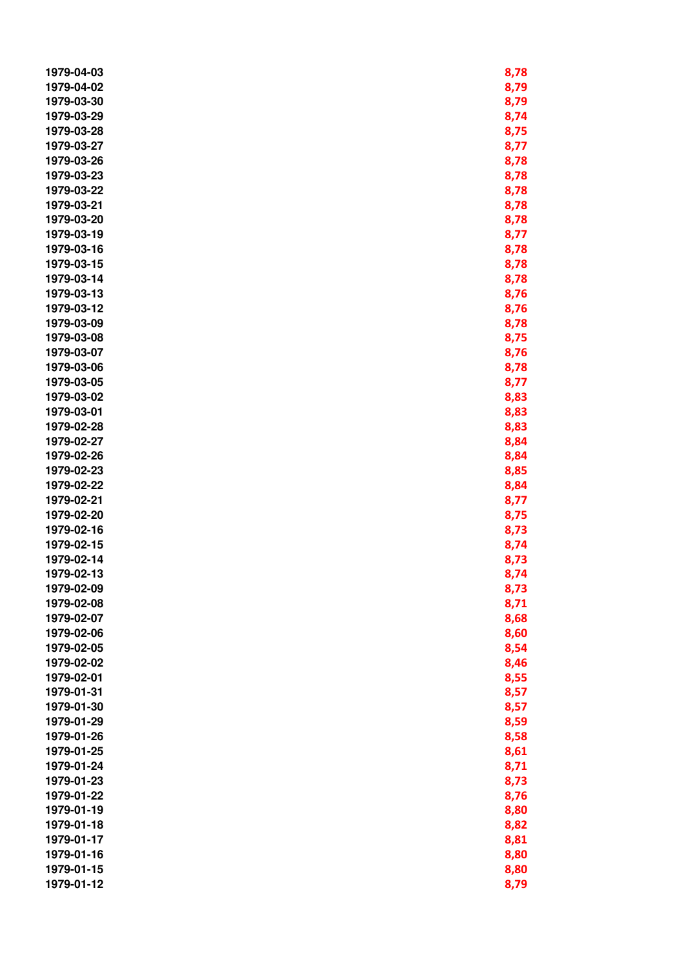| 1979-04-03 | 8,78 |
|------------|------|
| 1979-04-02 | 8,79 |
| 1979-03-30 | 8,79 |
| 1979-03-29 | 8,74 |
| 1979-03-28 | 8,75 |
| 1979-03-27 | 8,77 |
| 1979-03-26 | 8,78 |
| 1979-03-23 | 8,78 |
| 1979-03-22 | 8,78 |
| 1979-03-21 | 8,78 |
| 1979-03-20 | 8,78 |
| 1979-03-19 |      |
|            | 8,77 |
| 1979-03-16 | 8,78 |
| 1979-03-15 | 8,78 |
| 1979-03-14 | 8,78 |
| 1979-03-13 | 8,76 |
| 1979-03-12 | 8,76 |
| 1979-03-09 | 8,78 |
| 1979-03-08 | 8,75 |
| 1979-03-07 | 8,76 |
| 1979-03-06 | 8,78 |
| 1979-03-05 | 8,77 |
| 1979-03-02 | 8,83 |
| 1979-03-01 | 8,83 |
| 1979-02-28 | 8,83 |
| 1979-02-27 | 8,84 |
| 1979-02-26 | 8,84 |
| 1979-02-23 | 8,85 |
| 1979-02-22 | 8,84 |
| 1979-02-21 | 8,77 |
| 1979-02-20 | 8,75 |
| 1979-02-16 | 8,73 |
| 1979-02-15 | 8,74 |
| 1979-02-14 | 8,73 |
| 1979-02-13 | 8,74 |
| 1979-02-09 | 8,73 |
| 1979-02-08 | 8,71 |
| 1979-02-07 | 8,68 |
| 1979-02-06 | 8,60 |
| 1979-02-05 | 8,54 |
| 1979-02-02 | 8,46 |
| 1979-02-01 | 8,55 |
| 1979-01-31 |      |
| 1979-01-30 | 8,57 |
| 1979-01-29 | 8,57 |
|            | 8,59 |
| 1979-01-26 | 8,58 |
| 1979-01-25 | 8,61 |
| 1979-01-24 | 8,71 |
| 1979-01-23 | 8,73 |
| 1979-01-22 | 8,76 |
| 1979-01-19 | 8,80 |
| 1979-01-18 | 8,82 |
| 1979-01-17 | 8,81 |
| 1979-01-16 | 8,80 |
| 1979-01-15 | 8,80 |
| 1979-01-12 | 8,79 |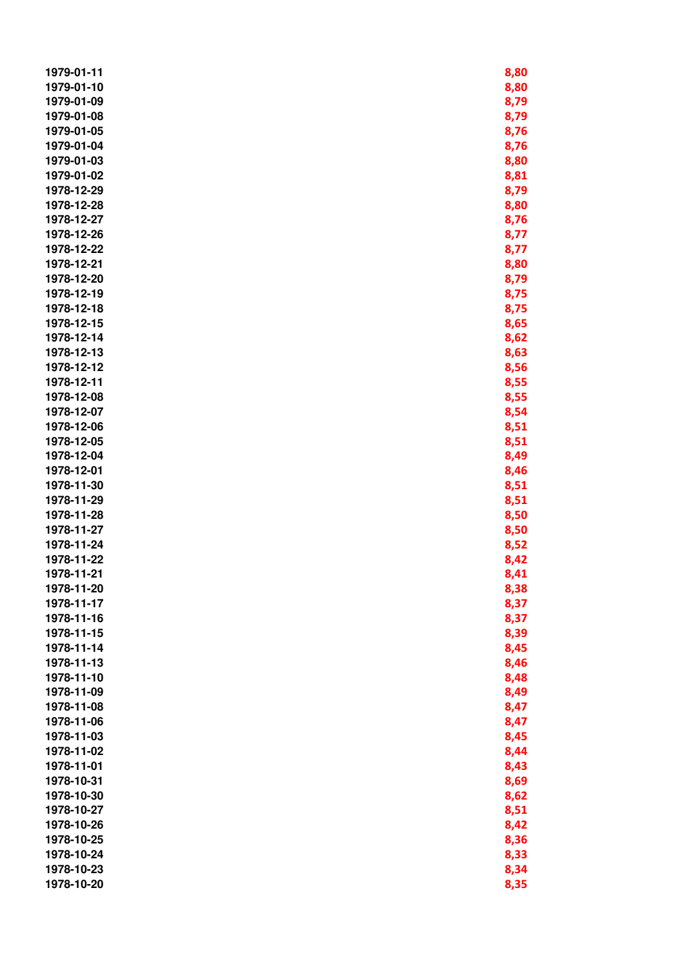| 1979-01-11 | 8,80 |
|------------|------|
| 1979-01-10 | 8,80 |
| 1979-01-09 | 8,79 |
| 1979-01-08 | 8,79 |
| 1979-01-05 | 8,76 |
| 1979-01-04 | 8,76 |
| 1979-01-03 | 8,80 |
| 1979-01-02 | 8,81 |
| 1978-12-29 | 8,79 |
| 1978-12-28 | 8,80 |
| 1978-12-27 | 8,76 |
| 1978-12-26 | 8,77 |
| 1978-12-22 | 8,77 |
| 1978-12-21 | 8,80 |
| 1978-12-20 | 8,79 |
| 1978-12-19 | 8,75 |
| 1978-12-18 | 8,75 |
| 1978-12-15 | 8,65 |
| 1978-12-14 | 8,62 |
| 1978-12-13 | 8,63 |
| 1978-12-12 | 8,56 |
| 1978-12-11 | 8,55 |
| 1978-12-08 | 8,55 |
| 1978-12-07 | 8,54 |
| 1978-12-06 | 8,51 |
| 1978-12-05 | 8,51 |
| 1978-12-04 | 8,49 |
| 1978-12-01 | 8,46 |
| 1978-11-30 | 8,51 |
| 1978-11-29 | 8,51 |
| 1978-11-28 | 8,50 |
| 1978-11-27 | 8,50 |
| 1978-11-24 | 8,52 |
| 1978-11-22 | 8,42 |
| 1978-11-21 | 8,41 |
| 1978-11-20 | 8,38 |
| 1978-11-17 | 8,37 |
| 1978-11-16 | 8,37 |
| 1978-11-15 | 8,39 |
| 1978-11-14 | 8,45 |
| 1978-11-13 | 8,46 |
| 1978-11-10 | 8,48 |
| 1978-11-09 | 8,49 |
| 1978-11-08 | 8,47 |
| 1978-11-06 | 8,47 |
| 1978-11-03 | 8,45 |
| 1978-11-02 | 8,44 |
| 1978-11-01 | 8,43 |
| 1978-10-31 | 8,69 |
| 1978-10-30 | 8,62 |
| 1978-10-27 | 8,51 |
| 1978-10-26 | 8,42 |
| 1978-10-25 | 8,36 |
| 1978-10-24 | 8,33 |
| 1978-10-23 | 8,34 |
| 1978-10-20 | 8,35 |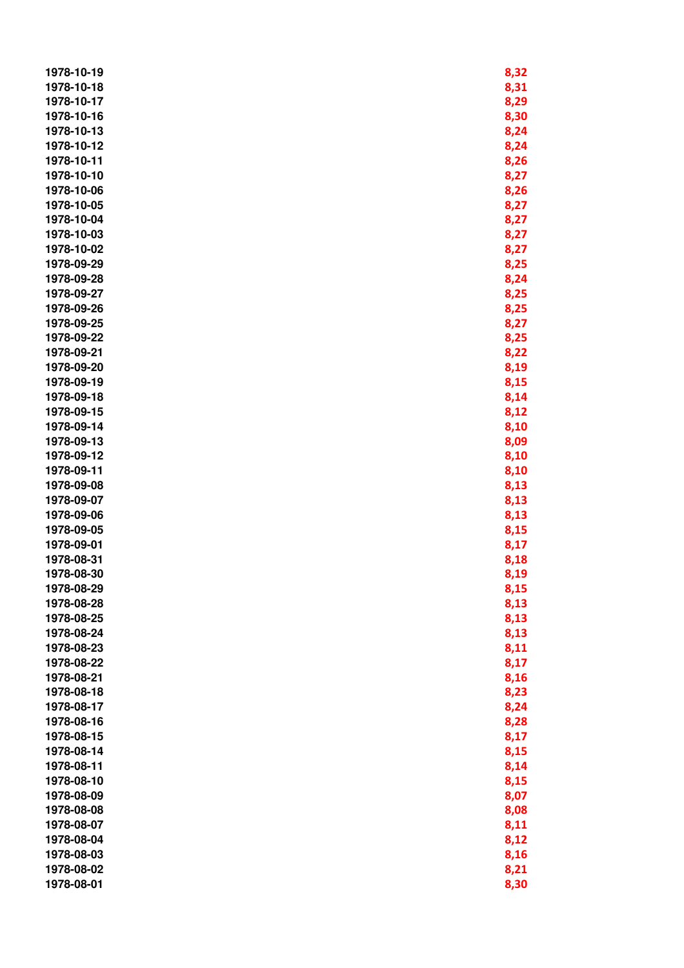| 1978-10-19 | 8,32 |
|------------|------|
| 1978-10-18 | 8,31 |
| 1978-10-17 | 8,29 |
| 1978-10-16 | 8,30 |
| 1978-10-13 | 8,24 |
| 1978-10-12 | 8,24 |
| 1978-10-11 | 8,26 |
| 1978-10-10 | 8,27 |
| 1978-10-06 | 8,26 |
| 1978-10-05 | 8,27 |
| 1978-10-04 | 8,27 |
| 1978-10-03 | 8,27 |
| 1978-10-02 | 8,27 |
| 1978-09-29 | 8,25 |
| 1978-09-28 | 8,24 |
| 1978-09-27 | 8,25 |
| 1978-09-26 | 8,25 |
| 1978-09-25 | 8,27 |
| 1978-09-22 | 8,25 |
| 1978-09-21 | 8,22 |
| 1978-09-20 | 8,19 |
| 1978-09-19 | 8,15 |
| 1978-09-18 | 8,14 |
| 1978-09-15 | 8,12 |
| 1978-09-14 | 8,10 |
| 1978-09-13 | 8,09 |
| 1978-09-12 | 8,10 |
| 1978-09-11 | 8,10 |
| 1978-09-08 | 8,13 |
| 1978-09-07 | 8,13 |
| 1978-09-06 | 8,13 |
| 1978-09-05 | 8,15 |
| 1978-09-01 | 8,17 |
| 1978-08-31 | 8,18 |
| 1978-08-30 | 8,19 |
| 1978-08-29 | 8,15 |
| 1978-08-28 | 8,13 |
| 1978-08-25 | 8,13 |
| 1978-08-24 | 8,13 |
| 1978-08-23 | 8,11 |
| 1978-08-22 | 8,17 |
| 1978-08-21 | 8,16 |
| 1978-08-18 | 8,23 |
| 1978-08-17 | 8,24 |
| 1978-08-16 | 8,28 |
| 1978-08-15 | 8,17 |
| 1978-08-14 | 8,15 |
| 1978-08-11 | 8,14 |
| 1978-08-10 | 8,15 |
| 1978-08-09 | 8,07 |
| 1978-08-08 | 8,08 |
| 1978-08-07 | 8,11 |
| 1978-08-04 | 8,12 |
| 1978-08-03 | 8,16 |
| 1978-08-02 | 8,21 |
| 1978-08-01 | 8,30 |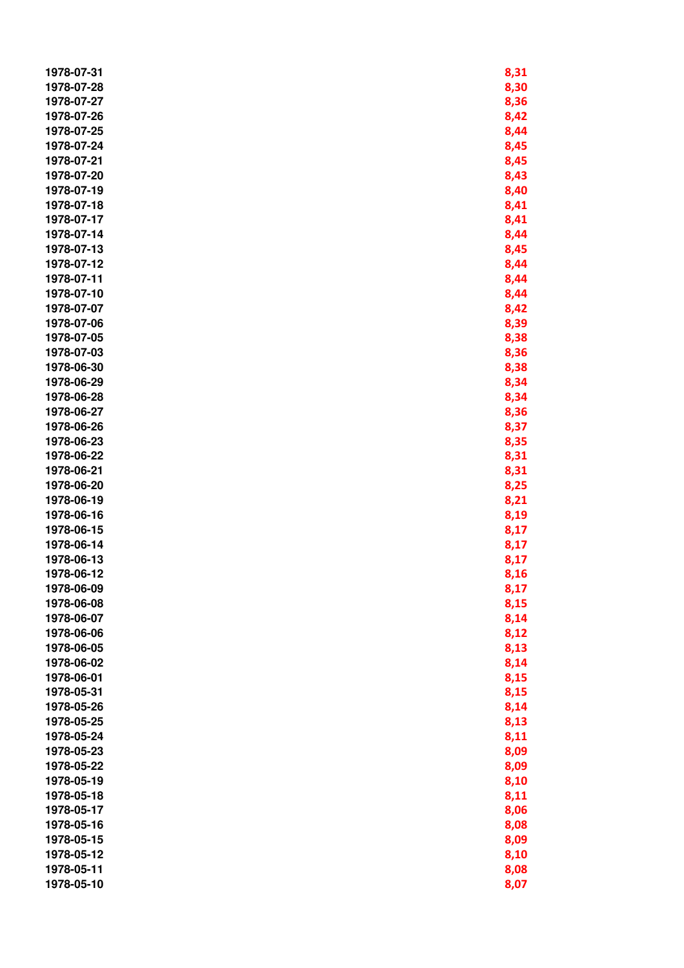| 1978-07-31 | 8,31 |
|------------|------|
| 1978-07-28 | 8,30 |
| 1978-07-27 | 8,36 |
| 1978-07-26 | 8,42 |
| 1978-07-25 | 8,44 |
| 1978-07-24 | 8,45 |
| 1978-07-21 | 8,45 |
| 1978-07-20 | 8,43 |
| 1978-07-19 | 8,40 |
| 1978-07-18 | 8,41 |
| 1978-07-17 | 8,41 |
| 1978-07-14 | 8,44 |
| 1978-07-13 | 8,45 |
| 1978-07-12 | 8,44 |
| 1978-07-11 | 8,44 |
| 1978-07-10 | 8,44 |
| 1978-07-07 |      |
| 1978-07-06 | 8,42 |
| 1978-07-05 | 8,39 |
| 1978-07-03 | 8,38 |
| 1978-06-30 | 8,36 |
| 1978-06-29 | 8,38 |
| 1978-06-28 | 8,34 |
|            | 8,34 |
| 1978-06-27 | 8,36 |
| 1978-06-26 | 8,37 |
| 1978-06-23 | 8,35 |
| 1978-06-22 | 8,31 |
| 1978-06-21 | 8,31 |
| 1978-06-20 | 8,25 |
| 1978-06-19 | 8,21 |
| 1978-06-16 | 8,19 |
| 1978-06-15 | 8,17 |
| 1978-06-14 | 8,17 |
| 1978-06-13 | 8,17 |
| 1978-06-12 | 8,16 |
| 1978-06-09 | 8,17 |
| 1978-06-08 | 8,15 |
| 1978-06-07 | 8,14 |
| 1978-06-06 | 8,12 |
| 1978-06-05 | 8,13 |
| 1978-06-02 | 8,14 |
| 1978-06-01 | 8,15 |
| 1978-05-31 | 8,15 |
| 1978-05-26 | 8,14 |
| 1978-05-25 | 8,13 |
| 1978-05-24 | 8,11 |
| 1978-05-23 | 8,09 |
| 1978-05-22 | 8,09 |
| 1978-05-19 | 8,10 |
| 1978-05-18 | 8,11 |
| 1978-05-17 | 8,06 |
| 1978-05-16 | 8,08 |
| 1978-05-15 | 8,09 |
| 1978-05-12 | 8,10 |
| 1978-05-11 | 8,08 |
| 1978-05-10 | 8,07 |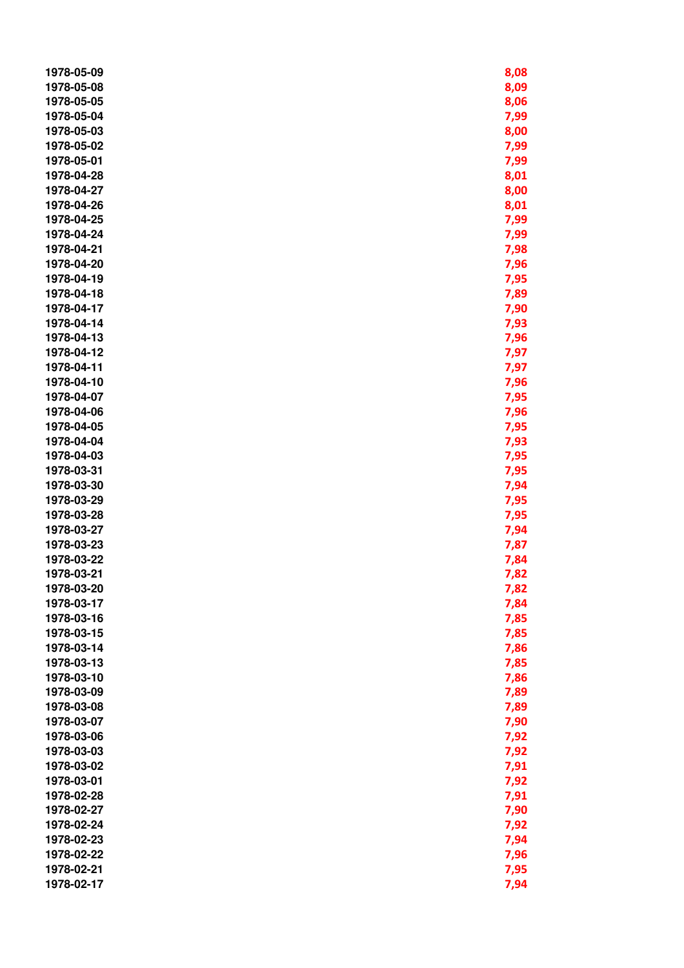| 1978-05-09 | 8,08         |
|------------|--------------|
| 1978-05-08 | 8,09         |
| 1978-05-05 | 8,06         |
| 1978-05-04 | 7,99         |
| 1978-05-03 | 8,00         |
| 1978-05-02 | 7,99         |
| 1978-05-01 | 7,99         |
| 1978-04-28 | 8,01         |
| 1978-04-27 | 8,00         |
| 1978-04-26 | 8,01         |
| 1978-04-25 | 7,99         |
| 1978-04-24 | 7,99         |
| 1978-04-21 | 7,98         |
| 1978-04-20 | 7,96         |
| 1978-04-19 | 7,95         |
| 1978-04-18 | 7,89         |
| 1978-04-17 | 7,90         |
| 1978-04-14 | 7,93         |
| 1978-04-13 | 7,96         |
| 1978-04-12 | 7,97         |
| 1978-04-11 | 7,97         |
| 1978-04-10 | 7,96         |
| 1978-04-07 |              |
| 1978-04-06 | 7,95<br>7,96 |
| 1978-04-05 | 7,95         |
| 1978-04-04 | 7,93         |
| 1978-04-03 |              |
| 1978-03-31 | 7,95<br>7,95 |
| 1978-03-30 | 7,94         |
| 1978-03-29 | 7,95         |
| 1978-03-28 | 7,95         |
| 1978-03-27 | 7,94         |
| 1978-03-23 | 7,87         |
| 1978-03-22 | 7,84         |
| 1978-03-21 | 7,82         |
| 1978-03-20 | 7,82         |
| 1978-03-17 | 7,84         |
| 1978-03-16 | 7,85         |
| 1978-03-15 | 7,85         |
| 1978-03-14 | 7,86         |
| 1978-03-13 | 7,85         |
| 1978-03-10 | 7,86         |
| 1978-03-09 | 7,89         |
| 1978-03-08 | 7,89         |
| 1978-03-07 | 7,90         |
| 1978-03-06 | 7,92         |
| 1978-03-03 | 7,92         |
| 1978-03-02 | 7,91         |
| 1978-03-01 | 7,92         |
| 1978-02-28 | 7,91         |
| 1978-02-27 | 7,90         |
| 1978-02-24 | 7,92         |
| 1978-02-23 | 7,94         |
| 1978-02-22 | 7,96         |
| 1978-02-21 | 7,95         |
| 1978-02-17 | 7,94         |
|            |              |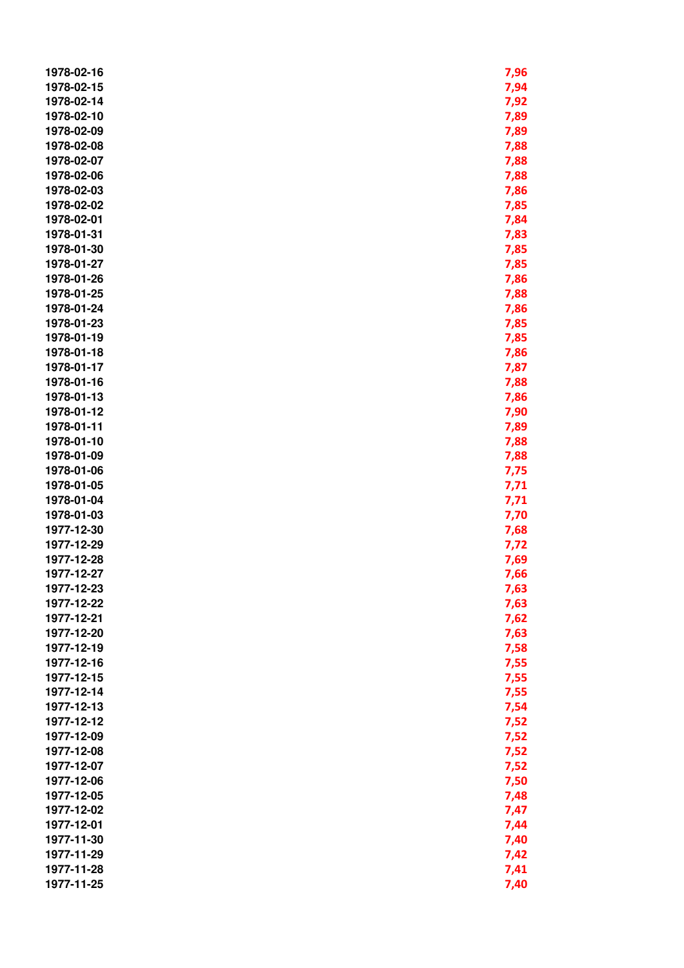| 1978-02-16               | 7,96         |
|--------------------------|--------------|
| 1978-02-15               | 7,94         |
| 1978-02-14               | 7,92         |
| 1978-02-10               | 7,89         |
| 1978-02-09               | 7,89         |
| 1978-02-08               | 7,88         |
| 1978-02-07               | 7,88         |
| 1978-02-06               | 7,88         |
| 1978-02-03               | 7,86         |
| 1978-02-02               | 7,85         |
| 1978-02-01               | 7,84         |
| 1978-01-31               | 7,83         |
| 1978-01-30               | 7,85         |
| 1978-01-27               | 7,85         |
| 1978-01-26               | 7,86         |
| 1978-01-25               | 7,88         |
| 1978-01-24               | 7,86         |
| 1978-01-23               | 7,85         |
| 1978-01-19               | 7,85         |
| 1978-01-18               | 7,86         |
| 1978-01-17               |              |
| 1978-01-16               | 7,87<br>7,88 |
| 1978-01-13               |              |
| 1978-01-12               | 7,86         |
| 1978-01-11               | 7,90         |
| 1978-01-10               | 7,89         |
| 1978-01-09               | 7,88         |
| 1978-01-06               | 7,88         |
| 1978-01-05               | 7,75         |
| 1978-01-04               | 7,71         |
| 1978-01-03               | 7,71         |
| 1977-12-30               | 7,70         |
| 1977-12-29               | 7,68         |
| 1977-12-28               | 7,72<br>7,69 |
| 1977-12-27               | 7,66         |
| 1977-12-23               | 7,63         |
| 1977-12-22               | 7,63         |
| 1977-12-21               | 7,62         |
| 1977-12-20               | 7,63         |
| 1977-12-19               | 7,58         |
| 1977-12-16               | 7,55         |
| 1977-12-15               | 7,55         |
| 1977-12-14               | 7,55         |
| 1977-12-13               | 7,54         |
| 1977-12-12               |              |
| 1977-12-09               | 7,52         |
|                          | 7,52         |
| 1977-12-08               | 7,52         |
| 1977-12-07<br>1977-12-06 | 7,52         |
| 1977-12-05               | 7,50         |
|                          | 7,48         |
| 1977-12-02<br>1977-12-01 | 7,47         |
| 1977-11-30               | 7,44         |
| 1977-11-29               | 7,40         |
|                          | 7,42         |
| 1977-11-28               | 7,41         |
| 1977-11-25               | 7,40         |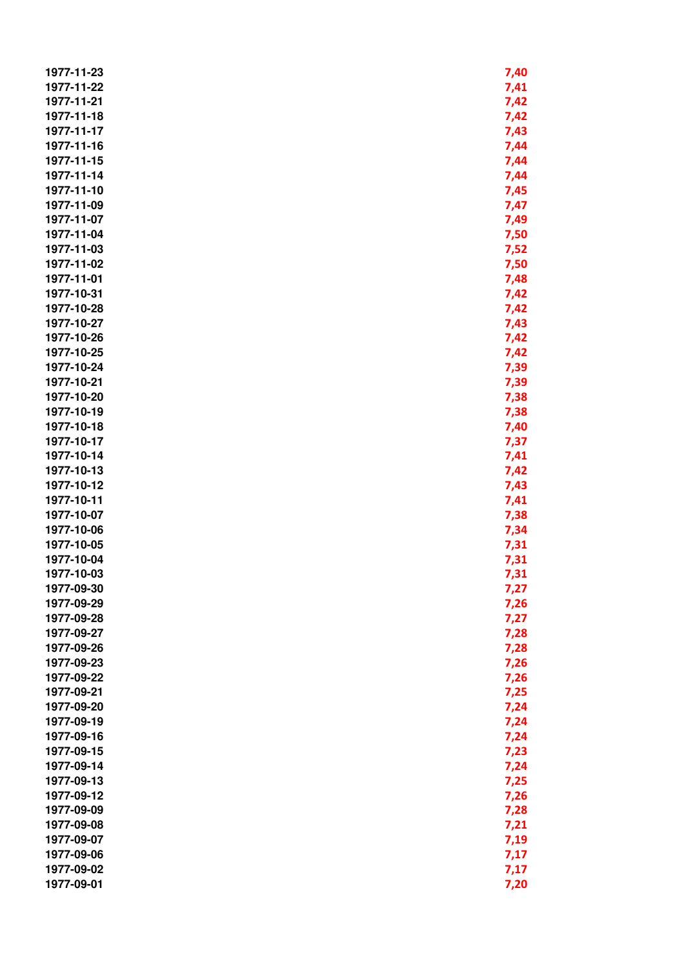| 1977-11-23 | 7,40 |
|------------|------|
| 1977-11-22 | 7,41 |
| 1977-11-21 | 7,42 |
| 1977-11-18 | 7,42 |
| 1977-11-17 | 7,43 |
| 1977-11-16 | 7,44 |
| 1977-11-15 | 7,44 |
| 1977-11-14 | 7,44 |
| 1977-11-10 | 7,45 |
| 1977-11-09 |      |
|            | 7,47 |
| 1977-11-07 | 7,49 |
| 1977-11-04 | 7,50 |
| 1977-11-03 | 7,52 |
| 1977-11-02 | 7,50 |
| 1977-11-01 | 7,48 |
| 1977-10-31 | 7,42 |
| 1977-10-28 | 7,42 |
| 1977-10-27 | 7,43 |
| 1977-10-26 | 7,42 |
| 1977-10-25 | 7,42 |
| 1977-10-24 | 7,39 |
| 1977-10-21 | 7,39 |
| 1977-10-20 | 7,38 |
| 1977-10-19 |      |
|            | 7,38 |
| 1977-10-18 | 7,40 |
| 1977-10-17 | 7,37 |
| 1977-10-14 | 7,41 |
| 1977-10-13 | 7,42 |
| 1977-10-12 | 7,43 |
| 1977-10-11 | 7,41 |
| 1977-10-07 | 7,38 |
| 1977-10-06 | 7,34 |
| 1977-10-05 | 7,31 |
| 1977-10-04 | 7,31 |
| 1977-10-03 | 7,31 |
| 1977-09-30 | 7,27 |
| 1977-09-29 | 7,26 |
| 1977-09-28 | 7,27 |
| 1977-09-27 | 7,28 |
| 1977-09-26 | 7,28 |
| 1977-09-23 | 7,26 |
| 1977-09-22 | 7,26 |
| 1977-09-21 |      |
|            | 7,25 |
| 1977-09-20 | 7,24 |
| 1977-09-19 | 7,24 |
| 1977-09-16 | 7,24 |
| 1977-09-15 | 7,23 |
| 1977-09-14 | 7,24 |
| 1977-09-13 | 7,25 |
| 1977-09-12 | 7,26 |
| 1977-09-09 | 7,28 |
| 1977-09-08 | 7,21 |
| 1977-09-07 | 7,19 |
| 1977-09-06 | 7,17 |
| 1977-09-02 | 7,17 |
| 1977-09-01 | 7,20 |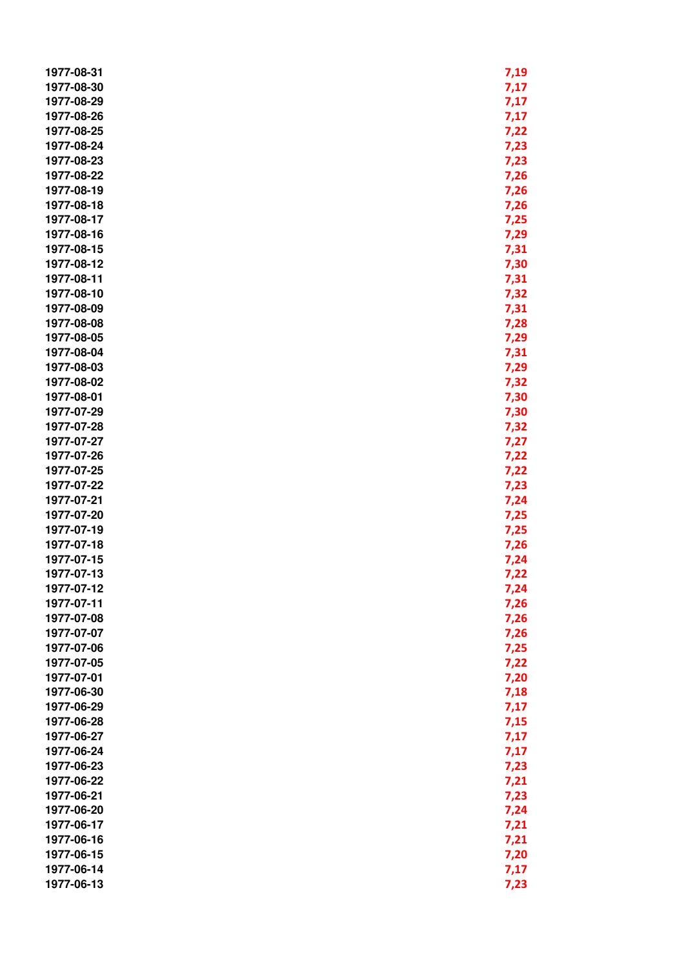| 1977-08-31 | 7,19 |
|------------|------|
| 1977-08-30 | 7,17 |
| 1977-08-29 | 7,17 |
| 1977-08-26 | 7,17 |
| 1977-08-25 | 7,22 |
| 1977-08-24 | 7,23 |
| 1977-08-23 |      |
| 1977-08-22 | 7,23 |
|            | 7,26 |
| 1977-08-19 | 7,26 |
| 1977-08-18 | 7,26 |
| 1977-08-17 | 7,25 |
| 1977-08-16 | 7,29 |
| 1977-08-15 | 7,31 |
| 1977-08-12 | 7,30 |
| 1977-08-11 | 7,31 |
| 1977-08-10 | 7,32 |
| 1977-08-09 | 7,31 |
| 1977-08-08 | 7,28 |
| 1977-08-05 | 7,29 |
| 1977-08-04 | 7,31 |
| 1977-08-03 | 7,29 |
| 1977-08-02 | 7,32 |
| 1977-08-01 | 7,30 |
| 1977-07-29 | 7,30 |
| 1977-07-28 | 7,32 |
| 1977-07-27 | 7,27 |
| 1977-07-26 | 7,22 |
| 1977-07-25 | 7,22 |
| 1977-07-22 | 7,23 |
| 1977-07-21 |      |
|            | 7,24 |
| 1977-07-20 | 7,25 |
| 1977-07-19 | 7,25 |
| 1977-07-18 | 7,26 |
| 1977-07-15 | 7,24 |
| 1977-07-13 | 7,22 |
| 1977-07-12 | 7,24 |
| 1977-07-11 | 7,26 |
| 1977-07-08 | 7,26 |
| 1977-07-07 | 7,26 |
| 1977-07-06 | 7,25 |
| 1977-07-05 | 7,22 |
| 1977-07-01 | 7,20 |
| 1977-06-30 | 7,18 |
| 1977-06-29 | 7,17 |
| 1977-06-28 | 7,15 |
| 1977-06-27 | 7,17 |
| 1977-06-24 | 7,17 |
| 1977-06-23 | 7,23 |
| 1977-06-22 | 7,21 |
| 1977-06-21 | 7,23 |
| 1977-06-20 | 7,24 |
| 1977-06-17 | 7,21 |
| 1977-06-16 | 7,21 |
| 1977-06-15 | 7,20 |
| 1977-06-14 |      |
|            | 7,17 |
| 1977-06-13 | 7,23 |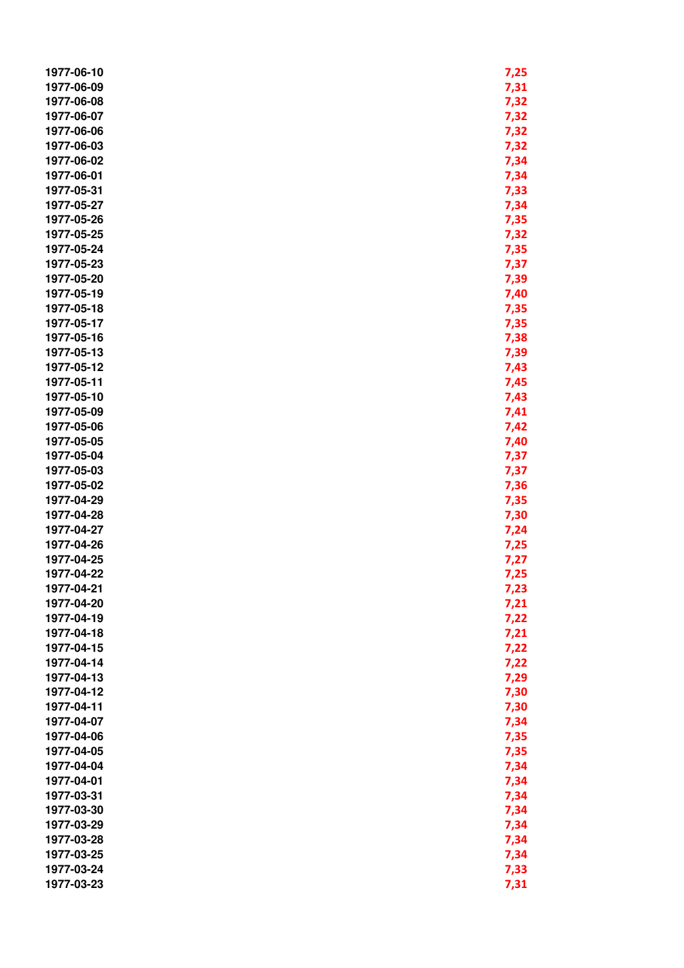| 1977-06-10               | 7,25 |
|--------------------------|------|
| 1977-06-09               | 7,31 |
| 1977-06-08               | 7,32 |
| 1977-06-07               | 7,32 |
| 1977-06-06               | 7,32 |
| 1977-06-03               | 7,32 |
| 1977-06-02               | 7,34 |
| 1977-06-01               | 7,34 |
| 1977-05-31               | 7,33 |
| 1977-05-27               | 7,34 |
| 1977-05-26               |      |
|                          | 7,35 |
| 1977-05-25               | 7,32 |
| 1977-05-24               | 7,35 |
| 1977-05-23               | 7,37 |
| 1977-05-20               | 7,39 |
| 1977-05-19               | 7,40 |
| 1977-05-18               | 7,35 |
| 1977-05-17               | 7,35 |
| 1977-05-16               | 7,38 |
| 1977-05-13               | 7,39 |
| 1977-05-12               | 7,43 |
| 1977-05-11               | 7,45 |
| 1977-05-10               | 7,43 |
| 1977-05-09               | 7,41 |
| 1977-05-06               | 7,42 |
| 1977-05-05               | 7,40 |
| 1977-05-04               | 7,37 |
| 1977-05-03               | 7,37 |
| 1977-05-02               | 7,36 |
| 1977-04-29               | 7,35 |
| 1977-04-28               | 7,30 |
| 1977-04-27               | 7,24 |
| 1977-04-26               | 7,25 |
| 1977-04-25               | 7,27 |
| 1977-04-22               | 7,25 |
| 1977-04-21               | 7,23 |
| 1977-04-20               | 7,21 |
| 1977-04-19               |      |
|                          | 7,22 |
| 1977-04-18<br>1977-04-15 | 7,21 |
|                          | 7,22 |
| 1977-04-14               | 7,22 |
| 1977-04-13               | 7,29 |
| 1977-04-12               | 7,30 |
| 1977-04-11               | 7,30 |
| 1977-04-07               | 7,34 |
| 1977-04-06               | 7,35 |
| 1977-04-05               | 7,35 |
| 1977-04-04               | 7,34 |
| 1977-04-01               | 7,34 |
| 1977-03-31               | 7,34 |
| 1977-03-30               | 7,34 |
| 1977-03-29               | 7,34 |
| 1977-03-28               | 7,34 |
| 1977-03-25               | 7,34 |
| 1977-03-24               | 7,33 |
| 1977-03-23               | 7,31 |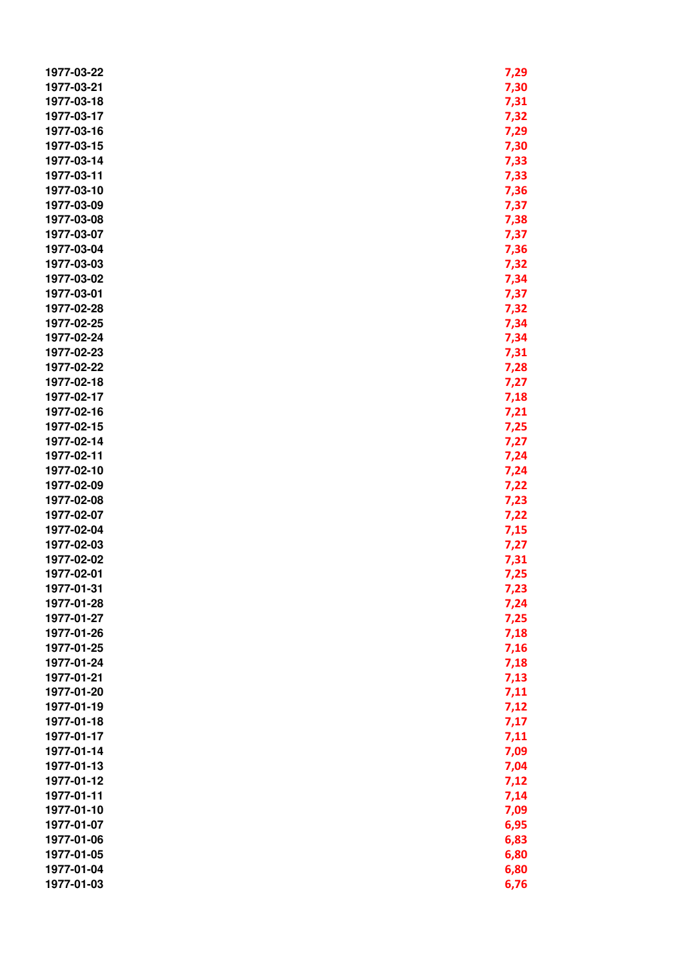| 1977-03-22 | 7,29 |
|------------|------|
| 1977-03-21 | 7,30 |
| 1977-03-18 | 7,31 |
| 1977-03-17 | 7,32 |
| 1977-03-16 | 7,29 |
| 1977-03-15 | 7,30 |
| 1977-03-14 | 7,33 |
| 1977-03-11 | 7,33 |
| 1977-03-10 | 7,36 |
| 1977-03-09 | 7,37 |
|            |      |
| 1977-03-08 | 7,38 |
| 1977-03-07 | 7,37 |
| 1977-03-04 | 7,36 |
| 1977-03-03 | 7,32 |
| 1977-03-02 | 7,34 |
| 1977-03-01 | 7,37 |
| 1977-02-28 | 7,32 |
| 1977-02-25 | 7,34 |
| 1977-02-24 | 7,34 |
| 1977-02-23 | 7,31 |
| 1977-02-22 | 7,28 |
| 1977-02-18 | 7,27 |
| 1977-02-17 | 7,18 |
| 1977-02-16 | 7,21 |
| 1977-02-15 | 7,25 |
| 1977-02-14 |      |
|            | 7,27 |
| 1977-02-11 | 7,24 |
| 1977-02-10 | 7,24 |
| 1977-02-09 | 7,22 |
| 1977-02-08 | 7,23 |
| 1977-02-07 | 7,22 |
| 1977-02-04 | 7,15 |
| 1977-02-03 | 7,27 |
| 1977-02-02 | 7,31 |
| 1977-02-01 | 7,25 |
| 1977-01-31 | 7,23 |
| 1977-01-28 | 7,24 |
| 1977-01-27 | 7,25 |
| 1977-01-26 | 7,18 |
| 1977-01-25 | 7,16 |
| 1977-01-24 | 7,18 |
| 1977-01-21 | 7,13 |
| 1977-01-20 | 7,11 |
| 1977-01-19 | 7,12 |
| 1977-01-18 | 7,17 |
| 1977-01-17 |      |
|            | 7,11 |
| 1977-01-14 | 7,09 |
| 1977-01-13 | 7,04 |
| 1977-01-12 | 7,12 |
| 1977-01-11 | 7,14 |
| 1977-01-10 | 7,09 |
| 1977-01-07 | 6,95 |
| 1977-01-06 | 6,83 |
| 1977-01-05 | 6,80 |
| 1977-01-04 | 6,80 |
| 1977-01-03 | 6,76 |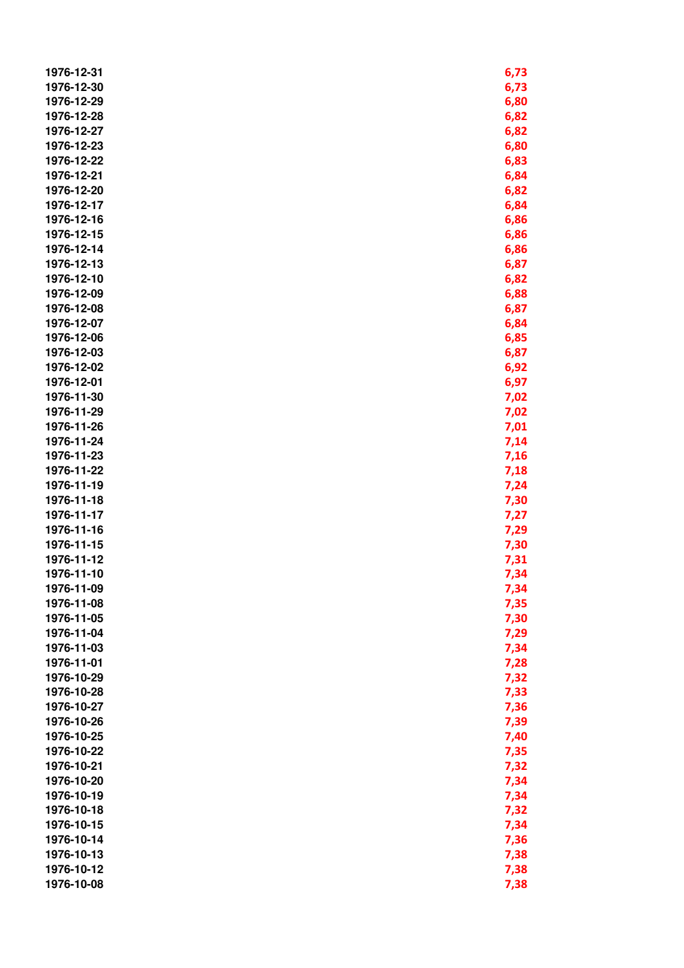| 1976-12-31               | 6,73         |
|--------------------------|--------------|
| 1976-12-30               | 6,73         |
| 1976-12-29               | 6,80         |
| 1976-12-28               | 6,82         |
| 1976-12-27               | 6,82         |
| 1976-12-23               | 6,80         |
| 1976-12-22               | 6,83         |
| 1976-12-21               | 6,84         |
| 1976-12-20               | 6,82         |
| 1976-12-17               | 6,84         |
| 1976-12-16               | 6,86         |
| 1976-12-15               | 6,86         |
| 1976-12-14               | 6,86         |
| 1976-12-13               | 6,87         |
| 1976-12-10               | 6,82         |
| 1976-12-09               | 6,88         |
| 1976-12-08               | 6,87         |
| 1976-12-07               | 6,84         |
| 1976-12-06               | 6,85         |
| 1976-12-03               |              |
| 1976-12-02               | 6,87         |
| 1976-12-01               | 6,92<br>6,97 |
| 1976-11-30               |              |
| 1976-11-29               | 7,02         |
| 1976-11-26               | 7,02         |
| 1976-11-24               | 7,01         |
| 1976-11-23               | 7,14         |
| 1976-11-22               | 7,16         |
| 1976-11-19               | 7,18         |
| 1976-11-18               | 7,24         |
| 1976-11-17               | 7,30         |
| 1976-11-16               | 7,27         |
| 1976-11-15               | 7,29         |
| 1976-11-12               | 7,30<br>7,31 |
| 1976-11-10               | 7,34         |
| 1976-11-09               | 7,34         |
| 1976-11-08               | 7,35         |
| 1976-11-05               | 7,30         |
| 1976-11-04               | 7,29         |
| 1976-11-03               | 7,34         |
| 1976-11-01               | 7,28         |
| 1976-10-29               | 7,32         |
| 1976-10-28               | 7,33         |
| 1976-10-27               | 7,36         |
| 1976-10-26               |              |
| 1976-10-25               | 7,39         |
|                          | 7,40         |
| 1976-10-22               | 7,35         |
| 1976-10-21<br>1976-10-20 | 7,32         |
| 1976-10-19               | 7,34         |
|                          | 7,34         |
| 1976-10-18<br>1976-10-15 | 7,32         |
| 1976-10-14               | 7,34         |
| 1976-10-13               | 7,36         |
|                          | 7,38         |
| 1976-10-12               | 7,38         |
| 1976-10-08               | 7,38         |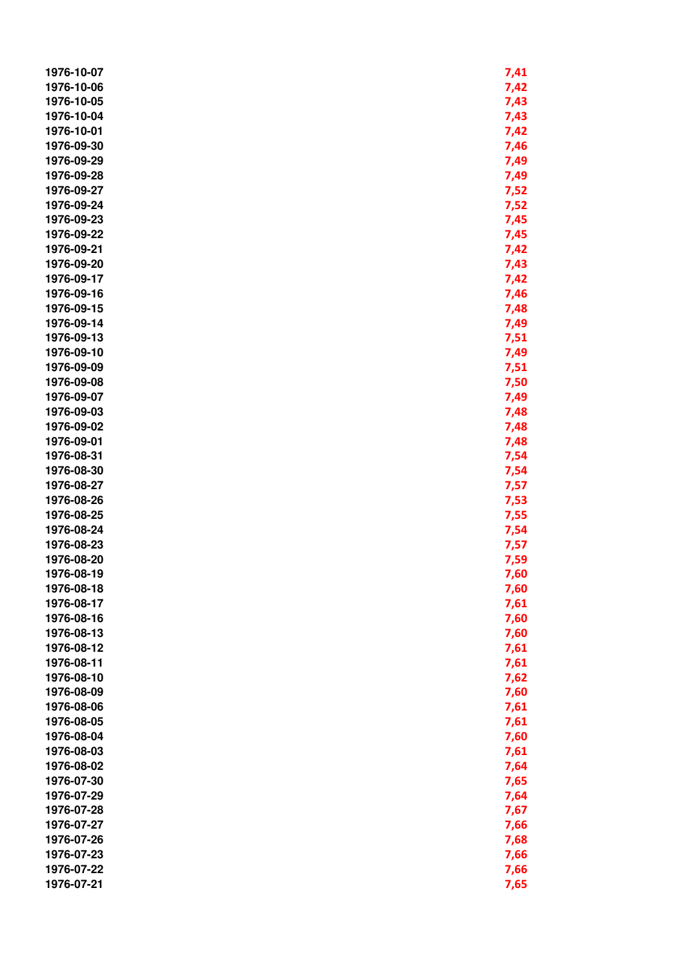| 1976-10-07 | 7,41 |
|------------|------|
| 1976-10-06 | 7,42 |
| 1976-10-05 | 7,43 |
| 1976-10-04 | 7,43 |
| 1976-10-01 | 7,42 |
| 1976-09-30 | 7,46 |
| 1976-09-29 | 7,49 |
| 1976-09-28 | 7,49 |
| 1976-09-27 | 7,52 |
| 1976-09-24 | 7,52 |
| 1976-09-23 |      |
|            | 7,45 |
| 1976-09-22 | 7,45 |
| 1976-09-21 | 7,42 |
| 1976-09-20 | 7,43 |
| 1976-09-17 | 7,42 |
| 1976-09-16 | 7,46 |
| 1976-09-15 | 7,48 |
| 1976-09-14 | 7,49 |
| 1976-09-13 | 7,51 |
| 1976-09-10 | 7,49 |
| 1976-09-09 | 7,51 |
| 1976-09-08 | 7,50 |
| 1976-09-07 | 7,49 |
| 1976-09-03 | 7,48 |
| 1976-09-02 | 7,48 |
| 1976-09-01 | 7,48 |
| 1976-08-31 | 7,54 |
| 1976-08-30 | 7,54 |
| 1976-08-27 | 7,57 |
| 1976-08-26 | 7,53 |
| 1976-08-25 | 7,55 |
| 1976-08-24 | 7,54 |
| 1976-08-23 | 7,57 |
| 1976-08-20 | 7,59 |
| 1976-08-19 | 7,60 |
| 1976-08-18 | 7,60 |
| 1976-08-17 | 7,61 |
| 1976-08-16 | 7,60 |
| 1976-08-13 | 7,60 |
| 1976-08-12 | 7,61 |
| 1976-08-11 | 7,61 |
| 1976-08-10 | 7,62 |
| 1976-08-09 |      |
| 1976-08-06 | 7,60 |
|            | 7,61 |
| 1976-08-05 | 7,61 |
| 1976-08-04 | 7,60 |
| 1976-08-03 | 7,61 |
| 1976-08-02 | 7,64 |
| 1976-07-30 | 7,65 |
| 1976-07-29 | 7,64 |
| 1976-07-28 | 7,67 |
| 1976-07-27 | 7,66 |
| 1976-07-26 | 7,68 |
| 1976-07-23 | 7,66 |
| 1976-07-22 | 7,66 |
| 1976-07-21 | 7,65 |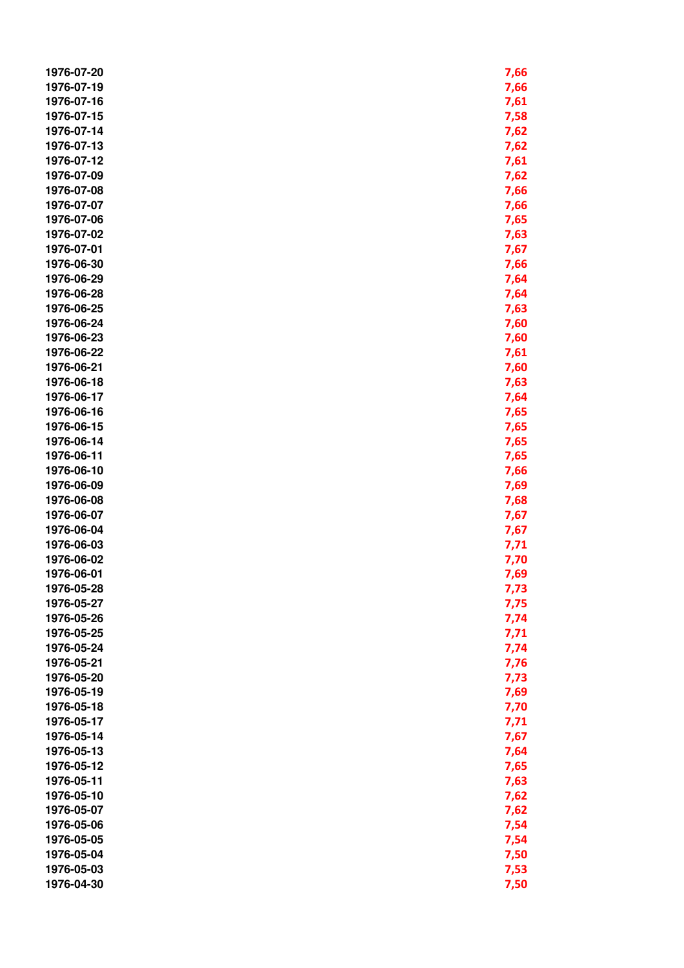| 1976-07-20 |      |
|------------|------|
|            | 7,66 |
| 1976-07-19 | 7,66 |
| 1976-07-16 | 7,61 |
| 1976-07-15 | 7,58 |
| 1976-07-14 | 7,62 |
| 1976-07-13 | 7,62 |
| 1976-07-12 | 7,61 |
| 1976-07-09 | 7,62 |
| 1976-07-08 | 7,66 |
| 1976-07-07 | 7,66 |
| 1976-07-06 | 7,65 |
| 1976-07-02 | 7,63 |
| 1976-07-01 | 7,67 |
|            |      |
| 1976-06-30 | 7,66 |
| 1976-06-29 | 7,64 |
| 1976-06-28 | 7,64 |
| 1976-06-25 | 7,63 |
| 1976-06-24 | 7,60 |
| 1976-06-23 | 7,60 |
| 1976-06-22 | 7,61 |
| 1976-06-21 | 7,60 |
| 1976-06-18 | 7,63 |
| 1976-06-17 | 7,64 |
| 1976-06-16 | 7,65 |
| 1976-06-15 | 7,65 |
| 1976-06-14 | 7,65 |
| 1976-06-11 | 7,65 |
| 1976-06-10 | 7,66 |
| 1976-06-09 | 7,69 |
|            |      |
| 1976-06-08 | 7,68 |
| 1976-06-07 | 7,67 |
| 1976-06-04 | 7,67 |
| 1976-06-03 | 7,71 |
| 1976-06-02 | 7,70 |
| 1976-06-01 | 7,69 |
| 1976-05-28 | 7,73 |
| 1976-05-27 | 7,75 |
| 1976-05-26 | 7,74 |
| 1976-05-25 | 7,71 |
| 1976-05-24 | 7,74 |
| 1976-05-21 | 7,76 |
| 1976-05-20 | 7,73 |
| 1976-05-19 | 7,69 |
| 1976-05-18 | 7,70 |
| 1976-05-17 | 7,71 |
| 1976-05-14 | 7,67 |
| 1976-05-13 |      |
|            | 7,64 |
| 1976-05-12 | 7,65 |
| 1976-05-11 | 7,63 |
| 1976-05-10 | 7,62 |
| 1976-05-07 | 7,62 |
| 1976-05-06 | 7,54 |
| 1976-05-05 | 7,54 |
| 1976-05-04 | 7,50 |
| 1976-05-03 | 7,53 |
| 1976-04-30 | 7,50 |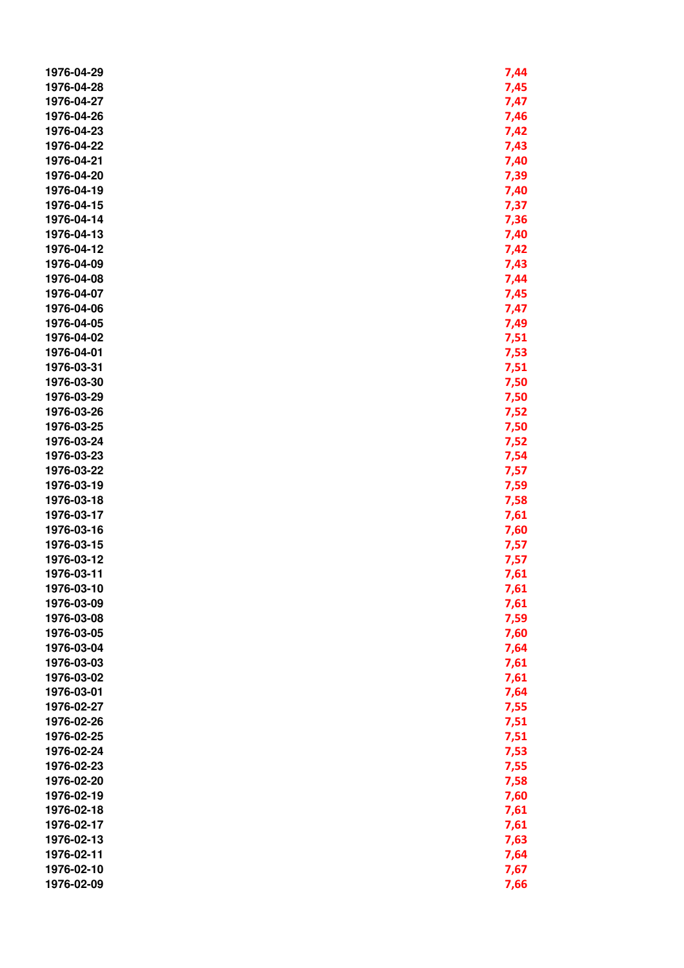| 1976-04-29 | 7,44 |
|------------|------|
| 1976-04-28 | 7,45 |
| 1976-04-27 | 7,47 |
| 1976-04-26 | 7,46 |
| 1976-04-23 | 7,42 |
| 1976-04-22 | 7,43 |
| 1976-04-21 | 7,40 |
| 1976-04-20 |      |
|            | 7,39 |
| 1976-04-19 | 7,40 |
| 1976-04-15 | 7,37 |
| 1976-04-14 | 7,36 |
| 1976-04-13 | 7,40 |
| 1976-04-12 | 7,42 |
| 1976-04-09 | 7,43 |
| 1976-04-08 | 7,44 |
| 1976-04-07 | 7,45 |
| 1976-04-06 | 7,47 |
| 1976-04-05 | 7,49 |
| 1976-04-02 | 7,51 |
| 1976-04-01 | 7,53 |
| 1976-03-31 | 7,51 |
| 1976-03-30 | 7,50 |
| 1976-03-29 | 7,50 |
| 1976-03-26 | 7,52 |
| 1976-03-25 | 7,50 |
| 1976-03-24 | 7,52 |
| 1976-03-23 | 7,54 |
| 1976-03-22 | 7,57 |
| 1976-03-19 | 7,59 |
| 1976-03-18 | 7,58 |
| 1976-03-17 |      |
|            | 7,61 |
| 1976-03-16 | 7,60 |
| 1976-03-15 | 7,57 |
| 1976-03-12 | 7,57 |
| 1976-03-11 | 7,61 |
| 1976-03-10 | 7,61 |
| 1976-03-09 | 7,61 |
| 1976-03-08 | 7,59 |
| 1976-03-05 | 7,60 |
| 1976-03-04 | 7,64 |
| 1976-03-03 | 7,61 |
| 1976-03-02 | 7,61 |
| 1976-03-01 | 7,64 |
| 1976-02-27 | 7,55 |
| 1976-02-26 | 7,51 |
| 1976-02-25 | 7,51 |
| 1976-02-24 | 7,53 |
| 1976-02-23 | 7,55 |
| 1976-02-20 | 7,58 |
| 1976-02-19 | 7,60 |
| 1976-02-18 | 7,61 |
| 1976-02-17 | 7,61 |
| 1976-02-13 | 7,63 |
| 1976-02-11 | 7,64 |
| 1976-02-10 | 7,67 |
| 1976-02-09 | 7,66 |
|            |      |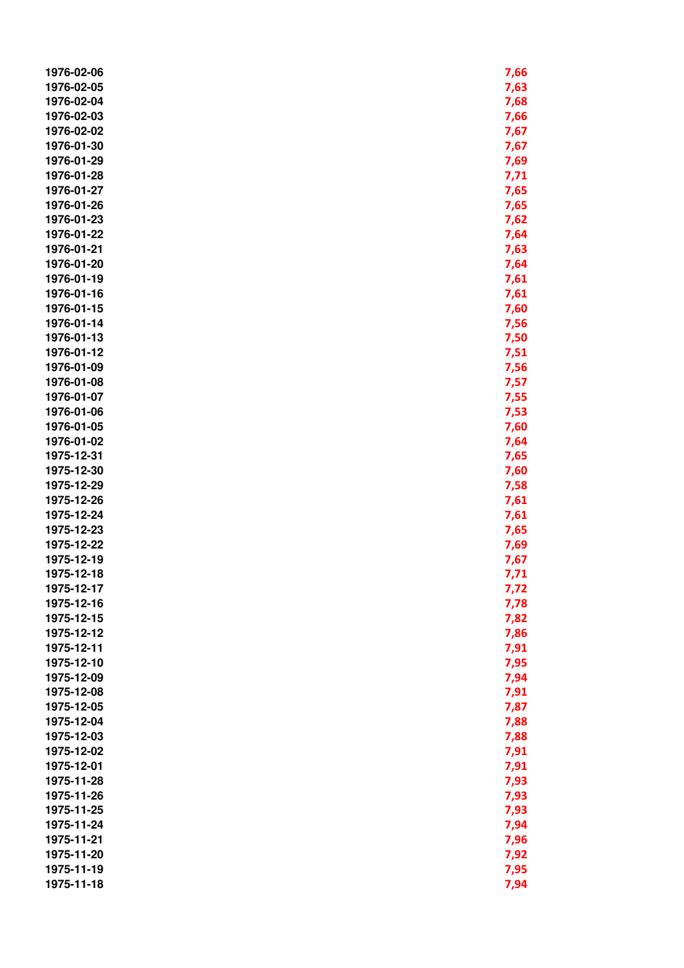| 1976-02-06               | 7,66         |
|--------------------------|--------------|
| 1976-02-05               | 7,63         |
| 1976-02-04               | 7,68         |
| 1976-02-03               | 7,66         |
| 1976-02-02               | 7,67         |
| 1976-01-30               | 7,67         |
| 1976-01-29               | 7,69         |
| 1976-01-28               | 7,71         |
| 1976-01-27               | 7,65         |
| 1976-01-26               | 7,65         |
| 1976-01-23               | 7,62         |
| 1976-01-22               | 7,64         |
| 1976-01-21               | 7,63         |
| 1976-01-20               | 7,64         |
| 1976-01-19               | 7,61         |
| 1976-01-16               | 7,61         |
| 1976-01-15               | 7,60         |
| 1976-01-14               | 7,56         |
| 1976-01-13               | 7,50         |
| 1976-01-12               |              |
| 1976-01-09               | 7,51         |
| 1976-01-08               | 7,56         |
| 1976-01-07               | 7,57         |
| 1976-01-06               | 7,55         |
| 1976-01-05               | 7,53         |
| 1976-01-02               | 7,60         |
| 1975-12-31               | 7,64         |
| 1975-12-30               | 7,65         |
| 1975-12-29               | 7,60         |
| 1975-12-26               | 7,58         |
| 1975-12-24               | 7,61         |
| 1975-12-23               | 7,61         |
| 1975-12-22               | 7,65         |
| 1975-12-19               | 7,69<br>7,67 |
| 1975-12-18               | 7,71         |
| 1975-12-17               |              |
| 1975-12-16               | 7,72<br>7,78 |
| 1975-12-15               | 7,82         |
| 1975-12-12               | 7,86         |
| 1975-12-11               | 7,91         |
| 1975-12-10               | 7,95         |
| 1975-12-09               | 7,94         |
| 1975-12-08               | 7,91         |
| 1975-12-05               | 7,87         |
| 1975-12-04               |              |
| 1975-12-03               | 7,88         |
|                          | 7,88         |
| 1975-12-02               | 7,91         |
| 1975-12-01<br>1975-11-28 | 7,91         |
| 1975-11-26               | 7,93         |
|                          | 7,93         |
| 1975-11-25               | 7,93         |
| 1975-11-24<br>1975-11-21 | 7,94         |
| 1975-11-20               | 7,96         |
|                          | 7,92         |
| 1975-11-19               | 7,95         |
| 1975-11-18               | 7,94         |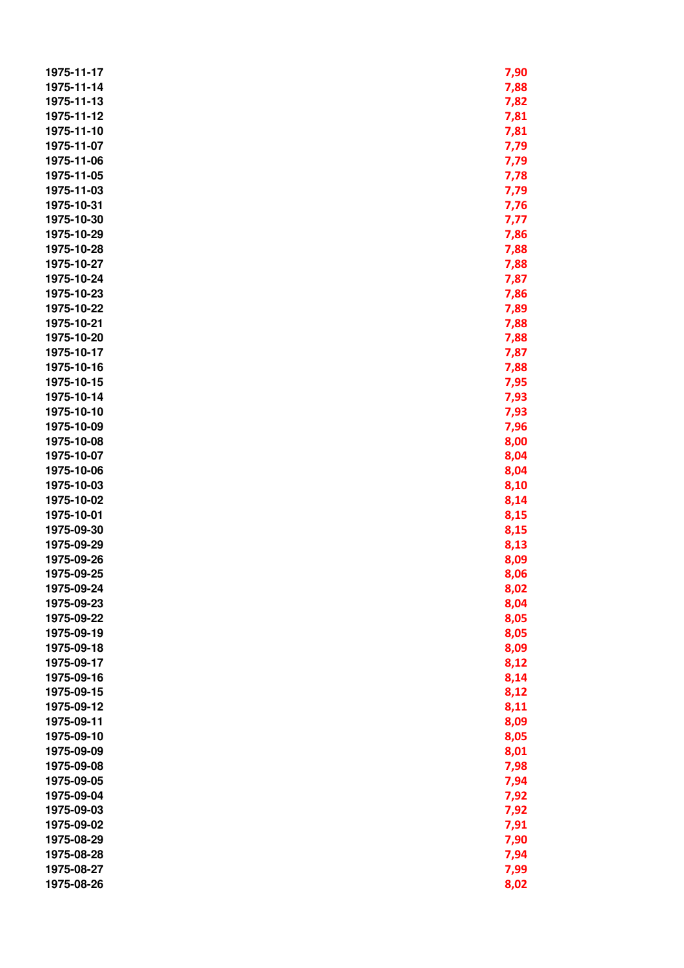| 1975-11-17 | 7,90 |
|------------|------|
| 1975-11-14 | 7,88 |
| 1975-11-13 | 7,82 |
| 1975-11-12 | 7,81 |
| 1975-11-10 | 7,81 |
| 1975-11-07 | 7,79 |
| 1975-11-06 | 7,79 |
| 1975-11-05 | 7,78 |
| 1975-11-03 | 7,79 |
| 1975-10-31 | 7,76 |
|            |      |
| 1975-10-30 | 7,77 |
| 1975-10-29 | 7,86 |
| 1975-10-28 | 7,88 |
| 1975-10-27 | 7,88 |
| 1975-10-24 | 7,87 |
| 1975-10-23 | 7,86 |
| 1975-10-22 | 7,89 |
| 1975-10-21 | 7,88 |
| 1975-10-20 | 7,88 |
| 1975-10-17 | 7,87 |
| 1975-10-16 | 7,88 |
| 1975-10-15 | 7,95 |
| 1975-10-14 | 7,93 |
| 1975-10-10 | 7,93 |
| 1975-10-09 |      |
|            | 7,96 |
| 1975-10-08 | 8,00 |
| 1975-10-07 | 8,04 |
| 1975-10-06 | 8,04 |
| 1975-10-03 | 8,10 |
| 1975-10-02 | 8,14 |
| 1975-10-01 | 8,15 |
| 1975-09-30 | 8,15 |
| 1975-09-29 | 8,13 |
| 1975-09-26 | 8,09 |
| 1975-09-25 | 8,06 |
| 1975-09-24 | 8,02 |
| 1975-09-23 | 8,04 |
| 1975-09-22 | 8,05 |
| 1975-09-19 | 8,05 |
| 1975-09-18 | 8,09 |
| 1975-09-17 | 8,12 |
| 1975-09-16 | 8,14 |
| 1975-09-15 | 8,12 |
| 1975-09-12 | 8,11 |
| 1975-09-11 | 8,09 |
|            |      |
| 1975-09-10 | 8,05 |
| 1975-09-09 | 8,01 |
| 1975-09-08 | 7,98 |
| 1975-09-05 | 7,94 |
| 1975-09-04 | 7,92 |
| 1975-09-03 | 7,92 |
| 1975-09-02 | 7,91 |
| 1975-08-29 | 7,90 |
| 1975-08-28 | 7,94 |
| 1975-08-27 | 7,99 |
| 1975-08-26 | 8,02 |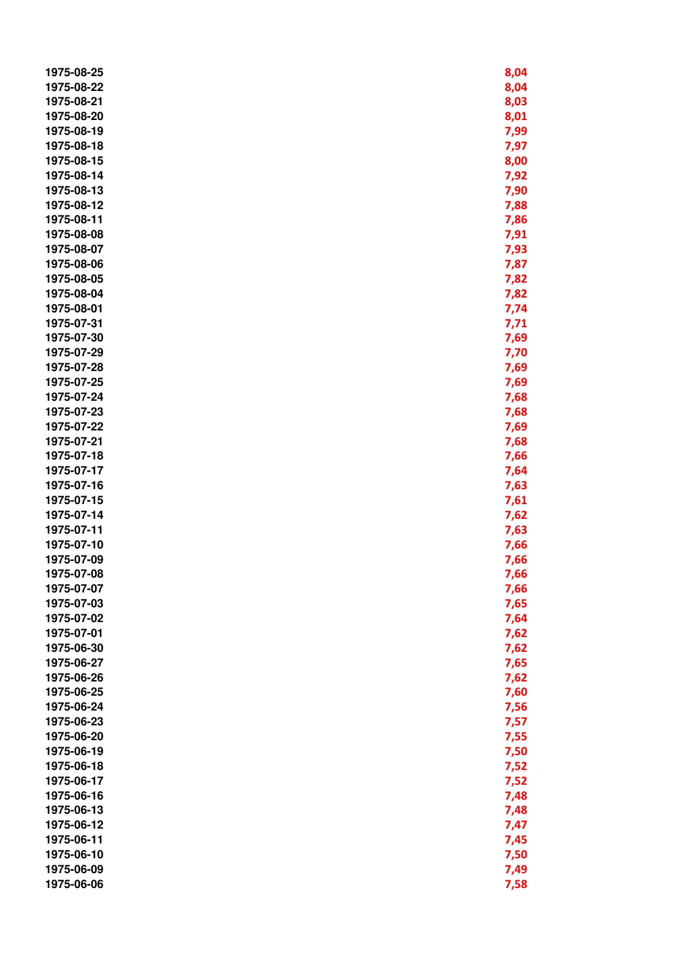| 1975-08-25               | 8,04 |
|--------------------------|------|
| 1975-08-22               | 8,04 |
| 1975-08-21               | 8,03 |
| 1975-08-20               | 8,01 |
| 1975-08-19               | 7,99 |
| 1975-08-18               | 7,97 |
| 1975-08-15               | 8,00 |
| 1975-08-14               | 7,92 |
| 1975-08-13               | 7,90 |
| 1975-08-12               | 7,88 |
| 1975-08-11               | 7,86 |
| 1975-08-08               | 7,91 |
| 1975-08-07               | 7,93 |
| 1975-08-06               | 7,87 |
| 1975-08-05               | 7,82 |
| 1975-08-04               | 7,82 |
| 1975-08-01               | 7,74 |
| 1975-07-31               | 7,71 |
| 1975-07-30               | 7,69 |
| 1975-07-29               | 7,70 |
| 1975-07-28               | 7,69 |
| 1975-07-25               | 7,69 |
| 1975-07-24               |      |
| 1975-07-23               | 7,68 |
| 1975-07-22               | 7,68 |
| 1975-07-21               | 7,69 |
| 1975-07-18               | 7,68 |
| 1975-07-17               | 7,66 |
| 1975-07-16               | 7,64 |
| 1975-07-15               | 7,63 |
| 1975-07-14               | 7,61 |
|                          | 7,62 |
| 1975-07-11               | 7,63 |
| 1975-07-10<br>1975-07-09 | 7,66 |
| 1975-07-08               | 7,66 |
|                          | 7,66 |
| 1975-07-07               | 7,66 |
| 1975-07-03               | 7,65 |
| 1975-07-02               | 7,64 |
| 1975-07-01               | 7,62 |
| 1975-06-30               | 7,62 |
| 1975-06-27               | 7,65 |
| 1975-06-26               | 7,62 |
| 1975-06-25               | 7,60 |
| 1975-06-24               | 7,56 |
| 1975-06-23               | 7,57 |
| 1975-06-20               | 7,55 |
| 1975-06-19               | 7,50 |
| 1975-06-18               | 7,52 |
| 1975-06-17               | 7,52 |
| 1975-06-16               | 7,48 |
| 1975-06-13               | 7,48 |
| 1975-06-12               | 7,47 |
| 1975-06-11               | 7,45 |
| 1975-06-10               | 7,50 |
| 1975-06-09               | 7,49 |
| 1975-06-06               | 7,58 |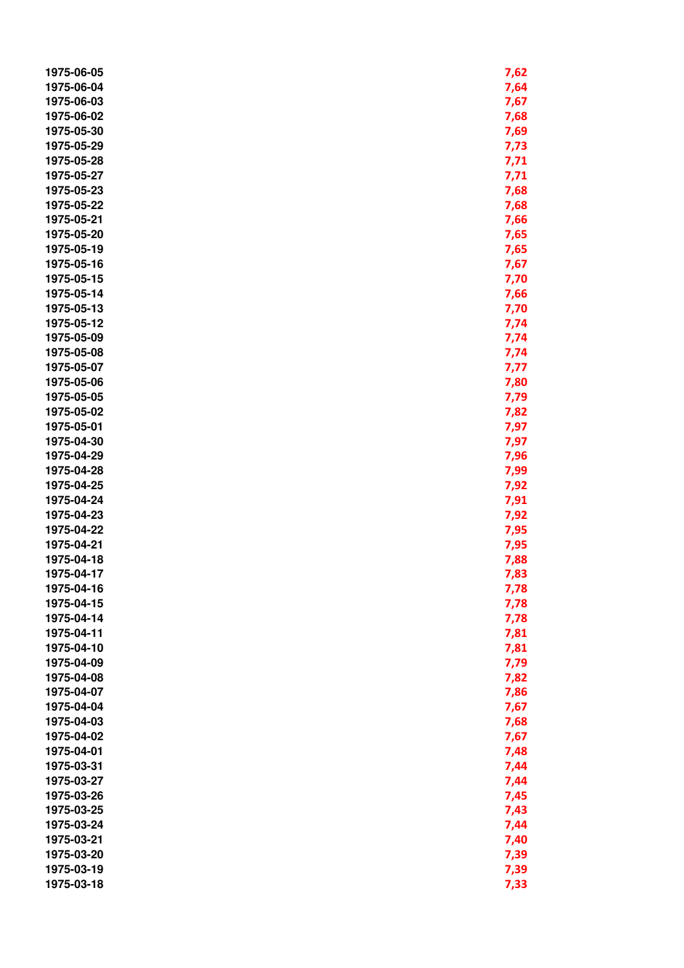| 1975-06-05 | 7,62 |
|------------|------|
| 1975-06-04 | 7,64 |
| 1975-06-03 | 7,67 |
| 1975-06-02 | 7,68 |
| 1975-05-30 | 7,69 |
| 1975-05-29 | 7,73 |
| 1975-05-28 | 7,71 |
| 1975-05-27 | 7,71 |
| 1975-05-23 | 7,68 |
| 1975-05-22 | 7,68 |
| 1975-05-21 |      |
|            | 7,66 |
| 1975-05-20 | 7,65 |
| 1975-05-19 | 7,65 |
| 1975-05-16 | 7,67 |
| 1975-05-15 | 7,70 |
| 1975-05-14 | 7,66 |
| 1975-05-13 | 7,70 |
| 1975-05-12 | 7,74 |
| 1975-05-09 | 7,74 |
| 1975-05-08 | 7,74 |
| 1975-05-07 | 7,77 |
| 1975-05-06 | 7,80 |
| 1975-05-05 | 7,79 |
| 1975-05-02 | 7,82 |
| 1975-05-01 | 7,97 |
| 1975-04-30 | 7,97 |
| 1975-04-29 | 7,96 |
| 1975-04-28 | 7,99 |
| 1975-04-25 | 7,92 |
| 1975-04-24 | 7,91 |
| 1975-04-23 | 7,92 |
| 1975-04-22 | 7,95 |
| 1975-04-21 | 7,95 |
| 1975-04-18 | 7,88 |
| 1975-04-17 | 7,83 |
| 1975-04-16 | 7,78 |
| 1975-04-15 | 7,78 |
| 1975-04-14 |      |
|            | 7,78 |
| 1975-04-11 | 7,81 |
| 1975-04-10 | 7,81 |
| 1975-04-09 | 7,79 |
| 1975-04-08 | 7,82 |
| 1975-04-07 | 7,86 |
| 1975-04-04 | 7,67 |
| 1975-04-03 | 7,68 |
| 1975-04-02 | 7,67 |
| 1975-04-01 | 7,48 |
| 1975-03-31 | 7,44 |
| 1975-03-27 | 7,44 |
| 1975-03-26 | 7,45 |
| 1975-03-25 | 7,43 |
| 1975-03-24 | 7,44 |
| 1975-03-21 | 7,40 |
| 1975-03-20 | 7,39 |
| 1975-03-19 | 7,39 |
| 1975-03-18 | 7,33 |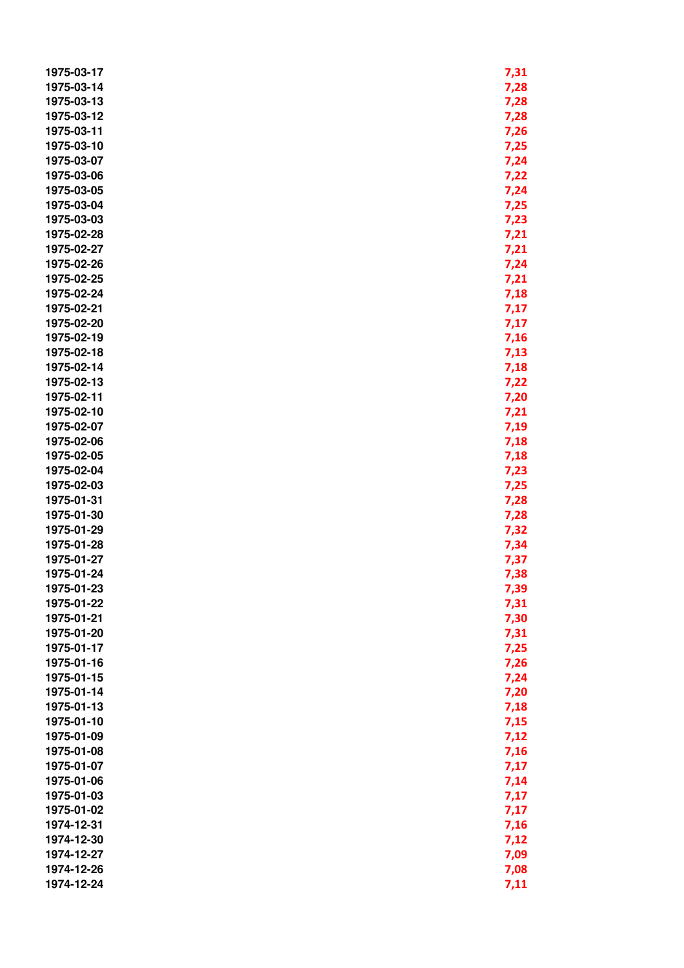| 1975-03-17 | 7,31 |
|------------|------|
| 1975-03-14 | 7,28 |
| 1975-03-13 | 7,28 |
| 1975-03-12 | 7,28 |
| 1975-03-11 | 7,26 |
| 1975-03-10 | 7,25 |
| 1975-03-07 | 7,24 |
| 1975-03-06 | 7,22 |
| 1975-03-05 | 7,24 |
| 1975-03-04 | 7,25 |
| 1975-03-03 | 7,23 |
| 1975-02-28 |      |
|            | 7,21 |
| 1975-02-27 | 7,21 |
| 1975-02-26 | 7,24 |
| 1975-02-25 | 7,21 |
| 1975-02-24 | 7,18 |
| 1975-02-21 | 7,17 |
| 1975-02-20 | 7,17 |
| 1975-02-19 | 7,16 |
| 1975-02-18 | 7,13 |
| 1975-02-14 | 7,18 |
| 1975-02-13 | 7,22 |
| 1975-02-11 | 7,20 |
| 1975-02-10 | 7,21 |
| 1975-02-07 | 7,19 |
| 1975-02-06 | 7,18 |
| 1975-02-05 |      |
| 1975-02-04 | 7,18 |
|            | 7,23 |
| 1975-02-03 | 7,25 |
| 1975-01-31 | 7,28 |
| 1975-01-30 | 7,28 |
| 1975-01-29 | 7,32 |
| 1975-01-28 | 7,34 |
| 1975-01-27 | 7,37 |
| 1975-01-24 | 7,38 |
| 1975-01-23 | 7,39 |
| 1975-01-22 | 7,31 |
| 1975-01-21 | 7,30 |
| 1975-01-20 | 7,31 |
| 1975-01-17 | 7,25 |
| 1975-01-16 | 7,26 |
| 1975-01-15 | 7,24 |
| 1975-01-14 | 7,20 |
| 1975-01-13 | 7,18 |
| 1975-01-10 | 7,15 |
| 1975-01-09 | 7,12 |
| 1975-01-08 | 7,16 |
|            |      |
| 1975-01-07 | 7,17 |
| 1975-01-06 | 7,14 |
| 1975-01-03 | 7,17 |
| 1975-01-02 | 7,17 |
| 1974-12-31 | 7,16 |
| 1974-12-30 | 7,12 |
| 1974-12-27 | 7,09 |
| 1974-12-26 | 7,08 |
| 1974-12-24 | 7,11 |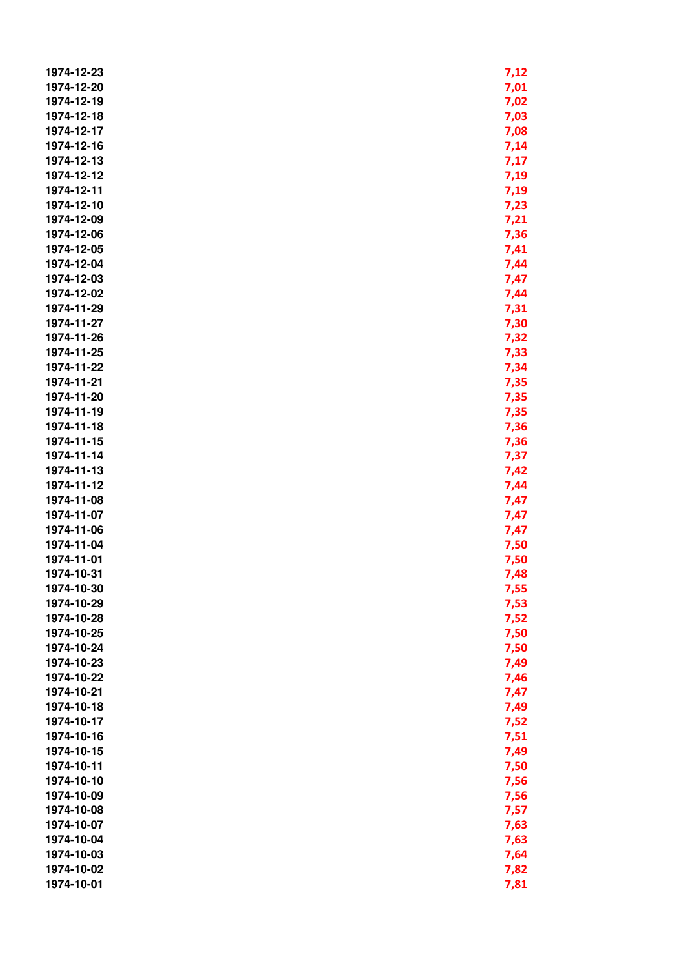| 1974-12-23               | 7,12 |
|--------------------------|------|
| 1974-12-20               | 7,01 |
| 1974-12-19               | 7,02 |
| 1974-12-18               | 7,03 |
| 1974-12-17               | 7,08 |
| 1974-12-16               |      |
| 1974-12-13               | 7,14 |
|                          | 7,17 |
| 1974-12-12               | 7,19 |
| 1974-12-11               | 7,19 |
| 1974-12-10               | 7,23 |
| 1974-12-09               | 7,21 |
| 1974-12-06               | 7,36 |
| 1974-12-05               | 7,41 |
| 1974-12-04               | 7,44 |
| 1974-12-03               | 7,47 |
| 1974-12-02               | 7,44 |
| 1974-11-29               | 7,31 |
| 1974-11-27               | 7,30 |
| 1974-11-26               | 7,32 |
| 1974-11-25               | 7,33 |
| 1974-11-22               | 7,34 |
| 1974-11-21               | 7,35 |
| 1974-11-20               | 7,35 |
| 1974-11-19               | 7,35 |
| 1974-11-18               | 7,36 |
| 1974-11-15               | 7,36 |
| 1974-11-14               | 7,37 |
| 1974-11-13               | 7,42 |
| 1974-11-12               | 7,44 |
| 1974-11-08               | 7,47 |
| 1974-11-07               | 7,47 |
| 1974-11-06               | 7,47 |
| 1974-11-04               | 7,50 |
| 1974-11-01               | 7,50 |
| 1974-10-31               | 7,48 |
|                          |      |
| 1974-10-30<br>1974-10-29 | 7,55 |
|                          | 7,53 |
| 1974-10-28               | 7,52 |
| 1974-10-25               | 7,50 |
| 1974-10-24               | 7,50 |
| 1974-10-23               | 7,49 |
| 1974-10-22               | 7,46 |
| 1974-10-21               | 7,47 |
| 1974-10-18               | 7,49 |
| 1974-10-17               | 7,52 |
| 1974-10-16               | 7,51 |
| 1974-10-15               | 7,49 |
| 1974-10-11               | 7,50 |
| 1974-10-10               | 7,56 |
| 1974-10-09               | 7,56 |
| 1974-10-08               | 7,57 |
| 1974-10-07               | 7,63 |
| 1974-10-04               | 7,63 |
| 1974-10-03               | 7,64 |
| 1974-10-02               | 7,82 |
| 1974-10-01               | 7,81 |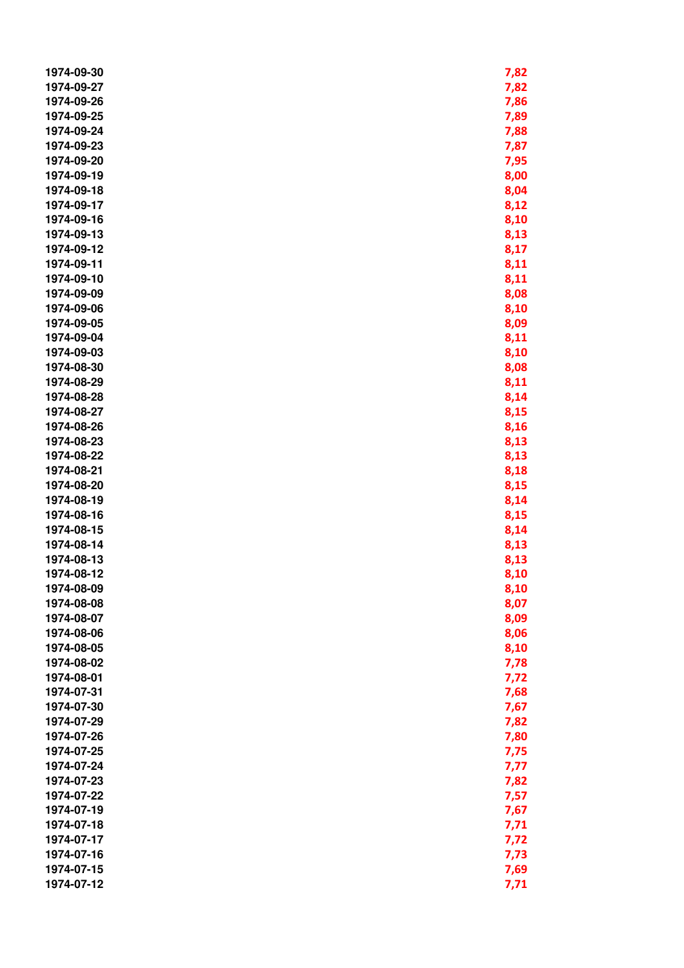| 1974-09-30 | 7,82 |
|------------|------|
| 1974-09-27 | 7,82 |
| 1974-09-26 | 7,86 |
| 1974-09-25 | 7,89 |
| 1974-09-24 | 7,88 |
| 1974-09-23 | 7,87 |
| 1974-09-20 | 7,95 |
| 1974-09-19 | 8,00 |
| 1974-09-18 | 8,04 |
| 1974-09-17 | 8,12 |
| 1974-09-16 | 8,10 |
| 1974-09-13 | 8,13 |
| 1974-09-12 | 8,17 |
| 1974-09-11 | 8,11 |
| 1974-09-10 | 8,11 |
| 1974-09-09 | 8,08 |
| 1974-09-06 |      |
| 1974-09-05 | 8,10 |
| 1974-09-04 | 8,09 |
| 1974-09-03 | 8,11 |
| 1974-08-30 | 8,10 |
| 1974-08-29 | 8,08 |
|            | 8,11 |
| 1974-08-28 | 8,14 |
| 1974-08-27 | 8,15 |
| 1974-08-26 | 8,16 |
| 1974-08-23 | 8,13 |
| 1974-08-22 | 8,13 |
| 1974-08-21 | 8,18 |
| 1974-08-20 | 8,15 |
| 1974-08-19 | 8,14 |
| 1974-08-16 | 8,15 |
| 1974-08-15 | 8,14 |
| 1974-08-14 | 8,13 |
| 1974-08-13 | 8,13 |
| 1974-08-12 | 8,10 |
| 1974-08-09 | 8,10 |
| 1974-08-08 | 8,07 |
| 1974-08-07 | 8,09 |
| 1974-08-06 | 8,06 |
| 1974-08-05 | 8,10 |
| 1974-08-02 | 7,78 |
| 1974-08-01 | 7,72 |
| 1974-07-31 | 7,68 |
| 1974-07-30 | 7,67 |
| 1974-07-29 | 7,82 |
| 1974-07-26 | 7,80 |
| 1974-07-25 | 7,75 |
| 1974-07-24 | 7,77 |
| 1974-07-23 | 7,82 |
| 1974-07-22 | 7,57 |
| 1974-07-19 | 7,67 |
| 1974-07-18 | 7,71 |
| 1974-07-17 | 7,72 |
| 1974-07-16 | 7,73 |
| 1974-07-15 | 7,69 |
| 1974-07-12 | 7,71 |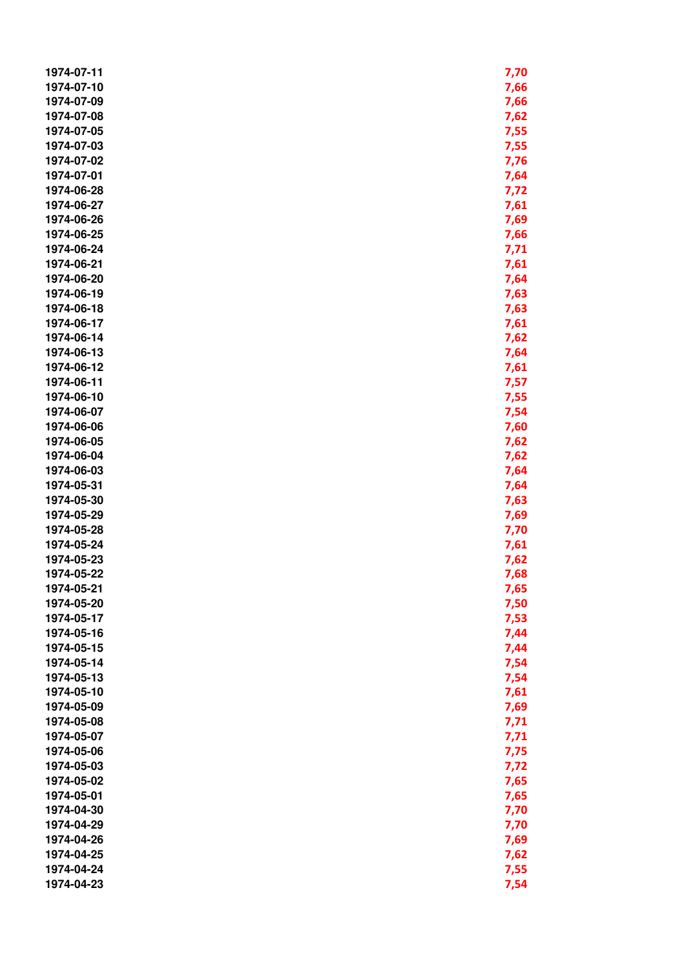| 1974-07-11 | 7,70 |
|------------|------|
| 1974-07-10 | 7,66 |
| 1974-07-09 | 7,66 |
| 1974-07-08 | 7,62 |
| 1974-07-05 | 7,55 |
| 1974-07-03 | 7,55 |
| 1974-07-02 | 7,76 |
| 1974-07-01 | 7,64 |
| 1974-06-28 | 7,72 |
| 1974-06-27 |      |
|            | 7,61 |
| 1974-06-26 | 7,69 |
| 1974-06-25 | 7,66 |
| 1974-06-24 | 7,71 |
| 1974-06-21 | 7,61 |
| 1974-06-20 | 7,64 |
| 1974-06-19 | 7,63 |
| 1974-06-18 | 7,63 |
| 1974-06-17 | 7,61 |
| 1974-06-14 | 7,62 |
| 1974-06-13 | 7,64 |
| 1974-06-12 | 7,61 |
| 1974-06-11 | 7,57 |
| 1974-06-10 | 7,55 |
| 1974-06-07 | 7,54 |
| 1974-06-06 | 7,60 |
| 1974-06-05 | 7,62 |
| 1974-06-04 | 7,62 |
| 1974-06-03 | 7,64 |
| 1974-05-31 | 7,64 |
| 1974-05-30 | 7,63 |
| 1974-05-29 | 7,69 |
| 1974-05-28 | 7,70 |
| 1974-05-24 | 7,61 |
| 1974-05-23 | 7,62 |
| 1974-05-22 | 7,68 |
| 1974-05-21 | 7,65 |
| 1974-05-20 | 7,50 |
| 1974-05-17 | 7,53 |
| 1974-05-16 | 7,44 |
| 1974-05-15 | 7,44 |
| 1974-05-14 | 7,54 |
| 1974-05-13 |      |
|            | 7,54 |
| 1974-05-10 | 7,61 |
| 1974-05-09 | 7,69 |
| 1974-05-08 | 7,71 |
| 1974-05-07 | 7,71 |
| 1974-05-06 | 7,75 |
| 1974-05-03 | 7,72 |
| 1974-05-02 | 7,65 |
| 1974-05-01 | 7,65 |
| 1974-04-30 | 7,70 |
| 1974-04-29 | 7,70 |
| 1974-04-26 | 7,69 |
| 1974-04-25 | 7,62 |
| 1974-04-24 | 7,55 |
| 1974-04-23 | 7,54 |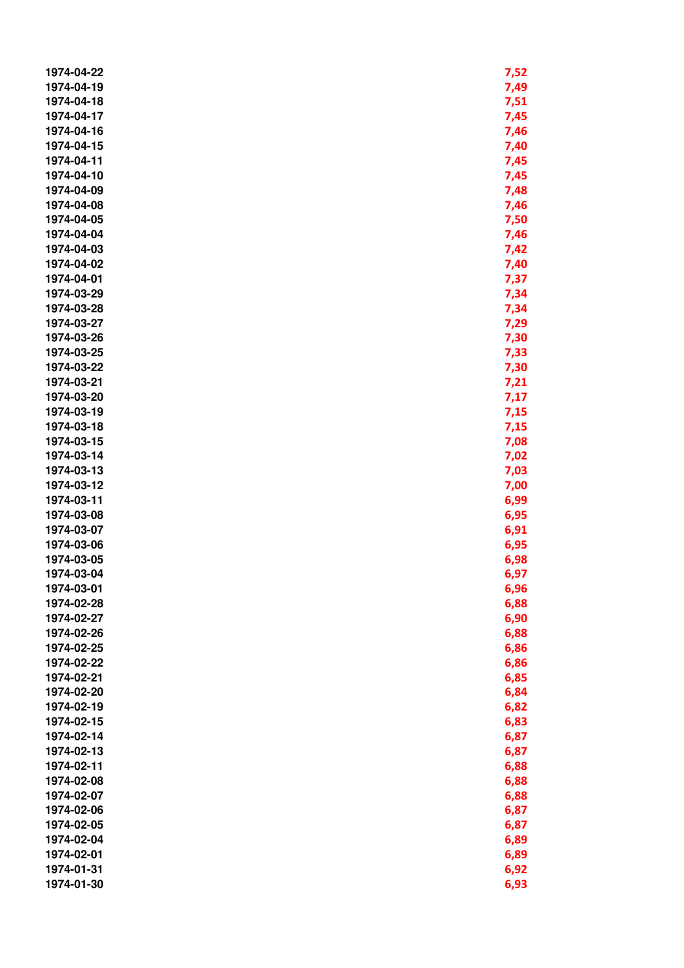| 1974-04-22 | 7,52 |
|------------|------|
| 1974-04-19 | 7,49 |
| 1974-04-18 | 7,51 |
| 1974-04-17 | 7,45 |
| 1974-04-16 | 7,46 |
| 1974-04-15 | 7,40 |
| 1974-04-11 | 7,45 |
| 1974-04-10 | 7,45 |
| 1974-04-09 | 7,48 |
| 1974-04-08 | 7,46 |
| 1974-04-05 |      |
|            | 7,50 |
| 1974-04-04 | 7,46 |
| 1974-04-03 | 7,42 |
| 1974-04-02 | 7,40 |
| 1974-04-01 | 7,37 |
| 1974-03-29 | 7,34 |
| 1974-03-28 | 7,34 |
| 1974-03-27 | 7,29 |
| 1974-03-26 | 7,30 |
| 1974-03-25 | 7,33 |
| 1974-03-22 | 7,30 |
| 1974-03-21 | 7,21 |
| 1974-03-20 | 7,17 |
| 1974-03-19 | 7,15 |
| 1974-03-18 | 7,15 |
| 1974-03-15 | 7,08 |
| 1974-03-14 | 7,02 |
| 1974-03-13 | 7,03 |
| 1974-03-12 | 7,00 |
| 1974-03-11 | 6,99 |
| 1974-03-08 | 6,95 |
| 1974-03-07 | 6,91 |
| 1974-03-06 | 6,95 |
| 1974-03-05 | 6,98 |
| 1974-03-04 | 6,97 |
| 1974-03-01 | 6,96 |
| 1974-02-28 | 6,88 |
| 1974-02-27 | 6,90 |
| 1974-02-26 | 6,88 |
| 1974-02-25 | 6,86 |
| 1974-02-22 | 6,86 |
| 1974-02-21 |      |
|            | 6,85 |
| 1974-02-20 | 6,84 |
| 1974-02-19 | 6,82 |
| 1974-02-15 | 6,83 |
| 1974-02-14 | 6,87 |
| 1974-02-13 | 6,87 |
| 1974-02-11 | 6,88 |
| 1974-02-08 | 6,88 |
| 1974-02-07 | 6,88 |
| 1974-02-06 | 6,87 |
| 1974-02-05 | 6,87 |
| 1974-02-04 | 6,89 |
| 1974-02-01 | 6,89 |
| 1974-01-31 | 6,92 |
| 1974-01-30 | 6,93 |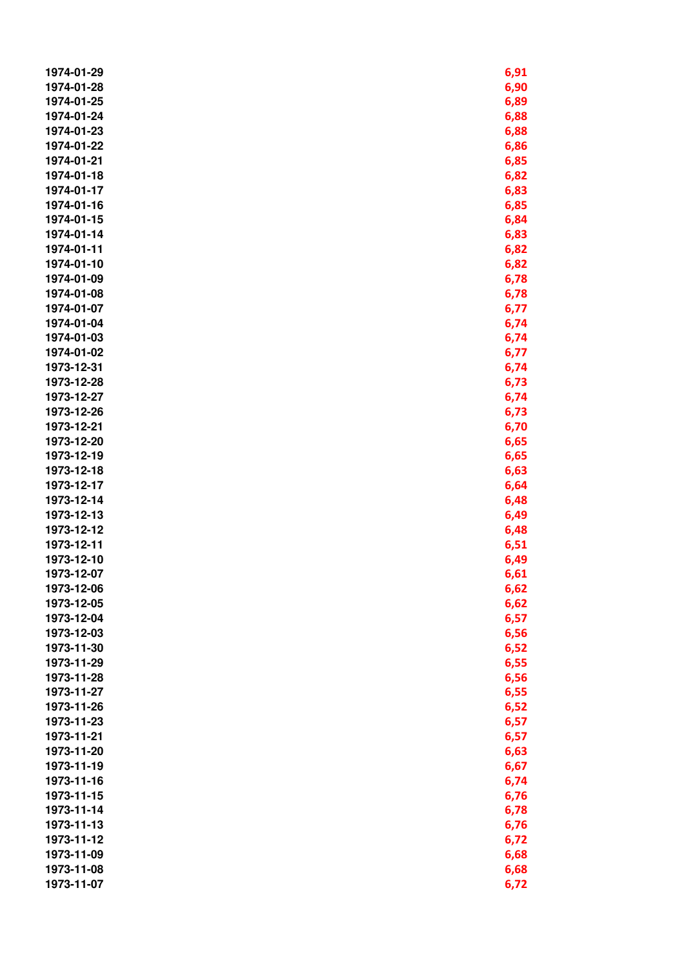| 1974-01-29 | 6,91 |
|------------|------|
| 1974-01-28 | 6,90 |
| 1974-01-25 | 6,89 |
| 1974-01-24 | 6,88 |
| 1974-01-23 | 6,88 |
| 1974-01-22 | 6,86 |
| 1974-01-21 | 6,85 |
| 1974-01-18 | 6,82 |
| 1974-01-17 | 6,83 |
| 1974-01-16 | 6,85 |
| 1974-01-15 |      |
|            | 6,84 |
| 1974-01-14 | 6,83 |
| 1974-01-11 | 6,82 |
| 1974-01-10 | 6,82 |
| 1974-01-09 | 6,78 |
| 1974-01-08 | 6,78 |
| 1974-01-07 | 6,77 |
| 1974-01-04 | 6,74 |
| 1974-01-03 | 6,74 |
| 1974-01-02 | 6,77 |
| 1973-12-31 | 6,74 |
| 1973-12-28 | 6,73 |
| 1973-12-27 | 6,74 |
| 1973-12-26 | 6,73 |
| 1973-12-21 | 6,70 |
| 1973-12-20 | 6,65 |
| 1973-12-19 | 6,65 |
| 1973-12-18 | 6,63 |
| 1973-12-17 | 6,64 |
| 1973-12-14 | 6,48 |
| 1973-12-13 | 6,49 |
| 1973-12-12 | 6,48 |
| 1973-12-11 | 6,51 |
| 1973-12-10 | 6,49 |
| 1973-12-07 | 6,61 |
| 1973-12-06 | 6,62 |
| 1973-12-05 | 6,62 |
| 1973-12-04 | 6,57 |
| 1973-12-03 | 6,56 |
| 1973-11-30 | 6,52 |
| 1973-11-29 | 6,55 |
| 1973-11-28 | 6,56 |
| 1973-11-27 |      |
|            | 6,55 |
| 1973-11-26 | 6,52 |
| 1973-11-23 | 6,57 |
| 1973-11-21 | 6,57 |
| 1973-11-20 | 6,63 |
| 1973-11-19 | 6,67 |
| 1973-11-16 | 6,74 |
| 1973-11-15 | 6,76 |
| 1973-11-14 | 6,78 |
| 1973-11-13 | 6,76 |
| 1973-11-12 | 6,72 |
| 1973-11-09 | 6,68 |
| 1973-11-08 | 6,68 |
| 1973-11-07 | 6,72 |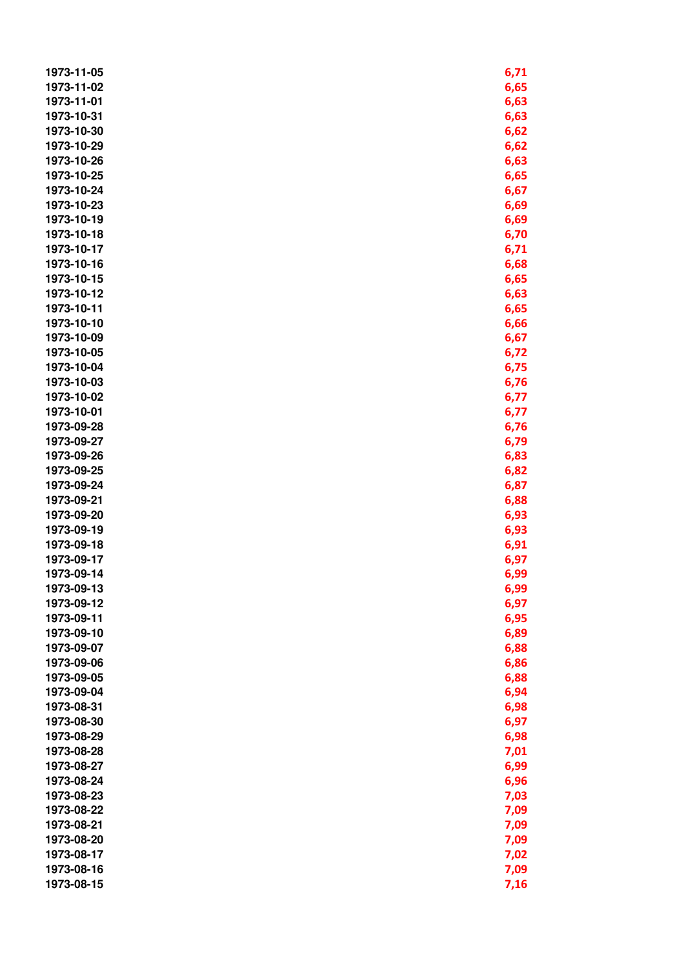| 1973-11-05 | 6,71 |
|------------|------|
| 1973-11-02 | 6,65 |
| 1973-11-01 | 6,63 |
| 1973-10-31 | 6,63 |
| 1973-10-30 | 6,62 |
| 1973-10-29 | 6,62 |
| 1973-10-26 | 6,63 |
| 1973-10-25 | 6,65 |
| 1973-10-24 | 6,67 |
| 1973-10-23 | 6,69 |
| 1973-10-19 |      |
| 1973-10-18 | 6,69 |
|            | 6,70 |
| 1973-10-17 | 6,71 |
| 1973-10-16 | 6,68 |
| 1973-10-15 | 6,65 |
| 1973-10-12 | 6,63 |
| 1973-10-11 | 6,65 |
| 1973-10-10 | 6,66 |
| 1973-10-09 | 6,67 |
| 1973-10-05 | 6,72 |
| 1973-10-04 | 6,75 |
| 1973-10-03 | 6,76 |
| 1973-10-02 | 6,77 |
| 1973-10-01 | 6,77 |
| 1973-09-28 | 6,76 |
| 1973-09-27 | 6,79 |
| 1973-09-26 | 6,83 |
| 1973-09-25 | 6,82 |
| 1973-09-24 | 6,87 |
| 1973-09-21 | 6,88 |
| 1973-09-20 | 6,93 |
| 1973-09-19 | 6,93 |
| 1973-09-18 | 6,91 |
| 1973-09-17 | 6,97 |
| 1973-09-14 | 6,99 |
| 1973-09-13 | 6,99 |
| 1973-09-12 | 6,97 |
| 1973-09-11 | 6,95 |
| 1973-09-10 | 6,89 |
| 1973-09-07 | 6,88 |
| 1973-09-06 | 6,86 |
| 1973-09-05 | 6,88 |
| 1973-09-04 | 6,94 |
| 1973-08-31 | 6,98 |
| 1973-08-30 | 6,97 |
| 1973-08-29 | 6,98 |
| 1973-08-28 | 7,01 |
| 1973-08-27 | 6,99 |
| 1973-08-24 | 6,96 |
| 1973-08-23 | 7,03 |
| 1973-08-22 | 7,09 |
| 1973-08-21 | 7,09 |
| 1973-08-20 | 7,09 |
| 1973-08-17 | 7,02 |
|            |      |
| 1973-08-16 | 7,09 |
| 1973-08-15 | 7,16 |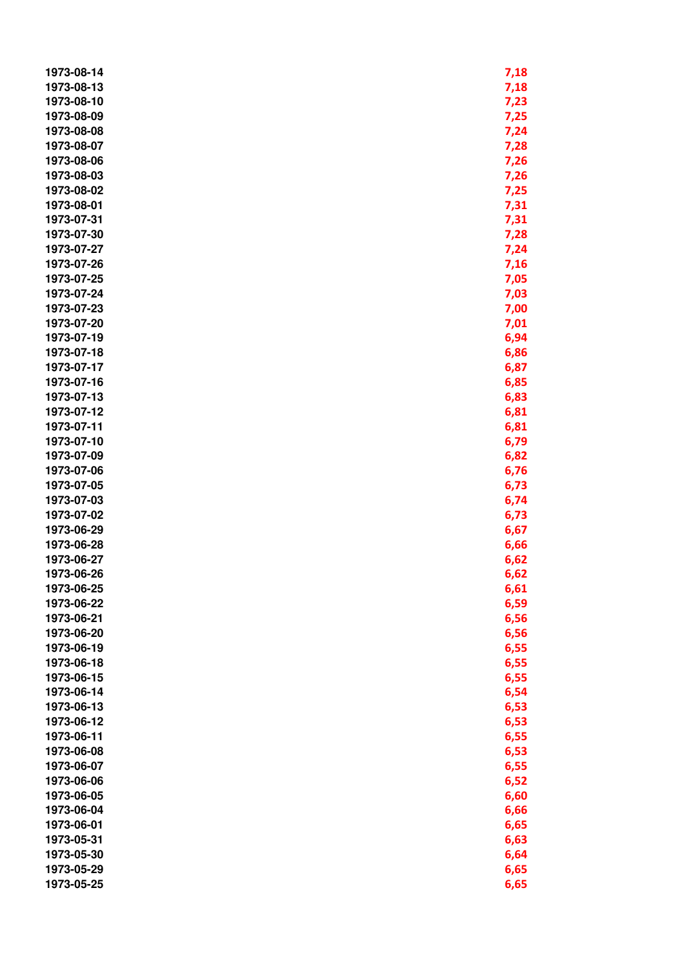| 1973-08-14 | 7,18 |
|------------|------|
| 1973-08-13 | 7,18 |
| 1973-08-10 | 7,23 |
| 1973-08-09 | 7,25 |
| 1973-08-08 | 7,24 |
| 1973-08-07 | 7,28 |
| 1973-08-06 | 7,26 |
| 1973-08-03 | 7,26 |
| 1973-08-02 | 7,25 |
| 1973-08-01 | 7,31 |
| 1973-07-31 |      |
|            | 7,31 |
| 1973-07-30 | 7,28 |
| 1973-07-27 | 7,24 |
| 1973-07-26 | 7,16 |
| 1973-07-25 | 7,05 |
| 1973-07-24 | 7,03 |
| 1973-07-23 | 7,00 |
| 1973-07-20 | 7,01 |
| 1973-07-19 | 6,94 |
| 1973-07-18 | 6,86 |
| 1973-07-17 | 6,87 |
| 1973-07-16 | 6,85 |
| 1973-07-13 | 6,83 |
| 1973-07-12 | 6,81 |
| 1973-07-11 | 6,81 |
| 1973-07-10 | 6,79 |
| 1973-07-09 | 6,82 |
| 1973-07-06 | 6,76 |
| 1973-07-05 | 6,73 |
| 1973-07-03 | 6,74 |
| 1973-07-02 | 6,73 |
| 1973-06-29 | 6,67 |
| 1973-06-28 | 6,66 |
| 1973-06-27 | 6,62 |
| 1973-06-26 | 6,62 |
| 1973-06-25 | 6,61 |
| 1973-06-22 | 6,59 |
| 1973-06-21 | 6,56 |
| 1973-06-20 | 6,56 |
| 1973-06-19 | 6,55 |
| 1973-06-18 | 6,55 |
| 1973-06-15 | 6,55 |
|            |      |
| 1973-06-14 | 6,54 |
| 1973-06-13 | 6,53 |
| 1973-06-12 | 6,53 |
| 1973-06-11 | 6,55 |
| 1973-06-08 | 6,53 |
| 1973-06-07 | 6,55 |
| 1973-06-06 | 6,52 |
| 1973-06-05 | 6,60 |
| 1973-06-04 | 6,66 |
| 1973-06-01 | 6,65 |
| 1973-05-31 | 6,63 |
| 1973-05-30 | 6,64 |
| 1973-05-29 | 6,65 |
| 1973-05-25 | 6,65 |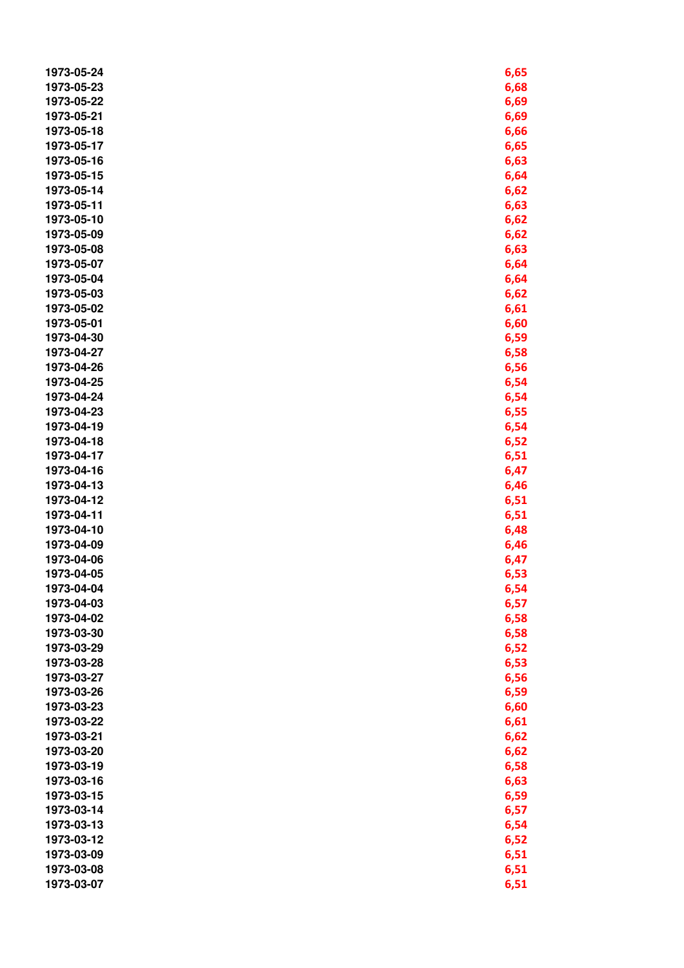| 1973-05-24 | 6,65 |
|------------|------|
| 1973-05-23 | 6,68 |
| 1973-05-22 | 6,69 |
| 1973-05-21 | 6,69 |
| 1973-05-18 | 6,66 |
| 1973-05-17 | 6,65 |
| 1973-05-16 |      |
|            | 6,63 |
| 1973-05-15 | 6,64 |
| 1973-05-14 | 6,62 |
| 1973-05-11 | 6,63 |
| 1973-05-10 | 6,62 |
| 1973-05-09 | 6,62 |
| 1973-05-08 | 6,63 |
| 1973-05-07 | 6,64 |
| 1973-05-04 | 6,64 |
| 1973-05-03 | 6,62 |
| 1973-05-02 | 6,61 |
| 1973-05-01 | 6,60 |
| 1973-04-30 | 6,59 |
| 1973-04-27 | 6,58 |
| 1973-04-26 | 6,56 |
| 1973-04-25 | 6,54 |
| 1973-04-24 | 6,54 |
| 1973-04-23 | 6,55 |
| 1973-04-19 | 6,54 |
| 1973-04-18 | 6,52 |
| 1973-04-17 | 6,51 |
| 1973-04-16 | 6,47 |
| 1973-04-13 | 6,46 |
| 1973-04-12 | 6,51 |
| 1973-04-11 | 6,51 |
| 1973-04-10 | 6,48 |
| 1973-04-09 | 6,46 |
| 1973-04-06 | 6,47 |
| 1973-04-05 | 6,53 |
| 1973-04-04 | 6,54 |
| 1973-04-03 | 6,57 |
| 1973-04-02 | 6,58 |
| 1973-03-30 | 6,58 |
| 1973-03-29 | 6,52 |
| 1973-03-28 | 6,53 |
| 1973-03-27 |      |
|            | 6,56 |
| 1973-03-26 | 6,59 |
| 1973-03-23 | 6,60 |
| 1973-03-22 | 6,61 |
| 1973-03-21 | 6,62 |
| 1973-03-20 | 6,62 |
| 1973-03-19 | 6,58 |
| 1973-03-16 | 6,63 |
| 1973-03-15 | 6,59 |
| 1973-03-14 | 6,57 |
| 1973-03-13 | 6,54 |
| 1973-03-12 | 6,52 |
| 1973-03-09 | 6,51 |
| 1973-03-08 | 6,51 |
| 1973-03-07 | 6,51 |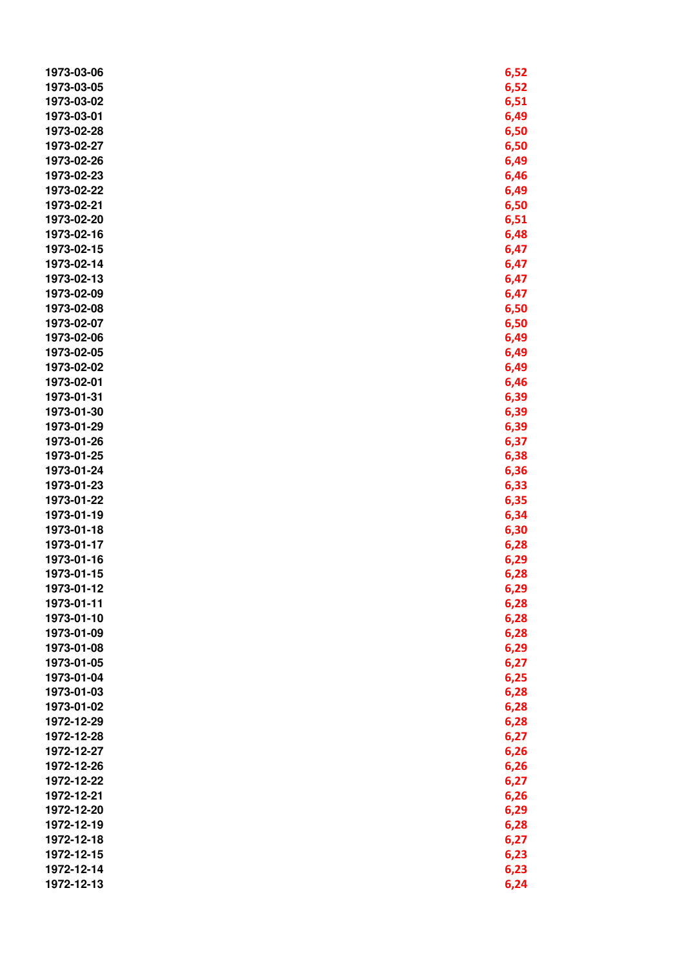| 1973-03-06 | 6,52 |
|------------|------|
| 1973-03-05 | 6,52 |
| 1973-03-02 | 6,51 |
| 1973-03-01 | 6,49 |
| 1973-02-28 | 6,50 |
| 1973-02-27 | 6,50 |
| 1973-02-26 | 6,49 |
| 1973-02-23 | 6,46 |
| 1973-02-22 | 6,49 |
| 1973-02-21 | 6,50 |
| 1973-02-20 | 6,51 |
| 1973-02-16 | 6,48 |
| 1973-02-15 | 6,47 |
| 1973-02-14 | 6,47 |
| 1973-02-13 | 6,47 |
| 1973-02-09 | 6,47 |
| 1973-02-08 |      |
| 1973-02-07 | 6,50 |
| 1973-02-06 | 6,50 |
| 1973-02-05 | 6,49 |
| 1973-02-02 | 6,49 |
| 1973-02-01 | 6,49 |
|            | 6,46 |
| 1973-01-31 | 6,39 |
| 1973-01-30 | 6,39 |
| 1973-01-29 | 6,39 |
| 1973-01-26 | 6,37 |
| 1973-01-25 | 6,38 |
| 1973-01-24 | 6,36 |
| 1973-01-23 | 6,33 |
| 1973-01-22 | 6,35 |
| 1973-01-19 | 6,34 |
| 1973-01-18 | 6,30 |
| 1973-01-17 | 6,28 |
| 1973-01-16 | 6,29 |
| 1973-01-15 | 6,28 |
| 1973-01-12 | 6,29 |
| 1973-01-11 | 6,28 |
| 1973-01-10 | 6,28 |
| 1973-01-09 | 6,28 |
| 1973-01-08 | 6,29 |
| 1973-01-05 | 6,27 |
| 1973-01-04 | 6,25 |
| 1973-01-03 | 6,28 |
| 1973-01-02 | 6,28 |
| 1972-12-29 | 6,28 |
| 1972-12-28 | 6,27 |
| 1972-12-27 | 6,26 |
| 1972-12-26 | 6,26 |
| 1972-12-22 | 6,27 |
| 1972-12-21 | 6,26 |
| 1972-12-20 | 6,29 |
| 1972-12-19 | 6,28 |
| 1972-12-18 | 6,27 |
| 1972-12-15 | 6,23 |
| 1972-12-14 | 6,23 |
| 1972-12-13 | 6,24 |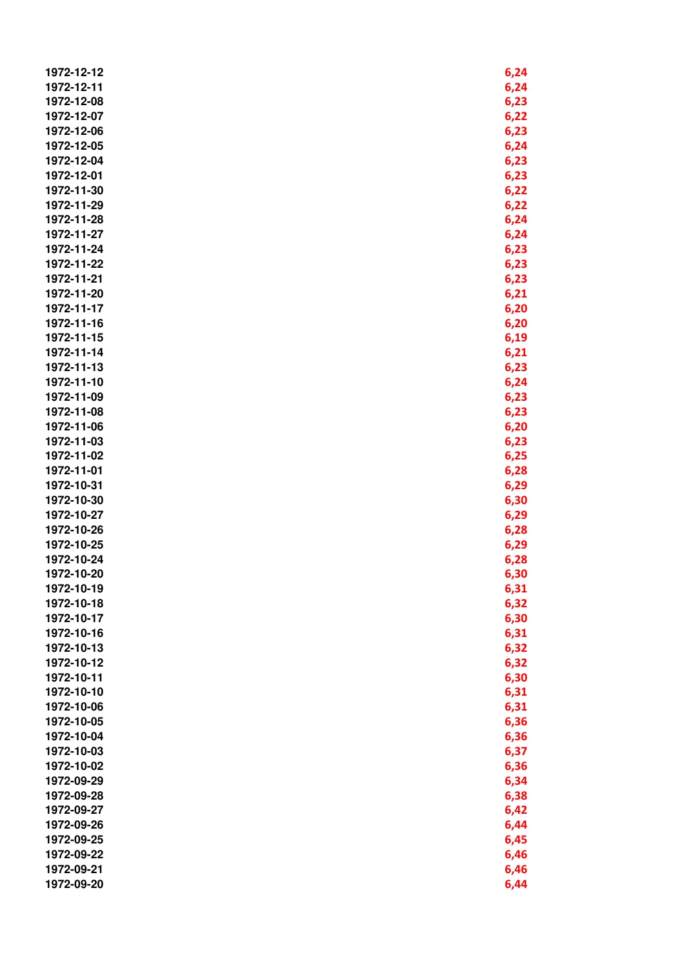| 1972-12-12 | 6,24 |
|------------|------|
| 1972-12-11 | 6,24 |
|            |      |
| 1972-12-08 | 6,23 |
| 1972-12-07 | 6,22 |
| 1972-12-06 | 6,23 |
| 1972-12-05 | 6,24 |
| 1972-12-04 | 6,23 |
| 1972-12-01 | 6,23 |
| 1972-11-30 | 6,22 |
| 1972-11-29 | 6,22 |
| 1972-11-28 | 6,24 |
| 1972-11-27 | 6,24 |
| 1972-11-24 | 6,23 |
| 1972-11-22 | 6,23 |
| 1972-11-21 | 6,23 |
| 1972-11-20 |      |
|            | 6,21 |
| 1972-11-17 | 6,20 |
| 1972-11-16 | 6,20 |
| 1972-11-15 | 6,19 |
| 1972-11-14 | 6,21 |
| 1972-11-13 | 6,23 |
| 1972-11-10 | 6,24 |
| 1972-11-09 | 6,23 |
| 1972-11-08 | 6,23 |
| 1972-11-06 | 6,20 |
| 1972-11-03 | 6,23 |
| 1972-11-02 | 6,25 |
| 1972-11-01 | 6,28 |
| 1972-10-31 | 6,29 |
| 1972-10-30 | 6,30 |
| 1972-10-27 | 6,29 |
| 1972-10-26 | 6,28 |
| 1972-10-25 | 6,29 |
| 1972-10-24 | 6,28 |
| 1972-10-20 |      |
|            | 6,30 |
| 1972-10-19 | 6,31 |
| 1972-10-18 | 6,32 |
| 1972-10-17 | 6,30 |
| 1972-10-16 | 6,31 |
| 1972-10-13 | 6,32 |
| 1972-10-12 | 6,32 |
| 1972-10-11 | 6,30 |
| 1972-10-10 | 6,31 |
| 1972-10-06 | 6,31 |
| 1972-10-05 | 6,36 |
| 1972-10-04 | 6,36 |
| 1972-10-03 | 6,37 |
| 1972-10-02 | 6,36 |
| 1972-09-29 | 6,34 |
| 1972-09-28 | 6,38 |
| 1972-09-27 | 6,42 |
| 1972-09-26 | 6,44 |
| 1972-09-25 | 6,45 |
| 1972-09-22 | 6,46 |
| 1972-09-21 | 6,46 |
| 1972-09-20 |      |
|            | 6,44 |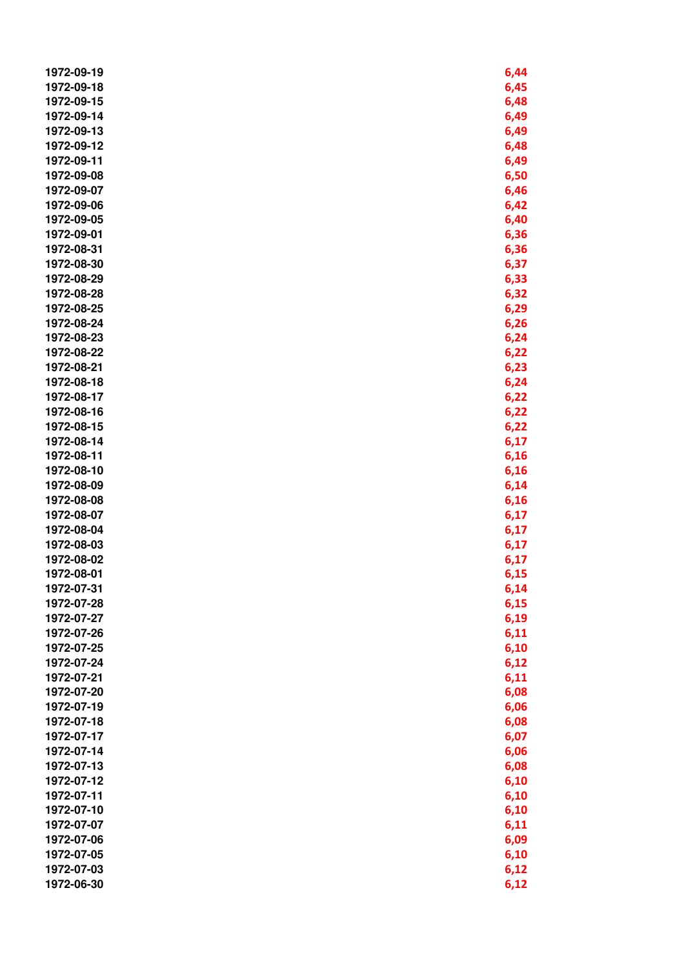| 1972-09-19 | 6,44 |
|------------|------|
| 1972-09-18 | 6,45 |
| 1972-09-15 | 6,48 |
| 1972-09-14 | 6,49 |
| 1972-09-13 | 6,49 |
| 1972-09-12 | 6,48 |
| 1972-09-11 | 6,49 |
| 1972-09-08 | 6,50 |
| 1972-09-07 | 6,46 |
| 1972-09-06 | 6,42 |
| 1972-09-05 |      |
|            | 6,40 |
| 1972-09-01 | 6,36 |
| 1972-08-31 | 6,36 |
| 1972-08-30 | 6,37 |
| 1972-08-29 | 6,33 |
| 1972-08-28 | 6,32 |
| 1972-08-25 | 6,29 |
| 1972-08-24 | 6,26 |
| 1972-08-23 | 6,24 |
| 1972-08-22 | 6,22 |
| 1972-08-21 | 6,23 |
| 1972-08-18 | 6,24 |
| 1972-08-17 | 6,22 |
| 1972-08-16 | 6,22 |
| 1972-08-15 | 6,22 |
| 1972-08-14 | 6,17 |
| 1972-08-11 | 6,16 |
| 1972-08-10 | 6,16 |
| 1972-08-09 | 6,14 |
| 1972-08-08 | 6,16 |
| 1972-08-07 | 6,17 |
| 1972-08-04 | 6,17 |
| 1972-08-03 | 6,17 |
| 1972-08-02 | 6,17 |
| 1972-08-01 | 6,15 |
| 1972-07-31 | 6,14 |
| 1972-07-28 | 6,15 |
| 1972-07-27 | 6,19 |
|            |      |
| 1972-07-26 | 6,11 |
| 1972-07-25 | 6,10 |
| 1972-07-24 | 6,12 |
| 1972-07-21 | 6,11 |
| 1972-07-20 | 6,08 |
| 1972-07-19 | 6,06 |
| 1972-07-18 | 6,08 |
| 1972-07-17 | 6,07 |
| 1972-07-14 | 6,06 |
| 1972-07-13 | 6,08 |
| 1972-07-12 | 6,10 |
| 1972-07-11 | 6,10 |
| 1972-07-10 | 6,10 |
| 1972-07-07 | 6,11 |
| 1972-07-06 | 6,09 |
| 1972-07-05 | 6,10 |
| 1972-07-03 | 6,12 |
| 1972-06-30 | 6,12 |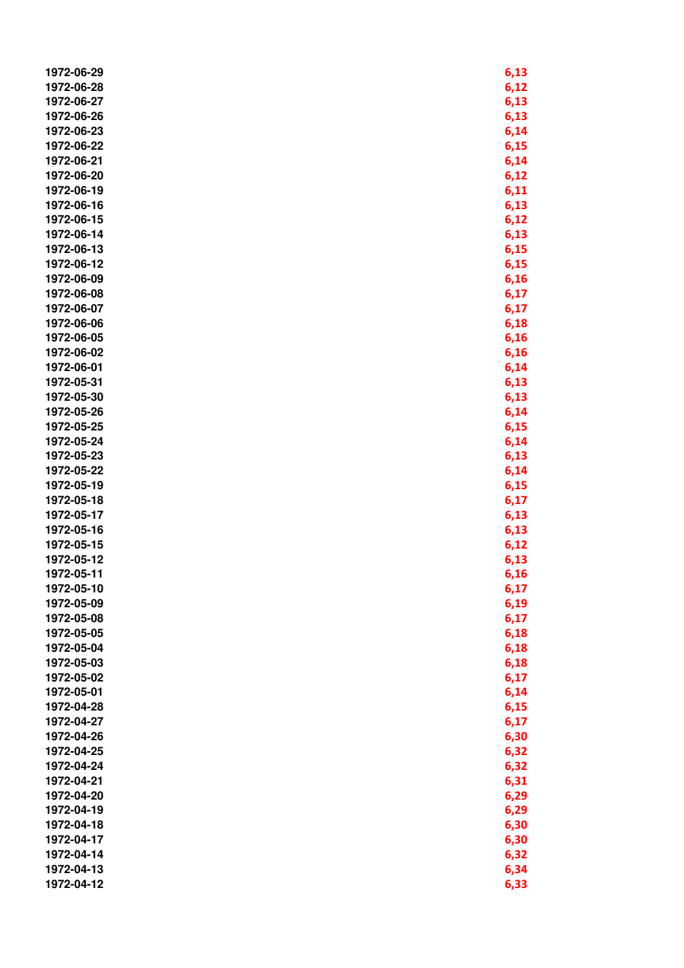| 1972-06-29 | 6,13 |
|------------|------|
| 1972-06-28 | 6,12 |
| 1972-06-27 | 6,13 |
| 1972-06-26 | 6,13 |
| 1972-06-23 | 6,14 |
| 1972-06-22 | 6,15 |
| 1972-06-21 |      |
|            | 6,14 |
| 1972-06-20 | 6,12 |
| 1972-06-19 | 6,11 |
| 1972-06-16 | 6,13 |
| 1972-06-15 | 6,12 |
| 1972-06-14 | 6,13 |
| 1972-06-13 | 6,15 |
| 1972-06-12 | 6,15 |
| 1972-06-09 | 6,16 |
| 1972-06-08 | 6,17 |
| 1972-06-07 | 6,17 |
| 1972-06-06 | 6,18 |
| 1972-06-05 | 6,16 |
| 1972-06-02 | 6,16 |
| 1972-06-01 | 6,14 |
| 1972-05-31 | 6,13 |
| 1972-05-30 | 6,13 |
| 1972-05-26 | 6,14 |
| 1972-05-25 | 6,15 |
| 1972-05-24 | 6,14 |
| 1972-05-23 | 6,13 |
| 1972-05-22 | 6,14 |
| 1972-05-19 | 6,15 |
| 1972-05-18 | 6,17 |
| 1972-05-17 | 6,13 |
| 1972-05-16 | 6,13 |
| 1972-05-15 | 6,12 |
| 1972-05-12 | 6,13 |
| 1972-05-11 | 6,16 |
| 1972-05-10 | 6,17 |
| 1972-05-09 | 6,19 |
| 1972-05-08 | 6,17 |
| 1972-05-05 |      |
| 1972-05-04 | 6,18 |
| 1972-05-03 | 6,18 |
|            | 6,18 |
| 1972-05-02 | 6,17 |
| 1972-05-01 | 6,14 |
| 1972-04-28 | 6,15 |
| 1972-04-27 | 6,17 |
| 1972-04-26 | 6,30 |
| 1972-04-25 | 6,32 |
| 1972-04-24 | 6,32 |
| 1972-04-21 | 6,31 |
| 1972-04-20 | 6,29 |
| 1972-04-19 | 6,29 |
| 1972-04-18 | 6,30 |
| 1972-04-17 | 6,30 |
| 1972-04-14 | 6,32 |
| 1972-04-13 | 6,34 |
| 1972-04-12 | 6,33 |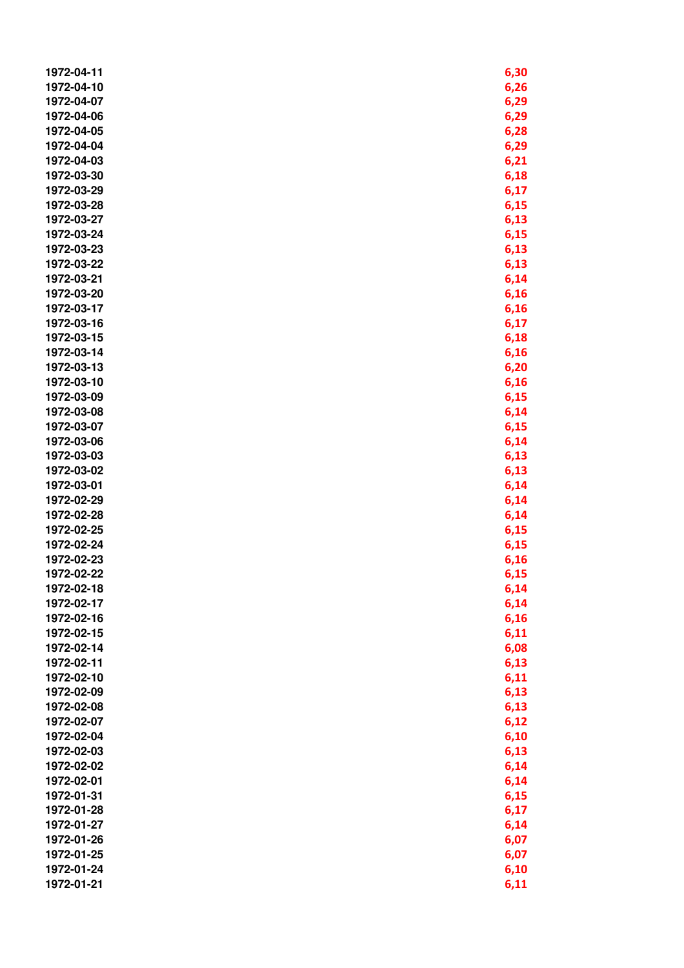| 1972-04-11 | 6,30 |
|------------|------|
| 1972-04-10 | 6,26 |
| 1972-04-07 | 6,29 |
| 1972-04-06 | 6,29 |
| 1972-04-05 | 6,28 |
| 1972-04-04 | 6,29 |
| 1972-04-03 | 6,21 |
| 1972-03-30 | 6,18 |
| 1972-03-29 | 6,17 |
| 1972-03-28 | 6,15 |
| 1972-03-27 |      |
|            | 6,13 |
| 1972-03-24 | 6,15 |
| 1972-03-23 | 6,13 |
| 1972-03-22 | 6,13 |
| 1972-03-21 | 6,14 |
| 1972-03-20 | 6,16 |
| 1972-03-17 | 6,16 |
| 1972-03-16 | 6,17 |
| 1972-03-15 | 6,18 |
| 1972-03-14 | 6,16 |
| 1972-03-13 | 6,20 |
| 1972-03-10 | 6,16 |
| 1972-03-09 | 6,15 |
| 1972-03-08 | 6,14 |
| 1972-03-07 | 6,15 |
| 1972-03-06 | 6,14 |
| 1972-03-03 | 6,13 |
| 1972-03-02 | 6,13 |
| 1972-03-01 | 6,14 |
| 1972-02-29 | 6,14 |
| 1972-02-28 | 6,14 |
| 1972-02-25 | 6,15 |
| 1972-02-24 | 6,15 |
| 1972-02-23 | 6,16 |
| 1972-02-22 | 6,15 |
| 1972-02-18 | 6,14 |
| 1972-02-17 | 6,14 |
| 1972-02-16 | 6,16 |
| 1972-02-15 | 6,11 |
| 1972-02-14 | 6,08 |
| 1972-02-11 | 6,13 |
| 1972-02-10 | 6,11 |
| 1972-02-09 |      |
|            | 6,13 |
| 1972-02-08 | 6,13 |
| 1972-02-07 | 6,12 |
| 1972-02-04 | 6,10 |
| 1972-02-03 | 6,13 |
| 1972-02-02 | 6,14 |
| 1972-02-01 | 6,14 |
| 1972-01-31 | 6,15 |
| 1972-01-28 | 6,17 |
| 1972-01-27 | 6,14 |
| 1972-01-26 | 6,07 |
| 1972-01-25 | 6,07 |
| 1972-01-24 | 6,10 |
| 1972-01-21 | 6,11 |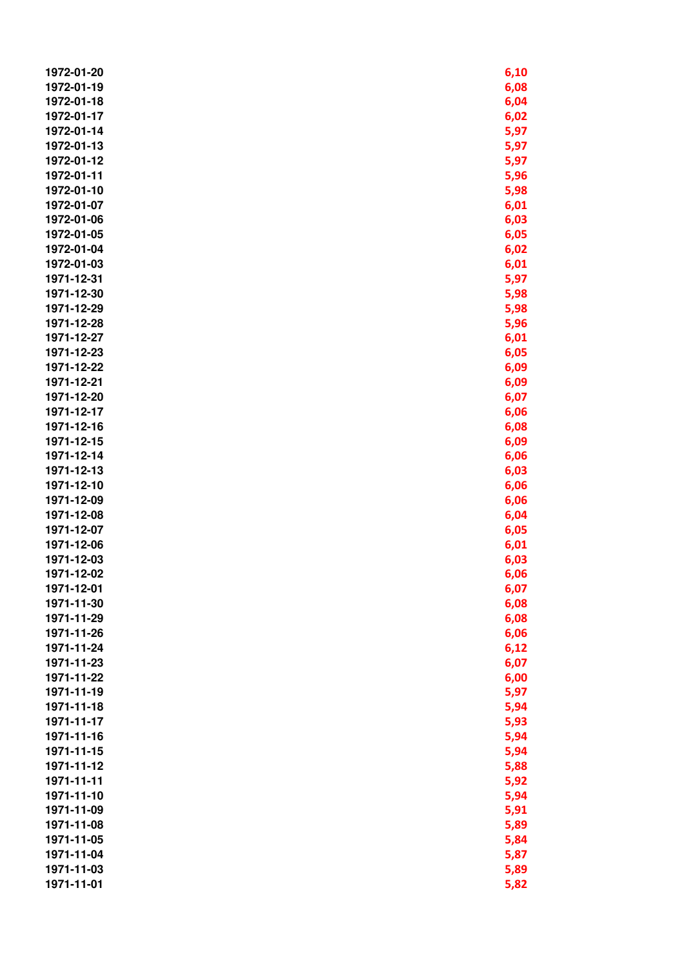| 1972-01-20 | 6,10 |
|------------|------|
| 1972-01-19 | 6,08 |
| 1972-01-18 | 6,04 |
| 1972-01-17 | 6,02 |
| 1972-01-14 | 5,97 |
|            |      |
| 1972-01-13 | 5,97 |
| 1972-01-12 | 5,97 |
| 1972-01-11 | 5,96 |
| 1972-01-10 | 5,98 |
| 1972-01-07 | 6,01 |
| 1972-01-06 | 6,03 |
| 1972-01-05 | 6,05 |
| 1972-01-04 | 6,02 |
| 1972-01-03 | 6,01 |
| 1971-12-31 | 5,97 |
| 1971-12-30 | 5,98 |
| 1971-12-29 | 5,98 |
| 1971-12-28 | 5,96 |
| 1971-12-27 | 6,01 |
| 1971-12-23 | 6,05 |
| 1971-12-22 | 6,09 |
| 1971-12-21 | 6,09 |
| 1971-12-20 | 6,07 |
| 1971-12-17 | 6,06 |
| 1971-12-16 | 6,08 |
| 1971-12-15 | 6,09 |
| 1971-12-14 |      |
|            | 6,06 |
| 1971-12-13 | 6,03 |
| 1971-12-10 | 6,06 |
| 1971-12-09 | 6,06 |
| 1971-12-08 | 6,04 |
| 1971-12-07 | 6,05 |
| 1971-12-06 | 6,01 |
| 1971-12-03 | 6,03 |
| 1971-12-02 | 6,06 |
| 1971-12-01 | 6,07 |
| 1971-11-30 | 6,08 |
| 1971-11-29 | 6,08 |
| 1971-11-26 | 6,06 |
| 1971-11-24 | 6,12 |
| 1971-11-23 | 6,07 |
| 1971-11-22 | 6,00 |
| 1971-11-19 | 5,97 |
| 1971-11-18 | 5,94 |
| 1971-11-17 | 5,93 |
| 1971-11-16 | 5,94 |
| 1971-11-15 | 5,94 |
| 1971-11-12 | 5,88 |
| 1971-11-11 | 5,92 |
| 1971-11-10 | 5,94 |
|            |      |
| 1971-11-09 | 5,91 |
| 1971-11-08 | 5,89 |
| 1971-11-05 | 5,84 |
| 1971-11-04 | 5,87 |
| 1971-11-03 | 5,89 |
| 1971-11-01 | 5,82 |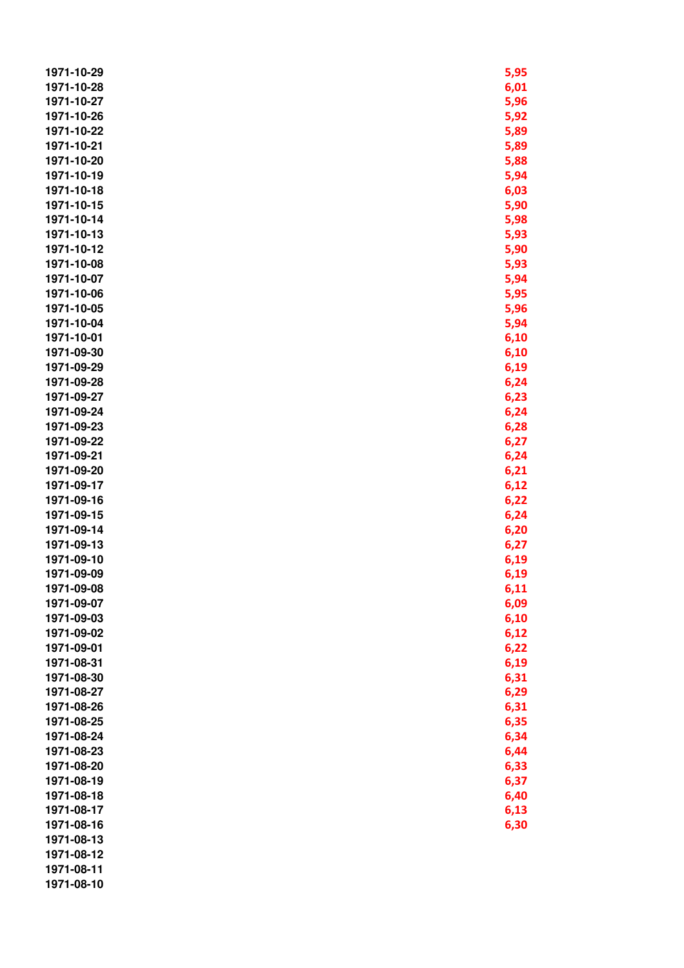| 1971-10-29 | 5,95 |
|------------|------|
| 1971-10-28 | 6,01 |
| 1971-10-27 | 5,96 |
| 1971-10-26 | 5,92 |
| 1971-10-22 | 5,89 |
| 1971-10-21 | 5,89 |
| 1971-10-20 | 5,88 |
| 1971-10-19 |      |
|            | 5,94 |
| 1971-10-18 | 6,03 |
| 1971-10-15 | 5,90 |
| 1971-10-14 | 5,98 |
| 1971-10-13 | 5,93 |
| 1971-10-12 | 5,90 |
| 1971-10-08 | 5,93 |
| 1971-10-07 | 5,94 |
| 1971-10-06 | 5,95 |
| 1971-10-05 | 5,96 |
| 1971-10-04 | 5,94 |
| 1971-10-01 | 6,10 |
| 1971-09-30 | 6,10 |
| 1971-09-29 | 6,19 |
| 1971-09-28 | 6,24 |
| 1971-09-27 | 6,23 |
| 1971-09-24 | 6,24 |
| 1971-09-23 | 6,28 |
| 1971-09-22 | 6,27 |
| 1971-09-21 | 6,24 |
| 1971-09-20 | 6,21 |
| 1971-09-17 | 6,12 |
| 1971-09-16 | 6,22 |
| 1971-09-15 |      |
|            | 6,24 |
| 1971-09-14 | 6,20 |
| 1971-09-13 | 6,27 |
| 1971-09-10 | 6,19 |
| 1971-09-09 | 6,19 |
| 1971-09-08 | 6,11 |
| 1971-09-07 | 6,09 |
| 1971-09-03 | 6,10 |
| 1971-09-02 | 6,12 |
| 1971-09-01 | 6,22 |
| 1971-08-31 | 6,19 |
| 1971-08-30 | 6,31 |
| 1971-08-27 | 6,29 |
| 1971-08-26 | 6,31 |
| 1971-08-25 | 6,35 |
| 1971-08-24 | 6,34 |
| 1971-08-23 | 6,44 |
| 1971-08-20 | 6,33 |
| 1971-08-19 | 6,37 |
| 1971-08-18 | 6,40 |
| 1971-08-17 | 6,13 |
| 1971-08-16 | 6,30 |
| 1971-08-13 |      |
| 1971-08-12 |      |
| 1971-08-11 |      |
| 1971-08-10 |      |
|            |      |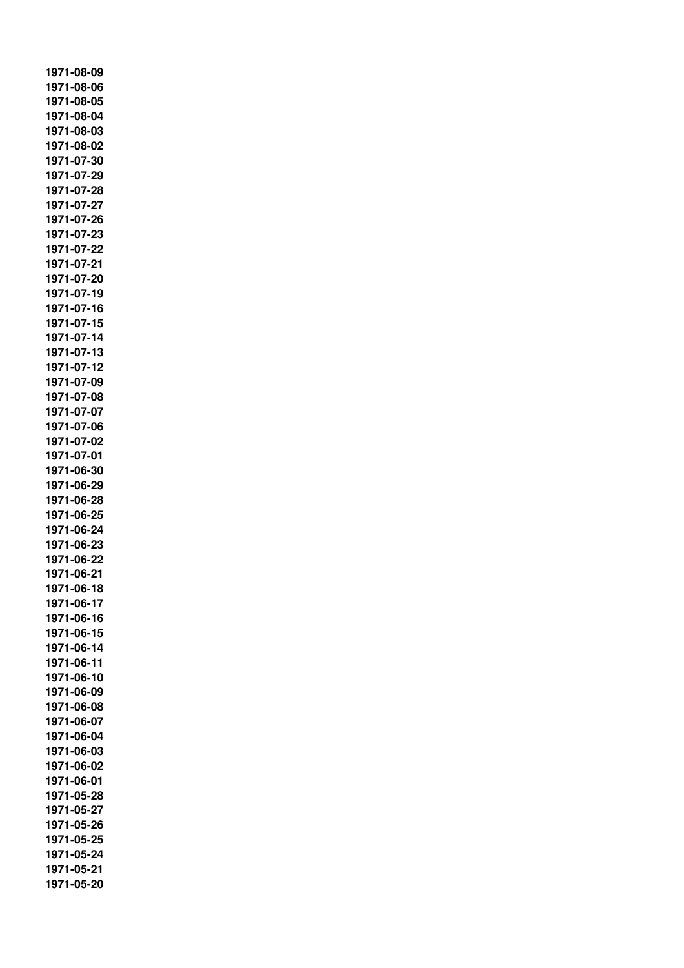**1971-08-09 1971-08-06 1971-08-05 1971-08-04 1971-08-03 1971-08-02 1971-07-30 1971-07-29 1971-07-28 1971-07-27 1971-07-26 1971-07-23 1971-07-22 1971-07-21 1971-07-20 1971-07-19 1971-07-16 1971-07-15 1971-07-14 1971-07-13 1971-07-12 1971-07-09 1971-07-08 1971-07-07 1971-07-06 1971-07-02 1971-07-01 1971-06-30 1971-06-29 1971-06-28 1971-06-25 1971-06-24 1971-06-23 1971-06-22 1971-06-21 1971-06-18 1971-06-17 1971-06-16 1971-06-15 1971-06-14 1971-06-11 1971-06-10 1971-06-09 1971-06-08 1971-06-07 1971-06-04 1971-06-03 1971-06-02 1971-06-01 1971-05-28 1971-05-27 1971-05-26 1971-05-25 1971-05-24 1971-05-21 1971-05-20**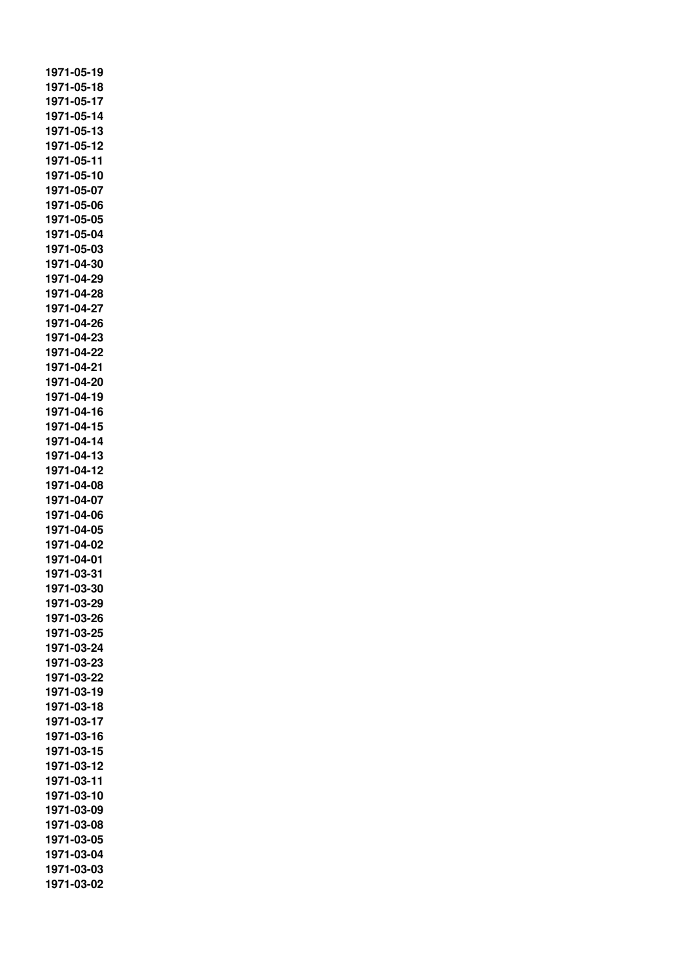**1971-05-19 1971-05-18 1971-05-17 1971-05-14 1971-05-13 1971-05-12 1971-05-11 1971-05-10 1971-05-07 1971-05-06 1971-05-05 1971-05-04 1971-05-03 1971-04-30 1971-04-29 1971-04-28 1971-04-27 1971-04-26 1971-04-23 1971-04-22 1971-04-21 1971-04-20 1971-04-19 1971-04-16 1971-04-15 1971-04-14 1971-04-13 1971-04-12 1971-04-08 1971-04-07 1971-04-06 1971-04-05 1971-04-02 1971-04-01 1971-03-31 1971-03-30 1971-03-29 1971-03-26 1971-03-25 1971-03-24 1971-03-23 1971-03-22 1971-03-19 1971-03-18 1971-03-17 1971-03-16 1971-03-15 1971-03-12 1971-03-11 1971-03-10 1971-03-09 1971-03-08 1971-03-05 1971-03-04 1971-03-03 1971-03-02**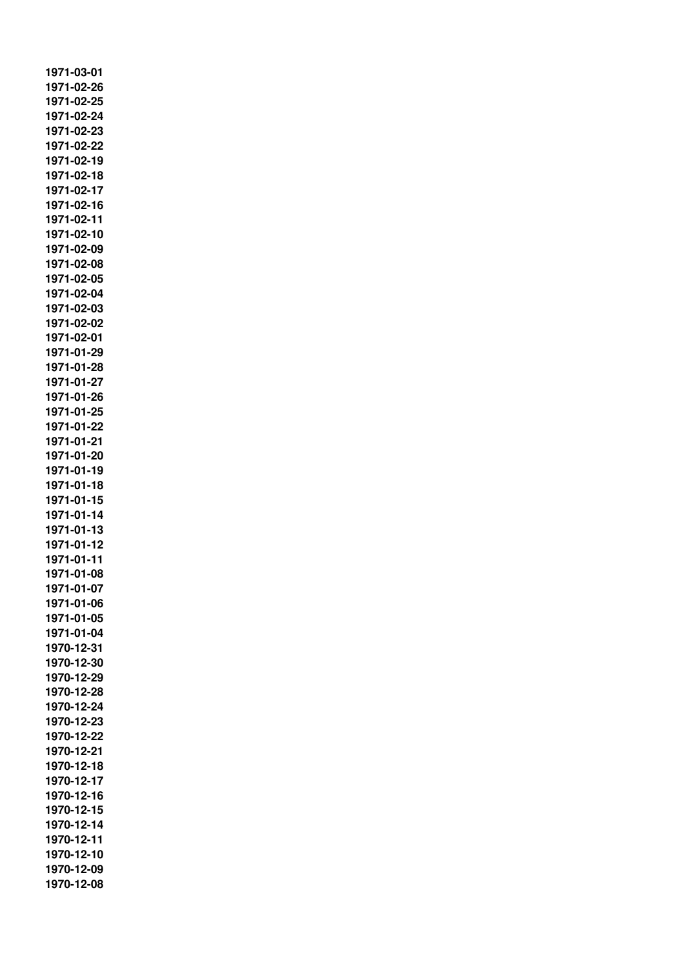**1971-03-01 1971-02-26 1971-02-25 1971-02-24 1971-02-23 1971-02-22 1971-02-19 1971-02-18 1971-02-17 1971-02-16 1971-02-11 1971-02-10 1971-02-09 1971-02-08 1971-02-05 1971-02-04 1971-02-03 1971-02-02 1971-02-01 1971-01-29 1971-01-28 1971-01-27 1971-01-26 1971-01-25 1971-01-22 1971-01-21 1971-01-20 1971-01-19 1971-01-18 1971-01-15 1971-01-14 1971-01-13 1971-01-12 1971-01-11 1971-01-08 1971-01-07 1971-01-06 1971-01-05 1971-01-04 1970-12-31 1970-12-30 1970-12-29 1970-12-28 1970-12-24 1970-12-23 1970-12-22 1970-12-21 1970-12-18 1970-12-17 1970-12-16 1970-12-15 1970-12-14 1970-12-11 1970-12-10 1970-12-09 1970-12-08**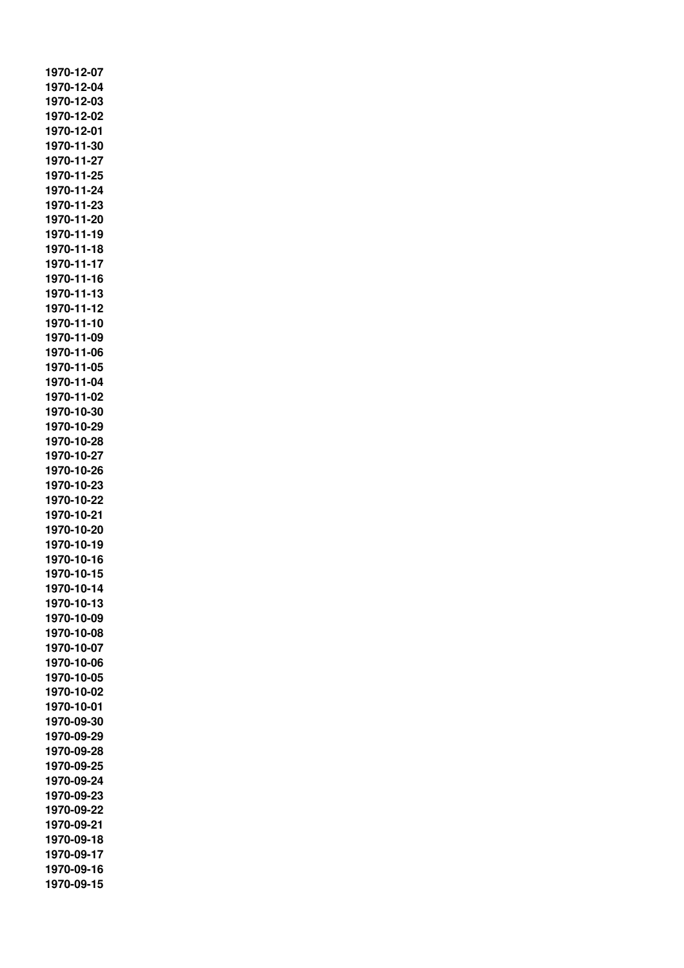**1970-12-07 1970-12-04 1970-12-03 1970-12-02 1970-12-01 1970-11-30 1970-11-27 1970-11-25 1970-11-24 1970-11-23 1970-11-20 1970-11-19 1970-11-18 1970-11-17 1970-11-16 1970-11-13 1970-11-12 1970-11-10 1970-11-09 1970-11-06 1970-11-05 1970-11-04 1970-11-02 1970-10-30 1970-10-29 1970-10-28 1970-10-27 1970-10-26 1970-10-23 1970-10-22 1970-10-21 1970-10-20 1970-10-19 1970-10-16 1970-10-15 1970-10-14 1970-10-13 1970-10-09 1970-10-08 1970-10-07 1970-10-06 1970-10-05 1970-10-02 1970-10-01 1970-09-30 1970-09-29 1970-09-28 1970-09-25 1970-09-24 1970-09-23 1970-09-22 1970-09-21 1970-09-18 1970-09-17 1970-09-16 1970-09-15**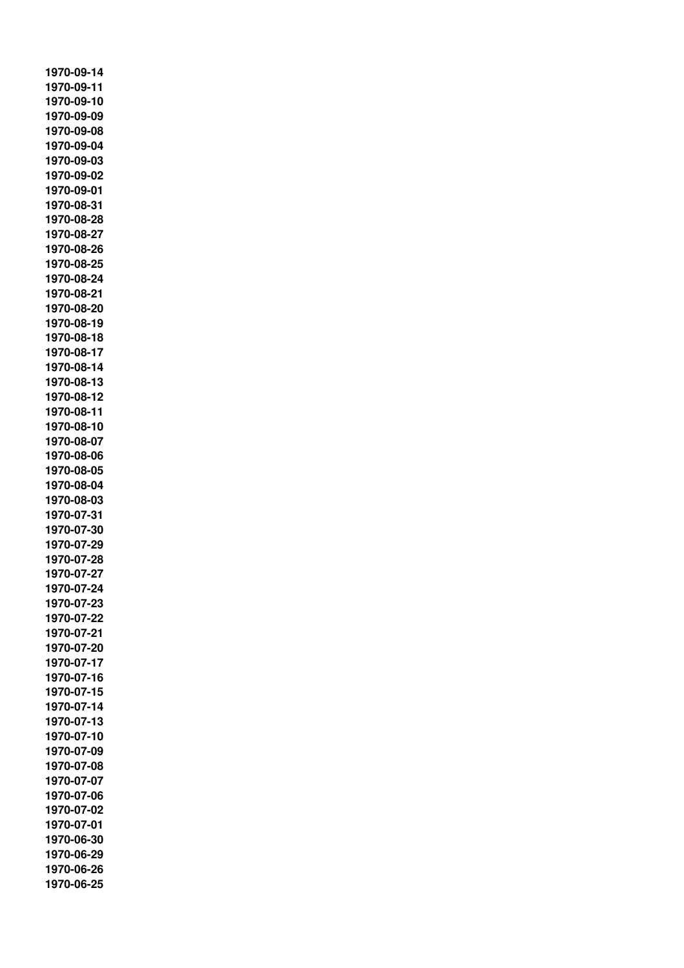**1970-09-14 1970-09-11 1970-09-10 1970-09-09 1970-09-08 1970-09-04 1970-09-03 1970-09-02 1970-09-01 1970-08-31 1970-08-28 1970-08-27 1970-08-26 1970-08-25 1970-08-24 1970-08-21 1970-08-20 1970-08-19 1970-08-18 1970-08-17 1970-08-14 1970-08-13 1970-08-12 1970-08-11 1970-08-10 1970-08-07 1970-08-06 1970-08-05 1970-08-04 1970-08-03 1970-07-31 1970-07-30 1970-07-29 1970-07-28 1970-07-27 1970-07-24 1970-07-23 1970-07-22 1970-07-21 1970-07-20 1970-07-17 1970-07-16 1970-07-15 1970-07-14 1970-07-13 1970-07-10 1970-07-09 1970-07-08 1970-07-07 1970-07-06 1970-07-02 1970-07-01 1970-06-30 1970-06-29 1970-06-26 1970-06-25**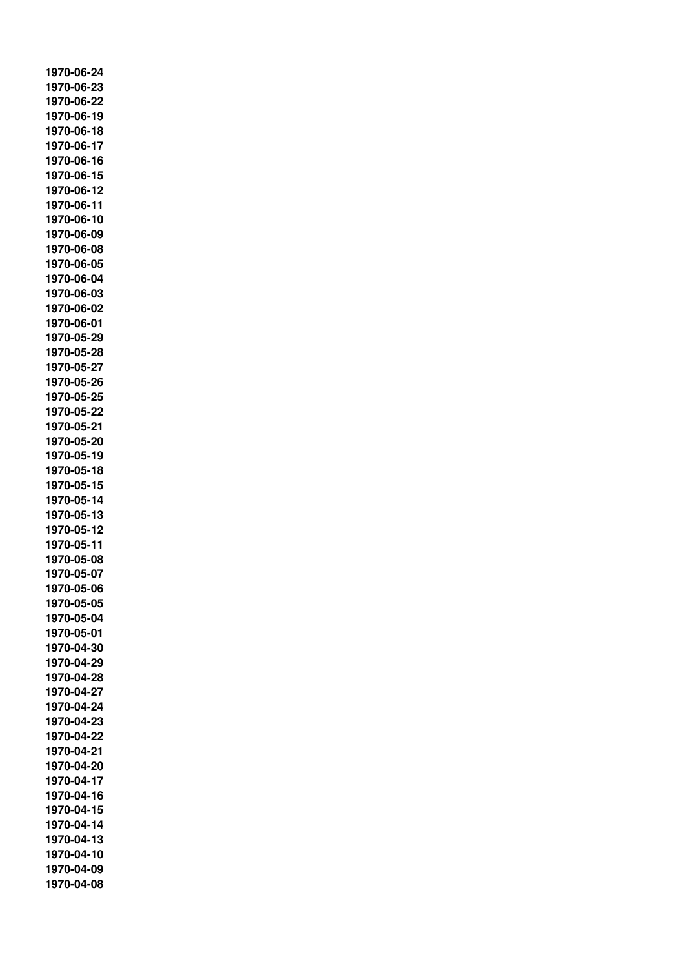**1970-06-24 1970-06-23 1970-06-22 1970-06-19 1970-06-18 1970-06-17 1970-06-16 1970-06-15 1970-06-12 1970-06-11 1970-06-10 1970-06-09 1970-06-08 1970-06-05 1970-06-04 1970-06-03 1970-06-02 1970-06-01 1970-05-29 1970-05-28 1970-05-27 1970-05-26 1970-05-25 1970-05-22 1970-05-21 1970-05-20 1970-05-19 1970-05-18 1970-05-15 1970-05-14 1970-05-13 1970-05-12 1970-05-11 1970-05-08 1970-05-07 1970-05-06 1970-05-05 1970-05-04 1970-05-01 1970-04-30 1970-04-29 1970-04-28 1970-04-27 1970-04-24 1970-04-23 1970-04-22 1970-04-21 1970-04-20 1970-04-17 1970-04-16 1970-04-15 1970-04-14 1970-04-13 1970-04-10 1970-04-09 1970-04-08**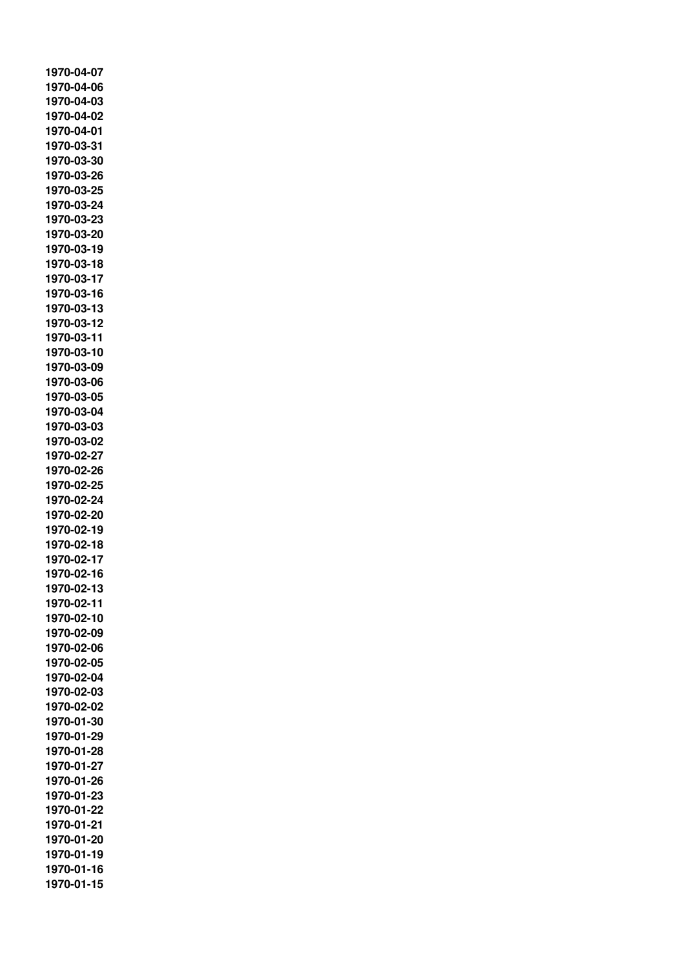**1970-04-07 1970-04-06 1970-04-03 1970-04-02 1970-04-01 1970-03-31 1970-03-30 1970-03-26 1970-03-25 1970-03-24 1970-03-23 1970-03-20 1970-03-19 1970-03-18 1970-03-17 1970-03-16 1970-03-13 1970-03-12 1970-03-11 1970-03-10 1970-03-09 1970-03-06 1970-03-05 1970-03-04 1970-03-03 1970-03-02 1970-02-27 1970-02-26 1970-02-25 1970-02-24 1970-02-20 1970-02-19 1970-02-18 1970-02-17 1970-02-16 1970-02-13 1970-02-11 1970-02-10 1970-02-09 1970-02-06 1970-02-05 1970-02-04 1970-02-03 1970-02-02 1970-01-30 1970-01-29 1970-01-28 1970-01-27 1970-01-26 1970-01-23 1970-01-22 1970-01-21 1970-01-20 1970-01-19 1970-01-16 1970-01-15**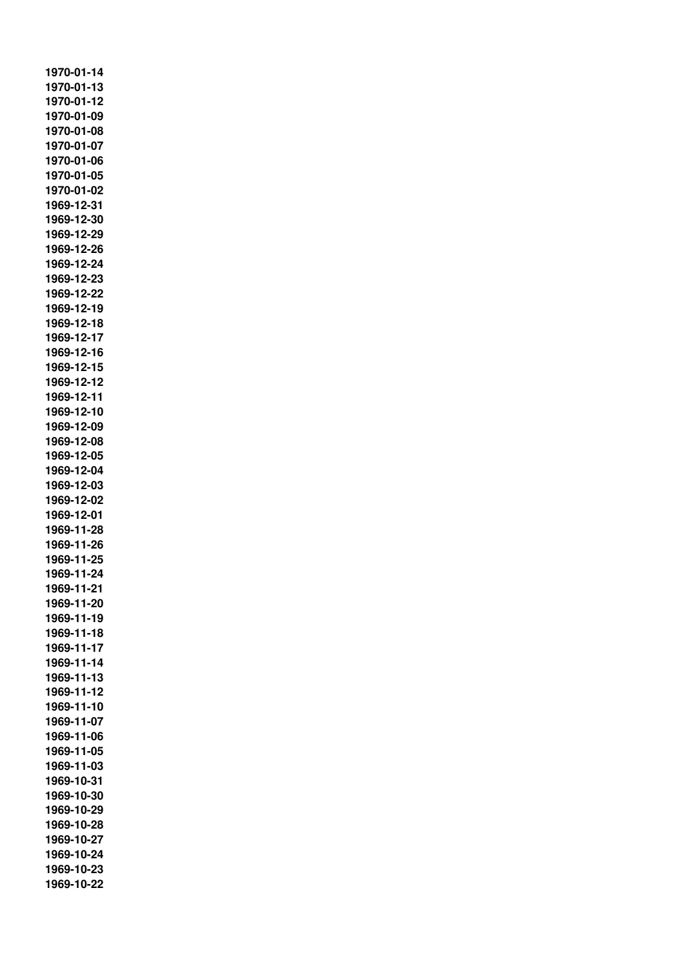**1970-01-14 1970-01-13 1970-01-12 1970-01-09 1970-01-08 1970-01-07 1970-01-06 1970-01-05 1970-01-02 1969-12-31 1969-12-30 1969-12-29 1969-12-26 1969-12-24 1969-12-23 1969-12-22 1969-12-19 1969-12-18 1969-12-17 1969-12-16 1969-12-15 1969-12-12 1969-12-11 1969-12-10 1969-12-09 1969-12-08 1969-12-05 1969-12-04 1969-12-03 1969-12-02 1969-12-01 1969-11-28 1969-11-26 1969-11-25 1969-11-24 1969-11-21 1969-11-20 1969-11-19 1969-11-18 1969-11-17 1969-11-14 1969-11-13 1969-11-12 1969-11-10 1969-11-07 1969-11-06 1969-11-05 1969-11-03 1969-10-31 1969-10-30 1969-10-29 1969-10-28 1969-10-27 1969-10-24 1969-10-23 1969-10-22**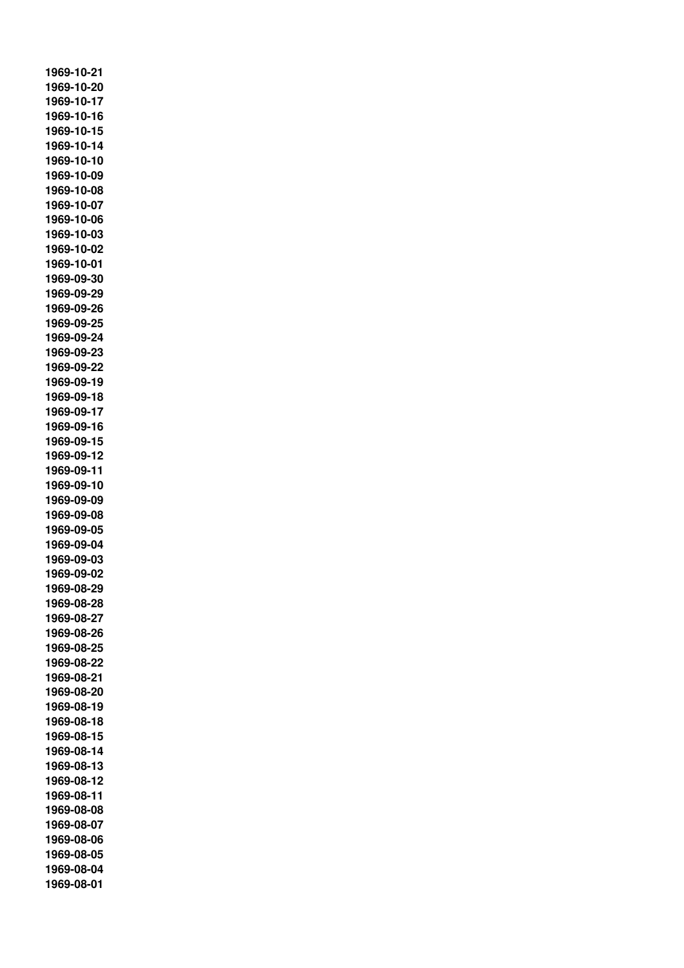**1969-10-21 1969-10-20 1969-10-17 1969-10-16 1969-10-15 1969-10-14 1969-10-10 1969-10-09 1969-10-08 1969-10-07 1969-10-06 1969-10-03 1969-10-02 1969-10-01 1969-09-30 1969-09-29 1969-09-26 1969-09-25 1969-09-24 1969-09-23 1969-09-22 1969-09-19 1969-09-18 1969-09-17 1969-09-16 1969-09-15 1969-09-12 1969-09-11 1969-09-10 1969-09-09 1969-09-08 1969-09-05 1969-09-04 1969-09-03 1969-09-02 1969-08-29 1969-08-28 1969-08-27 1969-08-26 1969-08-25 1969-08-22 1969-08-21 1969-08-20 1969-08-19 1969-08-18 1969-08-15 1969-08-14 1969-08-13 1969-08-12 1969-08-11 1969-08-08 1969-08-07 1969-08-06 1969-08-05 1969-08-04 1969-08-01**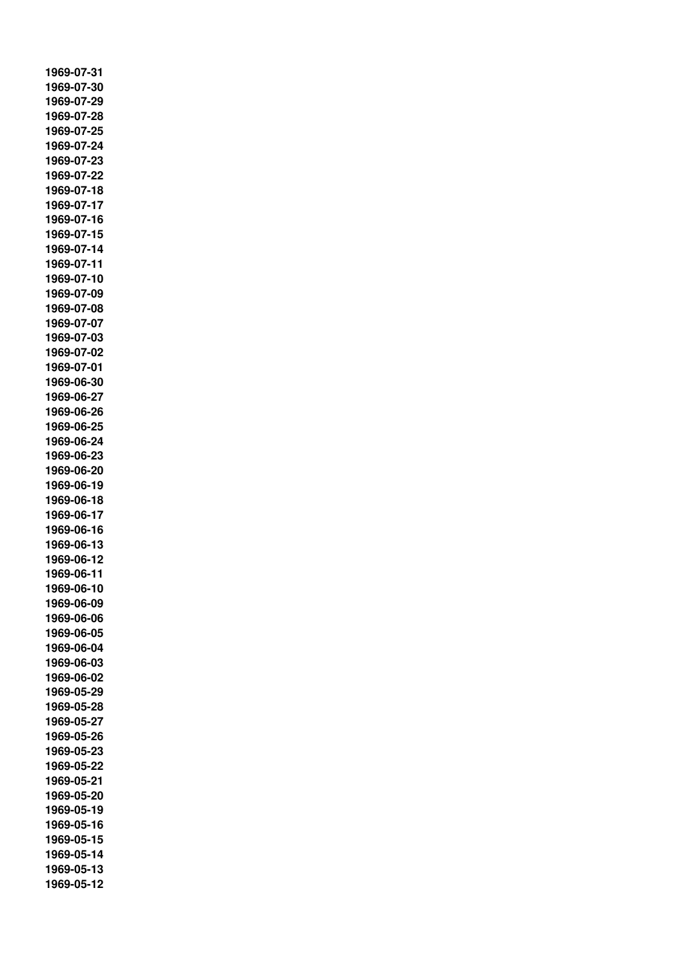**1969-07-31 1969-07-30 1969-07-29 1969-07-28 1969-07-25 1969-07-24 1969-07-23 1969-07-22 1969-07-18 1969-07-17 1969-07-16 1969-07-15 1969-07-14 1969-07-11 1969-07-10 1969-07-09 1969-07-08 1969-07-07 1969-07-03 1969-07-02 1969-07-01 1969-06-30 1969-06-27 1969-06-26 1969-06-25 1969-06-24 1969-06-23 1969-06-20 1969-06-19 1969-06-18 1969-06-17 1969-06-16 1969-06-13 1969-06-12 1969-06-11 1969-06-10 1969-06-09 1969-06-06 1969-06-05 1969-06-04 1969-06-03 1969-06-02 1969-05-29 1969-05-28 1969-05-27 1969-05-26 1969-05-23 1969-05-22 1969-05-21 1969-05-20 1969-05-19 1969-05-16 1969-05-15 1969-05-14 1969-05-13 1969-05-12**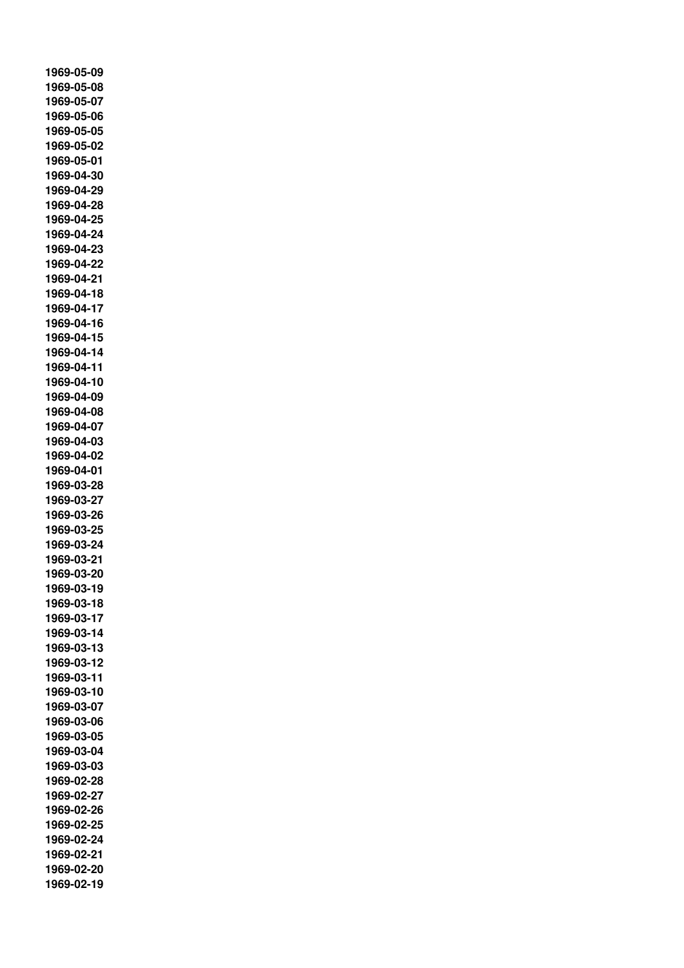**1969-05-09 1969-05-08 1969-05-07 1969-05-06 1969-05-05 1969-05-02 1969-05-01 1969-04-30 1969-04-29 1969-04-28 1969-04-25 1969-04-24 1969-04-23 1969-04-22 1969-04-21 1969-04-18 1969-04-17 1969-04-16 1969-04-15 1969-04-14 1969-04-11 1969-04-10 1969-04-09 1969-04-08 1969-04-07 1969-04-03 1969-04-02 1969-04-01 1969-03-28 1969-03-27 1969-03-26 1969-03-25 1969-03-24 1969-03-21 1969-03-20 1969-03-19 1969-03-18 1969-03-17 1969-03-14 1969-03-13 1969-03-12 1969-03-11 1969-03-10 1969-03-07 1969-03-06 1969-03-05 1969-03-04 1969-03-03 1969-02-28 1969-02-27 1969-02-26 1969-02-25 1969-02-24 1969-02-21 1969-02-20 1969-02-19**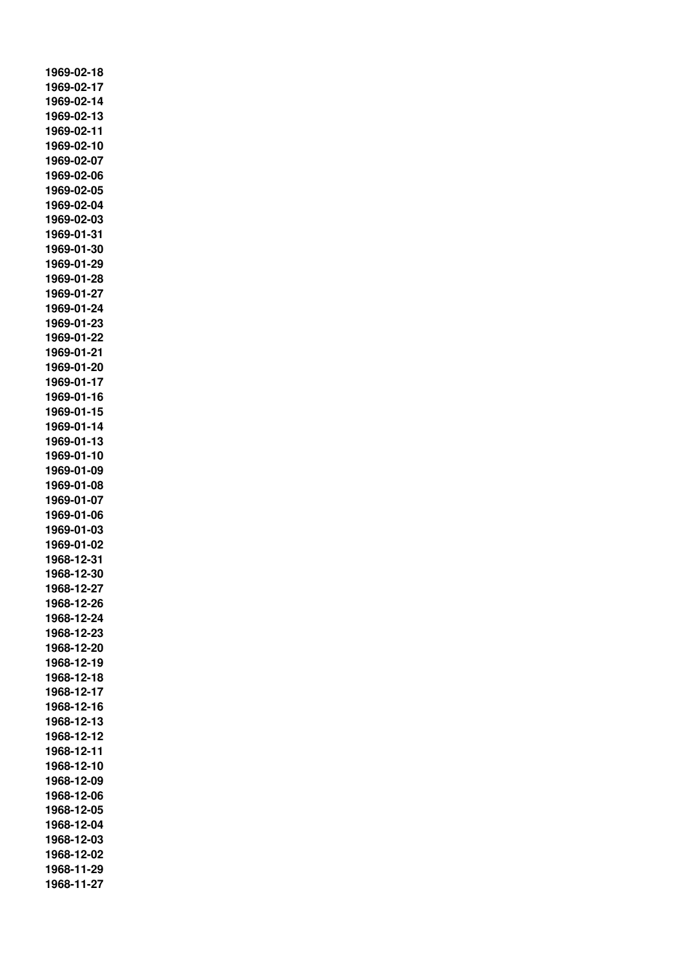**1969-02-18 1969-02-17 1969-02-14 1969-02-13 1969-02-11 1969-02-10 1969-02-07 1969-02-06 1969-02-05 1969-02-04 1969-02-03 1969-01-31 1969-01-30 1969-01-29 1969-01-28 1969-01-27 1969-01-24 1969-01-23 1969-01-22 1969-01-21 1969-01-20 1969-01-17 1969-01-16 1969-01-15 1969-01-14 1969-01-13 1969-01-10 1969-01-09 1969-01-08 1969-01-07 1969-01-06 1969-01-03 1969-01-02 1968-12-31 1968-12-30 1968-12-27 1968-12-26 1968-12-24 1968-12-23 1968-12-20 1968-12-19 1968-12-18 1968-12-17 1968-12-16 1968-12-13 1968-12-12 1968-12-11 1968-12-10 1968-12-09 1968-12-06 1968-12-05 1968-12-04 1968-12-03 1968-12-02 1968-11-29 1968-11-27**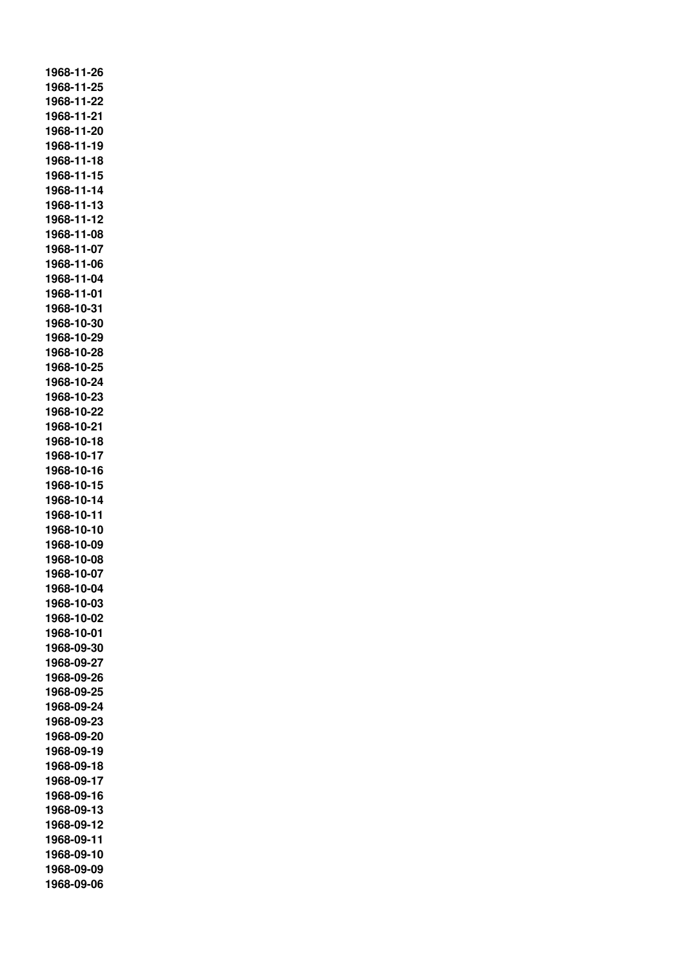**1968-11-26 1968-11-25 1968-11-22 1968-11-21 1968-11-20 1968-11-19 1968-11-18 1968-11-15 1968-11-14 1968-11-13 1968-11-12 1968-11-08 1968-11-07 1968-11-06 1968-11-04 1968-11-01 1968-10-31 1968-10-30 1968-10-29 1968-10-28 1968-10-25 1968-10-24 1968-10-23 1968-10-22 1968-10-21 1968-10-18 1968-10-17 1968-10-16 1968-10-15 1968-10-14 1968-10-11 1968-10-10 1968-10-09 1968-10-08 1968-10-07 1968-10-04 1968-10-03 1968-10-02 1968-10-01 1968-09-30 1968-09-27 1968-09-26 1968-09-25 1968-09-24 1968-09-23 1968-09-20 1968-09-19 1968-09-18 1968-09-17 1968-09-16 1968-09-13 1968-09-12 1968-09-11 1968-09-10 1968-09-09 1968-09-06**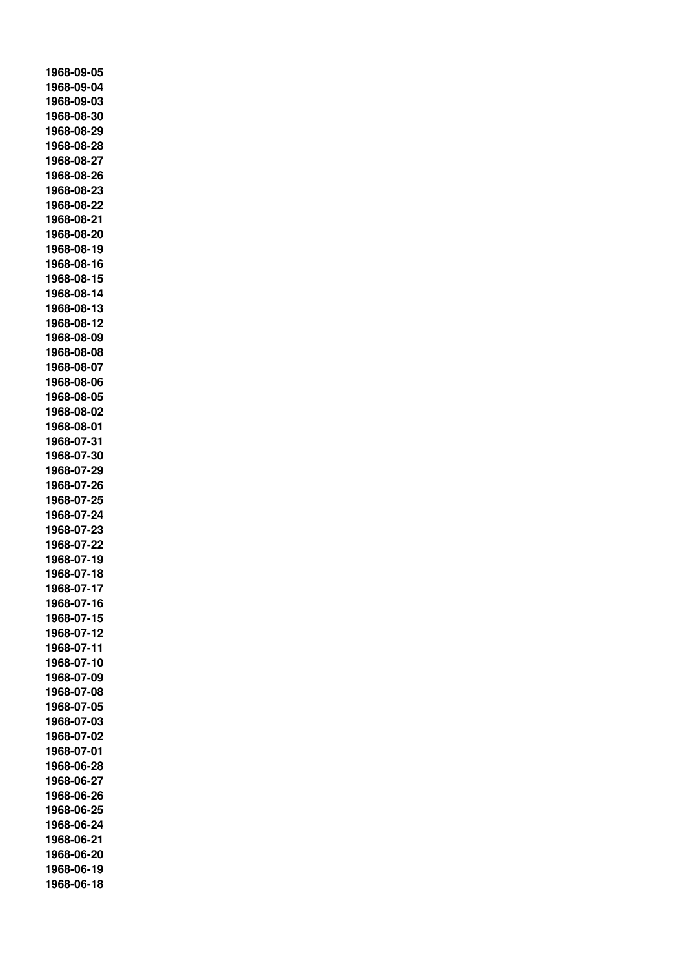**1968-09-05 1968-09-04 1968-09-03 1968-08-30 1968-08-29 1968-08-28 1968-08-27 1968-08-26 1968-08-23 1968-08-22 1968-08-21 1968-08-20 1968-08-19 1968-08-16 1968-08-15 1968-08-14 1968-08-13 1968-08-12 1968-08-09 1968-08-08 1968-08-07 1968-08-06 1968-08-05 1968-08-02 1968-08-01 1968-07-31 1968-07-30 1968-07-29 1968-07-26 1968-07-25 1968-07-24 1968-07-23 1968-07-22 1968-07-19 1968-07-18 1968-07-17 1968-07-16 1968-07-15 1968-07-12 1968-07-11 1968-07-10 1968-07-09 1968-07-08 1968-07-05 1968-07-03 1968-07-02 1968-07-01 1968-06-28 1968-06-27 1968-06-26 1968-06-25 1968-06-24 1968-06-21 1968-06-20 1968-06-19 1968-06-18**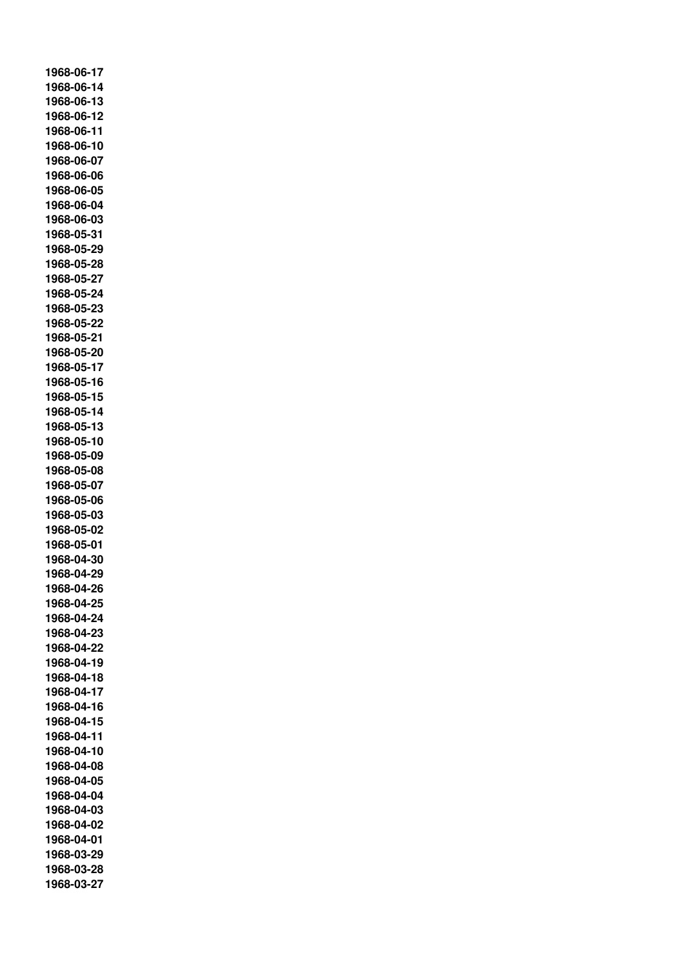**1968-06-17 1968-06-14 1968-06-13 1968-06-12 1968-06-11 1968-06-10 1968-06-07 1968-06-06 1968-06-05 1968-06-04 1968-06-03 1968-05-31 1968-05-29 1968-05-28 1968-05-27 1968-05-24 1968-05-23 1968-05-22 1968-05-21 1968-05-20 1968-05-17 1968-05-16 1968-05-15 1968-05-14 1968-05-13 1968-05-10 1968-05-09 1968-05-08 1968-05-07 1968-05-06 1968-05-03 1968-05-02 1968-05-01 1968-04-30 1968-04-29 1968-04-26 1968-04-25 1968-04-24 1968-04-23 1968-04-22 1968-04-19 1968-04-18 1968-04-17 1968-04-16 1968-04-15 1968-04-11 1968-04-10 1968-04-08 1968-04-05 1968-04-04 1968-04-03 1968-04-02 1968-04-01 1968-03-29 1968-03-28 1968-03-27**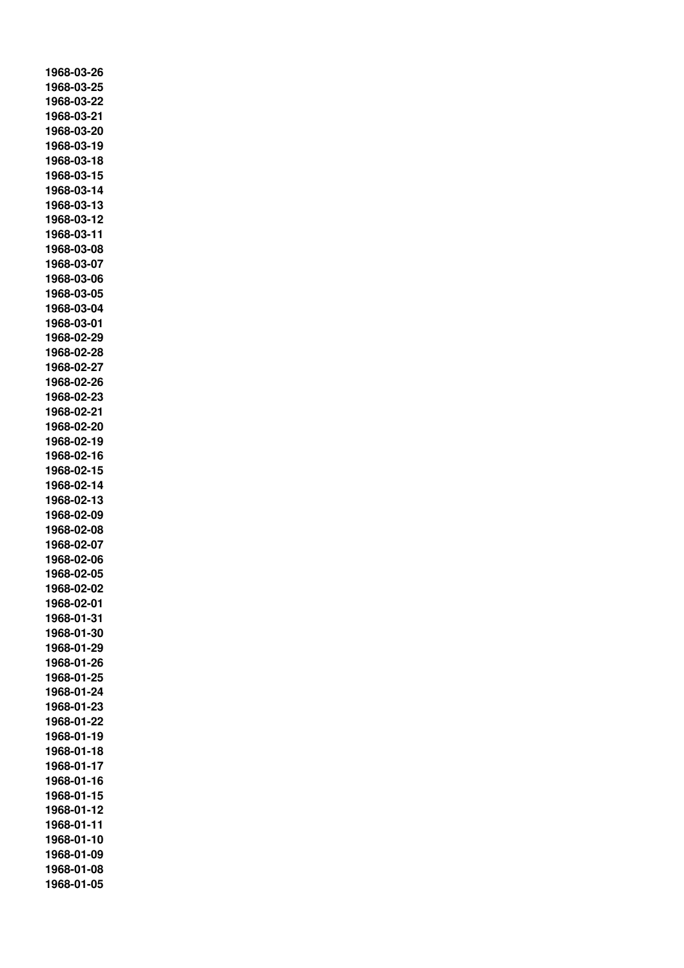**1968-03-26 1968-03-25 1968-03-22 1968-03-21 1968-03-20 1968-03-19 1968-03-18 1968-03-15 1968-03-14 1968-03-13 1968-03-12 1968-03-11 1968-03-08 1968-03-07 1968-03-06 1968-03-05 1968-03-04 1968-03-01 1968-02-29 1968-02-28 1968-02-27 1968-02-26 1968-02-23 1968-02-21 1968-02-20 1968-02-19 1968-02-16 1968-02-15 1968-02-14 1968-02-13 1968-02-09 1968-02-08 1968-02-07 1968-02-06 1968-02-05 1968-02-02 1968-02-01 1968-01-31 1968-01-30 1968-01-29 1968-01-26 1968-01-25 1968-01-24 1968-01-23 1968-01-22 1968-01-19 1968-01-18 1968-01-17 1968-01-16 1968-01-15 1968-01-12 1968-01-11 1968-01-10 1968-01-09 1968-01-08 1968-01-05**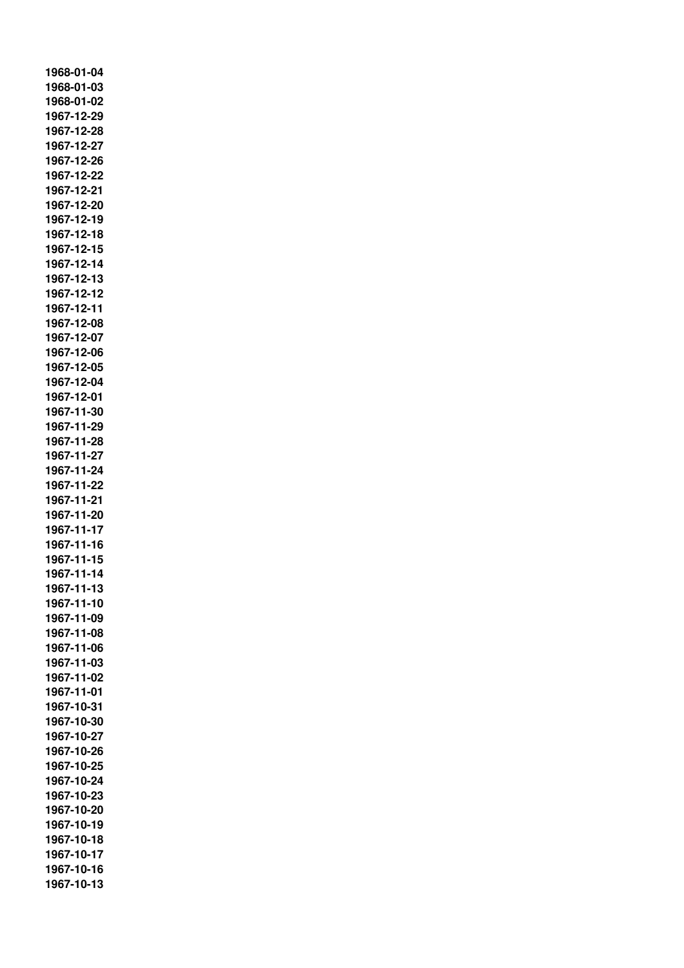**1968-01-04 1968-01-03 1968-01-02 1967-12-29 1967-12-28 1967-12-27 1967-12-26 1967-12-22 1967-12-21 1967-12-20 1967-12-19 1967-12-18 1967-12-15 1967-12-14 1967-12-13 1967-12-12 1967-12-11 1967-12-08 1967-12-07 1967-12-06 1967-12-05 1967-12-04 1967-12-01 1967-11-30 1967-11-29 1967-11-28 1967-11-27 1967-11-24 1967-11-22 1967-11-21 1967-11-20 1967-11-17 1967-11-16 1967-11-15 1967-11-14 1967-11-13 1967-11-10 1967-11-09 1967-11-08 1967-11-06 1967-11-03 1967-11-02 1967-11-01 1967-10-31 1967-10-30 1967-10-27 1967-10-26 1967-10-25 1967-10-24 1967-10-23 1967-10-20 1967-10-19 1967-10-18 1967-10-17 1967-10-16 1967-10-13**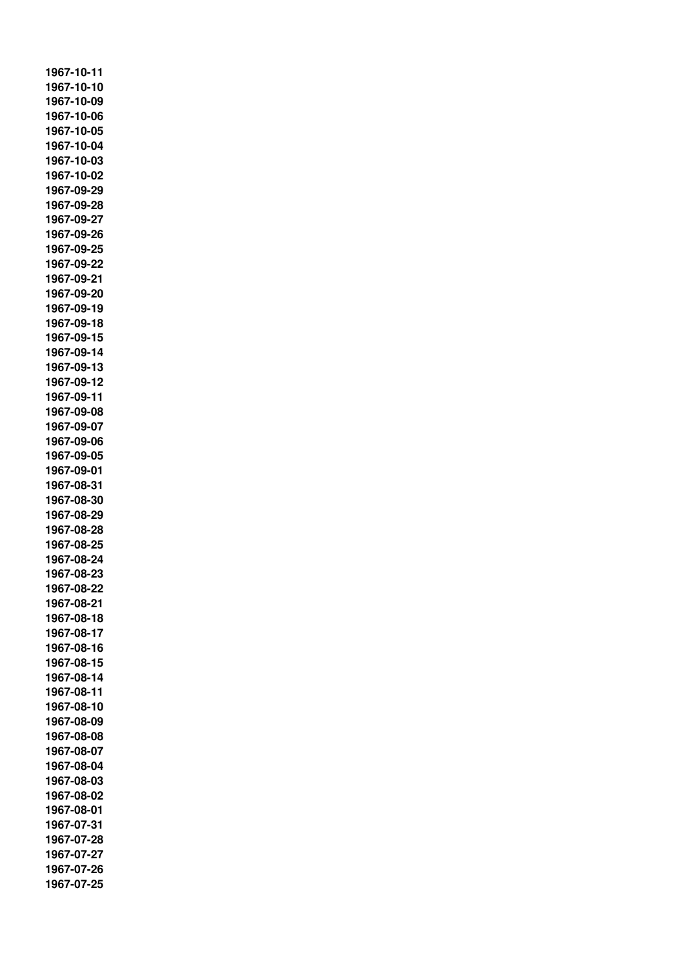**1967-10-11 1967-10-10 1967-10-09 1967-10-06 1967-10-05 1967-10-04 1967-10-03 1967-10-02 1967-09-29 1967-09-28 1967-09-27 1967-09-26 1967-09-25 1967-09-22 1967-09-21 1967-09-20 1967-09-19 1967-09-18 1967-09-15 1967-09-14 1967-09-13 1967-09-12 1967-09-11 1967-09-08 1967-09-07 1967-09-06 1967-09-05 1967-09-01 1967-08-31 1967-08-30 1967-08-29 1967-08-28 1967-08-25 1967-08-24 1967-08-23 1967-08-22 1967-08-21 1967-08-18 1967-08-17 1967-08-16 1967-08-15 1967-08-14 1967-08-11 1967-08-10 1967-08-09 1967-08-08 1967-08-07 1967-08-04 1967-08-03 1967-08-02 1967-08-01 1967-07-31 1967-07-28 1967-07-27 1967-07-26 1967-07-25**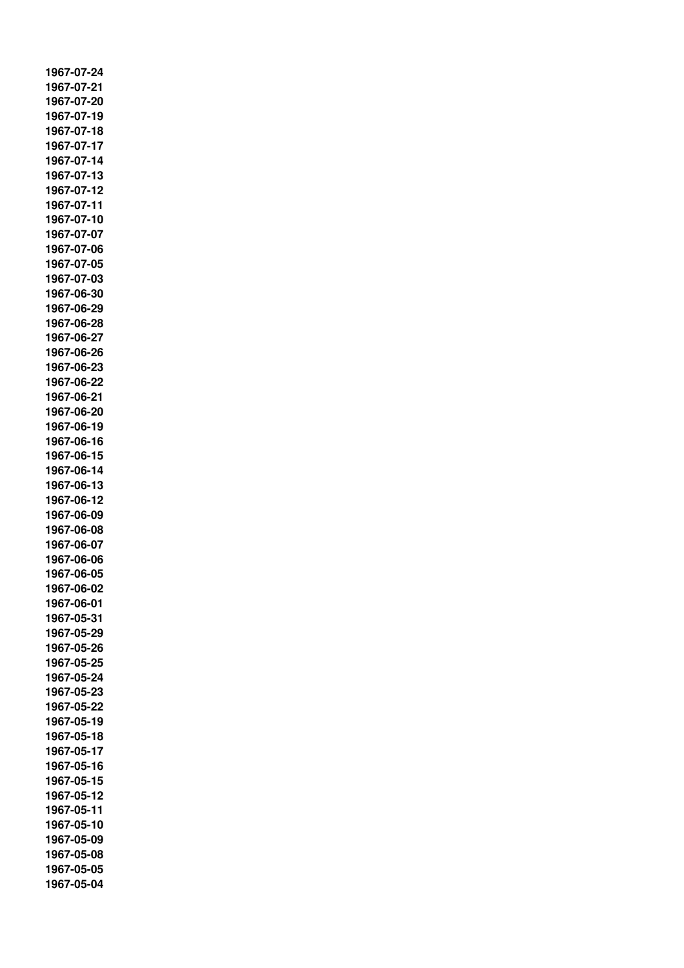**1967-07-24 1967-07-21 1967-07-20 1967-07-19 1967-07-18 1967-07-17 1967-07-14 1967-07-13 1967-07-12 1967-07-11 1967-07-10 1967-07-07 1967-07-06 1967-07-05 1967-07-03 1967-06-30 1967-06-29 1967-06-28 1967-06-27 1967-06-26 1967-06-23 1967-06-22 1967-06-21 1967-06-20 1967-06-19 1967-06-16 1967-06-15 1967-06-14 1967-06-13 1967-06-12 1967-06-09 1967-06-08 1967-06-07 1967-06-06 1967-06-05 1967-06-02 1967-06-01 1967-05-31 1967-05-29 1967-05-26 1967-05-25 1967-05-24 1967-05-23 1967-05-22 1967-05-19 1967-05-18 1967-05-17 1967-05-16 1967-05-15 1967-05-12 1967-05-11 1967-05-10 1967-05-09 1967-05-08 1967-05-05 1967-05-04**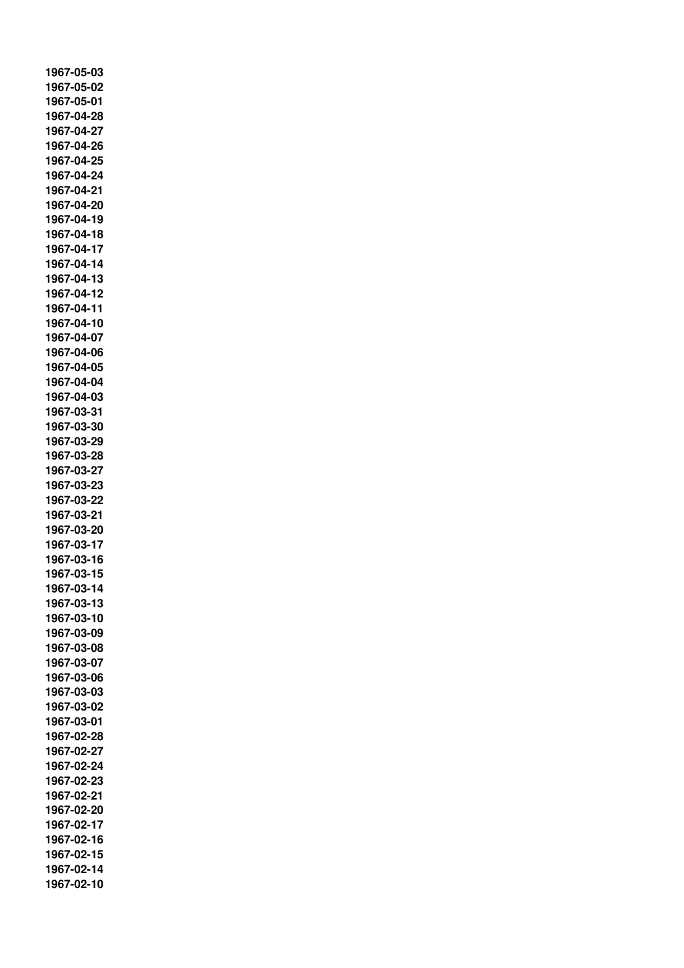**1967-05-03 1967-05-02 1967-05-01 1967-04-28 1967-04-27 1967-04-26 1967-04-25 1967-04-24 1967-04-21 1967-04-20 1967-04-19 1967-04-18 1967-04-17 1967-04-14 1967-04-13 1967-04-12 1967-04-11 1967-04-10 1967-04-07 1967-04-06 1967-04-05 1967-04-04 1967-04-03 1967-03-31 1967-03-30 1967-03-29 1967-03-28 1967-03-27 1967-03-23 1967-03-22 1967-03-21 1967-03-20 1967-03-17 1967-03-16 1967-03-15 1967-03-14 1967-03-13 1967-03-10 1967-03-09 1967-03-08 1967-03-07 1967-03-06 1967-03-03 1967-03-02 1967-03-01 1967-02-28 1967-02-27 1967-02-24 1967-02-23 1967-02-21 1967-02-20 1967-02-17 1967-02-16 1967-02-15 1967-02-14 1967-02-10**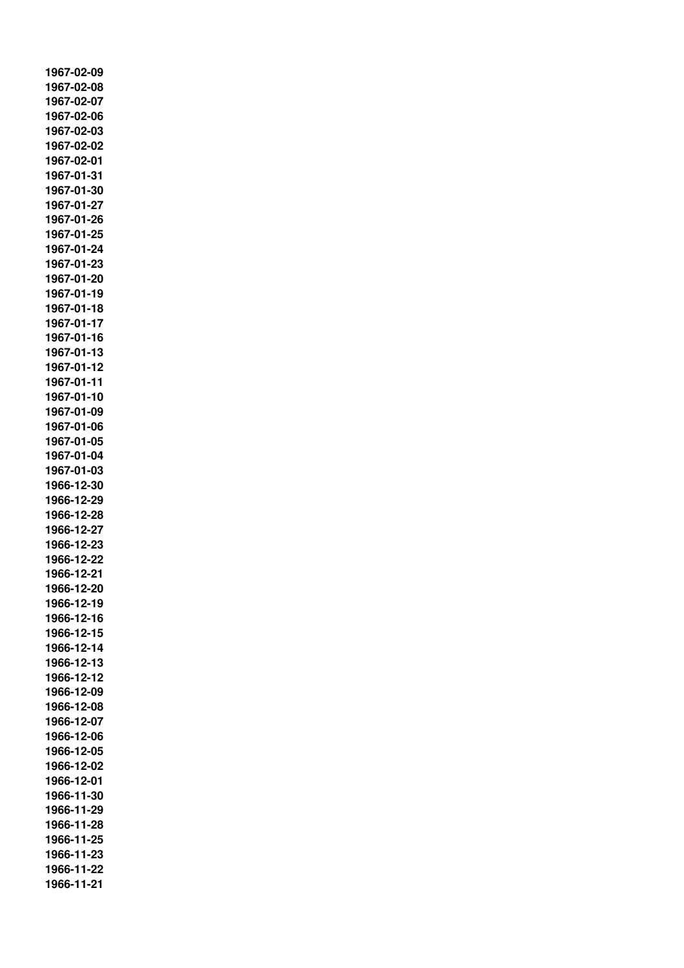**1967-02-09 1967-02-08 1967-02-07 1967-02-06 1967-02-03 1967-02-02 1967-02-01 1967-01-31 1967-01-30 1967-01-27 1967-01-26 1967-01-25 1967-01-24 1967-01-23 1967-01-20 1967-01-19 1967-01-18 1967-01-17 1967-01-16 1967-01-13 1967-01-12 1967-01-11 1967-01-10 1967-01-09 1967-01-06 1967-01-05 1967-01-04 1967-01-03 1966-12-30 1966-12-29 1966-12-28 1966-12-27 1966-12-23 1966-12-22 1966-12-21 1966-12-20 1966-12-19 1966-12-16 1966-12-15 1966-12-14 1966-12-13 1966-12-12 1966-12-09 1966-12-08 1966-12-07 1966-12-06 1966-12-05 1966-12-02 1966-12-01 1966-11-30 1966-11-29 1966-11-28 1966-11-25 1966-11-23 1966-11-22 1966-11-21**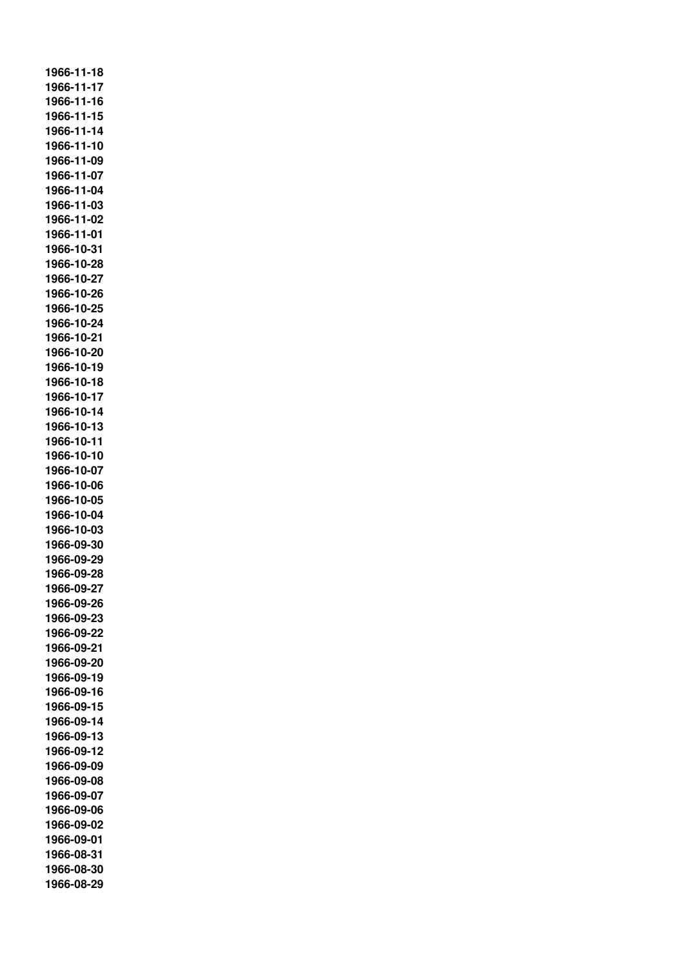**1966-11-18 1966-11-17 1966-11-16 1966-11-15 1966-11-14 1966-11-10 1966-11-09 1966-11-07 1966-11-04 1966-11-03 1966-11-02 1966-11-01 1966-10-31 1966-10-28 1966-10-27 1966-10-26 1966-10-25 1966-10-24 1966-10-21 1966-10-20 1966-10-19 1966-10-18 1966-10-17 1966-10-14 1966-10-13 1966-10-11 1966-10-10 1966-10-07 1966-10-06 1966-10-05 1966-10-04 1966-10-03 1966-09-30 1966-09-29 1966-09-28 1966-09-27 1966-09-26 1966-09-23 1966-09-22 1966-09-21 1966-09-20 1966-09-19 1966-09-16 1966-09-15 1966-09-14 1966-09-13 1966-09-12 1966-09-09 1966-09-08 1966-09-07 1966-09-06 1966-09-02 1966-09-01 1966-08-31 1966-08-30 1966-08-29**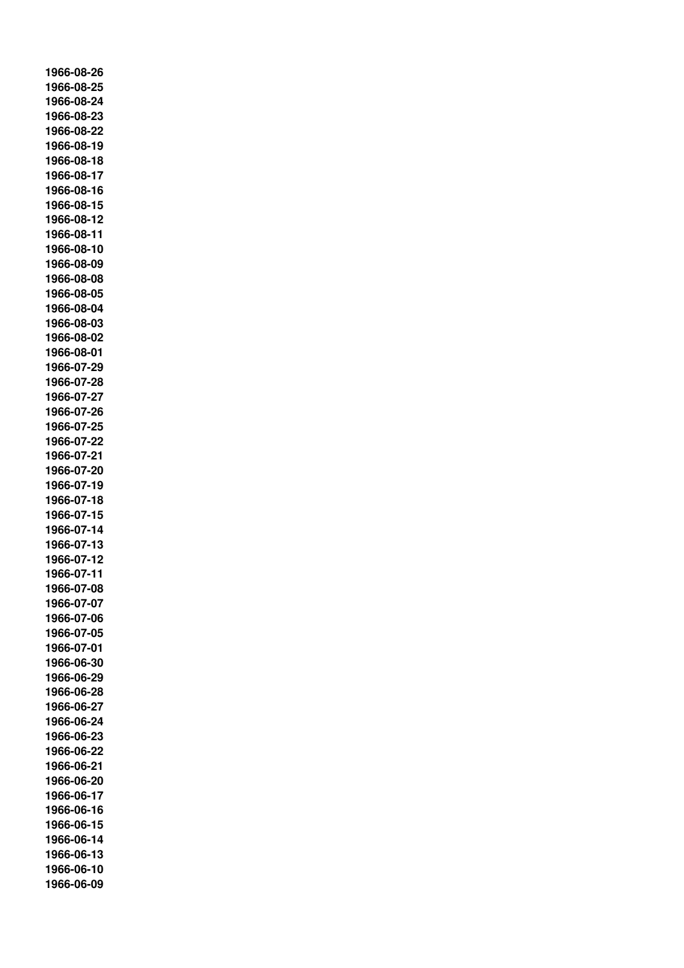**1966-08-26 1966-08-25 1966-08-24 1966-08-23 1966-08-22 1966-08-19 1966-08-18 1966-08-17 1966-08-16 1966-08-15 1966-08-12 1966-08-11 1966-08-10 1966-08-09 1966-08-08 1966-08-05 1966-08-04 1966-08-03 1966-08-02 1966-08-01 1966-07-29 1966-07-28 1966-07-27 1966-07-26 1966-07-25 1966-07-22 1966-07-21 1966-07-20 1966-07-19 1966-07-18 1966-07-15 1966-07-14 1966-07-13 1966-07-12 1966-07-11 1966-07-08 1966-07-07 1966-07-06 1966-07-05 1966-07-01 1966-06-30 1966-06-29 1966-06-28 1966-06-27 1966-06-24 1966-06-23 1966-06-22 1966-06-21 1966-06-20 1966-06-17 1966-06-16 1966-06-15 1966-06-14 1966-06-13 1966-06-10 1966-06-09**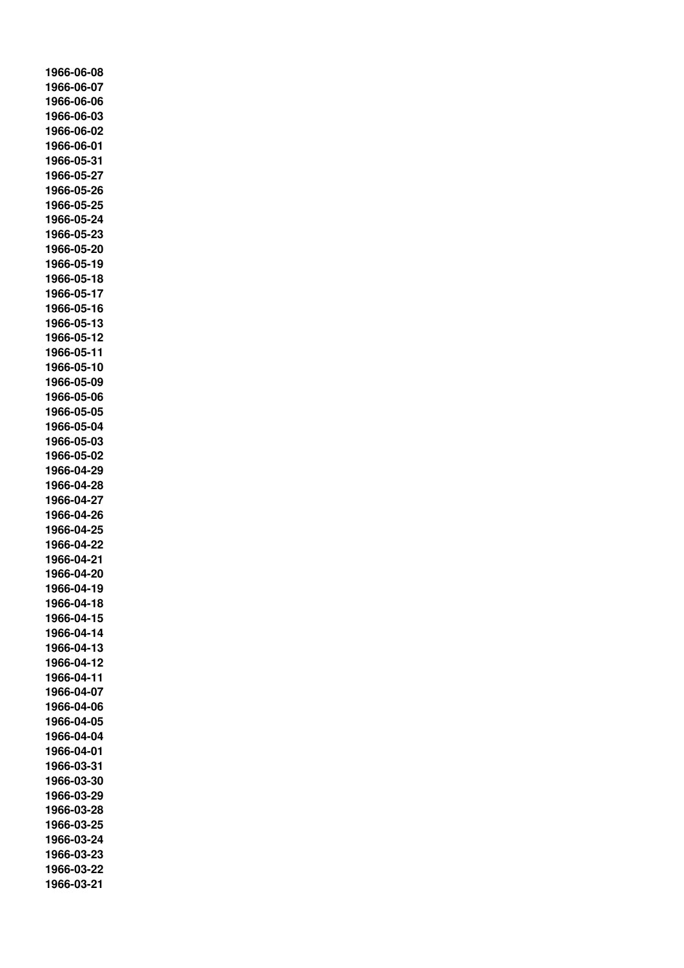**1966-06-08 1966-06-07 1966-06-06 1966-06-03 1966-06-02 1966-06-01 1966-05-31 1966-05-27 1966-05-26 1966-05-25 1966-05-24 1966-05-23 1966-05-20 1966-05-19 1966-05-18 1966-05-17 1966-05-16 1966-05-13 1966-05-12 1966-05-11 1966-05-10 1966-05-09 1966-05-06 1966-05-05 1966-05-04 1966-05-03 1966-05-02 1966-04-29 1966-04-28 1966-04-27 1966-04-26 1966-04-25 1966-04-22 1966-04-21 1966-04-20 1966-04-19 1966-04-18 1966-04-15 1966-04-14 1966-04-13 1966-04-12 1966-04-11 1966-04-07 1966-04-06 1966-04-05 1966-04-04 1966-04-01 1966-03-31 1966-03-30 1966-03-29 1966-03-28 1966-03-25 1966-03-24 1966-03-23 1966-03-22 1966-03-21**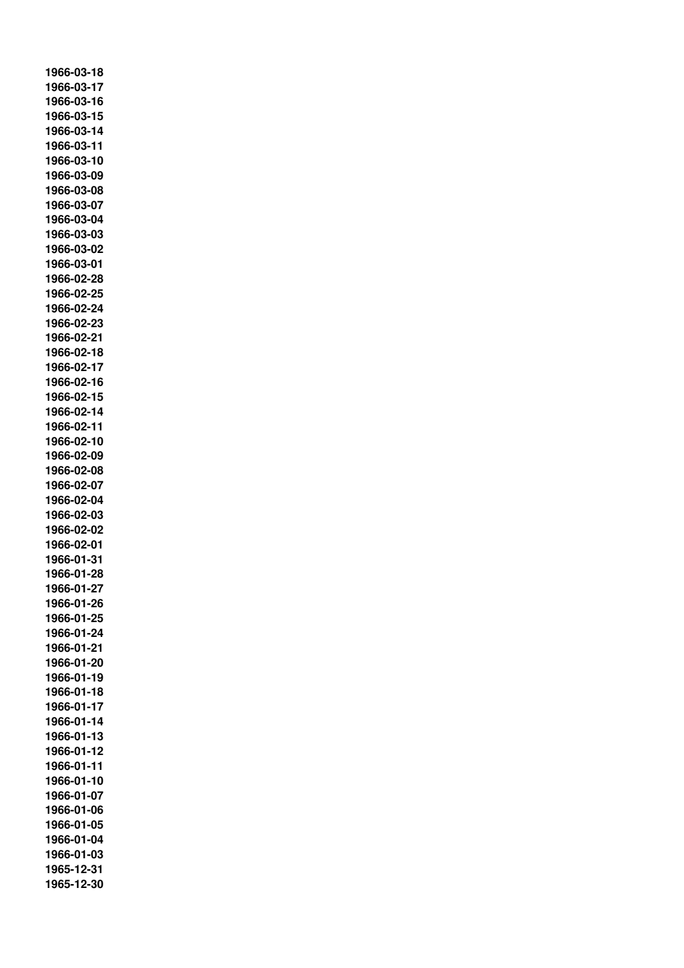**1966-03-18 1966-03-17 1966-03-16 1966-03-15 1966-03-14 1966-03-11 1966-03-10 1966-03-09 1966-03-08 1966-03-07 1966-03-04 1966-03-03 1966-03-02 1966-03-01 1966-02-28 1966-02-25 1966-02-24 1966-02-23 1966-02-21 1966-02-18 1966-02-17 1966-02-16 1966-02-15 1966-02-14 1966-02-11 1966-02-10 1966-02-09 1966-02-08 1966-02-07 1966-02-04 1966-02-03 1966-02-02 1966-02-01 1966-01-31 1966-01-28 1966-01-27 1966-01-26 1966-01-25 1966-01-24 1966-01-21 1966-01-20 1966-01-19 1966-01-18 1966-01-17 1966-01-14 1966-01-13 1966-01-12 1966-01-11 1966-01-10 1966-01-07 1966-01-06 1966-01-05 1966-01-04 1966-01-03 1965-12-31 1965-12-30**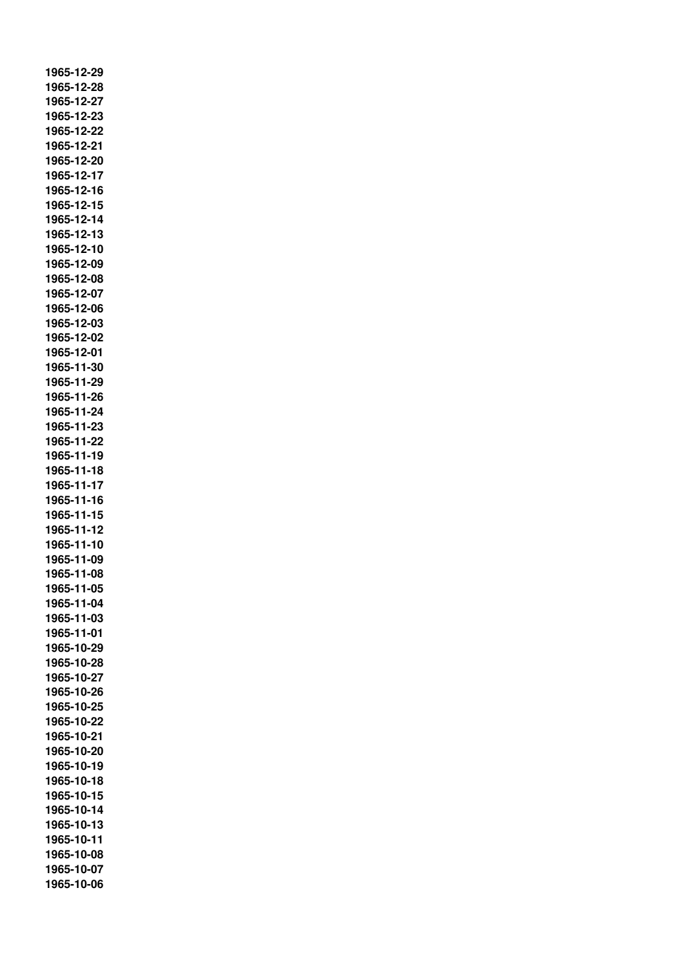**1965-12-29 1965-12-28 1965-12-27 1965-12-23 1965-12-22 1965-12-21 1965-12-20 1965-12-17 1965-12-16 1965-12-15 1965-12-14 1965-12-13 1965-12-10 1965-12-09 1965-12-08 1965-12-07 1965-12-06 1965-12-03 1965-12-02 1965-12-01 1965-11-30 1965-11-29 1965-11-26 1965-11-24 1965-11-23 1965-11-22 1965-11-19 1965-11-18 1965-11-17 1965-11-16 1965-11-15 1965-11-12 1965-11-10 1965-11-09 1965-11-08 1965-11-05 1965-11-04 1965-11-03 1965-11-01 1965-10-29 1965-10-28 1965-10-27 1965-10-26 1965-10-25 1965-10-22 1965-10-21 1965-10-20 1965-10-19 1965-10-18 1965-10-15 1965-10-14 1965-10-13 1965-10-11 1965-10-08 1965-10-07 1965-10-06**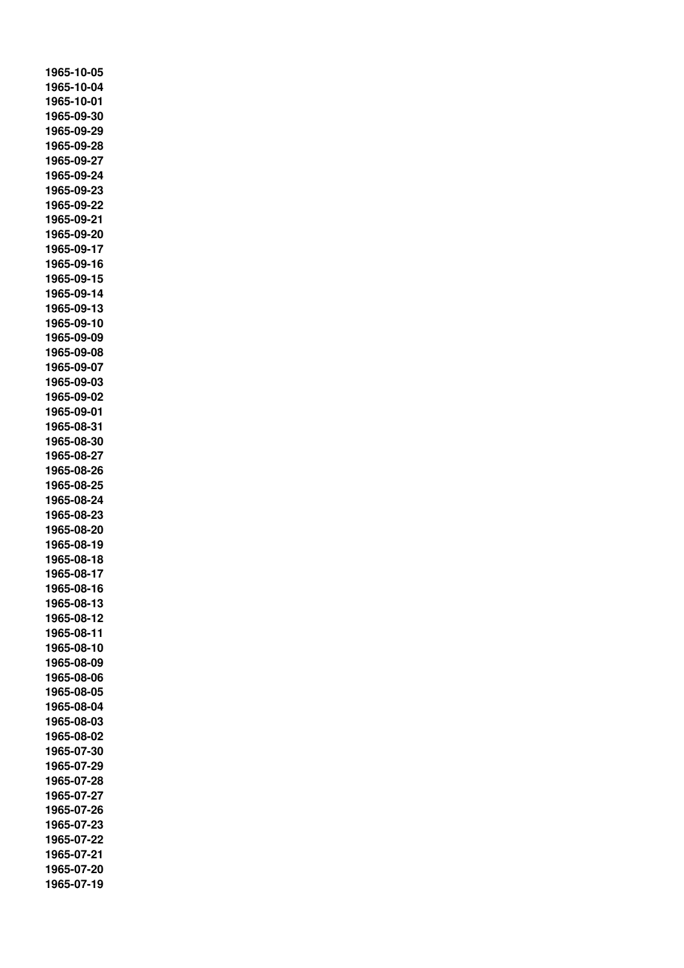**1965-10-05 1965-10-04 1965-10-01 1965-09-30 1965-09-29 1965-09-28 1965-09-27 1965-09-24 1965-09-23 1965-09-22 1965-09-21 1965-09-20 1965-09-17 1965-09-16 1965-09-15 1965-09-14 1965-09-13 1965-09-10 1965-09-09 1965-09-08 1965-09-07 1965-09-03 1965-09-02 1965-09-01 1965-08-31 1965-08-30 1965-08-27 1965-08-26 1965-08-25 1965-08-24 1965-08-23 1965-08-20 1965-08-19 1965-08-18 1965-08-17 1965-08-16 1965-08-13 1965-08-12 1965-08-11 1965-08-10 1965-08-09 1965-08-06 1965-08-05 1965-08-04 1965-08-03 1965-08-02 1965-07-30 1965-07-29 1965-07-28 1965-07-27 1965-07-26 1965-07-23 1965-07-22 1965-07-21 1965-07-20 1965-07-19**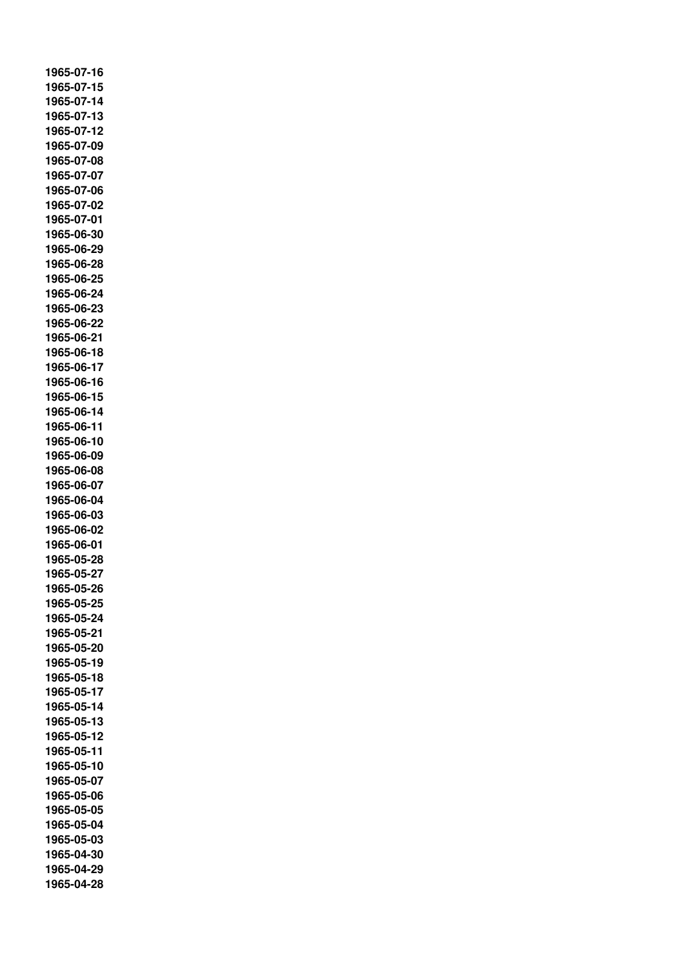**1965-07-16 1965-07-15 1965-07-14 1965-07-13 1965-07-12 1965-07-09 1965-07-08 1965-07-07 1965-07-06 1965-07-02 1965-07-01 1965-06-30 1965-06-29 1965-06-28 1965-06-25 1965-06-24 1965-06-23 1965-06-22 1965-06-21 1965-06-18 1965-06-17 1965-06-16 1965-06-15 1965-06-14 1965-06-11 1965-06-10 1965-06-09 1965-06-08 1965-06-07 1965-06-04 1965-06-03 1965-06-02 1965-06-01 1965-05-28 1965-05-27 1965-05-26 1965-05-25 1965-05-24 1965-05-21 1965-05-20 1965-05-19 1965-05-18 1965-05-17 1965-05-14 1965-05-13 1965-05-12 1965-05-11 1965-05-10 1965-05-07 1965-05-06 1965-05-05 1965-05-04 1965-05-03 1965-04-30 1965-04-29 1965-04-28**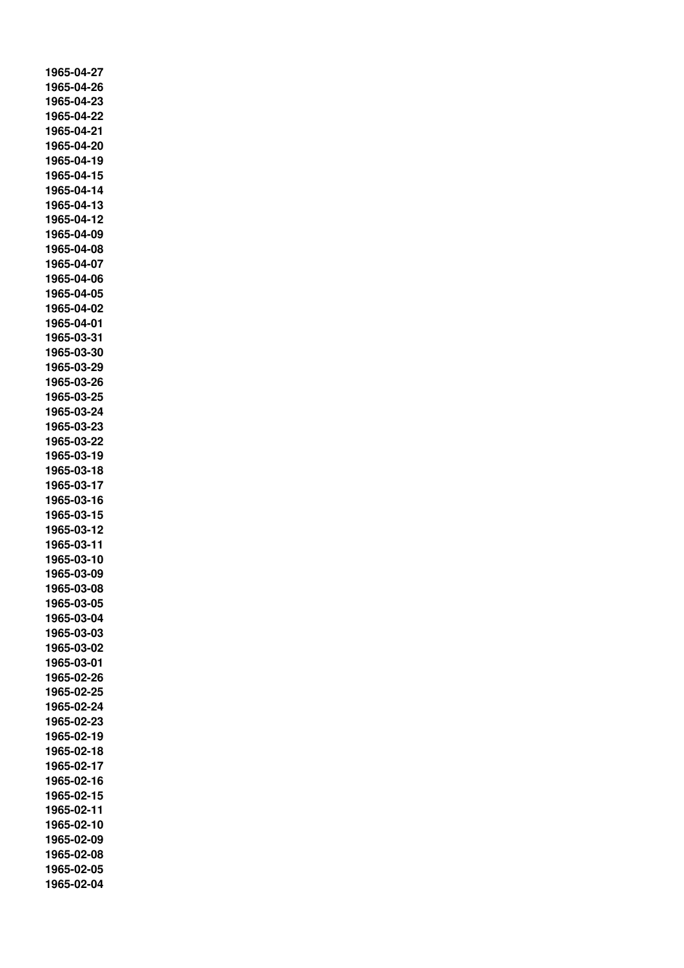**1965-04-27 1965-04-26 1965-04-23 1965-04-22 1965-04-21 1965-04-20 1965-04-19 1965-04-15 1965-04-14 1965-04-13 1965-04-12 1965-04-09 1965-04-08 1965-04-07 1965-04-06 1965-04-05 1965-04-02 1965-04-01 1965-03-31 1965-03-30 1965-03-29 1965-03-26 1965-03-25 1965-03-24 1965-03-23 1965-03-22 1965-03-19 1965-03-18 1965-03-17 1965-03-16 1965-03-15 1965-03-12 1965-03-11 1965-03-10 1965-03-09 1965-03-08 1965-03-05 1965-03-04 1965-03-03 1965-03-02 1965-03-01 1965-02-26 1965-02-25 1965-02-24 1965-02-23 1965-02-19 1965-02-18 1965-02-17 1965-02-16 1965-02-15 1965-02-11 1965-02-10 1965-02-09 1965-02-08 1965-02-05 1965-02-04**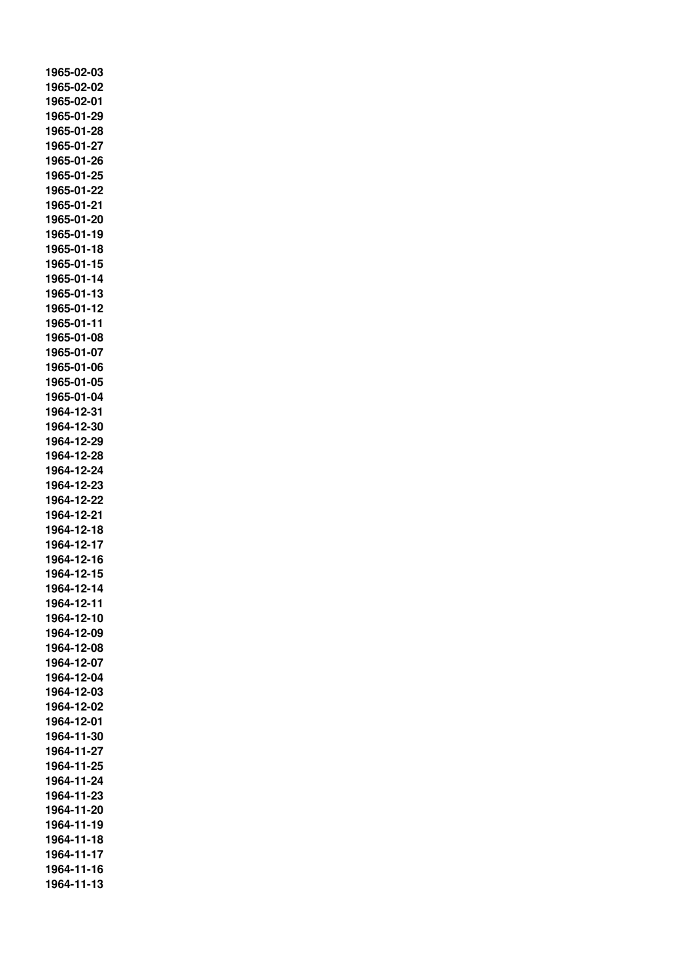**1965-02-03 1965-02-02 1965-02-01 1965-01-29 1965-01-28 1965-01-27 1965-01-26 1965-01-25 1965-01-22 1965-01-21 1965-01-20 1965-01-19 1965-01-18 1965-01-15 1965-01-14 1965-01-13 1965-01-12 1965-01-11 1965-01-08 1965-01-07 1965-01-06 1965-01-05 1965-01-04 1964-12-31 1964-12-30 1964-12-29 1964-12-28 1964-12-24 1964-12-23 1964-12-22 1964-12-21 1964-12-18 1964-12-17 1964-12-16 1964-12-15 1964-12-14 1964-12-11 1964-12-10 1964-12-09 1964-12-08 1964-12-07 1964-12-04 1964-12-03 1964-12-02 1964-12-01 1964-11-30 1964-11-27 1964-11-25 1964-11-24 1964-11-23 1964-11-20 1964-11-19 1964-11-18 1964-11-17 1964-11-16 1964-11-13**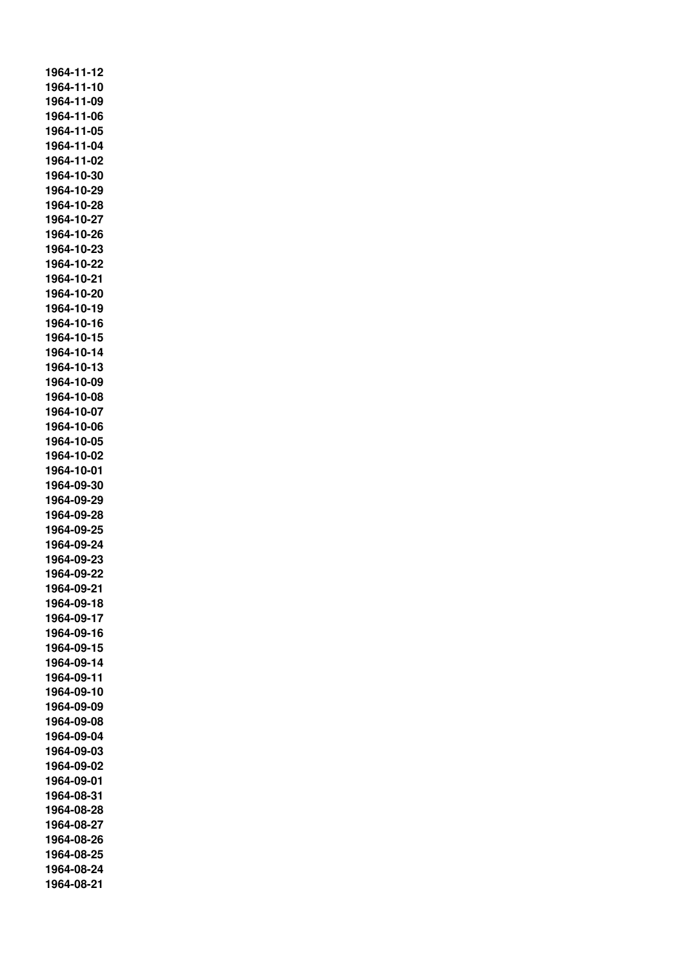**1964-11-12 1964-11-10 1964-11-09 1964-11-06 1964-11-05 1964-11-04 1964-11-02 1964-10-30 1964-10-29 1964-10-28 1964-10-27 1964-10-26 1964-10-23 1964-10-22 1964-10-21 1964-10-20 1964-10-19 1964-10-16 1964-10-15 1964-10-14 1964-10-13 1964-10-09 1964-10-08 1964-10-07 1964-10-06 1964-10-05 1964-10-02 1964-10-01 1964-09-30 1964-09-29 1964-09-28 1964-09-25 1964-09-24 1964-09-23 1964-09-22 1964-09-21 1964-09-18 1964-09-17 1964-09-16 1964-09-15 1964-09-14 1964-09-11 1964-09-10 1964-09-09 1964-09-08 1964-09-04 1964-09-03 1964-09-02 1964-09-01 1964-08-31 1964-08-28 1964-08-27 1964-08-26 1964-08-25 1964-08-24 1964-08-21**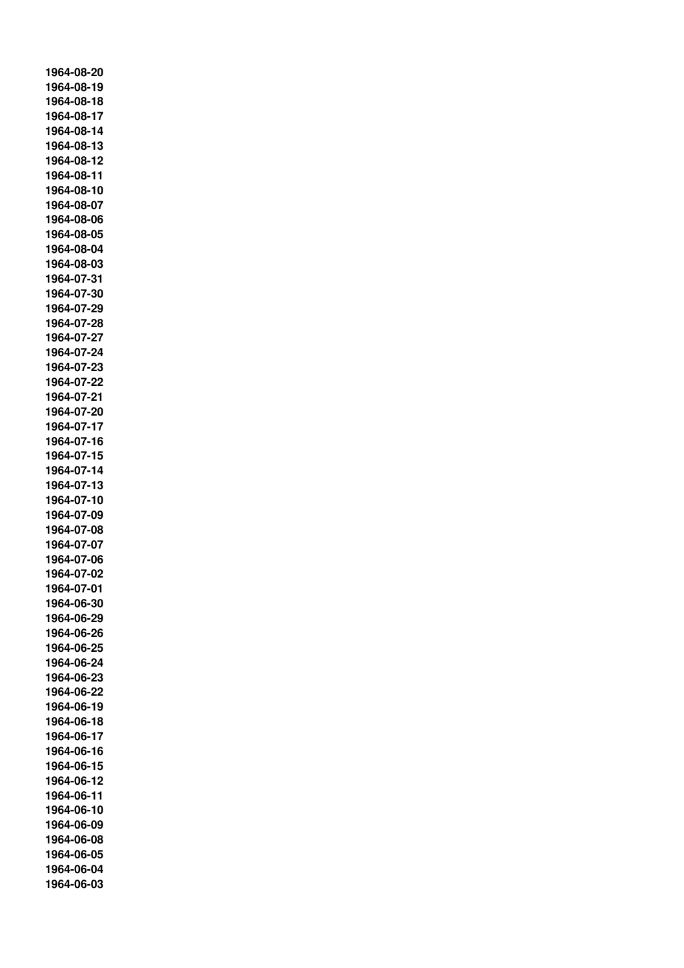**1964-08-20 1964-08-19 1964-08-18 1964-08-17 1964-08-14 1964-08-13 1964-08-12 1964-08-11 1964-08-10 1964-08-07 1964-08-06 1964-08-05 1964-08-04 1964-08-03 1964-07-31 1964-07-30 1964-07-29 1964-07-28 1964-07-27 1964-07-24 1964-07-23 1964-07-22 1964-07-21 1964-07-20 1964-07-17 1964-07-16 1964-07-15 1964-07-14 1964-07-13 1964-07-10 1964-07-09 1964-07-08 1964-07-07 1964-07-06 1964-07-02 1964-07-01 1964-06-30 1964-06-29 1964-06-26 1964-06-25 1964-06-24 1964-06-23 1964-06-22 1964-06-19 1964-06-18 1964-06-17 1964-06-16 1964-06-15 1964-06-12 1964-06-11 1964-06-10 1964-06-09 1964-06-08 1964-06-05 1964-06-04 1964-06-03**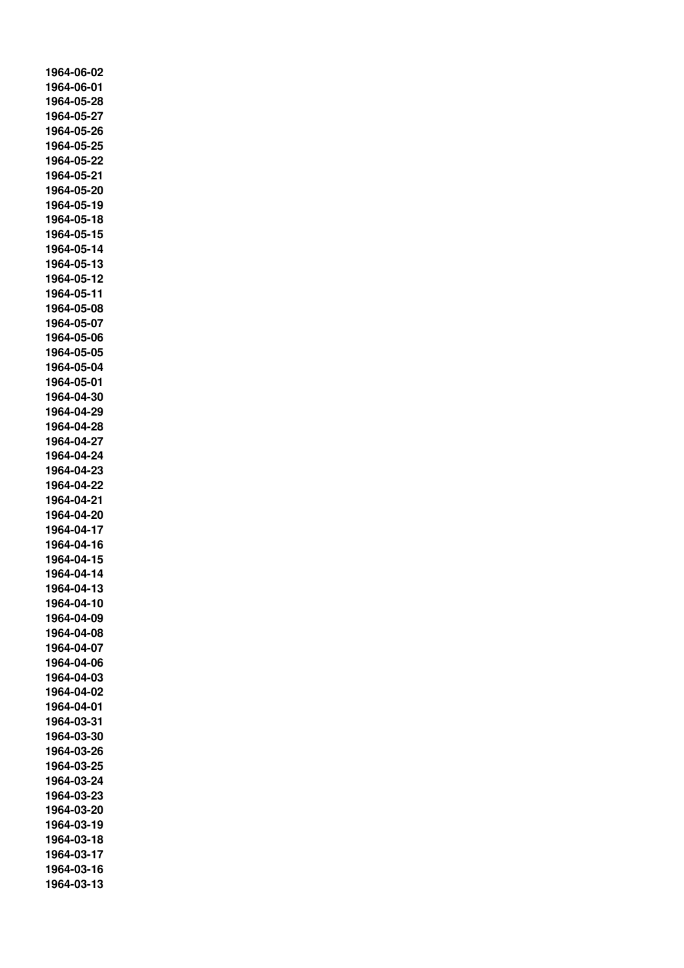**1964-06-02 1964-06-01 1964-05-28 1964-05-27 1964-05-26 1964-05-25 1964-05-22 1964-05-21 1964-05-20 1964-05-19 1964-05-18 1964-05-15 1964-05-14 1964-05-13 1964-05-12 1964-05-11 1964-05-08 1964-05-07 1964-05-06 1964-05-05 1964-05-04 1964-05-01 1964-04-30 1964-04-29 1964-04-28 1964-04-27 1964-04-24 1964-04-23 1964-04-22 1964-04-21 1964-04-20 1964-04-17 1964-04-16 1964-04-15 1964-04-14 1964-04-13 1964-04-10 1964-04-09 1964-04-08 1964-04-07 1964-04-06 1964-04-03 1964-04-02 1964-04-01 1964-03-31 1964-03-30 1964-03-26 1964-03-25 1964-03-24 1964-03-23 1964-03-20 1964-03-19 1964-03-18 1964-03-17 1964-03-16 1964-03-13**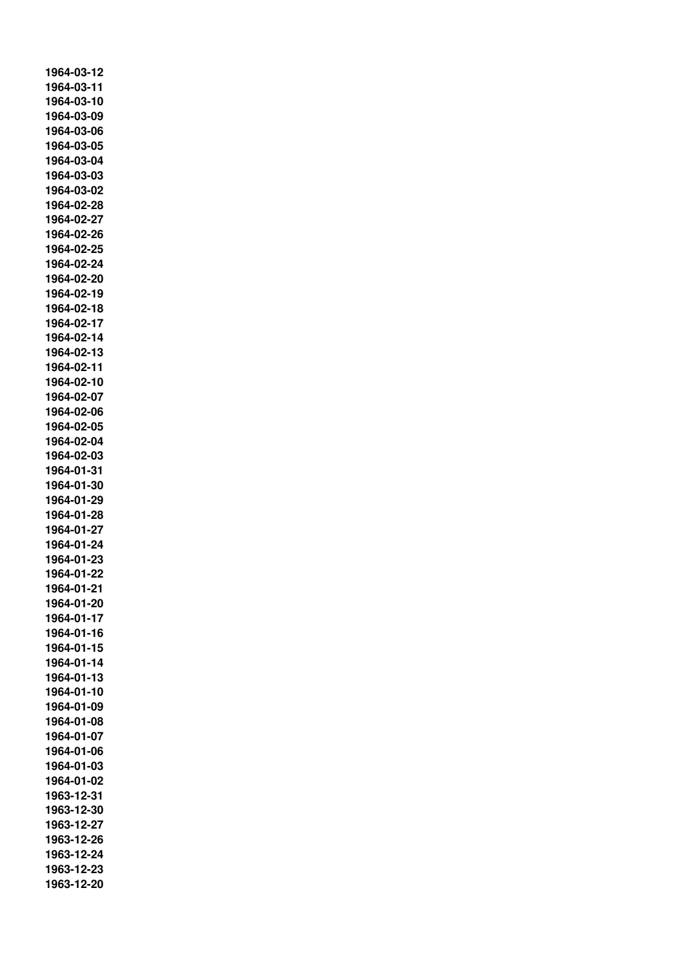**1964-03-12 1964-03-11 1964-03-10 1964-03-09 1964-03-06 1964-03-05 1964-03-04 1964-03-03 1964-03-02 1964-02-28 1964-02-27 1964-02-26 1964-02-25 1964-02-24 1964-02-20 1964-02-19 1964-02-18 1964-02-17 1964-02-14 1964-02-13 1964-02-11 1964-02-10 1964-02-07 1964-02-06 1964-02-05 1964-02-04 1964-02-03 1964-01-31 1964-01-30 1964-01-29 1964-01-28 1964-01-27 1964-01-24 1964-01-23 1964-01-22 1964-01-21 1964-01-20 1964-01-17 1964-01-16 1964-01-15 1964-01-14 1964-01-13 1964-01-10 1964-01-09 1964-01-08 1964-01-07 1964-01-06 1964-01-03 1964-01-02 1963-12-31 1963-12-30 1963-12-27 1963-12-26 1963-12-24 1963-12-23 1963-12-20**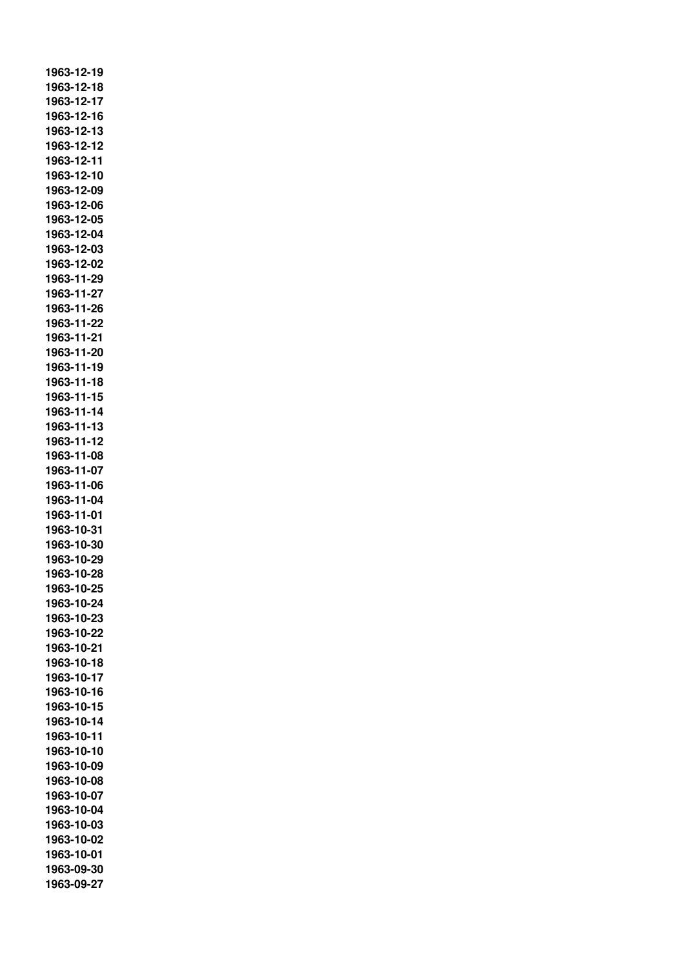**1963-12-19 1963-12-18 1963-12-17 1963-12-16 1963-12-13 1963-12-12 1963-12-11 1963-12-10 1963-12-09 1963-12-06 1963-12-05 1963-12-04 1963-12-03 1963-12-02 1963-11-29 1963-11-27 1963-11-26 1963-11-22 1963-11-21 1963-11-20 1963-11-19 1963-11-18 1963-11-15 1963-11-14 1963-11-13 1963-11-12 1963-11-08 1963-11-07 1963-11-06 1963-11-04 1963-11-01 1963-10-31 1963-10-30 1963-10-29 1963-10-28 1963-10-25 1963-10-24 1963-10-23 1963-10-22 1963-10-21 1963-10-18 1963-10-17 1963-10-16 1963-10-15 1963-10-14 1963-10-11 1963-10-10 1963-10-09 1963-10-08 1963-10-07 1963-10-04 1963-10-03 1963-10-02 1963-10-01 1963-09-30 1963-09-27**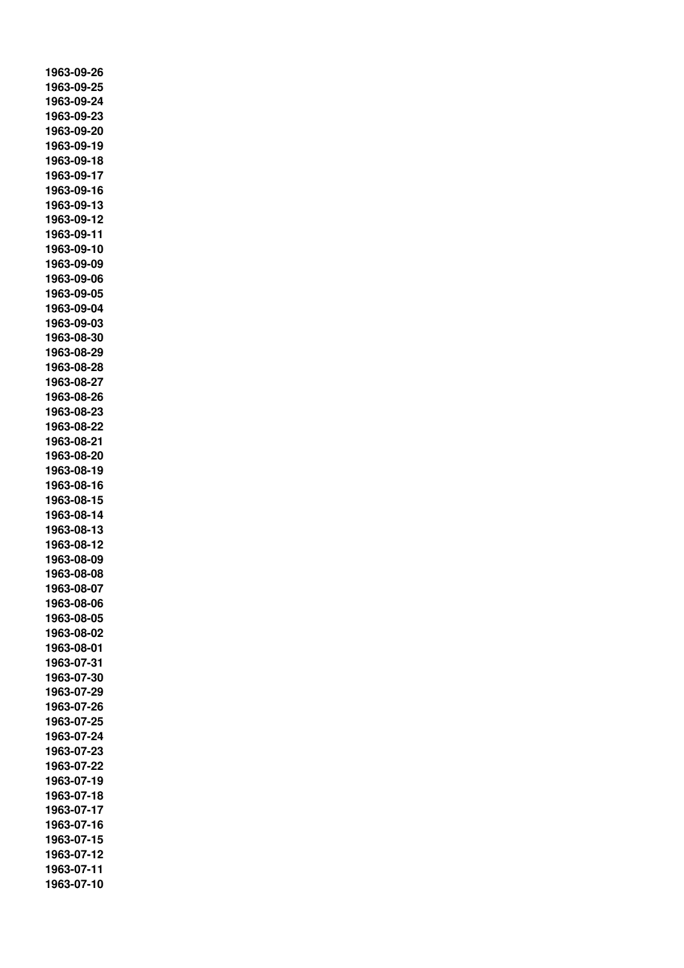**1963-09-26 1963-09-25 1963-09-24 1963-09-23 1963-09-20 1963-09-19 1963-09-18 1963-09-17 1963-09-16 1963-09-13 1963-09-12 1963-09-11 1963-09-10 1963-09-09 1963-09-06 1963-09-05 1963-09-04 1963-09-03 1963-08-30 1963-08-29 1963-08-28 1963-08-27 1963-08-26 1963-08-23 1963-08-22 1963-08-21 1963-08-20 1963-08-19 1963-08-16 1963-08-15 1963-08-14 1963-08-13 1963-08-12 1963-08-09 1963-08-08 1963-08-07 1963-08-06 1963-08-05 1963-08-02 1963-08-01 1963-07-31 1963-07-30 1963-07-29 1963-07-26 1963-07-25 1963-07-24 1963-07-23 1963-07-22 1963-07-19 1963-07-18 1963-07-17 1963-07-16 1963-07-15 1963-07-12 1963-07-11 1963-07-10**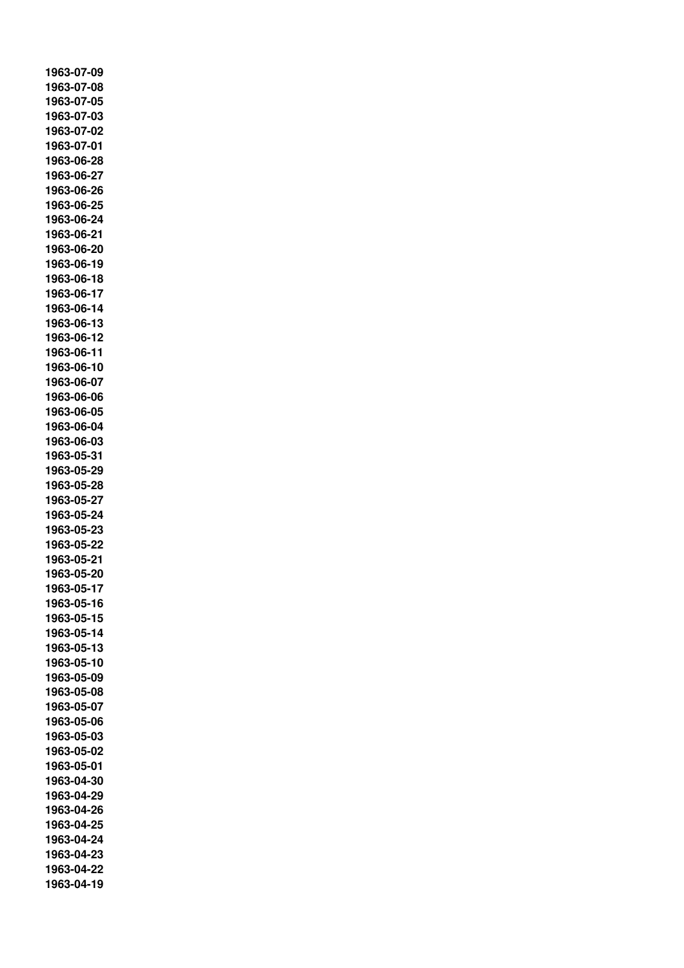**1963-07-09 1963-07-08 1963-07-05 1963-07-03 1963-07-02 1963-07-01 1963-06-28 1963-06-27 1963-06-26 1963-06-25 1963-06-24 1963-06-21 1963-06-20 1963-06-19 1963-06-18 1963-06-17 1963-06-14 1963-06-13 1963-06-12 1963-06-11 1963-06-10 1963-06-07 1963-06-06 1963-06-05 1963-06-04 1963-06-03 1963-05-31 1963-05-29 1963-05-28 1963-05-27 1963-05-24 1963-05-23 1963-05-22 1963-05-21 1963-05-20 1963-05-17 1963-05-16 1963-05-15 1963-05-14 1963-05-13 1963-05-10 1963-05-09 1963-05-08 1963-05-07 1963-05-06 1963-05-03 1963-05-02 1963-05-01 1963-04-30 1963-04-29 1963-04-26 1963-04-25 1963-04-24 1963-04-23 1963-04-22 1963-04-19**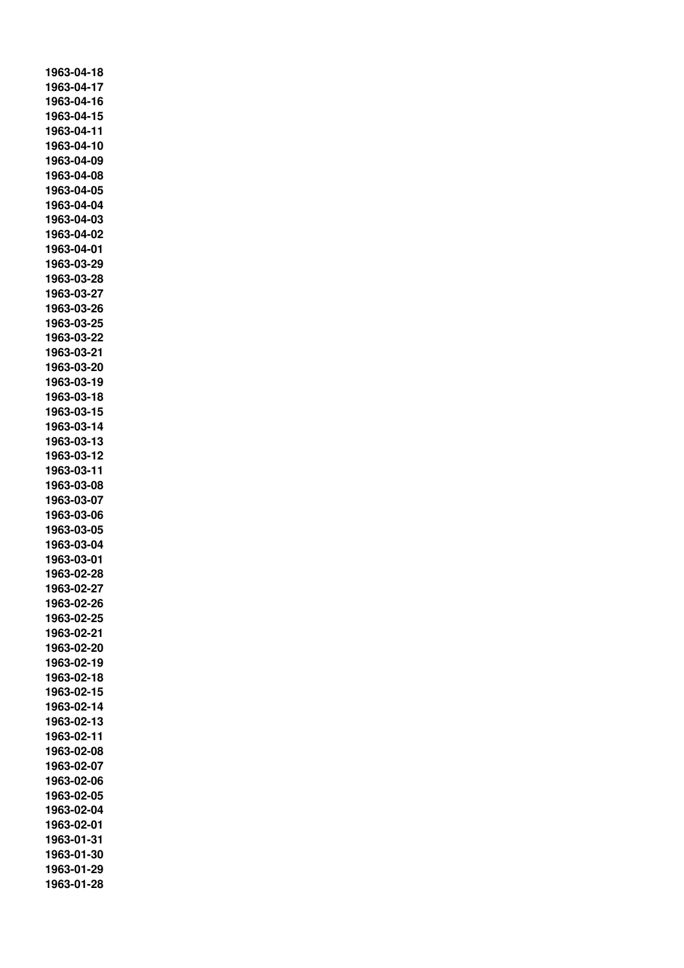**1963-04-18 1963-04-17 1963-04-16 1963-04-15 1963-04-11 1963-04-10 1963-04-09 1963-04-08 1963-04-05 1963-04-04 1963-04-03 1963-04-02 1963-04-01 1963-03-29 1963-03-28 1963-03-27 1963-03-26 1963-03-25 1963-03-22 1963-03-21 1963-03-20 1963-03-19 1963-03-18 1963-03-15 1963-03-14 1963-03-13 1963-03-12 1963-03-11 1963-03-08 1963-03-07 1963-03-06 1963-03-05 1963-03-04 1963-03-01 1963-02-28 1963-02-27 1963-02-26 1963-02-25 1963-02-21 1963-02-20 1963-02-19 1963-02-18 1963-02-15 1963-02-14 1963-02-13 1963-02-11 1963-02-08 1963-02-07 1963-02-06 1963-02-05 1963-02-04 1963-02-01 1963-01-31 1963-01-30 1963-01-29 1963-01-28**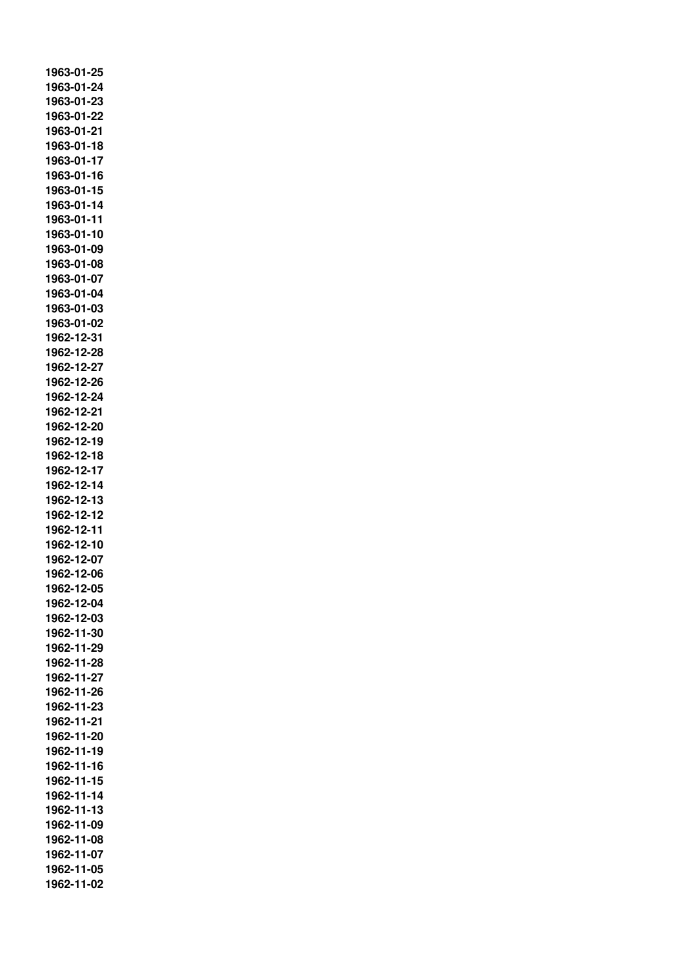**1963-01-25 1963-01-24 1963-01-23 1963-01-22 1963-01-21 1963-01-18 1963-01-17 1963-01-16 1963-01-15 1963-01-14 1963-01-11 1963-01-10 1963-01-09 1963-01-08 1963-01-07 1963-01-04 1963-01-03 1963-01-02 1962-12-31 1962-12-28 1962-12-27 1962-12-26 1962-12-24 1962-12-21 1962-12-20 1962-12-19 1962-12-18 1962-12-17 1962-12-14 1962-12-13 1962-12-12 1962-12-11 1962-12-10 1962-12-07 1962-12-06 1962-12-05 1962-12-04 1962-12-03 1962-11-30 1962-11-29 1962-11-28 1962-11-27 1962-11-26 1962-11-23 1962-11-21 1962-11-20 1962-11-19 1962-11-16 1962-11-15 1962-11-14 1962-11-13 1962-11-09 1962-11-08 1962-11-07 1962-11-05 1962-11-02**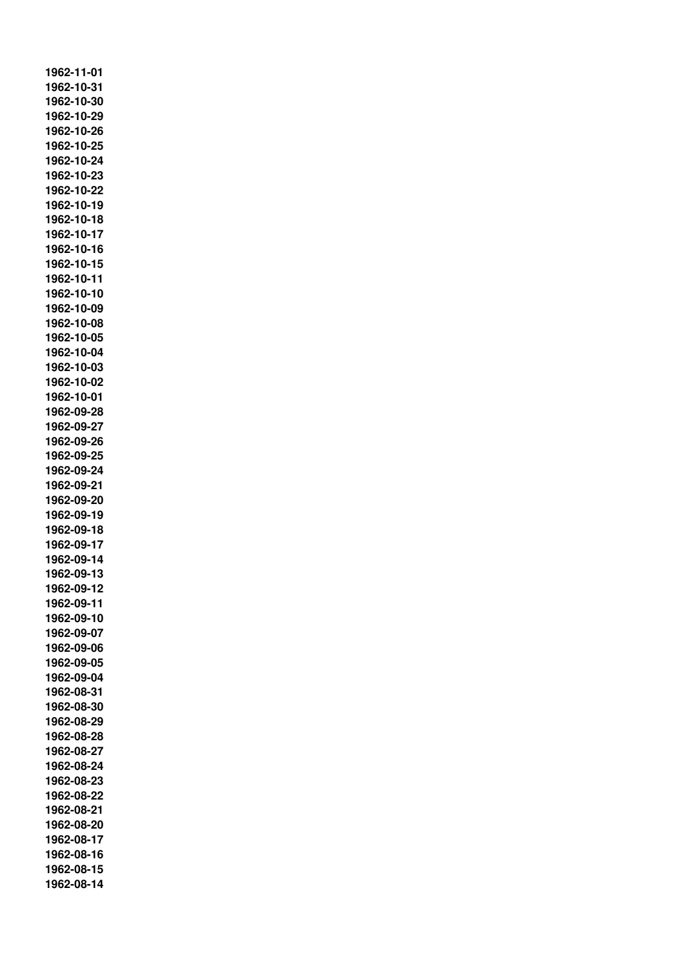**1962-11-01 1962-10-31 1962-10-30 1962-10-29 1962-10-26 1962-10-25 1962-10-24 1962-10-23 1962-10-22 1962-10-19 1962-10-18 1962-10-17 1962-10-16 1962-10-15 1962-10-11 1962-10-10 1962-10-09 1962-10-08 1962-10-05 1962-10-04 1962-10-03 1962-10-02 1962-10-01 1962-09-28 1962-09-27 1962-09-26 1962-09-25 1962-09-24 1962-09-21 1962-09-20 1962-09-19 1962-09-18 1962-09-17 1962-09-14 1962-09-13 1962-09-12 1962-09-11 1962-09-10 1962-09-07 1962-09-06 1962-09-05 1962-09-04 1962-08-31 1962-08-30 1962-08-29 1962-08-28 1962-08-27 1962-08-24 1962-08-23 1962-08-22 1962-08-21 1962-08-20 1962-08-17 1962-08-16 1962-08-15 1962-08-14**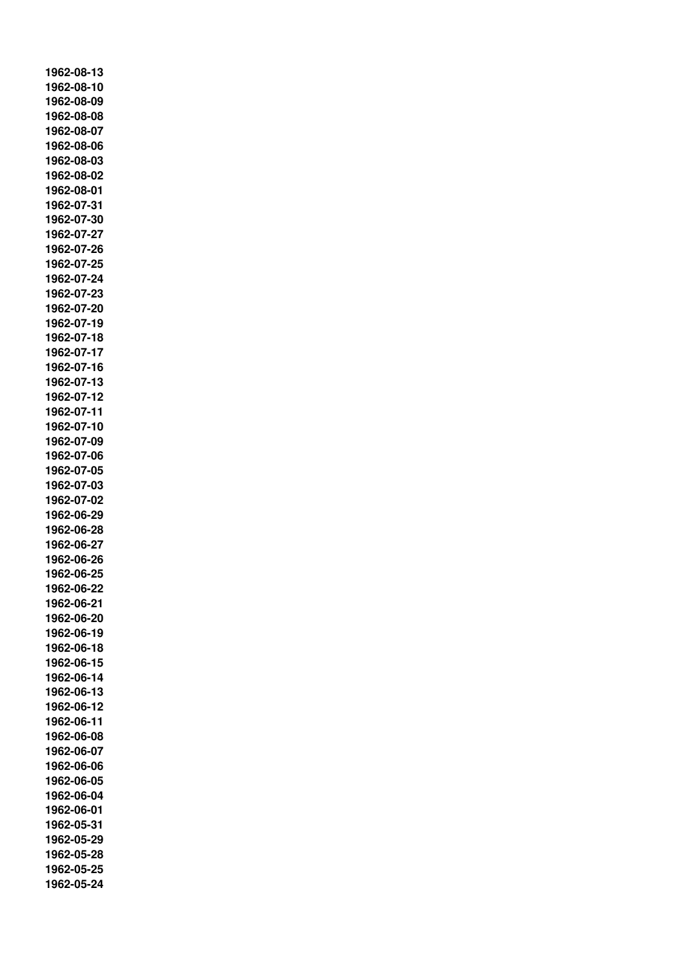**1962-08-13 1962-08-10 1962-08-09 1962-08-08 1962-08-07 1962-08-06 1962-08-03 1962-08-02 1962-08-01 1962-07-31 1962-07-30 1962-07-27 1962-07-26 1962-07-25 1962-07-24 1962-07-23 1962-07-20 1962-07-19 1962-07-18 1962-07-17 1962-07-16 1962-07-13 1962-07-12 1962-07-11 1962-07-10 1962-07-09 1962-07-06 1962-07-05 1962-07-03 1962-07-02 1962-06-29 1962-06-28 1962-06-27 1962-06-26 1962-06-25 1962-06-22 1962-06-21 1962-06-20 1962-06-19 1962-06-18 1962-06-15 1962-06-14 1962-06-13 1962-06-12 1962-06-11 1962-06-08 1962-06-07 1962-06-06 1962-06-05 1962-06-04 1962-06-01 1962-05-31 1962-05-29 1962-05-28 1962-05-25 1962-05-24**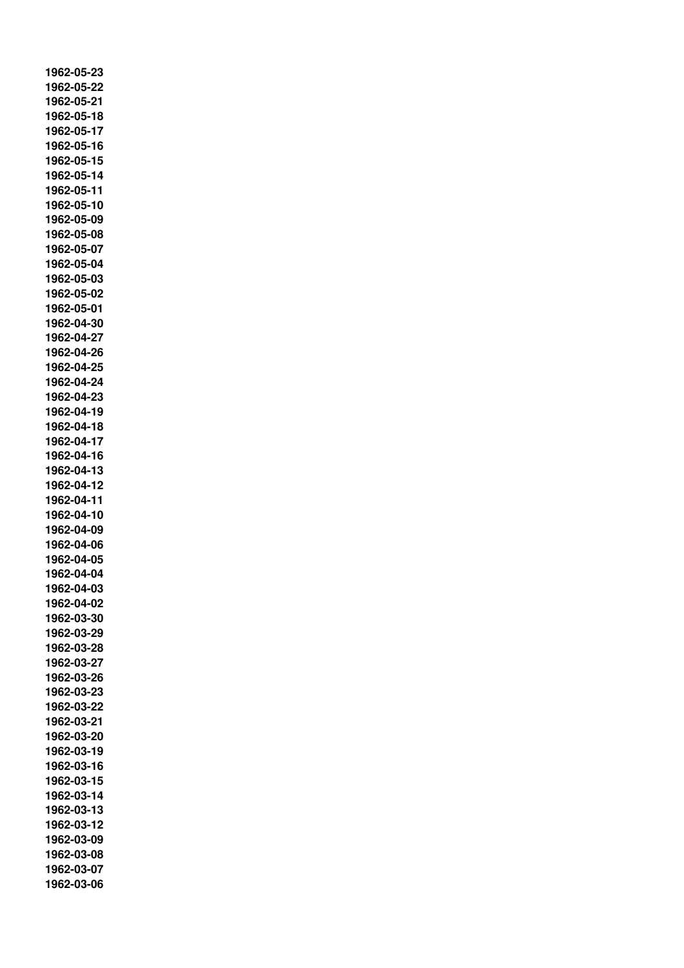**1962-05-23 1962-05-22 1962-05-21 1962-05-18 1962-05-17 1962-05-16 1962-05-15 1962-05-14 1962-05-11 1962-05-10 1962-05-09 1962-05-08 1962-05-07 1962-05-04 1962-05-03 1962-05-02 1962-05-01 1962-04-30 1962-04-27 1962-04-26 1962-04-25 1962-04-24 1962-04-23 1962-04-19 1962-04-18 1962-04-17 1962-04-16 1962-04-13 1962-04-12 1962-04-11 1962-04-10 1962-04-09 1962-04-06 1962-04-05 1962-04-04 1962-04-03 1962-04-02 1962-03-30 1962-03-29 1962-03-28 1962-03-27 1962-03-26 1962-03-23 1962-03-22 1962-03-21 1962-03-20 1962-03-19 1962-03-16 1962-03-15 1962-03-14 1962-03-13 1962-03-12 1962-03-09 1962-03-08 1962-03-07 1962-03-06**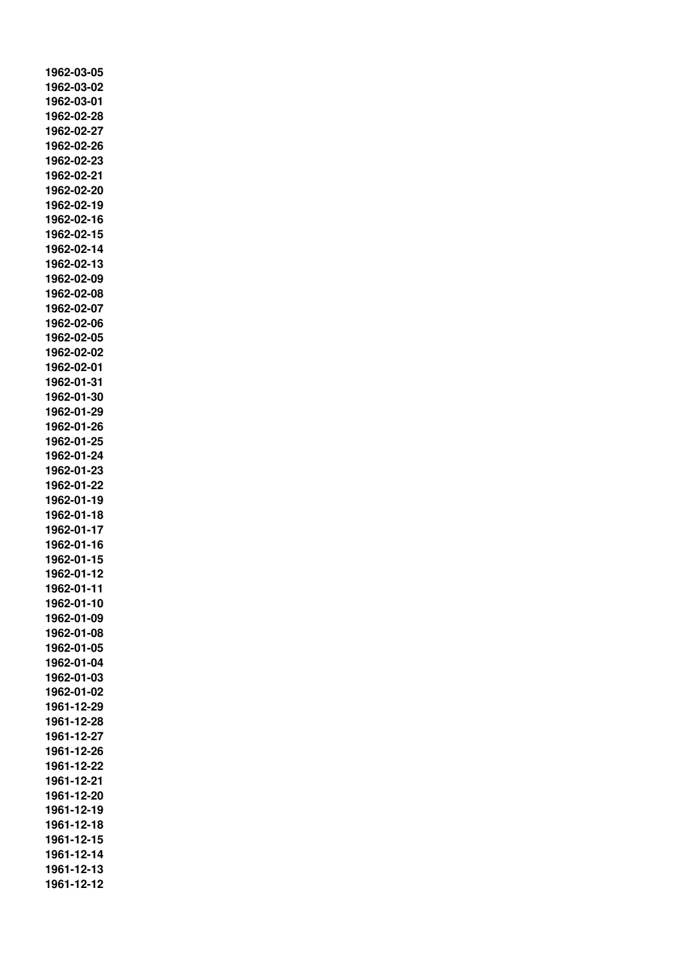**1962-03-05 1962-03-02 1962-03-01 1962-02-28 1962-02-27 1962-02-26 1962-02-23 1962-02-21 1962-02-20 1962-02-19 1962-02-16 1962-02-15 1962-02-14 1962-02-13 1962-02-09 1962-02-08 1962-02-07 1962-02-06 1962-02-05 1962-02-02 1962-02-01 1962-01-31 1962-01-30 1962-01-29 1962-01-26 1962-01-25 1962-01-24 1962-01-23 1962-01-22 1962-01-19 1962-01-18 1962-01-17 1962-01-16 1962-01-15 1962-01-12 1962-01-11 1962-01-10 1962-01-09 1962-01-08 1962-01-05 1962-01-04 1962-01-03 1962-01-02 1961-12-29 1961-12-28 1961-12-27 1961-12-26 1961-12-22 1961-12-21 1961-12-20 1961-12-19 1961-12-18 1961-12-15 1961-12-14 1961-12-13 1961-12-12**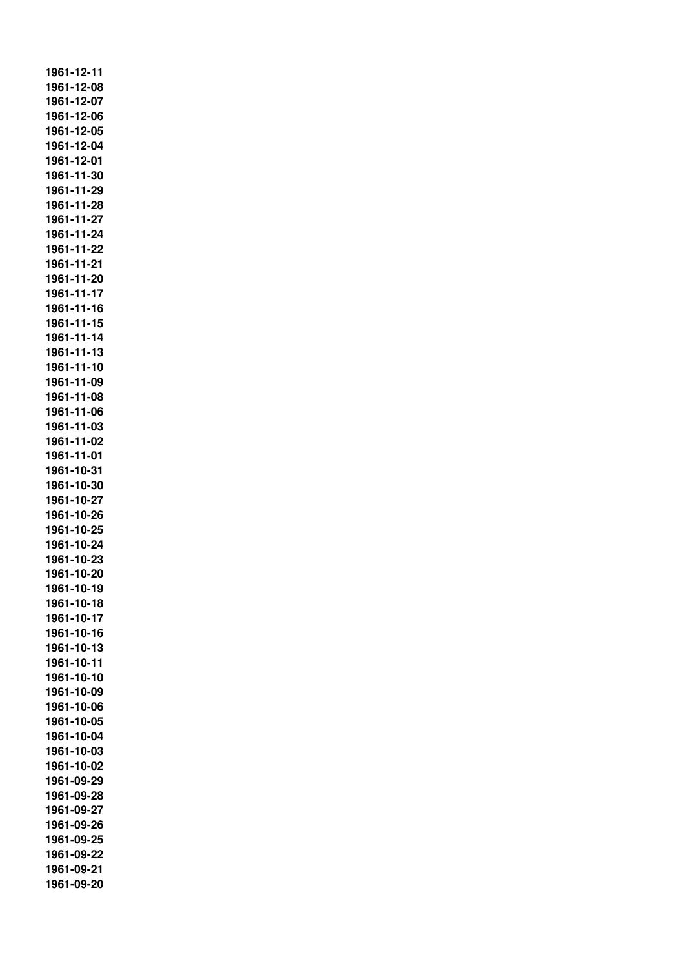**1961-12-11 1961-12-08 1961-12-07 1961-12-06 1961-12-05 1961-12-04 1961-12-01 1961-11-30 1961-11-29 1961-11-28 1961-11-27 1961-11-24 1961-11-22 1961-11-21 1961-11-20 1961-11-17 1961-11-16 1961-11-15 1961-11-14 1961-11-13 1961-11-10 1961-11-09 1961-11-08 1961-11-06 1961-11-03 1961-11-02 1961-11-01 1961-10-31 1961-10-30 1961-10-27 1961-10-26 1961-10-25 1961-10-24 1961-10-23 1961-10-20 1961-10-19 1961-10-18 1961-10-17 1961-10-16 1961-10-13 1961-10-11 1961-10-10 1961-10-09 1961-10-06 1961-10-05 1961-10-04 1961-10-03 1961-10-02 1961-09-29 1961-09-28 1961-09-27 1961-09-26 1961-09-25 1961-09-22 1961-09-21 1961-09-20**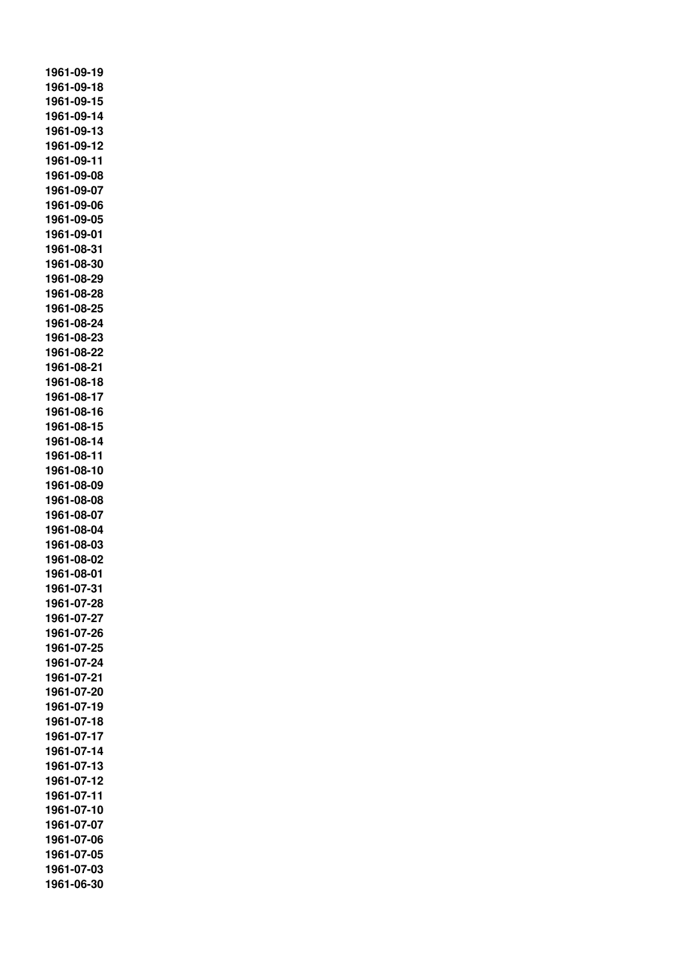**1961-09-19 1961-09-18 1961-09-15 1961-09-14 1961-09-13 1961-09-12 1961-09-11 1961-09-08 1961-09-07 1961-09-06 1961-09-05 1961-09-01 1961-08-31 1961-08-30 1961-08-29 1961-08-28 1961-08-25 1961-08-24 1961-08-23 1961-08-22 1961-08-21 1961-08-18 1961-08-17 1961-08-16 1961-08-15 1961-08-14 1961-08-11 1961-08-10 1961-08-09 1961-08-08 1961-08-07 1961-08-04 1961-08-03 1961-08-02 1961-08-01 1961-07-31 1961-07-28 1961-07-27 1961-07-26 1961-07-25 1961-07-24 1961-07-21 1961-07-20 1961-07-19 1961-07-18 1961-07-17 1961-07-14 1961-07-13 1961-07-12 1961-07-11 1961-07-10 1961-07-07 1961-07-06 1961-07-05 1961-07-03 1961-06-30**